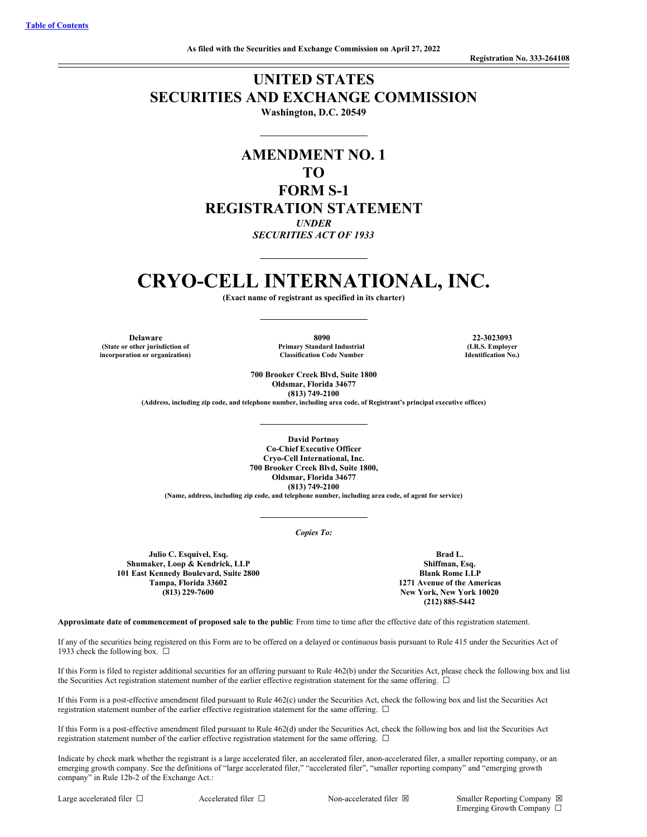# **UNITED STATES SECURITIES AND EXCHANGE COMMISSION**

**Washington, D.C. 20549**

# **AMENDMENT NO. 1 TO FORM S-1 REGISTRATION STATEMENT** *UNDER*

*SECURITIES ACT OF 1933*

# **CRYO-CELL INTERNATIONAL, INC.**

**(Exact name of registrant as specified in its charter)**

**(State or other jurisdiction of incorporation or organization)**

**Delaware 8090 22-3023093 Primary Standard Industrial Classification Code Number**

**(I.R.S. Employer Identification No.)**

**700 Brooker Creek Blvd, Suite 1800 Oldsmar, Florida 34677 (813) 749-2100**

**(Address, including zip code, and telephone number, including area code, of Registrant's principal executive offices)**

**David Portnoy Co-Chief Executive Officer Cryo-Cell International, Inc. 700 Brooker Creek Blvd, Suite 1800, Oldsmar, Florida 34677 (813) 749-2100 (Name, address, including zip code, and telephone number, including area code, of agent for service)**

*Copies To:*

**Julio C. Esquivel, Esq. Shumaker, Loop & Kendrick, LLP 101 East Kennedy Boulevard, Suite 2800 Tampa, Florida 33602 (813) 229-7600**

**Brad L. Shiffman, Esq. Blank Rome LLP 1271 Avenue of the Americas New York, New York 10020 (212) 885-5442**

**Approximate date of commencement of proposed sale to the public**: From time to time after the effective date of this registration statement.

If any of the securities being registered on this Form are to be offered on a delayed or continuous basis pursuant to Rule 415 under the Securities Act of 1933 check the following box.  $\Box$ 

If this Form is filed to register additional securities for an offering pursuant to Rule 462(b) under the Securities Act, please check the following box and list the Securities Act registration statement number of the earlier effective registration statement for the same offering. □

If this Form is a post-effective amendment filed pursuant to Rule 462(c) under the Securities Act, check the following box and list the Securities Act registration statement number of the earlier effective registration statement for the same offering.  $\Box$ 

If this Form is a post-effective amendment filed pursuant to Rule 462(d) under the Securities Act, check the following box and list the Securities Act registration statement number of the earlier effective registration statement for the same offering.  $\Box$ 

Indicate by check mark whether the registrant is a large accelerated filer, an accelerated filer, anon-accelerated filer, a smaller reporting company, or an emerging growth company. See the definitions of "large accelerated filer," "accelerated filer", "smaller reporting company" and "emerging growth company" in Rule 12b-2 of the Exchange Act.: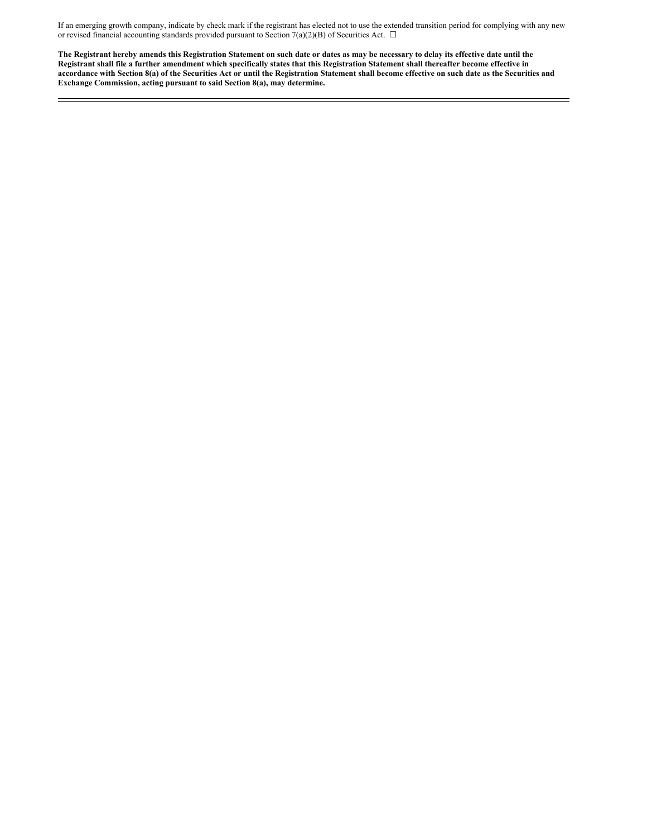If an emerging growth company, indicate by check mark if the registrant has elected not to use the extended transition period for complying with any new or revised financial accounting standards provided pursuant to Section 7(a)(2)(B) of Securities Act.  $\Box$ 

The Registrant hereby amends this Registration Statement on such date or dates as may be necessary to delay its effective date until the Registrant shall file a further amendment which specifically states that this Registration Statement shall thereafter become effective in accordance with Section 8(a) of the Securities Act or until the Registration Statement shall become effective on such date as the Securities and **Exchange Commission, acting pursuant to said Section 8(a), may determine.**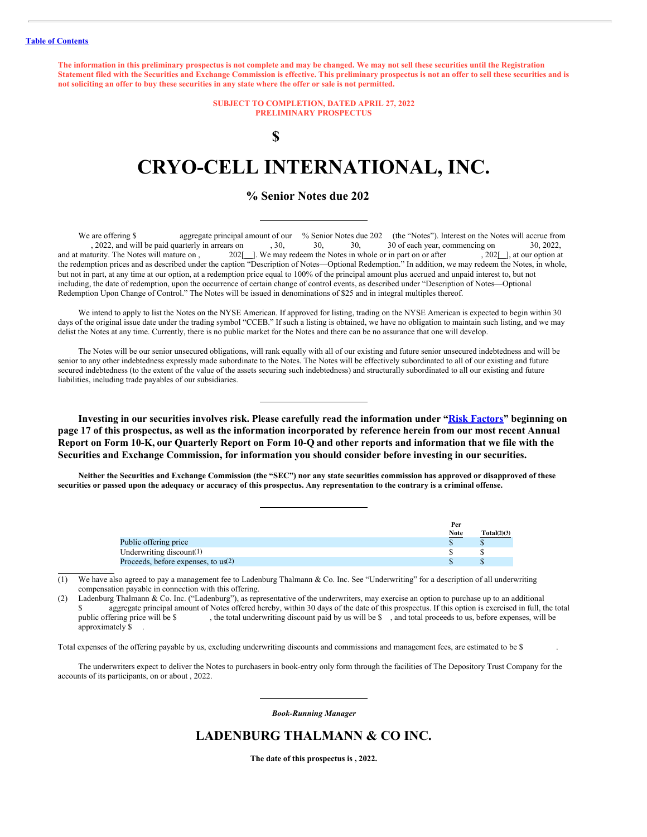The information in this preliminary prospectus is not complete and may be changed. We may not sell these securities until the Registration Statement filed with the Securities and Exchange Commission is effective. This preliminary prospectus is not an offer to sell these securities and is not soliciting an offer to buy these securities in any state where the offer or sale is not permitted.

> **SUBJECT TO COMPLETION, DATED APRIL 27, 2022 PRELIMINARY PROSPECTUS**

## **\$**

# **CRYO-CELL INTERNATIONAL, INC.**

## **% Senior Notes due 202**

We are offering \$ aggregate principal amount of our % Senior Notes due 202 (the "Notes"). Interest on the Notes will accrue from , 2022, and will be paid quarterly in arrears on , 30, 30, 30, 30 of each year, commencing on 30, 2022, and at maturity. The Notes will mature on , 202[ ]. We may redeem the Notes in whole or in part on or after , 202[ ], 202[ ]. We may redeem the Notes in whole or in part on or after the redemption prices and as described under the caption "Description of Notes—Optional Redemption." In addition, we may redeem the Notes, in whole, but not in part, at any time at our option, at a redemption price equal to 100% of the principal amount plus accrued and unpaid interest to, but not including, the date of redemption, upon the occurrence of certain change of control events, as described under "Description of Notes—Optional Redemption Upon Change of Control." The Notes will be issued in denominations of \$25 and in integral multiples thereof.

We intend to apply to list the Notes on the NYSE American. If approved for listing, trading on the NYSE American is expected to begin within 30 days of the original issue date under the trading symbol "CCEB." If such a listing is obtained, we have no obligation to maintain such listing, and we may delist the Notes at any time. Currently, there is no public market for the Notes and there can be no assurance that one will develop.

The Notes will be our senior unsecured obligations, will rank equally with all of our existing and future senior unsecured indebtedness and will be senior to any other indebtedness expressly made subordinate to the Notes. The Notes will be effectively subordinated to all of our existing and future secured indebtedness (to the extent of the value of the assets securing such indebtedness) and structurally subordinated to all our existing and future liabilities, including trade payables of our subsidiaries.

Investing in our securities involves risk. Please carefully read the information under "Risk [Factors](#page-14-0)" beginning on page 17 of this prospectus, as well as the information incorporated by reference herein from our most recent Annual Report on Form 10-K, our Quarterly Report on Form 10-Q and other reports and information that we file with the **Securities and Exchange Commission, for information you should consider before investing in our securities.**

Neither the Securities and Exchange Commission (the "SEC") nor any state securities commission has approved or disapproved of these securities or passed upon the adequacy or accuracy of this prospectus. Any representation to the contrary is a criminal offense.

|                                       | Per<br><b>Note</b> | Total(2)(3) |
|---------------------------------------|--------------------|-------------|
| Public offering price                 |                    |             |
| Underwriting discount $(1)$           |                    |             |
| Proceeds, before expenses, to $us(2)$ |                    |             |

(1) We have also agreed to pay a management fee to Ladenburg Thalmann & Co. Inc. See "Underwriting" for a description of all underwriting compensation payable in connection with this offering.

(2) Ladenburg Thalmann & Co. Inc. ("Ladenburg"), as representative of the underwriters, may exercise an option to purchase up to an additional aggregate principal amount of Notes offered hereby, within 30 days of the date of this prospectus. If this option is exercised in full, the total public offering price will be \$ , the total underwriting discount paid by us will be \$, and total proceeds to us, before expenses, will be approximately \$.

Total expenses of the offering payable by us, excluding underwriting discounts and commissions and management fees, are estimated to be \$

The underwriters expect to deliver the Notes to purchasers in book-entry only form through the facilities of The Depository Trust Company for the accounts of its participants, on or about , 2022.

*Book-Running Manager*

## **LADENBURG THALMANN & CO INC.**

**The date of this prospectus is , 2022.**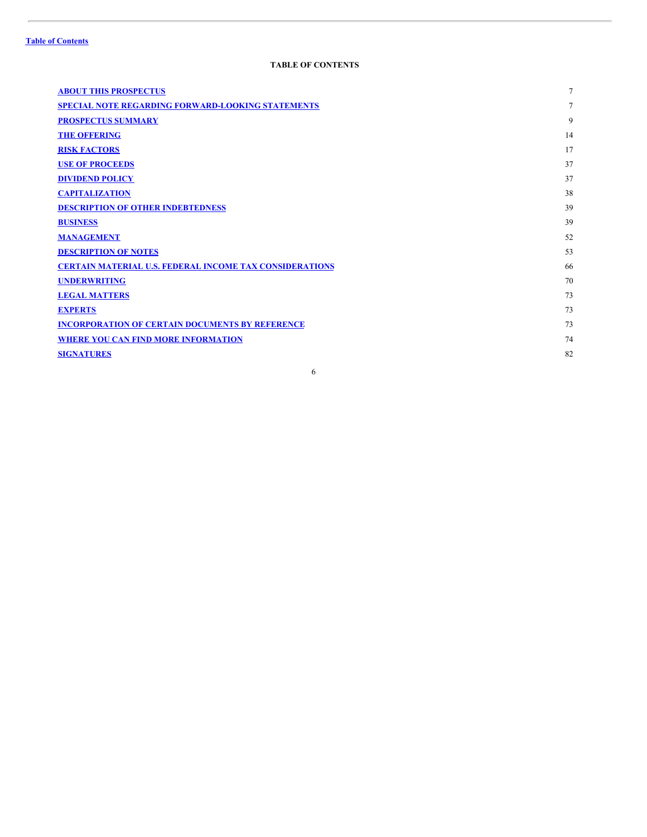## <span id="page-3-0"></span>**TABLE OF CONTENTS**

| $\tau$<br><b>SPECIAL NOTE REGARDING FORWARD-LOOKING STATEMENTS</b><br>9<br><b>PROSPECTUS SUMMARY</b><br>14<br><b>THE OFFERING</b><br>17<br><b>RISK FACTORS</b><br>37<br><b>USE OF PROCEEDS</b><br>37<br><b>DIVIDEND POLICY</b> |
|--------------------------------------------------------------------------------------------------------------------------------------------------------------------------------------------------------------------------------|
|                                                                                                                                                                                                                                |
|                                                                                                                                                                                                                                |
|                                                                                                                                                                                                                                |
|                                                                                                                                                                                                                                |
|                                                                                                                                                                                                                                |
|                                                                                                                                                                                                                                |
| 38<br><b>CAPITALIZATION</b>                                                                                                                                                                                                    |
| 39<br><b>DESCRIPTION OF OTHER INDEBTEDNESS</b>                                                                                                                                                                                 |
| 39<br><b>BUSINESS</b>                                                                                                                                                                                                          |
| 52<br><b>MANAGEMENT</b>                                                                                                                                                                                                        |
| <b>DESCRIPTION OF NOTES</b><br>53                                                                                                                                                                                              |
| <b>CERTAIN MATERIAL U.S. FEDERAL INCOME TAX CONSIDERATIONS</b><br>66                                                                                                                                                           |
| <b>UNDERWRITING</b><br>70                                                                                                                                                                                                      |
| 73<br><b>LEGAL MATTERS</b>                                                                                                                                                                                                     |
| 73<br><b>EXPERTS</b>                                                                                                                                                                                                           |
| <b>INCORPORATION OF CERTAIN DOCUMENTS BY REFERENCE</b><br>73                                                                                                                                                                   |
| <b>WHERE YOU CAN FIND MORE INFORMATION</b><br>74                                                                                                                                                                               |
| <b>SIGNATURES</b><br>82                                                                                                                                                                                                        |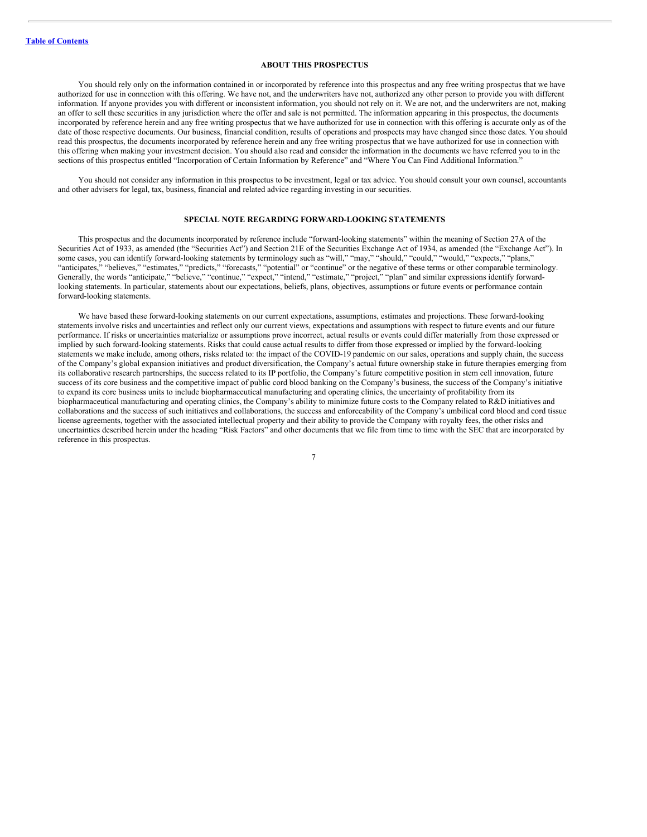## <span id="page-4-0"></span>**ABOUT THIS PROSPECTUS**

You should rely only on the information contained in or incorporated by reference into this prospectus and any free writing prospectus that we have authorized for use in connection with this offering. We have not, and the underwriters have not, authorized any other person to provide you with different information. If anyone provides you with different or inconsistent information, you should not rely on it. We are not, and the underwriters are not, making an offer to sell these securities in any jurisdiction where the offer and sale is not permitted. The information appearing in this prospectus, the documents incorporated by reference herein and any free writing prospectus that we have authorized for use in connection with this offering is accurate only as of the date of those respective documents. Our business, financial condition, results of operations and prospects may have changed since those dates. You should read this prospectus, the documents incorporated by reference herein and any free writing prospectus that we have authorized for use in connection with this offering when making your investment decision. You should also read and consider the information in the documents we have referred you to in the sections of this prospectus entitled "Incorporation of Certain Information by Reference" and "Where You Can Find Additional Information."

You should not consider any information in this prospectus to be investment, legal or tax advice. You should consult your own counsel, accountants and other advisers for legal, tax, business, financial and related advice regarding investing in our securities.

## <span id="page-4-1"></span>**SPECIAL NOTE REGARDING FORWARD-LOOKING STATEMENTS**

This prospectus and the documents incorporated by reference include "forward-looking statements" within the meaning of Section 27A of the Securities Act of 1933, as amended (the "Securities Act") and Section 21E of the Securities Exchange Act of 1934, as amended (the "Exchange Act"). In some cases, you can identify forward-looking statements by terminology such as "will," "may," "should," "could," "would," "expects," "plans," "anticipates," "believes," "estimates," "predicts," "forecasts," "potential" or "continue" or the negative of these terms or other comparable terminology. Generally, the words "anticipate," "believe," "continue," "expect," "intend," "estimate," "project," "plan" and similar expressions identify forwardlooking statements. In particular, statements about our expectations, beliefs, plans, objectives, assumptions or future events or performance contain forward-looking statements.

We have based these forward-looking statements on our current expectations, assumptions, estimates and projections. These forward-looking statements involve risks and uncertainties and reflect only our current views, expectations and assumptions with respect to future events and our future performance. If risks or uncertainties materialize or assumptions prove incorrect, actual results or events could differ materially from those expressed or implied by such forward-looking statements. Risks that could cause actual results to differ from those expressed or implied by the forward-looking statements we make include, among others, risks related to: the impact of the COVID-19 pandemic on our sales, operations and supply chain, the success of the Company's global expansion initiatives and product diversification, the Company's actual future ownership stake in future therapies emerging from its collaborative research partnerships, the success related to its IP portfolio, the Company's future competitive position in stem cell innovation, future success of its core business and the competitive impact of public cord blood banking on the Company's business, the success of the Company's initiative to expand its core business units to include biopharmaceutical manufacturing and operating clinics, the uncertainty of profitability from its biopharmaceutical manufacturing and operating clinics, the Company's ability to minimize future costs to the Company related to R&D initiatives and collaborations and the success of such initiatives and collaborations, the success and enforceability of the Company's umbilical cord blood and cord tissue license agreements, together with the associated intellectual property and their ability to provide the Company with royalty fees, the other risks and uncertainties described herein under the heading "Risk Factors" and other documents that we file from time to time with the SEC that are incorporated by reference in this prospectus.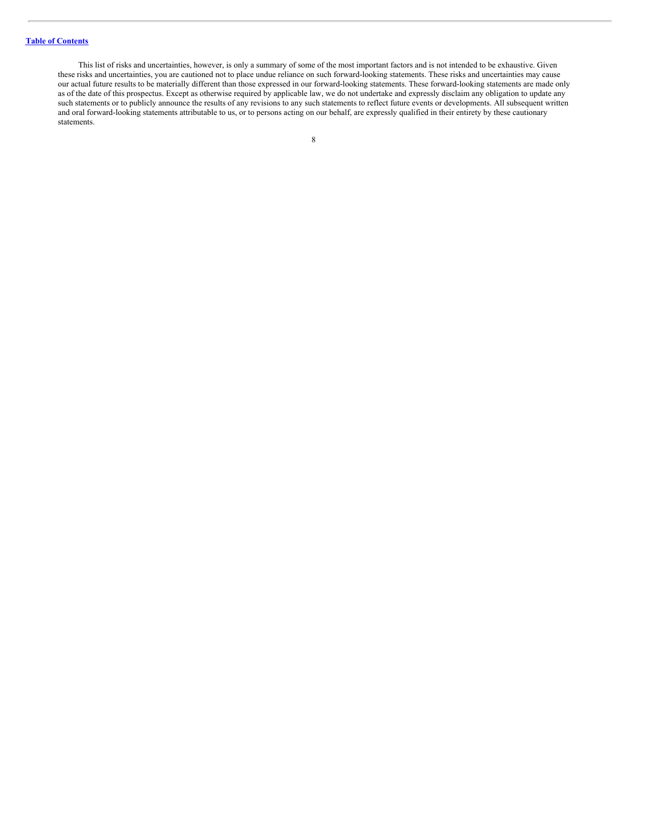This list of risks and uncertainties, however, is only a summary of some of the most important factors and is not intended to be exhaustive. Given these risks and uncertainties, you are cautioned not to place undue reliance on such forward-looking statements. These risks and uncertainties may cause our actual future results to be materially different than those expressed in our forward-looking statements. These forward-looking statements are made only as of the date of this prospectus. Except as otherwise required by applicable law, we do not undertake and expressly disclaim any obligation to update any such statements or to publicly announce the results of any revisions to any such statements to reflect future events or developments. All subsequent written and oral forward-looking statements attributable to us, or to persons acting on our behalf, are expressly qualified in their entirety by these cautionary statements.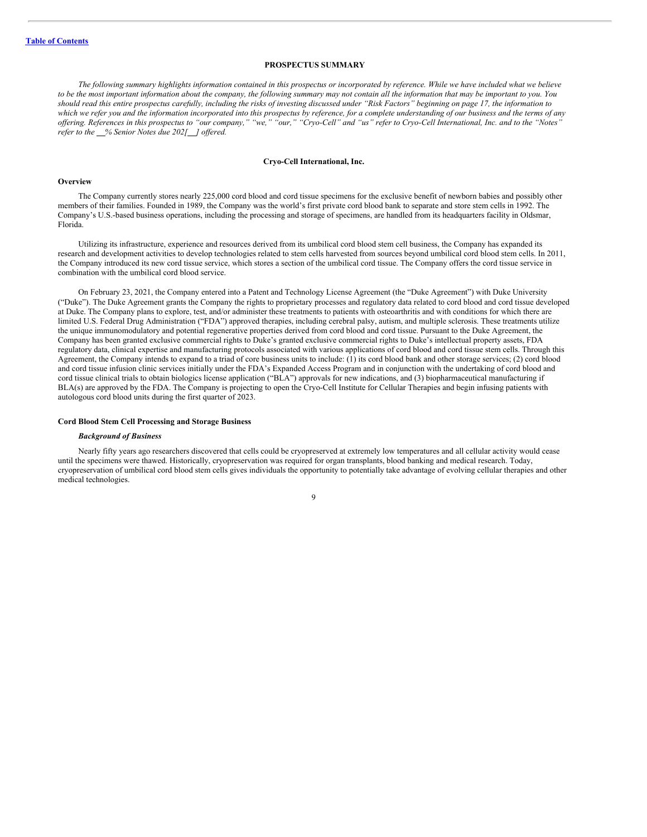## <span id="page-6-0"></span>**PROSPECTUS SUMMARY**

The following summary highlights information contained in this prospectus or incorporated by reference. While we have included what we believe to be the most important information about the company, the following summary may not contain all the information that may be important to you. You should read this entire prospectus carefully, including the risks of investing discussed under "Risk Factors" beginning on page 17, the information to which we refer you and the information incorporated into this prospectus by reference, for a complete understanding of our business and the terms of any offering. References in this prospectus to "our company," "we," "our," "Cryo-Cell" and "us" refer to Cryo-Cell International, Inc. and to the "Notes" *refer to the % Senior Notes due 202[ ] of ered.*

### **Cryo-Cell International, Inc.**

#### **Overview**

The Company currently stores nearly 225,000 cord blood and cord tissue specimens for the exclusive benefit of newborn babies and possibly other members of their families. Founded in 1989, the Company was the world's first private cord blood bank to separate and store stem cells in 1992. The Company's U.S.-based business operations, including the processing and storage of specimens, are handled from its headquarters facility in Oldsmar, Florida.

Utilizing its infrastructure, experience and resources derived from its umbilical cord blood stem cell business, the Company has expanded its research and development activities to develop technologies related to stem cells harvested from sources beyond umbilical cord blood stem cells. In 2011, the Company introduced its new cord tissue service, which stores a section of the umbilical cord tissue. The Company offers the cord tissue service in combination with the umbilical cord blood service.

On February 23, 2021, the Company entered into a Patent and Technology License Agreement (the "Duke Agreement") with Duke University ("Duke"). The Duke Agreement grants the Company the rights to proprietary processes and regulatory data related to cord blood and cord tissue developed at Duke. The Company plans to explore, test, and/or administer these treatments to patients with osteoarthritis and with conditions for which there are limited U.S. Federal Drug Administration ("FDA") approved therapies, including cerebral palsy, autism, and multiple sclerosis. These treatments utilize the unique immunomodulatory and potential regenerative properties derived from cord blood and cord tissue. Pursuant to the Duke Agreement, the Company has been granted exclusive commercial rights to Duke's granted exclusive commercial rights to Duke's intellectual property assets, FDA regulatory data, clinical expertise and manufacturing protocols associated with various applications of cord blood and cord tissue stem cells. Through this Agreement, the Company intends to expand to a triad of core business units to include: (1) its cord blood bank and other storage services; (2) cord blood and cord tissue infusion clinic services initially under the FDA's Expanded Access Program and in conjunction with the undertaking of cord blood and cord tissue clinical trials to obtain biologics license application ("BLA") approvals for new indications, and (3) biopharmaceutical manufacturing if BLA(s) are approved by the FDA. The Company is projecting to open the Cryo-Cell Institute for Cellular Therapies and begin infusing patients with autologous cord blood units during the first quarter of 2023.

## **Cord Blood Stem Cell Processing and Storage Business**

#### *Background of Business*

Nearly fifty years ago researchers discovered that cells could be cryopreserved at extremely low temperatures and all cellular activity would cease until the specimens were thawed. Historically, cryopreservation was required for organ transplants, blood banking and medical research. Today, cryopreservation of umbilical cord blood stem cells gives individuals the opportunity to potentially take advantage of evolving cellular therapies and other medical technologies.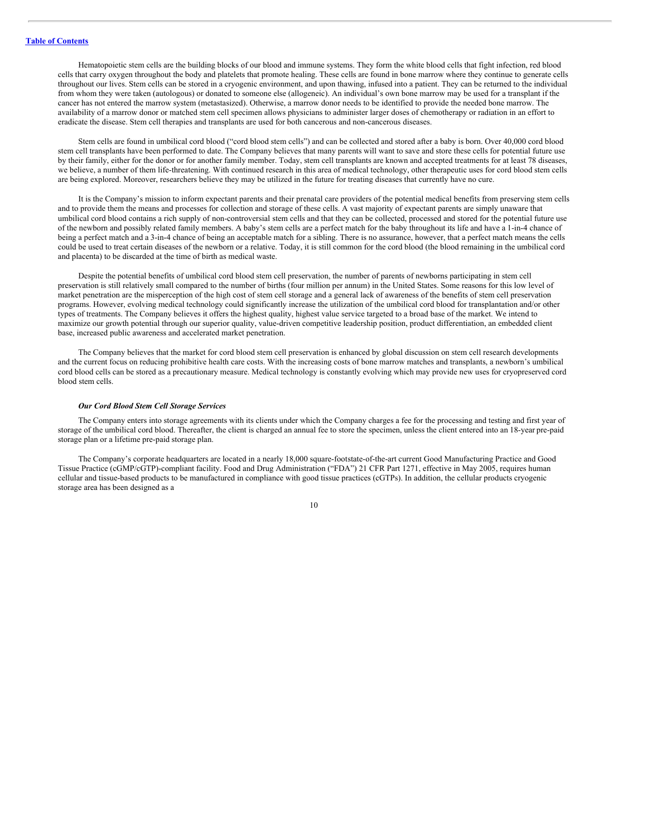Hematopoietic stem cells are the building blocks of our blood and immune systems. They form the white blood cells that fight infection, red blood cells that carry oxygen throughout the body and platelets that promote healing. These cells are found in bone marrow where they continue to generate cells throughout our lives. Stem cells can be stored in a cryogenic environment, and upon thawing, infused into a patient. They can be returned to the individual from whom they were taken (autologous) or donated to someone else (allogeneic). An individual's own bone marrow may be used for a transplant if the cancer has not entered the marrow system (metastasized). Otherwise, a marrow donor needs to be identified to provide the needed bone marrow. The availability of a marrow donor or matched stem cell specimen allows physicians to administer larger doses of chemotherapy or radiation in an effort to eradicate the disease. Stem cell therapies and transplants are used for both cancerous and non-cancerous diseases.

Stem cells are found in umbilical cord blood ("cord blood stem cells") and can be collected and stored after a baby is born. Over 40,000 cord blood stem cell transplants have been performed to date. The Company believes that many parents will want to save and store these cells for potential future use by their family, either for the donor or for another family member. Today, stem cell transplants are known and accepted treatments for at least 78 diseases, we believe, a number of them life-threatening. With continued research in this area of medical technology, other therapeutic uses for cord blood stem cells are being explored. Moreover, researchers believe they may be utilized in the future for treating diseases that currently have no cure.

It is the Company's mission to inform expectant parents and their prenatal care providers of the potential medical benefits from preserving stem cells and to provide them the means and processes for collection and storage of these cells. A vast majority of expectant parents are simply unaware that umbilical cord blood contains a rich supply of non-controversial stem cells and that they can be collected, processed and stored for the potential future use of the newborn and possibly related family members. A baby's stem cells are a perfect match for the baby throughout its life and have a 1-in-4 chance of being a perfect match and a 3-in-4 chance of being an acceptable match for a sibling. There is no assurance, however, that a perfect match means the cells could be used to treat certain diseases of the newborn or a relative. Today, it is still common for the cord blood (the blood remaining in the umbilical cord and placenta) to be discarded at the time of birth as medical waste.

Despite the potential benefits of umbilical cord blood stem cell preservation, the number of parents of newborns participating in stem cell preservation is still relatively small compared to the number of births (four million per annum) in the United States. Some reasons for this low level of market penetration are the misperception of the high cost of stem cell storage and a general lack of awareness of the benefits of stem cell preservation programs. However, evolving medical technology could significantly increase the utilization of the umbilical cord blood for transplantation and/or other types of treatments. The Company believes it offers the highest quality, highest value service targeted to a broad base of the market. We intend to maximize our growth potential through our superior quality, value-driven competitive leadership position, product differentiation, an embedded client base, increased public awareness and accelerated market penetration.

The Company believes that the market for cord blood stem cell preservation is enhanced by global discussion on stem cell research developments and the current focus on reducing prohibitive health care costs. With the increasing costs of bone marrow matches and transplants, a newborn's umbilical cord blood cells can be stored as a precautionary measure. Medical technology is constantly evolving which may provide new uses for cryopreserved cord blood stem cells.

#### *Our Cord Blood Stem Cell Storage Services*

The Company enters into storage agreements with its clients under which the Company charges a fee for the processing and testing and first year of storage of the umbilical cord blood. Thereafter, the client is charged an annual fee to store the specimen, unless the client entered into an 18-year pre-paid storage plan or a lifetime pre-paid storage plan.

The Company's corporate headquarters are located in a nearly 18,000 square-footstate-of-the-art current Good Manufacturing Practice and Good Tissue Practice (cGMP/cGTP)-compliant facility. Food and Drug Administration ("FDA") 21 CFR Part 1271, effective in May 2005, requires human cellular and tissue-based products to be manufactured in compliance with good tissue practices (cGTPs). In addition, the cellular products cryogenic storage area has been designed as a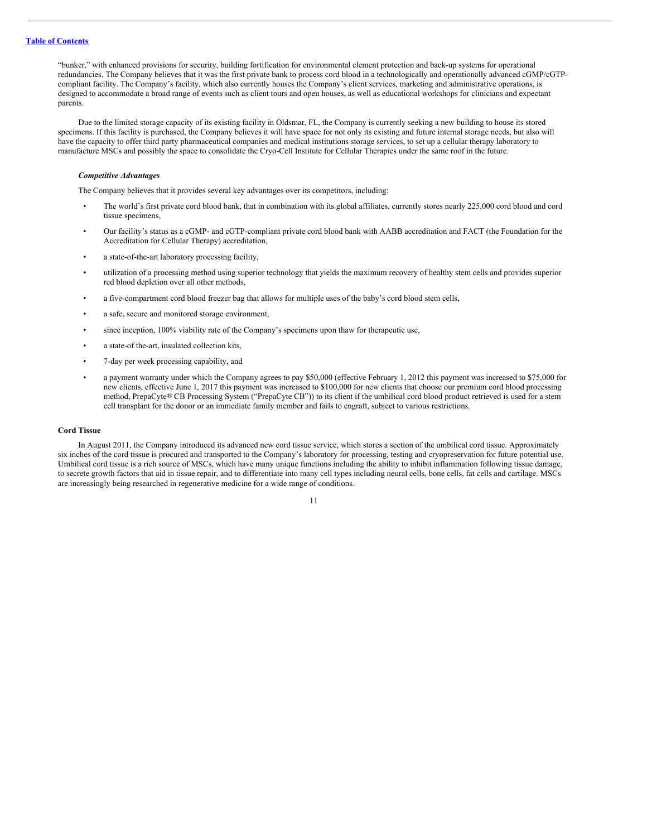## **Table of [Contents](#page-3-0)**

"bunker," with enhanced provisions for security, building fortification for environmental element protection and back-up systems for operational redundancies. The Company believes that it was the first private bank to process cord blood in a technologically and operationally advanced cGMP/cGTPcompliant facility. The Company's facility, which also currently houses the Company's client services, marketing and administrative operations, is designed to accommodate a broad range of events such as client tours and open houses, as well as educational workshops for clinicians and expectant parents.

Due to the limited storage capacity of its existing facility in Oldsmar, FL, the Company is currently seeking a new building to house its stored specimens. If this facility is purchased, the Company believes it will have space for not only its existing and future internal storage needs, but also will have the capacity to offer third party pharmaceutical companies and medical institutions storage services, to set up a cellular therapy laboratory to manufacture MSCs and possibly the space to consolidate the Cryo-Cell Institute for Cellular Therapies under the same roof in the future.

## *Competitive Advantages*

The Company believes that it provides several key advantages over its competitors, including:

- The world's first private cord blood bank, that in combination with its global affiliates, currently stores nearly 225,000 cord blood and cord tissue specimens,
- Our facility's status as a cGMP- and cGTP-compliant private cord blood bank with AABB accreditation and FACT (the Foundation for the Accreditation for Cellular Therapy) accreditation,
- a state-of-the-art laboratory processing facility,
- utilization of a processing method using superior technology that yields the maximum recovery of healthy stem cells and provides superior red blood depletion over all other methods,
- a five-compartment cord blood freezer bag that allows for multiple uses of the baby's cord blood stem cells,
- a safe, secure and monitored storage environment,
- since inception, 100% viability rate of the Company's specimens upon thaw for therapeutic use,
- a state-of the-art, insulated collection kits,
- 7-day per week processing capability, and
- a payment warranty under which the Company agrees to pay \$50,000 (effective February 1, 2012 this payment was increased to \$75,000 for new clients, effective June 1, 2017 this payment was increased to \$100,000 for new clients that choose our premium cord blood processing method, PrepaCyte® CB Processing System ("PrepaCyte CB")) to its client if the umbilical cord blood product retrieved is used for a stem cell transplant for the donor or an immediate family member and fails to engraft, subject to various restrictions.

## **Cord Tissue**

In August 2011, the Company introduced its advanced new cord tissue service, which stores a section of the umbilical cord tissue. Approximately six inches of the cord tissue is procured and transported to the Company's laboratory for processing, testing and cryopreservation for future potential use. Umbilical cord tissue is a rich source of MSCs, which have many unique functions including the ability to inhibit inflammation following tissue damage, to secrete growth factors that aid in tissue repair, and to differentiate into many cell types including neural cells, bone cells, fat cells and cartilage. MSCs are increasingly being researched in regenerative medicine for a wide range of conditions.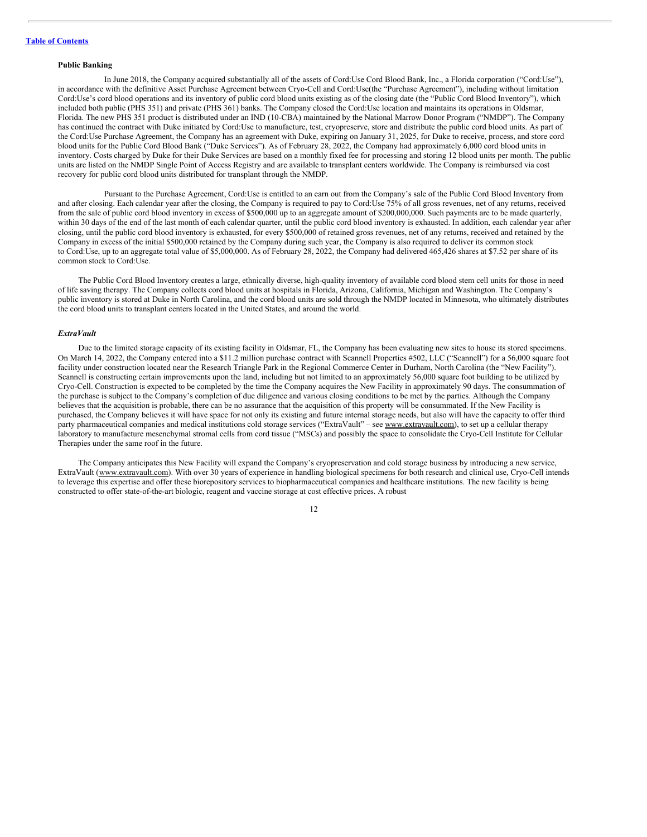## **Public Banking**

In June 2018, the Company acquired substantially all of the assets of Cord:Use Cord Blood Bank, Inc., a Florida corporation ("Cord:Use"), in accordance with the definitive Asset Purchase Agreement between Cryo-Cell and Cord:Use(the "Purchase Agreement"), including without limitation Cord:Use's cord blood operations and its inventory of public cord blood units existing as of the closing date (the "Public Cord Blood Inventory"), which included both public (PHS 351) and private (PHS 361) banks. The Company closed the Cord:Use location and maintains its operations in Oldsmar, Florida. The new PHS 351 product is distributed under an IND (10-CBA) maintained by the National Marrow Donor Program ("NMDP"). The Company has continued the contract with Duke initiated by Cord:Use to manufacture, test, cryopreserve, store and distribute the public cord blood units. As part of the Cord:Use Purchase Agreement, the Company has an agreement with Duke, expiring on January 31, 2025, for Duke to receive, process, and store cord blood units for the Public Cord Blood Bank ("Duke Services"). As of February 28, 2022, the Company had approximately 6,000 cord blood units in inventory. Costs charged by Duke for their Duke Services are based on a monthly fixed fee for processing and storing 12 blood units per month. The public units are listed on the NMDP Single Point of Access Registry and are available to transplant centers worldwide. The Company is reimbursed via cost recovery for public cord blood units distributed for transplant through the NMDP.

Pursuant to the Purchase Agreement, Cord:Use is entitled to an earn out from the Company's sale of the Public Cord Blood Inventory from and after closing. Each calendar year after the closing, the Company is required to pay to Cord:Use 75% of all gross revenues, net of any returns, received from the sale of public cord blood inventory in excess of \$500,000 up to an aggregate amount of \$200,000,000. Such payments are to be made quarterly, within 30 days of the end of the last month of each calendar quarter, until the public cord blood inventory is exhausted. In addition, each calendar year after closing, until the public cord blood inventory is exhausted, for every \$500,000 of retained gross revenues, net of any returns, received and retained by the Company in excess of the initial \$500,000 retained by the Company during such year, the Company is also required to deliver its common stock to Cord:Use, up to an aggregate total value of \$5,000,000. As of February 28, 2022, the Company had delivered 465,426 shares at \$7.52 per share of its common stock to Cord:Use.

The Public Cord Blood Inventory creates a large, ethnically diverse, high-quality inventory of available cord blood stem cell units for those in need of life saving therapy. The Company collects cord blood units at hospitals in Florida, Arizona, California, Michigan and Washington. The Company's public inventory is stored at Duke in North Carolina, and the cord blood units are sold through the NMDP located in Minnesota, who ultimately distributes the cord blood units to transplant centers located in the United States, and around the world.

#### *ExtraVault*

Due to the limited storage capacity of its existing facility in Oldsmar, FL, the Company has been evaluating new sites to house its stored specimens. On March 14, 2022, the Company entered into a \$11.2 million purchase contract with Scannell Properties #502, LLC ("Scannell") for a 56,000 square foot facility under construction located near the Research Triangle Park in the Regional Commerce Center in Durham, North Carolina (the "New Facility"). Scannell is constructing certain improvements upon the land, including but not limited to an approximately 56,000 square foot building to be utilized by Cryo-Cell. Construction is expected to be completed by the time the Company acquires the New Facility in approximately 90 days. The consummation of the purchase is subject to the Company's completion of due diligence and various closing conditions to be met by the parties. Although the Company believes that the acquisition is probable, there can be no assurance that the acquisition of this property will be consummated. If the New Facility is purchased, the Company believes it will have space for not only its existing and future internal storage needs, but also will have the capacity to offer third party pharmaceutical companies and medical institutions cold storage services ("ExtraVault" – see www.extravault.com), to set up a cellular therapy laboratory to manufacture mesenchymal stromal cells from cord tissue ("MSCs) and possibly the space to consolidate the Cryo-Cell Institute for Cellular Therapies under the same roof in the future.

The Company anticipates this New Facility will expand the Company's cryopreservation and cold storage business by introducing a new service, ExtraVault (www.extravault.com). With over 30 years of experience in handling biological specimens for both research and clinical use, Cryo-Cell intends to leverage this expertise and offer these biorepository services to biopharmaceutical companies and healthcare institutions. The new facility is being constructed to offer state-of-the-art biologic, reagent and vaccine storage at cost effective prices. A robust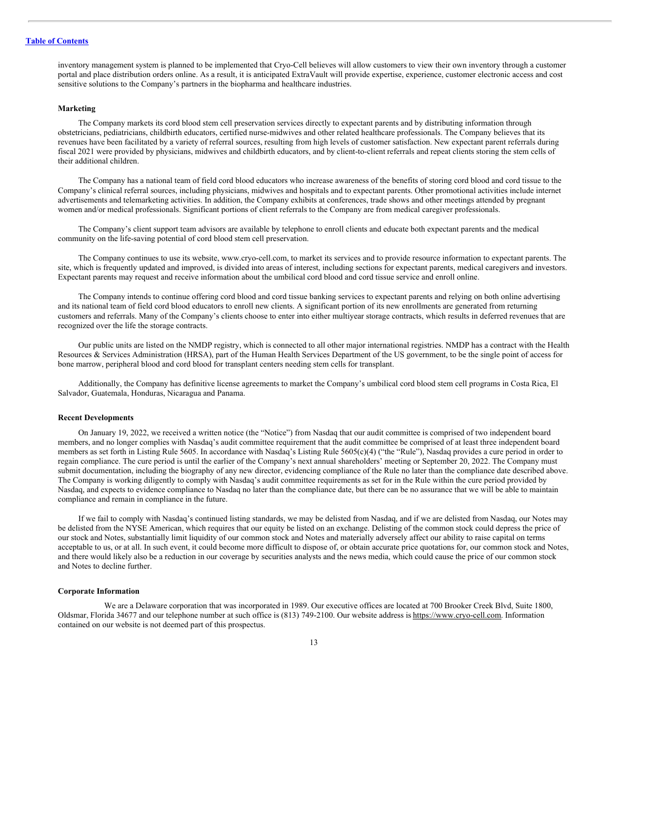## **Table of [Contents](#page-3-0)**

inventory management system is planned to be implemented that Cryo-Cell believes will allow customers to view their own inventory through a customer portal and place distribution orders online. As a result, it is anticipated ExtraVault will provide expertise, experience, customer electronic access and cost sensitive solutions to the Company's partners in the biopharma and healthcare industries.

#### **Marketing**

The Company markets its cord blood stem cell preservation services directly to expectant parents and by distributing information through obstetricians, pediatricians, childbirth educators, certified nurse-midwives and other related healthcare professionals. The Company believes that its revenues have been facilitated by a variety of referral sources, resulting from high levels of customer satisfaction. New expectant parent referrals during fiscal 2021 were provided by physicians, midwives and childbirth educators, and by client-to-client referrals and repeat clients storing the stem cells of their additional children.

The Company has a national team of field cord blood educators who increase awareness of the benefits of storing cord blood and cord tissue to the Company's clinical referral sources, including physicians, midwives and hospitals and to expectant parents. Other promotional activities include internet advertisements and telemarketing activities. In addition, the Company exhibits at conferences, trade shows and other meetings attended by pregnant women and/or medical professionals. Significant portions of client referrals to the Company are from medical caregiver professionals.

The Company's client support team advisors are available by telephone to enroll clients and educate both expectant parents and the medical community on the life-saving potential of cord blood stem cell preservation.

The Company continues to use its website, www.cryo-cell.com, to market its services and to provide resource information to expectant parents. The site, which is frequently updated and improved, is divided into areas of interest, including sections for expectant parents, medical caregivers and investors. Expectant parents may request and receive information about the umbilical cord blood and cord tissue service and enroll online.

The Company intends to continue offering cord blood and cord tissue banking services to expectant parents and relying on both online advertising and its national team of field cord blood educators to enroll new clients. A significant portion of its new enrollments are generated from returning customers and referrals. Many of the Company's clients choose to enter into either multiyear storage contracts, which results in deferred revenues that are recognized over the life the storage contracts.

Our public units are listed on the NMDP registry, which is connected to all other major international registries. NMDP has a contract with the Health Resources & Services Administration (HRSA), part of the Human Health Services Department of the US government, to be the single point of access for bone marrow, peripheral blood and cord blood for transplant centers needing stem cells for transplant.

Additionally, the Company has definitive license agreements to market the Company's umbilical cord blood stem cell programs in Costa Rica, El Salvador, Guatemala, Honduras, Nicaragua and Panama.

## **Recent Developments**

On January 19, 2022, we received a written notice (the "Notice") from Nasdaq that our audit committee is comprised of two independent board members, and no longer complies with Nasdaq's audit committee requirement that the audit committee be comprised of at least three independent board members as set forth in Listing Rule 5605. In accordance with Nasdaq's Listing Rule 5605(c)(4) ("the "Rule"), Nasdaq provides a cure period in order to regain compliance. The cure period is until the earlier of the Company's next annual shareholders' meeting or September 20, 2022. The Company must submit documentation, including the biography of any new director, evidencing compliance of the Rule no later than the compliance date described above. The Company is working diligently to comply with Nasdaq's audit committee requirements as set for in the Rule within the cure period provided by Nasdaq, and expects to evidence compliance to Nasdaq no later than the compliance date, but there can be no assurance that we will be able to maintain compliance and remain in compliance in the future.

If we fail to comply with Nasdaq's continued listing standards, we may be delisted from Nasdaq, and if we are delisted from Nasdaq, our Notes may be delisted from the NYSE American, which requires that our equity be listed on an exchange. Delisting of the common stock could depress the price of our stock and Notes, substantially limit liquidity of our common stock and Notes and materially adversely affect our ability to raise capital on terms acceptable to us, or at all. In such event, it could become more difficult to dispose of, or obtain accurate price quotations for, our common stock and Notes, and there would likely also be a reduction in our coverage by securities analysts and the news media, which could cause the price of our common stock and Notes to decline further.

## **Corporate Information**

We are a Delaware corporation that was incorporated in 1989. Our executive offices are located at 700 Brooker Creek Blvd, Suite 1800, Oldsmar, Florida 34677 and our telephone number at such office is (813) 749-2100. Our website address is https://www.cryo-cell.com. Information contained on our website is not deemed part of this prospectus.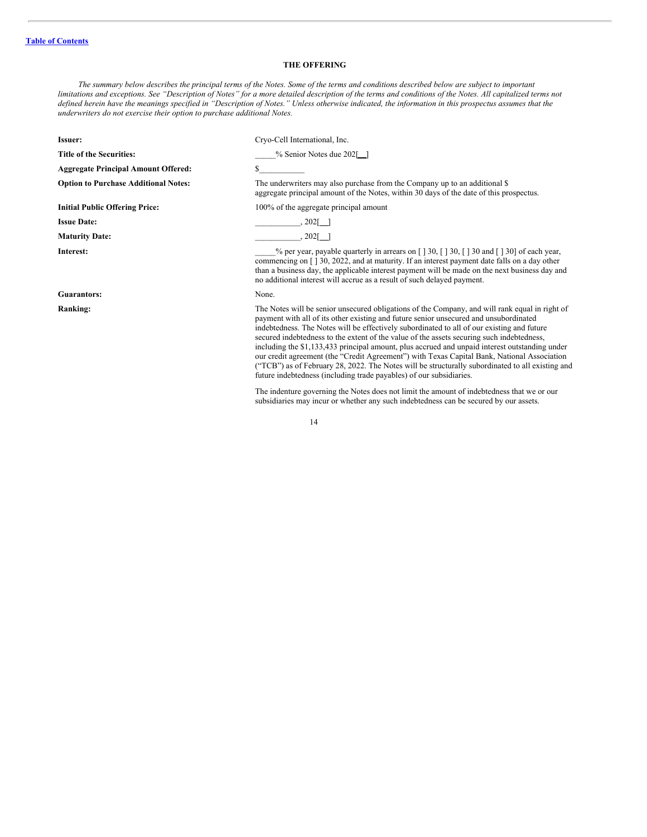## <span id="page-11-0"></span>**THE OFFERING**

The summary below describes the principal terms of the Notes. Some of the terms and conditions described below are subject to important limitations and exceptions. See "Description of Notes" for a more detailed description of the terms and conditions of the Notes. All capitalized terms not defined herein have the meanings specified in "Description of Notes." Unless otherwise indicated, the information in this prospectus assumes that the *underwriters do not exercise their option to purchase additional Notes.*

| <b>Issuer:</b>                              | Cryo-Cell International, Inc.                                                                                                                                                                                                                                                                                                                                                                                                                                                                                                                                                                                                                                                                                                                                 |
|---------------------------------------------|---------------------------------------------------------------------------------------------------------------------------------------------------------------------------------------------------------------------------------------------------------------------------------------------------------------------------------------------------------------------------------------------------------------------------------------------------------------------------------------------------------------------------------------------------------------------------------------------------------------------------------------------------------------------------------------------------------------------------------------------------------------|
| <b>Title of the Securities:</b>             | % Senior Notes due 202[1]                                                                                                                                                                                                                                                                                                                                                                                                                                                                                                                                                                                                                                                                                                                                     |
| <b>Aggregate Principal Amount Offered:</b>  | \$.                                                                                                                                                                                                                                                                                                                                                                                                                                                                                                                                                                                                                                                                                                                                                           |
| <b>Option to Purchase Additional Notes:</b> | The underwriters may also purchase from the Company up to an additional \$<br>aggregate principal amount of the Notes, within 30 days of the date of this prospectus.                                                                                                                                                                                                                                                                                                                                                                                                                                                                                                                                                                                         |
| <b>Initial Public Offering Price:</b>       | 100% of the aggregate principal amount                                                                                                                                                                                                                                                                                                                                                                                                                                                                                                                                                                                                                                                                                                                        |
| <b>Issue Date:</b>                          | $,202$ [ $\Box$ ]                                                                                                                                                                                                                                                                                                                                                                                                                                                                                                                                                                                                                                                                                                                                             |
| <b>Maturity Date:</b>                       | $, 202$ [ $\Box$ ]                                                                                                                                                                                                                                                                                                                                                                                                                                                                                                                                                                                                                                                                                                                                            |
| Interest:                                   | $\%$ per year, payable quarterly in arrears on [   30, [   30, [   30 and [   30] of each year,<br>commencing on [130, 2022, and at maturity. If an interest payment date falls on a day other<br>than a business day, the applicable interest payment will be made on the next business day and<br>no additional interest will accrue as a result of such delayed payment.                                                                                                                                                                                                                                                                                                                                                                                   |
| <b>Guarantors:</b>                          | None.                                                                                                                                                                                                                                                                                                                                                                                                                                                                                                                                                                                                                                                                                                                                                         |
| <b>Ranking:</b>                             | The Notes will be senior unsecured obligations of the Company, and will rank equal in right of<br>payment with all of its other existing and future senior unsecured and unsubordinated<br>indebtedness. The Notes will be effectively subordinated to all of our existing and future<br>secured indebtedness to the extent of the value of the assets securing such indebtedness,<br>including the \$1,133,433 principal amount, plus accrued and unpaid interest outstanding under<br>our credit agreement (the "Credit Agreement") with Texas Capital Bank, National Association<br>"TCB") as of February 28, 2022. The Notes will be structurally subordinated to all existing and<br>future indebtedness (including trade payables) of our subsidiaries. |

The indenture governing the Notes does not limit the amount of indebtedness that we or our subsidiaries may incur or whether any such indebtedness can be secured by our assets.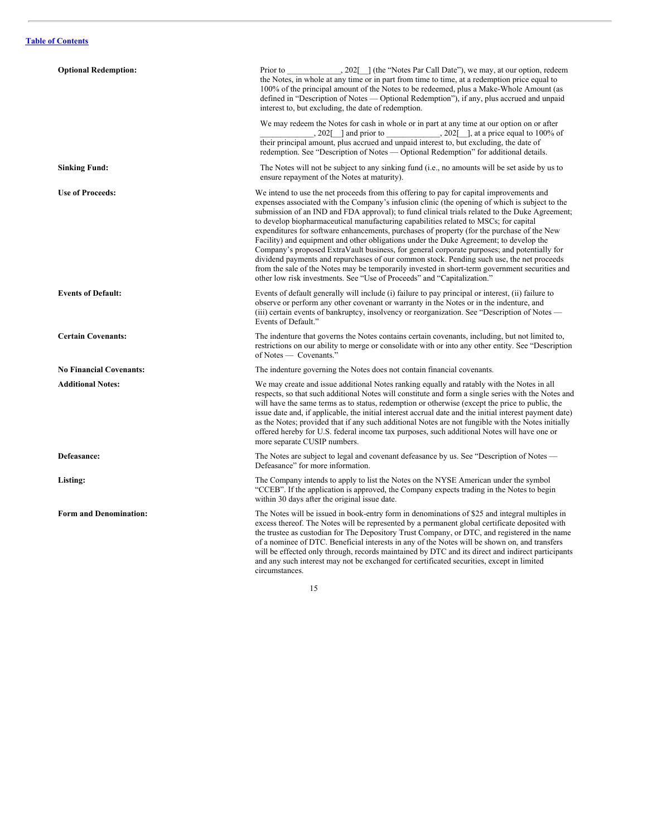| <b>Optional Redemption:</b>    | , 202[ ] (the "Notes Par Call Date"), we may, at our option, redeem<br>Prior to<br>the Notes, in whole at any time or in part from time to time, at a redemption price equal to<br>100% of the principal amount of the Notes to be redeemed, plus a Make-Whole Amount (as<br>defined in "Description of Notes — Optional Redemption"), if any, plus accrued and unpaid<br>interest to, but excluding, the date of redemption.                                                                                                                                                                                                                                                                                                                                                                                                                                                                                                                         |
|--------------------------------|-------------------------------------------------------------------------------------------------------------------------------------------------------------------------------------------------------------------------------------------------------------------------------------------------------------------------------------------------------------------------------------------------------------------------------------------------------------------------------------------------------------------------------------------------------------------------------------------------------------------------------------------------------------------------------------------------------------------------------------------------------------------------------------------------------------------------------------------------------------------------------------------------------------------------------------------------------|
|                                | We may redeem the Notes for cash in whole or in part at any time at our option on or after<br>their principal amount, plus accrued and unpaid interest to, but excluding, the date of<br>redemption. See "Description of Notes — Optional Redemption" for additional details.                                                                                                                                                                                                                                                                                                                                                                                                                                                                                                                                                                                                                                                                         |
| <b>Sinking Fund:</b>           | The Notes will not be subject to any sinking fund (i.e., no amounts will be set aside by us to<br>ensure repayment of the Notes at maturity).                                                                                                                                                                                                                                                                                                                                                                                                                                                                                                                                                                                                                                                                                                                                                                                                         |
| <b>Use of Proceeds:</b>        | We intend to use the net proceeds from this offering to pay for capital improvements and<br>expenses associated with the Company's infusion clinic (the opening of which is subject to the<br>submission of an IND and FDA approval); to fund clinical trials related to the Duke Agreement;<br>to develop biopharmaceutical manufacturing capabilities related to MSCs; for capital<br>expenditures for software enhancements, purchases of property (for the purchase of the New<br>Facility) and equipment and other obligations under the Duke Agreement; to develop the<br>Company's proposed ExtraVault business, for general corporate purposes; and potentially for<br>dividend payments and repurchases of our common stock. Pending such use, the net proceeds<br>from the sale of the Notes may be temporarily invested in short-term government securities and<br>other low risk investments. See "Use of Proceeds" and "Capitalization." |
| <b>Events of Default:</b>      | Events of default generally will include (i) failure to pay principal or interest, (ii) failure to<br>observe or perform any other covenant or warranty in the Notes or in the indenture, and<br>(iii) certain events of bankruptcy, insolvency or reorganization. See "Description of Notes —<br>Events of Default."                                                                                                                                                                                                                                                                                                                                                                                                                                                                                                                                                                                                                                 |
| <b>Certain Covenants:</b>      | The indenture that governs the Notes contains certain covenants, including, but not limited to,<br>restrictions on our ability to merge or consolidate with or into any other entity. See "Description"<br>of Notes — Covenants."                                                                                                                                                                                                                                                                                                                                                                                                                                                                                                                                                                                                                                                                                                                     |
| <b>No Financial Covenants:</b> | The indenture governing the Notes does not contain financial covenants.                                                                                                                                                                                                                                                                                                                                                                                                                                                                                                                                                                                                                                                                                                                                                                                                                                                                               |
| <b>Additional Notes:</b>       | We may create and issue additional Notes ranking equally and ratably with the Notes in all<br>respects, so that such additional Notes will constitute and form a single series with the Notes and<br>will have the same terms as to status, redemption or otherwise (except the price to public, the<br>issue date and, if applicable, the initial interest accrual date and the initial interest payment date)<br>as the Notes; provided that if any such additional Notes are not fungible with the Notes initially<br>offered hereby for U.S. federal income tax purposes, such additional Notes will have one or<br>more separate CUSIP numbers.                                                                                                                                                                                                                                                                                                  |
| Defeasance:                    | The Notes are subject to legal and covenant defeasance by us. See "Description of Notes —<br>Defeasance" for more information.                                                                                                                                                                                                                                                                                                                                                                                                                                                                                                                                                                                                                                                                                                                                                                                                                        |
| Listing:                       | The Company intends to apply to list the Notes on the NYSE American under the symbol<br>"CCEB". If the application is approved, the Company expects trading in the Notes to begin<br>within 30 days after the original issue date.                                                                                                                                                                                                                                                                                                                                                                                                                                                                                                                                                                                                                                                                                                                    |
| <b>Form and Denomination:</b>  | The Notes will be issued in book-entry form in denominations of \$25 and integral multiples in<br>excess thereof. The Notes will be represented by a permanent global certificate deposited with<br>the trustee as custodian for The Depository Trust Company, or DTC, and registered in the name<br>of a nominee of DTC. Beneficial interests in any of the Notes will be shown on, and transfers<br>will be effected only through, records maintained by DTC and its direct and indirect participants<br>and any such interest may not be exchanged for certificated securities, except in limited<br>circumstances.                                                                                                                                                                                                                                                                                                                                |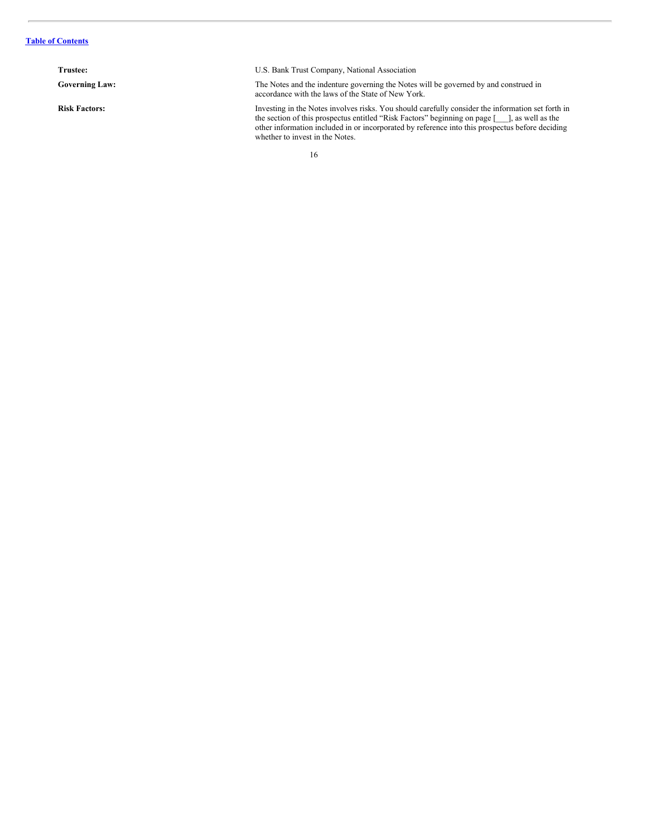## **Table of [Contents](#page-3-0)**

**Trustee:** U.S. Bank Trust Company, National Association

**Governing Law:** The Notes and the indenture governing the Notes will be governed by and construed in accordance with the laws of the State of New York.

**Risk Factors:** Investing in the Notes involves risks. You should carefully consider the information set forth in the section of this prospectus entitled "Risk Factors" beginning on page [\_\_\_], as well as the other information included in or incorporated by reference into this prospectus before deciding whether to invest in the Notes.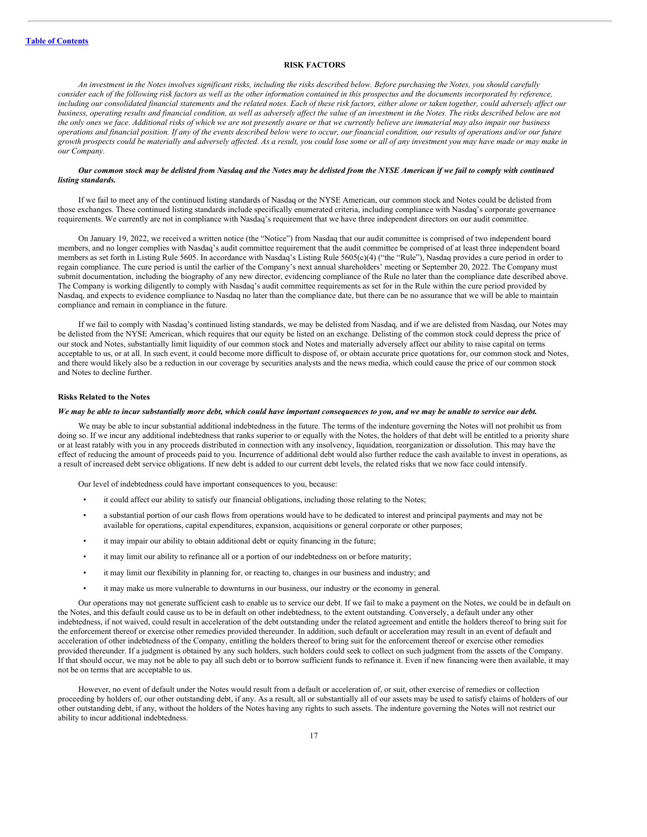## <span id="page-14-0"></span>**RISK FACTORS**

An investment in the Notes involves significant risks, including the risks described below. Before purchasing the Notes, you should carefully consider each of the following risk factors as well as the other information contained in this prospectus and the documents incorporated by reference, including our consolidated financial statements and the related notes. Each of these risk factors, either alone or taken together, could adversely affect our business, operating results and financial condition, as well as adversely affect the value of an investment in the Notes. The risks described below are not the only ones we face. Additional risks of which we are not presently aware or that we currently believe are immaterial may also impair our business operations and financial position. If any of the events described below were to occur, our financial condition, our results of operations and/or our future growth prospects could be materially and adversely affected. As a result, you could lose some or all of any investment you may have made or may make in *our Company.*

## Our common stock may be delisted from Nasdaq and the Notes may be delisted from the NYSE American if we fail to comply with continued *listing standards.*

If we fail to meet any of the continued listing standards of Nasdaq or the NYSE American, our common stock and Notes could be delisted from those exchanges. These continued listing standards include specifically enumerated criteria, including compliance with Nasdaq's corporate governance requirements. We currently are not in compliance with Nasdaq's requirement that we have three independent directors on our audit committee.

On January 19, 2022, we received a written notice (the "Notice") from Nasdaq that our audit committee is comprised of two independent board members, and no longer complies with Nasdaq's audit committee requirement that the audit committee be comprised of at least three independent board members as set forth in Listing Rule 5605. In accordance with Nasdaq's Listing Rule 5605(c)(4) ("the "Rule"), Nasdaq provides a cure period in order to regain compliance. The cure period is until the earlier of the Company's next annual shareholders' meeting or September 20, 2022. The Company must submit documentation, including the biography of any new director, evidencing compliance of the Rule no later than the compliance date described above. The Company is working diligently to comply with Nasdaq's audit committee requirements as set for in the Rule within the cure period provided by Nasdaq, and expects to evidence compliance to Nasdaq no later than the compliance date, but there can be no assurance that we will be able to maintain compliance and remain in compliance in the future.

If we fail to comply with Nasdaq's continued listing standards, we may be delisted from Nasdaq, and if we are delisted from Nasdaq, our Notes may be delisted from the NYSE American, which requires that our equity be listed on an exchange. Delisting of the common stock could depress the price of our stock and Notes, substantially limit liquidity of our common stock and Notes and materially adversely affect our ability to raise capital on terms acceptable to us, or at all. In such event, it could become more difficult to dispose of, or obtain accurate price quotations for, our common stock and Notes, and there would likely also be a reduction in our coverage by securities analysts and the news media, which could cause the price of our common stock and Notes to decline further.

### **Risks Related to the Notes**

#### We may be able to incur substantially more debt, which could have important consequences to you, and we may be unable to service our debt.

We may be able to incur substantial additional indebtedness in the future. The terms of the indenture governing the Notes will not prohibit us from doing so. If we incur any additional indebtedness that ranks superior to or equally with the Notes, the holders of that debt will be entitled to a priority share or at least ratably with you in any proceeds distributed in connection with any insolvency, liquidation, reorganization or dissolution. This may have the effect of reducing the amount of proceeds paid to you. Incurrence of additional debt would also further reduce the cash available to invest in operations, as a result of increased debt service obligations. If new debt is added to our current debt levels, the related risks that we now face could intensify.

Our level of indebtedness could have important consequences to you, because:

- it could affect our ability to satisfy our financial obligations, including those relating to the Notes;
- a substantial portion of our cash flows from operations would have to be dedicated to interest and principal payments and may not be available for operations, capital expenditures, expansion, acquisitions or general corporate or other purposes;
- it may impair our ability to obtain additional debt or equity financing in the future;
- it may limit our ability to refinance all or a portion of our indebtedness on or before maturity;
- it may limit our flexibility in planning for, or reacting to, changes in our business and industry; and
- it may make us more vulnerable to downturns in our business, our industry or the economy in general.

Our operations may not generate sufficient cash to enable us to service our debt. If we fail to make a payment on the Notes, we could be in default on the Notes, and this default could cause us to be in default on other indebtedness, to the extent outstanding. Conversely, a default under any other indebtedness, if not waived, could result in acceleration of the debt outstanding under the related agreement and entitle the holders thereof to bring suit for the enforcement thereof or exercise other remedies provided thereunder. In addition, such default or acceleration may result in an event of default and acceleration of other indebtedness of the Company, entitling the holders thereof to bring suit for the enforcement thereof or exercise other remedies provided thereunder. If a judgment is obtained by any such holders, such holders could seek to collect on such judgment from the assets of the Company. If that should occur, we may not be able to pay all such debt or to borrow sufficient funds to refinance it. Even if new financing were then available, it may not be on terms that are acceptable to us.

However, no event of default under the Notes would result from a default or acceleration of, or suit, other exercise of remedies or collection proceeding by holders of, our other outstanding debt, if any. As a result, all or substantially all of our assets may be used to satisfy claims of holders of our other outstanding debt, if any, without the holders of the Notes having any rights to such assets. The indenture governing the Notes will not restrict our ability to incur additional indebtedness.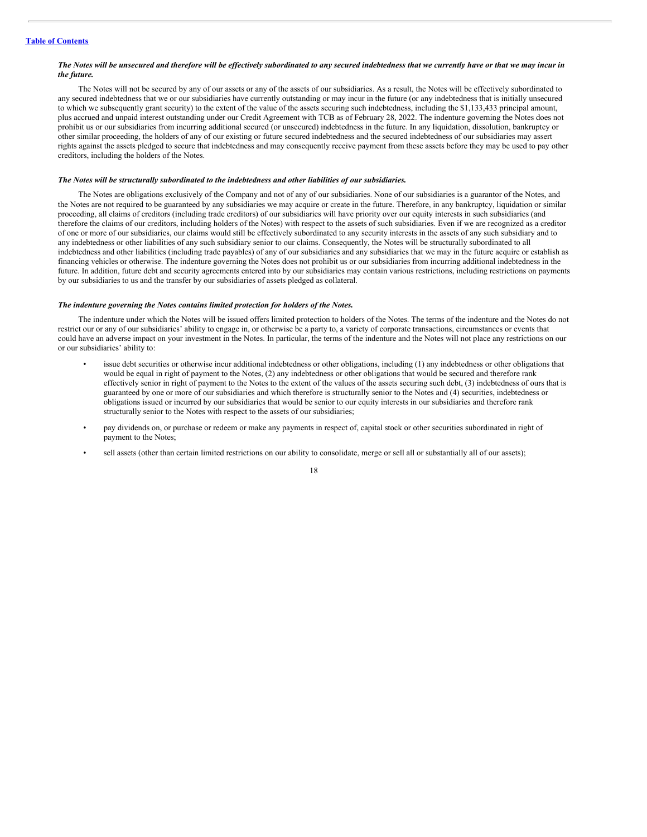## The Notes will be unsecured and therefore will be effectively subordinated to any secured indebtedness that we currently have or that we may incur in *the future.*

The Notes will not be secured by any of our assets or any of the assets of our subsidiaries. As a result, the Notes will be effectively subordinated to any secured indebtedness that we or our subsidiaries have currently outstanding or may incur in the future (or any indebtedness that is initially unsecured to which we subsequently grant security) to the extent of the value of the assets securing such indebtedness, including the \$1,133,433 principal amount, plus accrued and unpaid interest outstanding under our Credit Agreement with TCB as of February 28, 2022. The indenture governing the Notes does not prohibit us or our subsidiaries from incurring additional secured (or unsecured) indebtedness in the future. In any liquidation, dissolution, bankruptcy or other similar proceeding, the holders of any of our existing or future secured indebtedness and the secured indebtedness of our subsidiaries may assert rights against the assets pledged to secure that indebtedness and may consequently receive payment from these assets before they may be used to pay other creditors, including the holders of the Notes.

#### *The Notes will be structurally subordinated to the indebtedness and other liabilities of our subsidiaries.*

The Notes are obligations exclusively of the Company and not of any of our subsidiaries. None of our subsidiaries is a guarantor of the Notes, and the Notes are not required to be guaranteed by any subsidiaries we may acquire or create in the future. Therefore, in any bankruptcy, liquidation or similar proceeding, all claims of creditors (including trade creditors) of our subsidiaries will have priority over our equity interests in such subsidiaries (and therefore the claims of our creditors, including holders of the Notes) with respect to the assets of such subsidiaries. Even if we are recognized as a creditor of one or more of our subsidiaries, our claims would still be effectively subordinated to any security interests in the assets of any such subsidiary and to any indebtedness or other liabilities of any such subsidiary senior to our claims. Consequently, the Notes will be structurally subordinated to all indebtedness and other liabilities (including trade payables) of any of our subsidiaries and any subsidiaries that we may in the future acquire or establish as financing vehicles or otherwise. The indenture governing the Notes does not prohibit us or our subsidiaries from incurring additional indebtedness in the future. In addition, future debt and security agreements entered into by our subsidiaries may contain various restrictions, including restrictions on payments by our subsidiaries to us and the transfer by our subsidiaries of assets pledged as collateral.

#### *The indenture governing the Notes contains limited protection for holders of the Notes.*

The indenture under which the Notes will be issued offers limited protection to holders of the Notes. The terms of the indenture and the Notes do not restrict our or any of our subsidiaries' ability to engage in, or otherwise be a party to, a variety of corporate transactions, circumstances or events that could have an adverse impact on your investment in the Notes. In particular, the terms of the indenture and the Notes will not place any restrictions on our or our subsidiaries' ability to:

- issue debt securities or otherwise incur additional indebtedness or other obligations, including (1) any indebtedness or other obligations that would be equal in right of payment to the Notes, (2) any indebtedness or other obligations that would be secured and therefore rank effectively senior in right of payment to the Notes to the extent of the values of the assets securing such debt, (3) indebtedness of ours that is guaranteed by one or more of our subsidiaries and which therefore is structurally senior to the Notes and (4) securities, indebtedness or obligations issued or incurred by our subsidiaries that would be senior to our equity interests in our subsidiaries and therefore rank structurally senior to the Notes with respect to the assets of our subsidiaries;
- pay dividends on, or purchase or redeem or make any payments in respect of, capital stock or other securities subordinated in right of payment to the Notes;
- sell assets (other than certain limited restrictions on our ability to consolidate, merge or sell all or substantially all of our assets);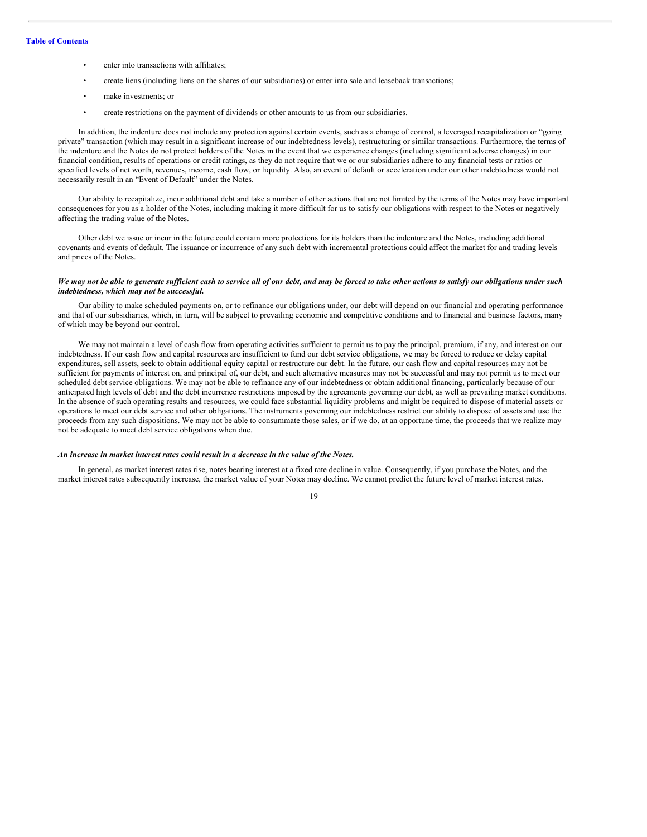- enter into transactions with affiliates;
- create liens (including liens on the shares of our subsidiaries) or enter into sale and leaseback transactions;
- make investments; or
- create restrictions on the payment of dividends or other amounts to us from our subsidiaries.

In addition, the indenture does not include any protection against certain events, such as a change of control, a leveraged recapitalization or "going private" transaction (which may result in a significant increase of our indebtedness levels), restructuring or similar transactions. Furthermore, the terms of the indenture and the Notes do not protect holders of the Notes in the event that we experience changes (including significant adverse changes) in our financial condition, results of operations or credit ratings, as they do not require that we or our subsidiaries adhere to any financial tests or ratios or specified levels of net worth, revenues, income, cash flow, or liquidity. Also, an event of default or acceleration under our other indebtedness would not necessarily result in an "Event of Default" under the Notes.

Our ability to recapitalize, incur additional debt and take a number of other actions that are not limited by the terms of the Notes may have important consequences for you as a holder of the Notes, including making it more difficult for us to satisfy our obligations with respect to the Notes or negatively affecting the trading value of the Notes.

Other debt we issue or incur in the future could contain more protections for its holders than the indenture and the Notes, including additional covenants and events of default. The issuance or incurrence of any such debt with incremental protections could affect the market for and trading levels and prices of the Notes.

#### We may not be able to generate sufficient cash to service all of our debt, and may be forced to take other actions to satisfy our obligations under such *indebtedness, which may not be successful.*

Our ability to make scheduled payments on, or to refinance our obligations under, our debt will depend on our financial and operating performance and that of our subsidiaries, which, in turn, will be subject to prevailing economic and competitive conditions and to financial and business factors, many of which may be beyond our control.

We may not maintain a level of cash flow from operating activities sufficient to permit us to pay the principal, premium, if any, and interest on our indebtedness. If our cash flow and capital resources are insufficient to fund our debt service obligations, we may be forced to reduce or delay capital expenditures, sell assets, seek to obtain additional equity capital or restructure our debt. In the future, our cash flow and capital resources may not be sufficient for payments of interest on, and principal of, our debt, and such alternative measures may not be successful and may not permit us to meet our scheduled debt service obligations. We may not be able to refinance any of our indebtedness or obtain additional financing, particularly because of our anticipated high levels of debt and the debt incurrence restrictions imposed by the agreements governing our debt, as well as prevailing market conditions. In the absence of such operating results and resources, we could face substantial liquidity problems and might be required to dispose of material assets or operations to meet our debt service and other obligations. The instruments governing our indebtedness restrict our ability to dispose of assets and use the proceeds from any such dispositions. We may not be able to consummate those sales, or if we do, at an opportune time, the proceeds that we realize may not be adequate to meet debt service obligations when due.

## *An increase in market interest rates could result in a decrease in the value of the Notes.*

In general, as market interest rates rise, notes bearing interest at a fixed rate decline in value. Consequently, if you purchase the Notes, and the market interest rates subsequently increase, the market value of your Notes may decline. We cannot predict the future level of market interest rates.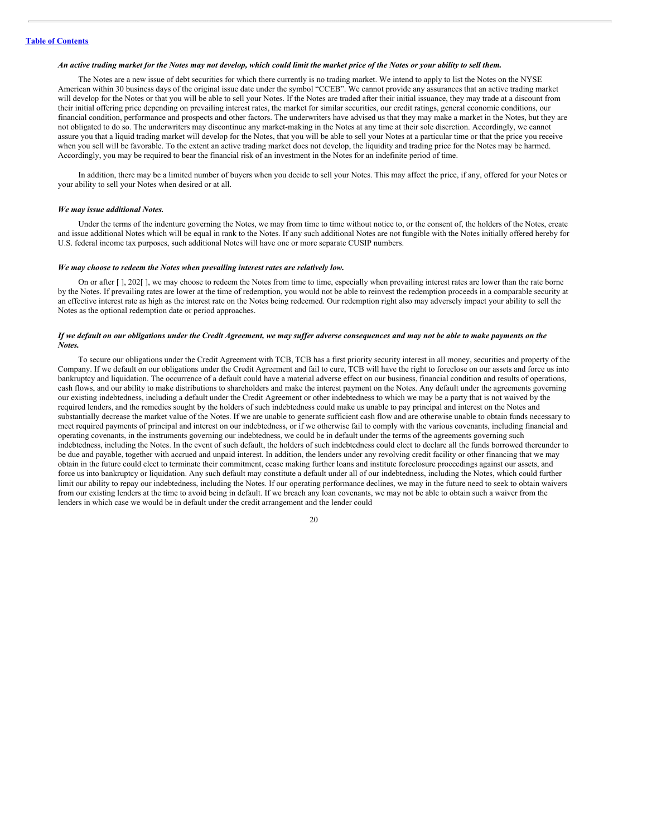### An active trading market for the Notes may not develop, which could limit the market price of the Notes or your ability to sell them.

The Notes are a new issue of debt securities for which there currently is no trading market. We intend to apply to list the Notes on the NYSE American within 30 business days of the original issue date under the symbol "CCEB". We cannot provide any assurances that an active trading market will develop for the Notes or that you will be able to sell your Notes. If the Notes are traded after their initial issuance, they may trade at a discount from their initial offering price depending on prevailing interest rates, the market for similar securities, our credit ratings, general economic conditions, our financial condition, performance and prospects and other factors. The underwriters have advised us that they may make a market in the Notes, but they are not obligated to do so. The underwriters may discontinue any market-making in the Notes at any time at their sole discretion. Accordingly, we cannot assure you that a liquid trading market will develop for the Notes, that you will be able to sell your Notes at a particular time or that the price you receive when you sell will be favorable. To the extent an active trading market does not develop, the liquidity and trading price for the Notes may be harmed. Accordingly, you may be required to bear the financial risk of an investment in the Notes for an indefinite period of time.

In addition, there may be a limited number of buyers when you decide to sell your Notes. This may affect the price, if any, offered for your Notes or your ability to sell your Notes when desired or at all.

#### *We may issue additional Notes.*

Under the terms of the indenture governing the Notes, we may from time to time without notice to, or the consent of, the holders of the Notes, create and issue additional Notes which will be equal in rank to the Notes. If any such additional Notes are not fungible with the Notes initially offered hereby for U.S. federal income tax purposes, such additional Notes will have one or more separate CUSIP numbers.

## *We may choose to redeem the Notes when prevailing interest rates are relatively low.*

On or after  $\lceil$  1, 202 $\lceil$  1, we may choose to redeem the Notes from time to time, especially when prevailing interest rates are lower than the rate borne by the Notes. If prevailing rates are lower at the time of redemption, you would not be able to reinvest the redemption proceeds in a comparable security at an effective interest rate as high as the interest rate on the Notes being redeemed. Our redemption right also may adversely impact your ability to sell the Notes as the optional redemption date or period approaches.

## If we default on our obligations under the Credit Agreement, we may suffer adverse consequences and may not be able to make payments on the *Notes.*

To secure our obligations under the Credit Agreement with TCB, TCB has a first priority security interest in all money, securities and property of the Company. If we default on our obligations under the Credit Agreement and fail to cure, TCB will have the right to foreclose on our assets and force us into bankruptcy and liquidation. The occurrence of a default could have a material adverse effect on our business, financial condition and results of operations, cash flows, and our ability to make distributions to shareholders and make the interest payment on the Notes. Any default under the agreements governing our existing indebtedness, including a default under the Credit Agreement or other indebtedness to which we may be a party that is not waived by the required lenders, and the remedies sought by the holders of such indebtedness could make us unable to pay principal and interest on the Notes and substantially decrease the market value of the Notes. If we are unable to generate sufficient cash flow and are otherwise unable to obtain funds necessary to meet required payments of principal and interest on our indebtedness, or if we otherwise fail to comply with the various covenants, including financial and operating covenants, in the instruments governing our indebtedness, we could be in default under the terms of the agreements governing such indebtedness, including the Notes. In the event of such default, the holders of such indebtedness could elect to declare all the funds borrowed thereunder to be due and payable, together with accrued and unpaid interest. In addition, the lenders under any revolving credit facility or other financing that we may obtain in the future could elect to terminate their commitment, cease making further loans and institute foreclosure proceedings against our assets, and force us into bankruptcy or liquidation. Any such default may constitute a default under all of our indebtedness, including the Notes, which could further limit our ability to repay our indebtedness, including the Notes. If our operating performance declines, we may in the future need to seek to obtain waivers from our existing lenders at the time to avoid being in default. If we breach any loan covenants, we may not be able to obtain such a waiver from the lenders in which case we would be in default under the credit arrangement and the lender could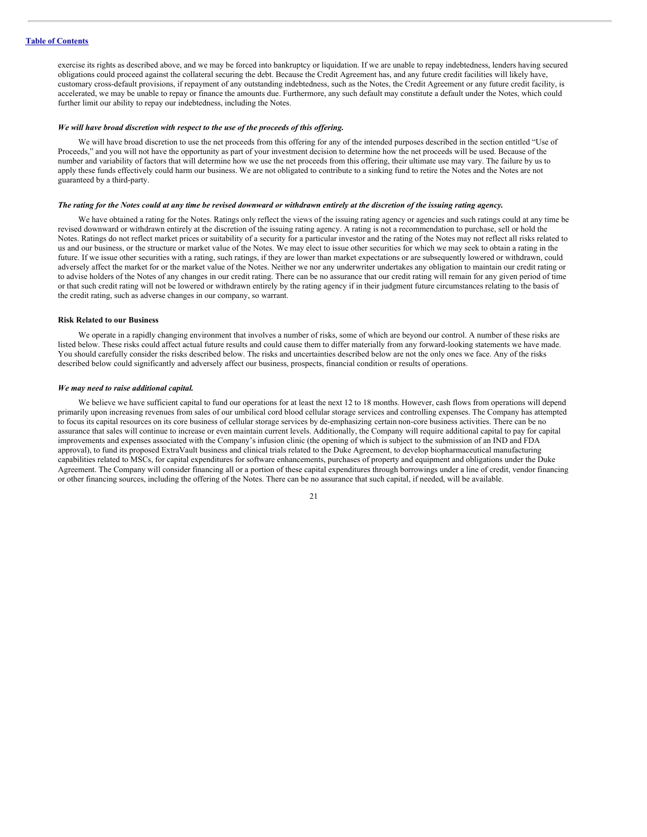exercise its rights as described above, and we may be forced into bankruptcy or liquidation. If we are unable to repay indebtedness, lenders having secured obligations could proceed against the collateral securing the debt. Because the Credit Agreement has, and any future credit facilities will likely have, customary cross-default provisions, if repayment of any outstanding indebtedness, such as the Notes, the Credit Agreement or any future credit facility, is accelerated, we may be unable to repay or finance the amounts due. Furthermore, any such default may constitute a default under the Notes, which could further limit our ability to repay our indebtedness, including the Notes.

#### *We will have broad discretion with respect to the use of the proceeds of this of ering.*

We will have broad discretion to use the net proceeds from this offering for any of the intended purposes described in the section entitled "Use of Proceeds," and you will not have the opportunity as part of your investment decision to determine how the net proceeds will be used. Because of the number and variability of factors that will determine how we use the net proceeds from this offering, their ultimate use may vary. The failure by us to apply these funds effectively could harm our business. We are not obligated to contribute to a sinking fund to retire the Notes and the Notes are not guaranteed by a third-party.

#### The rating for the Notes could at any time be revised downward or withdrawn entirely at the discretion of the issuing rating agency.

We have obtained a rating for the Notes. Ratings only reflect the views of the issuing rating agency or agencies and such ratings could at any time be revised downward or withdrawn entirely at the discretion of the issuing rating agency. A rating is not a recommendation to purchase, sell or hold the Notes. Ratings do not reflect market prices or suitability of a security for a particular investor and the rating of the Notes may not reflect all risks related to us and our business, or the structure or market value of the Notes. We may elect to issue other securities for which we may seek to obtain a rating in the future. If we issue other securities with a rating, such ratings, if they are lower than market expectations or are subsequently lowered or withdrawn, could adversely affect the market for or the market value of the Notes. Neither we nor any underwriter undertakes any obligation to maintain our credit rating or to advise holders of the Notes of any changes in our credit rating. There can be no assurance that our credit rating will remain for any given period of time or that such credit rating will not be lowered or withdrawn entirely by the rating agency if in their judgment future circumstances relating to the basis of the credit rating, such as adverse changes in our company, so warrant.

## **Risk Related to our Business**

We operate in a rapidly changing environment that involves a number of risks, some of which are beyond our control. A number of these risks are listed below. These risks could affect actual future results and could cause them to differ materially from any forward-looking statements we have made. You should carefully consider the risks described below. The risks and uncertainties described below are not the only ones we face. Any of the risks described below could significantly and adversely affect our business, prospects, financial condition or results of operations.

#### *We may need to raise additional capital.*

We believe we have sufficient capital to fund our operations for at least the next 12 to 18 months. However, cash flows from operations will depend primarily upon increasing revenues from sales of our umbilical cord blood cellular storage services and controlling expenses. The Company has attempted to focus its capital resources on its core business of cellular storage services by de-emphasizing certain non-core business activities. There can be no assurance that sales will continue to increase or even maintain current levels. Additionally, the Company will require additional capital to pay for capital improvements and expenses associated with the Company's infusion clinic (the opening of which is subject to the submission of an IND and FDA approval), to fund its proposed ExtraVault business and clinical trials related to the Duke Agreement, to develop biopharmaceutical manufacturing capabilities related to MSCs, for capital expenditures for software enhancements, purchases of property and equipment and obligations under the Duke Agreement. The Company will consider financing all or a portion of these capital expenditures through borrowings under a line of credit, vendor financing or other financing sources, including the offering of the Notes. There can be no assurance that such capital, if needed, will be available.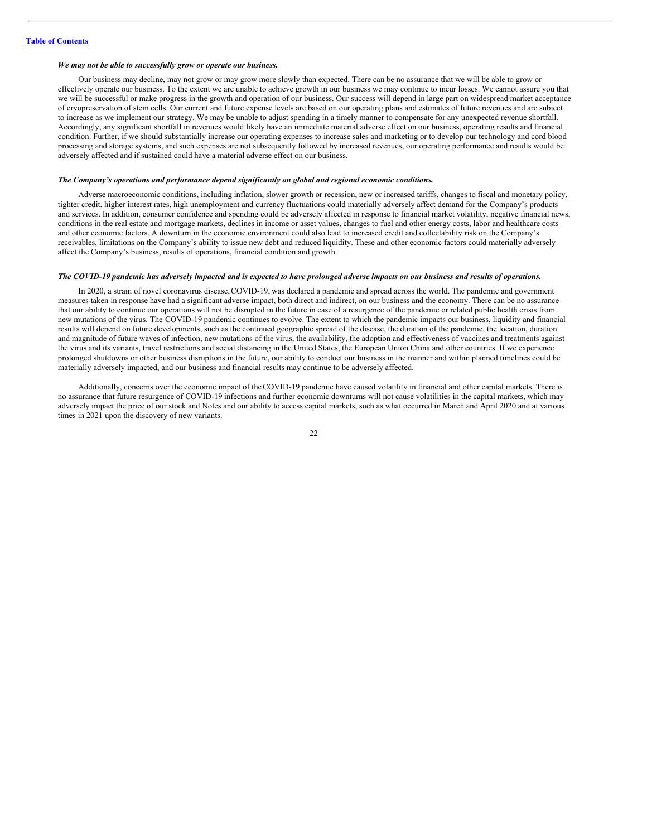## *We may not be able to successfully grow or operate our business.*

Our business may decline, may not grow or may grow more slowly than expected. There can be no assurance that we will be able to grow or effectively operate our business. To the extent we are unable to achieve growth in our business we may continue to incur losses. We cannot assure you that we will be successful or make progress in the growth and operation of our business. Our success will depend in large part on widespread market acceptance of cryopreservation of stem cells. Our current and future expense levels are based on our operating plans and estimates of future revenues and are subject to increase as we implement our strategy. We may be unable to adjust spending in a timely manner to compensate for any unexpected revenue shortfall. Accordingly, any significant shortfall in revenues would likely have an immediate material adverse effect on our business, operating results and financial condition. Further, if we should substantially increase our operating expenses to increase sales and marketing or to develop our technology and cord blood processing and storage systems, and such expenses are not subsequently followed by increased revenues, our operating performance and results would be adversely affected and if sustained could have a material adverse effect on our business.

#### *The Company's operations and performance depend significantly on global and regional economic conditions.*

Adverse macroeconomic conditions, including inflation, slower growth or recession, new or increased tariffs, changes to fiscal and monetary policy, tighter credit, higher interest rates, high unemployment and currency fluctuations could materially adversely affect demand for the Company's products and services. In addition, consumer confidence and spending could be adversely affected in response to financial market volatility, negative financial news, conditions in the real estate and mortgage markets, declines in income or asset values, changes to fuel and other energy costs, labor and healthcare costs and other economic factors. A downturn in the economic environment could also lead to increased credit and collectability risk on the Company's receivables, limitations on the Company's ability to issue new debt and reduced liquidity. These and other economic factors could materially adversely affect the Company's business, results of operations, financial condition and growth.

#### The COVID-19 pandemic has adversely impacted and is expected to have prolonged adverse impacts on our business and results of operations.

In 2020, a strain of novel coronavirus disease,COVID-19, was declared a pandemic and spread across the world. The pandemic and government measures taken in response have had a significant adverse impact, both direct and indirect, on our business and the economy. There can be no assurance that our ability to continue our operations will not be disrupted in the future in case of a resurgence of the pandemic or related public health crisis from new mutations of the virus. The COVID-19 pandemic continues to evolve. The extent to which the pandemic impacts our business, liquidity and financial results will depend on future developments, such as the continued geographic spread of the disease, the duration of the pandemic, the location, duration and magnitude of future waves of infection, new mutations of the virus, the availability, the adoption and effectiveness of vaccines and treatments against the virus and its variants, travel restrictions and social distancing in the United States, the European Union China and other countries. If we experience prolonged shutdowns or other business disruptions in the future, our ability to conduct our business in the manner and within planned timelines could be materially adversely impacted, and our business and financial results may continue to be adversely affected.

Additionally, concerns over the economic impact of theCOVID-19 pandemic have caused volatility in financial and other capital markets. There is no assurance that future resurgence of COVID-19 infections and further economic downturns will not cause volatilities in the capital markets, which may adversely impact the price of our stock and Notes and our ability to access capital markets, such as what occurred in March and April 2020 and at various times in 2021 upon the discovery of new variants.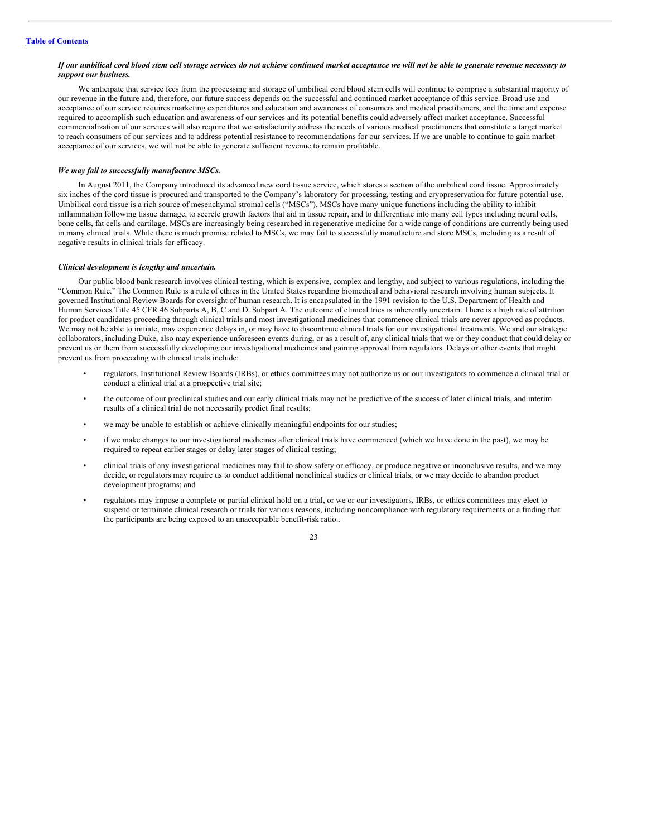## If our umbilical cord blood stem cell storage services do not achieve continued market acceptance we will not be able to generate revenue necessary to *support our business.*

We anticipate that service fees from the processing and storage of umbilical cord blood stem cells will continue to comprise a substantial majority of our revenue in the future and, therefore, our future success depends on the successful and continued market acceptance of this service. Broad use and acceptance of our service requires marketing expenditures and education and awareness of consumers and medical practitioners, and the time and expense required to accomplish such education and awareness of our services and its potential benefits could adversely affect market acceptance. Successful commercialization of our services will also require that we satisfactorily address the needs of various medical practitioners that constitute a target market to reach consumers of our services and to address potential resistance to recommendations for our services. If we are unable to continue to gain market acceptance of our services, we will not be able to generate sufficient revenue to remain profitable.

## *We may fail to successfully manufacture MSCs.*

In August 2011, the Company introduced its advanced new cord tissue service, which stores a section of the umbilical cord tissue. Approximately six inches of the cord tissue is procured and transported to the Company's laboratory for processing, testing and cryopreservation for future potential use. Umbilical cord tissue is a rich source of mesenchymal stromal cells ("MSCs"). MSCs have many unique functions including the ability to inhibit inflammation following tissue damage, to secrete growth factors that aid in tissue repair, and to differentiate into many cell types including neural cells, bone cells, fat cells and cartilage. MSCs are increasingly being researched in regenerative medicine for a wide range of conditions are currently being used in many clinical trials. While there is much promise related to MSCs, we may fail to successfully manufacture and store MSCs, including as a result of negative results in clinical trials for efficacy.

#### *Clinical development is lengthy and uncertain.*

Our public blood bank research involves clinical testing, which is expensive, complex and lengthy, and subject to various regulations, including the "Common Rule." The Common Rule is a rule of ethics in the United States regarding biomedical and behavioral research involving human subjects. It governed Institutional Review Boards for oversight of human research. It is encapsulated in the 1991 revision to the U.S. Department of Health and Human Services Title 45 CFR 46 Subparts A, B, C and D. Subpart A. The outcome of clinical tries is inherently uncertain. There is a high rate of attrition for product candidates proceeding through clinical trials and most investigational medicines that commence clinical trials are never approved as products. We may not be able to initiate, may experience delays in, or may have to discontinue clinical trials for our investigational treatments. We and our strategic collaborators, including Duke, also may experience unforeseen events during, or as a result of, any clinical trials that we or they conduct that could delay or prevent us or them from successfully developing our investigational medicines and gaining approval from regulators. Delays or other events that might prevent us from proceeding with clinical trials include:

- regulators, Institutional Review Boards (IRBs), or ethics committees may not authorize us or our investigators to commence a clinical trial or conduct a clinical trial at a prospective trial site;
- the outcome of our preclinical studies and our early clinical trials may not be predictive of the success of later clinical trials, and interim results of a clinical trial do not necessarily predict final results;
- we may be unable to establish or achieve clinically meaningful endpoints for our studies;
- if we make changes to our investigational medicines after clinical trials have commenced (which we have done in the past), we may be required to repeat earlier stages or delay later stages of clinical testing;
- clinical trials of any investigational medicines may fail to show safety or efficacy, or produce negative or inconclusive results, and we may decide, or regulators may require us to conduct additional nonclinical studies or clinical trials, or we may decide to abandon product development programs; and
- regulators may impose a complete or partial clinical hold on a trial, or we or our investigators, IRBs, or ethics committees may elect to suspend or terminate clinical research or trials for various reasons, including noncompliance with regulatory requirements or a finding that the participants are being exposed to an unacceptable benefit-risk ratio..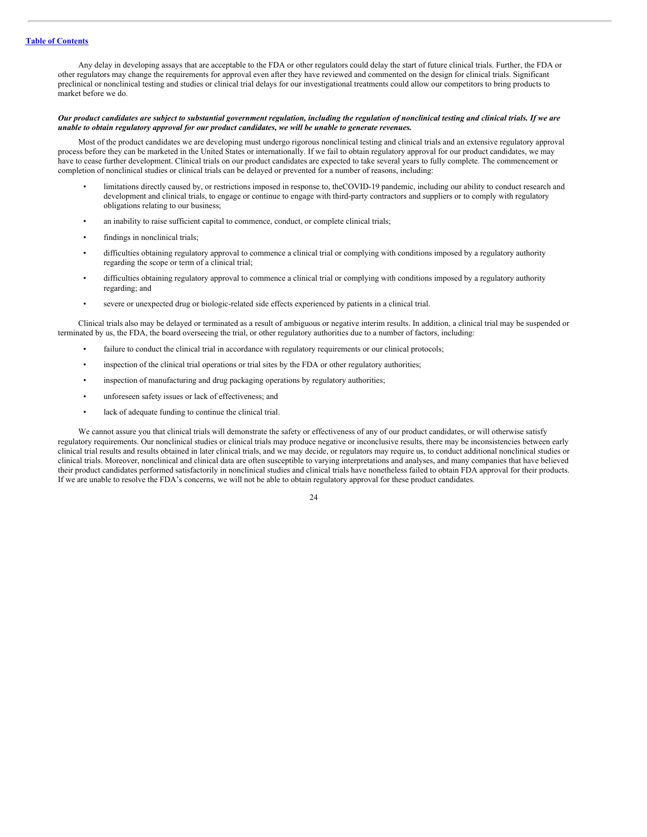Any delay in developing assays that are acceptable to the FDA or other regulators could delay the start of future clinical trials. Further, the FDA or other regulators may change the requirements for approval even after they have reviewed and commented on the design for clinical trials. Significant preclinical or nonclinical testing and studies or clinical trial delays for our investigational treatments could allow our competitors to bring products to market before we do.

## Our product candidates are subject to substantial government regulation, including the regulation of nonclinical testing and clinical trials. If we are *unable to obtain regulatory approval for our product candidates, we will be unable to generate revenues.*

Most of the product candidates we are developing must undergo rigorous nonclinical testing and clinical trials and an extensive regulatory approval process before they can be marketed in the United States or internationally. If we fail to obtain regulatory approval for our product candidates, we may have to cease further development. Clinical trials on our product candidates are expected to take several years to fully complete. The commencement or completion of nonclinical studies or clinical trials can be delayed or prevented for a number of reasons, including:

- limitations directly caused by, or restrictions imposed in response to, theCOVID-19 pandemic, including our ability to conduct research and development and clinical trials, to engage or continue to engage with third-party contractors and suppliers or to comply with regulatory obligations relating to our business;
- an inability to raise sufficient capital to commence, conduct, or complete clinical trials;
- findings in nonclinical trials;
- difficulties obtaining regulatory approval to commence a clinical trial or complying with conditions imposed by a regulatory authority regarding the scope or term of a clinical trial;
- difficulties obtaining regulatory approval to commence a clinical trial or complying with conditions imposed by a regulatory authority regarding; and
- severe or unexpected drug or biologic-related side effects experienced by patients in a clinical trial.

Clinical trials also may be delayed or terminated as a result of ambiguous or negative interim results. In addition, a clinical trial may be suspended or terminated by us, the FDA, the board overseeing the trial, or other regulatory authorities due to a number of factors, including:

- failure to conduct the clinical trial in accordance with regulatory requirements or our clinical protocols;
- inspection of the clinical trial operations or trial sites by the FDA or other regulatory authorities;
- inspection of manufacturing and drug packaging operations by regulatory authorities;
- unforeseen safety issues or lack of effectiveness; and
- lack of adequate funding to continue the clinical trial.

We cannot assure you that clinical trials will demonstrate the safety or effectiveness of any of our product candidates, or will otherwise satisfy regulatory requirements. Our nonclinical studies or clinical trials may produce negative or inconclusive results, there may be inconsistencies between early clinical trial results and results obtained in later clinical trials, and we may decide, or regulators may require us, to conduct additional nonclinical studies or clinical trials. Moreover, nonclinical and clinical data are often susceptible to varying interpretations and analyses, and many companies that have believed their product candidates performed satisfactorily in nonclinical studies and clinical trials have nonetheless failed to obtain FDA approval for their products. If we are unable to resolve the FDA's concerns, we will not be able to obtain regulatory approval for these product candidates.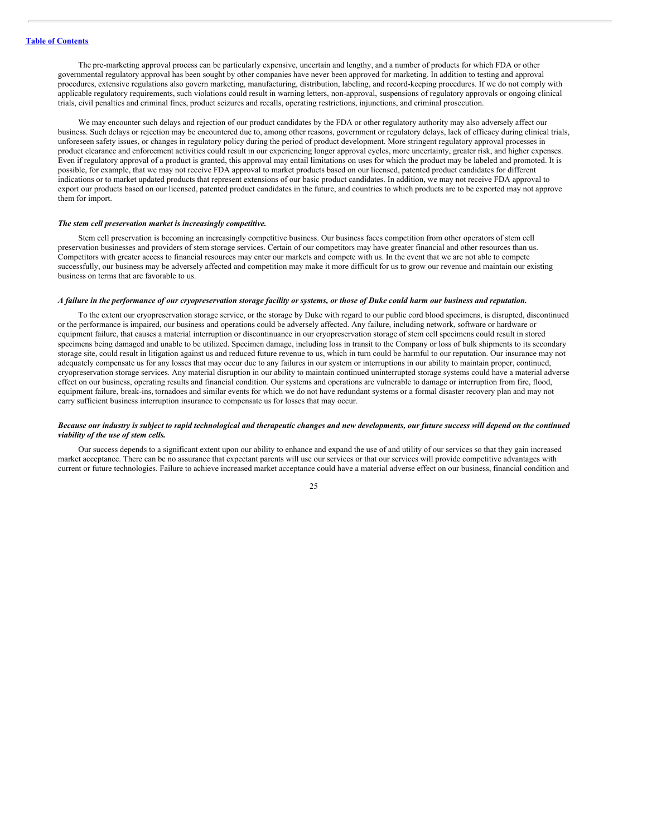The pre-marketing approval process can be particularly expensive, uncertain and lengthy, and a number of products for which FDA or other governmental regulatory approval has been sought by other companies have never been approved for marketing. In addition to testing and approval procedures, extensive regulations also govern marketing, manufacturing, distribution, labeling, and record-keeping procedures. If we do not comply with applicable regulatory requirements, such violations could result in warning letters, non-approval, suspensions of regulatory approvals or ongoing clinical trials, civil penalties and criminal fines, product seizures and recalls, operating restrictions, injunctions, and criminal prosecution.

We may encounter such delays and rejection of our product candidates by the FDA or other regulatory authority may also adversely affect our business. Such delays or rejection may be encountered due to, among other reasons, government or regulatory delays, lack of efficacy during clinical trials, unforeseen safety issues, or changes in regulatory policy during the period of product development. More stringent regulatory approval processes in product clearance and enforcement activities could result in our experiencing longer approval cycles, more uncertainty, greater risk, and higher expenses. Even if regulatory approval of a product is granted, this approval may entail limitations on uses for which the product may be labeled and promoted. It is possible, for example, that we may not receive FDA approval to market products based on our licensed, patented product candidates for different indications or to market updated products that represent extensions of our basic product candidates. In addition, we may not receive FDA approval to export our products based on our licensed, patented product candidates in the future, and countries to which products are to be exported may not approve them for import.

#### *The stem cell preservation market is increasingly competitive.*

Stem cell preservation is becoming an increasingly competitive business. Our business faces competition from other operators of stem cell preservation businesses and providers of stem storage services. Certain of our competitors may have greater financial and other resources than us. Competitors with greater access to financial resources may enter our markets and compete with us. In the event that we are not able to compete successfully, our business may be adversely affected and competition may make it more difficult for us to grow our revenue and maintain our existing business on terms that are favorable to us.

## A failure in the performance of our cryopreservation storage facility or systems, or those of Duke could harm our business and reputation.

To the extent our cryopreservation storage service, or the storage by Duke with regard to our public cord blood specimens, is disrupted, discontinued or the performance is impaired, our business and operations could be adversely affected. Any failure, including network, software or hardware or equipment failure, that causes a material interruption or discontinuance in our cryopreservation storage of stem cell specimens could result in stored specimens being damaged and unable to be utilized. Specimen damage, including loss in transit to the Company or loss of bulk shipments to its secondary storage site, could result in litigation against us and reduced future revenue to us, which in turn could be harmful to our reputation. Our insurance may not adequately compensate us for any losses that may occur due to any failures in our system or interruptions in our ability to maintain proper, continued, cryopreservation storage services. Any material disruption in our ability to maintain continued uninterrupted storage systems could have a material adverse effect on our business, operating results and financial condition. Our systems and operations are vulnerable to damage or interruption from fire, flood, equipment failure, break-ins, tornadoes and similar events for which we do not have redundant systems or a formal disaster recovery plan and may not carry sufficient business interruption insurance to compensate us for losses that may occur.

#### Because our industry is subject to rapid technological and therapeutic changes and new developments, our future success will depend on the continued *viability of the use of stem cells.*

Our success depends to a significant extent upon our ability to enhance and expand the use of and utility of our services so that they gain increased market acceptance. There can be no assurance that expectant parents will use our services or that our services will provide competitive advantages with current or future technologies. Failure to achieve increased market acceptance could have a material adverse effect on our business, financial condition and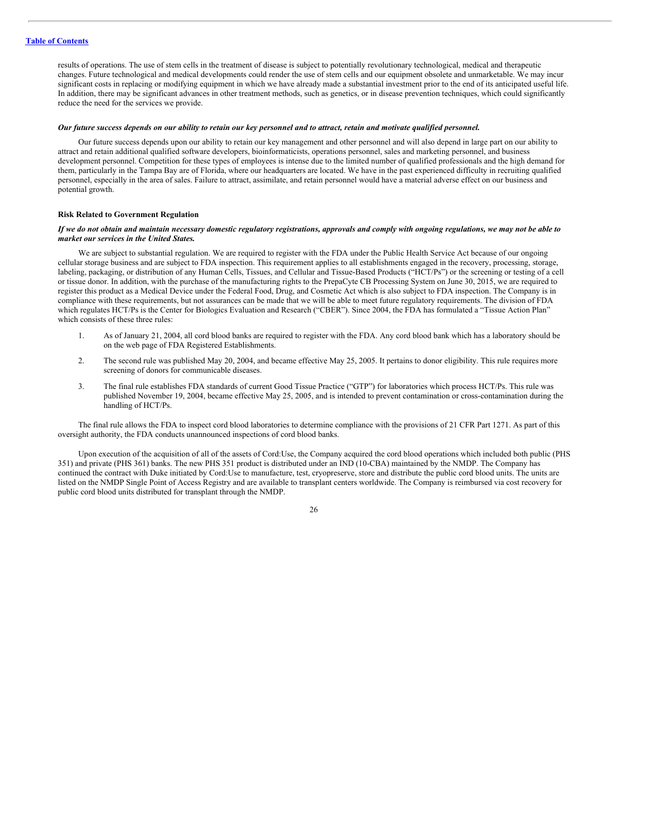results of operations. The use of stem cells in the treatment of disease is subject to potentially revolutionary technological, medical and therapeutic changes. Future technological and medical developments could render the use of stem cells and our equipment obsolete and unmarketable. We may incur significant costs in replacing or modifying equipment in which we have already made a substantial investment prior to the end of its anticipated useful life. In addition, there may be significant advances in other treatment methods, such as genetics, or in disease prevention techniques, which could significantly reduce the need for the services we provide.

#### Our future success depends on our ability to retain our key personnel and to attract, retain and motivate qualified personnel.

Our future success depends upon our ability to retain our key management and other personnel and will also depend in large part on our ability to attract and retain additional qualified software developers, bioinformaticists, operations personnel, sales and marketing personnel, and business development personnel. Competition for these types of employees is intense due to the limited number of qualified professionals and the high demand for them, particularly in the Tampa Bay are of Florida, where our headquarters are located. We have in the past experienced difficulty in recruiting qualified personnel, especially in the area of sales. Failure to attract, assimilate, and retain personnel would have a material adverse effect on our business and potential growth.

## **Risk Related to Government Regulation**

#### If we do not obtain and maintain necessary domestic regulatory registrations, approvals and comply with ongoing regulations, we may not be able to *market our services in the United States.*

We are subject to substantial regulation. We are required to register with the FDA under the Public Health Service Act because of our ongoing cellular storage business and are subject to FDA inspection. This requirement applies to all establishments engaged in the recovery, processing, storage, labeling, packaging, or distribution of any Human Cells, Tissues, and Cellular and Tissue-Based Products ("HCT/Ps") or the screening or testing of a cell or tissue donor. In addition, with the purchase of the manufacturing rights to the PrepaCyte CB Processing System on June 30, 2015, we are required to register this product as a Medical Device under the Federal Food, Drug, and Cosmetic Act which is also subject to FDA inspection. The Company is in compliance with these requirements, but not assurances can be made that we will be able to meet future regulatory requirements. The division of FDA which regulates HCT/Ps is the Center for Biologics Evaluation and Research ("CBER"). Since 2004, the FDA has formulated a "Tissue Action Plan" which consists of these three rules:

- 1. As of January 21, 2004, all cord blood banks are required to register with the FDA. Any cord blood bank which has a laboratory should be on the web page of FDA Registered Establishments.
- 2. The second rule was published May 20, 2004, and became effective May 25, 2005. It pertains to donor eligibility. This rule requires more screening of donors for communicable diseases.
- 3. The final rule establishes FDA standards of current Good Tissue Practice ("GTP") for laboratories which process HCT/Ps. This rule was published November 19, 2004, became effective May 25, 2005, and is intended to prevent contamination or cross-contamination during the handling of HCT/Ps.

The final rule allows the FDA to inspect cord blood laboratories to determine compliance with the provisions of 21 CFR Part 1271. As part of this oversight authority, the FDA conducts unannounced inspections of cord blood banks.

Upon execution of the acquisition of all of the assets of Cord:Use, the Company acquired the cord blood operations which included both public (PHS 351) and private (PHS 361) banks. The new PHS 351 product is distributed under an IND (10-CBA) maintained by the NMDP. The Company has continued the contract with Duke initiated by Cord:Use to manufacture, test, cryopreserve, store and distribute the public cord blood units. The units are listed on the NMDP Single Point of Access Registry and are available to transplant centers worldwide. The Company is reimbursed via cost recovery for public cord blood units distributed for transplant through the NMDP.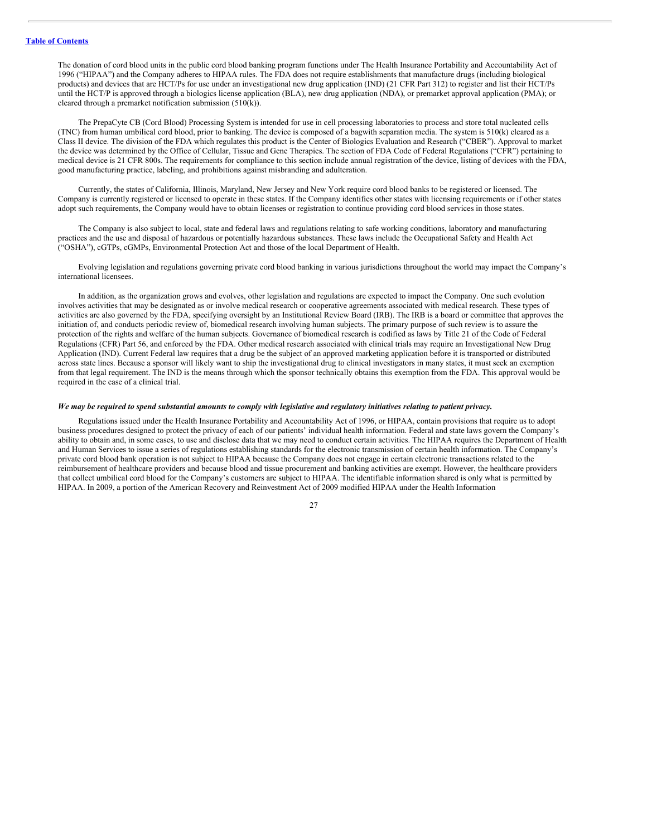The donation of cord blood units in the public cord blood banking program functions under The Health Insurance Portability and Accountability Act of 1996 ("HIPAA") and the Company adheres to HIPAA rules. The FDA does not require establishments that manufacture drugs (including biological products) and devices that are HCT/Ps for use under an investigational new drug application (IND) (21 CFR Part 312) to register and list their HCT/Ps until the HCT/P is approved through a biologics license application (BLA), new drug application (NDA), or premarket approval application (PMA); or cleared through a premarket notification submission (510(k)).

The PrepaCyte CB (Cord Blood) Processing System is intended for use in cell processing laboratories to process and store total nucleated cells (TNC) from human umbilical cord blood, prior to banking. The device is composed of a bagwith separation media. The system is  $510(k)$  cleared as a Class II device. The division of the FDA which regulates this product is the Center of Biologics Evaluation and Research ("CBER"). Approval to market the device was determined by the Office of Cellular, Tissue and Gene Therapies. The section of FDA Code of Federal Regulations ("CFR") pertaining to medical device is 21 CFR 800s. The requirements for compliance to this section include annual registration of the device, listing of devices with the FDA, good manufacturing practice, labeling, and prohibitions against misbranding and adulteration.

Currently, the states of California, Illinois, Maryland, New Jersey and New York require cord blood banks to be registered or licensed. The Company is currently registered or licensed to operate in these states. If the Company identifies other states with licensing requirements or if other states adopt such requirements, the Company would have to obtain licenses or registration to continue providing cord blood services in those states.

The Company is also subject to local, state and federal laws and regulations relating to safe working conditions, laboratory and manufacturing practices and the use and disposal of hazardous or potentially hazardous substances. These laws include the Occupational Safety and Health Act ("OSHA"), cGTPs, cGMPs, Environmental Protection Act and those of the local Department of Health.

Evolving legislation and regulations governing private cord blood banking in various jurisdictions throughout the world may impact the Company's international licensees.

In addition, as the organization grows and evolves, other legislation and regulations are expected to impact the Company. One such evolution involves activities that may be designated as or involve medical research or cooperative agreements associated with medical research. These types of activities are also governed by the FDA, specifying oversight by an Institutional Review Board (IRB). The IRB is a board or committee that approves the initiation of, and conducts periodic review of, biomedical research involving human subjects. The primary purpose of such review is to assure the protection of the rights and welfare of the human subjects. Governance of biomedical research is codified as laws by Title 21 of the Code of Federal Regulations (CFR) Part 56, and enforced by the FDA. Other medical research associated with clinical trials may require an Investigational New Drug Application (IND). Current Federal law requires that a drug be the subject of an approved marketing application before it is transported or distributed across state lines. Because a sponsor will likely want to ship the investigational drug to clinical investigators in many states, it must seek an exemption from that legal requirement. The IND is the means through which the sponsor technically obtains this exemption from the FDA. This approval would be required in the case of a clinical trial.

#### We may be required to spend substantial amounts to comply with legislative and regulatory initiatives relating to patient privacy.

Regulations issued under the Health Insurance Portability and Accountability Act of 1996, or HIPAA, contain provisions that require us to adopt business procedures designed to protect the privacy of each of our patients' individual health information. Federal and state laws govern the Company's ability to obtain and, in some cases, to use and disclose data that we may need to conduct certain activities. The HIPAA requires the Department of Health and Human Services to issue a series of regulations establishing standards for the electronic transmission of certain health information. The Company's private cord blood bank operation is not subject to HIPAA because the Company does not engage in certain electronic transactions related to the reimbursement of healthcare providers and because blood and tissue procurement and banking activities are exempt. However, the healthcare providers that collect umbilical cord blood for the Company's customers are subject to HIPAA. The identifiable information shared is only what is permitted by HIPAA. In 2009, a portion of the American Recovery and Reinvestment Act of 2009 modified HIPAA under the Health Information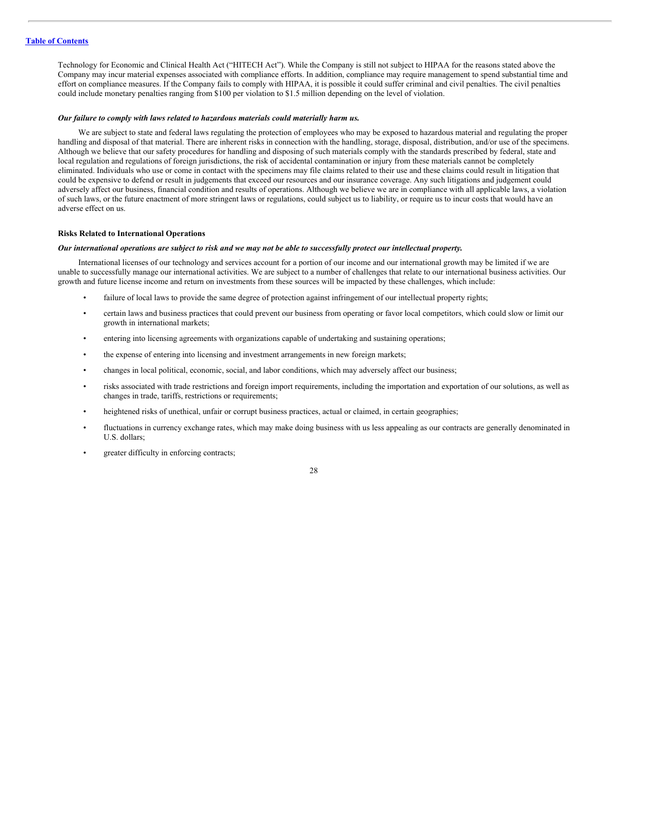Technology for Economic and Clinical Health Act ("HITECH Act"). While the Company is still not subject to HIPAA for the reasons stated above the Company may incur material expenses associated with compliance efforts. In addition, compliance may require management to spend substantial time and effort on compliance measures. If the Company fails to comply with HIPAA, it is possible it could suffer criminal and civil penalties. The civil penalties could include monetary penalties ranging from \$100 per violation to \$1.5 million depending on the level of violation.

## *Our failure to comply with laws related to hazardous materials could materially harm us.*

We are subject to state and federal laws regulating the protection of employees who may be exposed to hazardous material and regulating the proper handling and disposal of that material. There are inherent risks in connection with the handling, storage, disposal, distribution, and/or use of the specimens. Although we believe that our safety procedures for handling and disposing of such materials comply with the standards prescribed by federal, state and local regulation and regulations of foreign jurisdictions, the risk of accidental contamination or injury from these materials cannot be completely eliminated. Individuals who use or come in contact with the specimens may file claims related to their use and these claims could result in litigation that could be expensive to defend or result in judgements that exceed our resources and our insurance coverage. Any such litigations and judgement could adversely affect our business, financial condition and results of operations. Although we believe we are in compliance with all applicable laws, a violation of such laws, or the future enactment of more stringent laws or regulations, could subject us to liability, or require us to incur costs that would have an adverse effect on us.

#### **Risks Related to International Operations**

#### Our international operations are subject to risk and we may not be able to successfully protect our intellectual property.

International licenses of our technology and services account for a portion of our income and our international growth may be limited if we are unable to successfully manage our international activities. We are subject to a number of challenges that relate to our international business activities. Our growth and future license income and return on investments from these sources will be impacted by these challenges, which include:

- failure of local laws to provide the same degree of protection against infringement of our intellectual property rights;
- certain laws and business practices that could prevent our business from operating or favor local competitors, which could slow or limit our growth in international markets;
- entering into licensing agreements with organizations capable of undertaking and sustaining operations;
- the expense of entering into licensing and investment arrangements in new foreign markets;
- changes in local political, economic, social, and labor conditions, which may adversely affect our business;
- risks associated with trade restrictions and foreign import requirements, including the importation and exportation of our solutions, as well as changes in trade, tariffs, restrictions or requirements;
- heightened risks of unethical, unfair or corrupt business practices, actual or claimed, in certain geographies;
- fluctuations in currency exchange rates, which may make doing business with us less appealing as our contracts are generally denominated in U.S. dollars;
- greater difficulty in enforcing contracts;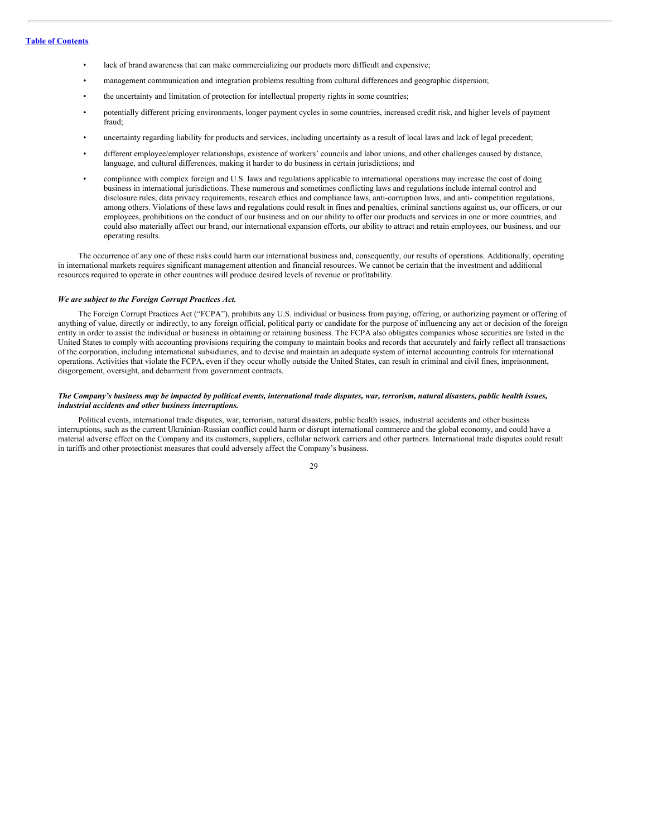- lack of brand awareness that can make commercializing our products more difficult and expensive;
- management communication and integration problems resulting from cultural differences and geographic dispersion;
- the uncertainty and limitation of protection for intellectual property rights in some countries;
- potentially different pricing environments, longer payment cycles in some countries, increased credit risk, and higher levels of payment fraud;
- uncertainty regarding liability for products and services, including uncertainty as a result of local laws and lack of legal precedent;
- different employee/employer relationships, existence of workers' councils and labor unions, and other challenges caused by distance, language, and cultural differences, making it harder to do business in certain jurisdictions; and
- compliance with complex foreign and U.S. laws and regulations applicable to international operations may increase the cost of doing business in international jurisdictions. These numerous and sometimes conflicting laws and regulations include internal control and disclosure rules, data privacy requirements, research ethics and compliance laws, anti-corruption laws, and anti- competition regulations, among others. Violations of these laws and regulations could result in fines and penalties, criminal sanctions against us, our officers, or our employees, prohibitions on the conduct of our business and on our ability to offer our products and services in one or more countries, and could also materially affect our brand, our international expansion efforts, our ability to attract and retain employees, our business, and our operating results.

The occurrence of any one of these risks could harm our international business and, consequently, our results of operations. Additionally, operating in international markets requires significant management attention and financial resources. We cannot be certain that the investment and additional resources required to operate in other countries will produce desired levels of revenue or profitability.

## *We are subject to the Foreign Corrupt Practices Act.*

The Foreign Corrupt Practices Act ("FCPA"), prohibits any U.S. individual or business from paying, offering, or authorizing payment or offering of anything of value, directly or indirectly, to any foreign official, political party or candidate for the purpose of influencing any act or decision of the foreign entity in order to assist the individual or business in obtaining or retaining business. The FCPA also obligates companies whose securities are listed in the United States to comply with accounting provisions requiring the company to maintain books and records that accurately and fairly reflect all transactions of the corporation, including international subsidiaries, and to devise and maintain an adequate system of internal accounting controls for international operations. Activities that violate the FCPA, even if they occur wholly outside the United States, can result in criminal and civil fines, imprisonment, disgorgement, oversight, and debarment from government contracts.

## The Company's business may be impacted by political events, international trade disputes, war, terrorism, natural disasters, public health issues, *industrial accidents and other business interruptions.*

Political events, international trade disputes, war, terrorism, natural disasters, public health issues, industrial accidents and other business interruptions, such as the current Ukrainian-Russian conflict could harm or disrupt international commerce and the global economy, and could have a material adverse effect on the Company and its customers, suppliers, cellular network carriers and other partners. International trade disputes could result in tariffs and other protectionist measures that could adversely affect the Company's business.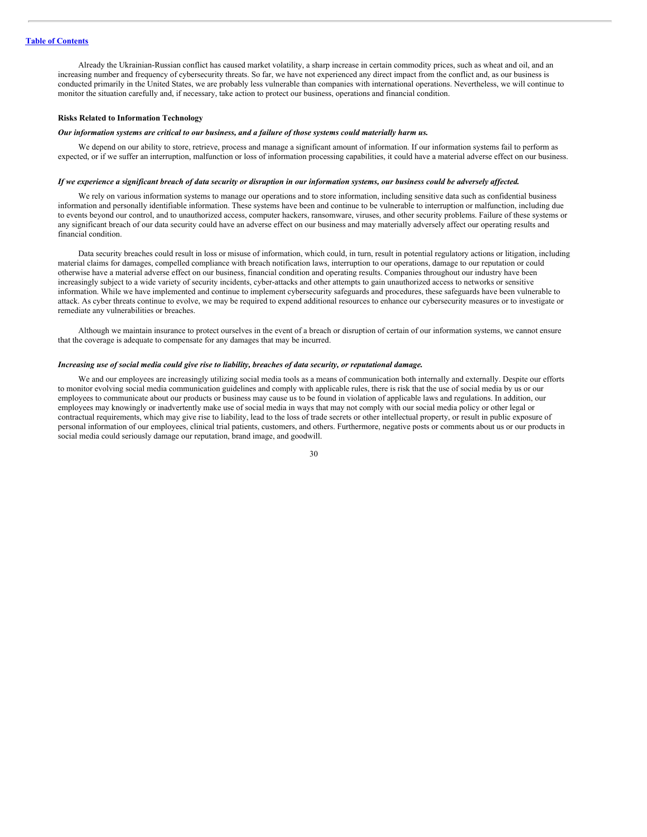Already the Ukrainian-Russian conflict has caused market volatility, a sharp increase in certain commodity prices, such as wheat and oil, and an increasing number and frequency of cybersecurity threats. So far, we have not experienced any direct impact from the conflict and, as our business is conducted primarily in the United States, we are probably less vulnerable than companies with international operations. Nevertheless, we will continue to monitor the situation carefully and, if necessary, take action to protect our business, operations and financial condition.

## **Risks Related to Information Technology**

#### Our information systems are critical to our business, and a failure of those systems could materially harm us.

We depend on our ability to store, retrieve, process and manage a significant amount of information. If our information systems fail to perform as expected, or if we suffer an interruption, malfunction or loss of information processing capabilities, it could have a material adverse effect on our business.

## If we experience a significant breach of data security or disruption in our information systems, our business could be adversely affected.

We rely on various information systems to manage our operations and to store information, including sensitive data such as confidential business information and personally identifiable information. These systems have been and continue to be vulnerable to interruption or malfunction, including due to events beyond our control, and to unauthorized access, computer hackers, ransomware, viruses, and other security problems. Failure of these systems or any significant breach of our data security could have an adverse effect on our business and may materially adversely affect our operating results and financial condition.

Data security breaches could result in loss or misuse of information, which could, in turn, result in potential regulatory actions or litigation, including material claims for damages, compelled compliance with breach notification laws, interruption to our operations, damage to our reputation or could otherwise have a material adverse effect on our business, financial condition and operating results. Companies throughout our industry have been increasingly subject to a wide variety of security incidents, cyber-attacks and other attempts to gain unauthorized access to networks or sensitive information. While we have implemented and continue to implement cybersecurity safeguards and procedures, these safeguards have been vulnerable to attack. As cyber threats continue to evolve, we may be required to expend additional resources to enhance our cybersecurity measures or to investigate or remediate any vulnerabilities or breaches.

Although we maintain insurance to protect ourselves in the event of a breach or disruption of certain of our information systems, we cannot ensure that the coverage is adequate to compensate for any damages that may be incurred.

## Increasing use of social media could give rise to liability, breaches of data security, or reputational damage.

We and our employees are increasingly utilizing social media tools as a means of communication both internally and externally. Despite our efforts to monitor evolving social media communication guidelines and comply with applicable rules, there is risk that the use of social media by us or our employees to communicate about our products or business may cause us to be found in violation of applicable laws and regulations. In addition, our employees may knowingly or inadvertently make use of social media in ways that may not comply with our social media policy or other legal or contractual requirements, which may give rise to liability, lead to the loss of trade secrets or other intellectual property, or result in public exposure of personal information of our employees, clinical trial patients, customers, and others. Furthermore, negative posts or comments about us or our products in social media could seriously damage our reputation, brand image, and goodwill.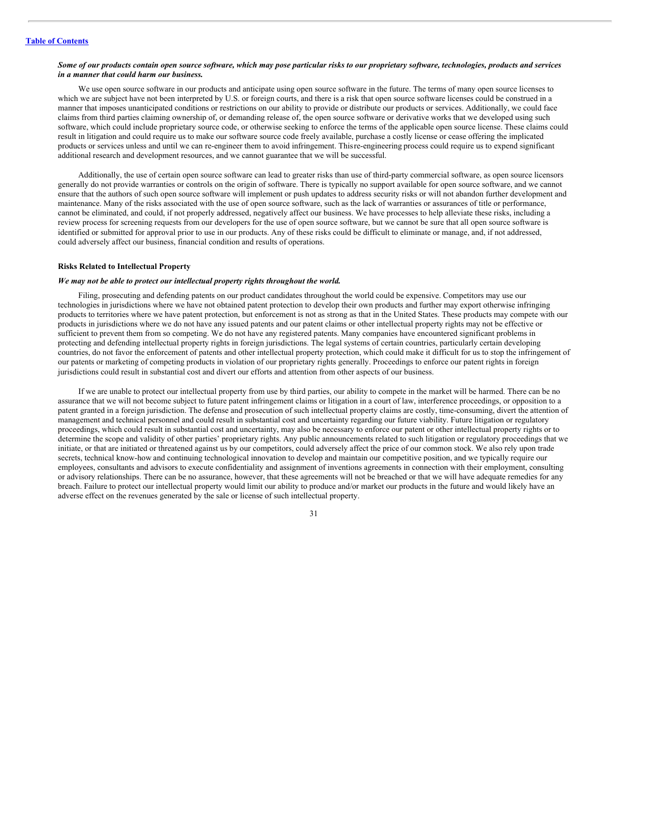## Some of our products contain open source software, which may pose particular risks to our proprietary software, technologies, products and services *in a manner that could harm our business.*

We use open source software in our products and anticipate using open source software in the future. The terms of many open source licenses to which we are subject have not been interpreted by U.S. or foreign courts, and there is a risk that open source software licenses could be construed in a manner that imposes unanticipated conditions or restrictions on our ability to provide or distribute our products or services. Additionally, we could face claims from third parties claiming ownership of, or demanding release of, the open source software or derivative works that we developed using such software, which could include proprietary source code, or otherwise seeking to enforce the terms of the applicable open source license. These claims could result in litigation and could require us to make our software source code freely available, purchase a costly license or cease offering the implicated products or services unless and until we can re-engineer them to avoid infringement. Thisre-engineering process could require us to expend significant additional research and development resources, and we cannot guarantee that we will be successful.

Additionally, the use of certain open source software can lead to greater risks than use of third-party commercial software, as open source licensors generally do not provide warranties or controls on the origin of software. There is typically no support available for open source software, and we cannot ensure that the authors of such open source software will implement or push updates to address security risks or will not abandon further development and maintenance. Many of the risks associated with the use of open source software, such as the lack of warranties or assurances of title or performance, cannot be eliminated, and could, if not properly addressed, negatively affect our business. We have processes to help alleviate these risks, including a review process for screening requests from our developers for the use of open source software, but we cannot be sure that all open source software is identified or submitted for approval prior to use in our products. Any of these risks could be difficult to eliminate or manage, and, if not addressed, could adversely affect our business, financial condition and results of operations.

## **Risks Related to Intellectual Property**

#### *We may not be able to protect our intellectual property rights throughout the world.*

Filing, prosecuting and defending patents on our product candidates throughout the world could be expensive. Competitors may use our technologies in jurisdictions where we have not obtained patent protection to develop their own products and further may export otherwise infringing products to territories where we have patent protection, but enforcement is not as strong as that in the United States. These products may compete with our products in jurisdictions where we do not have any issued patents and our patent claims or other intellectual property rights may not be effective or sufficient to prevent them from so competing. We do not have any registered patents. Many companies have encountered significant problems in protecting and defending intellectual property rights in foreign jurisdictions. The legal systems of certain countries, particularly certain developing countries, do not favor the enforcement of patents and other intellectual property protection, which could make it difficult for us to stop the infringement of our patents or marketing of competing products in violation of our proprietary rights generally. Proceedings to enforce our patent rights in foreign jurisdictions could result in substantial cost and divert our efforts and attention from other aspects of our business.

If we are unable to protect our intellectual property from use by third parties, our ability to compete in the market will be harmed. There can be no assurance that we will not become subject to future patent infringement claims or litigation in a court of law, interference proceedings, or opposition to a patent granted in a foreign jurisdiction. The defense and prosecution of such intellectual property claims are costly, time-consuming, divert the attention of management and technical personnel and could result in substantial cost and uncertainty regarding our future viability. Future litigation or regulatory proceedings, which could result in substantial cost and uncertainty, may also be necessary to enforce our patent or other intellectual property rights or to determine the scope and validity of other parties' proprietary rights. Any public announcements related to such litigation or regulatory proceedings that we initiate, or that are initiated or threatened against us by our competitors, could adversely affect the price of our common stock. We also rely upon trade secrets, technical know-how and continuing technological innovation to develop and maintain our competitive position, and we typically require our employees, consultants and advisors to execute confidentiality and assignment of inventions agreements in connection with their employment, consulting or advisory relationships. There can be no assurance, however, that these agreements will not be breached or that we will have adequate remedies for any breach. Failure to protect our intellectual property would limit our ability to produce and/or market our products in the future and would likely have an adverse effect on the revenues generated by the sale or license of such intellectual property.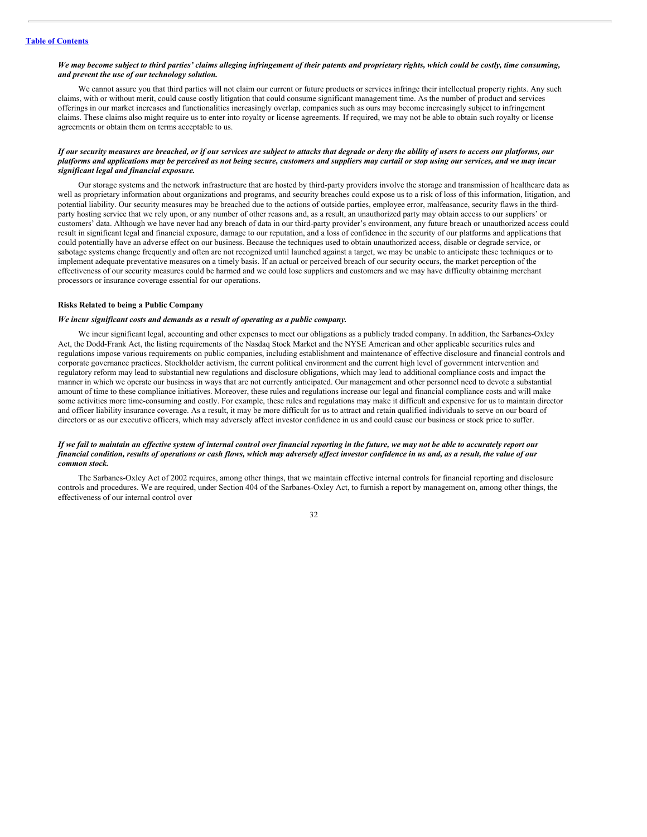## We may become subject to third parties' claims alleging infringement of their patents and proprietary rights, which could be costly, time consuming, *and prevent the use of our technology solution.*

We cannot assure you that third parties will not claim our current or future products or services infringe their intellectual property rights. Any such claims, with or without merit, could cause costly litigation that could consume significant management time. As the number of product and services offerings in our market increases and functionalities increasingly overlap, companies such as ours may become increasingly subject to infringement claims. These claims also might require us to enter into royalty or license agreements. If required, we may not be able to obtain such royalty or license agreements or obtain them on terms acceptable to us.

## If our security measures are breached, or if our services are subject to attacks that degrade or deny the ability of users to access our platforms, our platforms and applications may be perceived as not being secure, customers and suppliers may curtail or stop using our services, and we may incur *significant legal and financial exposure.*

Our storage systems and the network infrastructure that are hosted by third-party providers involve the storage and transmission of healthcare data as well as proprietary information about organizations and programs, and security breaches could expose us to a risk of loss of this information, litigation, and potential liability. Our security measures may be breached due to the actions of outside parties, employee error, malfeasance, security flaws in the thirdparty hosting service that we rely upon, or any number of other reasons and, as a result, an unauthorized party may obtain access to our suppliers' or customers' data. Although we have never had any breach of data in our third-party provider's environment, any future breach or unauthorized access could result in significant legal and financial exposure, damage to our reputation, and a loss of confidence in the security of our platforms and applications that could potentially have an adverse effect on our business. Because the techniques used to obtain unauthorized access, disable or degrade service, or sabotage systems change frequently and often are not recognized until launched against a target, we may be unable to anticipate these techniques or to implement adequate preventative measures on a timely basis. If an actual or perceived breach of our security occurs, the market perception of the effectiveness of our security measures could be harmed and we could lose suppliers and customers and we may have difficulty obtaining merchant processors or insurance coverage essential for our operations.

## **Risks Related to being a Public Company**

#### *We incur significant costs and demands as a result of operating as a public company.*

We incur significant legal, accounting and other expenses to meet our obligations as a publicly traded company. In addition, the Sarbanes-Oxley Act, the Dodd-Frank Act, the listing requirements of the Nasdaq Stock Market and the NYSE American and other applicable securities rules and regulations impose various requirements on public companies, including establishment and maintenance of effective disclosure and financial controls and corporate governance practices. Stockholder activism, the current political environment and the current high level of government intervention and regulatory reform may lead to substantial new regulations and disclosure obligations, which may lead to additional compliance costs and impact the manner in which we operate our business in ways that are not currently anticipated. Our management and other personnel need to devote a substantial amount of time to these compliance initiatives. Moreover, these rules and regulations increase our legal and financial compliance costs and will make some activities more time-consuming and costly. For example, these rules and regulations may make it difficult and expensive for us to maintain director and officer liability insurance coverage. As a result, it may be more difficult for us to attract and retain qualified individuals to serve on our board of directors or as our executive officers, which may adversely affect investor confidence in us and could cause our business or stock price to suffer.

## If we fail to maintain an effective system of internal control over financial reporting in the future, we may not be able to accurately report our financial condition, results of operations or cash flows, which may adversely affect investor confidence in us and, as a result, the value of our *common stock.*

The Sarbanes-Oxley Act of 2002 requires, among other things, that we maintain effective internal controls for financial reporting and disclosure controls and procedures. We are required, under Section 404 of the Sarbanes-Oxley Act, to furnish a report by management on, among other things, the effectiveness of our internal control over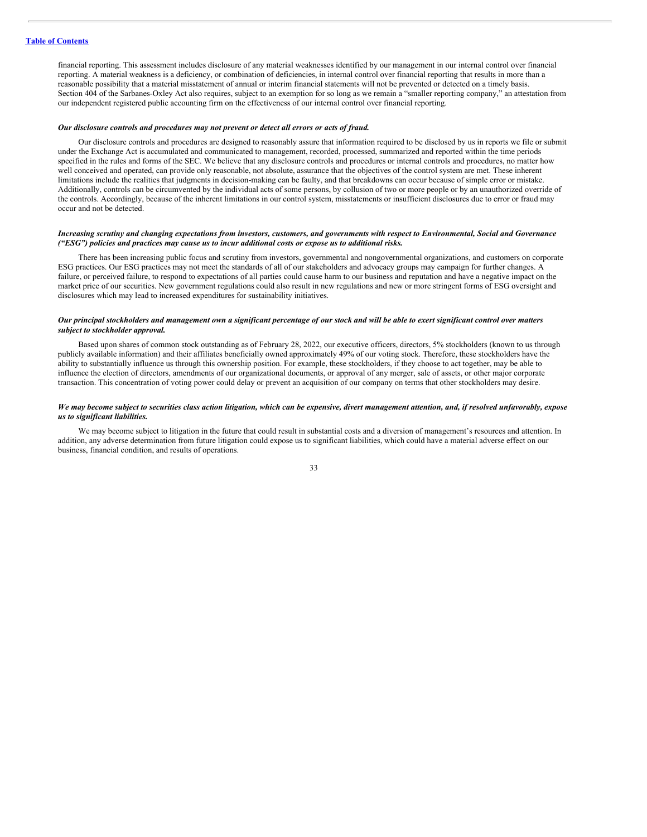financial reporting. This assessment includes disclosure of any material weaknesses identified by our management in our internal control over financial reporting. A material weakness is a deficiency, or combination of deficiencies, in internal control over financial reporting that results in more than a reasonable possibility that a material misstatement of annual or interim financial statements will not be prevented or detected on a timely basis. Section 404 of the Sarbanes-Oxley Act also requires, subject to an exemption for so long as we remain a "smaller reporting company," an attestation from our independent registered public accounting firm on the effectiveness of our internal control over financial reporting.

#### *Our disclosure controls and procedures may not prevent or detect all errors or acts of fraud.*

Our disclosure controls and procedures are designed to reasonably assure that information required to be disclosed by us in reports we file or submit under the Exchange Act is accumulated and communicated to management, recorded, processed, summarized and reported within the time periods specified in the rules and forms of the SEC. We believe that any disclosure controls and procedures or internal controls and procedures, no matter how well conceived and operated, can provide only reasonable, not absolute, assurance that the objectives of the control system are met. These inherent limitations include the realities that judgments in decision-making can be faulty, and that breakdowns can occur because of simple error or mistake. Additionally, controls can be circumvented by the individual acts of some persons, by collusion of two or more people or by an unauthorized override of the controls. Accordingly, because of the inherent limitations in our control system, misstatements or insufficient disclosures due to error or fraud may occur and not be detected.

#### Increasing scrutiny and changing expectations from investors, customers, and governments with respect to Environmental, Social and Governance *("ESG") policies and practices may cause us to incur additional costs or expose us to additional risks.*

There has been increasing public focus and scrutiny from investors, governmental and nongovernmental organizations, and customers on corporate ESG practices. Our ESG practices may not meet the standards of all of our stakeholders and advocacy groups may campaign for further changes. A failure, or perceived failure, to respond to expectations of all parties could cause harm to our business and reputation and have a negative impact on the market price of our securities. New government regulations could also result in new regulations and new or more stringent forms of ESG oversight and disclosures which may lead to increased expenditures for sustainability initiatives.

## Our principal stockholders and management own a significant percentage of our stock and will be able to exert significant control over matters *subject to stockholder approval.*

Based upon shares of common stock outstanding as of February 28, 2022, our executive officers, directors, 5% stockholders (known to us through publicly available information) and their affiliates beneficially owned approximately 49% of our voting stock. Therefore, these stockholders have the ability to substantially influence us through this ownership position. For example, these stockholders, if they choose to act together, may be able to influence the election of directors, amendments of our organizational documents, or approval of any merger, sale of assets, or other major corporate transaction. This concentration of voting power could delay or prevent an acquisition of our company on terms that other stockholders may desire.

## We may become subject to securities class action litigation, which can be expensive, divert management attention, and, if resolved unfavorably, expose *us to significant liabilities.*

We may become subject to litigation in the future that could result in substantial costs and a diversion of management's resources and attention. In addition, any adverse determination from future litigation could expose us to significant liabilities, which could have a material adverse effect on our business, financial condition, and results of operations.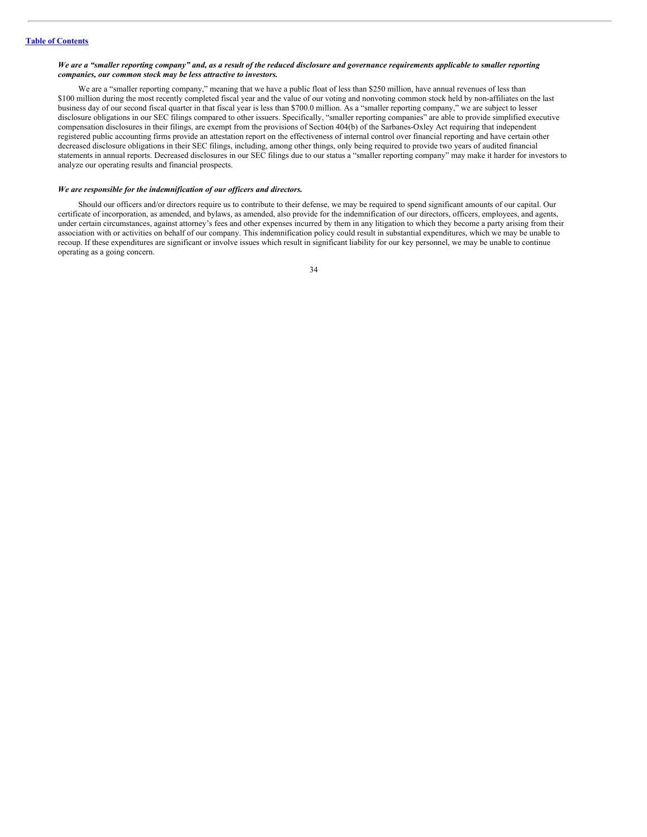## We are a "smaller reporting company" and, as a result of the reduced disclosure and governance requirements applicable to smaller reporting *companies, our common stock may be less attractive to investors.*

We are a "smaller reporting company," meaning that we have a public float of less than \$250 million, have annual revenues of less than \$100 million during the most recently completed fiscal year and the value of our voting and nonvoting common stock held by non-affiliates on the last business day of our second fiscal quarter in that fiscal year is less than \$700.0 million. As a "smaller reporting company," we are subject to lesser disclosure obligations in our SEC filings compared to other issuers. Specifically, "smaller reporting companies" are able to provide simplified executive compensation disclosures in their filings, are exempt from the provisions of Section 404(b) of the Sarbanes-Oxley Act requiring that independent registered public accounting firms provide an attestation report on the effectiveness of internal control over financial reporting and have certain other decreased disclosure obligations in their SEC filings, including, among other things, only being required to provide two years of audited financial statements in annual reports. Decreased disclosures in our SEC filings due to our status a "smaller reporting company" may make it harder for investors to analyze our operating results and financial prospects.

## *We are responsible for the indemnification of our of icers and directors.*

Should our officers and/or directors require us to contribute to their defense, we may be required to spend significant amounts of our capital. Our certificate of incorporation, as amended, and bylaws, as amended, also provide for the indemnification of our directors, officers, employees, and agents, under certain circumstances, against attorney's fees and other expenses incurred by them in any litigation to which they become a party arising from their association with or activities on behalf of our company. This indemnification policy could result in substantial expenditures, which we may be unable to recoup. If these expenditures are significant or involve issues which result in significant liability for our key personnel, we may be unable to continue operating as a going concern.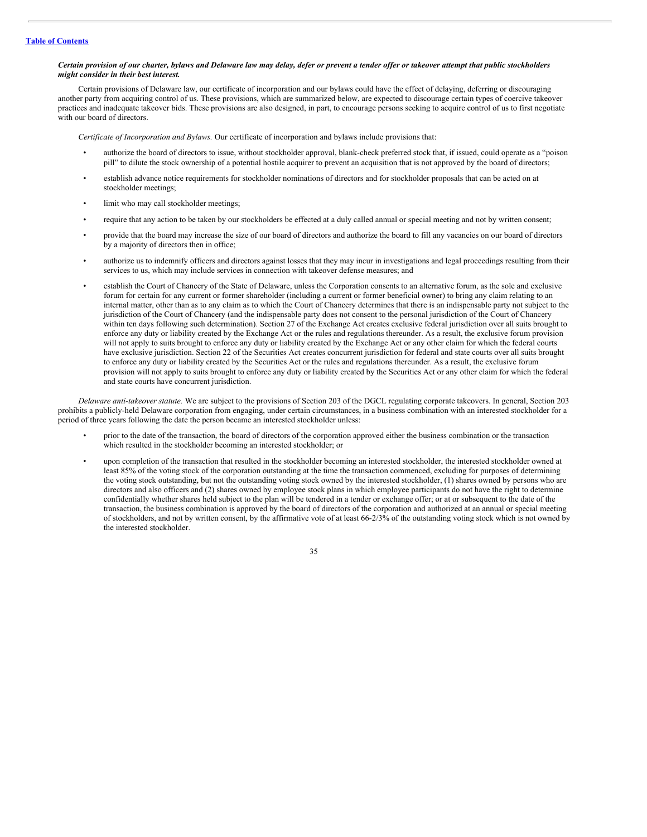## Certain provision of our charter, bylaws and Delaware law may delay, defer or prevent a tender offer or takeover attempt that public stockholders *might consider in their best interest.*

Certain provisions of Delaware law, our certificate of incorporation and our bylaws could have the effect of delaying, deferring or discouraging another party from acquiring control of us. These provisions, which are summarized below, are expected to discourage certain types of coercive takeover practices and inadequate takeover bids. These provisions are also designed, in part, to encourage persons seeking to acquire control of us to first negotiate with our board of directors.

*Certificate of Incorporation and Bylaws.* Our certificate of incorporation and bylaws include provisions that:

- authorize the board of directors to issue, without stockholder approval, blank-check preferred stock that, if issued, could operate as a "poison pill" to dilute the stock ownership of a potential hostile acquirer to prevent an acquisition that is not approved by the board of directors;
- establish advance notice requirements for stockholder nominations of directors and for stockholder proposals that can be acted on at stockholder meetings;
- limit who may call stockholder meetings;
- require that any action to be taken by our stockholders be effected at a duly called annual or special meeting and not by written consent;
- provide that the board may increase the size of our board of directors and authorize the board to fill any vacancies on our board of directors by a majority of directors then in office;
- authorize us to indemnify officers and directors against losses that they may incur in investigations and legal proceedings resulting from their services to us, which may include services in connection with takeover defense measures; and
- establish the Court of Chancery of the State of Delaware, unless the Corporation consents to an alternative forum, as the sole and exclusive forum for certain for any current or former shareholder (including a current or former beneficial owner) to bring any claim relating to an internal matter, other than as to any claim as to which the Court of Chancery determines that there is an indispensable party not subject to the jurisdiction of the Court of Chancery (and the indispensable party does not consent to the personal jurisdiction of the Court of Chancery within ten days following such determination). Section 27 of the Exchange Act creates exclusive federal jurisdiction over all suits brought to enforce any duty or liability created by the Exchange Act or the rules and regulations thereunder. As a result, the exclusive forum provision will not apply to suits brought to enforce any duty or liability created by the Exchange Act or any other claim for which the federal courts have exclusive jurisdiction. Section 22 of the Securities Act creates concurrent jurisdiction for federal and state courts over all suits brought to enforce any duty or liability created by the Securities Act or the rules and regulations thereunder. As a result, the exclusive forum provision will not apply to suits brought to enforce any duty or liability created by the Securities Act or any other claim for which the federal and state courts have concurrent jurisdiction.

*Delaware anti-takeover statute.* We are subject to the provisions of Section 203 of the DGCL regulating corporate takeovers. In general, Section 203 prohibits a publicly-held Delaware corporation from engaging, under certain circumstances, in a business combination with an interested stockholder for a period of three years following the date the person became an interested stockholder unless:

- prior to the date of the transaction, the board of directors of the corporation approved either the business combination or the transaction which resulted in the stockholder becoming an interested stockholder; or
- upon completion of the transaction that resulted in the stockholder becoming an interested stockholder, the interested stockholder owned at least 85% of the voting stock of the corporation outstanding at the time the transaction commenced, excluding for purposes of determining the voting stock outstanding, but not the outstanding voting stock owned by the interested stockholder, (1) shares owned by persons who are directors and also officers and (2) shares owned by employee stock plans in which employee participants do not have the right to determine confidentially whether shares held subject to the plan will be tendered in a tender or exchange offer; or at or subsequent to the date of the transaction, the business combination is approved by the board of directors of the corporation and authorized at an annual or special meeting of stockholders, and not by written consent, by the affirmative vote of at least 66-2/3% of the outstanding voting stock which is not owned by the interested stockholder.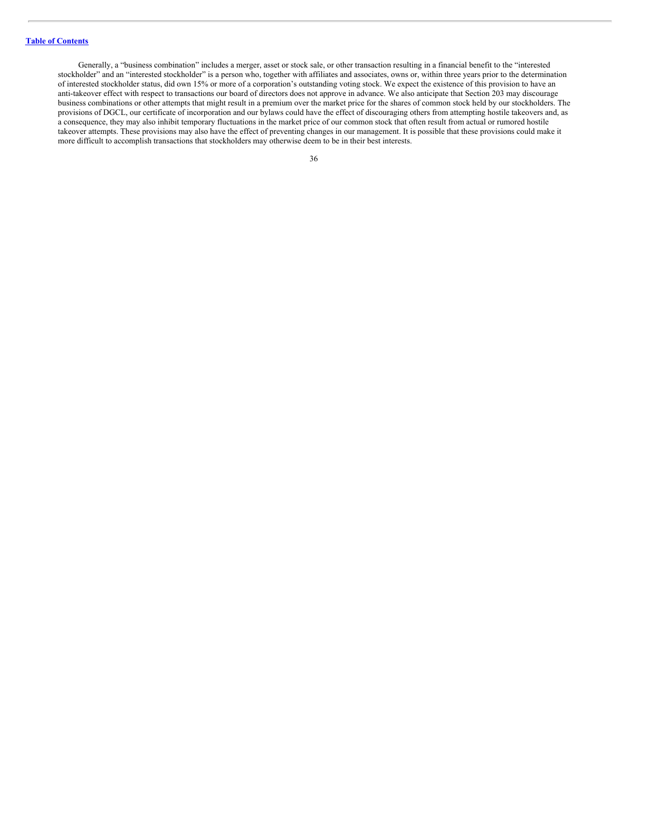Generally, a "business combination" includes a merger, asset or stock sale, or other transaction resulting in a financial benefit to the "interested stockholder" and an "interested stockholder" is a person who, together with affiliates and associates, owns or, within three years prior to the determination of interested stockholder status, did own 15% or more of a corporation's outstanding voting stock. We expect the existence of this provision to have an anti-takeover effect with respect to transactions our board of directors does not approve in advance. We also anticipate that Section 203 may discourage business combinations or other attempts that might result in a premium over the market price for the shares of common stock held by our stockholders. The provisions of DGCL, our certificate of incorporation and our bylaws could have the effect of discouraging others from attempting hostile takeovers and, as a consequence, they may also inhibit temporary fluctuations in the market price of our common stock that often result from actual or rumored hostile takeover attempts. These provisions may also have the effect of preventing changes in our management. It is possible that these provisions could make it more difficult to accomplish transactions that stockholders may otherwise deem to be in their best interests.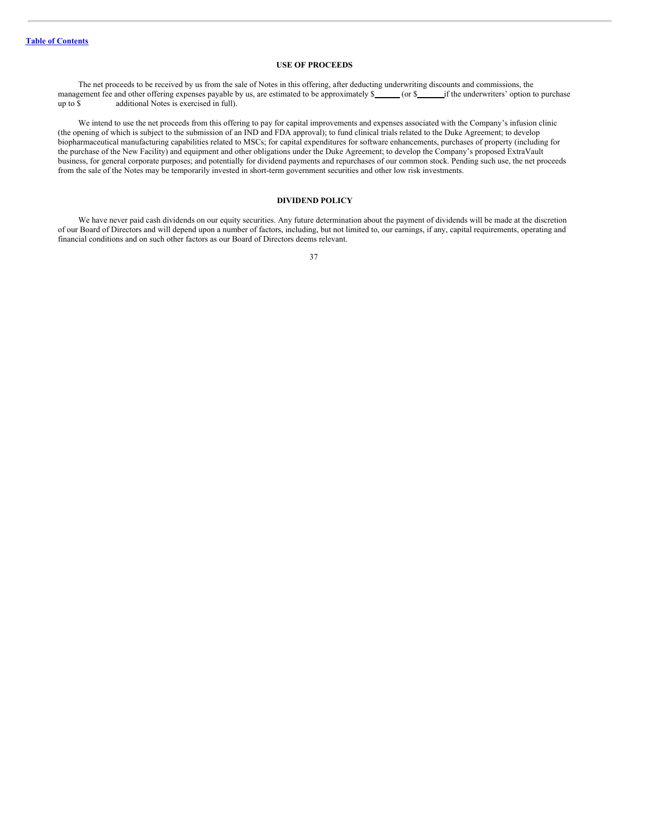## <span id="page-34-0"></span>**USE OF PROCEEDS**

The net proceeds to be received by us from the sale of Notes in this offering, after deducting underwriting discounts and commissions, the management fee and other offering expenses payable by us, are estimated to be approximately \$ \_\_\_\_\_\_ (or \$ if the underwriters' option to purchase additional Notes is exercised in full). additional Notes is exercised in full).

We intend to use the net proceeds from this offering to pay for capital improvements and expenses associated with the Company's infusion clinic (the opening of which is subject to the submission of an IND and FDA approval); to fund clinical trials related to the Duke Agreement; to develop biopharmaceutical manufacturing capabilities related to MSCs; for capital expenditures for software enhancements, purchases of property (including for the purchase of the New Facility) and equipment and other obligations under the Duke Agreement; to develop the Company's proposed ExtraVault business, for general corporate purposes; and potentially for dividend payments and repurchases of our common stock. Pending such use, the net proceeds from the sale of the Notes may be temporarily invested in short-term government securities and other low risk investments.

## <span id="page-34-1"></span>**DIVIDEND POLICY**

We have never paid cash dividends on our equity securities. Any future determination about the payment of dividends will be made at the discretion of our Board of Directors and will depend upon a number of factors, including, but not limited to, our earnings, if any, capital requirements, operating and financial conditions and on such other factors as our Board of Directors deems relevant.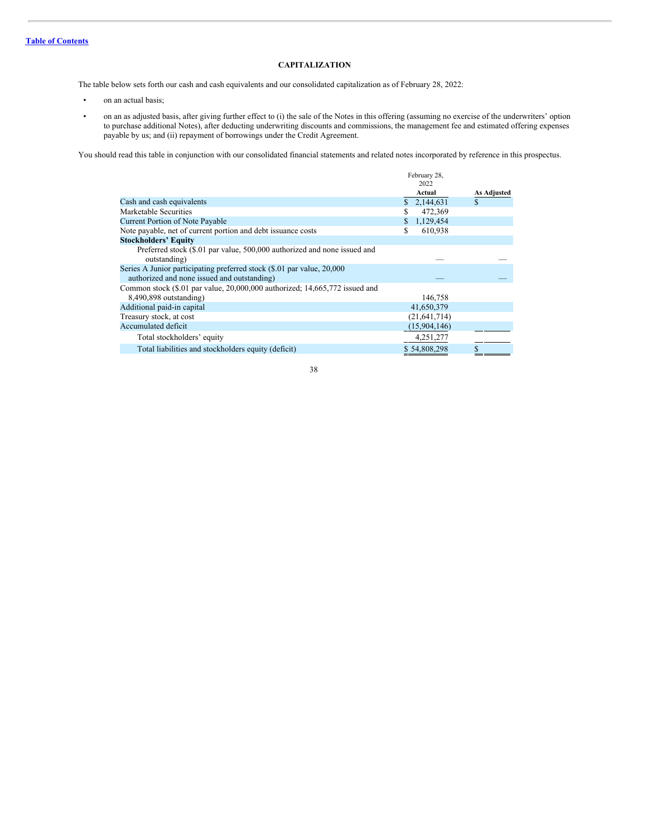## <span id="page-35-0"></span>**CAPITALIZATION**

The table below sets forth our cash and cash equivalents and our consolidated capitalization as of February 28, 2022:

- on an actual basis;
- on an as adjusted basis, after giving further effect to (i) the sale of the Notes in this offering (assuming no exercise of the underwriters' option to purchase additional Notes), after deducting underwriting discounts and commissions, the management fee and estimated offering expenses payable by us; and (ii) repayment of borrowings under the Credit Agreement.

You should read this table in conjunction with our consolidated financial statements and related notes incorporated by reference in this prospectus.

|                                                                             | February 28,   |             |
|-----------------------------------------------------------------------------|----------------|-------------|
|                                                                             | 2022           |             |
|                                                                             | Actual         | As Adjusted |
| Cash and cash equivalents                                                   | 2,144,631      | \$          |
| Marketable Securities                                                       | 472,369        |             |
| Current Portion of Note Payable                                             | 1,129,454      |             |
| Note payable, net of current portion and debt issuance costs                | S<br>610,938   |             |
| <b>Stockholders' Equity</b>                                                 |                |             |
| Preferred stock (\$.01 par value, 500,000 authorized and none issued and    |                |             |
| outstanding)                                                                |                |             |
| Series A Junior participating preferred stock (\$.01 par value, 20,000      |                |             |
| authorized and none issued and outstanding)                                 |                |             |
| Common stock (\$.01 par value, 20,000,000 authorized; 14,665,772 issued and |                |             |
| 8,490,898 outstanding)                                                      | 146,758        |             |
| Additional paid-in capital                                                  | 41,650,379     |             |
| Treasury stock, at cost                                                     | (21, 641, 714) |             |
| Accumulated deficit                                                         | (15,904,146)   |             |
| Total stockholders' equity                                                  | 4,251,277      |             |
| Total liabilities and stockholders equity (deficit)                         | \$54,808,298   |             |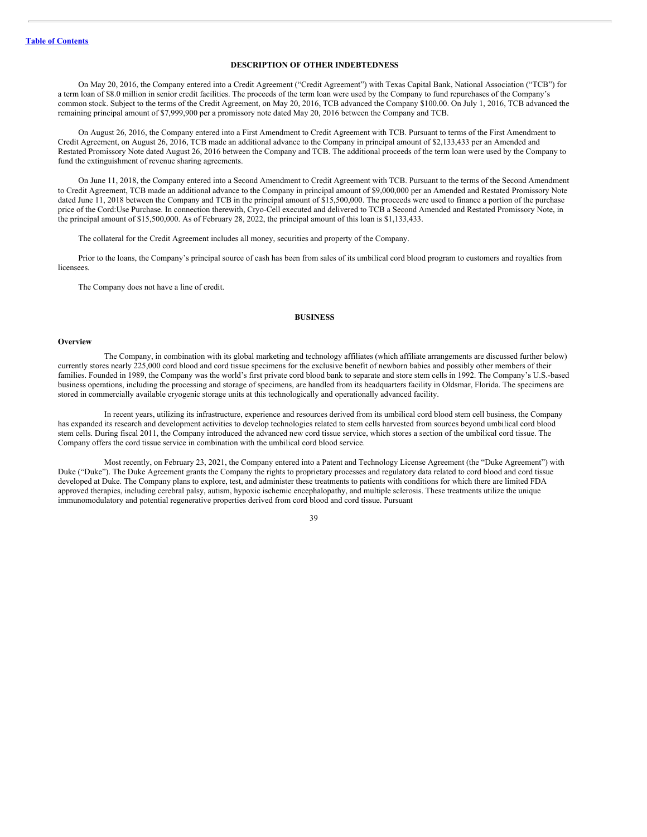# **DESCRIPTION OF OTHER INDEBTEDNESS**

On May 20, 2016, the Company entered into a Credit Agreement ("Credit Agreement") with Texas Capital Bank, National Association ("TCB") for a term loan of \$8.0 million in senior credit facilities. The proceeds of the term loan were used by the Company to fund repurchases of the Company's common stock. Subject to the terms of the Credit Agreement, on May 20, 2016, TCB advanced the Company \$100.00. On July 1, 2016, TCB advanced the remaining principal amount of \$7,999,900 per a promissory note dated May 20, 2016 between the Company and TCB.

On August 26, 2016, the Company entered into a First Amendment to Credit Agreement with TCB. Pursuant to terms of the First Amendment to Credit Agreement, on August 26, 2016, TCB made an additional advance to the Company in principal amount of \$2,133,433 per an Amended and Restated Promissory Note dated August 26, 2016 between the Company and TCB. The additional proceeds of the term loan were used by the Company to fund the extinguishment of revenue sharing agreements.

On June 11, 2018, the Company entered into a Second Amendment to Credit Agreement with TCB. Pursuant to the terms of the Second Amendment to Credit Agreement, TCB made an additional advance to the Company in principal amount of \$9,000,000 per an Amended and Restated Promissory Note dated June 11, 2018 between the Company and TCB in the principal amount of \$15,500,000. The proceeds were used to finance a portion of the purchase price of the Cord:Use Purchase. In connection therewith, Cryo-Cell executed and delivered to TCB a Second Amended and Restated Promissory Note, in the principal amount of \$15,500,000. As of February 28, 2022, the principal amount of this loan is \$1,133,433.

The collateral for the Credit Agreement includes all money, securities and property of the Company.

Prior to the loans, the Company's principal source of cash has been from sales of its umbilical cord blood program to customers and royalties from licensees.

The Company does not have a line of credit.

#### **BUSINESS**

#### **Overview**

The Company, in combination with its global marketing and technology affiliates (which affiliate arrangements are discussed further below) currently stores nearly 225,000 cord blood and cord tissue specimens for the exclusive benefit of newborn babies and possibly other members of their families. Founded in 1989, the Company was the world's first private cord blood bank to separate and store stem cells in 1992. The Company's U.S.-based business operations, including the processing and storage of specimens, are handled from its headquarters facility in Oldsmar, Florida. The specimens are stored in commercially available cryogenic storage units at this technologically and operationally advanced facility.

In recent years, utilizing its infrastructure, experience and resources derived from its umbilical cord blood stem cell business, the Company has expanded its research and development activities to develop technologies related to stem cells harvested from sources beyond umbilical cord blood stem cells. During fiscal 2011, the Company introduced the advanced new cord tissue service, which stores a section of the umbilical cord tissue. The Company offers the cord tissue service in combination with the umbilical cord blood service.

Most recently, on February 23, 2021, the Company entered into a Patent and Technology License Agreement (the "Duke Agreement") with Duke ("Duke"). The Duke Agreement grants the Company the rights to proprietary processes and regulatory data related to cord blood and cord tissue developed at Duke. The Company plans to explore, test, and administer these treatments to patients with conditions for which there are limited FDA approved therapies, including cerebral palsy, autism, hypoxic ischemic encephalopathy, and multiple sclerosis. These treatments utilize the unique immunomodulatory and potential regenerative properties derived from cord blood and cord tissue. Pursuant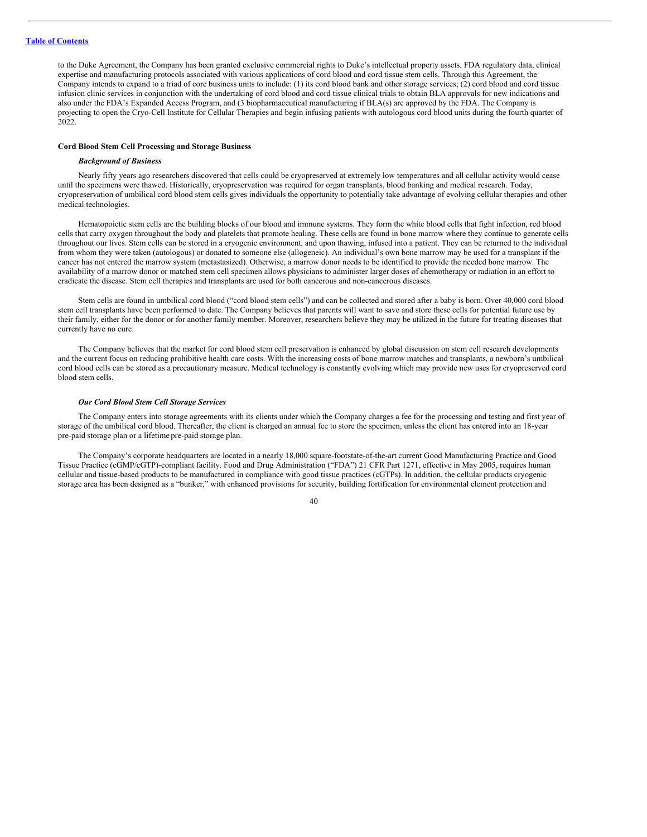to the Duke Agreement, the Company has been granted exclusive commercial rights to Duke's intellectual property assets, FDA regulatory data, clinical expertise and manufacturing protocols associated with various applications of cord blood and cord tissue stem cells. Through this Agreement, the Company intends to expand to a triad of core business units to include: (1) its cord blood bank and other storage services; (2) cord blood and cord tissue infusion clinic services in conjunction with the undertaking of cord blood and cord tissue clinical trials to obtain BLA approvals for new indications and also under the FDA's Expanded Access Program, and (3 biopharmaceutical manufacturing if BLA(s) are approved by the FDA. The Company is projecting to open the Cryo-Cell Institute for Cellular Therapies and begin infusing patients with autologous cord blood units during the fourth quarter of 2022.

# **Cord Blood Stem Cell Processing and Storage Business**

#### *Background of Business*

Nearly fifty years ago researchers discovered that cells could be cryopreserved at extremely low temperatures and all cellular activity would cease until the specimens were thawed. Historically, cryopreservation was required for organ transplants, blood banking and medical research. Today, cryopreservation of umbilical cord blood stem cells gives individuals the opportunity to potentially take advantage of evolving cellular therapies and other medical technologies.

Hematopoietic stem cells are the building blocks of our blood and immune systems. They form the white blood cells that fight infection, red blood cells that carry oxygen throughout the body and platelets that promote healing. These cells are found in bone marrow where they continue to generate cells throughout our lives. Stem cells can be stored in a cryogenic environment, and upon thawing, infused into a patient. They can be returned to the individual from whom they were taken (autologous) or donated to someone else (allogeneic). An individual's own bone marrow may be used for a transplant if the cancer has not entered the marrow system (metastasized). Otherwise, a marrow donor needs to be identified to provide the needed bone marrow. The availability of a marrow donor or matched stem cell specimen allows physicians to administer larger doses of chemotherapy or radiation in an effort to eradicate the disease. Stem cell therapies and transplants are used for both cancerous and non-cancerous diseases.

Stem cells are found in umbilical cord blood ("cord blood stem cells") and can be collected and stored after a baby is born. Over 40,000 cord blood stem cell transplants have been performed to date. The Company believes that parents will want to save and store these cells for potential future use by their family, either for the donor or for another family member. Moreover, researchers believe they may be utilized in the future for treating diseases that currently have no cure.

The Company believes that the market for cord blood stem cell preservation is enhanced by global discussion on stem cell research developments and the current focus on reducing prohibitive health care costs. With the increasing costs of bone marrow matches and transplants, a newborn's umbilical cord blood cells can be stored as a precautionary measure. Medical technology is constantly evolving which may provide new uses for cryopreserved cord blood stem cells.

### *Our Cord Blood Stem Cell Storage Services*

The Company enters into storage agreements with its clients under which the Company charges a fee for the processing and testing and first year of storage of the umbilical cord blood. Thereafter, the client is charged an annual fee to store the specimen, unless the client has entered into an 18-year pre-paid storage plan or a lifetime pre-paid storage plan.

The Company's corporate headquarters are located in a nearly 18,000 square-footstate-of-the-art current Good Manufacturing Practice and Good Tissue Practice (cGMP/cGTP)-compliant facility. Food and Drug Administration ("FDA") 21 CFR Part 1271, effective in May 2005, requires human cellular and tissue-based products to be manufactured in compliance with good tissue practices (cGTPs). In addition, the cellular products cryogenic storage area has been designed as a "bunker," with enhanced provisions for security, building fortification for environmental element protection and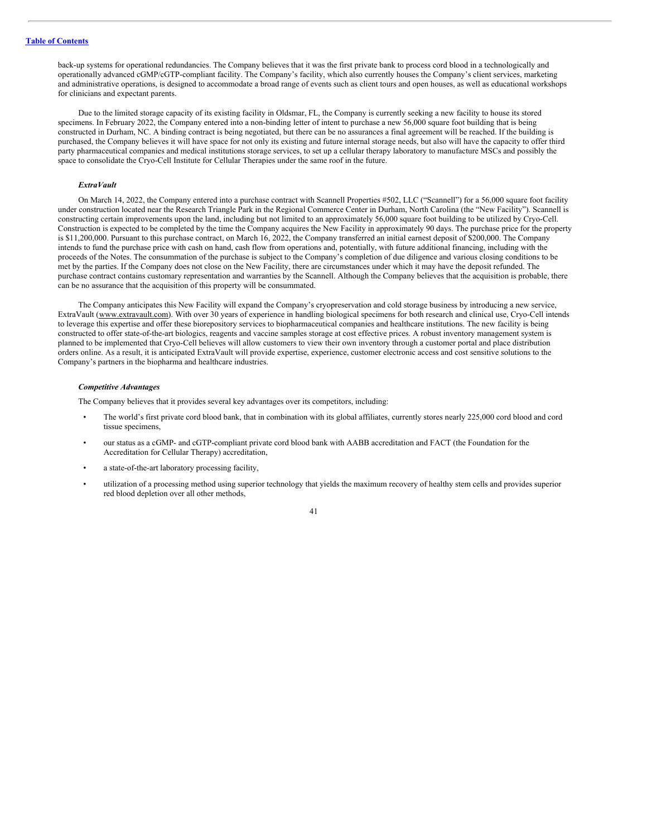back-up systems for operational redundancies. The Company believes that it was the first private bank to process cord blood in a technologically and operationally advanced cGMP/cGTP-compliant facility. The Company's facility, which also currently houses the Company's client services, marketing and administrative operations, is designed to accommodate a broad range of events such as client tours and open houses, as well as educational workshops for clinicians and expectant parents.

Due to the limited storage capacity of its existing facility in Oldsmar, FL, the Company is currently seeking a new facility to house its stored specimens. In February 2022, the Company entered into a non-binding letter of intent to purchase a new 56,000 square foot building that is being constructed in Durham, NC. A binding contract is being negotiated, but there can be no assurances a final agreement will be reached. If the building is purchased, the Company believes it will have space for not only its existing and future internal storage needs, but also will have the capacity to offer third party pharmaceutical companies and medical institutions storage services, to set up a cellular therapy laboratory to manufacture MSCs and possibly the space to consolidate the Cryo-Cell Institute for Cellular Therapies under the same roof in the future.

# *ExtraVault*

On March 14, 2022, the Company entered into a purchase contract with Scannell Properties #502, LLC ("Scannell") for a 56,000 square foot facility under construction located near the Research Triangle Park in the Regional Commerce Center in Durham, North Carolina (the "New Facility"). Scannell is constructing certain improvements upon the land, including but not limited to an approximately 56,000 square foot building to be utilized by Cryo-Cell. Construction is expected to be completed by the time the Company acquires the New Facility in approximately 90 days. The purchase price for the property is \$11,200,000. Pursuant to this purchase contract, on March 16, 2022, the Company transferred an initial earnest deposit of \$200,000. The Company intends to fund the purchase price with cash on hand, cash flow from operations and, potentially, with future additional financing, including with the proceeds of the Notes. The consummation of the purchase is subject to the Company's completion of due diligence and various closing conditions to be met by the parties. If the Company does not close on the New Facility, there are circumstances under which it may have the deposit refunded. The purchase contract contains customary representation and warranties by the Scannell. Although the Company believes that the acquisition is probable, there can be no assurance that the acquisition of this property will be consummated.

The Company anticipates this New Facility will expand the Company's cryopreservation and cold storage business by introducing a new service, ExtraVault (www.extravault.com). With over 30 years of experience in handling biological specimens for both research and clinical use, Cryo-Cell intends to leverage this expertise and offer these biorepository services to biopharmaceutical companies and healthcare institutions. The new facility is being constructed to offer state-of-the-art biologics, reagents and vaccine samples storage at cost effective prices. A robust inventory management system is planned to be implemented that Cryo-Cell believes will allow customers to view their own inventory through a customer portal and place distribution orders online. As a result, it is anticipated ExtraVault will provide expertise, experience, customer electronic access and cost sensitive solutions to the Company's partners in the biopharma and healthcare industries.

#### *Competitive Advantages*

The Company believes that it provides several key advantages over its competitors, including:

- The world's first private cord blood bank, that in combination with its global affiliates, currently stores nearly 225,000 cord blood and cord tissue specimens,
- our status as a cGMP- and cGTP-compliant private cord blood bank with AABB accreditation and FACT (the Foundation for the Accreditation for Cellular Therapy) accreditation,
- a state-of-the-art laboratory processing facility,
- utilization of a processing method using superior technology that yields the maximum recovery of healthy stem cells and provides superior red blood depletion over all other methods,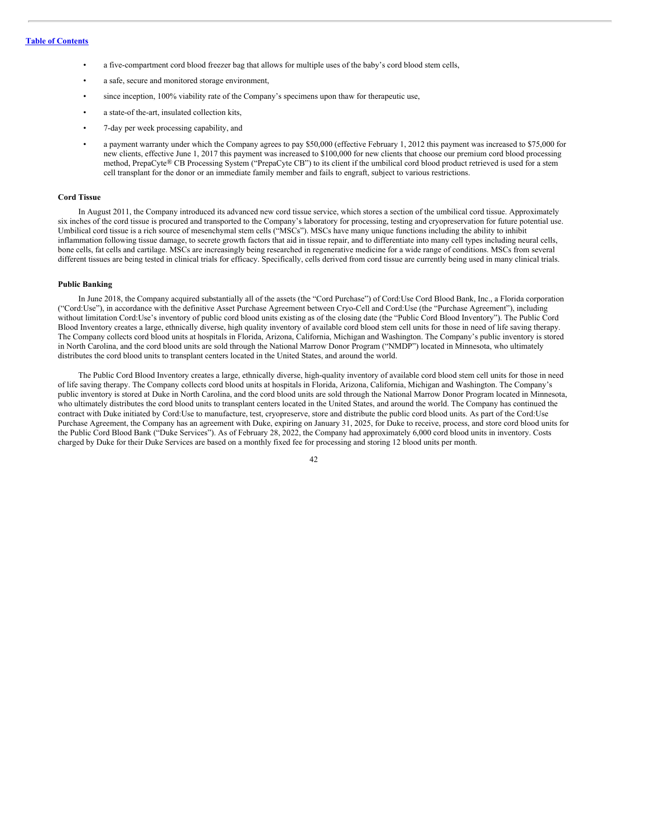- a five-compartment cord blood freezer bag that allows for multiple uses of the baby's cord blood stem cells,
- a safe, secure and monitored storage environment,
- since inception, 100% viability rate of the Company's specimens upon thaw for therapeutic use,
- a state-of the-art, insulated collection kits,
- 7-day per week processing capability, and
- a payment warranty under which the Company agrees to pay \$50,000 (effective February 1, 2012 this payment was increased to \$75,000 for new clients, effective June 1, 2017 this payment was increased to \$100,000 for new clients that choose our premium cord blood processing method, PrepaCyte® CB Processing System ("PrepaCyte CB") to its client if the umbilical cord blood product retrieved is used for a stem cell transplant for the donor or an immediate family member and fails to engraft, subject to various restrictions.

### **Cord Tissue**

In August 2011, the Company introduced its advanced new cord tissue service, which stores a section of the umbilical cord tissue. Approximately six inches of the cord tissue is procured and transported to the Company's laboratory for processing, testing and cryopreservation for future potential use. Umbilical cord tissue is a rich source of mesenchymal stem cells ("MSCs"). MSCs have many unique functions including the ability to inhibit inflammation following tissue damage, to secrete growth factors that aid in tissue repair, and to differentiate into many cell types including neural cells, bone cells, fat cells and cartilage. MSCs are increasingly being researched in regenerative medicine for a wide range of conditions. MSCs from several different tissues are being tested in clinical trials for efficacy. Specifically, cells derived from cord tissue are currently being used in many clinical trials.

### **Public Banking**

In June 2018, the Company acquired substantially all of the assets (the "Cord Purchase") of Cord:Use Cord Blood Bank, Inc., a Florida corporation ("Cord:Use"), in accordance with the definitive Asset Purchase Agreement between Cryo-Cell and Cord:Use (the "Purchase Agreement"), including without limitation Cord:Use's inventory of public cord blood units existing as of the closing date (the "Public Cord Blood Inventory"). The Public Cord Blood Inventory creates a large, ethnically diverse, high quality inventory of available cord blood stem cell units for those in need of life saving therapy. The Company collects cord blood units at hospitals in Florida, Arizona, California, Michigan and Washington. The Company's public inventory is stored in North Carolina, and the cord blood units are sold through the National Marrow Donor Program ("NMDP") located in Minnesota, who ultimately distributes the cord blood units to transplant centers located in the United States, and around the world.

The Public Cord Blood Inventory creates a large, ethnically diverse, high-quality inventory of available cord blood stem cell units for those in need of life saving therapy. The Company collects cord blood units at hospitals in Florida, Arizona, California, Michigan and Washington. The Company's public inventory is stored at Duke in North Carolina, and the cord blood units are sold through the National Marrow Donor Program located in Minnesota, who ultimately distributes the cord blood units to transplant centers located in the United States, and around the world. The Company has continued the contract with Duke initiated by Cord:Use to manufacture, test, cryopreserve, store and distribute the public cord blood units. As part of the Cord:Use Purchase Agreement, the Company has an agreement with Duke, expiring on January 31, 2025, for Duke to receive, process, and store cord blood units for the Public Cord Blood Bank ("Duke Services"). As of February 28, 2022, the Company had approximately 6,000 cord blood units in inventory. Costs charged by Duke for their Duke Services are based on a monthly fixed fee for processing and storing 12 blood units per month.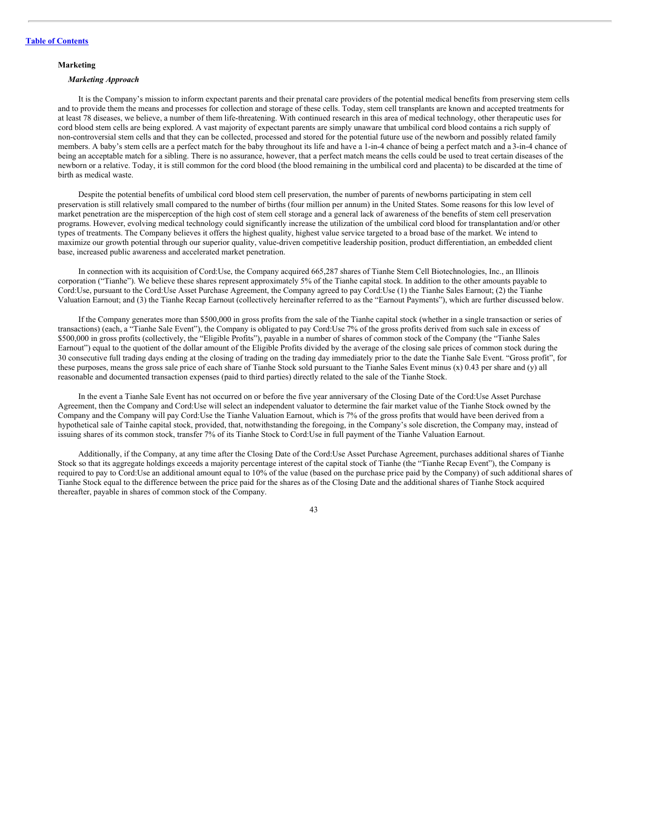# **Marketing**

### *Marketing Approach*

It is the Company's mission to inform expectant parents and their prenatal care providers of the potential medical benefits from preserving stem cells and to provide them the means and processes for collection and storage of these cells. Today, stem cell transplants are known and accepted treatments for at least 78 diseases, we believe, a number of them life-threatening. With continued research in this area of medical technology, other therapeutic uses for cord blood stem cells are being explored. A vast majority of expectant parents are simply unaware that umbilical cord blood contains a rich supply of non-controversial stem cells and that they can be collected, processed and stored for the potential future use of the newborn and possibly related family members. A baby's stem cells are a perfect match for the baby throughout its life and have a 1-in-4 chance of being a perfect match and a 3-in-4 chance of being an acceptable match for a sibling. There is no assurance, however, that a perfect match means the cells could be used to treat certain diseases of the newborn or a relative. Today, it is still common for the cord blood (the blood remaining in the umbilical cord and placenta) to be discarded at the time of birth as medical waste.

Despite the potential benefits of umbilical cord blood stem cell preservation, the number of parents of newborns participating in stem cell preservation is still relatively small compared to the number of births (four million per annum) in the United States. Some reasons for this low level of market penetration are the misperception of the high cost of stem cell storage and a general lack of awareness of the benefits of stem cell preservation programs. However, evolving medical technology could significantly increase the utilization of the umbilical cord blood for transplantation and/or other types of treatments. The Company believes it offers the highest quality, highest value service targeted to a broad base of the market. We intend to maximize our growth potential through our superior quality, value-driven competitive leadership position, product differentiation, an embedded client base, increased public awareness and accelerated market penetration.

In connection with its acquisition of Cord:Use, the Company acquired 665,287 shares of Tianhe Stem Cell Biotechnologies, Inc., an Illinois corporation ("Tianhe"). We believe these shares represent approximately 5% of the Tianhe capital stock. In addition to the other amounts payable to Cord:Use, pursuant to the Cord:Use Asset Purchase Agreement, the Company agreed to pay Cord:Use (1) the Tianhe Sales Earnout; (2) the Tianhe Valuation Earnout; and (3) the Tianhe Recap Earnout (collectively hereinafter referred to as the "Earnout Payments"), which are further discussed below.

If the Company generates more than \$500,000 in gross profits from the sale of the Tianhe capital stock (whether in a single transaction or series of transactions) (each, a "Tianhe Sale Event"), the Company is obligated to pay Cord:Use 7% of the gross profits derived from such sale in excess of \$500,000 in gross profits (collectively, the "Eligible Profits"), payable in a number of shares of common stock of the Company (the "Tianhe Sales Earnout") equal to the quotient of the dollar amount of the Eligible Profits divided by the average of the closing sale prices of common stock during the 30 consecutive full trading days ending at the closing of trading on the trading day immediately prior to the date the Tianhe Sale Event. "Gross profit", for these purposes, means the gross sale price of each share of Tianhe Stock sold pursuant to the Tianhe Sales Event minus (x) 0.43 per share and (y) all reasonable and documented transaction expenses (paid to third parties) directly related to the sale of the Tianhe Stock.

In the event a Tianhe Sale Event has not occurred on or before the five year anniversary of the Closing Date of the Cord:Use Asset Purchase Agreement, then the Company and Cord:Use will select an independent valuator to determine the fair market value of the Tianhe Stock owned by the Company and the Company will pay Cord:Use the Tianhe Valuation Earnout, which is 7% of the gross profits that would have been derived from a hypothetical sale of Tainhe capital stock, provided, that, notwithstanding the foregoing, in the Company's sole discretion, the Company may, instead of issuing shares of its common stock, transfer 7% of its Tianhe Stock to Cord:Use in full payment of the Tianhe Valuation Earnout.

Additionally, if the Company, at any time after the Closing Date of the Cord:Use Asset Purchase Agreement, purchases additional shares of Tianhe Stock so that its aggregate holdings exceeds a majority percentage interest of the capital stock of Tianhe (the "Tianhe Recap Event"), the Company is required to pay to Cord:Use an additional amount equal to 10% of the value (based on the purchase price paid by the Company) of such additional shares of Tianhe Stock equal to the difference between the price paid for the shares as of the Closing Date and the additional shares of Tianhe Stock acquired thereafter, payable in shares of common stock of the Company.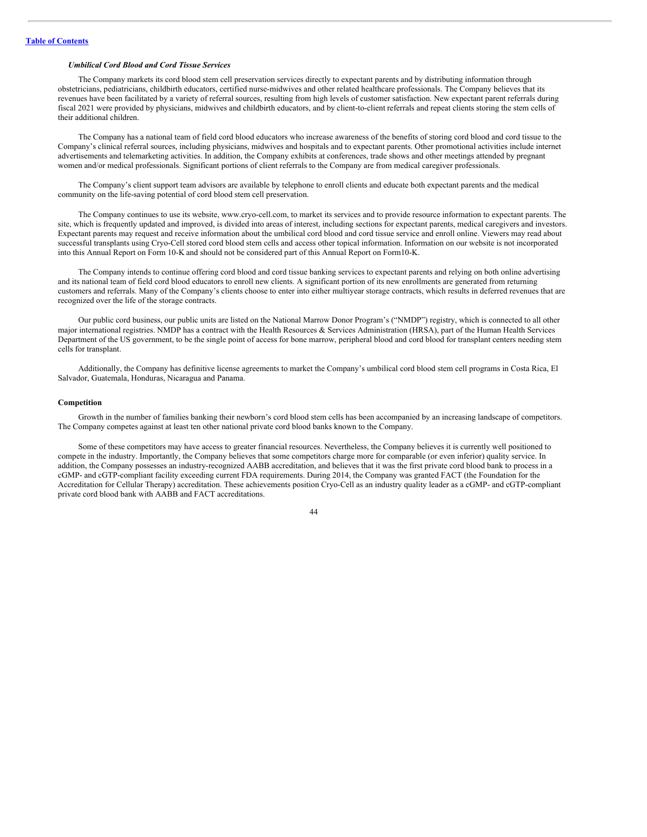# *Umbilical Cord Blood and Cord Tissue Services*

The Company markets its cord blood stem cell preservation services directly to expectant parents and by distributing information through obstetricians, pediatricians, childbirth educators, certified nurse-midwives and other related healthcare professionals. The Company believes that its revenues have been facilitated by a variety of referral sources, resulting from high levels of customer satisfaction. New expectant parent referrals during fiscal 2021 were provided by physicians, midwives and childbirth educators, and by client-to-client referrals and repeat clients storing the stem cells of their additional children.

The Company has a national team of field cord blood educators who increase awareness of the benefits of storing cord blood and cord tissue to the Company's clinical referral sources, including physicians, midwives and hospitals and to expectant parents. Other promotional activities include internet advertisements and telemarketing activities. In addition, the Company exhibits at conferences, trade shows and other meetings attended by pregnant women and/or medical professionals. Significant portions of client referrals to the Company are from medical caregiver professionals.

The Company's client support team advisors are available by telephone to enroll clients and educate both expectant parents and the medical community on the life-saving potential of cord blood stem cell preservation.

The Company continues to use its website, www.cryo-cell.com, to market its services and to provide resource information to expectant parents. The site, which is frequently updated and improved, is divided into areas of interest, including sections for expectant parents, medical caregivers and investors. Expectant parents may request and receive information about the umbilical cord blood and cord tissue service and enroll online. Viewers may read about successful transplants using Cryo-Cell stored cord blood stem cells and access other topical information. Information on our website is not incorporated into this Annual Report on Form 10-K and should not be considered part of this Annual Report on Form10-K.

The Company intends to continue offering cord blood and cord tissue banking services to expectant parents and relying on both online advertising and its national team of field cord blood educators to enroll new clients. A significant portion of its new enrollments are generated from returning customers and referrals. Many of the Company's clients choose to enter into either multiyear storage contracts, which results in deferred revenues that are recognized over the life of the storage contracts.

Our public cord business, our public units are listed on the National Marrow Donor Program's ("NMDP") registry, which is connected to all other major international registries. NMDP has a contract with the Health Resources & Services Administration (HRSA), part of the Human Health Services Department of the US government, to be the single point of access for bone marrow, peripheral blood and cord blood for transplant centers needing stem cells for transplant.

Additionally, the Company has definitive license agreements to market the Company's umbilical cord blood stem cell programs in Costa Rica, El Salvador, Guatemala, Honduras, Nicaragua and Panama.

#### **Competition**

Growth in the number of families banking their newborn's cord blood stem cells has been accompanied by an increasing landscape of competitors. The Company competes against at least ten other national private cord blood banks known to the Company.

Some of these competitors may have access to greater financial resources. Nevertheless, the Company believes it is currently well positioned to compete in the industry. Importantly, the Company believes that some competitors charge more for comparable (or even inferior) quality service. In addition, the Company possesses an industry-recognized AABB accreditation, and believes that it was the first private cord blood bank to process in a cGMP- and cGTP-compliant facility exceeding current FDA requirements. During 2014, the Company was granted FACT (the Foundation for the Accreditation for Cellular Therapy) accreditation. These achievements position Cryo-Cell as an industry quality leader as a cGMP- and cGTP-compliant private cord blood bank with AABB and FACT accreditations.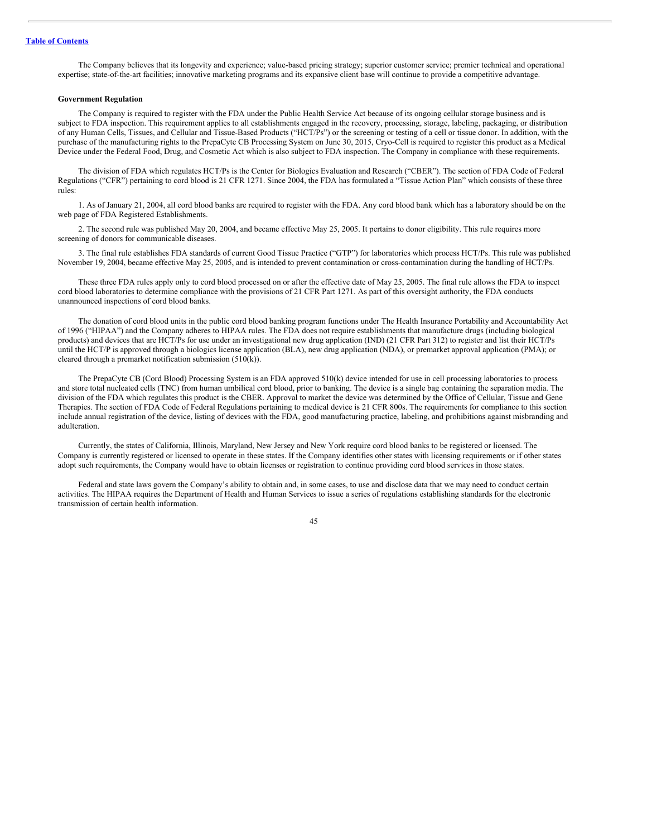The Company believes that its longevity and experience; value-based pricing strategy; superior customer service; premier technical and operational expertise; state-of-the-art facilities; innovative marketing programs and its expansive client base will continue to provide a competitive advantage.

### **Government Regulation**

The Company is required to register with the FDA under the Public Health Service Act because of its ongoing cellular storage business and is subject to FDA inspection. This requirement applies to all establishments engaged in the recovery, processing, storage, labeling, packaging, or distribution of any Human Cells, Tissues, and Cellular and Tissue-Based Products ("HCT/Ps") or the screening or testing of a cell or tissue donor. In addition, with the purchase of the manufacturing rights to the PrepaCyte CB Processing System on June 30, 2015, Cryo-Cell is required to register this product as a Medical Device under the Federal Food, Drug, and Cosmetic Act which is also subject to FDA inspection. The Company in compliance with these requirements.

The division of FDA which regulates HCT/Ps is the Center for Biologics Evaluation and Research ("CBER"). The section of FDA Code of Federal Regulations ("CFR") pertaining to cord blood is 21 CFR 1271. Since 2004, the FDA has formulated a "Tissue Action Plan" which consists of these three rules:

1. As of January 21, 2004, all cord blood banks are required to register with the FDA. Any cord blood bank which has a laboratory should be on the web page of FDA Registered Establishments.

2. The second rule was published May 20, 2004, and became effective May 25, 2005. It pertains to donor eligibility. This rule requires more screening of donors for communicable diseases.

3. The final rule establishes FDA standards of current Good Tissue Practice ("GTP") for laboratories which process HCT/Ps. This rule was published November 19, 2004, became effective May 25, 2005, and is intended to prevent contamination or cross-contamination during the handling of HCT/Ps.

These three FDA rules apply only to cord blood processed on or after the effective date of May 25, 2005. The final rule allows the FDA to inspect cord blood laboratories to determine compliance with the provisions of 21 CFR Part 1271. As part of this oversight authority, the FDA conducts unannounced inspections of cord blood banks.

The donation of cord blood units in the public cord blood banking program functions under The Health Insurance Portability and Accountability Act of 1996 ("HIPAA") and the Company adheres to HIPAA rules. The FDA does not require establishments that manufacture drugs (including biological products) and devices that are HCT/Ps for use under an investigational new drug application (IND) (21 CFR Part 312) to register and list their HCT/Ps until the HCT/P is approved through a biologics license application (BLA), new drug application (NDA), or premarket approval application (PMA); or cleared through a premarket notification submission  $(510(k))$ .

The PrepaCyte CB (Cord Blood) Processing System is an FDA approved 510(k) device intended for use in cell processing laboratories to process and store total nucleated cells (TNC) from human umbilical cord blood, prior to banking. The device is a single bag containing the separation media. The division of the FDA which regulates this product is the CBER. Approval to market the device was determined by the Office of Cellular, Tissue and Gene Therapies. The section of FDA Code of Federal Regulations pertaining to medical device is 21 CFR 800s. The requirements for compliance to this section include annual registration of the device, listing of devices with the FDA, good manufacturing practice, labeling, and prohibitions against misbranding and adulteration.

Currently, the states of California, Illinois, Maryland, New Jersey and New York require cord blood banks to be registered or licensed. The Company is currently registered or licensed to operate in these states. If the Company identifies other states with licensing requirements or if other states adopt such requirements, the Company would have to obtain licenses or registration to continue providing cord blood services in those states.

Federal and state laws govern the Company's ability to obtain and, in some cases, to use and disclose data that we may need to conduct certain activities. The HIPAA requires the Department of Health and Human Services to issue a series of regulations establishing standards for the electronic transmission of certain health information.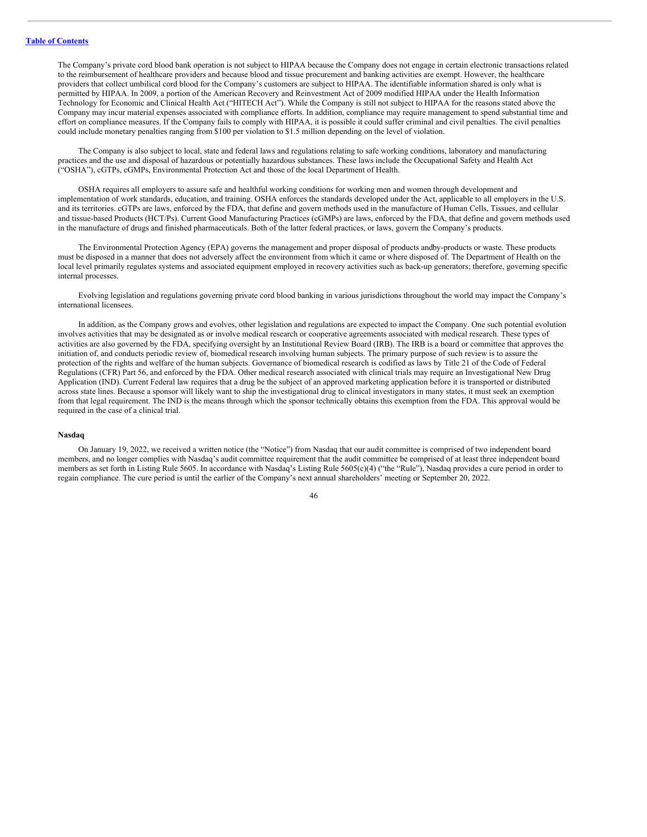The Company's private cord blood bank operation is not subject to HIPAA because the Company does not engage in certain electronic transactions related to the reimbursement of healthcare providers and because blood and tissue procurement and banking activities are exempt. However, the healthcare providers that collect umbilical cord blood for the Company's customers are subject to HIPAA. The identifiable information shared is only what is permitted by HIPAA. In 2009, a portion of the American Recovery and Reinvestment Act of 2009 modified HIPAA under the Health Information Technology for Economic and Clinical Health Act ("HITECH Act"). While the Company is still not subject to HIPAA for the reasons stated above the Company may incur material expenses associated with compliance efforts. In addition, compliance may require management to spend substantial time and effort on compliance measures. If the Company fails to comply with HIPAA, it is possible it could suffer criminal and civil penalties. The civil penalties could include monetary penalties ranging from \$100 per violation to \$1.5 million depending on the level of violation.

The Company is also subject to local, state and federal laws and regulations relating to safe working conditions, laboratory and manufacturing practices and the use and disposal of hazardous or potentially hazardous substances. These laws include the Occupational Safety and Health Act ("OSHA"), cGTPs, cGMPs, Environmental Protection Act and those of the local Department of Health.

OSHA requires all employers to assure safe and healthful working conditions for working men and women through development and implementation of work standards, education, and training. OSHA enforces the standards developed under the Act, applicable to all employers in the U.S. and its territories. cGTPs are laws, enforced by the FDA, that define and govern methods used in the manufacture of Human Cells, Tissues, and cellular and tissue-based Products (HCT/Ps). Current Good Manufacturing Practices (cGMPs) are laws, enforced by the FDA, that define and govern methods used in the manufacture of drugs and finished pharmaceuticals. Both of the latter federal practices, or laws, govern the Company's products.

The Environmental Protection Agency (EPA) governs the management and proper disposal of products andby-products or waste. These products must be disposed in a manner that does not adversely affect the environment from which it came or where disposed of. The Department of Health on the local level primarily regulates systems and associated equipment employed in recovery activities such as back-up generators; therefore, governing specific internal processes.

Evolving legislation and regulations governing private cord blood banking in various jurisdictions throughout the world may impact the Company's international licensees.

In addition, as the Company grows and evolves, other legislation and regulations are expected to impact the Company. One such potential evolution involves activities that may be designated as or involve medical research or cooperative agreements associated with medical research. These types of activities are also governed by the FDA, specifying oversight by an Institutional Review Board (IRB). The IRB is a board or committee that approves the initiation of, and conducts periodic review of, biomedical research involving human subjects. The primary purpose of such review is to assure the protection of the rights and welfare of the human subjects. Governance of biomedical research is codified as laws by Title 21 of the Code of Federal Regulations (CFR) Part 56, and enforced by the FDA. Other medical research associated with clinical trials may require an Investigational New Drug Application (IND). Current Federal law requires that a drug be the subject of an approved marketing application before it is transported or distributed across state lines. Because a sponsor will likely want to ship the investigational drug to clinical investigators in many states, it must seek an exemption from that legal requirement. The IND is the means through which the sponsor technically obtains this exemption from the FDA. This approval would be required in the case of a clinical trial.

# **Nasdaq**

On January 19, 2022, we received a written notice (the "Notice") from Nasdaq that our audit committee is comprised of two independent board members, and no longer complies with Nasdaq's audit committee requirement that the audit committee be comprised of at least three independent board members as set forth in Listing Rule 5605. In accordance with Nasdaq's Listing Rule 5605(c)(4) ("the "Rule"), Nasdaq provides a cure period in order to regain compliance. The cure period is until the earlier of the Company's next annual shareholders' meeting or September 20, 2022.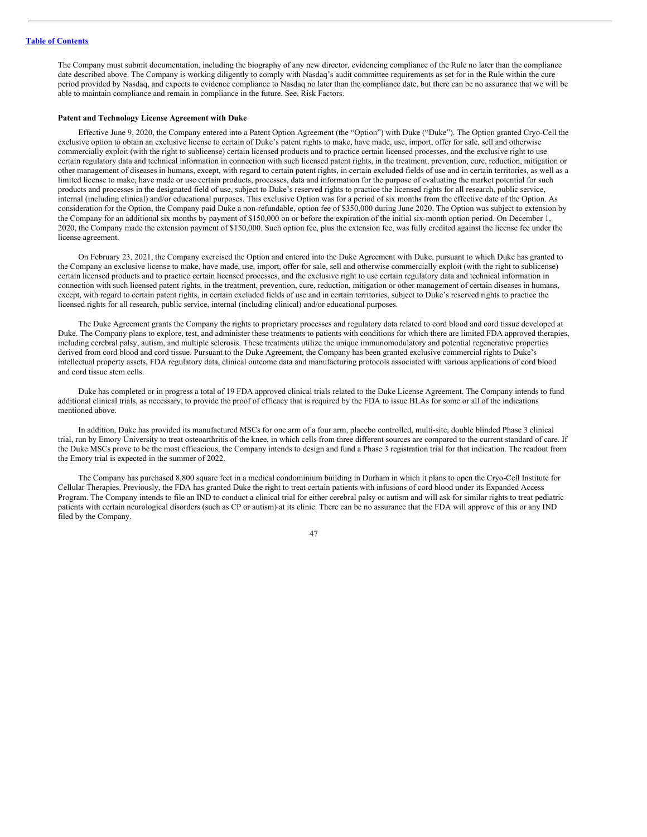The Company must submit documentation, including the biography of any new director, evidencing compliance of the Rule no later than the compliance date described above. The Company is working diligently to comply with Nasdaq's audit committee requirements as set for in the Rule within the cure period provided by Nasdaq, and expects to evidence compliance to Nasdaq no later than the compliance date, but there can be no assurance that we will be able to maintain compliance and remain in compliance in the future. See, Risk Factors.

### **Patent and Technology License Agreement with Duke**

Effective June 9, 2020, the Company entered into a Patent Option Agreement (the "Option") with Duke ("Duke"). The Option granted Cryo-Cell the exclusive option to obtain an exclusive license to certain of Duke's patent rights to make, have made, use, import, offer for sale, sell and otherwise commercially exploit (with the right to sublicense) certain licensed products and to practice certain licensed processes, and the exclusive right to use certain regulatory data and technical information in connection with such licensed patent rights, in the treatment, prevention, cure, reduction, mitigation or other management of diseases in humans, except, with regard to certain patent rights, in certain excluded fields of use and in certain territories, as well as a limited license to make, have made or use certain products, processes, data and information for the purpose of evaluating the market potential for such products and processes in the designated field of use, subject to Duke's reserved rights to practice the licensed rights for all research, public service, internal (including clinical) and/or educational purposes. This exclusive Option was for a period of six months from the effective date of the Option. As consideration for the Option, the Company paid Duke a non-refundable, option fee of \$350,000 during June 2020. The Option was subject to extension by the Company for an additional six months by payment of \$150,000 on or before the expiration of the initial six-month option period. On December 1, 2020, the Company made the extension payment of \$150,000. Such option fee, plus the extension fee, was fully credited against the license fee under the license agreement.

On February 23, 2021, the Company exercised the Option and entered into the Duke Agreement with Duke, pursuant to which Duke has granted to the Company an exclusive license to make, have made, use, import, offer for sale, sell and otherwise commercially exploit (with the right to sublicense) certain licensed products and to practice certain licensed processes, and the exclusive right to use certain regulatory data and technical information in connection with such licensed patent rights, in the treatment, prevention, cure, reduction, mitigation or other management of certain diseases in humans, except, with regard to certain patent rights, in certain excluded fields of use and in certain territories, subject to Duke's reserved rights to practice the licensed rights for all research, public service, internal (including clinical) and/or educational purposes.

The Duke Agreement grants the Company the rights to proprietary processes and regulatory data related to cord blood and cord tissue developed at Duke. The Company plans to explore, test, and administer these treatments to patients with conditions for which there are limited FDA approved therapies, including cerebral palsy, autism, and multiple sclerosis. These treatments utilize the unique immunomodulatory and potential regenerative properties derived from cord blood and cord tissue. Pursuant to the Duke Agreement, the Company has been granted exclusive commercial rights to Duke's intellectual property assets, FDA regulatory data, clinical outcome data and manufacturing protocols associated with various applications of cord blood and cord tissue stem cells.

Duke has completed or in progress a total of 19 FDA approved clinical trials related to the Duke License Agreement. The Company intends to fund additional clinical trials, as necessary, to provide the proof of efficacy that is required by the FDA to issue BLAs for some or all of the indications mentioned above.

In addition, Duke has provided its manufactured MSCs for one arm of a four arm, placebo controlled, multi-site, double blinded Phase 3 clinical trial, run by Emory University to treat osteoarthritis of the knee, in which cells from three different sources are compared to the current standard of care. If the Duke MSCs prove to be the most efficacious, the Company intends to design and fund a Phase 3 registration trial for that indication. The readout from the Emory trial is expected in the summer of 2022.

The Company has purchased 8,800 square feet in a medical condominium building in Durham in which it plans to open the Cryo-Cell Institute for Cellular Therapies. Previously, the FDA has granted Duke the right to treat certain patients with infusions of cord blood under its Expanded Access Program. The Company intends to file an IND to conduct a clinical trial for either cerebral palsy or autism and will ask for similar rights to treat pediatric patients with certain neurological disorders (such as CP or autism) at its clinic. There can be no assurance that the FDA will approve of this or any IND filed by the Company.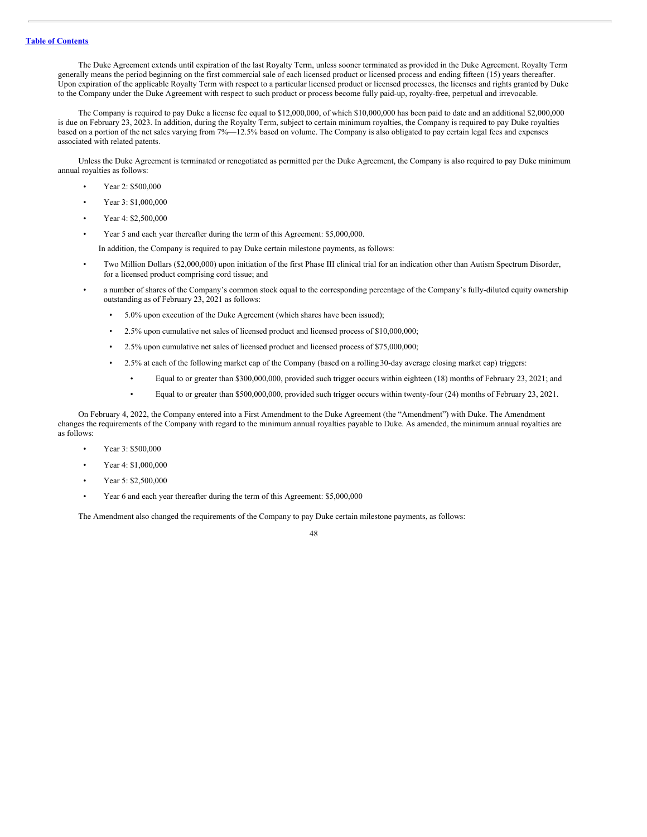The Duke Agreement extends until expiration of the last Royalty Term, unless sooner terminated as provided in the Duke Agreement. Royalty Term generally means the period beginning on the first commercial sale of each licensed product or licensed process and ending fifteen (15) years thereafter. Upon expiration of the applicable Royalty Term with respect to a particular licensed product or licensed processes, the licenses and rights granted by Duke to the Company under the Duke Agreement with respect to such product or process become fully paid-up, royalty-free, perpetual and irrevocable.

The Company is required to pay Duke a license fee equal to \$12,000,000, of which \$10,000,000 has been paid to date and an additional \$2,000,000 is due on February 23, 2023. In addition, during the Royalty Term, subject to certain minimum royalties, the Company is required to pay Duke royalties based on a portion of the net sales varying from 7%—12.5% based on volume. The Company is also obligated to pay certain legal fees and expenses associated with related patents.

Unless the Duke Agreement is terminated or renegotiated as permitted per the Duke Agreement, the Company is also required to pay Duke minimum annual royalties as follows:

- Year 2: \$500,000
- Year 3: \$1,000,000
- Year 4: \$2,500,000
- Year 5 and each year thereafter during the term of this Agreement: \$5,000,000.

In addition, the Company is required to pay Duke certain milestone payments, as follows:

- Two Million Dollars (\$2,000,000) upon initiation of the first Phase III clinical trial for an indication other than Autism Spectrum Disorder, for a licensed product comprising cord tissue; and
- a number of shares of the Company's common stock equal to the corresponding percentage of the Company's fully-diluted equity ownership outstanding as of February 23, 2021 as follows:
	- 5.0% upon execution of the Duke Agreement (which shares have been issued);
	- 2.5% upon cumulative net sales of licensed product and licensed process of \$10,000,000;
	- 2.5% upon cumulative net sales of licensed product and licensed process of \$75,000,000;
	- 2.5% at each of the following market cap of the Company (based on a rolling30-day average closing market cap) triggers:
		- Equal to or greater than \$300,000,000, provided such trigger occurs within eighteen (18) months of February 23, 2021; and
		- Equal to or greater than \$500,000,000, provided such trigger occurs within twenty-four (24) months of February 23, 2021.

On February 4, 2022, the Company entered into a First Amendment to the Duke Agreement (the "Amendment") with Duke. The Amendment changes the requirements of the Company with regard to the minimum annual royalties payable to Duke. As amended, the minimum annual royalties are as follows:

- Year 3: \$500,000
- Year 4: \$1,000,000
- Year 5: \$2,500,000
- Year 6 and each year thereafter during the term of this Agreement: \$5,000,000

The Amendment also changed the requirements of the Company to pay Duke certain milestone payments, as follows: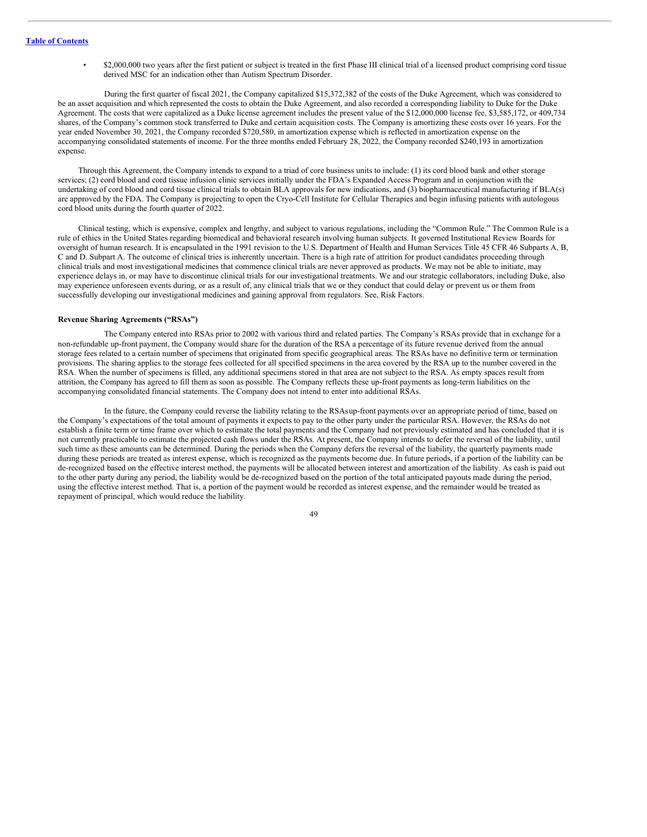• \$2,000,000 two years after the first patient or subject is treated in the first Phase III clinical trial of a licensed product comprising cord tissue derived MSC for an indication other than Autism Spectrum Disorder.

During the first quarter of fiscal 2021, the Company capitalized \$15,372,382 of the costs of the Duke Agreement, which was considered to be an asset acquisition and which represented the costs to obtain the Duke Agreement, and also recorded a corresponding liability to Duke for the Duke Agreement. The costs that were capitalized as a Duke license agreement includes the present value of the \$12,000,000 license fee, \$3,585,172, or 409,734 shares, of the Company's common stock transferred to Duke and certain acquisition costs. The Company is amortizing these costs over 16 years. For the year ended November 30, 2021, the Company recorded \$720,580, in amortization expense which is reflected in amortization expense on the accompanying consolidated statements of income. For the three months ended February 28, 2022, the Company recorded \$240,193 in amortization expense.

Through this Agreement, the Company intends to expand to a triad of core business units to include: (1) its cord blood bank and other storage services; (2) cord blood and cord tissue infusion clinic services initially under the FDA's Expanded Access Program and in conjunction with the undertaking of cord blood and cord tissue clinical trials to obtain BLA approvals for new indications, and (3) biopharmaceutical manufacturing if BLA(s) are approved by the FDA. The Company is projecting to open the Cryo-Cell Institute for Cellular Therapies and begin infusing patients with autologous cord blood units during the fourth quarter of 2022.

Clinical testing, which is expensive, complex and lengthy, and subject to various regulations, including the "Common Rule." The Common Rule is a rule of ethics in the United States regarding biomedical and behavioral research involving human subjects. It governed Institutional Review Boards for oversight of human research. It is encapsulated in the 1991 revision to the U.S. Department of Health and Human Services Title 45 CFR 46 Subparts A, B, C and D. Subpart A. The outcome of clinical tries is inherently uncertain. There is a high rate of attrition for product candidates proceeding through clinical trials and most investigational medicines that commence clinical trials are never approved as products. We may not be able to initiate, may experience delays in, or may have to discontinue clinical trials for our investigational treatments. We and our strategic collaborators, including Duke, also may experience unforeseen events during, or as a result of, any clinical trials that we or they conduct that could delay or prevent us or them from successfully developing our investigational medicines and gaining approval from regulators. See, Risk Factors.

## **Revenue Sharing Agreements ("RSAs")**

The Company entered into RSAs prior to 2002 with various third and related parties. The Company's RSAs provide that in exchange for a non-refundable up-front payment, the Company would share for the duration of the RSA a percentage of its future revenue derived from the annual storage fees related to a certain number of specimens that originated from specific geographical areas. The RSAs have no definitive term or termination provisions. The sharing applies to the storage fees collected for all specified specimens in the area covered by the RSA up to the number covered in the RSA. When the number of specimens is filled, any additional specimens stored in that area are not subject to the RSA. As empty spaces result from attrition, the Company has agreed to fill them as soon as possible. The Company reflects these up-front payments as long-term liabilities on the accompanying consolidated financial statements. The Company does not intend to enter into additional RSAs.

In the future, the Company could reverse the liability relating to the RSAsup-front payments over an appropriate period of time, based on the Company's expectations of the total amount of payments it expects to pay to the other party under the particular RSA. However, the RSAs do not establish a finite term or time frame over which to estimate the total payments and the Company had not previously estimated and has concluded that it is not currently practicable to estimate the projected cash flows under the RSAs. At present, the Company intends to defer the reversal of the liability, until such time as these amounts can be determined. During the periods when the Company defers the reversal of the liability, the quarterly payments made during these periods are treated as interest expense, which is recognized as the payments become due. In future periods, if a portion of the liability can be de-recognized based on the effective interest method, the payments will be allocated between interest and amortization of the liability. As cash is paid out to the other party during any period, the liability would be de-recognized based on the portion of the total anticipated payouts made during the period, using the effective interest method. That is, a portion of the payment would be recorded as interest expense, and the remainder would be treated as repayment of principal, which would reduce the liability.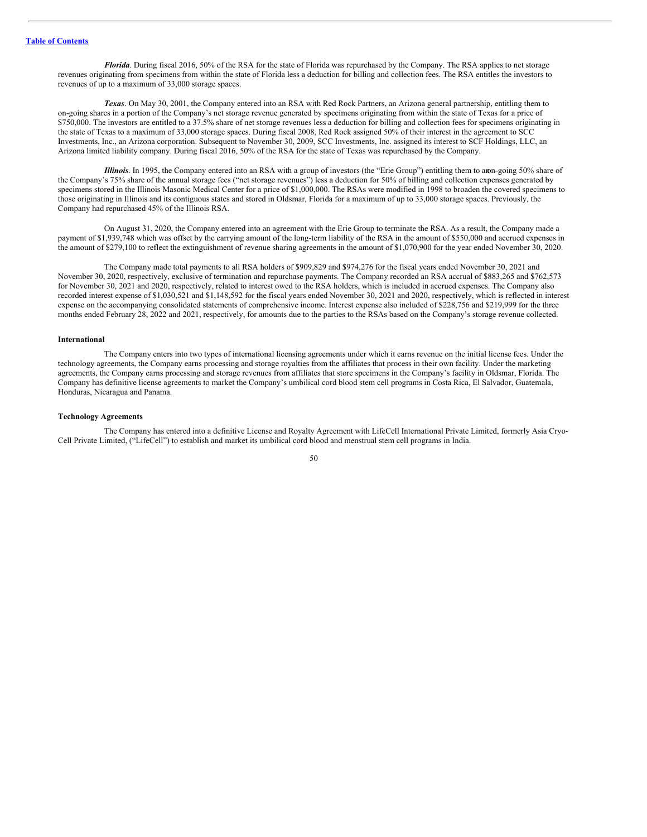*Florida*. During fiscal 2016, 50% of the RSA for the state of Florida was repurchased by the Company. The RSA applies to net storage revenues originating from specimens from within the state of Florida less a deduction for billing and collection fees. The RSA entitles the investors to revenues of up to a maximum of 33,000 storage spaces.

*Texas*. On May 30, 2001, the Company entered into an RSA with Red Rock Partners, an Arizona general partnership, entitling them to on-going shares in a portion of the Company's net storage revenue generated by specimens originating from within the state of Texas for a price of \$750,000. The investors are entitled to a 37.5% share of net storage revenues less a deduction for billing and collection fees for specimens originating in the state of Texas to a maximum of 33,000 storage spaces. During fiscal 2008, Red Rock assigned 50% of their interest in the agreement to SCC Investments, Inc., an Arizona corporation. Subsequent to November 30, 2009, SCC Investments, Inc. assigned its interest to SCF Holdings, LLC, an Arizona limited liability company. During fiscal 2016, 50% of the RSA for the state of Texas was repurchased by the Company.

*Illinois*. In 1995, the Company entered into an RSA with a group of investors (the "Erie Group") entitling them to anon-going 50% share of the Company's 75% share of the annual storage fees ("net storage revenues") less a deduction for 50% of billing and collection expenses generated by specimens stored in the Illinois Masonic Medical Center for a price of \$1,000,000. The RSAs were modified in 1998 to broaden the covered specimens to those originating in Illinois and its contiguous states and stored in Oldsmar, Florida for a maximum of up to 33,000 storage spaces. Previously, the Company had repurchased 45% of the Illinois RSA.

On August 31, 2020, the Company entered into an agreement with the Erie Group to terminate the RSA. As a result, the Company made a payment of \$1,939,748 which was offset by the carrying amount of the long-term liability of the RSA in the amount of \$550,000 and accrued expenses in the amount of \$279,100 to reflect the extinguishment of revenue sharing agreements in the amount of \$1,070,900 for the year ended November 30, 2020.

The Company made total payments to all RSA holders of \$909,829 and \$974,276 for the fiscal years ended November 30, 2021 and November 30, 2020, respectively, exclusive of termination and repurchase payments. The Company recorded an RSA accrual of \$883,265 and \$762,573 for November 30, 2021 and 2020, respectively, related to interest owed to the RSA holders, which is included in accrued expenses. The Company also recorded interest expense of \$1,030,521 and \$1,148,592 for the fiscal years ended November 30, 2021 and 2020, respectively, which is reflected in interest expense on the accompanying consolidated statements of comprehensive income. Interest expense also included of \$228,756 and \$219,999 for the three months ended February 28, 2022 and 2021, respectively, for amounts due to the parties to the RSAs based on the Company's storage revenue collected.

#### **International**

The Company enters into two types of international licensing agreements under which it earns revenue on the initial license fees. Under the technology agreements, the Company earns processing and storage royalties from the affiliates that process in their own facility. Under the marketing agreements, the Company earns processing and storage revenues from affiliates that store specimens in the Company's facility in Oldsmar, Florida. The Company has definitive license agreements to market the Company's umbilical cord blood stem cell programs in Costa Rica, El Salvador, Guatemala, Honduras, Nicaragua and Panama.

## **Technology Agreements**

The Company has entered into a definitive License and Royalty Agreement with LifeCell International Private Limited, formerly Asia Cryo-Cell Private Limited, ("LifeCell") to establish and market its umbilical cord blood and menstrual stem cell programs in India.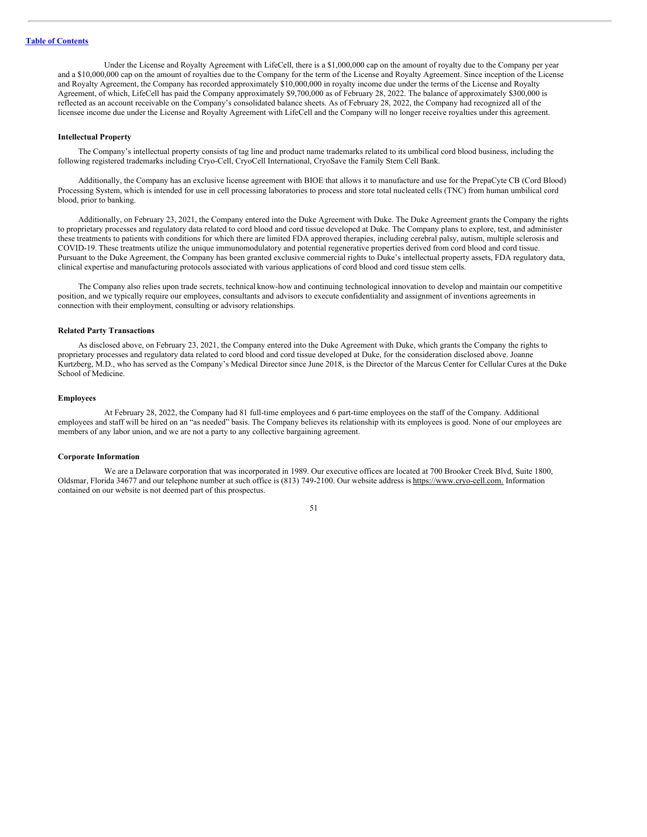Under the License and Royalty Agreement with LifeCell, there is a \$1,000,000 cap on the amount of royalty due to the Company per year and a \$10,000,000 cap on the amount of royalties due to the Company for the term of the License and Royalty Agreement. Since inception of the License and Royalty Agreement, the Company has recorded approximately \$10,000,000 in royalty income due under the terms of the License and Royalty Agreement, of which, LifeCell has paid the Company approximately \$9,700,000 as of February 28, 2022. The balance of approximately \$300,000 is reflected as an account receivable on the Company's consolidated balance sheets. As of February 28, 2022, the Company had recognized all of the licensee income due under the License and Royalty Agreement with LifeCell and the Company will no longer receive royalties under this agreement.

#### **Intellectual Property**

The Company's intellectual property consists of tag line and product name trademarks related to its umbilical cord blood business, including the following registered trademarks including Cryo-Cell, CryoCell International, CryoSave the Family Stem Cell Bank.

Additionally, the Company has an exclusive license agreement with BIOE that allows it to manufacture and use for the PrepaCyte CB (Cord Blood) Processing System, which is intended for use in cell processing laboratories to process and store total nucleated cells (TNC) from human umbilical cord blood, prior to banking.

Additionally, on February 23, 2021, the Company entered into the Duke Agreement with Duke. The Duke Agreement grants the Company the rights to proprietary processes and regulatory data related to cord blood and cord tissue developed at Duke. The Company plans to explore, test, and administer these treatments to patients with conditions for which there are limited FDA approved therapies, including cerebral palsy, autism, multiple sclerosis and COVID-19. These treatments utilize the unique immunomodulatory and potential regenerative properties derived from cord blood and cord tissue. Pursuant to the Duke Agreement, the Company has been granted exclusive commercial rights to Duke's intellectual property assets, FDA regulatory data, clinical expertise and manufacturing protocols associated with various applications of cord blood and cord tissue stem cells.

The Company also relies upon trade secrets, technical know-how and continuing technological innovation to develop and maintain our competitive position, and we typically require our employees, consultants and advisors to execute confidentiality and assignment of inventions agreements in connection with their employment, consulting or advisory relationships.

### **Related Party Transactions**

As disclosed above, on February 23, 2021, the Company entered into the Duke Agreement with Duke, which grants the Company the rights to proprietary processes and regulatory data related to cord blood and cord tissue developed at Duke, for the consideration disclosed above. Joanne Kurtzberg, M.D., who has served as the Company's Medical Director since June 2018, is the Director of the Marcus Center for Cellular Cures at the Duke School of Medicine.

#### **Employees**

At February 28, 2022, the Company had 81 full-time employees and 6 part-time employees on the staff of the Company. Additional employees and staff will be hired on an "as needed" basis. The Company believes its relationship with its employees is good. None of our employees are members of any labor union, and we are not a party to any collective bargaining agreement.

#### **Corporate Information**

We are a Delaware corporation that was incorporated in 1989. Our executive offices are located at 700 Brooker Creek Blvd, Suite 1800, Oldsmar, Florida 34677 and our telephone number at such office is (813) 749-2100. Our website address is https://www.cryo-cell.com. Information contained on our website is not deemed part of this prospectus.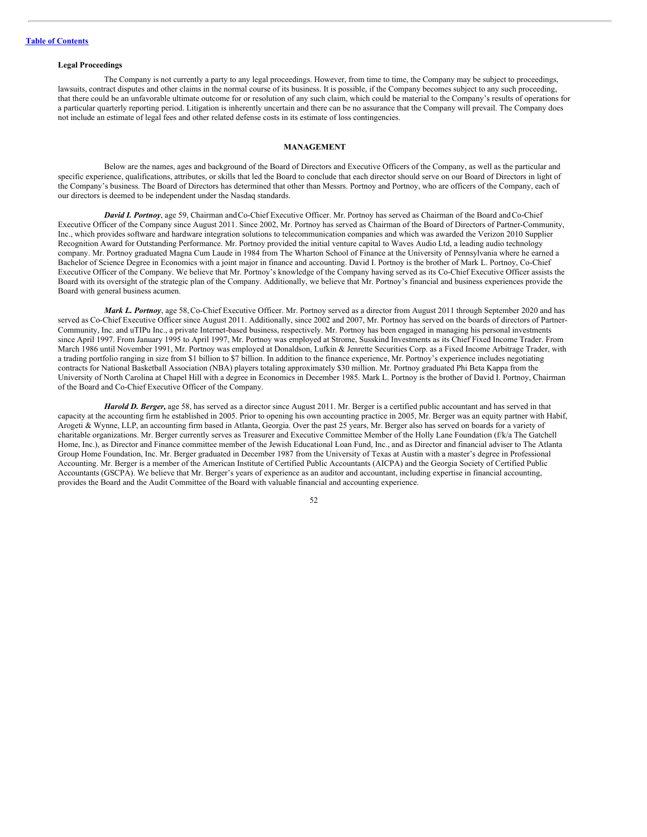### **Legal Proceedings**

The Company is not currently a party to any legal proceedings. However, from time to time, the Company may be subject to proceedings, lawsuits, contract disputes and other claims in the normal course of its business. It is possible, if the Company becomes subject to any such proceeding, that there could be an unfavorable ultimate outcome for or resolution of any such claim, which could be material to the Company's results of operations for a particular quarterly reporting period. Litigation is inherently uncertain and there can be no assurance that the Company will prevail. The Company does not include an estimate of legal fees and other related defense costs in its estimate of loss contingencies.

### **MANAGEMENT**

Below are the names, ages and background of the Board of Directors and Executive Officers of the Company, as well as the particular and specific experience, qualifications, attributes, or skills that led the Board to conclude that each director should serve on our Board of Directors in light of the Company's business. The Board of Directors has determined that other than Messrs. Portnoy and Portnoy, who are officers of the Company, each of our directors is deemed to be independent under the Nasdaq standards.

*David I. Portnoy*, age 59, Chairman andCo-Chief Executive Officer. Mr. Portnoy has served as Chairman of the Board andCo-Chief Executive Officer of the Company since August 2011. Since 2002, Mr. Portnoy has served as Chairman of the Board of Directors of Partner-Community, Inc., which provides software and hardware integration solutions to telecommunication companies and which was awarded the Verizon 2010 Supplier Recognition Award for Outstanding Performance. Mr. Portnoy provided the initial venture capital to Waves Audio Ltd, a leading audio technology company. Mr. Portnoy graduated Magna Cum Laude in 1984 from The Wharton School of Finance at the University of Pennsylvania where he earned a Bachelor of Science Degree in Economics with a joint major in finance and accounting. David I. Portnoy is the brother of Mark L. Portnoy, Co-Chief Executive Officer of the Company. We believe that Mr. Portnoy's knowledge of the Company having served as its Co-Chief Executive Officer assists the Board with its oversight of the strategic plan of the Company. Additionally, we believe that Mr. Portnoy's financial and business experiences provide the Board with general business acumen.

*Mark L. Portnoy*, age 58,Co-Chief Executive Officer. Mr. Portnoy served as a director from August 2011 through September 2020 and has served as Co-Chief Executive Officer since August 2011. Additionally, since 2002 and 2007, Mr. Portnoy has served on the boards of directors of Partner-Community, Inc. and uTIPu Inc., a private Internet-based business, respectively. Mr. Portnoy has been engaged in managing his personal investments since April 1997. From January 1995 to April 1997, Mr. Portnoy was employed at Strome, Susskind Investments as its Chief Fixed Income Trader. From March 1986 until November 1991, Mr. Portnoy was employed at Donaldson, Lufkin & Jenrette Securities Corp. as a Fixed Income Arbitrage Trader, with a trading portfolio ranging in size from \$1 billion to \$7 billion. In addition to the finance experience, Mr. Portnoy's experience includes negotiating contracts for National Basketball Association (NBA) players totaling approximately \$30 million. Mr. Portnoy graduated Phi Beta Kappa from the University of North Carolina at Chapel Hill with a degree in Economics in December 1985. Mark L. Portnoy is the brother of David I. Portnoy, Chairman of the Board and Co-Chief Executive Officer of the Company.

*Harold D. Berger,* age 58, has served as a director since August 2011. Mr. Berger is a certified public accountant and has served in that capacity at the accounting firm he established in 2005. Prior to opening his own accounting practice in 2005, Mr. Berger was an equity partner with Habif, Arogeti & Wynne, LLP, an accounting firm based in Atlanta, Georgia. Over the past 25 years, Mr. Berger also has served on boards for a variety of charitable organizations. Mr. Berger currently serves as Treasurer and Executive Committee Member of the Holly Lane Foundation (f/k/a The Gatchell Home, Inc.), as Director and Finance committee member of the Jewish Educational Loan Fund, Inc., and as Director and financial adviser to The Atlanta Group Home Foundation, Inc. Mr. Berger graduated in December 1987 from the University of Texas at Austin with a master's degree in Professional Accounting. Mr. Berger is a member of the American Institute of Certified Public Accountants (AICPA) and the Georgia Society of Certified Public Accountants (GSCPA). We believe that Mr. Berger's years of experience as an auditor and accountant, including expertise in financial accounting, provides the Board and the Audit Committee of the Board with valuable financial and accounting experience.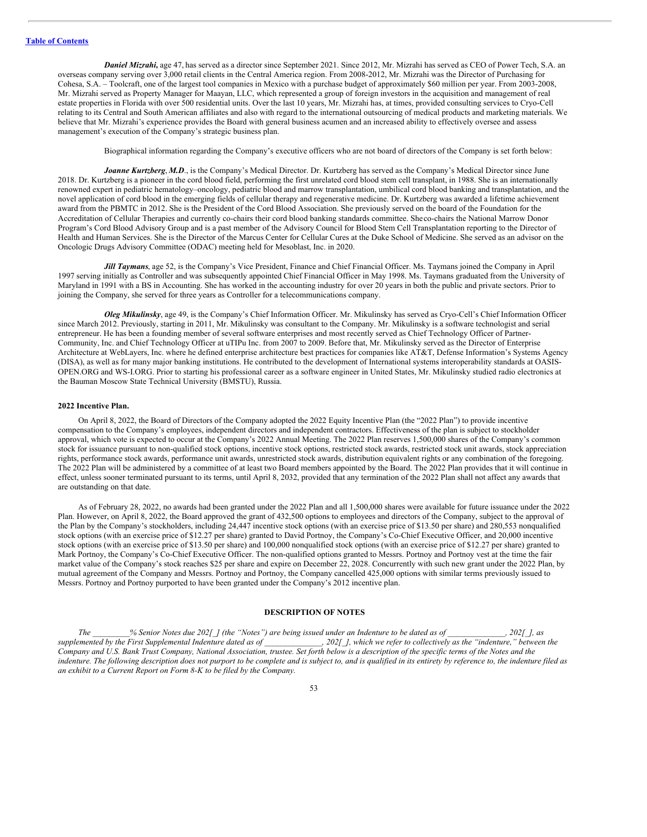*Daniel Mizrahi,* age 47, has served as a director since September 2021. Since 2012, Mr. Mizrahi has served as CEO of Power Tech, S.A. an overseas company serving over 3,000 retail clients in the Central America region. From 2008-2012, Mr. Mizrahi was the Director of Purchasing for Cohesa, S.A. – Toolcraft, one of the largest tool companies in Mexico with a purchase budget of approximately \$60 million per year. From 2003-2008, Mr. Mizrahi served as Property Manager for Maayan, LLC, which represented a group of foreign investors in the acquisition and management of real estate properties in Florida with over 500 residential units. Over the last 10 years, Mr. Mizrahi has, at times, provided consulting services to Cryo-Cell relating to its Central and South American affiliates and also with regard to the international outsourcing of medical products and marketing materials. We believe that Mr. Mizrahi's experience provides the Board with general business acumen and an increased ability to effectively oversee and assess management's execution of the Company's strategic business plan.

Biographical information regarding the Company's executive officers who are not board of directors of the Company is set forth below:

*Joanne Kurtzberg*, *M.D*., is the Company's Medical Director. Dr. Kurtzberg has served as the Company's Medical Director since June 2018. Dr. Kurtzberg is a pioneer in the cord blood field, performing the first unrelated cord blood stem cell transplant, in 1988. She is an internationally renowned expert in pediatric hematology–oncology, pediatric blood and marrow transplantation, umbilical cord blood banking and transplantation, and the novel application of cord blood in the emerging fields of cellular therapy and regenerative medicine. Dr. Kurtzberg was awarded a lifetime achievement award from the PBMTC in 2012. She is the President of the Cord Blood Association. She previously served on the board of the Foundation for the Accreditation of Cellular Therapies and currently co-chairs their cord blood banking standards committee. Sheco-chairs the National Marrow Donor Program's Cord Blood Advisory Group and is a past member of the Advisory Council for Blood Stem Cell Transplantation reporting to the Director of Health and Human Services. She is the Director of the Marcus Center for Cellular Cures at the Duke School of Medicine. She served as an advisor on the Oncologic Drugs Advisory Committee (ODAC) meeting held for Mesoblast, Inc. in 2020.

*Jill Taymans*, age 52, is the Company's Vice President, Finance and Chief Financial Officer. Ms. Taymans joined the Company in April 1997 serving initially as Controller and was subsequently appointed Chief Financial Officer in May 1998. Ms. Taymans graduated from the University of Maryland in 1991 with a BS in Accounting. She has worked in the accounting industry for over 20 years in both the public and private sectors. Prior to joining the Company, she served for three years as Controller for a telecommunications company.

*Oleg Mikulinsky*, age 49, is the Company's Chief Information Officer. Mr. Mikulinsky has served as Cryo-Cell's Chief Information Officer since March 2012. Previously, starting in 2011, Mr. Mikulinsky was consultant to the Company. Mr. Mikulinsky is a software technologist and serial entrepreneur. He has been a founding member of several software enterprises and most recently served as Chief Technology Officer of Partner-Community, Inc. and Chief Technology Officer at uTIPu Inc. from 2007 to 2009. Before that, Mr. Mikulinsky served as the Director of Enterprise Architecture at WebLayers, Inc. where he defined enterprise architecture best practices for companies like AT&T, Defense Information's Systems Agency (DISA), as well as for many major banking institutions. He contributed to the development of International systems interoperability standards at OASIS-OPEN.ORG and WS-I.ORG. Prior to starting his professional career as a software engineer in United States, Mr. Mikulinsky studied radio electronics at the Bauman Moscow State Technical University (BMSTU), Russia.

#### **2022 Incentive Plan.**

On April 8, 2022, the Board of Directors of the Company adopted the 2022 Equity Incentive Plan (the "2022 Plan") to provide incentive compensation to the Company's employees, independent directors and independent contractors. Effectiveness of the plan is subject to stockholder approval, which vote is expected to occur at the Company's 2022 Annual Meeting. The 2022 Plan reserves 1,500,000 shares of the Company's common stock for issuance pursuant to non-qualified stock options, incentive stock options, restricted stock awards, restricted stock unit awards, stock appreciation rights, performance stock awards, performance unit awards, unrestricted stock awards, distribution equivalent rights or any combination of the foregoing. The 2022 Plan will be administered by a committee of at least two Board members appointed by the Board. The 2022 Plan provides that it will continue in effect, unless sooner terminated pursuant to its terms, until April 8, 2032, provided that any termination of the 2022 Plan shall not affect any awards that are outstanding on that date.

As of February 28, 2022, no awards had been granted under the 2022 Plan and all 1,500,000 shares were available for future issuance under the 2022 Plan. However, on April 8, 2022, the Board approved the grant of 432,500 options to employees and directors of the Company, subject to the approval of the Plan by the Company's stockholders, including 24,447 incentive stock options (with an exercise price of \$13.50 per share) and 280,553 nonqualified stock options (with an exercise price of \$12.27 per share) granted to David Portnoy, the Company's Co-Chief Executive Officer, and 20,000 incentive stock options (with an exercise price of \$13.50 per share) and 100,000 nonqualified stock options (with an exercise price of \$12.27 per share) granted to Mark Portnoy, the Company's Co-Chief Executive Officer. The non-qualified options granted to Messrs. Portnoy and Portnoy vest at the time the fair market value of the Company's stock reaches \$25 per share and expire on December 22, 2028. Concurrently with such new grant under the 2022 Plan, by mutual agreement of the Company and Messrs. Portnoy and Portnoy, the Company cancelled 425,000 options with similar terms previously issued to Messrs. Portnoy and Portnoy purported to have been granted under the Company's 2012 incentive plan.

# **DESCRIPTION OF NOTES**

The  $\frac{\%$  Senior Notes due 202[ ] (the "Notes") are being issued under an Indenture to be dated as of  $\frac{\%}{\%}$ , 202[ ], as<br>2021 phich we refer to collectively as the "indenture", " between the *supplemented by the First Supplemental Indenture dated as of \_\_\_\_\_\_\_\_\_\_\_\_\_\_, 202[\_], which we refer to collectively as the "indenture," between the* Company and U.S. Bank Trust Company, National Association, trustee. Set forth below is a description of the specific terms of the Notes and the indenture. The following description does not purport to be complete and is subject to, and is qualified in its entirety by reference to, the indenture filed as *an exhibit to a Current Report on Form 8-K to be filed by the Company.*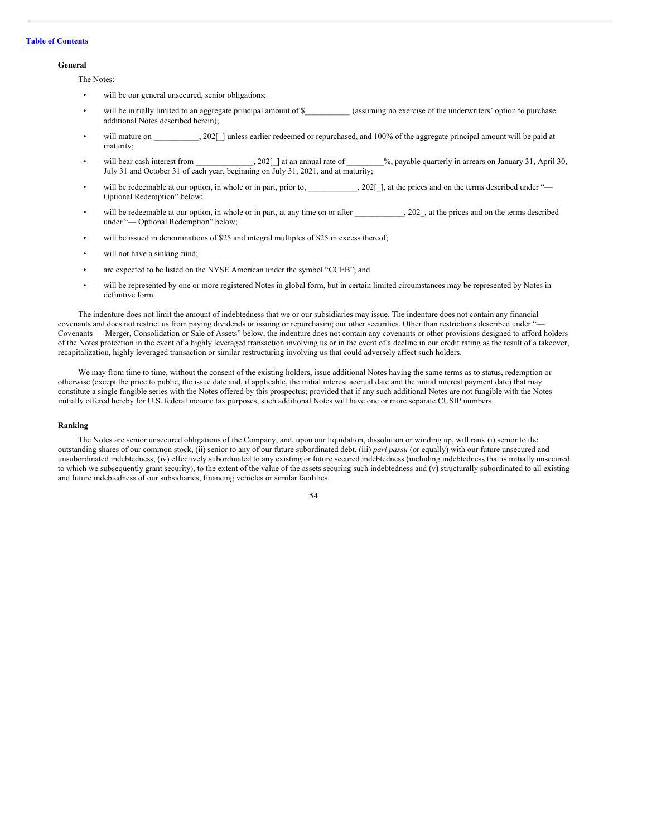## **General**

The Notes:

- will be our general unsecured, senior obligations;
- will be initially limited to an aggregate principal amount of \$\_\_\_\_\_\_\_\_\_\_\_\_ (assuming no exercise of the underwriters' option to purchase additional Notes described herein);
- will mature on  $.202$ [] unless earlier redeemed or repurchased, and 100% of the aggregate principal amount will be paid at maturity;
- will bear cash interest from \_\_\_\_\_\_\_\_\_\_\_, 202[\_] at an annual rate of \_\_\_\_\_\_\_%, payable quarterly in arrears on January 31, April 30, July 31 and October 31 of each year, beginning on July 31, 2021, and at maturity;
- will be redeemable at our option, in whole or in part, prior to, \_\_\_\_\_\_\_\_\_\_\_, 202[\_], at the prices and on the terms described under "-Optional Redemption" below;
- will be redeemable at our option, in whole or in part, at any time on or after \_\_\_\_\_\_\_\_\_\_\_\_, 202\_, at the prices and on the terms described under "— Optional Redemption" below;
- will be issued in denominations of \$25 and integral multiples of \$25 in excess thereof;
- will not have a sinking fund;
- are expected to be listed on the NYSE American under the symbol "CCEB"; and
- will be represented by one or more registered Notes in global form, but in certain limited circumstances may be represented by Notes in definitive form.

The indenture does not limit the amount of indebtedness that we or our subsidiaries may issue. The indenture does not contain any financial covenants and does not restrict us from paying dividends or issuing or repurchasing our other securities. Other than restrictions described under "-Covenants — Merger, Consolidation or Sale of Assets" below, the indenture does not contain any covenants or other provisions designed to afford holders of the Notes protection in the event of a highly leveraged transaction involving us or in the event of a decline in our credit rating as the result of a takeover, recapitalization, highly leveraged transaction or similar restructuring involving us that could adversely affect such holders.

We may from time to time, without the consent of the existing holders, issue additional Notes having the same terms as to status, redemption or otherwise (except the price to public, the issue date and, if applicable, the initial interest accrual date and the initial interest payment date) that may constitute a single fungible series with the Notes offered by this prospectus; provided that if any such additional Notes are not fungible with the Notes initially offered hereby for U.S. federal income tax purposes, such additional Notes will have one or more separate CUSIP numbers.

#### **Ranking**

The Notes are senior unsecured obligations of the Company, and, upon our liquidation, dissolution or winding up, will rank (i) senior to the outstanding shares of our common stock, (ii) senior to any of our future subordinated debt, (iii) *pari passu* (or equally) with our future unsecured and unsubordinated indebtedness, (iv) effectively subordinated to any existing or future secured indebtedness (including indebtedness that is initially unsecured to which we subsequently grant security), to the extent of the value of the assets securing such indebtedness and (v) structurally subordinated to all existing and future indebtedness of our subsidiaries, financing vehicles or similar facilities.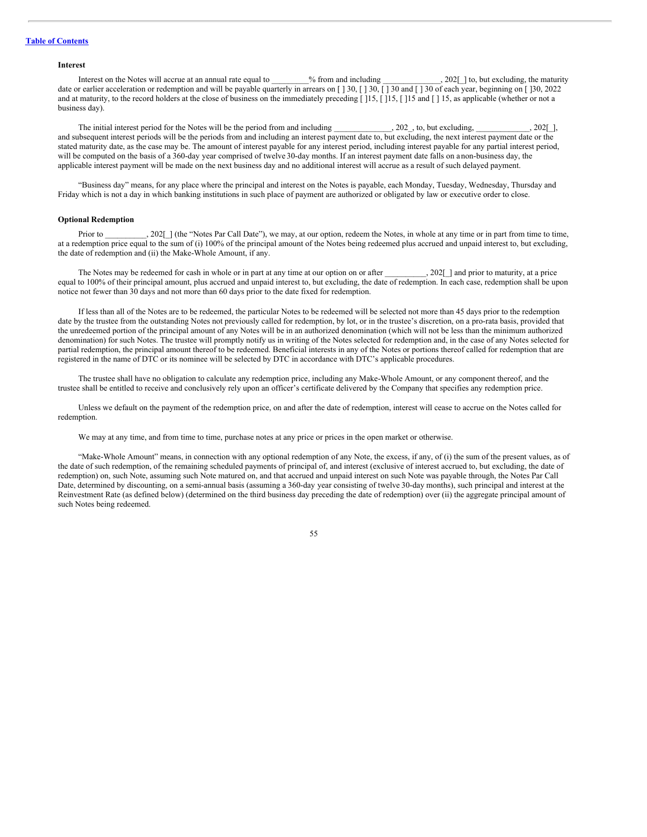#### **Interest**

Interest on the Notes will accrue at an annual rate equal to \_\_\_\_\_\_\_\_% from and including \_\_\_\_\_\_\_\_\_\_, 202[\_] to, but excluding, the maturity date or earlier acceleration or redemption and will be payable quarterly in arrears on  $[130, 130, 130, 130]$  and  $[130, 130]$  and  $[130, 2022]$ and at maturity, to the record holders at the close of business on the immediately preceding [15, [15, [15, [15] and [15, as applicable (whether or not a business day).

The initial interest period for the Notes will be the period from and including  $, 202, 10,$  but excluding,  $, 202$ [], and subsequent interest periods will be the periods from and including an interest payment date to, but excluding, the next interest payment date or the stated maturity date, as the case may be. The amount of interest payable for any interest period, including interest payable for any partial interest period, will be computed on the basis of a 360-day year comprised of twelve 30-day months. If an interest payment date falls on anon-business day, the applicable interest payment will be made on the next business day and no additional interest will accrue as a result of such delayed payment.

"Business day" means, for any place where the principal and interest on the Notes is payable, each Monday, Tuesday, Wednesday, Thursday and Friday which is not a day in which banking institutions in such place of payment are authorized or obligated by law or executive order to close.

#### **Optional Redemption**

Prior to  $202$ [] (the "Notes Par Call Date"), we may, at our option, redeem the Notes, in whole at any time or in part from time to time, at a redemption price equal to the sum of (i) 100% of the principal amount of the Notes being redeemed plus accrued and unpaid interest to, but excluding, the date of redemption and (ii) the Make-Whole Amount, if any.

The Notes may be redeemed for cash in whole or in part at any time at our option on or after \_\_\_\_\_\_\_\_\_\_, 202[\_] and prior to maturity, at a price equal to 100% of their principal amount, plus accrued and unpaid interest to, but excluding, the date of redemption. In each case, redemption shall be upon notice not fewer than 30 days and not more than 60 days prior to the date fixed for redemption.

If less than all of the Notes are to be redeemed, the particular Notes to be redeemed will be selected not more than 45 days prior to the redemption date by the trustee from the outstanding Notes not previously called for redemption, by lot, or in the trustee's discretion, on a pro-rata basis, provided that the unredeemed portion of the principal amount of any Notes will be in an authorized denomination (which will not be less than the minimum authorized denomination) for such Notes. The trustee will promptly notify us in writing of the Notes selected for redemption and, in the case of any Notes selected for partial redemption, the principal amount thereof to be redeemed. Beneficial interests in any of the Notes or portions thereof called for redemption that are registered in the name of DTC or its nominee will be selected by DTC in accordance with DTC's applicable procedures.

The trustee shall have no obligation to calculate any redemption price, including any Make-Whole Amount, or any component thereof, and the trustee shall be entitled to receive and conclusively rely upon an officer's certificate delivered by the Company that specifies any redemption price.

Unless we default on the payment of the redemption price, on and after the date of redemption, interest will cease to accrue on the Notes called for redemption.

We may at any time, and from time to time, purchase notes at any price or prices in the open market or otherwise.

"Make-Whole Amount" means, in connection with any optional redemption of any Note, the excess, if any, of (i) the sum of the present values, as of the date of such redemption, of the remaining scheduled payments of principal of, and interest (exclusive of interest accrued to, but excluding, the date of redemption) on, such Note, assuming such Note matured on, and that accrued and unpaid interest on such Note was payable through, the Notes Par Call Date, determined by discounting, on a semi-annual basis (assuming a 360-day year consisting of twelve 30-day months), such principal and interest at the Reinvestment Rate (as defined below) (determined on the third business day preceding the date of redemption) over (ii) the aggregate principal amount of such Notes being redeemed.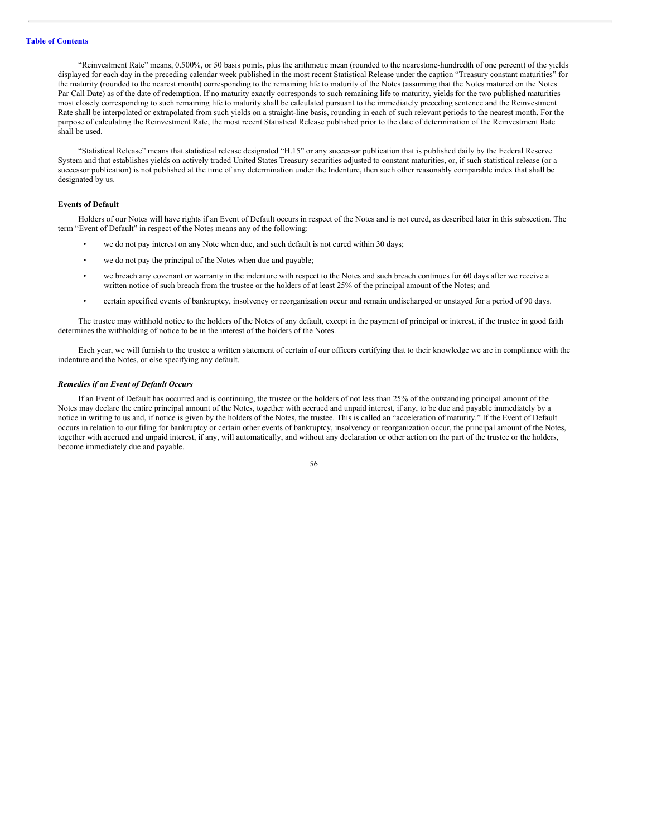"Reinvestment Rate" means, 0.500%, or 50 basis points, plus the arithmetic mean (rounded to the nearestone-hundredth of one percent) of the yields displayed for each day in the preceding calendar week published in the most recent Statistical Release under the caption "Treasury constant maturities" for the maturity (rounded to the nearest month) corresponding to the remaining life to maturity of the Notes (assuming that the Notes matured on the Notes Par Call Date) as of the date of redemption. If no maturity exactly corresponds to such remaining life to maturity, yields for the two published maturities most closely corresponding to such remaining life to maturity shall be calculated pursuant to the immediately preceding sentence and the Reinvestment Rate shall be interpolated or extrapolated from such yields on a straight-line basis, rounding in each of such relevant periods to the nearest month. For the purpose of calculating the Reinvestment Rate, the most recent Statistical Release published prior to the date of determination of the Reinvestment Rate shall be used.

"Statistical Release" means that statistical release designated "H.15" or any successor publication that is published daily by the Federal Reserve System and that establishes yields on actively traded United States Treasury securities adjusted to constant maturities, or, if such statistical release (or a successor publication) is not published at the time of any determination under the Indenture, then such other reasonably comparable index that shall be designated by us.

### **Events of Default**

Holders of our Notes will have rights if an Event of Default occurs in respect of the Notes and is not cured, as described later in this subsection. The term "Event of Default" in respect of the Notes means any of the following:

- we do not pay interest on any Note when due, and such default is not cured within 30 days;
- we do not pay the principal of the Notes when due and payable;
- we breach any covenant or warranty in the indenture with respect to the Notes and such breach continues for 60 days after we receive a written notice of such breach from the trustee or the holders of at least 25% of the principal amount of the Notes; and
- certain specified events of bankruptcy, insolvency or reorganization occur and remain undischarged or unstayed for a period of 90 days.

The trustee may withhold notice to the holders of the Notes of any default, except in the payment of principal or interest, if the trustee in good faith determines the withholding of notice to be in the interest of the holders of the Notes.

Each year, we will furnish to the trustee a written statement of certain of our officers certifying that to their knowledge we are in compliance with the indenture and the Notes, or else specifying any default.

#### *Remedies if an Event of Default Occurs*

If an Event of Default has occurred and is continuing, the trustee or the holders of not less than 25% of the outstanding principal amount of the Notes may declare the entire principal amount of the Notes, together with accrued and unpaid interest, if any, to be due and payable immediately by a notice in writing to us and, if notice is given by the holders of the Notes, the trustee. This is called an "acceleration of maturity." If the Event of Default occurs in relation to our filing for bankruptcy or certain other events of bankruptcy, insolvency or reorganization occur, the principal amount of the Notes, together with accrued and unpaid interest, if any, will automatically, and without any declaration or other action on the part of the trustee or the holders, become immediately due and payable.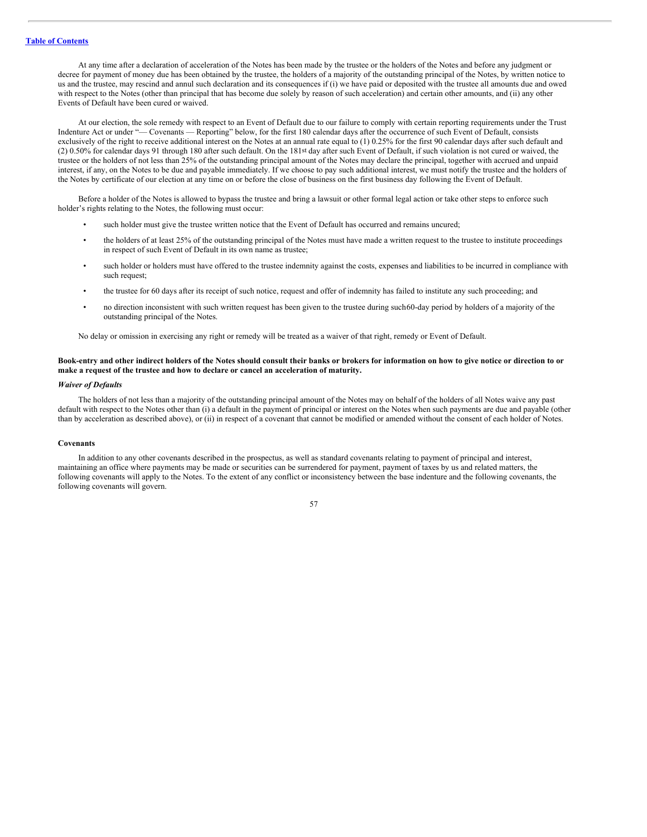At any time after a declaration of acceleration of the Notes has been made by the trustee or the holders of the Notes and before any judgment or decree for payment of money due has been obtained by the trustee, the holders of a majority of the outstanding principal of the Notes, by written notice to us and the trustee, may rescind and annul such declaration and its consequences if (i) we have paid or deposited with the trustee all amounts due and owed with respect to the Notes (other than principal that has become due solely by reason of such acceleration) and certain other amounts, and (ii) any other Events of Default have been cured or waived.

At our election, the sole remedy with respect to an Event of Default due to our failure to comply with certain reporting requirements under the Trust Indenture Act or under "— Covenants — Reporting" below, for the first 180 calendar days after the occurrence of such Event of Default, consists exclusively of the right to receive additional interest on the Notes at an annual rate equal to (1) 0.25% for the first 90 calendar days after such default and (2) 0.50% for calendar days 91 through 180 after such default. On the 181st day after such Event of Default, if such violation is not cured or waived, the trustee or the holders of not less than 25% of the outstanding principal amount of the Notes may declare the principal, together with accrued and unpaid interest, if any, on the Notes to be due and payable immediately. If we choose to pay such additional interest, we must notify the trustee and the holders of the Notes by certificate of our election at any time on or before the close of business on the first business day following the Event of Default.

Before a holder of the Notes is allowed to bypass the trustee and bring a lawsuit or other formal legal action or take other steps to enforce such holder's rights relating to the Notes, the following must occur:

- such holder must give the trustee written notice that the Event of Default has occurred and remains uncured;
- the holders of at least 25% of the outstanding principal of the Notes must have made a written request to the trustee to institute proceedings in respect of such Event of Default in its own name as trustee;
- such holder or holders must have offered to the trustee indemnity against the costs, expenses and liabilities to be incurred in compliance with such request;
- the trustee for 60 days after its receipt of such notice, request and offer of indemnity has failed to institute any such proceeding; and
- no direction inconsistent with such written request has been given to the trustee during such60-day period by holders of a majority of the outstanding principal of the Notes.

No delay or omission in exercising any right or remedy will be treated as a waiver of that right, remedy or Event of Default.

# Book-entry and other indirect holders of the Notes should consult their banks or brokers for information on how to give notice or direction to or **make a request of the trustee and how to declare or cancel an acceleration of maturity.**

## *Waiver of Defaults*

The holders of not less than a majority of the outstanding principal amount of the Notes may on behalf of the holders of all Notes waive any past default with respect to the Notes other than (i) a default in the payment of principal or interest on the Notes when such payments are due and payable (other than by acceleration as described above), or (ii) in respect of a covenant that cannot be modified or amended without the consent of each holder of Notes.

#### **Covenants**

In addition to any other covenants described in the prospectus, as well as standard covenants relating to payment of principal and interest, maintaining an office where payments may be made or securities can be surrendered for payment, payment of taxes by us and related matters, the following covenants will apply to the Notes. To the extent of any conflict or inconsistency between the base indenture and the following covenants, the following covenants will govern.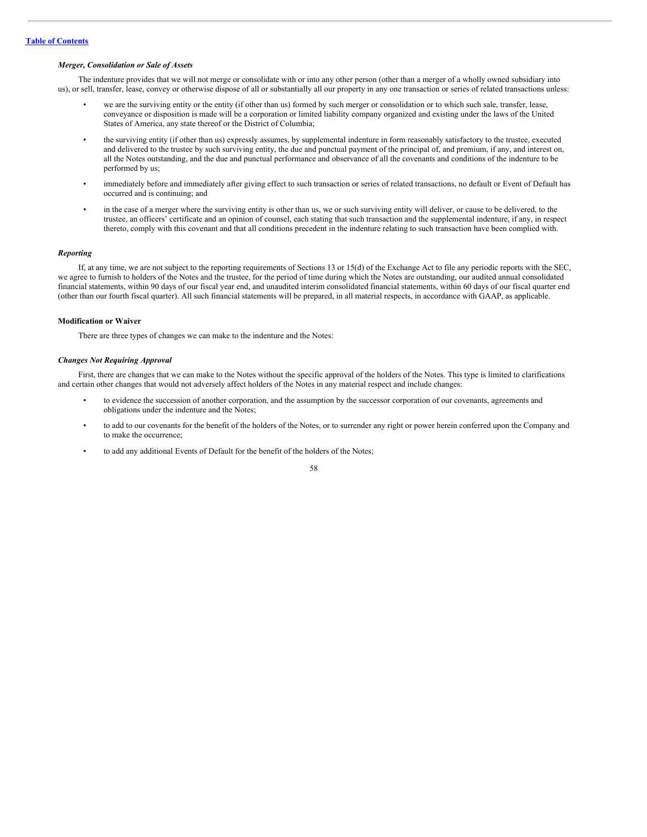# *Merger, Consolidation or Sale of Assets*

The indenture provides that we will not merge or consolidate with or into any other person (other than a merger of a wholly owned subsidiary into us), or sell, transfer, lease, convey or otherwise dispose of all or substantially all our property in any one transaction or series of related transactions unless:

- we are the surviving entity or the entity (if other than us) formed by such merger or consolidation or to which such sale, transfer, lease, conveyance or disposition is made will be a corporation or limited liability company organized and existing under the laws of the United States of America, any state thereof or the District of Columbia;
- the surviving entity (if other than us) expressly assumes, by supplemental indenture in form reasonably satisfactory to the trustee, executed and delivered to the trustee by such surviving entity, the due and punctual payment of the principal of, and premium, if any, and interest on, all the Notes outstanding, and the due and punctual performance and observance of all the covenants and conditions of the indenture to be performed by us;
- immediately before and immediately after giving effect to such transaction or series of related transactions, no default or Event of Default has occurred and is continuing; and
- in the case of a merger where the surviving entity is other than us, we or such surviving entity will deliver, or cause to be delivered, to the trustee, an officers' certificate and an opinion of counsel, each stating that such transaction and the supplemental indenture, if any, in respect thereto, comply with this covenant and that all conditions precedent in the indenture relating to such transaction have been complied with.

#### *Reporting*

If, at any time, we are not subject to the reporting requirements of Sections 13 or 15(d) of the Exchange Act to file any periodic reports with the SEC, we agree to furnish to holders of the Notes and the trustee, for the period of time during which the Notes are outstanding, our audited annual consolidated financial statements, within 90 days of our fiscal year end, and unaudited interim consolidated financial statements, within 60 days of our fiscal quarter end (other than our fourth fiscal quarter). All such financial statements will be prepared, in all material respects, in accordance with GAAP, as applicable.

## **Modification or Waiver**

There are three types of changes we can make to the indenture and the Notes:

#### *Changes Not Requiring Approval*

First, there are changes that we can make to the Notes without the specific approval of the holders of the Notes. This type is limited to clarifications and certain other changes that would not adversely affect holders of the Notes in any material respect and include changes:

- to evidence the succession of another corporation, and the assumption by the successor corporation of our covenants, agreements and obligations under the indenture and the Notes;
- to add to our covenants for the benefit of the holders of the Notes, or to surrender any right or power herein conferred upon the Company and to make the occurrence;
- to add any additional Events of Default for the benefit of the holders of the Notes;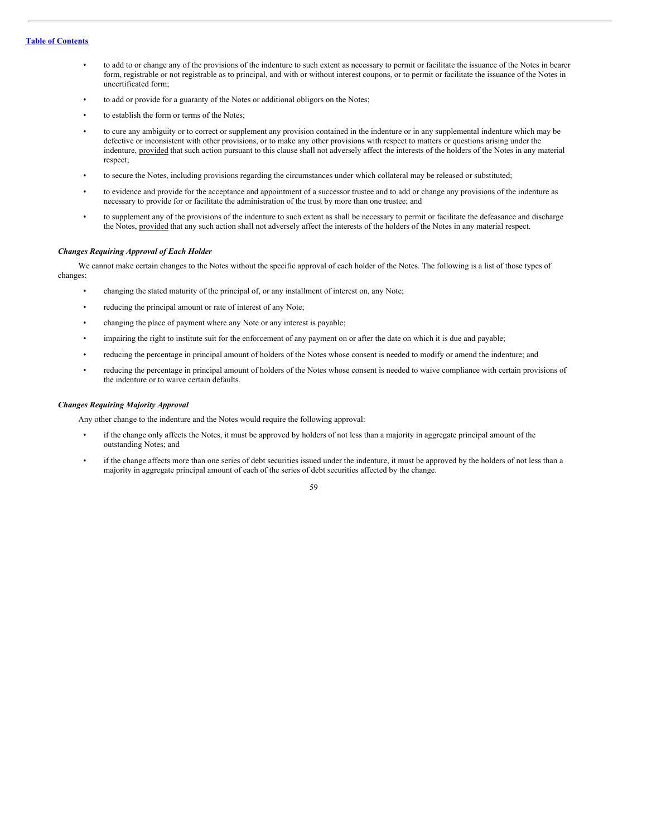- to add to or change any of the provisions of the indenture to such extent as necessary to permit or facilitate the issuance of the Notes in bearer form, registrable or not registrable as to principal, and with or without interest coupons, or to permit or facilitate the issuance of the Notes in uncertificated form;
- to add or provide for a guaranty of the Notes or additional obligors on the Notes;
- to establish the form or terms of the Notes;
- to cure any ambiguity or to correct or supplement any provision contained in the indenture or in any supplemental indenture which may be defective or inconsistent with other provisions, or to make any other provisions with respect to matters or questions arising under the indenture, provided that such action pursuant to this clause shall not adversely affect the interests of the holders of the Notes in any material respect;
- to secure the Notes, including provisions regarding the circumstances under which collateral may be released or substituted;
- to evidence and provide for the acceptance and appointment of a successor trustee and to add or change any provisions of the indenture as necessary to provide for or facilitate the administration of the trust by more than one trustee; and
- to supplement any of the provisions of the indenture to such extent as shall be necessary to permit or facilitate the defeasance and discharge the Notes, provided that any such action shall not adversely affect the interests of the holders of the Notes in any material respect.

### *Changes Requiring Approval of Each Holder*

We cannot make certain changes to the Notes without the specific approval of each holder of the Notes. The following is a list of those types of changes:

- changing the stated maturity of the principal of, or any installment of interest on, any Note;
- reducing the principal amount or rate of interest of any Note;
- changing the place of payment where any Note or any interest is payable;
- impairing the right to institute suit for the enforcement of any payment on or after the date on which it is due and payable;
- reducing the percentage in principal amount of holders of the Notes whose consent is needed to modify or amend the indenture; and
- reducing the percentage in principal amount of holders of the Notes whose consent is needed to waive compliance with certain provisions of the indenture or to waive certain defaults.

#### *Changes Requiring Majority Approval*

Any other change to the indenture and the Notes would require the following approval:

- if the change only affects the Notes, it must be approved by holders of not less than a majority in aggregate principal amount of the outstanding Notes; and
- if the change affects more than one series of debt securities issued under the indenture, it must be approved by the holders of not less than a majority in aggregate principal amount of each of the series of debt securities affected by the change.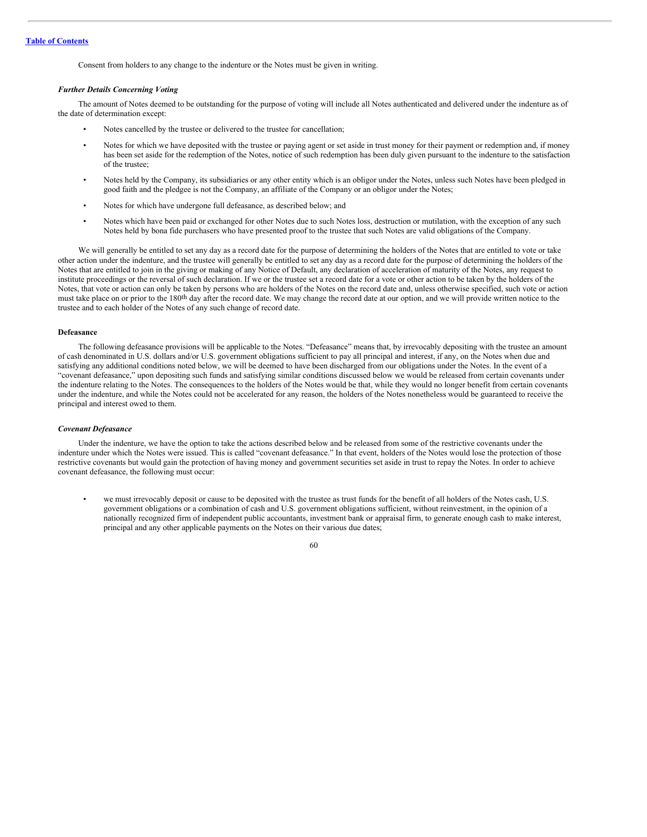Consent from holders to any change to the indenture or the Notes must be given in writing.

#### *Further Details Concerning Voting*

The amount of Notes deemed to be outstanding for the purpose of voting will include all Notes authenticated and delivered under the indenture as of the date of determination except:

- Notes cancelled by the trustee or delivered to the trustee for cancellation;
- Notes for which we have deposited with the trustee or paying agent or set aside in trust money for their payment or redemption and, if money has been set aside for the redemption of the Notes, notice of such redemption has been duly given pursuant to the indenture to the satisfaction of the trustee;
- Notes held by the Company, its subsidiaries or any other entity which is an obligor under the Notes, unless such Notes have been pledged in good faith and the pledgee is not the Company, an affiliate of the Company or an obligor under the Notes;
- Notes for which have undergone full defeasance, as described below; and
- Notes which have been paid or exchanged for other Notes due to such Notes loss, destruction or mutilation, with the exception of any such Notes held by bona fide purchasers who have presented proof to the trustee that such Notes are valid obligations of the Company.

We will generally be entitled to set any day as a record date for the purpose of determining the holders of the Notes that are entitled to vote or take other action under the indenture, and the trustee will generally be entitled to set any day as a record date for the purpose of determining the holders of the Notes that are entitled to join in the giving or making of any Notice of Default, any declaration of acceleration of maturity of the Notes, any request to institute proceedings or the reversal of such declaration. If we or the trustee set a record date for a vote or other action to be taken by the holders of the Notes, that vote or action can only be taken by persons who are holders of the Notes on the record date and, unless otherwise specified, such vote or action must take place on or prior to the 180<sup>th</sup> day after the record date. We may change the record date at our option, and we will provide written notice to the trustee and to each holder of the Notes of any such change of record date.

#### **Defeasance**

The following defeasance provisions will be applicable to the Notes. "Defeasance" means that, by irrevocably depositing with the trustee an amount of cash denominated in U.S. dollars and/or U.S. government obligations sufficient to pay all principal and interest, if any, on the Notes when due and satisfying any additional conditions noted below, we will be deemed to have been discharged from our obligations under the Notes. In the event of a "covenant defeasance," upon depositing such funds and satisfying similar conditions discussed below we would be released from certain covenants under the indenture relating to the Notes. The consequences to the holders of the Notes would be that, while they would no longer benefit from certain covenants under the indenture, and while the Notes could not be accelerated for any reason, the holders of the Notes nonetheless would be guaranteed to receive the principal and interest owed to them.

#### *Covenant Defeasance*

Under the indenture, we have the option to take the actions described below and be released from some of the restrictive covenants under the indenture under which the Notes were issued. This is called "covenant defeasance." In that event, holders of the Notes would lose the protection of those restrictive covenants but would gain the protection of having money and government securities set aside in trust to repay the Notes. In order to achieve covenant defeasance, the following must occur:

• we must irrevocably deposit or cause to be deposited with the trustee as trust funds for the benefit of all holders of the Notes cash, U.S. government obligations or a combination of cash and U.S. government obligations sufficient, without reinvestment, in the opinion of a nationally recognized firm of independent public accountants, investment bank or appraisal firm, to generate enough cash to make interest, principal and any other applicable payments on the Notes on their various due dates;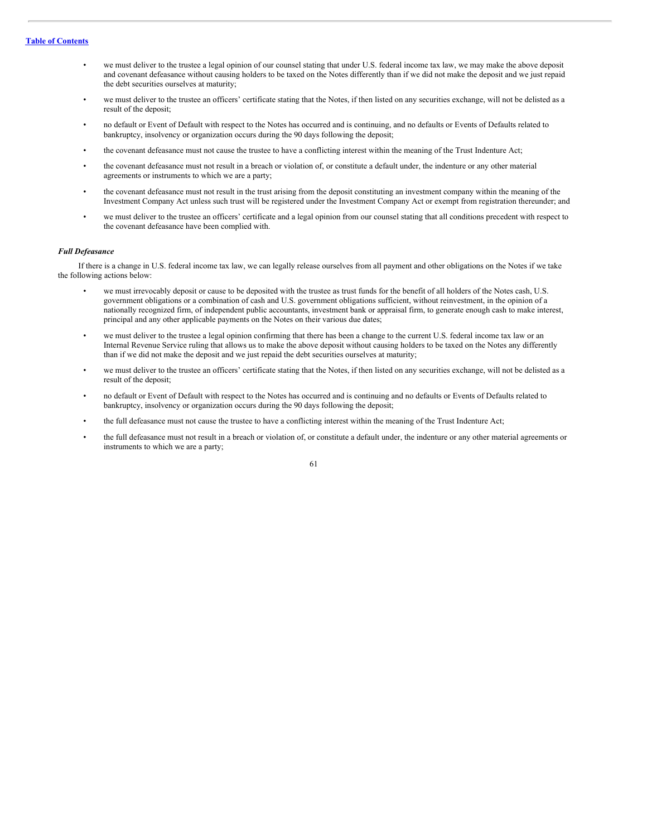- we must deliver to the trustee a legal opinion of our counsel stating that under U.S. federal income tax law, we may make the above deposit and covenant defeasance without causing holders to be taxed on the Notes differently than if we did not make the deposit and we just repaid the debt securities ourselves at maturity;
- we must deliver to the trustee an officers' certificate stating that the Notes, if then listed on any securities exchange, will not be delisted as a result of the deposit;
- no default or Event of Default with respect to the Notes has occurred and is continuing, and no defaults or Events of Defaults related to bankruptcy, insolvency or organization occurs during the 90 days following the deposit;
- the covenant defeasance must not cause the trustee to have a conflicting interest within the meaning of the Trust Indenture Act;
- the covenant defeasance must not result in a breach or violation of, or constitute a default under, the indenture or any other material agreements or instruments to which we are a party;
- the covenant defeasance must not result in the trust arising from the deposit constituting an investment company within the meaning of the Investment Company Act unless such trust will be registered under the Investment Company Act or exempt from registration thereunder; and
- we must deliver to the trustee an officers' certificate and a legal opinion from our counsel stating that all conditions precedent with respect to the covenant defeasance have been complied with.

### *Full Defeasance*

If there is a change in U.S. federal income tax law, we can legally release ourselves from all payment and other obligations on the Notes if we take the following actions below:

- we must irrevocably deposit or cause to be deposited with the trustee as trust funds for the benefit of all holders of the Notes cash, U.S. government obligations or a combination of cash and U.S. government obligations sufficient, without reinvestment, in the opinion of a nationally recognized firm, of independent public accountants, investment bank or appraisal firm, to generate enough cash to make interest, principal and any other applicable payments on the Notes on their various due dates;
- we must deliver to the trustee a legal opinion confirming that there has been a change to the current U.S. federal income tax law or an Internal Revenue Service ruling that allows us to make the above deposit without causing holders to be taxed on the Notes any differently than if we did not make the deposit and we just repaid the debt securities ourselves at maturity;
- we must deliver to the trustee an officers' certificate stating that the Notes, if then listed on any securities exchange, will not be delisted as a result of the deposit;
- no default or Event of Default with respect to the Notes has occurred and is continuing and no defaults or Events of Defaults related to bankruptcy, insolvency or organization occurs during the 90 days following the deposit;
- the full defeasance must not cause the trustee to have a conflicting interest within the meaning of the Trust Indenture Act;
- the full defeasance must not result in a breach or violation of, or constitute a default under, the indenture or any other material agreements or instruments to which we are a party;

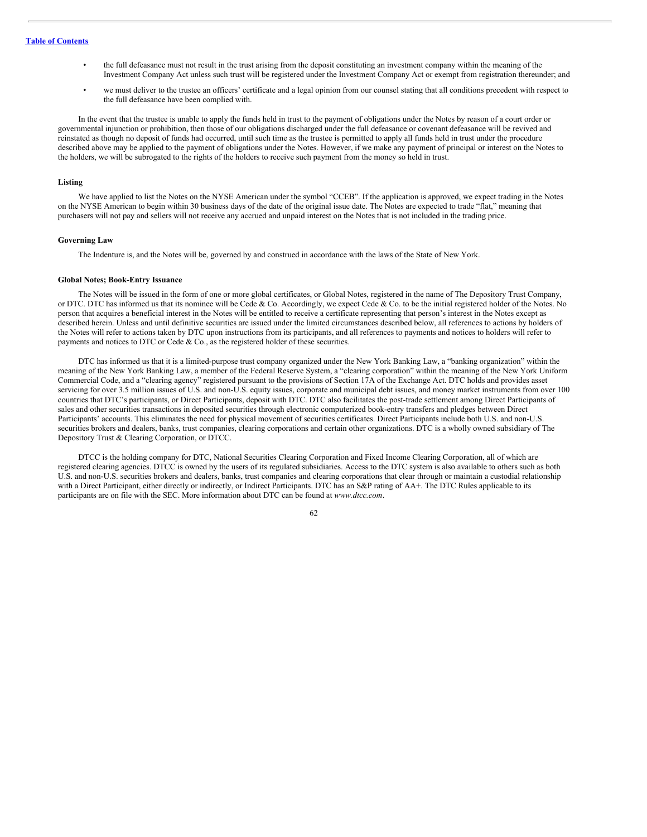- the full defeasance must not result in the trust arising from the deposit constituting an investment company within the meaning of the Investment Company Act unless such trust will be registered under the Investment Company Act or exempt from registration thereunder; and
- we must deliver to the trustee an officers' certificate and a legal opinion from our counsel stating that all conditions precedent with respect to the full defeasance have been complied with.

In the event that the trustee is unable to apply the funds held in trust to the payment of obligations under the Notes by reason of a court order or governmental injunction or prohibition, then those of our obligations discharged under the full defeasance or covenant defeasance will be revived and reinstated as though no deposit of funds had occurred, until such time as the trustee is permitted to apply all funds held in trust under the procedure described above may be applied to the payment of obligations under the Notes. However, if we make any payment of principal or interest on the Notes to the holders, we will be subrogated to the rights of the holders to receive such payment from the money so held in trust.

## **Listing**

We have applied to list the Notes on the NYSE American under the symbol "CCEB". If the application is approved, we expect trading in the Notes on the NYSE American to begin within 30 business days of the date of the original issue date. The Notes are expected to trade "flat," meaning that purchasers will not pay and sellers will not receive any accrued and unpaid interest on the Notes that is not included in the trading price.

#### **Governing Law**

The Indenture is, and the Notes will be, governed by and construed in accordance with the laws of the State of New York.

### **Global Notes; Book-Entry Issuance**

The Notes will be issued in the form of one or more global certificates, or Global Notes, registered in the name of The Depository Trust Company, or DTC. DTC has informed us that its nominee will be Cede & Co. Accordingly, we expect Cede & Co. to be the initial registered holder of the Notes. No person that acquires a beneficial interest in the Notes will be entitled to receive a certificate representing that person's interest in the Notes except as described herein. Unless and until definitive securities are issued under the limited circumstances described below, all references to actions by holders of the Notes will refer to actions taken by DTC upon instructions from its participants, and all references to payments and notices to holders will refer to payments and notices to DTC or Cede & Co., as the registered holder of these securities.

DTC has informed us that it is a limited-purpose trust company organized under the New York Banking Law, a "banking organization" within the meaning of the New York Banking Law, a member of the Federal Reserve System, a "clearing corporation" within the meaning of the New York Uniform Commercial Code, and a "clearing agency" registered pursuant to the provisions of Section 17A of the Exchange Act. DTC holds and provides asset servicing for over 3.5 million issues of U.S. and non-U.S. equity issues, corporate and municipal debt issues, and money market instruments from over 100 countries that DTC's participants, or Direct Participants, deposit with DTC. DTC also facilitates the post-trade settlement among Direct Participants of sales and other securities transactions in deposited securities through electronic computerized book-entry transfers and pledges between Direct Participants' accounts. This eliminates the need for physical movement of securities certificates. Direct Participants include both U.S. and non-U.S. securities brokers and dealers, banks, trust companies, clearing corporations and certain other organizations. DTC is a wholly owned subsidiary of The Depository Trust & Clearing Corporation, or DTCC.

DTCC is the holding company for DTC, National Securities Clearing Corporation and Fixed Income Clearing Corporation, all of which are registered clearing agencies. DTCC is owned by the users of its regulated subsidiaries. Access to the DTC system is also available to others such as both U.S. and non-U.S. securities brokers and dealers, banks, trust companies and clearing corporations that clear through or maintain a custodial relationship with a Direct Participant, either directly or indirectly, or Indirect Participants. DTC has an S&P rating of AA+. The DTC Rules applicable to its participants are on file with the SEC. More information about DTC can be found at *www.dtcc.com*.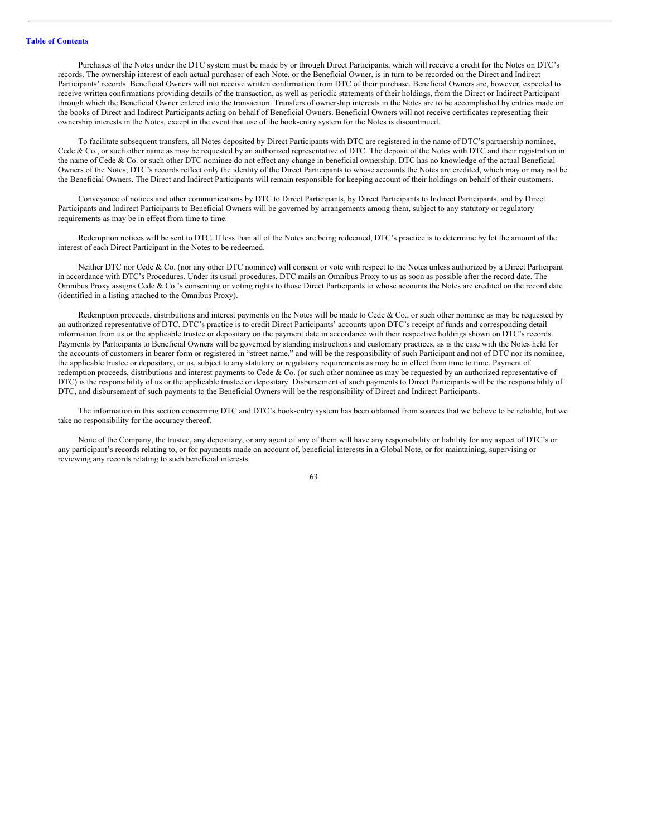Purchases of the Notes under the DTC system must be made by or through Direct Participants, which will receive a credit for the Notes on DTC's records. The ownership interest of each actual purchaser of each Note, or the Beneficial Owner, is in turn to be recorded on the Direct and Indirect Participants' records. Beneficial Owners will not receive written confirmation from DTC of their purchase. Beneficial Owners are, however, expected to receive written confirmations providing details of the transaction, as well as periodic statements of their holdings, from the Direct or Indirect Participant through which the Beneficial Owner entered into the transaction. Transfers of ownership interests in the Notes are to be accomplished by entries made on the books of Direct and Indirect Participants acting on behalf of Beneficial Owners. Beneficial Owners will not receive certificates representing their ownership interests in the Notes, except in the event that use of the book-entry system for the Notes is discontinued.

To facilitate subsequent transfers, all Notes deposited by Direct Participants with DTC are registered in the name of DTC's partnership nominee, Cede & Co., or such other name as may be requested by an authorized representative of DTC. The deposit of the Notes with DTC and their registration in the name of Cede & Co. or such other DTC nominee do not effect any change in beneficial ownership. DTC has no knowledge of the actual Beneficial Owners of the Notes; DTC's records reflect only the identity of the Direct Participants to whose accounts the Notes are credited, which may or may not be the Beneficial Owners. The Direct and Indirect Participants will remain responsible for keeping account of their holdings on behalf of their customers.

Conveyance of notices and other communications by DTC to Direct Participants, by Direct Participants to Indirect Participants, and by Direct Participants and Indirect Participants to Beneficial Owners will be governed by arrangements among them, subject to any statutory or regulatory requirements as may be in effect from time to time.

Redemption notices will be sent to DTC. If less than all of the Notes are being redeemed, DTC's practice is to determine by lot the amount of the interest of each Direct Participant in the Notes to be redeemed.

Neither DTC nor Cede & Co. (nor any other DTC nominee) will consent or vote with respect to the Notes unless authorized by a Direct Participant in accordance with DTC's Procedures. Under its usual procedures, DTC mails an Omnibus Proxy to us as soon as possible after the record date. The Omnibus Proxy assigns Cede & Co.'s consenting or voting rights to those Direct Participants to whose accounts the Notes are credited on the record date (identified in a listing attached to the Omnibus Proxy).

Redemption proceeds, distributions and interest payments on the Notes will be made to Cede & Co., or such other nominee as may be requested by an authorized representative of DTC. DTC's practice is to credit Direct Participants' accounts upon DTC's receipt of funds and corresponding detail information from us or the applicable trustee or depositary on the payment date in accordance with their respective holdings shown on DTC's records. Payments by Participants to Beneficial Owners will be governed by standing instructions and customary practices, as is the case with the Notes held for the accounts of customers in bearer form or registered in "street name," and will be the responsibility of such Participant and not of DTC nor its nominee, the applicable trustee or depositary, or us, subject to any statutory or regulatory requirements as may be in effect from time to time. Payment of redemption proceeds, distributions and interest payments to Cede & Co. (or such other nominee as may be requested by an authorized representative of DTC) is the responsibility of us or the applicable trustee or depositary. Disbursement of such payments to Direct Participants will be the responsibility of DTC, and disbursement of such payments to the Beneficial Owners will be the responsibility of Direct and Indirect Participants.

The information in this section concerning DTC and DTC's book-entry system has been obtained from sources that we believe to be reliable, but we take no responsibility for the accuracy thereof.

None of the Company, the trustee, any depositary, or any agent of any of them will have any responsibility or liability for any aspect of DTC's or any participant's records relating to, or for payments made on account of, beneficial interests in a Global Note, or for maintaining, supervising or reviewing any records relating to such beneficial interests.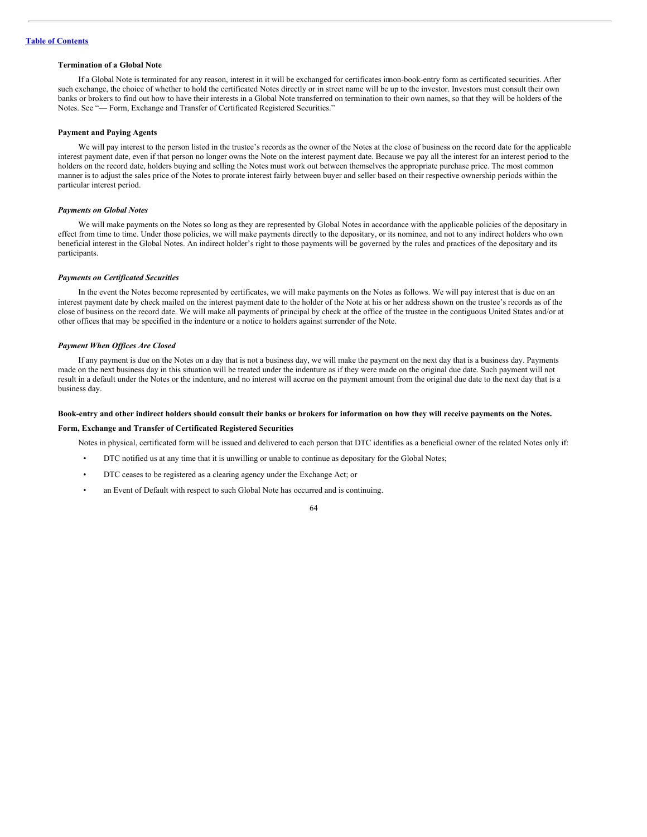## **Termination of a Global Note**

If a Global Note is terminated for any reason, interest in it will be exchanged for certificates innon-book-entry form as certificated securities. After such exchange, the choice of whether to hold the certificated Notes directly or in street name will be up to the investor. Investors must consult their own banks or brokers to find out how to have their interests in a Global Note transferred on termination to their own names, so that they will be holders of the Notes. See "— Form, Exchange and Transfer of Certificated Registered Securities."

#### **Payment and Paying Agents**

We will pay interest to the person listed in the trustee's records as the owner of the Notes at the close of business on the record date for the applicable interest payment date, even if that person no longer owns the Note on the interest payment date. Because we pay all the interest for an interest period to the holders on the record date, holders buying and selling the Notes must work out between themselves the appropriate purchase price. The most common manner is to adjust the sales price of the Notes to prorate interest fairly between buyer and seller based on their respective ownership periods within the particular interest period.

# *Payments on Global Notes*

We will make payments on the Notes so long as they are represented by Global Notes in accordance with the applicable policies of the depositary in effect from time to time. Under those policies, we will make payments directly to the depositary, or its nominee, and not to any indirect holders who own beneficial interest in the Global Notes. An indirect holder's right to those payments will be governed by the rules and practices of the depositary and its participants.

#### *Payments on Certificated Securities*

In the event the Notes become represented by certificates, we will make payments on the Notes as follows. We will pay interest that is due on an interest payment date by check mailed on the interest payment date to the holder of the Note at his or her address shown on the trustee's records as of the close of business on the record date. We will make all payments of principal by check at the office of the trustee in the contiguous United States and/or at other offices that may be specified in the indenture or a notice to holders against surrender of the Note.

## *Payment When Of ices Are Closed*

If any payment is due on the Notes on a day that is not a business day, we will make the payment on the next day that is a business day. Payments made on the next business day in this situation will be treated under the indenture as if they were made on the original due date. Such payment will not result in a default under the Notes or the indenture, and no interest will accrue on the payment amount from the original due date to the next day that is a business day.

### Book-entry and other indirect holders should consult their banks or brokers for information on how they will receive payments on the Notes.

# **Form, Exchange and Transfer of Certificated Registered Securities**

Notes in physical, certificated form will be issued and delivered to each person that DTC identifies as a beneficial owner of the related Notes only if:

- DTC notified us at any time that it is unwilling or unable to continue as depositary for the Global Notes;
- DTC ceases to be registered as a clearing agency under the Exchange Act; or
- an Event of Default with respect to such Global Note has occurred and is continuing.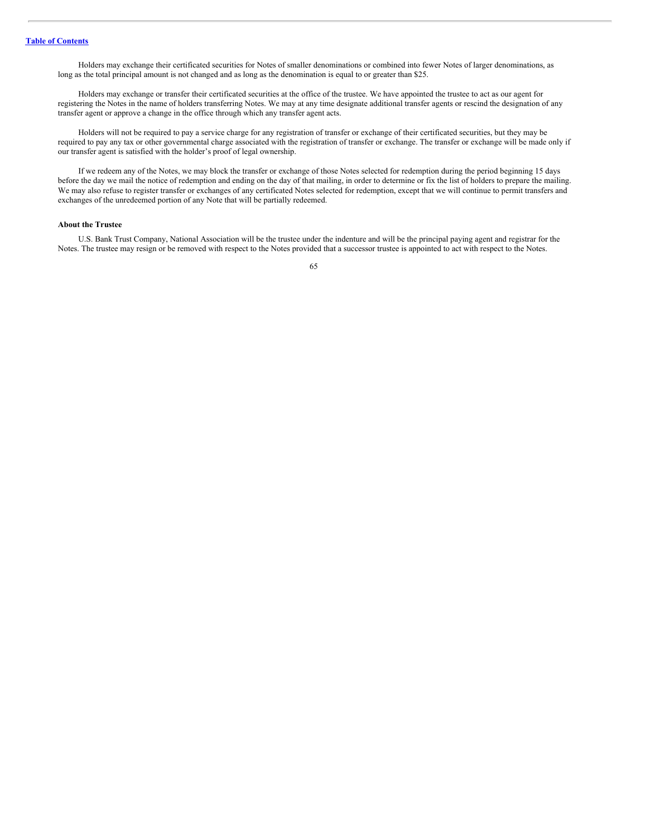Holders may exchange their certificated securities for Notes of smaller denominations or combined into fewer Notes of larger denominations, as long as the total principal amount is not changed and as long as the denomination is equal to or greater than \$25.

Holders may exchange or transfer their certificated securities at the office of the trustee. We have appointed the trustee to act as our agent for registering the Notes in the name of holders transferring Notes. We may at any time designate additional transfer agents or rescind the designation of any transfer agent or approve a change in the office through which any transfer agent acts.

Holders will not be required to pay a service charge for any registration of transfer or exchange of their certificated securities, but they may be required to pay any tax or other governmental charge associated with the registration of transfer or exchange. The transfer or exchange will be made only if our transfer agent is satisfied with the holder's proof of legal ownership.

If we redeem any of the Notes, we may block the transfer or exchange of those Notes selected for redemption during the period beginning 15 days before the day we mail the notice of redemption and ending on the day of that mailing, in order to determine or fix the list of holders to prepare the mailing. We may also refuse to register transfer or exchanges of any certificated Notes selected for redemption, except that we will continue to permit transfers and exchanges of the unredeemed portion of any Note that will be partially redeemed.

# **About the Trustee**

U.S. Bank Trust Company, National Association will be the trustee under the indenture and will be the principal paying agent and registrar for the Notes. The trustee may resign or be removed with respect to the Notes provided that a successor trustee is appointed to act with respect to the Notes.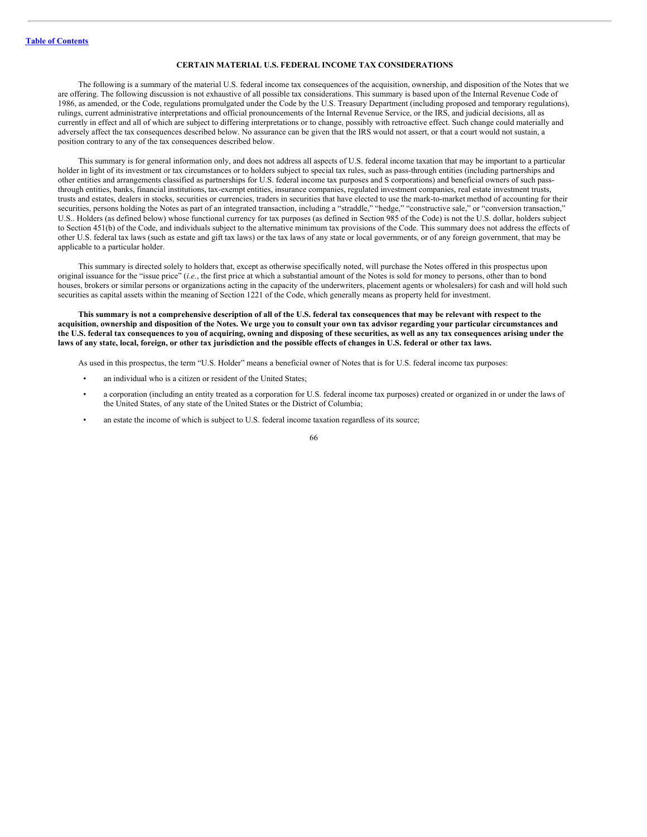# **CERTAIN MATERIAL U.S. FEDERAL INCOME TAX CONSIDERATIONS**

The following is a summary of the material U.S. federal income tax consequences of the acquisition, ownership, and disposition of the Notes that we are offering. The following discussion is not exhaustive of all possible tax considerations. This summary is based upon of the Internal Revenue Code of 1986, as amended, or the Code, regulations promulgated under the Code by the U.S. Treasury Department (including proposed and temporary regulations), rulings, current administrative interpretations and official pronouncements of the Internal Revenue Service, or the IRS, and judicial decisions, all as currently in effect and all of which are subject to differing interpretations or to change, possibly with retroactive effect. Such change could materially and adversely affect the tax consequences described below. No assurance can be given that the IRS would not assert, or that a court would not sustain, a position contrary to any of the tax consequences described below.

This summary is for general information only, and does not address all aspects of U.S. federal income taxation that may be important to a particular holder in light of its investment or tax circumstances or to holders subject to special tax rules, such as pass-through entities (including partnerships and other entities and arrangements classified as partnerships for U.S. federal income tax purposes and S corporations) and beneficial owners of such passthrough entities, banks, financial institutions, tax-exempt entities, insurance companies, regulated investment companies, real estate investment trusts, trusts and estates, dealers in stocks, securities or currencies, traders in securities that have elected to use the mark-to-market method of accounting for their securities, persons holding the Notes as part of an integrated transaction, including a "straddle," "hedge," "constructive sale," or "conversion transaction," U.S.. Holders (as defined below) whose functional currency for tax purposes (as defined in Section 985 of the Code) is not the U.S. dollar, holders subject to Section 451(b) of the Code, and individuals subject to the alternative minimum tax provisions of the Code. This summary does not address the effects of other U.S. federal tax laws (such as estate and gift tax laws) or the tax laws of any state or local governments, or of any foreign government, that may be applicable to a particular holder.

This summary is directed solely to holders that, except as otherwise specifically noted, will purchase the Notes offered in this prospectus upon original issuance for the "issue price" (*i.e.*, the first price at which a substantial amount of the Notes is sold for money to persons, other than to bond houses, brokers or similar persons or organizations acting in the capacity of the underwriters, placement agents or wholesalers) for cash and will hold such securities as capital assets within the meaning of Section 1221 of the Code, which generally means as property held for investment.

This summary is not a comprehensive description of all of the U.S. federal tax consequences that may be relevant with respect to the acquisition, ownership and disposition of the Notes. We urge you to consult your own tax advisor regarding your particular circumstances and the U.S. federal tax consequences to you of acquiring, owning and disposing of these securities, as well as any tax consequences arising under the laws of any state, local, foreign, or other tax jurisdiction and the possible effects of changes in U.S. federal or other tax laws.

As used in this prospectus, the term "U.S. Holder" means a beneficial owner of Notes that is for U.S. federal income tax purposes:

- an individual who is a citizen or resident of the United States;
- a corporation (including an entity treated as a corporation for U.S. federal income tax purposes) created or organized in or under the laws of the United States, of any state of the United States or the District of Columbia;
- an estate the income of which is subject to U.S. federal income taxation regardless of its source;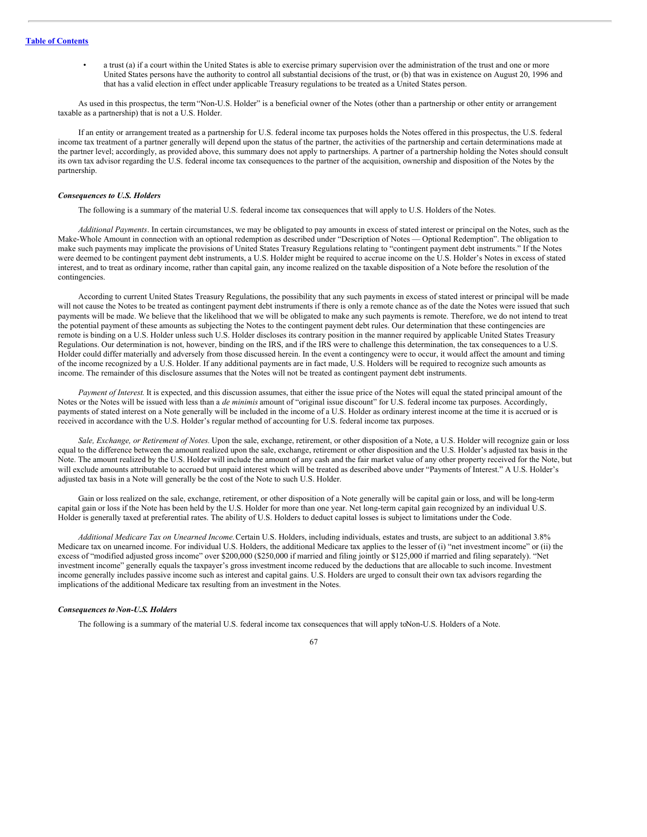• a trust (a) if a court within the United States is able to exercise primary supervision over the administration of the trust and one or more United States persons have the authority to control all substantial decisions of the trust, or (b) that was in existence on August 20, 1996 and that has a valid election in effect under applicable Treasury regulations to be treated as a United States person.

As used in this prospectus, the term"Non-U.S. Holder" is a beneficial owner of the Notes (other than a partnership or other entity or arrangement taxable as a partnership) that is not a U.S. Holder.

If an entity or arrangement treated as a partnership for U.S. federal income tax purposes holds the Notes offered in this prospectus, the U.S. federal income tax treatment of a partner generally will depend upon the status of the partner, the activities of the partnership and certain determinations made at the partner level; accordingly, as provided above, this summary does not apply to partnerships. A partner of a partnership holding the Notes should consult its own tax advisor regarding the U.S. federal income tax consequences to the partner of the acquisition, ownership and disposition of the Notes by the partnership.

#### *Consequences to U.S. Holders*

The following is a summary of the material U.S. federal income tax consequences that will apply to U.S. Holders of the Notes.

*Additional Payments*. In certain circumstances, we may be obligated to pay amounts in excess of stated interest or principal on the Notes, such as the Make-Whole Amount in connection with an optional redemption as described under "Description of Notes — Optional Redemption". The obligation to make such payments may implicate the provisions of United States Treasury Regulations relating to "contingent payment debt instruments." If the Notes were deemed to be contingent payment debt instruments, a U.S. Holder might be required to accrue income on the U.S. Holder's Notes in excess of stated interest, and to treat as ordinary income, rather than capital gain, any income realized on the taxable disposition of a Note before the resolution of the contingencies.

According to current United States Treasury Regulations, the possibility that any such payments in excess of stated interest or principal will be made will not cause the Notes to be treated as contingent payment debt instruments if there is only a remote chance as of the date the Notes were issued that such payments will be made. We believe that the likelihood that we will be obligated to make any such payments is remote. Therefore, we do not intend to treat the potential payment of these amounts as subjecting the Notes to the contingent payment debt rules. Our determination that these contingencies are remote is binding on a U.S. Holder unless such U.S. Holder discloses its contrary position in the manner required by applicable United States Treasury Regulations. Our determination is not, however, binding on the IRS, and if the IRS were to challenge this determination, the tax consequences to a U.S. Holder could differ materially and adversely from those discussed herein. In the event a contingency were to occur, it would affect the amount and timing of the income recognized by a U.S. Holder. If any additional payments are in fact made, U.S. Holders will be required to recognize such amounts as income. The remainder of this disclosure assumes that the Notes will not be treated as contingent payment debt instruments.

*Payment of Interest*. It is expected, and this discussion assumes, that either the issue price of the Notes will equal the stated principal amount of the Notes or the Notes will be issued with less than a *de minimis* amount of "original issue discount" for U.S. federal income tax purposes. Accordingly, payments of stated interest on a Note generally will be included in the income of a U.S. Holder as ordinary interest income at the time it is accrued or is received in accordance with the U.S. Holder's regular method of accounting for U.S. federal income tax purposes.

*Sale, Exchange, or Retirement of Notes.* Upon the sale, exchange, retirement, or other disposition of a Note, a U.S. Holder will recognize gain or loss equal to the difference between the amount realized upon the sale, exchange, retirement or other disposition and the U.S. Holder's adjusted tax basis in the Note. The amount realized by the U.S. Holder will include the amount of any cash and the fair market value of any other property received for the Note, but will exclude amounts attributable to accrued but unpaid interest which will be treated as described above under "Payments of Interest." A U.S. Holder's adjusted tax basis in a Note will generally be the cost of the Note to such U.S. Holder.

Gain or loss realized on the sale, exchange, retirement, or other disposition of a Note generally will be capital gain or loss, and will be long-term capital gain or loss if the Note has been held by the U.S. Holder for more than one year. Net long-term capital gain recognized by an individual U.S. Holder is generally taxed at preferential rates. The ability of U.S. Holders to deduct capital losses is subject to limitations under the Code.

*Additional Medicare Tax on Unearned Income.*Certain U.S. Holders, including individuals, estates and trusts, are subject to an additional 3.8% Medicare tax on unearned income. For individual U.S. Holders, the additional Medicare tax applies to the lesser of (i) "net investment income" or (ii) the excess of "modified adjusted gross income" over \$200,000 (\$250,000 if married and filing jointly or \$125,000 if married and filing separately). "Net investment income" generally equals the taxpayer's gross investment income reduced by the deductions that are allocable to such income. Investment income generally includes passive income such as interest and capital gains. U.S. Holders are urged to consult their own tax advisors regarding the implications of the additional Medicare tax resulting from an investment in the Notes.

### *Consequences to Non-U.S. Holders*

The following is a summary of the material U.S. federal income tax consequences that will apply toNon-U.S. Holders of a Note.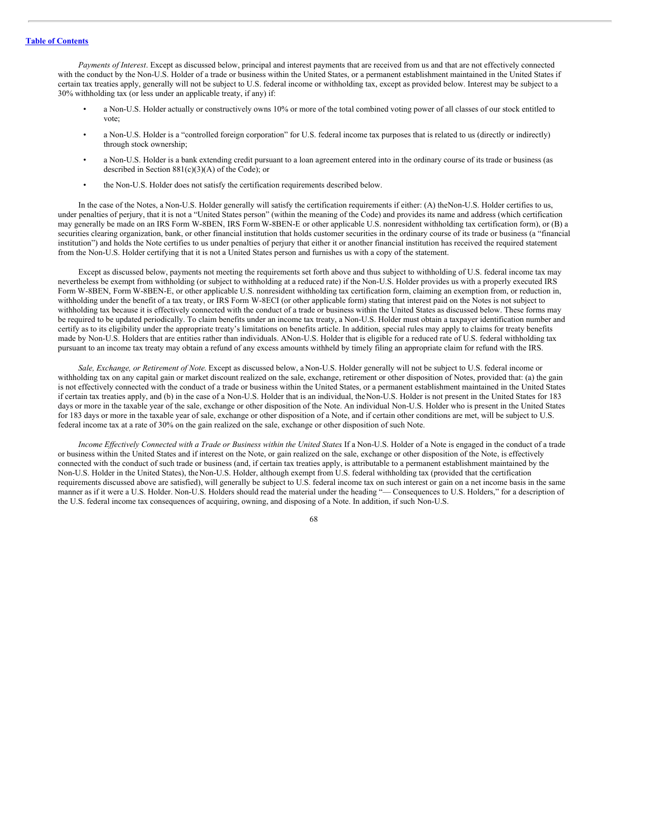*Payments of Interest*. Except as discussed below, principal and interest payments that are received from us and that are not effectively connected with the conduct by the Non-U.S. Holder of a trade or business within the United States, or a permanent establishment maintained in the United States if certain tax treaties apply, generally will not be subject to U.S. federal income or withholding tax, except as provided below. Interest may be subject to a 30% withholding tax (or less under an applicable treaty, if any) if:

- a Non-U.S. Holder actually or constructively owns 10% or more of the total combined voting power of all classes of our stock entitled to vote;
- a Non-U.S. Holder is a "controlled foreign corporation" for U.S. federal income tax purposes that is related to us (directly or indirectly) through stock ownership;
- a Non-U.S. Holder is a bank extending credit pursuant to a loan agreement entered into in the ordinary course of its trade or business (as described in Section 881(c)(3)(A) of the Code); or
- the Non-U.S. Holder does not satisfy the certification requirements described below.

In the case of the Notes, a Non-U.S. Holder generally will satisfy the certification requirements if either: (A) theNon-U.S. Holder certifies to us, under penalties of perjury, that it is not a "United States person" (within the meaning of the Code) and provides its name and address (which certification may generally be made on an IRS Form W-8BEN, IRS Form W-8BEN-E or other applicable U.S. nonresident withholding tax certification form), or (B) a securities clearing organization, bank, or other financial institution that holds customer securities in the ordinary course of its trade or business (a "financial institution") and holds the Note certifies to us under penalties of perjury that either it or another financial institution has received the required statement from the Non-U.S. Holder certifying that it is not a United States person and furnishes us with a copy of the statement.

Except as discussed below, payments not meeting the requirements set forth above and thus subject to withholding of U.S. federal income tax may nevertheless be exempt from withholding (or subject to withholding at a reduced rate) if the Non-U.S. Holder provides us with a properly executed IRS Form W-8BEN, Form W-8BEN-E, or other applicable U.S. nonresident withholding tax certification form, claiming an exemption from, or reduction in, withholding under the benefit of a tax treaty, or IRS Form W-8ECI (or other applicable form) stating that interest paid on the Notes is not subject to withholding tax because it is effectively connected with the conduct of a trade or business within the United States as discussed below. These forms may be required to be updated periodically. To claim benefits under an income tax treaty, a Non-U.S. Holder must obtain a taxpayer identification number and certify as to its eligibility under the appropriate treaty's limitations on benefits article. In addition, special rules may apply to claims for treaty benefits made by Non-U.S. Holders that are entities rather than individuals. ANon-U.S. Holder that is eligible for a reduced rate of U.S. federal withholding tax pursuant to an income tax treaty may obtain a refund of any excess amounts withheld by timely filing an appropriate claim for refund with the IRS.

*Sale, Exchange, or Retirement of Note*. Except as discussed below, a Non-U.S. Holder generally will not be subject to U.S. federal income or withholding tax on any capital gain or market discount realized on the sale, exchange, retirement or other disposition of Notes, provided that: (a) the gain is not effectively connected with the conduct of a trade or business within the United States, or a permanent establishment maintained in the United States if certain tax treaties apply, and (b) in the case of a Non-U.S. Holder that is an individual, theNon-U.S. Holder is not present in the United States for 183 days or more in the taxable year of the sale, exchange or other disposition of the Note. An individual Non-U.S. Holder who is present in the United States for 183 days or more in the taxable year of sale, exchange or other disposition of a Note, and if certain other conditions are met, will be subject to U.S. federal income tax at a rate of 30% on the gain realized on the sale, exchange or other disposition of such Note.

Income Effectively Connected with a Trade or Business within the United States If a Non-U.S. Holder of a Note is engaged in the conduct of a trade or business within the United States and if interest on the Note, or gain realized on the sale, exchange or other disposition of the Note, is effectively connected with the conduct of such trade or business (and, if certain tax treaties apply, is attributable to a permanent establishment maintained by the Non-U.S. Holder in the United States), the Non-U.S. Holder, although exempt from U.S. federal withholding tax (provided that the certification requirements discussed above are satisfied), will generally be subject to U.S. federal income tax on such interest or gain on a net income basis in the same manner as if it were a U.S. Holder. Non-U.S. Holders should read the material under the heading "— Consequences to U.S. Holders," for a description of the U.S. federal income tax consequences of acquiring, owning, and disposing of a Note. In addition, if such Non-U.S.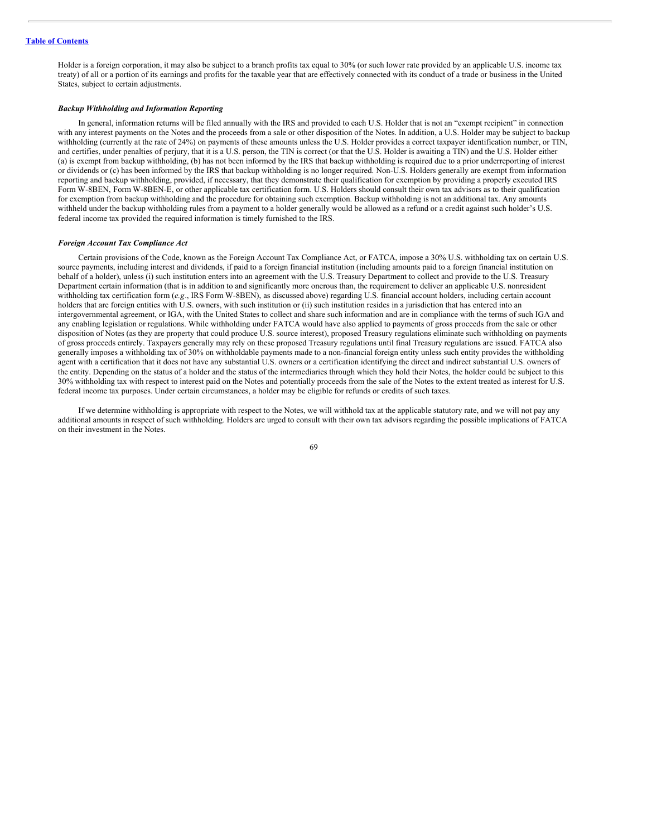Holder is a foreign corporation, it may also be subject to a branch profits tax equal to 30% (or such lower rate provided by an applicable U.S. income tax treaty) of all or a portion of its earnings and profits for the taxable year that are effectively connected with its conduct of a trade or business in the United States, subject to certain adjustments.

# *Backup Withholding and Information Reporting*

In general, information returns will be filed annually with the IRS and provided to each U.S. Holder that is not an "exempt recipient" in connection with any interest payments on the Notes and the proceeds from a sale or other disposition of the Notes. In addition, a U.S. Holder may be subject to backup withholding (currently at the rate of 24%) on payments of these amounts unless the U.S. Holder provides a correct taxpayer identification number, or TIN, and certifies, under penalties of perjury, that it is a U.S. person, the TIN is correct (or that the U.S. Holder is awaiting a TIN) and the U.S. Holder either (a) is exempt from backup withholding, (b) has not been informed by the IRS that backup withholding is required due to a prior underreporting of interest or dividends or (c) has been informed by the IRS that backup withholding is no longer required. Non-U.S. Holders generally are exempt from information reporting and backup withholding, provided, if necessary, that they demonstrate their qualification for exemption by providing a properly executed IRS Form W-8BEN, Form W-8BEN-E, or other applicable tax certification form. U.S. Holders should consult their own tax advisors as to their qualification for exemption from backup withholding and the procedure for obtaining such exemption. Backup withholding is not an additional tax. Any amounts withheld under the backup withholding rules from a payment to a holder generally would be allowed as a refund or a credit against such holder's U.S. federal income tax provided the required information is timely furnished to the IRS.

### *Foreign Account Tax Compliance Act*

Certain provisions of the Code, known as the Foreign Account Tax Compliance Act, or FATCA, impose a 30% U.S. withholding tax on certain U.S. source payments, including interest and dividends, if paid to a foreign financial institution (including amounts paid to a foreign financial institution on behalf of a holder), unless (i) such institution enters into an agreement with the U.S. Treasury Department to collect and provide to the U.S. Treasury Department certain information (that is in addition to and significantly more onerous than, the requirement to deliver an applicable U.S. nonresident withholding tax certification form (*e.g*., IRS Form W-8BEN), as discussed above) regarding U.S. financial account holders, including certain account holders that are foreign entities with U.S. owners, with such institution or (ii) such institution resides in a jurisdiction that has entered into an intergovernmental agreement, or IGA, with the United States to collect and share such information and are in compliance with the terms of such IGA and any enabling legislation or regulations. While withholding under FATCA would have also applied to payments of gross proceeds from the sale or other disposition of Notes (as they are property that could produce U.S. source interest), proposed Treasury regulations eliminate such withholding on payments of gross proceeds entirely. Taxpayers generally may rely on these proposed Treasury regulations until final Treasury regulations are issued. FATCA also generally imposes a withholding tax of 30% on withholdable payments made to a non-financial foreign entity unless such entity provides the withholding agent with a certification that it does not have any substantial U.S. owners or a certification identifying the direct and indirect substantial U.S. owners of the entity. Depending on the status of a holder and the status of the intermediaries through which they hold their Notes, the holder could be subject to this 30% withholding tax with respect to interest paid on the Notes and potentially proceeds from the sale of the Notes to the extent treated as interest for U.S. federal income tax purposes. Under certain circumstances, a holder may be eligible for refunds or credits of such taxes.

If we determine withholding is appropriate with respect to the Notes, we will withhold tax at the applicable statutory rate, and we will not pay any additional amounts in respect of such withholding. Holders are urged to consult with their own tax advisors regarding the possible implications of FATCA on their investment in the Notes.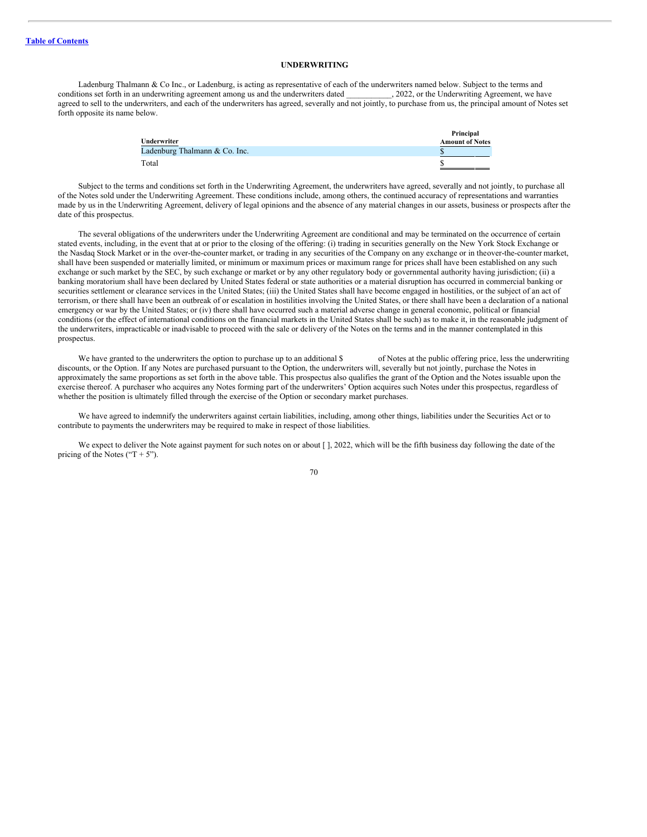# **UNDERWRITING**

Ladenburg Thalmann & Co Inc., or Ladenburg, is acting as representative of each of the underwriters named below. Subject to the terms and conditions set forth in an underwriting agreement among us and the underwriters dated \_\_\_\_\_\_\_\_\_\_\_, 2022, or the Underwriting Agreement, we have agreed to sell to the underwriters, and each of the underwriters has agreed, severally and not jointly, to purchase from us, the principal amount of Notes set forth opposite its name below.

|                               | Principal              |
|-------------------------------|------------------------|
| Underwriter                   | <b>Amount of Notes</b> |
| Ladenburg Thalmann & Co. Inc. |                        |
| Total                         |                        |

Subject to the terms and conditions set forth in the Underwriting Agreement, the underwriters have agreed, severally and not jointly, to purchase all of the Notes sold under the Underwriting Agreement. These conditions include, among others, the continued accuracy of representations and warranties made by us in the Underwriting Agreement, delivery of legal opinions and the absence of any material changes in our assets, business or prospects after the date of this prospectus.

The several obligations of the underwriters under the Underwriting Agreement are conditional and may be terminated on the occurrence of certain stated events, including, in the event that at or prior to the closing of the offering: (i) trading in securities generally on the New York Stock Exchange or the Nasdaq Stock Market or in the over-the-counter market, or trading in any securities of the Company on any exchange or in theover-the-counter market, shall have been suspended or materially limited, or minimum or maximum prices or maximum range for prices shall have been established on any such exchange or such market by the SEC, by such exchange or market or by any other regulatory body or governmental authority having jurisdiction; (ii) a banking moratorium shall have been declared by United States federal or state authorities or a material disruption has occurred in commercial banking or securities settlement or clearance services in the United States; (iii) the United States shall have become engaged in hostilities, or the subject of an act of terrorism, or there shall have been an outbreak of or escalation in hostilities involving the United States, or there shall have been a declaration of a national emergency or war by the United States; or (iv) there shall have occurred such a material adverse change in general economic, political or financial conditions (or the effect of international conditions on the financial markets in the United States shall be such) as to make it, in the reasonable judgment of the underwriters, impracticable or inadvisable to proceed with the sale or delivery of the Notes on the terms and in the manner contemplated in this prospectus.

We have granted to the underwriters the option to purchase up to an additional \$ of Notes at the public offering price, less the underwriting discounts, or the Option. If any Notes are purchased pursuant to the Option, the underwriters will, severally but not jointly, purchase the Notes in approximately the same proportions as set forth in the above table. This prospectus also qualifies the grant of the Option and the Notes issuable upon the exercise thereof. A purchaser who acquires any Notes forming part of the underwriters' Option acquires such Notes under this prospectus, regardless of whether the position is ultimately filled through the exercise of the Option or secondary market purchases.

We have agreed to indemnify the underwriters against certain liabilities, including, among other things, liabilities under the Securities Act or to contribute to payments the underwriters may be required to make in respect of those liabilities.

We expect to deliver the Note against payment for such notes on or about [], 2022, which will be the fifth business day following the date of the pricing of the Notes (" $T + 5$ ").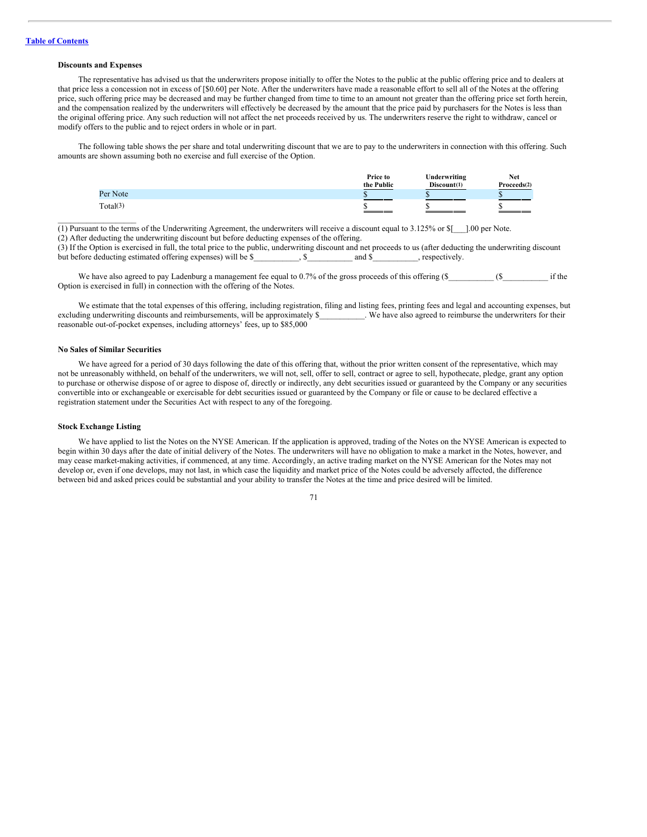### **Discounts and Expenses**

The representative has advised us that the underwriters propose initially to offer the Notes to the public at the public offering price and to dealers at that price less a concession not in excess of [\$0.60] per Note. After the underwriters have made a reasonable effort to sell all of the Notes at the offering price, such offering price may be decreased and may be further changed from time to time to an amount not greater than the offering price set forth herein, and the compensation realized by the underwriters will effectively be decreased by the amount that the price paid by purchasers for the Notes is less than the original offering price. Any such reduction will not affect the net proceeds received by us. The underwriters reserve the right to withdraw, cancel or modify offers to the public and to reject orders in whole or in part.

The following table shows the per share and total underwriting discount that we are to pay to the underwriters in connection with this offering. Such amounts are shown assuming both no exercise and full exercise of the Option.

|          | Price to   | Underwriting | <b>Net</b>              |
|----------|------------|--------------|-------------------------|
|          | the Public | Discount(1)  | Proceeds <sup>(2)</sup> |
| Per Note |            |              |                         |
| Total(3) | ____       | _____        | _____                   |

(1) Pursuant to the terms of the Underwriting Agreement, the underwriters will receive a discount equal to 3.125% or \$[\_\_\_].00 per Note.

(2) After deducting the underwriting discount but before deducting expenses of the offering.

(3) If the Option is exercised in full, the total price to the public, underwriting discount and net proceeds to us (after deducting the underwriting discount but before deducting estimated offering expenses) will be \$ \_\_\_\_\_\_\_, \$ \_\_\_\_\_\_\_\_\_\_, respectively.

We have also agreed to pay Ladenburg a management fee equal to 0.7% of the gross proceeds of this offering (\$  $\qquad \qquad$  if the Option is exercised in full) in connection with the offering of the Notes.

We estimate that the total expenses of this offering, including registration, filing and listing fees, printing fees and legal and accounting expenses, but excluding underwriting discounts and reimbursements, will be approximately \$ We have also agreed to reimburse the underwriters for their reasonable out-of-pocket expenses, including attorneys' fees, up to \$85,000

# **No Sales of Similar Securities**

We have agreed for a period of 30 days following the date of this offering that, without the prior written consent of the representative, which may not be unreasonably withheld, on behalf of the underwriters, we will not, sell, offer to sell, contract or agree to sell, hypothecate, pledge, grant any option to purchase or otherwise dispose of or agree to dispose of, directly or indirectly, any debt securities issued or guaranteed by the Company or any securities convertible into or exchangeable or exercisable for debt securities issued or guaranteed by the Company or file or cause to be declared effective a registration statement under the Securities Act with respect to any of the foregoing.

#### **Stock Exchange Listing**

We have applied to list the Notes on the NYSE American. If the application is approved, trading of the Notes on the NYSE American is expected to begin within 30 days after the date of initial delivery of the Notes. The underwriters will have no obligation to make a market in the Notes, however, and may cease market-making activities, if commenced, at any time. Accordingly, an active trading market on the NYSE American for the Notes may not develop or, even if one develops, may not last, in which case the liquidity and market price of the Notes could be adversely affected, the difference between bid and asked prices could be substantial and your ability to transfer the Notes at the time and price desired will be limited.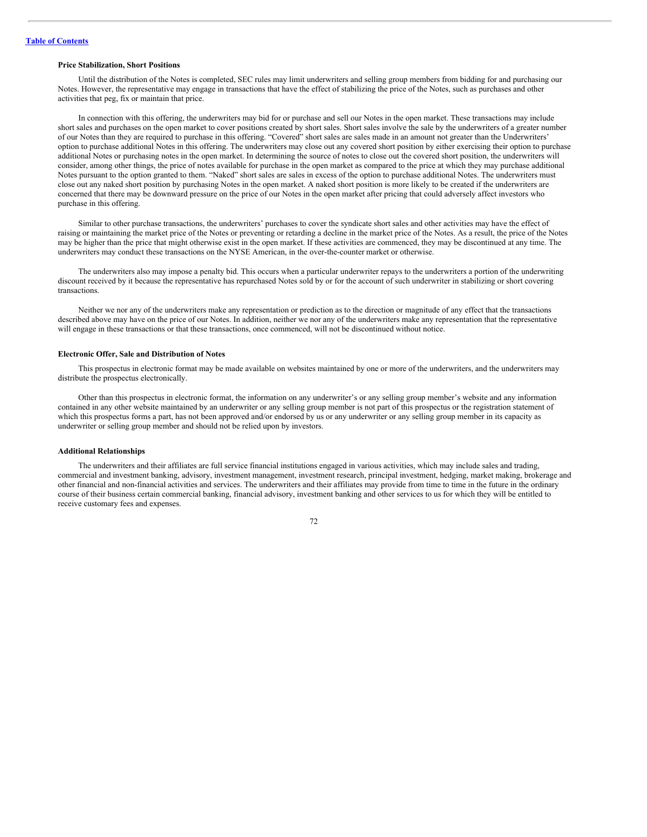## **Price Stabilization, Short Positions**

Until the distribution of the Notes is completed, SEC rules may limit underwriters and selling group members from bidding for and purchasing our Notes. However, the representative may engage in transactions that have the effect of stabilizing the price of the Notes, such as purchases and other activities that peg, fix or maintain that price.

In connection with this offering, the underwriters may bid for or purchase and sell our Notes in the open market. These transactions may include short sales and purchases on the open market to cover positions created by short sales. Short sales involve the sale by the underwriters of a greater number of our Notes than they are required to purchase in this offering. "Covered" short sales are sales made in an amount not greater than the Underwriters' option to purchase additional Notes in this offering. The underwriters may close out any covered short position by either exercising their option to purchase additional Notes or purchasing notes in the open market. In determining the source of notes to close out the covered short position, the underwriters will consider, among other things, the price of notes available for purchase in the open market as compared to the price at which they may purchase additional Notes pursuant to the option granted to them. "Naked" short sales are sales in excess of the option to purchase additional Notes. The underwriters must close out any naked short position by purchasing Notes in the open market. A naked short position is more likely to be created if the underwriters are concerned that there may be downward pressure on the price of our Notes in the open market after pricing that could adversely affect investors who purchase in this offering.

Similar to other purchase transactions, the underwriters' purchases to cover the syndicate short sales and other activities may have the effect of raising or maintaining the market price of the Notes or preventing or retarding a decline in the market price of the Notes. As a result, the price of the Notes may be higher than the price that might otherwise exist in the open market. If these activities are commenced, they may be discontinued at any time. The underwriters may conduct these transactions on the NYSE American, in the over-the-counter market or otherwise.

The underwriters also may impose a penalty bid. This occurs when a particular underwriter repays to the underwriters a portion of the underwriting discount received by it because the representative has repurchased Notes sold by or for the account of such underwriter in stabilizing or short covering transactions.

Neither we nor any of the underwriters make any representation or prediction as to the direction or magnitude of any effect that the transactions described above may have on the price of our Notes. In addition, neither we nor any of the underwriters make any representation that the representative will engage in these transactions or that these transactions, once commenced, will not be discontinued without notice.

### **Electronic Offer, Sale and Distribution of Notes**

This prospectus in electronic format may be made available on websites maintained by one or more of the underwriters, and the underwriters may distribute the prospectus electronically.

Other than this prospectus in electronic format, the information on any underwriter's or any selling group member's website and any information contained in any other website maintained by an underwriter or any selling group member is not part of this prospectus or the registration statement of which this prospectus forms a part, has not been approved and/or endorsed by us or any underwriter or any selling group member in its capacity as underwriter or selling group member and should not be relied upon by investors.

#### **Additional Relationships**

The underwriters and their affiliates are full service financial institutions engaged in various activities, which may include sales and trading, commercial and investment banking, advisory, investment management, investment research, principal investment, hedging, market making, brokerage and other financial and non-financial activities and services. The underwriters and their affiliates may provide from time to time in the future in the ordinary course of their business certain commercial banking, financial advisory, investment banking and other services to us for which they will be entitled to receive customary fees and expenses.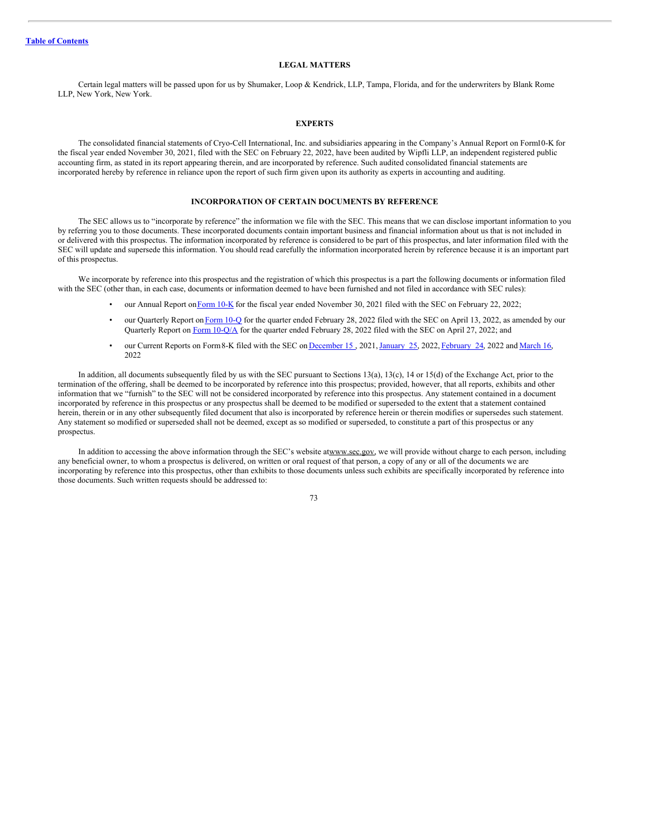# **LEGAL MATTERS**

Certain legal matters will be passed upon for us by Shumaker, Loop & Kendrick, LLP, Tampa, Florida, and for the underwriters by Blank Rome LLP, New York, New York.

# **EXPERTS**

The consolidated financial statements of Cryo-Cell International, Inc. and subsidiaries appearing in the Company's Annual Report on Form10-K for the fiscal year ended November 30, 2021, filed with the SEC on February 22, 2022, have been audited by Wipfli LLP, an independent registered public accounting firm, as stated in its report appearing therein, and are incorporated by reference. Such audited consolidated financial statements are incorporated hereby by reference in reliance upon the report of such firm given upon its authority as experts in accounting and auditing.

### **INCORPORATION OF CERTAIN DOCUMENTS BY REFERENCE**

The SEC allows us to "incorporate by reference" the information we file with the SEC. This means that we can disclose important information to you by referring you to those documents. These incorporated documents contain important business and financial information about us that is not included in or delivered with this prospectus. The information incorporated by reference is considered to be part of this prospectus, and later information filed with the SEC will update and supersede this information. You should read carefully the information incorporated herein by reference because it is an important part of this prospectus.

We incorporate by reference into this prospectus and the registration of which this prospectus is a part the following documents or information filed with the SEC (other than, in each case, documents or information deemed to have been furnished and not filed in accordance with SEC rules):

- our Annual Report on [Form](http://www.sec.gov/ix?doc=/Archives/edgar/data/862692/000095017022001637/ccel-20211130.htm) 10-K for the fiscal year ended November 30, 2021 filed with the SEC on February 22, 2022;
- our Quarterly Report on [Form](http://www.sec.gov/ix?doc=/Archives/edgar/data/862692/000095017022005662/ccel-20220228.htm) 10-Q for the quarter ended February 28, 2022 filed with the SEC on April 13, 2022, as amended by our Quarterly Report on Form [10-Q/A](http://www.sec.gov/ix?doc=/Archives/edgar/data/862692/000095017022006286/ccel-20220228.htm) for the quarter ended February 28, 2022 filed with the SEC on April 27, 2022; and
- our Current Reports on Form 8-K filed with the SEC on [December](http://www.sec.gov/ix?doc=/Archives/edgar/data/862692/000156459021060452/ccel-8k_20211213.htm) 15, 2021, [January](http://www.sec.gov/ix?doc=/Archives/edgar/data/862692/000095017022000481/ccel-20220119.htm) 25, 2022, [February](http://www.sec.gov/ix?doc=/Archives/edgar/data/862692/000095017022002003/ccel-20220222.htm) 24, 2022 and [March](http://www.sec.gov/ix?doc=/Archives/edgar/data/862692/000095017022003951/ccel-20220314.htm) 16, 2022

In addition, all documents subsequently filed by us with the SEC pursuant to Sections 13(a), 13(c), 14 or 15(d) of the Exchange Act, prior to the termination of the offering, shall be deemed to be incorporated by reference into this prospectus; provided, however, that all reports, exhibits and other information that we "furnish" to the SEC will not be considered incorporated by reference into this prospectus. Any statement contained in a document incorporated by reference in this prospectus or any prospectus shall be deemed to be modified or superseded to the extent that a statement contained herein, therein or in any other subsequently filed document that also is incorporated by reference herein or therein modifies or supersedes such statement. Any statement so modified or superseded shall not be deemed, except as so modified or superseded, to constitute a part of this prospectus or any prospectus.

In addition to accessing the above information through the SEC's website atwww.sec.gov, we will provide without charge to each person, including any beneficial owner, to whom a prospectus is delivered, on written or oral request of that person, a copy of any or all of the documents we are incorporating by reference into this prospectus, other than exhibits to those documents unless such exhibits are specifically incorporated by reference into those documents. Such written requests should be addressed to: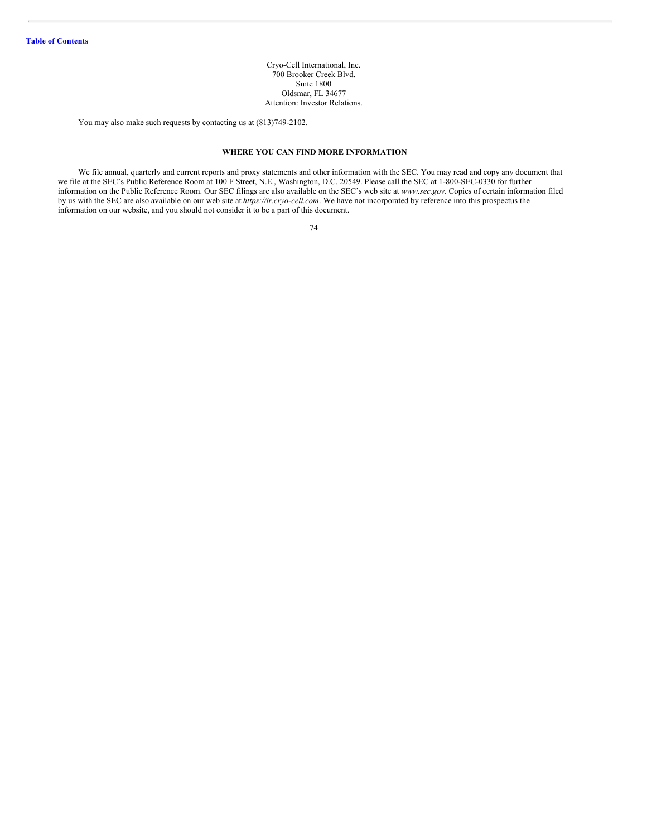# Cryo-Cell International, Inc. 700 Brooker Creek Blvd. Suite 1800 Oldsmar, FL 34677 Attention: Investor Relations.

You may also make such requests by contacting us at (813)749-2102.

# **WHERE YOU CAN FIND MORE INFORMATION**

We file annual, quarterly and current reports and proxy statements and other information with the SEC. You may read and copy any document that we file at the SEC's Public Reference Room at 100 F Street, N.E., Washington, D.C. 20549. Please call the SEC at 1-800-SEC-0330 for further information on the Public Reference Room. Our SEC filings are also available on the SEC's web site at *www.sec.gov*. Copies of certain information filed by us with the SEC are also available on our web site at *https://ir.cryo-cell.com*. We have not incorporated by reference into this prospectus the information on our website, and you should not consider it to be a part of this document.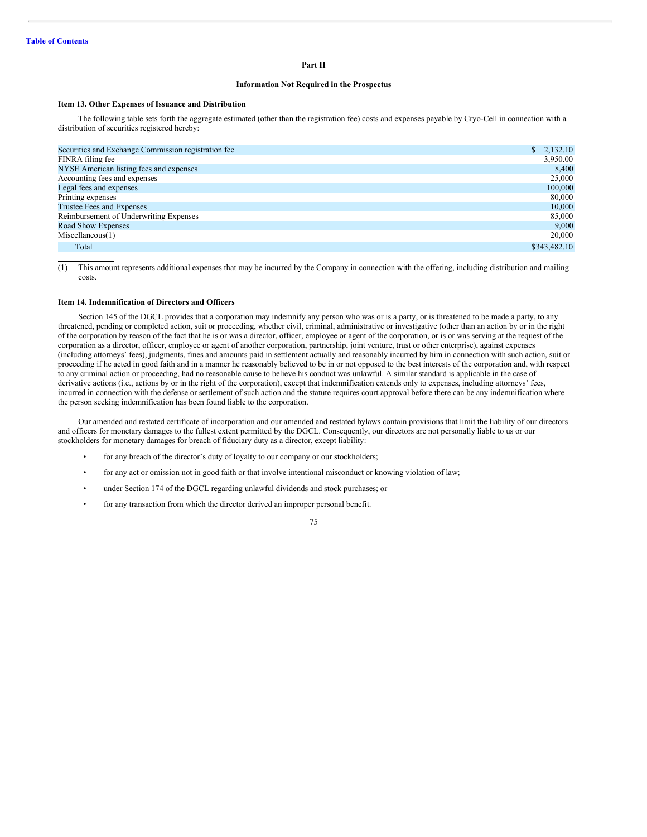### **Part II**

#### **Information Not Required in the Prospectus**

#### **Item 13. Other Expenses of Issuance and Distribution**

The following table sets forth the aggregate estimated (other than the registration fee) costs and expenses payable by Cryo-Cell in connection with a distribution of securities registered hereby:

| Securities and Exchange Commission registration fee | \$2,132.10   |
|-----------------------------------------------------|--------------|
| FINRA filing fee                                    | 3,950.00     |
| NYSE American listing fees and expenses             | 8.400        |
| Accounting fees and expenses                        | 25,000       |
| Legal fees and expenses                             | 100,000      |
| Printing expenses                                   | 80,000       |
| <b>Trustee Fees and Expenses</b>                    | 10,000       |
| Reimbursement of Underwriting Expenses              | 85,000       |
| Road Show Expenses                                  | 9.000        |
| Miscellaneous(1)                                    | 20,000       |
| Total                                               | \$343,482.10 |

(1) This amount represents additional expenses that may be incurred by the Company in connection with the offering, including distribution and mailing costs.

### **Item 14. Indemnification of Directors and Officers**

Section 145 of the DGCL provides that a corporation may indemnify any person who was or is a party, or is threatened to be made a party, to any threatened, pending or completed action, suit or proceeding, whether civil, criminal, administrative or investigative (other than an action by or in the right of the corporation by reason of the fact that he is or was a director, officer, employee or agent of the corporation, or is or was serving at the request of the corporation as a director, officer, employee or agent of another corporation, partnership, joint venture, trust or other enterprise), against expenses (including attorneys' fees), judgments, fines and amounts paid in settlement actually and reasonably incurred by him in connection with such action, suit or proceeding if he acted in good faith and in a manner he reasonably believed to be in or not opposed to the best interests of the corporation and, with respect to any criminal action or proceeding, had no reasonable cause to believe his conduct was unlawful. A similar standard is applicable in the case of derivative actions (i.e., actions by or in the right of the corporation), except that indemnification extends only to expenses, including attorneys' fees, incurred in connection with the defense or settlement of such action and the statute requires court approval before there can be any indemnification where the person seeking indemnification has been found liable to the corporation.

Our amended and restated certificate of incorporation and our amended and restated bylaws contain provisions that limit the liability of our directors and officers for monetary damages to the fullest extent permitted by the DGCL. Consequently, our directors are not personally liable to us or our stockholders for monetary damages for breach of fiduciary duty as a director, except liability:

- for any breach of the director's duty of loyalty to our company or our stockholders;
- for any act or omission not in good faith or that involve intentional misconduct or knowing violation of law;
- under Section 174 of the DGCL regarding unlawful dividends and stock purchases; or
- for any transaction from which the director derived an improper personal benefit.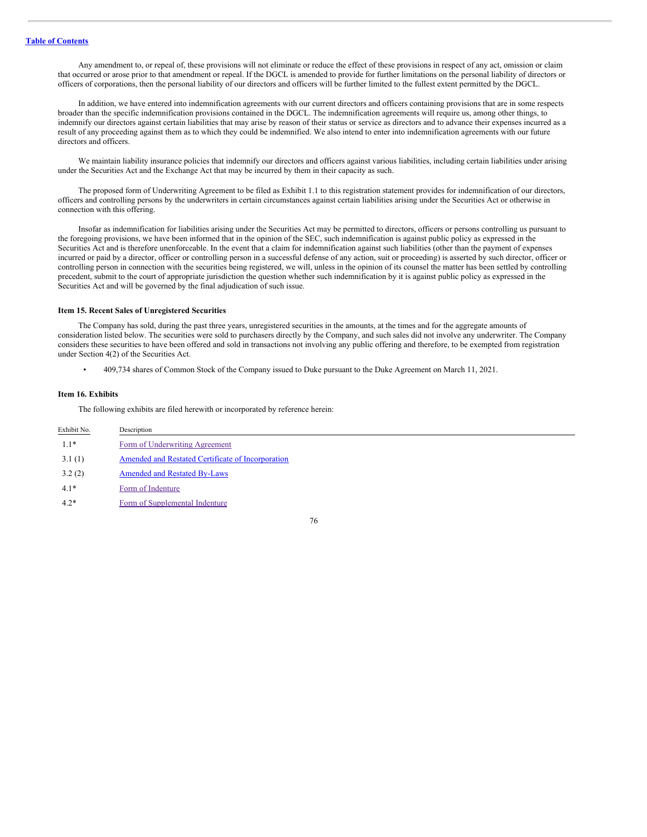Any amendment to, or repeal of, these provisions will not eliminate or reduce the effect of these provisions in respect of any act, omission or claim that occurred or arose prior to that amendment or repeal. If the DGCL is amended to provide for further limitations on the personal liability of directors or officers of corporations, then the personal liability of our directors and officers will be further limited to the fullest extent permitted by the DGCL.

In addition, we have entered into indemnification agreements with our current directors and officers containing provisions that are in some respects broader than the specific indemnification provisions contained in the DGCL. The indemnification agreements will require us, among other things, to indemnify our directors against certain liabilities that may arise by reason of their status or service as directors and to advance their expenses incurred as a result of any proceeding against them as to which they could be indemnified. We also intend to enter into indemnification agreements with our future directors and officers.

We maintain liability insurance policies that indemnify our directors and officers against various liabilities, including certain liabilities under arising under the Securities Act and the Exchange Act that may be incurred by them in their capacity as such.

The proposed form of Underwriting Agreement to be filed as Exhibit 1.1 to this registration statement provides for indemnification of our directors, officers and controlling persons by the underwriters in certain circumstances against certain liabilities arising under the Securities Act or otherwise in connection with this offering.

Insofar as indemnification for liabilities arising under the Securities Act may be permitted to directors, officers or persons controlling us pursuant to the foregoing provisions, we have been informed that in the opinion of the SEC, such indemnification is against public policy as expressed in the Securities Act and is therefore unenforceable. In the event that a claim for indemnification against such liabilities (other than the payment of expenses incurred or paid by a director, officer or controlling person in a successful defense of any action, suit or proceeding) is asserted by such director, officer or controlling person in connection with the securities being registered, we will, unless in the opinion of its counsel the matter has been settled by controlling precedent, submit to the court of appropriate jurisdiction the question whether such indemnification by it is against public policy as expressed in the Securities Act and will be governed by the final adjudication of such issue.

#### **Item 15. Recent Sales of Unregistered Securities**

The Company has sold, during the past three years, unregistered securities in the amounts, at the times and for the aggregate amounts of consideration listed below. The securities were sold to purchasers directly by the Company, and such sales did not involve any underwriter. The Company considers these securities to have been offered and sold in transactions not involving any public offering and therefore, to be exempted from registration under Section 4(2) of the Securities Act.

• 409,734 shares of Common Stock of the Company issued to Duke pursuant to the Duke Agreement on March 11, 2021.

### **Item 16. Exhibits**

The following exhibits are filed herewith or incorporated by reference herein:

| Exhibit No. | Description                                              |
|-------------|----------------------------------------------------------|
| $1.1*$      | Form of Underwriting Agreement                           |
| 3.1(1)      | <b>Amended and Restated Certificate of Incorporation</b> |
| 3.2(2)      | <b>Amended and Restated By-Laws</b>                      |
| $4.1*$      | Form of Indenture                                        |
| $4.2*$      | Form of Supplemental Indenture                           |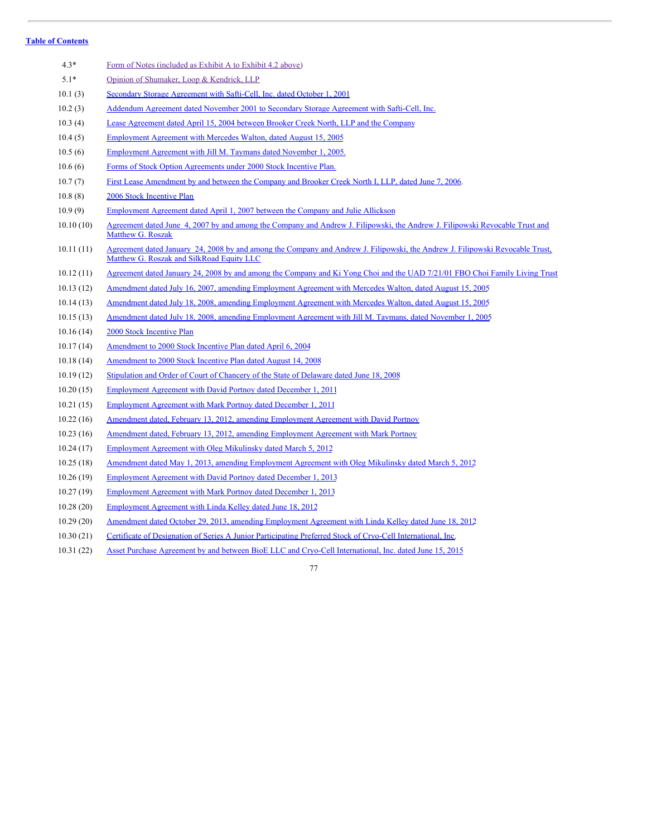# **Table of [Contents](#page-3-0)**

| $4.3*$    | Form of Notes (included as Exhibit A to Exhibit 4.2 above)                                                                                                                 |
|-----------|----------------------------------------------------------------------------------------------------------------------------------------------------------------------------|
| $5.1*$    | Opinion of Shumaker, Loop & Kendrick, LLP                                                                                                                                  |
| 10.1(3)   | Secondary Storage Agreement with Safti-Cell, Inc. dated October 1, 2001                                                                                                    |
| 10.2(3)   | Addendum Agreement dated November 2001 to Secondary Storage Agreement with Safti-Cell, Inc.                                                                                |
| 10.3(4)   | Lease Agreement dated April 15, 2004 between Brooker Creek North, LLP and the Company                                                                                      |
| 10.4(5)   | Employment Agreement with Mercedes Walton, dated August 15, 2005                                                                                                           |
| 10.5(6)   | Employment Agreement with Jill M. Taymans dated November 1, 2005.                                                                                                          |
| 10.6(6)   | Forms of Stock Option Agreements under 2000 Stock Incentive Plan.                                                                                                          |
| 10.7(7)   | First Lease Amendment by and between the Company and Brooker Creek North I, LLP, dated June 7, 2006.                                                                       |
| 10.8(8)   | 2006 Stock Incentive Plan                                                                                                                                                  |
| 10.9(9)   | Employment Agreement dated April 1, 2007 between the Company and Julie Allickson                                                                                           |
| 10.10(10) | Agreement dated June 4, 2007 by and among the Company and Andrew J. Filipowski, the Andrew J. Filipowski Revocable Trust and<br><b>Matthew G. Roszak</b>                   |
| 10.11(11) | Agreement dated January 24, 2008 by and among the Company and Andrew J. Filipowski, the Andrew J. Filipowski Revocable Trust,<br>Matthew G. Roszak and SilkRoad Equity LLC |
| 10.12(11) | Agreement dated January 24, 2008 by and among the Company and Ki Yong Choi and the UAD 7/21/01 FBO Choi Family Living Trust                                                |
| 10.13(12) | Amendment dated July 16, 2007, amending Employment Agreement with Mercedes Walton, dated August 15, 2005                                                                   |
| 10.14(13) | Amendment dated July 18, 2008, amending Employment Agreement with Mercedes Walton, dated August 15, 2005                                                                   |
| 10.15(13) | Amendment dated July 18, 2008, amending Employment Agreement with Jill M. Taymans, dated November 1, 2005                                                                  |
| 10.16(14) | 2000 Stock Incentive Plan                                                                                                                                                  |
| 10.17(14) | Amendment to 2000 Stock Incentive Plan dated April 6, 2004                                                                                                                 |
| 10.18(14) | Amendment to 2000 Stock Incentive Plan dated August 14, 2008                                                                                                               |
| 10.19(12) | Stipulation and Order of Court of Chancery of the State of Delaware dated June 18, 2008                                                                                    |
| 10.20(15) | Employment Agreement with David Portnoy dated December 1, 2011                                                                                                             |
| 10.21(15) | Employment Agreement with Mark Portnoy dated December 1, 2011                                                                                                              |
| 10.22(16) | Amendment dated, February 13, 2012, amending Employment Agreement with David Portnoy                                                                                       |
| 10.23(16) | <u>Amendment dated, February 13, 2012, amending Employment Agreement with Mark Portnoy</u>                                                                                 |
| 10.24(17) | Employment Agreement with Oleg Mikulinsky dated March 5, 2012                                                                                                              |
| 10.25(18) | Amendment dated May 1, 2013, amending Employment Agreement with Oleg Mikulinsky dated March 5, 2012                                                                        |
| 10.26(19) | Employment Agreement with David Portnoy dated December 1, 2013                                                                                                             |
| 10.27(19) | <b>Employment Agreement with Mark Portnoy dated December 1, 2013</b>                                                                                                       |
| 10.28(20) | Employment Agreement with Linda Kelley dated June 18, 2012                                                                                                                 |
| 10.29(20) | <u>Amendment dated October 29, 2013, amending Employment Agreement with Linda Kelley dated June 18, 2012</u>                                                               |

- 10.30 (21) Certificate of Designation of Series A Junior Participating Preferred Stock of Cryo-Cell [International,](http://www.sec.gov/Archives/edgar/data/862692/000119312514432394/d833034dex31.htm) Inc.
- 10.31 (22) Asset Purchase Agreement by and between BioE LLC and Cryo-Cell [International,](http://www.sec.gov/Archives/edgar/data/862692/000119312515228991/d945154dex2.htm) Inc. dated June 15, 2015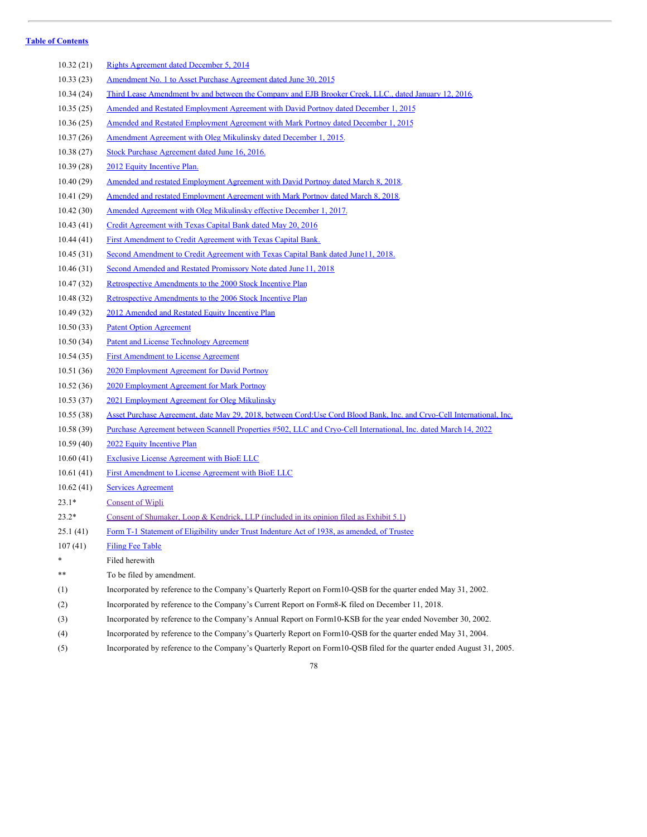## **Table of [Contents](#page-3-0)**

| 10.32(21) | Rights Agreement dated December 5, 2014                                                                                |  |
|-----------|------------------------------------------------------------------------------------------------------------------------|--|
| 10.33(23) | Amendment No. 1 to Asset Purchase Agreement dated June 30, 2015                                                        |  |
| 10.34(24) | Third Lease Amendment by and between the Company and EJB Brooker Creek, LLC., dated January 12, 2016.                  |  |
| 10.35(25) | <u>Amended and Restated Employment Agreement with David Portnoy dated December 1, 2015</u>                             |  |
| 10.36(25) | Amended and Restated Employment Agreement with Mark Portnoy dated December 1, 2015                                     |  |
| 10.37(26) | <u>Amendment Agreement with Oleg Mikulinsky dated December 1, 2015.</u>                                                |  |
| 10.38(27) | Stock Purchase Agreement dated June 16, 2016.                                                                          |  |
| 10.39(28) | 2012 Equity Incentive Plan.                                                                                            |  |
| 10.40(29) | <u>Amended and restated Employment Agreement with David Portnoy dated March 8, 2018.</u>                               |  |
| 10.41(29) | Amended and restated Employment Agreement with Mark Portnoy dated March 8, 2018.                                       |  |
| 10.42(30) | Amended Agreement with Oleg Mikulinsky effective December 1, 2017.                                                     |  |
| 10.43(41) | Credit Agreement with Texas Capital Bank dated May 20, 2016                                                            |  |
| 10.44(41) | First Amendment to Credit Agreement with Texas Capital Bank.                                                           |  |
| 10.45(31) | Second Amendment to Credit Agreement with Texas Capital Bank dated June11, 2018.                                       |  |
| 10.46(31) | Second Amended and Restated Promissory Note dated June 11, 2018                                                        |  |
| 10.47(32) | Retrospective Amendments to the 2000 Stock Incentive Plan                                                              |  |
| 10.48(32) | Retrospective Amendments to the 2006 Stock Incentive Plan                                                              |  |
| 10.49(32) | 2012 Amended and Restated Equity Incentive Plan                                                                        |  |
| 10.50(33) | <b>Patent Option Agreement</b>                                                                                         |  |
| 10.50(34) | <b>Patent and License Technology Agreement</b>                                                                         |  |
| 10.54(35) | <b>First Amendment to License Agreement</b>                                                                            |  |
| 10.51(36) | 2020 Employment Agreement for David Portnoy                                                                            |  |
| 10.52(36) | 2020 Employment Agreement for Mark Portnoy                                                                             |  |
| 10.53(37) | 2021 Employment Agreement for Oleg Mikulinsky                                                                          |  |
| 10.55(38) | Asset Purchase Agreement, date May 29, 2018, between Cord: Use Cord Blood Bank, Inc. and Cryo-Cell International, Inc. |  |
| 10.58(39) | Purchase Agreement between Scannell Properties #502, LLC and Cryo-Cell International, Inc. dated March 14, 2022        |  |
| 10.59(40) | 2022 Equity Incentive Plan                                                                                             |  |
| 10.60(41) | <b>Exclusive License Agreement with BioE LLC</b>                                                                       |  |
| 10.61(41) | First Amendment to License Agreement with BioE LLC                                                                     |  |
| 10.62(41) | <b>Services Agreement</b>                                                                                              |  |
| $23.1*$   | Consent of Wipli                                                                                                       |  |
| $23.2*$   | Consent of Shumaker, Loop & Kendrick, LLP (included in its opinion filed as Exhibit $5.1$ )                            |  |
| 25.1 (41) | Form T-1 Statement of Eligibility under Trust Indenture Act of 1938, as amended, of Trustee                            |  |
| 107(41)   | <b>Filing Fee Table</b>                                                                                                |  |
| $\ast$    | Filed herewith                                                                                                         |  |
| **        | To be filed by amendment.                                                                                              |  |
| (1)       | Incorporated by reference to the Company's Quarterly Report on Form10-QSB for the quarter ended May 31, 2002.          |  |
| (2)       | Incorporated by reference to the Company's Current Report on Form8-K filed on December 11, 2018.                       |  |
| (3)       | Incorporated by reference to the Company's Annual Report on Form10-KSB for the year ended November 30, 2002.           |  |
| (4)       | Incorporated by reference to the Company's Quarterly Report on Form10-QSB for the quarter ended May 31, 2004.          |  |
| (5)       | Incorporated by reference to the Company's Quarterly Report on Form10-QSB filed for the quarter ended August 31, 2005. |  |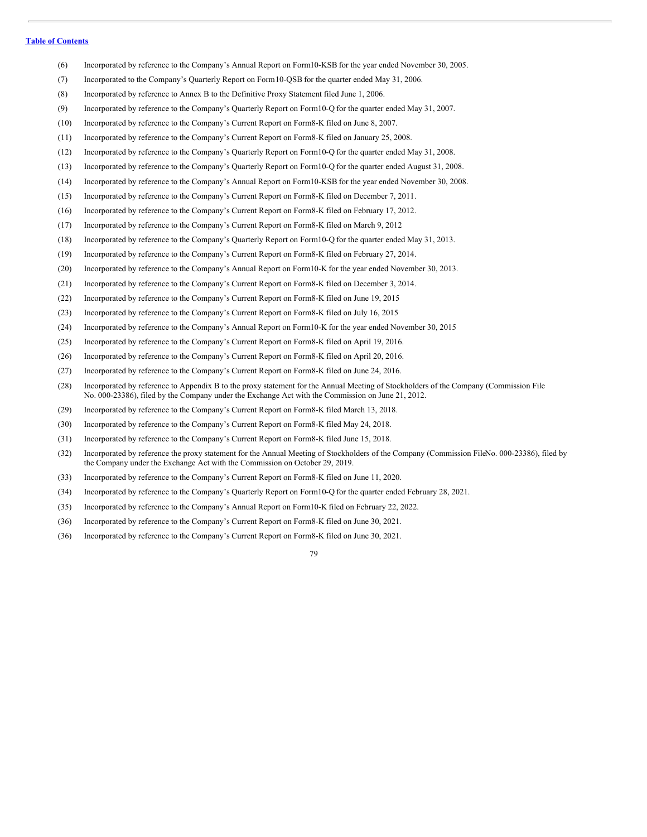- (6) Incorporated by reference to the Company's Annual Report on Form10-KSB for the year ended November 30, 2005.
- (7) Incorporated to the Company's Quarterly Report on Form10-QSB for the quarter ended May 31, 2006.
- (8) Incorporated by reference to Annex B to the Definitive Proxy Statement filed June 1, 2006.
- (9) Incorporated by reference to the Company's Quarterly Report on Form10-Q for the quarter ended May 31, 2007.
- (10) Incorporated by reference to the Company's Current Report on Form8-K filed on June 8, 2007.
- (11) Incorporated by reference to the Company's Current Report on Form8-K filed on January 25, 2008.
- (12) Incorporated by reference to the Company's Quarterly Report on Form10-Q for the quarter ended May 31, 2008.
- (13) Incorporated by reference to the Company's Quarterly Report on Form10-Q for the quarter ended August 31, 2008.
- (14) Incorporated by reference to the Company's Annual Report on Form10-KSB for the year ended November 30, 2008.
- (15) Incorporated by reference to the Company's Current Report on Form8-K filed on December 7, 2011.
- (16) Incorporated by reference to the Company's Current Report on Form8-K filed on February 17, 2012.
- (17) Incorporated by reference to the Company's Current Report on Form8-K filed on March 9, 2012
- (18) Incorporated by reference to the Company's Quarterly Report on Form10-Q for the quarter ended May 31, 2013.
- (19) Incorporated by reference to the Company's Current Report on Form8-K filed on February 27, 2014.
- (20) Incorporated by reference to the Company's Annual Report on Form10-K for the year ended November 30, 2013.
- (21) Incorporated by reference to the Company's Current Report on Form8-K filed on December 3, 2014.
- (22) Incorporated by reference to the Company's Current Report on Form8-K filed on June 19, 2015
- (23) Incorporated by reference to the Company's Current Report on Form8-K filed on July 16, 2015
- (24) Incorporated by reference to the Company's Annual Report on Form10-K for the year ended November 30, 2015
- (25) Incorporated by reference to the Company's Current Report on Form8-K filed on April 19, 2016.
- (26) Incorporated by reference to the Company's Current Report on Form8-K filed on April 20, 2016.
- (27) Incorporated by reference to the Company's Current Report on Form8-K filed on June 24, 2016.
- (28) Incorporated by reference to Appendix B to the proxy statement for the Annual Meeting of Stockholders of the Company (Commission File No. 000-23386), filed by the Company under the Exchange Act with the Commission on June 21, 2012.
- (29) Incorporated by reference to the Company's Current Report on Form8-K filed March 13, 2018.
- (30) Incorporated by reference to the Company's Current Report on Form8-K filed May 24, 2018.
- (31) Incorporated by reference to the Company's Current Report on Form8-K filed June 15, 2018.
- (32) Incorporated by reference the proxy statement for the Annual Meeting of Stockholders of the Company (Commission FileNo. 000-23386), filed by the Company under the Exchange Act with the Commission on October 29, 2019.
- (33) Incorporated by reference to the Company's Current Report on Form8-K filed on June 11, 2020.
- (34) Incorporated by reference to the Company's Quarterly Report on Form10-Q for the quarter ended February 28, 2021.
- (35) Incorporated by reference to the Company's Annual Report on Form10-K filed on February 22, 2022.
- (36) Incorporated by reference to the Company's Current Report on Form8-K filed on June 30, 2021.
- (36) Incorporated by reference to the Company's Current Report on Form8-K filed on June 30, 2021.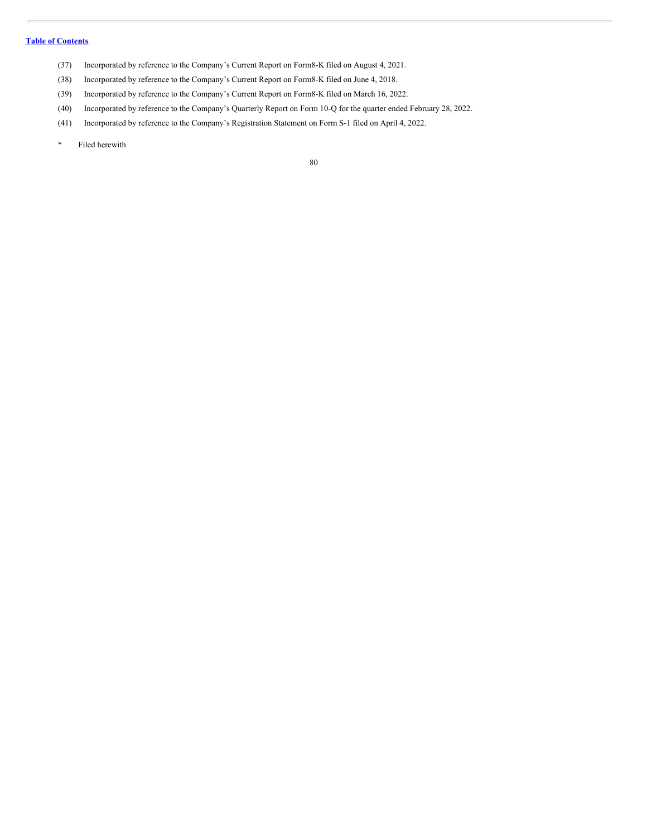# **Table of [Contents](#page-3-0)**

- (37) Incorporated by reference to the Company's Current Report on Form8-K filed on August 4, 2021.
- (38) Incorporated by reference to the Company's Current Report on Form8-K filed on June 4, 2018.
- (39) Incorporated by reference to the Company's Current Report on Form8-K filed on March 16, 2022.
- (40) Incorporated by reference to the Company's Quarterly Report on Form 10-Q for the quarter ended February 28, 2022.
- (41) Incorporated by reference to the Company's Registration Statement on Form S-1 filed on April 4, 2022.

\* Filed herewith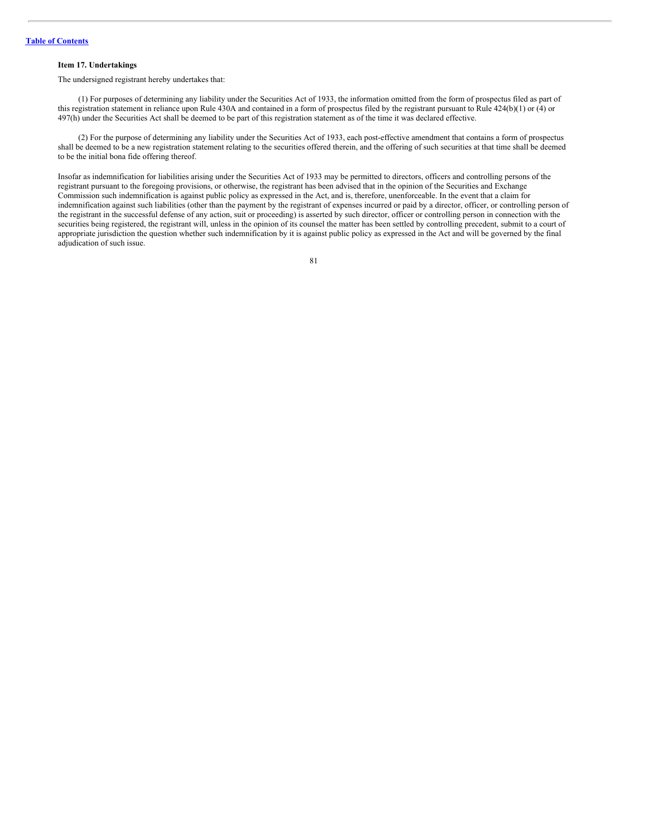### **Item 17. Undertakings**

The undersigned registrant hereby undertakes that:

(1) For purposes of determining any liability under the Securities Act of 1933, the information omitted from the form of prospectus filed as part of this registration statement in reliance upon Rule 430A and contained in a form of prospectus filed by the registrant pursuant to Rule 424(b)(1) or (4) or 497(h) under the Securities Act shall be deemed to be part of this registration statement as of the time it was declared effective.

(2) For the purpose of determining any liability under the Securities Act of 1933, each post-effective amendment that contains a form of prospectus shall be deemed to be a new registration statement relating to the securities offered therein, and the offering of such securities at that time shall be deemed to be the initial bona fide offering thereof.

Insofar as indemnification for liabilities arising under the Securities Act of 1933 may be permitted to directors, officers and controlling persons of the registrant pursuant to the foregoing provisions, or otherwise, the registrant has been advised that in the opinion of the Securities and Exchange Commission such indemnification is against public policy as expressed in the Act, and is, therefore, unenforceable. In the event that a claim for indemnification against such liabilities (other than the payment by the registrant of expenses incurred or paid by a director, officer, or controlling person of the registrant in the successful defense of any action, suit or proceeding) is asserted by such director, officer or controlling person in connection with the securities being registered, the registrant will, unless in the opinion of its counsel the matter has been settled by controlling precedent, submit to a court of appropriate jurisdiction the question whether such indemnification by it is against public policy as expressed in the Act and will be governed by the final adjudication of such issue.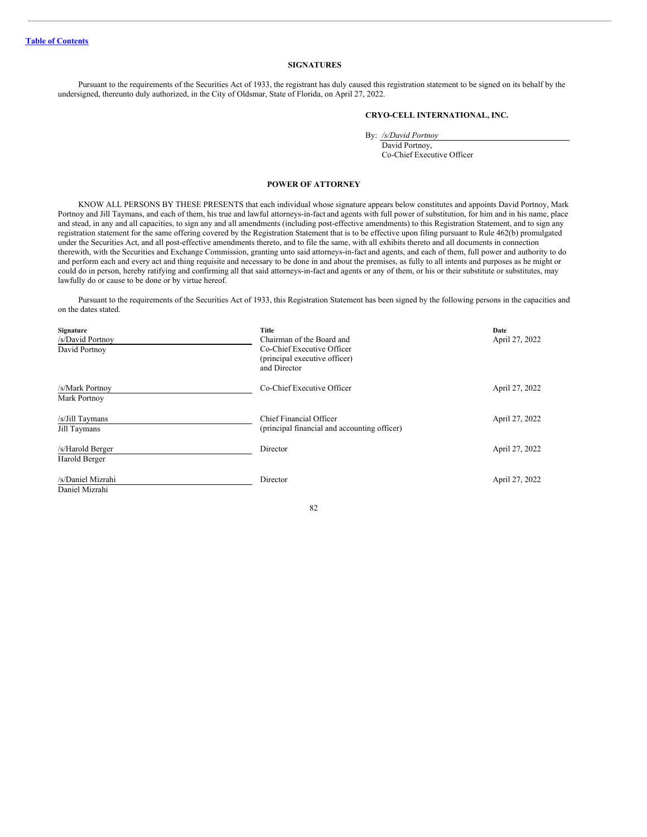## **SIGNATURES**

Pursuant to the requirements of the Securities Act of 1933, the registrant has duly caused this registration statement to be signed on its behalf by the undersigned, thereunto duly authorized, in the City of Oldsmar, State of Florida, on April 27, 2022.

### **CRYO-CELL INTERNATIONAL, INC.**

By: */s/David Portnoy*

David Portnoy, Co-Chief Executive Officer

### **POWER OF ATTORNEY**

KNOW ALL PERSONS BY THESE PRESENTS that each individual whose signature appears below constitutes and appoints David Portnoy, Mark Portnoy and Jill Taymans, and each of them, his true and lawful attorneys-in-fact and agents with full power of substitution, for him and in his name, place and stead, in any and all capacities, to sign any and all amendments (including post-effective amendments) to this Registration Statement, and to sign any registration statement for the same offering covered by the Registration Statement that is to be effective upon filing pursuant to Rule 462(b) promulgated under the Securities Act, and all post-effective amendments thereto, and to file the same, with all exhibits thereto and all documents in connection therewith, with the Securities and Exchange Commission, granting unto said attorneys-in-fact and agents, and each of them, full power and authority to do and perform each and every act and thing requisite and necessary to be done in and about the premises, as fully to all intents and purposes as he might or could do in person, hereby ratifying and confirming all that said attorneys-in-fact and agents or any of them, or his or their substitute or substitutes, may lawfully do or cause to be done or by virtue hereof.

Pursuant to the requirements of the Securities Act of 1933, this Registration Statement has been signed by the following persons in the capacities and on the dates stated.

| Signature<br>/s/David Portnoy<br>David Portnoy | Title<br>Chairman of the Board and<br>Co-Chief Executive Officer<br>(principal executive officer)<br>and Director | Date<br>April 27, 2022 |
|------------------------------------------------|-------------------------------------------------------------------------------------------------------------------|------------------------|
| /s/Mark Portnoy<br>Mark Portnoy                | Co-Chief Executive Officer                                                                                        | April 27, 2022         |
| /s/Jill Taymans<br>Jill Taymans                | Chief Financial Officer<br>(principal financial and accounting officer)                                           | April 27, 2022         |
| /s/Harold Berger<br>Harold Berger              | Director                                                                                                          | April 27, 2022         |
| /s/Daniel Mizrahi<br>Daniel Mizrahi            | Director                                                                                                          | April 27, 2022         |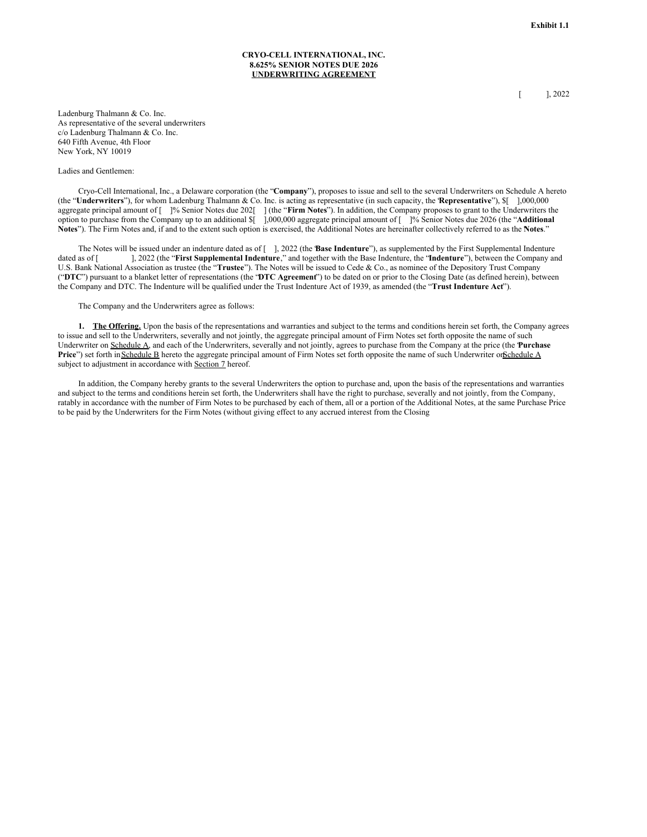#### **CRYO-CELL INTERNATIONAL, INC. 8.625% SENIOR NOTES DUE 2026 UNDERWRITING AGREEMENT**

 $[$  ], 2022

Ladenburg Thalmann & Co. Inc. As representative of the several underwriters c/o Ladenburg Thalmann & Co. Inc. 640 Fifth Avenue, 4th Floor New York, NY 10019

#### Ladies and Gentlemen:

Cryo-Cell International, Inc., a Delaware corporation (the "**Company**"), proposes to issue and sell to the several Underwriters on Schedule A hereto (the "**Underwriters**"), for whom Ladenburg Thalmann & Co. Inc. is acting as representative (in such capacity, the "**Representative**"), \$[ ],000,000 aggregate principal amount of [ ]% Senior Notes due 202[ ] (the "**Firm Notes**"). In addition, the Company proposes to grant to the Underwriters the option to purchase from the Company up to an additional \$[ ],000,000 aggregate principal amount of [ ]% Senior Notes due 2026 (the "**Additional Notes**"). The Firm Notes and, if and to the extent such option is exercised, the Additional Notes are hereinafter collectively referred to as the "**Notes**."

The Notes will be issued under an indenture dated as of [ ], 2022 (the **Base Indenture**"), as supplemented by the First Supplemental Indenture dated as of [ ], 2022 (the "**First Supplemental Indenture**," and together with ], 2022 (the "First Supplemental Indenture," and together with the Base Indenture, the "Indenture"), between the Company and U.S. Bank National Association as trustee (the "**Trustee**"). The Notes will be issued to Cede & Co., as nominee of the Depository Trust Company ("**DTC**") pursuant to a blanket letter of representations (the "**DTC Agreement**") to be dated on or prior to the Closing Date (as defined herein), between the Company and DTC. The Indenture will be qualified under the Trust Indenture Act of 1939, as amended (the "**Trust Indenture Act**").

The Company and the Underwriters agree as follows:

**1. The Offering.** Upon the basis of the representations and warranties and subject to the terms and conditions herein set forth, the Company agrees to issue and sell to the Underwriters, severally and not jointly, the aggregate principal amount of Firm Notes set forth opposite the name of such Underwriter on Schedule A, and each of the Underwriters, severally and not jointly, agrees to purchase from the Company at the price (the "**Purchase** Price") set forth in Schedule B hereto the aggregate principal amount of Firm Notes set forth opposite the name of such Underwriter orSchedule A subject to adjustment in accordance with Section 7 hereof.

In addition, the Company hereby grants to the several Underwriters the option to purchase and, upon the basis of the representations and warranties and subject to the terms and conditions herein set forth, the Underwriters shall have the right to purchase, severally and not jointly, from the Company, ratably in accordance with the number of Firm Notes to be purchased by each of them, all or a portion of the Additional Notes, at the same Purchase Price to be paid by the Underwriters for the Firm Notes (without giving effect to any accrued interest from the Closing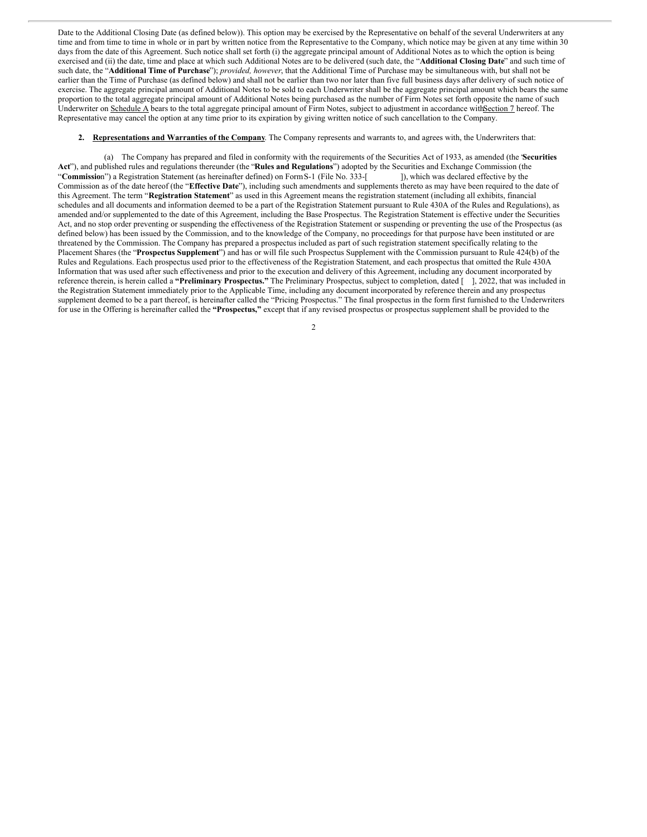Date to the Additional Closing Date (as defined below)). This option may be exercised by the Representative on behalf of the several Underwriters at any time and from time to time in whole or in part by written notice from the Representative to the Company, which notice may be given at any time within 30 days from the date of this Agreement. Such notice shall set forth (i) the aggregate principal amount of Additional Notes as to which the option is being exercised and (ii) the date, time and place at which such Additional Notes are to be delivered (such date, the "**Additional Closing Date**" and such time of such date, the "**Additional Time of Purchase**"); *provided, however*, that the Additional Time of Purchase may be simultaneous with, but shall not be earlier than the Time of Purchase (as defined below) and shall not be earlier than two nor later than five full business days after delivery of such notice of exercise. The aggregate principal amount of Additional Notes to be sold to each Underwriter shall be the aggregate principal amount which bears the same proportion to the total aggregate principal amount of Additional Notes being purchased as the number of Firm Notes set forth opposite the name of such Underwriter on Schedule A bears to the total aggregate principal amount of Firm Notes, subject to adjustment in accordance with Section 7 hereof. The Representative may cancel the option at any time prior to its expiration by giving written notice of such cancellation to the Company.

### **2. Representations and Warranties of the Company**. The Company represents and warrants to, and agrees with, the Underwriters that:

(a) The Company has prepared and filed in conformity with the requirements of the Securities Act of 1933, as amended (the "**Securities Act**"), and published rules and regulations thereunder (the "**Rules and Regulations**") adopted by the Securities and Exchange Commission (the "**Commissio**n") a Registration Statement (as hereinafter defined) on FormS-1 (File No. 333-[ ]), which was declared effective by the Commission as of the date hereof (the "**Effective Date**"), including such amendments and supplements thereto as may have been required to the date of this Agreement. The term "**Registration Statement**" as used in this Agreement means the registration statement (including all exhibits, financial schedules and all documents and information deemed to be a part of the Registration Statement pursuant to Rule 430A of the Rules and Regulations), as amended and/or supplemented to the date of this Agreement, including the Base Prospectus. The Registration Statement is effective under the Securities Act, and no stop order preventing or suspending the effectiveness of the Registration Statement or suspending or preventing the use of the Prospectus (as defined below) has been issued by the Commission, and to the knowledge of the Company, no proceedings for that purpose have been instituted or are threatened by the Commission. The Company has prepared a prospectus included as part of such registration statement specifically relating to the Placement Shares (the "**Prospectus Supplement**") and has or will file such Prospectus Supplement with the Commission pursuant to Rule 424(b) of the Rules and Regulations. Each prospectus used prior to the effectiveness of the Registration Statement, and each prospectus that omitted the Rule 430A Information that was used after such effectiveness and prior to the execution and delivery of this Agreement, including any document incorporated by reference therein, is herein called a **"Preliminary Prospectus."** The Preliminary Prospectus, subject to completion, dated [ ], 2022, that was included in the Registration Statement immediately prior to the Applicable Time, including any document incorporated by reference therein and any prospectus supplement deemed to be a part thereof, is hereinafter called the "Pricing Prospectus." The final prospectus in the form first furnished to the Underwriters for use in the Offering is hereinafter called the **"Prospectus,"** except that if any revised prospectus or prospectus supplement shall be provided to the

 $\overline{2}$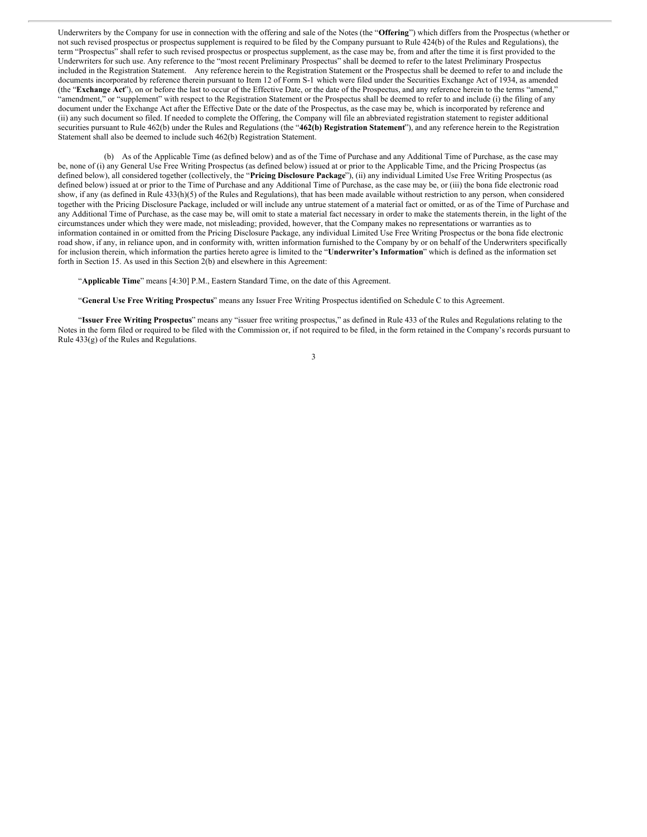Underwriters by the Company for use in connection with the offering and sale of the Notes (the "**Offering**") which differs from the Prospectus (whether or not such revised prospectus or prospectus supplement is required to be filed by the Company pursuant to Rule 424(b) of the Rules and Regulations), the term "Prospectus" shall refer to such revised prospectus or prospectus supplement, as the case may be, from and after the time it is first provided to the Underwriters for such use. Any reference to the "most recent Preliminary Prospectus" shall be deemed to refer to the latest Preliminary Prospectus included in the Registration Statement. Any reference herein to the Registration Statement or the Prospectus shall be deemed to refer to and include the documents incorporated by reference therein pursuant to Item 12 of Form S-1 which were filed under the Securities Exchange Act of 1934, as amended (the "**Exchange Act**"), on or before the last to occur of the Effective Date, or the date of the Prospectus, and any reference herein to the terms "amend," "amendment," or "supplement" with respect to the Registration Statement or the Prospectus shall be deemed to refer to and include (i) the filing of any document under the Exchange Act after the Effective Date or the date of the Prospectus, as the case may be, which is incorporated by reference and (ii) any such document so filed. If needed to complete the Offering, the Company will file an abbreviated registration statement to register additional securities pursuant to Rule 462(b) under the Rules and Regulations (the "**462(b) Registration Statement**"), and any reference herein to the Registration Statement shall also be deemed to include such 462(b) Registration Statement.

(b) As of the Applicable Time (as defined below) and as of the Time of Purchase and any Additional Time of Purchase, as the case may be, none of (i) any General Use Free Writing Prospectus (as defined below) issued at or prior to the Applicable Time, and the Pricing Prospectus (as defined below), all considered together (collectively, the "**Pricing Disclosure Package**"), (ii) any individual Limited Use Free Writing Prospectus (as defined below) issued at or prior to the Time of Purchase and any Additional Time of Purchase, as the case may be, or (iii) the bona fide electronic road show, if any (as defined in Rule 433(h)(5) of the Rules and Regulations), that has been made available without restriction to any person, when considered together with the Pricing Disclosure Package, included or will include any untrue statement of a material fact or omitted, or as of the Time of Purchase and any Additional Time of Purchase, as the case may be, will omit to state a material fact necessary in order to make the statements therein, in the light of the circumstances under which they were made, not misleading; provided, however, that the Company makes no representations or warranties as to information contained in or omitted from the Pricing Disclosure Package, any individual Limited Use Free Writing Prospectus or the bona fide electronic road show, if any, in reliance upon, and in conformity with, written information furnished to the Company by or on behalf of the Underwriters specifically for inclusion therein, which information the parties hereto agree is limited to the "**Underwriter's Information**" which is defined as the information set forth in Section 15. As used in this Section 2(b) and elsewhere in this Agreement:

"**Applicable Time**" means [4:30] P.M., Eastern Standard Time, on the date of this Agreement.

"**General Use Free Writing Prospectus**" means any Issuer Free Writing Prospectus identified on Schedule C to this Agreement.

"**Issuer Free Writing Prospectus**" means any "issuer free writing prospectus," as defined in Rule 433 of the Rules and Regulations relating to the Notes in the form filed or required to be filed with the Commission or, if not required to be filed, in the form retained in the Company's records pursuant to Rule 433(g) of the Rules and Regulations.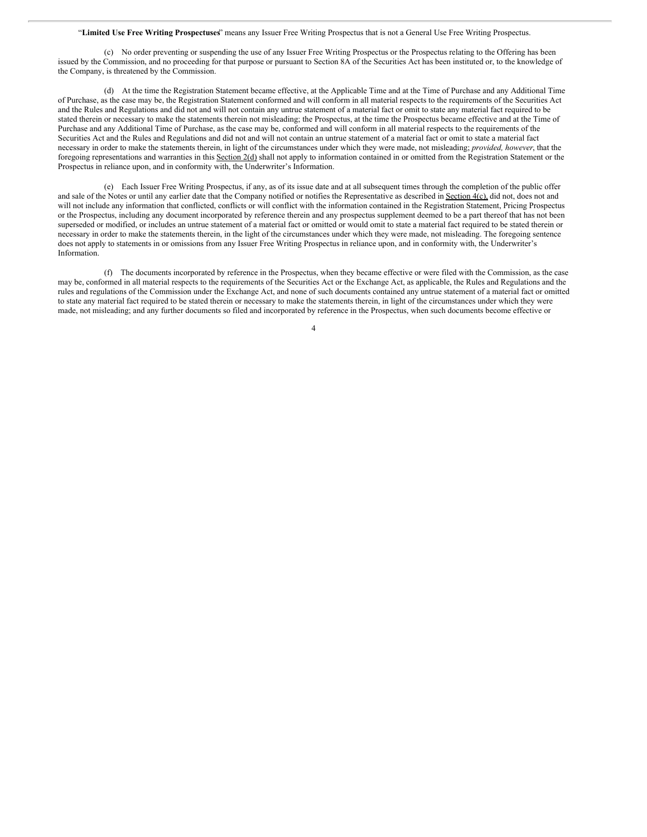#### "**Limited Use Free Writing Prospectuses**" means any Issuer Free Writing Prospectus that is not a General Use Free Writing Prospectus.

(c) No order preventing or suspending the use of any Issuer Free Writing Prospectus or the Prospectus relating to the Offering has been issued by the Commission, and no proceeding for that purpose or pursuant to Section 8A of the Securities Act has been instituted or, to the knowledge of the Company, is threatened by the Commission.

(d) At the time the Registration Statement became effective, at the Applicable Time and at the Time of Purchase and any Additional Time of Purchase, as the case may be, the Registration Statement conformed and will conform in all material respects to the requirements of the Securities Act and the Rules and Regulations and did not and will not contain any untrue statement of a material fact or omit to state any material fact required to be stated therein or necessary to make the statements therein not misleading; the Prospectus, at the time the Prospectus became effective and at the Time of Purchase and any Additional Time of Purchase, as the case may be, conformed and will conform in all material respects to the requirements of the Securities Act and the Rules and Regulations and did not and will not contain an untrue statement of a material fact or omit to state a material fact necessary in order to make the statements therein, in light of the circumstances under which they were made, not misleading; *provided, however*, that the foregoing representations and warranties in this Section 2(d) shall not apply to information contained in or omitted from the Registration Statement or the Prospectus in reliance upon, and in conformity with, the Underwriter's Information.

(e) Each Issuer Free Writing Prospectus, if any, as of its issue date and at all subsequent times through the completion of the public offer and sale of the Notes or until any earlier date that the Company notified or notifies the Representative as described in Section  $4(c)$ , did not, does not and will not include any information that conflicted, conflicts or will conflict with the information contained in the Registration Statement, Pricing Prospectus or the Prospectus, including any document incorporated by reference therein and any prospectus supplement deemed to be a part thereof that has not been superseded or modified, or includes an untrue statement of a material fact or omitted or would omit to state a material fact required to be stated therein or necessary in order to make the statements therein, in the light of the circumstances under which they were made, not misleading. The foregoing sentence does not apply to statements in or omissions from any Issuer Free Writing Prospectus in reliance upon, and in conformity with, the Underwriter's Information.

(f) The documents incorporated by reference in the Prospectus, when they became effective or were filed with the Commission, as the case may be, conformed in all material respects to the requirements of the Securities Act or the Exchange Act, as applicable, the Rules and Regulations and the rules and regulations of the Commission under the Exchange Act, and none of such documents contained any untrue statement of a material fact or omitted to state any material fact required to be stated therein or necessary to make the statements therein, in light of the circumstances under which they were made, not misleading; and any further documents so filed and incorporated by reference in the Prospectus, when such documents become effective or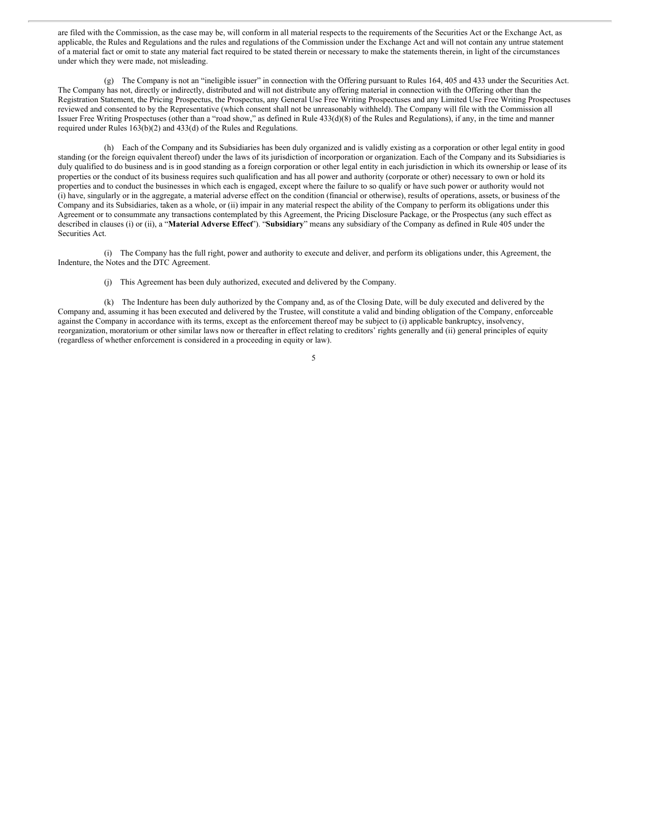are filed with the Commission, as the case may be, will conform in all material respects to the requirements of the Securities Act or the Exchange Act, as applicable, the Rules and Regulations and the rules and regulations of the Commission under the Exchange Act and will not contain any untrue statement of a material fact or omit to state any material fact required to be stated therein or necessary to make the statements therein, in light of the circumstances under which they were made, not misleading.

(g) The Company is not an "ineligible issuer" in connection with the Offering pursuant to Rules 164, 405 and 433 under the Securities Act. The Company has not, directly or indirectly, distributed and will not distribute any offering material in connection with the Offering other than the Registration Statement, the Pricing Prospectus, the Prospectus, any General Use Free Writing Prospectuses and any Limited Use Free Writing Prospectuses reviewed and consented to by the Representative (which consent shall not be unreasonably withheld). The Company will file with the Commission all Issuer Free Writing Prospectuses (other than a "road show," as defined in Rule 433(d)(8) of the Rules and Regulations), if any, in the time and manner required under Rules 163(b)(2) and 433(d) of the Rules and Regulations.

(h) Each of the Company and its Subsidiaries has been duly organized and is validly existing as a corporation or other legal entity in good standing (or the foreign equivalent thereof) under the laws of its jurisdiction of incorporation or organization. Each of the Company and its Subsidiaries is duly qualified to do business and is in good standing as a foreign corporation or other legal entity in each jurisdiction in which its ownership or lease of its properties or the conduct of its business requires such qualification and has all power and authority (corporate or other) necessary to own or hold its properties and to conduct the businesses in which each is engaged, except where the failure to so qualify or have such power or authority would not (i) have, singularly or in the aggregate, a material adverse effect on the condition (financial or otherwise), results of operations, assets, or business of the Company and its Subsidiaries, taken as a whole, or (ii) impair in any material respect the ability of the Company to perform its obligations under this Agreement or to consummate any transactions contemplated by this Agreement, the Pricing Disclosure Package, or the Prospectus (any such effect as described in clauses (i) or (ii), a "**Material Adverse Effect**"). "**Subsidiary**" means any subsidiary of the Company as defined in Rule 405 under the Securities Act.

(i) The Company has the full right, power and authority to execute and deliver, and perform its obligations under, this Agreement, the Indenture, the Notes and the DTC Agreement.

(j) This Agreement has been duly authorized, executed and delivered by the Company.

(k) The Indenture has been duly authorized by the Company and, as of the Closing Date, will be duly executed and delivered by the Company and, assuming it has been executed and delivered by the Trustee, will constitute a valid and binding obligation of the Company, enforceable against the Company in accordance with its terms, except as the enforcement thereof may be subject to (i) applicable bankruptcy, insolvency, reorganization, moratorium or other similar laws now or thereafter in effect relating to creditors' rights generally and (ii) general principles of equity (regardless of whether enforcement is considered in a proceeding in equity or law).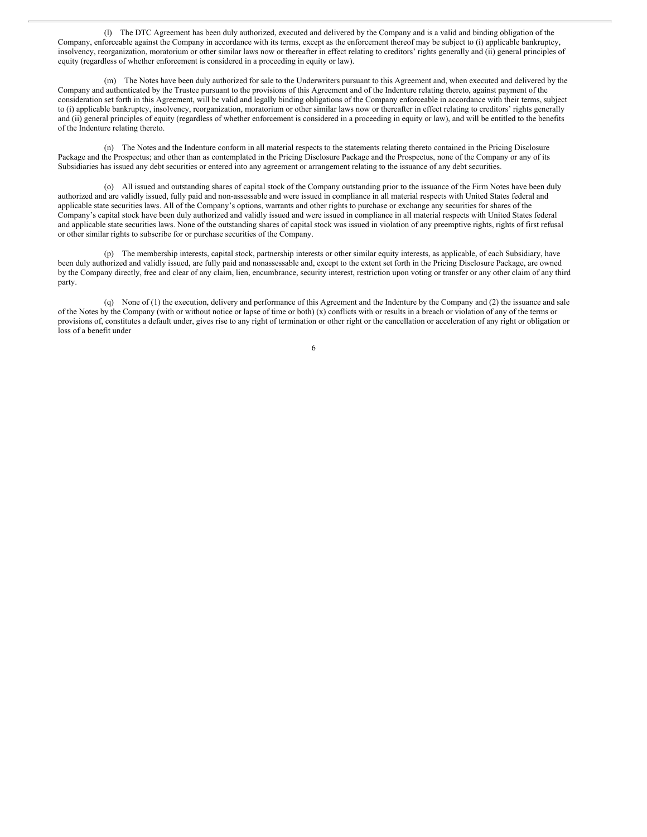(l) The DTC Agreement has been duly authorized, executed and delivered by the Company and is a valid and binding obligation of the Company, enforceable against the Company in accordance with its terms, except as the enforcement thereof may be subject to (i) applicable bankruptcy, insolvency, reorganization, moratorium or other similar laws now or thereafter in effect relating to creditors' rights generally and (ii) general principles of equity (regardless of whether enforcement is considered in a proceeding in equity or law).

(m) The Notes have been duly authorized for sale to the Underwriters pursuant to this Agreement and, when executed and delivered by the Company and authenticated by the Trustee pursuant to the provisions of this Agreement and of the Indenture relating thereto, against payment of the consideration set forth in this Agreement, will be valid and legally binding obligations of the Company enforceable in accordance with their terms, subject to (i) applicable bankruptcy, insolvency, reorganization, moratorium or other similar laws now or thereafter in effect relating to creditors' rights generally and (ii) general principles of equity (regardless of whether enforcement is considered in a proceeding in equity or law), and will be entitled to the benefits of the Indenture relating thereto.

(n) The Notes and the Indenture conform in all material respects to the statements relating thereto contained in the Pricing Disclosure Package and the Prospectus; and other than as contemplated in the Pricing Disclosure Package and the Prospectus, none of the Company or any of its Subsidiaries has issued any debt securities or entered into any agreement or arrangement relating to the issuance of any debt securities.

(o) All issued and outstanding shares of capital stock of the Company outstanding prior to the issuance of the Firm Notes have been duly authorized and are validly issued, fully paid and non-assessable and were issued in compliance in all material respects with United States federal and applicable state securities laws. All of the Company's options, warrants and other rights to purchase or exchange any securities for shares of the Company's capital stock have been duly authorized and validly issued and were issued in compliance in all material respects with United States federal and applicable state securities laws. None of the outstanding shares of capital stock was issued in violation of any preemptive rights, rights of first refusal or other similar rights to subscribe for or purchase securities of the Company.

(p) The membership interests, capital stock, partnership interests or other similar equity interests, as applicable, of each Subsidiary, have been duly authorized and validly issued, are fully paid and nonassessable and, except to the extent set forth in the Pricing Disclosure Package, are owned by the Company directly, free and clear of any claim, lien, encumbrance, security interest, restriction upon voting or transfer or any other claim of any third party.

(q) None of (1) the execution, delivery and performance of this Agreement and the Indenture by the Company and (2) the issuance and sale of the Notes by the Company (with or without notice or lapse of time or both) (x) conflicts with or results in a breach or violation of any of the terms or provisions of, constitutes a default under, gives rise to any right of termination or other right or the cancellation or acceleration of any right or obligation or loss of a benefit under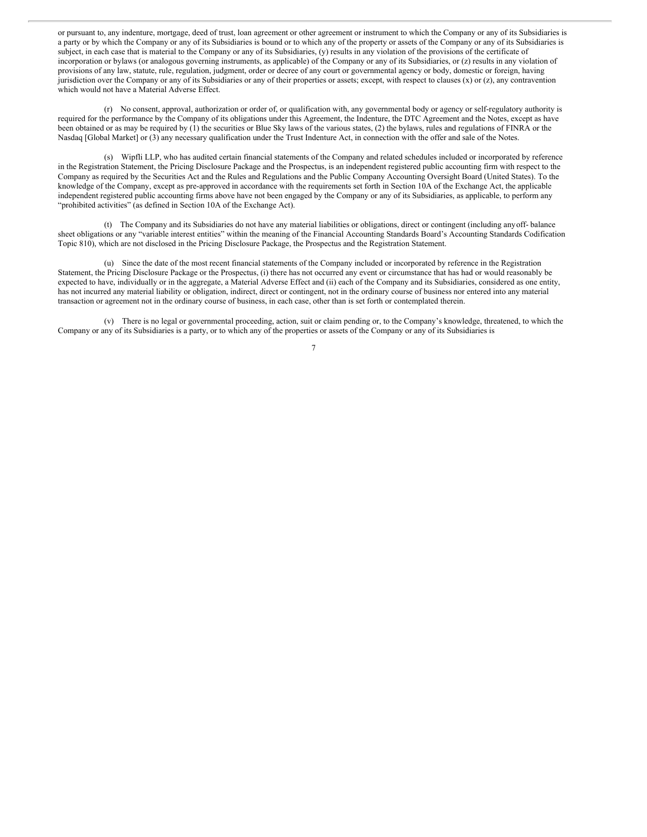or pursuant to, any indenture, mortgage, deed of trust, loan agreement or other agreement or instrument to which the Company or any of its Subsidiaries is a party or by which the Company or any of its Subsidiaries is bound or to which any of the property or assets of the Company or any of its Subsidiaries is subject, in each case that is material to the Company or any of its Subsidiaries, (y) results in any violation of the provisions of the certificate of incorporation or bylaws (or analogous governing instruments, as applicable) of the Company or any of its Subsidiaries, or (z) results in any violation of provisions of any law, statute, rule, regulation, judgment, order or decree of any court or governmental agency or body, domestic or foreign, having jurisdiction over the Company or any of its Subsidiaries or any of their properties or assets; except, with respect to clauses (x) or (z), any contravention which would not have a Material Adverse Effect.

(r) No consent, approval, authorization or order of, or qualification with, any governmental body or agency or self-regulatory authority is required for the performance by the Company of its obligations under this Agreement, the Indenture, the DTC Agreement and the Notes, except as have been obtained or as may be required by (1) the securities or Blue Sky laws of the various states, (2) the bylaws, rules and regulations of FINRA or the Nasdaq [Global Market] or (3) any necessary qualification under the Trust Indenture Act, in connection with the offer and sale of the Notes.

(s) Wipfli LLP, who has audited certain financial statements of the Company and related schedules included or incorporated by reference in the Registration Statement, the Pricing Disclosure Package and the Prospectus, is an independent registered public accounting firm with respect to the Company as required by the Securities Act and the Rules and Regulations and the Public Company Accounting Oversight Board (United States). To the knowledge of the Company, except as pre-approved in accordance with the requirements set forth in Section 10A of the Exchange Act, the applicable independent registered public accounting firms above have not been engaged by the Company or any of its Subsidiaries, as applicable, to perform any "prohibited activities" (as defined in Section 10A of the Exchange Act).

(t) The Company and its Subsidiaries do not have any material liabilities or obligations, direct or contingent (including anyoff- balance sheet obligations or any "variable interest entities" within the meaning of the Financial Accounting Standards Board's Accounting Standards Codification Topic 810), which are not disclosed in the Pricing Disclosure Package, the Prospectus and the Registration Statement.

(u) Since the date of the most recent financial statements of the Company included or incorporated by reference in the Registration Statement, the Pricing Disclosure Package or the Prospectus, (i) there has not occurred any event or circumstance that has had or would reasonably be expected to have, individually or in the aggregate, a Material Adverse Effect and (ii) each of the Company and its Subsidiaries, considered as one entity, has not incurred any material liability or obligation, indirect, direct or contingent, not in the ordinary course of business nor entered into any material transaction or agreement not in the ordinary course of business, in each case, other than is set forth or contemplated therein.

(v) There is no legal or governmental proceeding, action, suit or claim pending or, to the Company's knowledge, threatened, to which the Company or any of its Subsidiaries is a party, or to which any of the properties or assets of the Company or any of its Subsidiaries is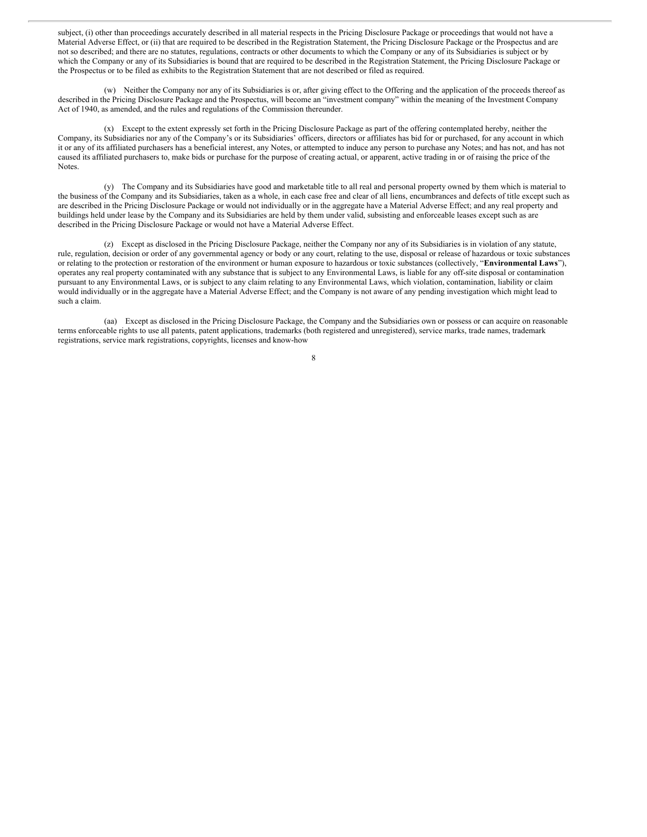subject, (i) other than proceedings accurately described in all material respects in the Pricing Disclosure Package or proceedings that would not have a Material Adverse Effect, or (ii) that are required to be described in the Registration Statement, the Pricing Disclosure Package or the Prospectus and are not so described; and there are no statutes, regulations, contracts or other documents to which the Company or any of its Subsidiaries is subject or by which the Company or any of its Subsidiaries is bound that are required to be described in the Registration Statement, the Pricing Disclosure Package or the Prospectus or to be filed as exhibits to the Registration Statement that are not described or filed as required.

(w) Neither the Company nor any of its Subsidiaries is or, after giving effect to the Offering and the application of the proceeds thereof as described in the Pricing Disclosure Package and the Prospectus, will become an "investment company" within the meaning of the Investment Company Act of 1940, as amended, and the rules and regulations of the Commission thereunder.

(x) Except to the extent expressly set forth in the Pricing Disclosure Package as part of the offering contemplated hereby, neither the Company, its Subsidiaries nor any of the Company's or its Subsidiaries' officers, directors or affiliates has bid for or purchased, for any account in which it or any of its affiliated purchasers has a beneficial interest, any Notes, or attempted to induce any person to purchase any Notes; and has not, and has not caused its affiliated purchasers to, make bids or purchase for the purpose of creating actual, or apparent, active trading in or of raising the price of the Notes.

(y) The Company and its Subsidiaries have good and marketable title to all real and personal property owned by them which is material to the business of the Company and its Subsidiaries, taken as a whole, in each case free and clear of all liens, encumbrances and defects of title except such as are described in the Pricing Disclosure Package or would not individually or in the aggregate have a Material Adverse Effect; and any real property and buildings held under lease by the Company and its Subsidiaries are held by them under valid, subsisting and enforceable leases except such as are described in the Pricing Disclosure Package or would not have a Material Adverse Effect.

(z) Except as disclosed in the Pricing Disclosure Package, neither the Company nor any of its Subsidiaries is in violation of any statute, rule, regulation, decision or order of any governmental agency or body or any court, relating to the use, disposal or release of hazardous or toxic substances or relating to the protection or restoration of the environment or human exposure to hazardous or toxic substances (collectively, "**Environmental Laws**"), operates any real property contaminated with any substance that is subject to any Environmental Laws, is liable for any off-site disposal or contamination pursuant to any Environmental Laws, or is subject to any claim relating to any Environmental Laws, which violation, contamination, liability or claim would individually or in the aggregate have a Material Adverse Effect; and the Company is not aware of any pending investigation which might lead to such a claim.

(aa) Except as disclosed in the Pricing Disclosure Package, the Company and the Subsidiaries own or possess or can acquire on reasonable terms enforceable rights to use all patents, patent applications, trademarks (both registered and unregistered), service marks, trade names, trademark registrations, service mark registrations, copyrights, licenses and know-how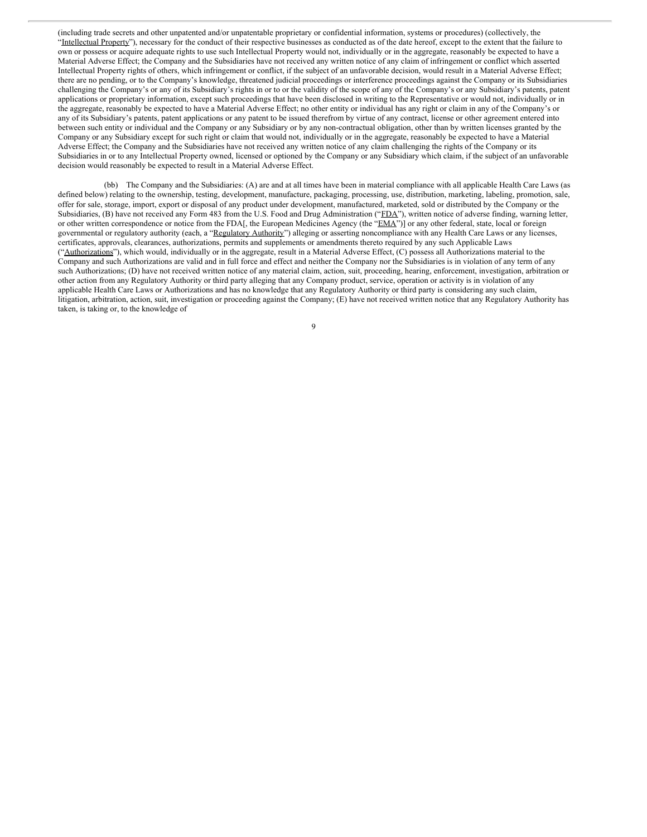(including trade secrets and other unpatented and/or unpatentable proprietary or confidential information, systems or procedures) (collectively, the "Intellectual Property"), necessary for the conduct of their respective businesses as conducted as of the date hereof, except to the extent that the failure to own or possess or acquire adequate rights to use such Intellectual Property would not, individually or in the aggregate, reasonably be expected to have a Material Adverse Effect; the Company and the Subsidiaries have not received any written notice of any claim of infringement or conflict which asserted Intellectual Property rights of others, which infringement or conflict, if the subject of an unfavorable decision, would result in a Material Adverse Effect; there are no pending, or to the Company's knowledge, threatened judicial proceedings or interference proceedings against the Company or its Subsidiaries challenging the Company's or any of its Subsidiary's rights in or to or the validity of the scope of any of the Company's or any Subsidiary's patents, patent applications or proprietary information, except such proceedings that have been disclosed in writing to the Representative or would not, individually or in the aggregate, reasonably be expected to have a Material Adverse Effect; no other entity or individual has any right or claim in any of the Company's or any of its Subsidiary's patents, patent applications or any patent to be issued therefrom by virtue of any contract, license or other agreement entered into between such entity or individual and the Company or any Subsidiary or by any non-contractual obligation, other than by written licenses granted by the Company or any Subsidiary except for such right or claim that would not, individually or in the aggregate, reasonably be expected to have a Material Adverse Effect; the Company and the Subsidiaries have not received any written notice of any claim challenging the rights of the Company or its Subsidiaries in or to any Intellectual Property owned, licensed or optioned by the Company or any Subsidiary which claim, if the subject of an unfavorable decision would reasonably be expected to result in a Material Adverse Effect.

(bb) The Company and the Subsidiaries: (A) are and at all times have been in material compliance with all applicable Health Care Laws (as defined below) relating to the ownership, testing, development, manufacture, packaging, processing, use, distribution, marketing, labeling, promotion, sale, offer for sale, storage, import, export or disposal of any product under development, manufactured, marketed, sold or distributed by the Company or the Subsidiaries, (B) have not received any Form 483 from the U.S. Food and Drug Administration ("FDA"), written notice of adverse finding, warning letter, or other written correspondence or notice from the FDA[, the European Medicines Agency (the "EMA")] or any other federal, state, local or foreign governmental or regulatory authority (each, a "Regulatory Authority") alleging or asserting noncompliance with any Health Care Laws or any licenses, certificates, approvals, clearances, authorizations, permits and supplements or amendments thereto required by any such Applicable Laws ("Authorizations"), which would, individually or in the aggregate, result in a Material Adverse Effect, (C) possess all Authorizations material to the Company and such Authorizations are valid and in full force and effect and neither the Company nor the Subsidiaries is in violation of any term of any such Authorizations; (D) have not received written notice of any material claim, action, suit, proceeding, hearing, enforcement, investigation, arbitration or other action from any Regulatory Authority or third party alleging that any Company product, service, operation or activity is in violation of any applicable Health Care Laws or Authorizations and has no knowledge that any Regulatory Authority or third party is considering any such claim, litigation, arbitration, action, suit, investigation or proceeding against the Company; (E) have not received written notice that any Regulatory Authority has taken, is taking or, to the knowledge of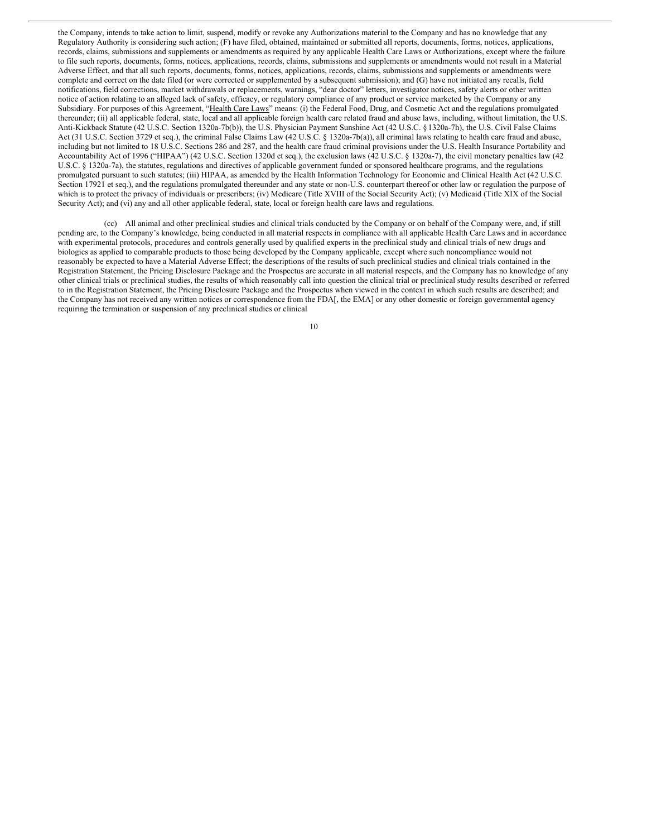the Company, intends to take action to limit, suspend, modify or revoke any Authorizations material to the Company and has no knowledge that any Regulatory Authority is considering such action; (F) have filed, obtained, maintained or submitted all reports, documents, forms, notices, applications, records, claims, submissions and supplements or amendments as required by any applicable Health Care Laws or Authorizations, except where the failure to file such reports, documents, forms, notices, applications, records, claims, submissions and supplements or amendments would not result in a Material Adverse Effect, and that all such reports, documents, forms, notices, applications, records, claims, submissions and supplements or amendments were complete and correct on the date filed (or were corrected or supplemented by a subsequent submission); and (G) have not initiated any recalls, field notifications, field corrections, market withdrawals or replacements, warnings, "dear doctor" letters, investigator notices, safety alerts or other written notice of action relating to an alleged lack of safety, efficacy, or regulatory compliance of any product or service marketed by the Company or any Subsidiary. For purposes of this Agreement, "Health Care Laws" means: (i) the Federal Food, Drug, and Cosmetic Act and the regulations promulgated thereunder; (ii) all applicable federal, state, local and all applicable foreign health care related fraud and abuse laws, including, without limitation, the U.S. Anti-Kickback Statute (42 U.S.C. Section 1320a-7b(b)), the U.S. Physician Payment Sunshine Act (42 U.S.C. § 1320a-7h), the U.S. Civil False Claims Act (31 U.S.C. Section 3729 et seq.), the criminal False Claims Law (42 U.S.C. § 1320a-7b(a)), all criminal laws relating to health care fraud and abuse, including but not limited to 18 U.S.C. Sections 286 and 287, and the health care fraud criminal provisions under the U.S. Health Insurance Portability and Accountability Act of 1996 ("HIPAA") (42 U.S.C. Section 1320d et seq.), the exclusion laws (42 U.S.C. § 1320a-7), the civil monetary penalties law (42 U.S.C. § 1320a-7a), the statutes, regulations and directives of applicable government funded or sponsored healthcare programs, and the regulations promulgated pursuant to such statutes; (iii) HIPAA, as amended by the Health Information Technology for Economic and Clinical Health Act (42 U.S.C. Section 17921 et seq.), and the regulations promulgated thereunder and any state or non-U.S. counterpart thereof or other law or regulation the purpose of which is to protect the privacy of individuals or prescribers; (iv) Medicare (Title XVIII of the Social Security Act); (v) Medicaid (Title XIX of the Social Security Act); and (vi) any and all other applicable federal, state, local or foreign health care laws and regulations.

(cc) All animal and other preclinical studies and clinical trials conducted by the Company or on behalf of the Company were, and, if still pending are, to the Company's knowledge, being conducted in all material respects in compliance with all applicable Health Care Laws and in accordance with experimental protocols, procedures and controls generally used by qualified experts in the preclinical study and clinical trials of new drugs and biologics as applied to comparable products to those being developed by the Company applicable, except where such noncompliance would not reasonably be expected to have a Material Adverse Effect; the descriptions of the results of such preclinical studies and clinical trials contained in the Registration Statement, the Pricing Disclosure Package and the Prospectus are accurate in all material respects, and the Company has no knowledge of any other clinical trials or preclinical studies, the results of which reasonably call into question the clinical trial or preclinical study results described or referred to in the Registration Statement, the Pricing Disclosure Package and the Prospectus when viewed in the context in which such results are described; and the Company has not received any written notices or correspondence from the FDA[, the EMA] or any other domestic or foreign governmental agency requiring the termination or suspension of any preclinical studies or clinical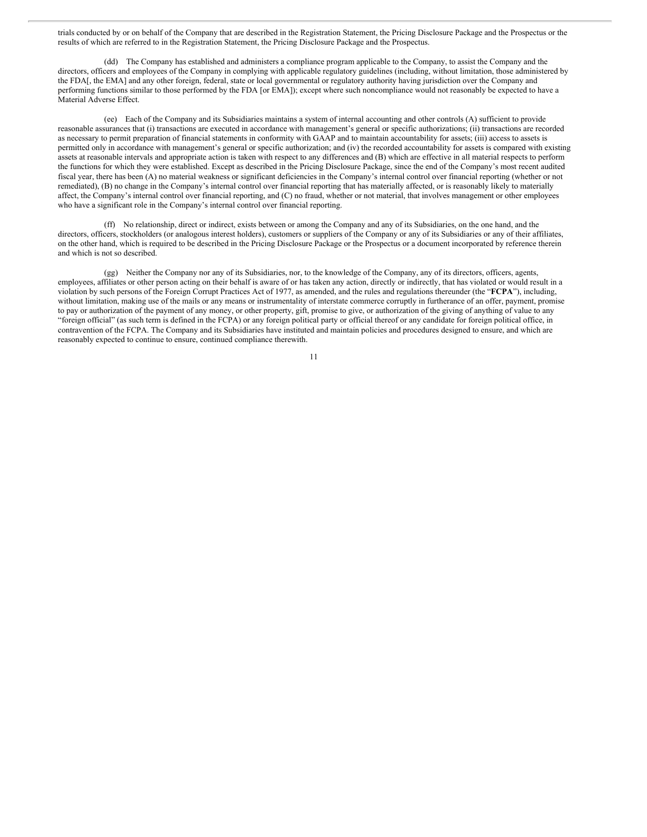trials conducted by or on behalf of the Company that are described in the Registration Statement, the Pricing Disclosure Package and the Prospectus or the results of which are referred to in the Registration Statement, the Pricing Disclosure Package and the Prospectus.

(dd) The Company has established and administers a compliance program applicable to the Company, to assist the Company and the directors, officers and employees of the Company in complying with applicable regulatory guidelines (including, without limitation, those administered by the FDA[, the EMA] and any other foreign, federal, state or local governmental or regulatory authority having jurisdiction over the Company and performing functions similar to those performed by the FDA [or EMA]); except where such noncompliance would not reasonably be expected to have a Material Adverse Effect.

(ee) Each of the Company and its Subsidiaries maintains a system of internal accounting and other controls (A) sufficient to provide reasonable assurances that (i) transactions are executed in accordance with management's general or specific authorizations; (ii) transactions are recorded as necessary to permit preparation of financial statements in conformity with GAAP and to maintain accountability for assets; (iii) access to assets is permitted only in accordance with management's general or specific authorization; and (iv) the recorded accountability for assets is compared with existing assets at reasonable intervals and appropriate action is taken with respect to any differences and (B) which are effective in all material respects to perform the functions for which they were established. Except as described in the Pricing Disclosure Package, since the end of the Company's most recent audited fiscal year, there has been (A) no material weakness or significant deficiencies in the Company's internal control over financial reporting (whether or not remediated), (B) no change in the Company's internal control over financial reporting that has materially affected, or is reasonably likely to materially affect, the Company's internal control over financial reporting, and (C) no fraud, whether or not material, that involves management or other employees who have a significant role in the Company's internal control over financial reporting.

(ff) No relationship, direct or indirect, exists between or among the Company and any of its Subsidiaries, on the one hand, and the directors, officers, stockholders (or analogous interest holders), customers or suppliers of the Company or any of its Subsidiaries or any of their affiliates, on the other hand, which is required to be described in the Pricing Disclosure Package or the Prospectus or a document incorporated by reference therein and which is not so described.

(gg) Neither the Company nor any of its Subsidiaries, nor, to the knowledge of the Company, any of its directors, officers, agents, employees, affiliates or other person acting on their behalf is aware of or has taken any action, directly or indirectly, that has violated or would result in a violation by such persons of the Foreign Corrupt Practices Act of 1977, as amended, and the rules and regulations thereunder (the "**FCPA**"), including, without limitation, making use of the mails or any means or instrumentality of interstate commerce corruptly in furtherance of an offer, payment, promise to pay or authorization of the payment of any money, or other property, gift, promise to give, or authorization of the giving of anything of value to any "foreign official" (as such term is defined in the FCPA) or any foreign political party or official thereof or any candidate for foreign political office, in contravention of the FCPA. The Company and its Subsidiaries have instituted and maintain policies and procedures designed to ensure, and which are reasonably expected to continue to ensure, continued compliance therewith.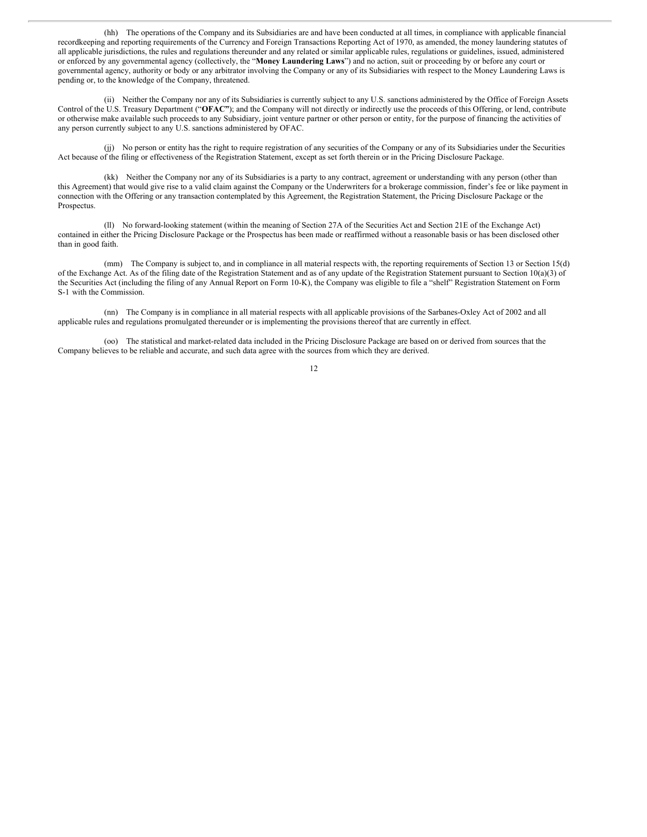(hh) The operations of the Company and its Subsidiaries are and have been conducted at all times, in compliance with applicable financial recordkeeping and reporting requirements of the Currency and Foreign Transactions Reporting Act of 1970, as amended, the money laundering statutes of all applicable jurisdictions, the rules and regulations thereunder and any related or similar applicable rules, regulations or guidelines, issued, administered or enforced by any governmental agency (collectively, the "**Money Laundering Laws**") and no action, suit or proceeding by or before any court or governmental agency, authority or body or any arbitrator involving the Company or any of its Subsidiaries with respect to the Money Laundering Laws is pending or, to the knowledge of the Company, threatened.

(ii) Neither the Company nor any of its Subsidiaries is currently subject to any U.S. sanctions administered by the Office of Foreign Assets Control of the U.S. Treasury Department ("**OFAC"**); and the Company will not directly or indirectly use the proceeds of this Offering, or lend, contribute or otherwise make available such proceeds to any Subsidiary, joint venture partner or other person or entity, for the purpose of financing the activities of any person currently subject to any U.S. sanctions administered by OFAC.

(jj) No person or entity has the right to require registration of any securities of the Company or any of its Subsidiaries under the Securities Act because of the filing or effectiveness of the Registration Statement, except as set forth therein or in the Pricing Disclosure Package.

(kk) Neither the Company nor any of its Subsidiaries is a party to any contract, agreement or understanding with any person (other than this Agreement) that would give rise to a valid claim against the Company or the Underwriters for a brokerage commission, finder's fee or like payment in connection with the Offering or any transaction contemplated by this Agreement, the Registration Statement, the Pricing Disclosure Package or the Prospectus.

(ll) No forward-looking statement (within the meaning of Section 27A of the Securities Act and Section 21E of the Exchange Act) contained in either the Pricing Disclosure Package or the Prospectus has been made or reaffirmed without a reasonable basis or has been disclosed other than in good faith.

(mm) The Company is subject to, and in compliance in all material respects with, the reporting requirements of Section 13 or Section 15(d) of the Exchange Act. As of the filing date of the Registration Statement and as of any update of the Registration Statement pursuant to Section 10(a)(3) of the Securities Act (including the filing of any Annual Report on Form 10-K), the Company was eligible to file a "shelf" Registration Statement on Form S-1 with the Commission.

(nn) The Company is in compliance in all material respects with all applicable provisions of the Sarbanes-Oxley Act of 2002 and all applicable rules and regulations promulgated thereunder or is implementing the provisions thereof that are currently in effect.

(oo) The statistical and market-related data included in the Pricing Disclosure Package are based on or derived from sources that the Company believes to be reliable and accurate, and such data agree with the sources from which they are derived.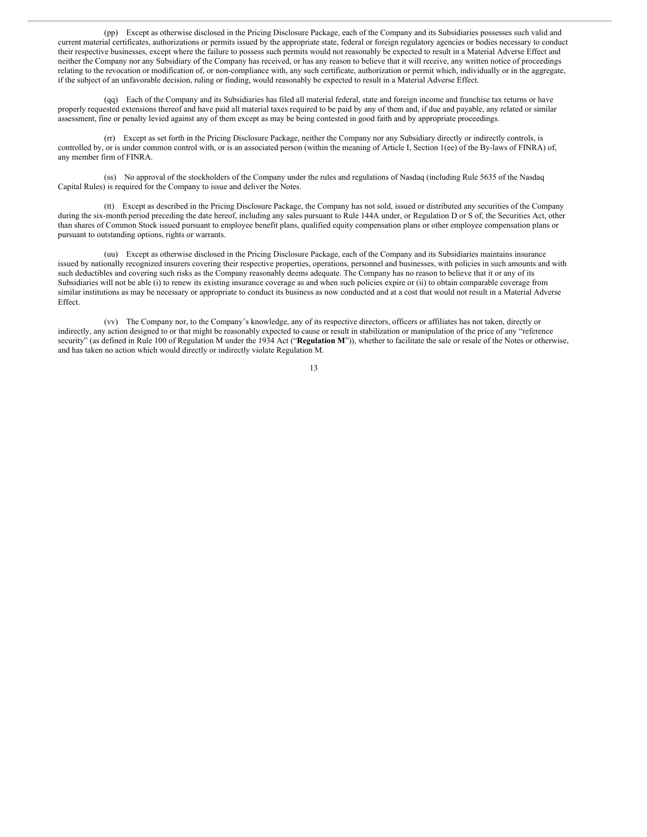(pp) Except as otherwise disclosed in the Pricing Disclosure Package, each of the Company and its Subsidiaries possesses such valid and current material certificates, authorizations or permits issued by the appropriate state, federal or foreign regulatory agencies or bodies necessary to conduct their respective businesses, except where the failure to possess such permits would not reasonably be expected to result in a Material Adverse Effect and neither the Company nor any Subsidiary of the Company has received, or has any reason to believe that it will receive, any written notice of proceedings relating to the revocation or modification of, or non-compliance with, any such certificate, authorization or permit which, individually or in the aggregate, if the subject of an unfavorable decision, ruling or finding, would reasonably be expected to result in a Material Adverse Effect.

(qq) Each of the Company and its Subsidiaries has filed all material federal, state and foreign income and franchise tax returns or have properly requested extensions thereof and have paid all material taxes required to be paid by any of them and, if due and payable, any related or similar assessment, fine or penalty levied against any of them except as may be being contested in good faith and by appropriate proceedings.

(rr) Except as set forth in the Pricing Disclosure Package, neither the Company nor any Subsidiary directly or indirectly controls, is controlled by, or is under common control with, or is an associated person (within the meaning of Article I, Section 1(ee) of the By-laws of FINRA) of, any member firm of FINRA.

(ss) No approval of the stockholders of the Company under the rules and regulations of Nasdaq (including Rule 5635 of the Nasdaq Capital Rules) is required for the Company to issue and deliver the Notes.

(tt) Except as described in the Pricing Disclosure Package, the Company has not sold, issued or distributed any securities of the Company during the six-month period preceding the date hereof, including any sales pursuant to Rule 144A under, or Regulation D or S of, the Securities Act, other than shares of Common Stock issued pursuant to employee benefit plans, qualified equity compensation plans or other employee compensation plans or pursuant to outstanding options, rights or warrants.

(uu) Except as otherwise disclosed in the Pricing Disclosure Package, each of the Company and its Subsidiaries maintains insurance issued by nationally recognized insurers covering their respective properties, operations, personnel and businesses, with policies in such amounts and with such deductibles and covering such risks as the Company reasonably deems adequate. The Company has no reason to believe that it or any of its Subsidiaries will not be able (i) to renew its existing insurance coverage as and when such policies expire or (ii) to obtain comparable coverage from similar institutions as may be necessary or appropriate to conduct its business as now conducted and at a cost that would not result in a Material Adverse Effect.

(vv) The Company nor, to the Company's knowledge, any of its respective directors, officers or affiliates has not taken, directly or indirectly, any action designed to or that might be reasonably expected to cause or result in stabilization or manipulation of the price of any "reference security" (as defined in Rule 100 of Regulation M under the 1934 Act ("**Regulation M**")), whether to facilitate the sale or resale of the Notes or otherwise, and has taken no action which would directly or indirectly violate Regulation M.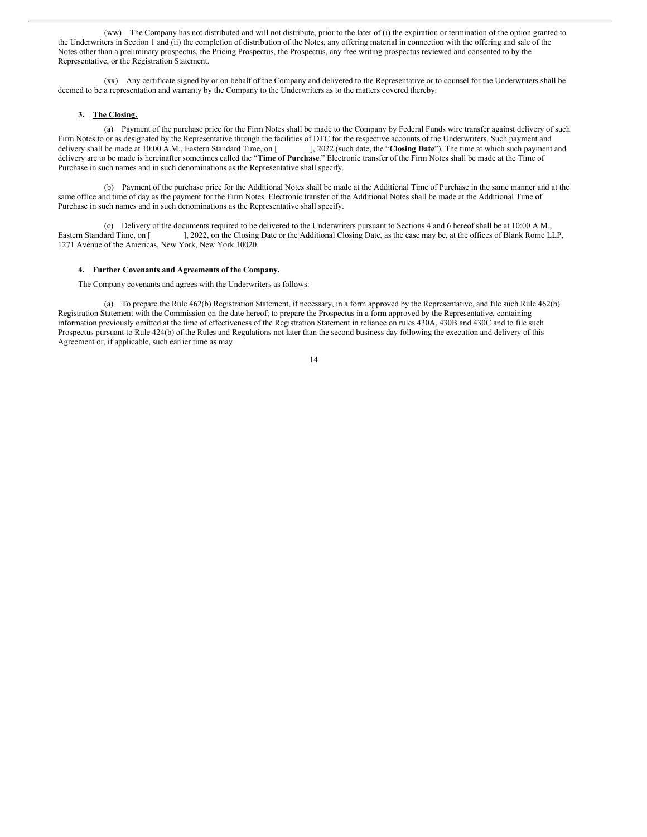(ww) The Company has not distributed and will not distribute, prior to the later of (i) the expiration or termination of the option granted to the Underwriters in Section 1 and (ii) the completion of distribution of the Notes, any offering material in connection with the offering and sale of the Notes other than a preliminary prospectus, the Pricing Prospectus, the Prospectus, any free writing prospectus reviewed and consented to by the Representative, or the Registration Statement.

(xx) Any certificate signed by or on behalf of the Company and delivered to the Representative or to counsel for the Underwriters shall be deemed to be a representation and warranty by the Company to the Underwriters as to the matters covered thereby.

## **3. The Closing.**

(a) Payment of the purchase price for the Firm Notes shall be made to the Company by Federal Funds wire transfer against delivery of such Firm Notes to or as designated by the Representative through the facilities of DTC for the respective accounts of the Underwriters. Such payment and delivery shall be made at 10:00 A.M., Eastern Standard Time, on [ ], 2022 (such date, the "**Closing Date**"). The time at which such payment and delivery are to be made is hereinafter sometimes called the "**Time of Purchase**." Electronic transfer of the Firm Notes shall be made at the Time of Purchase in such names and in such denominations as the Representative shall specify.

(b) Payment of the purchase price for the Additional Notes shall be made at the Additional Time of Purchase in the same manner and at the same office and time of day as the payment for the Firm Notes. Electronic transfer of the Additional Notes shall be made at the Additional Time of Purchase in such names and in such denominations as the Representative shall specify.

(c) Delivery of the documents required to be delivered to the Underwriters pursuant to Sections 4 and 6 hereof shall be at 10:00 A.M.,<br>Eastern Standard Time. on [1, 2022, on the Closing Date or the Additional Closing Date, 1, 2022, on the Closing Date or the Additional Closing Date, as the case may be, at the offices of Blank Rome LLP, 1271 Avenue of the Americas, New York, New York 10020.

#### **4. Further Covenants and Agreements of the Company.**

The Company covenants and agrees with the Underwriters as follows:

(a) To prepare the Rule 462(b) Registration Statement, if necessary, in a form approved by the Representative, and file such Rule 462(b) Registration Statement with the Commission on the date hereof; to prepare the Prospectus in a form approved by the Representative, containing information previously omitted at the time of effectiveness of the Registration Statement in reliance on rules 430A, 430B and 430C and to file such Prospectus pursuant to Rule 424(b) of the Rules and Regulations not later than the second business day following the execution and delivery of this Agreement or, if applicable, such earlier time as may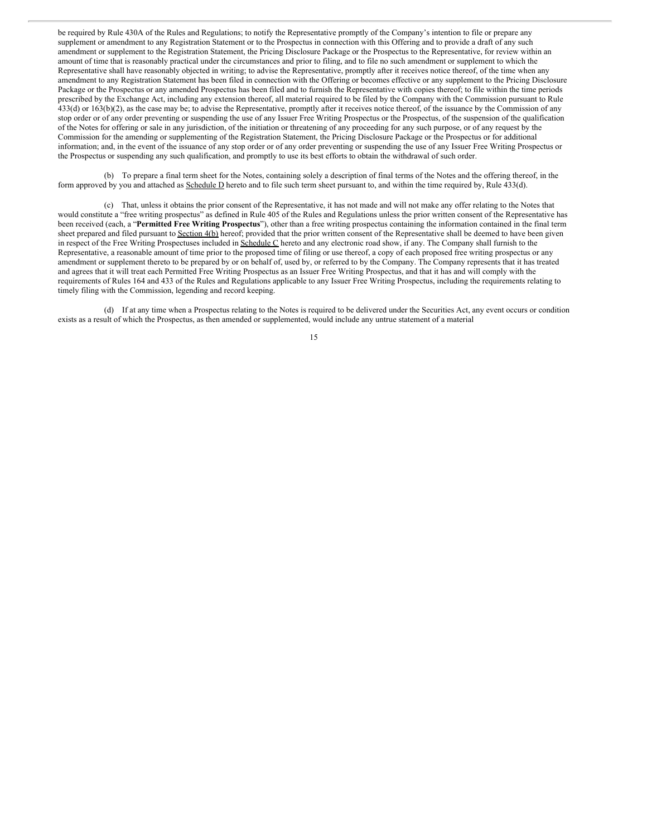be required by Rule 430A of the Rules and Regulations; to notify the Representative promptly of the Company's intention to file or prepare any supplement or amendment to any Registration Statement or to the Prospectus in connection with this Offering and to provide a draft of any such amendment or supplement to the Registration Statement, the Pricing Disclosure Package or the Prospectus to the Representative, for review within an amount of time that is reasonably practical under the circumstances and prior to filing, and to file no such amendment or supplement to which the Representative shall have reasonably objected in writing; to advise the Representative, promptly after it receives notice thereof, of the time when any amendment to any Registration Statement has been filed in connection with the Offering or becomes effective or any supplement to the Pricing Disclosure Package or the Prospectus or any amended Prospectus has been filed and to furnish the Representative with copies thereof; to file within the time periods prescribed by the Exchange Act, including any extension thereof, all material required to be filed by the Company with the Commission pursuant to Rule 433(d) or 163(b)(2), as the case may be; to advise the Representative, promptly after it receives notice thereof, of the issuance by the Commission of any stop order or of any order preventing or suspending the use of any Issuer Free Writing Prospectus or the Prospectus, of the suspension of the qualification of the Notes for offering or sale in any jurisdiction, of the initiation or threatening of any proceeding for any such purpose, or of any request by the Commission for the amending or supplementing of the Registration Statement, the Pricing Disclosure Package or the Prospectus or for additional information; and, in the event of the issuance of any stop order or of any order preventing or suspending the use of any Issuer Free Writing Prospectus or the Prospectus or suspending any such qualification, and promptly to use its best efforts to obtain the withdrawal of such order.

(b) To prepare a final term sheet for the Notes, containing solely a description of final terms of the Notes and the offering thereof, in the form approved by you and attached as Schedule D hereto and to file such term sheet pursuant to, and within the time required by, Rule 433(d).

(c) That, unless it obtains the prior consent of the Representative, it has not made and will not make any offer relating to the Notes that would constitute a "free writing prospectus" as defined in Rule 405 of the Rules and Regulations unless the prior written consent of the Representative has been received (each, a "**Permitted Free Writing Prospectus**"), other than a free writing prospectus containing the information contained in the final term sheet prepared and filed pursuant to Section 4(b) hereof; provided that the prior written consent of the Representative shall be deemed to have been given in respect of the Free Writing Prospectuses included in Schedule C hereto and any electronic road show, if any. The Company shall furnish to the Representative, a reasonable amount of time prior to the proposed time of filing or use thereof, a copy of each proposed free writing prospectus or any amendment or supplement thereto to be prepared by or on behalf of, used by, or referred to by the Company. The Company represents that it has treated and agrees that it will treat each Permitted Free Writing Prospectus as an Issuer Free Writing Prospectus, and that it has and will comply with the requirements of Rules 164 and 433 of the Rules and Regulations applicable to any Issuer Free Writing Prospectus, including the requirements relating to timely filing with the Commission, legending and record keeping.

(d) If at any time when a Prospectus relating to the Notes is required to be delivered under the Securities Act, any event occurs or condition exists as a result of which the Prospectus, as then amended or supplemented, would include any untrue statement of a material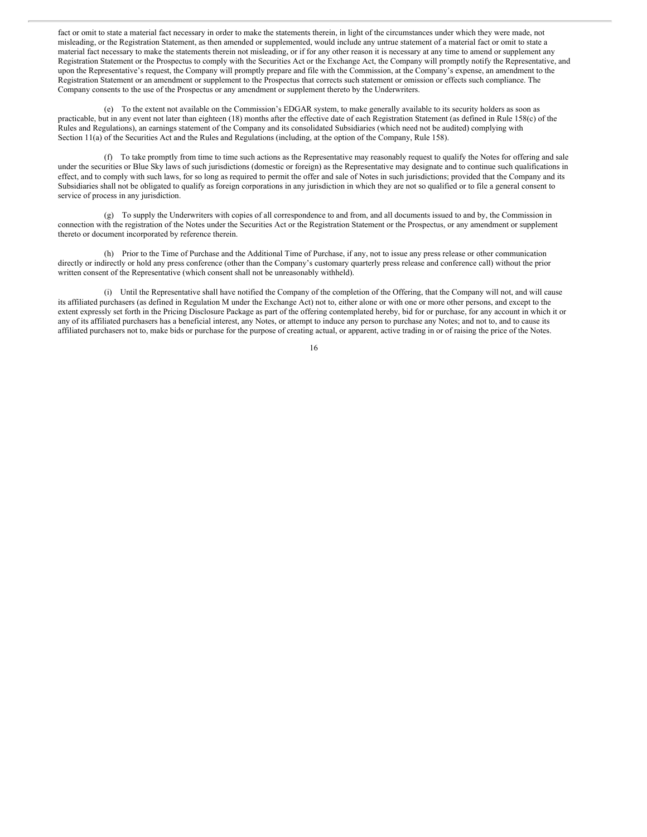fact or omit to state a material fact necessary in order to make the statements therein, in light of the circumstances under which they were made, not misleading, or the Registration Statement, as then amended or supplemented, would include any untrue statement of a material fact or omit to state a material fact necessary to make the statements therein not misleading, or if for any other reason it is necessary at any time to amend or supplement any Registration Statement or the Prospectus to comply with the Securities Act or the Exchange Act, the Company will promptly notify the Representative, and upon the Representative's request, the Company will promptly prepare and file with the Commission, at the Company's expense, an amendment to the Registration Statement or an amendment or supplement to the Prospectus that corrects such statement or omission or effects such compliance. The Company consents to the use of the Prospectus or any amendment or supplement thereto by the Underwriters.

(e) To the extent not available on the Commission's EDGAR system, to make generally available to its security holders as soon as practicable, but in any event not later than eighteen (18) months after the effective date of each Registration Statement (as defined in Rule 158(c) of the Rules and Regulations), an earnings statement of the Company and its consolidated Subsidiaries (which need not be audited) complying with Section 11(a) of the Securities Act and the Rules and Regulations (including, at the option of the Company, Rule 158).

(f) To take promptly from time to time such actions as the Representative may reasonably request to qualify the Notes for offering and sale under the securities or Blue Sky laws of such jurisdictions (domestic or foreign) as the Representative may designate and to continue such qualifications in effect, and to comply with such laws, for so long as required to permit the offer and sale of Notes in such jurisdictions; provided that the Company and its Subsidiaries shall not be obligated to qualify as foreign corporations in any jurisdiction in which they are not so qualified or to file a general consent to service of process in any jurisdiction.

(g) To supply the Underwriters with copies of all correspondence to and from, and all documents issued to and by, the Commission in connection with the registration of the Notes under the Securities Act or the Registration Statement or the Prospectus, or any amendment or supplement thereto or document incorporated by reference therein.

(h) Prior to the Time of Purchase and the Additional Time of Purchase, if any, not to issue any press release or other communication directly or indirectly or hold any press conference (other than the Company's customary quarterly press release and conference call) without the prior written consent of the Representative (which consent shall not be unreasonably withheld).

(i) Until the Representative shall have notified the Company of the completion of the Offering, that the Company will not, and will cause its affiliated purchasers (as defined in Regulation M under the Exchange Act) not to, either alone or with one or more other persons, and except to the extent expressly set forth in the Pricing Disclosure Package as part of the offering contemplated hereby, bid for or purchase, for any account in which it or any of its affiliated purchasers has a beneficial interest, any Notes, or attempt to induce any person to purchase any Notes; and not to, and to cause its affiliated purchasers not to, make bids or purchase for the purpose of creating actual, or apparent, active trading in or of raising the price of the Notes.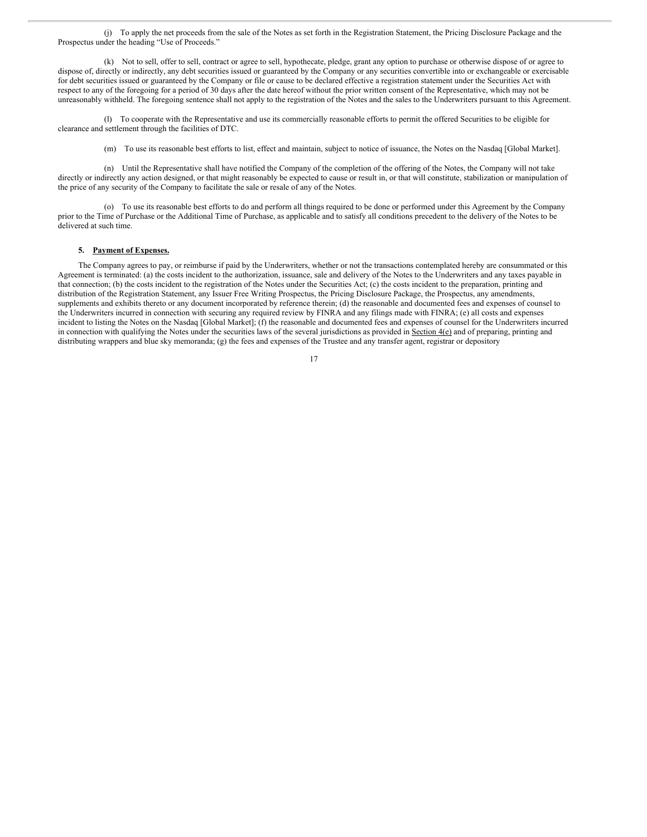<span id="page-96-0"></span>(j) To apply the net proceeds from the sale of the Notes as set forth in the Registration Statement, the Pricing Disclosure Package and the Prospectus under the heading "Use of Proceeds."

(k) Not to sell, offer to sell, contract or agree to sell, hypothecate, pledge, grant any option to purchase or otherwise dispose of or agree to dispose of, directly or indirectly, any debt securities issued or guaranteed by the Company or any securities convertible into or exchangeable or exercisable for debt securities issued or guaranteed by the Company or file or cause to be declared effective a registration statement under the Securities Act with respect to any of the foregoing for a period of 30 days after the date hereof without the prior written consent of the Representative, which may not be unreasonably withheld. The foregoing sentence shall not apply to the registration of the Notes and the sales to the Underwriters pursuant to this Agreement.

(l) To cooperate with the Representative and use its commercially reasonable efforts to permit the offered Securities to be eligible for clearance and settlement through the facilities of DTC.

(m) To use its reasonable best efforts to list, effect and maintain, subject to notice of issuance, the Notes on the Nasdaq [Global Market].

(n) Until the Representative shall have notified the Company of the completion of the offering of the Notes, the Company will not take directly or indirectly any action designed, or that might reasonably be expected to cause or result in, or that will constitute, stabilization or manipulation of the price of any security of the Company to facilitate the sale or resale of any of the Notes.

(o) To use its reasonable best efforts to do and perform all things required to be done or performed under this Agreement by the Company prior to the Time of Purchase or the Additional Time of Purchase, as applicable and to satisfy all conditions precedent to the delivery of the Notes to be delivered at such time.

### **5. Payment of Expenses.**

The Company agrees to pay, or reimburse if paid by the Underwriters, whether or not the transactions contemplated hereby are consummated or this Agreement is terminated: (a) the costs incident to the authorization, issuance, sale and delivery of the Notes to the Underwriters and any taxes payable in that connection; (b) the costs incident to the registration of the Notes under the Securities Act; (c) the costs incident to the preparation, printing and distribution of the Registration Statement, any Issuer Free Writing Prospectus, the Pricing Disclosure Package, the Prospectus, any amendments, supplements and exhibits thereto or any document incorporated by reference therein; (d) the reasonable and documented fees and expenses of counsel to the Underwriters incurred in connection with securing any required review by FINRA and any filings made with FINRA; (e) all costs and expenses incident to listing the Notes on the Nasdaq [Global Market]; (f) the reasonable and documented fees and expenses of counsel for the Underwriters incurred in connection with qualifying the Notes under the securities laws of the several jurisdictions as provided in Section 4(e) and of preparing, printing and distributing wrappers and blue sky memoranda; (g) the fees and expenses of the Trustee and any transfer agent, registrar or depository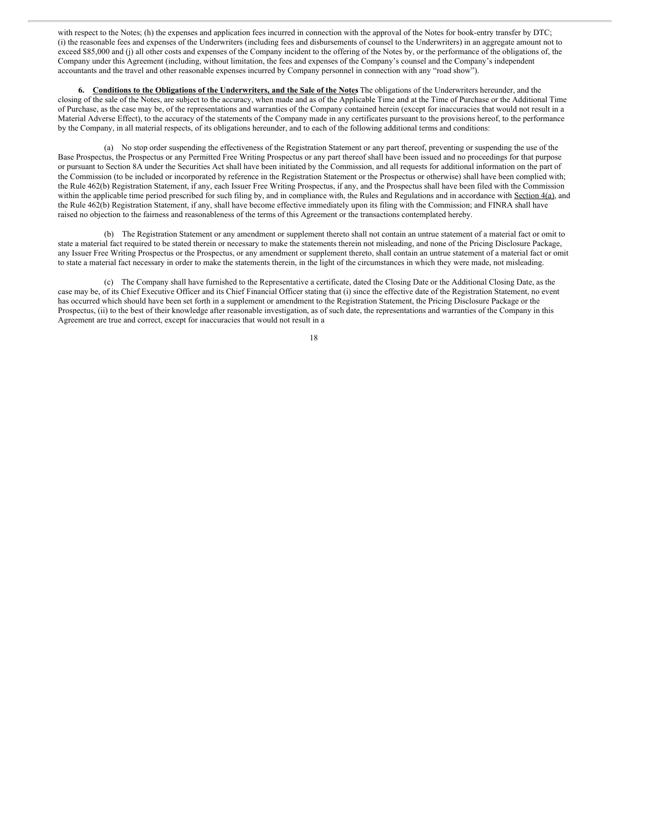with respect to the Notes; (h) the expenses and application fees incurred in connection with the approval of the Notes for book-entry transfer by DTC; (i) the reasonable fees and expenses of the Underwriters (including fees and disbursements of counsel to the Underwriters) in an aggregate amount not to exceed \$85,000 and (j) all other costs and expenses of the Company incident to the offering of the Notes by, or the performance of the obligations of, the Company under this Agreement (including, without limitation, the fees and expenses of the Company's counsel and the Company's independent accountants and the travel and other reasonable expenses incurred by Company personnel in connection with any "road show").

6. Conditions to the Obligations of the Underwriters, and the Sale of the Notes The obligations of the Underwriters hereunder, and the closing of the sale of the Notes, are subject to the accuracy, when made and as of the Applicable Time and at the Time of Purchase or the Additional Time of Purchase, as the case may be, of the representations and warranties of the Company contained herein (except for inaccuracies that would not result in a Material Adverse Effect), to the accuracy of the statements of the Company made in any certificates pursuant to the provisions hereof, to the performance by the Company, in all material respects, of its obligations hereunder, and to each of the following additional terms and conditions:

(a) No stop order suspending the effectiveness of the Registration Statement or any part thereof, preventing or suspending the use of the Base Prospectus, the Prospectus or any Permitted Free Writing Prospectus or any part thereof shall have been issued and no proceedings for that purpose or pursuant to Section 8A under the Securities Act shall have been initiated by the Commission, and all requests for additional information on the part of the Commission (to be included or incorporated by reference in the Registration Statement or the Prospectus or otherwise) shall have been complied with; the Rule 462(b) Registration Statement, if any, each Issuer Free Writing Prospectus, if any, and the Prospectus shall have been filed with the Commission within the applicable time period prescribed for such filing by, and in compliance with, the Rules and Regulations and in accordance with Section 4(a), and the Rule 462(b) Registration Statement, if any, shall have become effective immediately upon its filing with the Commission; and FINRA shall have raised no objection to the fairness and reasonableness of the terms of this Agreement or the transactions contemplated hereby.

(b) The Registration Statement or any amendment or supplement thereto shall not contain an untrue statement of a material fact or omit to state a material fact required to be stated therein or necessary to make the statements therein not misleading, and none of the Pricing Disclosure Package, any Issuer Free Writing Prospectus or the Prospectus, or any amendment or supplement thereto, shall contain an untrue statement of a material fact or omit to state a material fact necessary in order to make the statements therein, in the light of the circumstances in which they were made, not misleading.

(c) The Company shall have furnished to the Representative a certificate, dated the Closing Date or the Additional Closing Date, as the case may be, of its Chief Executive Officer and its Chief Financial Officer stating that (i) since the effective date of the Registration Statement, no event has occurred which should have been set forth in a supplement or amendment to the Registration Statement, the Pricing Disclosure Package or the Prospectus, (ii) to the best of their knowledge after reasonable investigation, as of such date, the representations and warranties of the Company in this Agreement are true and correct, except for inaccuracies that would not result in a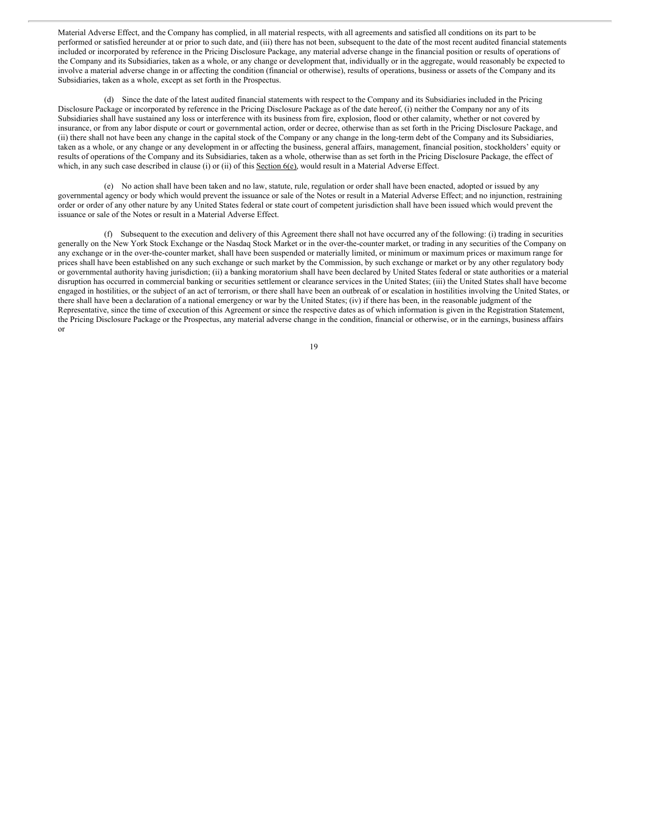Material Adverse Effect, and the Company has complied, in all material respects, with all agreements and satisfied all conditions on its part to be performed or satisfied hereunder at or prior to such date, and (iii) there has not been, subsequent to the date of the most recent audited financial statements included or incorporated by reference in the Pricing Disclosure Package, any material adverse change in the financial position or results of operations of the Company and its Subsidiaries, taken as a whole, or any change or development that, individually or in the aggregate, would reasonably be expected to involve a material adverse change in or affecting the condition (financial or otherwise), results of operations, business or assets of the Company and its Subsidiaries, taken as a whole, except as set forth in the Prospectus.

(d) Since the date of the latest audited financial statements with respect to the Company and its Subsidiaries included in the Pricing Disclosure Package or incorporated by reference in the Pricing Disclosure Package as of the date hereof, (i) neither the Company nor any of its Subsidiaries shall have sustained any loss or interference with its business from fire, explosion, flood or other calamity, whether or not covered by insurance, or from any labor dispute or court or governmental action, order or decree, otherwise than as set forth in the Pricing Disclosure Package, and (ii) there shall not have been any change in the capital stock of the Company or any change in the long-term debt of the Company and its Subsidiaries, taken as a whole, or any change or any development in or affecting the business, general affairs, management, financial position, stockholders' equity or results of operations of the Company and its Subsidiaries, taken as a whole, otherwise than as set forth in the Pricing Disclosure Package, the effect of which, in any such case described in clause (i) or (ii) of this Section 6(e), would result in a Material Adverse Effect.

(e) No action shall have been taken and no law, statute, rule, regulation or order shall have been enacted, adopted or issued by any governmental agency or body which would prevent the issuance or sale of the Notes or result in a Material Adverse Effect; and no injunction, restraining order or order of any other nature by any United States federal or state court of competent jurisdiction shall have been issued which would prevent the issuance or sale of the Notes or result in a Material Adverse Effect.

(f) Subsequent to the execution and delivery of this Agreement there shall not have occurred any of the following: (i) trading in securities generally on the New York Stock Exchange or the Nasdaq Stock Market or in the over-the-counter market, or trading in any securities of the Company on any exchange or in the over-the-counter market, shall have been suspended or materially limited, or minimum or maximum prices or maximum range for prices shall have been established on any such exchange or such market by the Commission, by such exchange or market or by any other regulatory body or governmental authority having jurisdiction; (ii) a banking moratorium shall have been declared by United States federal or state authorities or a material disruption has occurred in commercial banking or securities settlement or clearance services in the United States; (iii) the United States shall have become engaged in hostilities, or the subject of an act of terrorism, or there shall have been an outbreak of or escalation in hostilities involving the United States, or there shall have been a declaration of a national emergency or war by the United States; (iv) if there has been, in the reasonable judgment of the Representative, since the time of execution of this Agreement or since the respective dates as of which information is given in the Registration Statement, the Pricing Disclosure Package or the Prospectus, any material adverse change in the condition, financial or otherwise, or in the earnings, business affairs or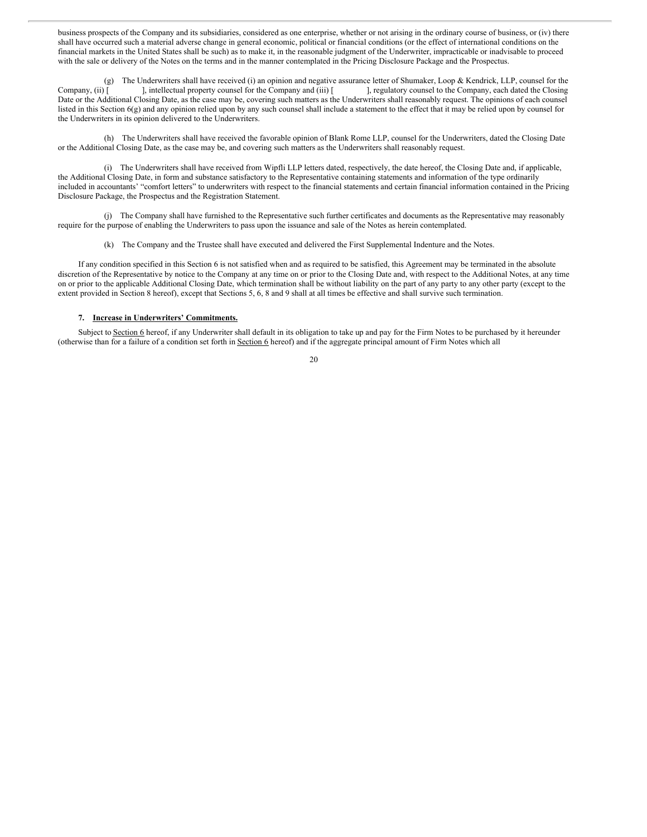business prospects of the Company and its subsidiaries, considered as one enterprise, whether or not arising in the ordinary course of business, or (iv) there shall have occurred such a material adverse change in general economic, political or financial conditions (or the effect of international conditions on the financial markets in the United States shall be such) as to make it, in the reasonable judgment of the Underwriter, impracticable or inadvisable to proceed with the sale or delivery of the Notes on the terms and in the manner contemplated in the Pricing Disclosure Package and the Prospectus.

(g) The Underwriters shall have received (i) an opinion and negative assurance letter of Shumaker, Loop & Kendrick, LLP, counsel for the Company and  $(iii)$  [ $\frac{1}{1}$ , regulatory counsel to the Company, each dated the Clos Company, (ii) [ ], intellectual property counsel for the Company and (iii) [ ], regulatory counsel to the Company, each dated the Closing Date or the Additional Closing Date, as the case may be, covering such matters as the Underwriters shall reasonably request. The opinions of each counsel listed in this Section 6(g) and any opinion relied upon by any such counsel shall include a statement to the effect that it may be relied upon by counsel for the Underwriters in its opinion delivered to the Underwriters.

(h) The Underwriters shall have received the favorable opinion of Blank Rome LLP, counsel for the Underwriters, dated the Closing Date or the Additional Closing Date, as the case may be, and covering such matters as the Underwriters shall reasonably request.

(i) The Underwriters shall have received from Wipfli LLP letters dated, respectively, the date hereof, the Closing Date and, if applicable, the Additional Closing Date, in form and substance satisfactory to the Representative containing statements and information of the type ordinarily included in accountants' "comfort letters" to underwriters with respect to the financial statements and certain financial information contained in the Pricing Disclosure Package, the Prospectus and the Registration Statement.

(j) The Company shall have furnished to the Representative such further certificates and documents as the Representative may reasonably require for the purpose of enabling the Underwriters to pass upon the issuance and sale of the Notes as herein contemplated.

(k) The Company and the Trustee shall have executed and delivered the First Supplemental Indenture and the Notes.

If any condition specified in this Section 6 is not satisfied when and as required to be satisfied, this Agreement may be terminated in the absolute discretion of the Representative by notice to the Company at any time on or prior to the Closing Date and, with respect to the Additional Notes, at any time on or prior to the applicable Additional Closing Date, which termination shall be without liability on the part of any party to any other party (except to the extent provided in Section 8 hereof), except that Sections 5, 6, 8 and 9 shall at all times be effective and shall survive such termination.

### **7. Increase in Underwriters' Commitments.**

Subject to Section 6 hereof, if any Underwriter shall default in its obligation to take up and pay for the Firm Notes to be purchased by it hereunder (otherwise than for a failure of a condition set forth in Section 6 hereof) and if the aggregate principal amount of Firm Notes which all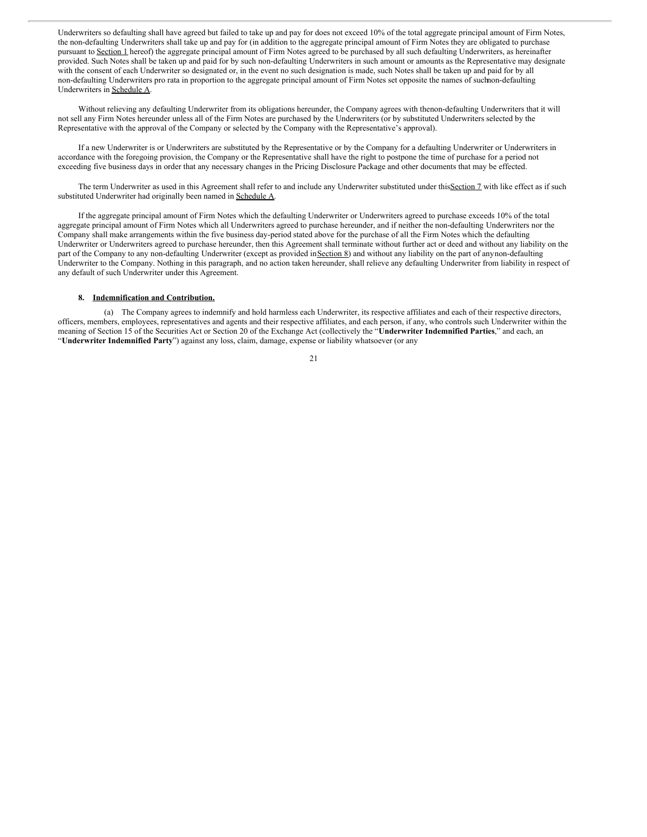Underwriters so defaulting shall have agreed but failed to take up and pay for does not exceed 10% of the total aggregate principal amount of Firm Notes, the non-defaulting Underwriters shall take up and pay for (in addition to the aggregate principal amount of Firm Notes they are obligated to purchase pursuant to Section 1 hereof) the aggregate principal amount of Firm Notes agreed to be purchased by all such defaulting Underwriters, as hereinafter provided. Such Notes shall be taken up and paid for by such non-defaulting Underwriters in such amount or amounts as the Representative may designate with the consent of each Underwriter so designated or, in the event no such designation is made, such Notes shall be taken up and paid for by all non-defaulting Underwriters pro rata in proportion to the aggregate principal amount of Firm Notes set opposite the names of suchnon-defaulting Underwriters in Schedule A.

Without relieving any defaulting Underwriter from its obligations hereunder, the Company agrees with thenon-defaulting Underwriters that it will not sell any Firm Notes hereunder unless all of the Firm Notes are purchased by the Underwriters (or by substituted Underwriters selected by the Representative with the approval of the Company or selected by the Company with the Representative's approval).

If a new Underwriter is or Underwriters are substituted by the Representative or by the Company for a defaulting Underwriter or Underwriters in accordance with the foregoing provision, the Company or the Representative shall have the right to postpone the time of purchase for a period not exceeding five business days in order that any necessary changes in the Pricing Disclosure Package and other documents that may be effected.

The term Underwriter as used in this Agreement shall refer to and include any Underwriter substituted under this**Section 7** with like effect as if such substituted Underwriter had originally been named in Schedule A.

If the aggregate principal amount of Firm Notes which the defaulting Underwriter or Underwriters agreed to purchase exceeds 10% of the total aggregate principal amount of Firm Notes which all Underwriters agreed to purchase hereunder, and if neither the non-defaulting Underwriters nor the Company shall make arrangements within the five business day-period stated above for the purchase of all the Firm Notes which the defaulting Underwriter or Underwriters agreed to purchase hereunder, then this Agreement shall terminate without further act or deed and without any liability on the part of the Company to any non-defaulting Underwriter (except as provided in Section 8) and without any liability on the part of anynon-defaulting Underwriter to the Company. Nothing in this paragraph, and no action taken hereunder, shall relieve any defaulting Underwriter from liability in respect of any default of such Underwriter under this Agreement.

#### **8. Indemnification and Contribution.**

(a) The Company agrees to indemnify and hold harmless each Underwriter, its respective affiliates and each of their respective directors, officers, members, employees, representatives and agents and their respective affiliates, and each person, if any, who controls such Underwriter within the meaning of Section 15 of the Securities Act or Section 20 of the Exchange Act (collectively the "**Underwriter Indemnified Parties**," and each, an "**Underwriter Indemnified Party**") against any loss, claim, damage, expense or liability whatsoever (or any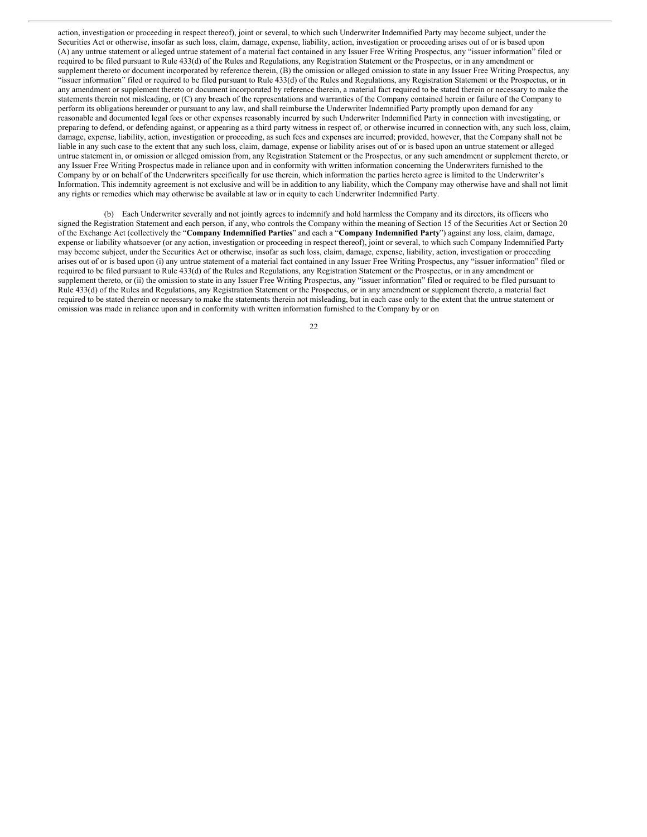action, investigation or proceeding in respect thereof), joint or several, to which such Underwriter Indemnified Party may become subject, under the Securities Act or otherwise, insofar as such loss, claim, damage, expense, liability, action, investigation or proceeding arises out of or is based upon (A) any untrue statement or alleged untrue statement of a material fact contained in any Issuer Free Writing Prospectus, any "issuer information" filed or required to be filed pursuant to Rule 433(d) of the Rules and Regulations, any Registration Statement or the Prospectus, or in any amendment or supplement thereto or document incorporated by reference therein, (B) the omission or alleged omission to state in any Issuer Free Writing Prospectus, any "issuer information" filed or required to be filed pursuant to Rule 433(d) of the Rules and Regulations, any Registration Statement or the Prospectus, or in any amendment or supplement thereto or document incorporated by reference therein, a material fact required to be stated therein or necessary to make the statements therein not misleading, or (C) any breach of the representations and warranties of the Company contained herein or failure of the Company to perform its obligations hereunder or pursuant to any law, and shall reimburse the Underwriter Indemnified Party promptly upon demand for any reasonable and documented legal fees or other expenses reasonably incurred by such Underwriter Indemnified Party in connection with investigating, or preparing to defend, or defending against, or appearing as a third party witness in respect of, or otherwise incurred in connection with, any such loss, claim, damage, expense, liability, action, investigation or proceeding, as such fees and expenses are incurred; provided, however, that the Company shall not be liable in any such case to the extent that any such loss, claim, damage, expense or liability arises out of or is based upon an untrue statement or alleged untrue statement in, or omission or alleged omission from, any Registration Statement or the Prospectus, or any such amendment or supplement thereto, or any Issuer Free Writing Prospectus made in reliance upon and in conformity with written information concerning the Underwriters furnished to the Company by or on behalf of the Underwriters specifically for use therein, which information the parties hereto agree is limited to the Underwriter's Information. This indemnity agreement is not exclusive and will be in addition to any liability, which the Company may otherwise have and shall not limit any rights or remedies which may otherwise be available at law or in equity to each Underwriter Indemnified Party.

(b) Each Underwriter severally and not jointly agrees to indemnify and hold harmless the Company and its directors, its officers who signed the Registration Statement and each person, if any, who controls the Company within the meaning of Section 15 of the Securities Act or Section 20 of the Exchange Act (collectively the "**Company Indemnified Parties**" and each a "**Company Indemnified Party**") against any loss, claim, damage, expense or liability whatsoever (or any action, investigation or proceeding in respect thereof), joint or several, to which such Company Indemnified Party may become subject, under the Securities Act or otherwise, insofar as such loss, claim, damage, expense, liability, action, investigation or proceeding arises out of or is based upon (i) any untrue statement of a material fact contained in any Issuer Free Writing Prospectus, any "issuer information" filed or required to be filed pursuant to Rule 433(d) of the Rules and Regulations, any Registration Statement or the Prospectus, or in any amendment or supplement thereto, or (ii) the omission to state in any Issuer Free Writing Prospectus, any "issuer information" filed or required to be filed pursuant to Rule 433(d) of the Rules and Regulations, any Registration Statement or the Prospectus, or in any amendment or supplement thereto, a material fact required to be stated therein or necessary to make the statements therein not misleading, but in each case only to the extent that the untrue statement or omission was made in reliance upon and in conformity with written information furnished to the Company by or on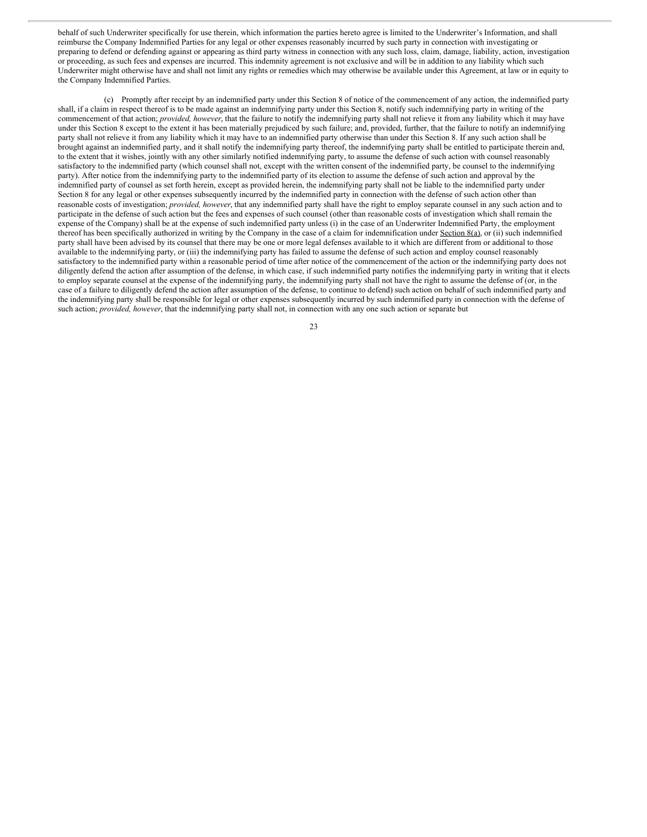behalf of such Underwriter specifically for use therein, which information the parties hereto agree is limited to the Underwriter's Information, and shall reimburse the Company Indemnified Parties for any legal or other expenses reasonably incurred by such party in connection with investigating or preparing to defend or defending against or appearing as third party witness in connection with any such loss, claim, damage, liability, action, investigation or proceeding, as such fees and expenses are incurred. This indemnity agreement is not exclusive and will be in addition to any liability which such Underwriter might otherwise have and shall not limit any rights or remedies which may otherwise be available under this Agreement, at law or in equity to the Company Indemnified Parties.

(c) Promptly after receipt by an indemnified party under this Section 8 of notice of the commencement of any action, the indemnified party shall, if a claim in respect thereof is to be made against an indemnifying party under this Section 8, notify such indemnifying party in writing of the commencement of that action; *provided, however*, that the failure to notify the indemnifying party shall not relieve it from any liability which it may have under this Section 8 except to the extent it has been materially prejudiced by such failure; and, provided, further, that the failure to notify an indemnifying party shall not relieve it from any liability which it may have to an indemnified party otherwise than under this Section 8. If any such action shall be brought against an indemnified party, and it shall notify the indemnifying party thereof, the indemnifying party shall be entitled to participate therein and, to the extent that it wishes, jointly with any other similarly notified indemnifying party, to assume the defense of such action with counsel reasonably satisfactory to the indemnified party (which counsel shall not, except with the written consent of the indemnified party, be counsel to the indemnifying party). After notice from the indemnifying party to the indemnified party of its election to assume the defense of such action and approval by the indemnified party of counsel as set forth herein, except as provided herein, the indemnifying party shall not be liable to the indemnified party under Section 8 for any legal or other expenses subsequently incurred by the indemnified party in connection with the defense of such action other than reasonable costs of investigation; *provided, however*, that any indemnified party shall have the right to employ separate counsel in any such action and to participate in the defense of such action but the fees and expenses of such counsel (other than reasonable costs of investigation which shall remain the expense of the Company) shall be at the expense of such indemnified party unless (i) in the case of an Underwriter Indemnified Party, the employment thereof has been specifically authorized in writing by the Company in the case of a claim for indemnification under Section 8(a), or (ii) such indemnified party shall have been advised by its counsel that there may be one or more legal defenses available to it which are different from or additional to those available to the indemnifying party, or (iii) the indemnifying party has failed to assume the defense of such action and employ counsel reasonably satisfactory to the indemnified party within a reasonable period of time after notice of the commencement of the action or the indemnifying party does not diligently defend the action after assumption of the defense, in which case, if such indemnified party notifies the indemnifying party in writing that it elects to employ separate counsel at the expense of the indemnifying party, the indemnifying party shall not have the right to assume the defense of (or, in the case of a failure to diligently defend the action after assumption of the defense, to continue to defend) such action on behalf of such indemnified party and the indemnifying party shall be responsible for legal or other expenses subsequently incurred by such indemnified party in connection with the defense of such action; *provided, however*, that the indemnifying party shall not, in connection with any one such action or separate but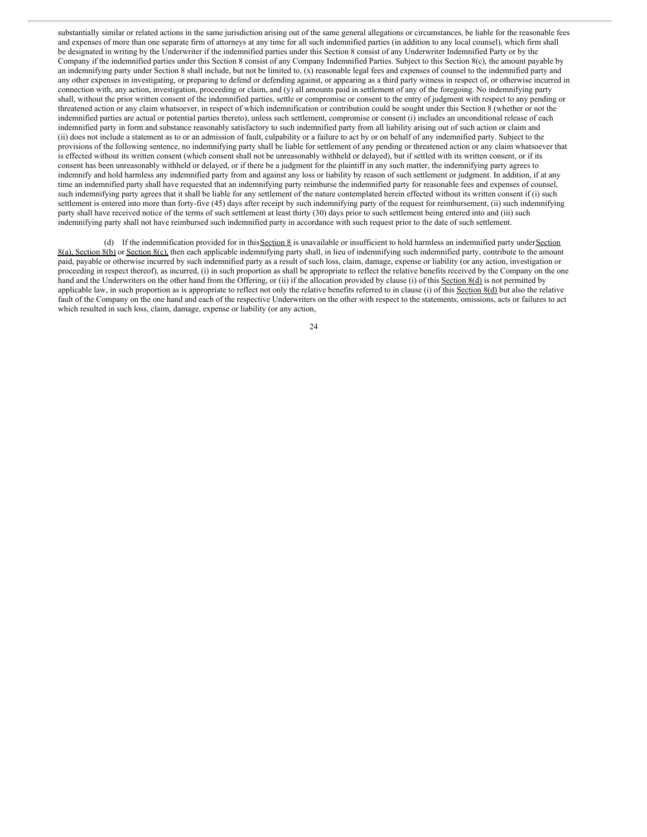substantially similar or related actions in the same jurisdiction arising out of the same general allegations or circumstances, be liable for the reasonable fees and expenses of more than one separate firm of attorneys at any time for all such indemnified parties (in addition to any local counsel), which firm shall be designated in writing by the Underwriter if the indemnified parties under this Section 8 consist of any Underwriter Indemnified Party or by the Company if the indemnified parties under this Section 8 consist of any Company Indemnified Parties. Subject to this Section 8(c), the amount payable by an indemnifying party under Section 8 shall include, but not be limited to, (x) reasonable legal fees and expenses of counsel to the indemnified party and any other expenses in investigating, or preparing to defend or defending against, or appearing as a third party witness in respect of, or otherwise incurred in connection with, any action, investigation, proceeding or claim, and (y) all amounts paid in settlement of any of the foregoing. No indemnifying party shall, without the prior written consent of the indemnified parties, settle or compromise or consent to the entry of judgment with respect to any pending or threatened action or any claim whatsoever, in respect of which indemnification or contribution could be sought under this Section 8 (whether or not the indemnified parties are actual or potential parties thereto), unless such settlement, compromise or consent (i) includes an unconditional release of each indemnified party in form and substance reasonably satisfactory to such indemnified party from all liability arising out of such action or claim and (ii) does not include a statement as to or an admission of fault, culpability or a failure to act by or on behalf of any indemnified party. Subject to the provisions of the following sentence, no indemnifying party shall be liable for settlement of any pending or threatened action or any claim whatsoever that is effected without its written consent (which consent shall not be unreasonably withheld or delayed), but if settled with its written consent, or if its consent has been unreasonably withheld or delayed, or if there be a judgment for the plaintiff in any such matter, the indemnifying party agrees to indemnify and hold harmless any indemnified party from and against any loss or liability by reason of such settlement or judgment. In addition, if at any time an indemnified party shall have requested that an indemnifying party reimburse the indemnified party for reasonable fees and expenses of counsel, such indemnifying party agrees that it shall be liable for any settlement of the nature contemplated herein effected without its written consent if (i) such settlement is entered into more than forty-five (45) days after receipt by such indemnifying party of the request for reimbursement, (ii) such indemnifying party shall have received notice of the terms of such settlement at least thirty (30) days prior to such settlement being entered into and (iii) such indemnifying party shall not have reimbursed such indemnified party in accordance with such request prior to the date of such settlement.

(d) If the indemnification provided for in this **Section 8** is unavailable or insufficient to hold harmless an indemnified party under **Section** 8(a), Section 8(b) or Section 8(c), then each applicable indemnifying party shall, in lieu of indemnifying such indemnified party, contribute to the amount paid, payable or otherwise incurred by such indemnified party as a result of such loss, claim, damage, expense or liability (or any action, investigation or proceeding in respect thereof), as incurred, (i) in such proportion as shall be appropriate to reflect the relative benefits received by the Company on the one hand and the Underwriters on the other hand from the Offering, or (ii) if the allocation provided by clause (i) of this Section 8(d) is not permitted by applicable law, in such proportion as is appropriate to reflect not only the relative benefits referred to in clause (i) of this Section 8(d) but also the relative fault of the Company on the one hand and each of the respective Underwriters on the other with respect to the statements, omissions, acts or failures to act which resulted in such loss, claim, damage, expense or liability (or any action,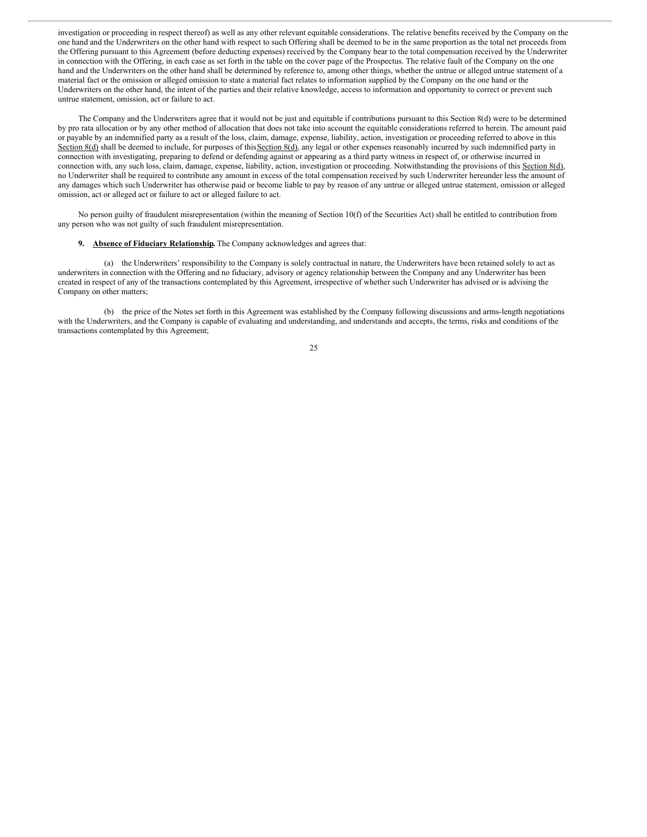investigation or proceeding in respect thereof) as well as any other relevant equitable considerations. The relative benefits received by the Company on the one hand and the Underwriters on the other hand with respect to such Offering shall be deemed to be in the same proportion as the total net proceeds from the Offering pursuant to this Agreement (before deducting expenses) received by the Company bear to the total compensation received by the Underwriter in connection with the Offering, in each case as set forth in the table on the cover page of the Prospectus. The relative fault of the Company on the one hand and the Underwriters on the other hand shall be determined by reference to, among other things, whether the untrue or alleged untrue statement of a material fact or the omission or alleged omission to state a material fact relates to information supplied by the Company on the one hand or the Underwriters on the other hand, the intent of the parties and their relative knowledge, access to information and opportunity to correct or prevent such untrue statement, omission, act or failure to act.

The Company and the Underwriters agree that it would not be just and equitable if contributions pursuant to this Section 8(d) were to be determined by pro rata allocation or by any other method of allocation that does not take into account the equitable considerations referred to herein. The amount paid or payable by an indemnified party as a result of the loss, claim, damage, expense, liability, action, investigation or proceeding referred to above in this Section 8(d) shall be deemed to include, for purposes of this Section 8(d), any legal or other expenses reasonably incurred by such indemnified party in connection with investigating, preparing to defend or defending against or appearing as a third party witness in respect of, or otherwise incurred in connection with, any such loss, claim, damage, expense, liability, action, investigation or proceeding. Notwithstanding the provisions of this Section 8(d), no Underwriter shall be required to contribute any amount in excess of the total compensation received by such Underwriter hereunder less the amount of any damages which such Underwriter has otherwise paid or become liable to pay by reason of any untrue or alleged untrue statement, omission or alleged omission, act or alleged act or failure to act or alleged failure to act.

No person guilty of fraudulent misrepresentation (within the meaning of Section 10(f) of the Securities Act) shall be entitled to contribution from any person who was not guilty of such fraudulent misrepresentation.

# **9. Absence of Fiduciary Relationship.** The Company acknowledges and agrees that:

(a) the Underwriters' responsibility to the Company is solely contractual in nature, the Underwriters have been retained solely to act as underwriters in connection with the Offering and no fiduciary, advisory or agency relationship between the Company and any Underwriter has been created in respect of any of the transactions contemplated by this Agreement, irrespective of whether such Underwriter has advised or is advising the Company on other matters;

(b) the price of the Notes set forth in this Agreement was established by the Company following discussions and arms-length negotiations with the Underwriters, and the Company is capable of evaluating and understanding, and understands and accepts, the terms, risks and conditions of the transactions contemplated by this Agreement;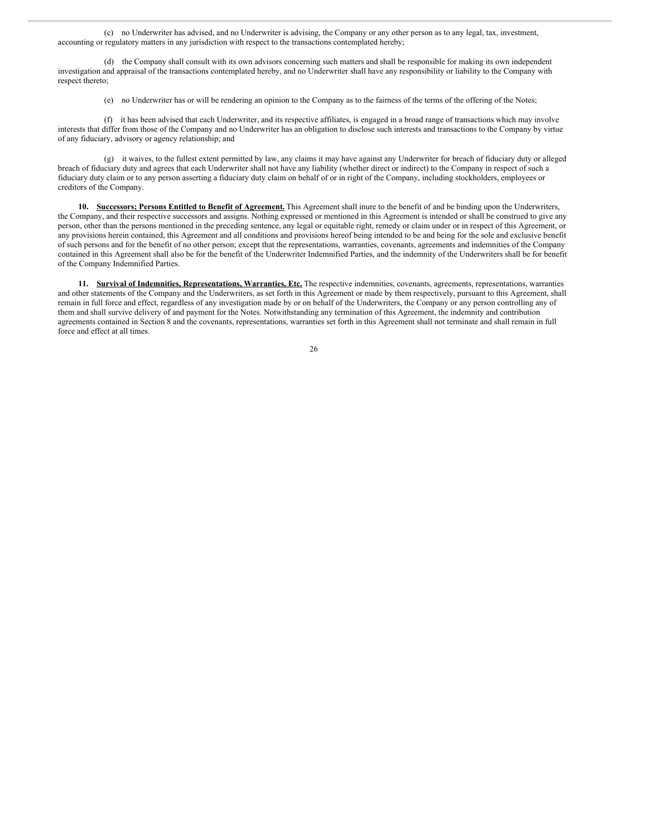(c) no Underwriter has advised, and no Underwriter is advising, the Company or any other person as to any legal, tax, investment, accounting or regulatory matters in any jurisdiction with respect to the transactions contemplated hereby;

(d) the Company shall consult with its own advisors concerning such matters and shall be responsible for making its own independent investigation and appraisal of the transactions contemplated hereby, and no Underwriter shall have any responsibility or liability to the Company with respect thereto;

(e) no Underwriter has or will be rendering an opinion to the Company as to the fairness of the terms of the offering of the Notes;

(f) it has been advised that each Underwriter, and its respective affiliates, is engaged in a broad range of transactions which may involve interests that differ from those of the Company and no Underwriter has an obligation to disclose such interests and transactions to the Company by virtue of any fiduciary, advisory or agency relationship; and

(g) it waives, to the fullest extent permitted by law, any claims it may have against any Underwriter for breach of fiduciary duty or alleged breach of fiduciary duty and agrees that each Underwriter shall not have any liability (whether direct or indirect) to the Company in respect of such a fiduciary duty claim or to any person asserting a fiduciary duty claim on behalf of or in right of the Company, including stockholders, employees or creditors of the Company.

**10. Successors; Persons Entitled to Benefit of Agreement.** This Agreement shall inure to the benefit of and be binding upon the Underwriters, the Company, and their respective successors and assigns. Nothing expressed or mentioned in this Agreement is intended or shall be construed to give any person, other than the persons mentioned in the preceding sentence, any legal or equitable right, remedy or claim under or in respect of this Agreement, or any provisions herein contained, this Agreement and all conditions and provisions hereof being intended to be and being for the sole and exclusive benefit of such persons and for the benefit of no other person; except that the representations, warranties, covenants, agreements and indemnities of the Company contained in this Agreement shall also be for the benefit of the Underwriter Indemnified Parties, and the indemnity of the Underwriters shall be for benefit of the Company Indemnified Parties.

**11. Survival of Indemnities, Representations, Warranties, Etc.** The respective indemnities, covenants, agreements, representations, warranties and other statements of the Company and the Underwriters, as set forth in this Agreement or made by them respectively, pursuant to this Agreement, shall remain in full force and effect, regardless of any investigation made by or on behalf of the Underwriters, the Company or any person controlling any of them and shall survive delivery of and payment for the Notes. Notwithstanding any termination of this Agreement, the indemnity and contribution agreements contained in Section 8 and the covenants, representations, warranties set forth in this Agreement shall not terminate and shall remain in full force and effect at all times.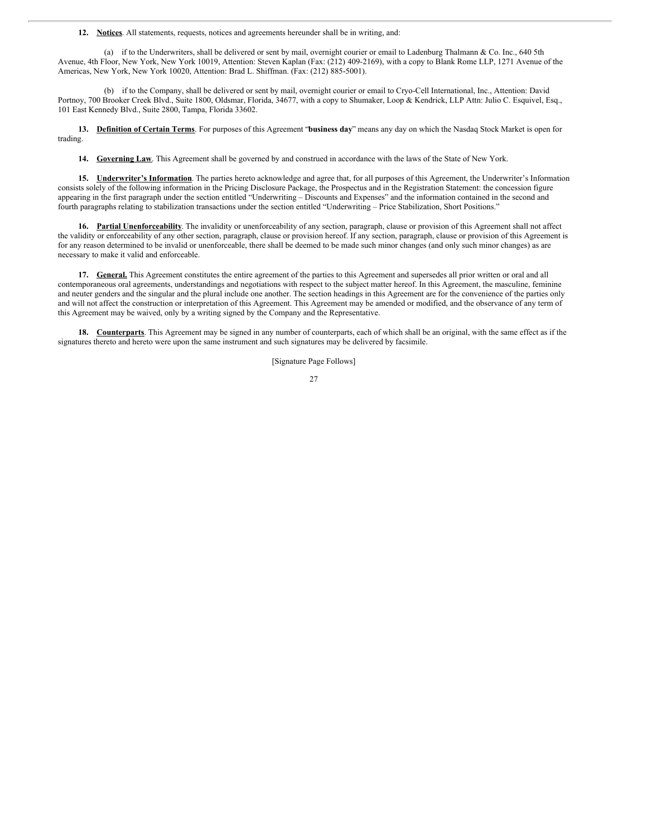**12. Notices**. All statements, requests, notices and agreements hereunder shall be in writing, and:

(a) if to the Underwriters, shall be delivered or sent by mail, overnight courier or email to Ladenburg Thalmann & Co. Inc., 640 5th Avenue, 4th Floor, New York, New York 10019, Attention: Steven Kaplan (Fax: (212) 409-2169), with a copy to Blank Rome LLP, 1271 Avenue of the Americas, New York, New York 10020, Attention: Brad L. Shiffman. (Fax: (212) 885-5001).

(b) if to the Company, shall be delivered or sent by mail, overnight courier or email to Cryo-Cell International, Inc., Attention: David Portnoy, 700 Brooker Creek Blvd., Suite 1800, Oldsmar, Florida, 34677, with a copy to Shumaker, Loop & Kendrick, LLP Attn: Julio C. Esquivel, Esq., 101 East Kennedy Blvd., Suite 2800, Tampa, Florida 33602.

**13. Definition of Certain Terms**. For purposes of this Agreement "**business day**" means any day on which the Nasdaq Stock Market is open for trading.

**14. Governing Law**. This Agreement shall be governed by and construed in accordance with the laws of the State of New York.

**15. Underwriter's Information**. The parties hereto acknowledge and agree that, for all purposes of this Agreement, the Underwriter's Information consists solely of the following information in the Pricing Disclosure Package, the Prospectus and in the Registration Statement: the concession figure appearing in the first paragraph under the section entitled "Underwriting – Discounts and Expenses" and the information contained in the second and fourth paragraphs relating to stabilization transactions under the section entitled "Underwriting – Price Stabilization, Short Positions."

**16. Partial Unenforceability**. The invalidity or unenforceability of any section, paragraph, clause or provision of this Agreement shall not affect the validity or enforceability of any other section, paragraph, clause or provision hereof. If any section, paragraph, clause or provision of this Agreement is for any reason determined to be invalid or unenforceable, there shall be deemed to be made such minor changes (and only such minor changes) as are necessary to make it valid and enforceable.

17. General. This Agreement constitutes the entire agreement of the parties to this Agreement and supersedes all prior written or oral and all contemporaneous oral agreements, understandings and negotiations with respect to the subject matter hereof. In this Agreement, the masculine, feminine and neuter genders and the singular and the plural include one another. The section headings in this Agreement are for the convenience of the parties only and will not affect the construction or interpretation of this Agreement. This Agreement may be amended or modified, and the observance of any term of this Agreement may be waived, only by a writing signed by the Company and the Representative.

**18. Counterparts**. This Agreement may be signed in any number of counterparts, each of which shall be an original, with the same effect as if the signatures thereto and hereto were upon the same instrument and such signatures may be delivered by facsimile.

[Signature Page Follows]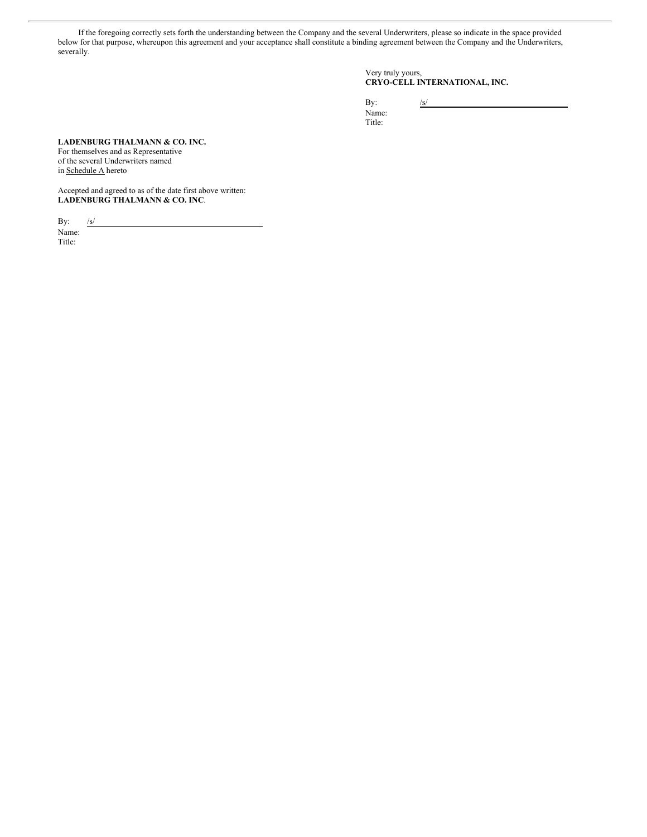If the foregoing correctly sets forth the understanding between the Company and the several Underwriters, please so indicate in the space provided below for that purpose, whereupon this agreement and your acceptance shall constitute a binding agreement between the Company and the Underwriters, severally.

#### Very truly yours, **CRYO-CELL INTERNATIONAL, INC.**

By:  $/s/$ Name:

Title:

**LADENBURG THALMANN & CO. INC.**

For themselves and as Representative of the several Underwriters named in Schedule A hereto

Accepted and agreed to as of the date first above written: **LADENBURG THALMANN & CO. INC**.

By:  $/s/$ Name: Title: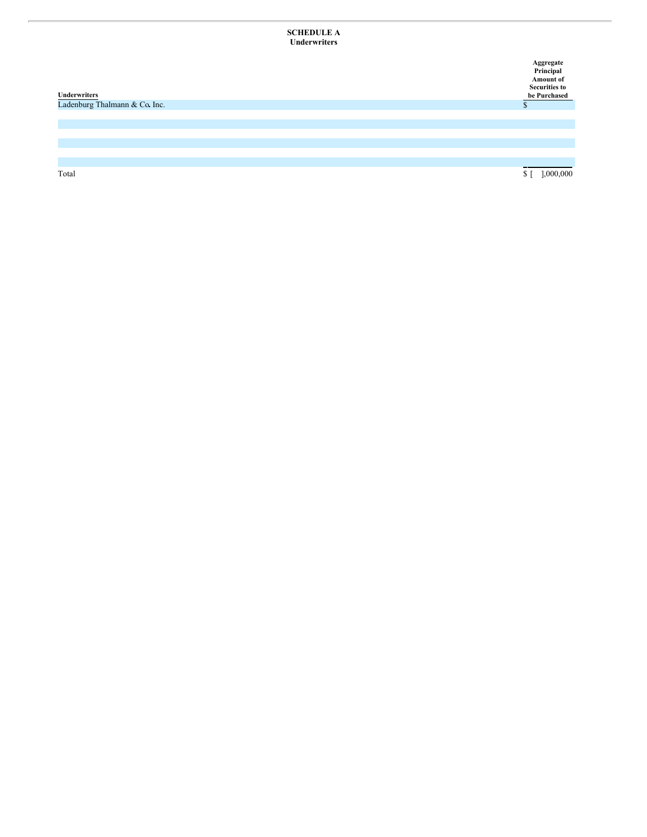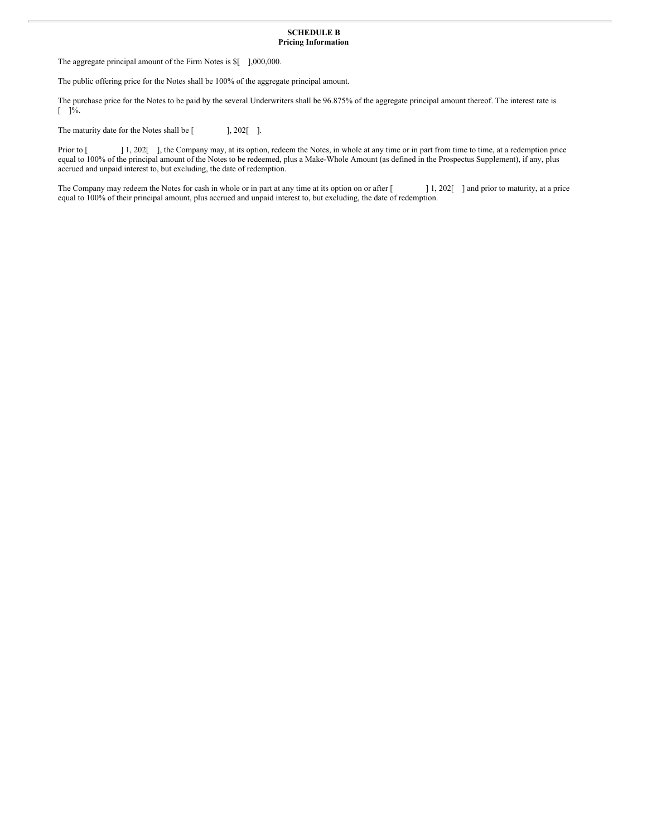## **SCHEDULE B Pricing Information**

The aggregate principal amount of the Firm Notes is  $[$  [  $]$ ,000,000.

The public offering price for the Notes shall be 100% of the aggregate principal amount.

The purchase price for the Notes to be paid by the several Underwriters shall be 96.875% of the aggregate principal amount thereof. The interest rate is [ ]%.

The maturity date for the Notes shall be [ ], 202[ ].

Prior to [ ] 1, 202[ ], the Company may, at its option, redeem the Notes, in whole at any time or in part from time to time, at a redemption price equal to 100% of the principal amount of the Notes to be redeemed, plus a Make-Whole Amount (as defined in the Prospectus Supplement), if any, plus accrued and unpaid interest to, but excluding, the date of redemption.

The Company may redeem the Notes for cash in whole or in part at any time at its option on or after [1,202] and prior to maturity, at a price equal to 100% of their principal amount, plus accrued and unpaid interest to, but excluding, the date of redemption.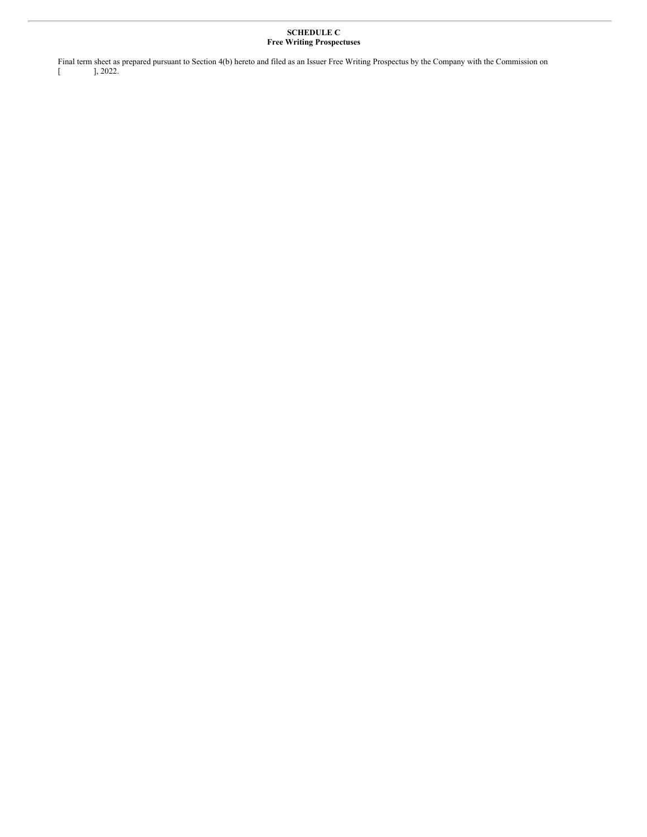### **SCHEDULE C Free Writing Prospectuses**

Final term sheet as prepared pursuant to Section 4(b) hereto and filed as an Issuer Free Writing Prospectus by the Company with the Commission on  $[$  ], 2022.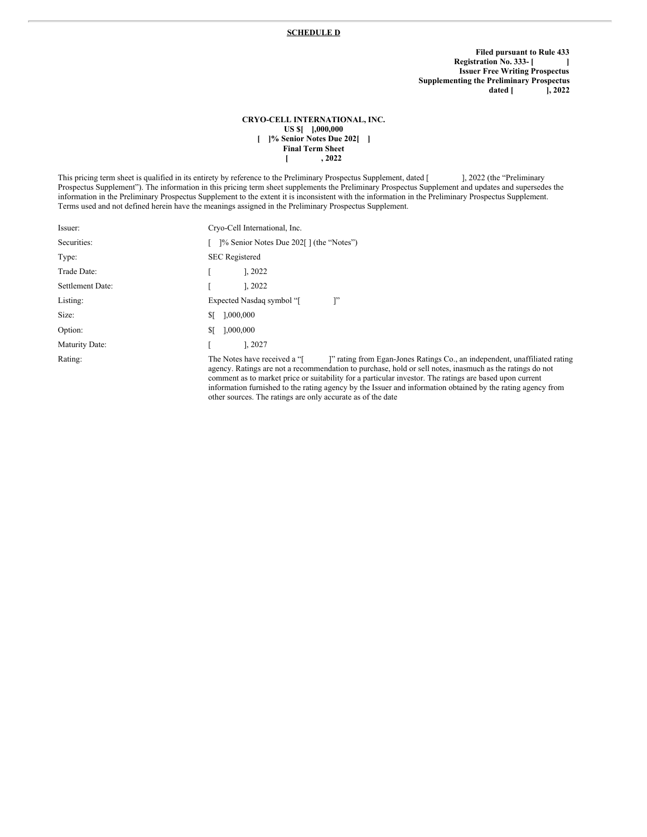## **SCHEDULE D**

**Filed pursuant to Rule 433 Registration No. 333- [ ] Issuer Free Writing Prospectus Supplementing the Preliminary Prospectus dated [ ], 2022**

## **CRYO-CELL INTERNATIONAL, INC. US \$[ ],000,000 [ ]% Senior Notes Due 202[ ] Final Term Sheet [ , 2022**

This pricing term sheet is qualified in its entirety by reference to the Preliminary Prospectus Supplement, dated [ ], 2022 (the "Preliminary Prospectus Supplement"). The information in this pricing term sheet supplements the Preliminary Prospectus Supplement and updates and supersedes the information in the Preliminary Prospectus Supplement to the extent it is inconsistent with the information in the Preliminary Prospectus Supplement. Terms used and not defined herein have the meanings assigned in the Preliminary Prospectus Supplement.

| Issuer:          | Cryo-Cell International, Inc.                                                                                                                                                                                                                                                                                                    |  |  |
|------------------|----------------------------------------------------------------------------------------------------------------------------------------------------------------------------------------------------------------------------------------------------------------------------------------------------------------------------------|--|--|
| Securities:      | [%] Senior Notes Due 202[] (the "Notes")                                                                                                                                                                                                                                                                                         |  |  |
| Type:            | <b>SEC</b> Registered                                                                                                                                                                                                                                                                                                            |  |  |
| Trade Date:      | 1,2022                                                                                                                                                                                                                                                                                                                           |  |  |
| Settlement Date: | 1,2022                                                                                                                                                                                                                                                                                                                           |  |  |
| Listing:         | Expected Nasdaq symbol "[                                                                                                                                                                                                                                                                                                        |  |  |
| Size:            | 1,000,000<br>SГ                                                                                                                                                                                                                                                                                                                  |  |  |
| Option:          | 1,000,000<br>\$ſ                                                                                                                                                                                                                                                                                                                 |  |  |
| Maturity Date:   | 1,2027                                                                                                                                                                                                                                                                                                                           |  |  |
| Rating:          | The Notes have received a "[<br>" rating from Egan-Jones Ratings Co., an independent, unaffiliated rating<br>agency. Ratings are not a recommendation to purchase, hold or sell notes, inasmuch as the ratings do not<br>comment as to market price or suitability for a particular investor. The ratings are based upon current |  |  |

information furnished to the rating agency by the Issuer and information obtained by the rating agency from other sources. The ratings are only accurate as of the date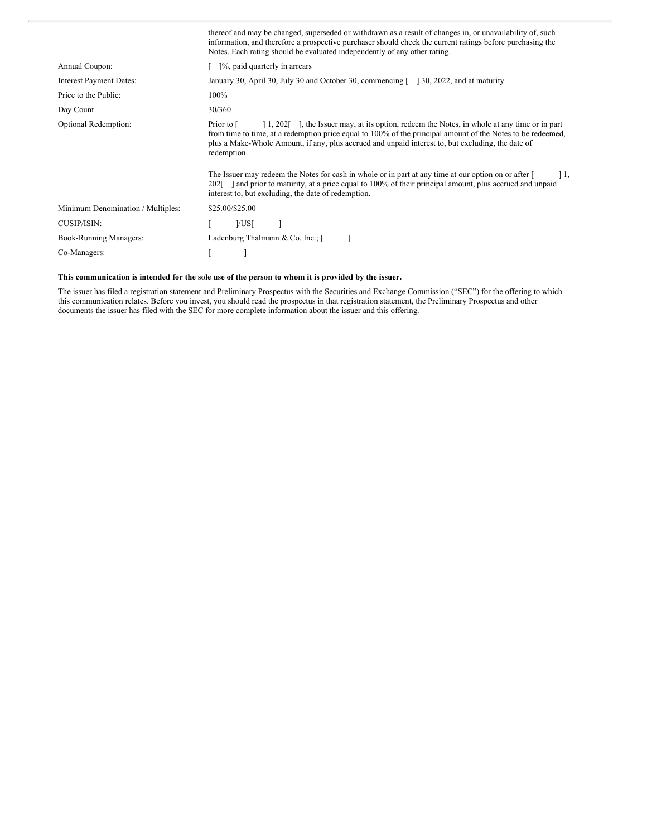|                                   | thereof and may be changed, superseded or withdrawn as a result of changes in, or unavailability of, such<br>information, and therefore a prospective purchaser should check the current ratings before purchasing the<br>Notes. Each rating should be evaluated independently of any other rating.                                                                                                                                                                                                                                                                    |  |
|-----------------------------------|------------------------------------------------------------------------------------------------------------------------------------------------------------------------------------------------------------------------------------------------------------------------------------------------------------------------------------------------------------------------------------------------------------------------------------------------------------------------------------------------------------------------------------------------------------------------|--|
| Annual Coupon:                    | 1%, paid quarterly in arrears                                                                                                                                                                                                                                                                                                                                                                                                                                                                                                                                          |  |
| <b>Interest Payment Dates:</b>    | January 30, April 30, July 30 and October 30, commencing [ 130, 2022, and at maturity                                                                                                                                                                                                                                                                                                                                                                                                                                                                                  |  |
| Price to the Public:              | 100%                                                                                                                                                                                                                                                                                                                                                                                                                                                                                                                                                                   |  |
| Day Count                         | 30/360                                                                                                                                                                                                                                                                                                                                                                                                                                                                                                                                                                 |  |
| <b>Optional Redemption:</b>       | 1, 202[], the Issuer may, at its option, redeem the Notes, in whole at any time or in part<br>Prior to [<br>from time to time, at a redemption price equal to 100% of the principal amount of the Notes to be redeemed,<br>plus a Make-Whole Amount, if any, plus accrued and unpaid interest to, but excluding, the date of<br>redemption.<br>The Issuer may redeem the Notes for cash in whole or in part at any time at our option on or after [<br>11,<br>202[] and prior to maturity, at a price equal to 100% of their principal amount, plus accrued and unpaid |  |
|                                   | interest to, but excluding, the date of redemption.                                                                                                                                                                                                                                                                                                                                                                                                                                                                                                                    |  |
| Minimum Denomination / Multiples: | \$25.00/\$25.00                                                                                                                                                                                                                                                                                                                                                                                                                                                                                                                                                        |  |
| <b>CUSIP/ISIN:</b>                | /US                                                                                                                                                                                                                                                                                                                                                                                                                                                                                                                                                                    |  |
| <b>Book-Running Managers:</b>     | Ladenburg Thalmann & Co. Inc.; [                                                                                                                                                                                                                                                                                                                                                                                                                                                                                                                                       |  |
| Co-Managers:                      |                                                                                                                                                                                                                                                                                                                                                                                                                                                                                                                                                                        |  |

## This communication is intended for the sole use of the person to whom it is provided by the issuer.

The issuer has filed a registration statement and Preliminary Prospectus with the Securities and Exchange Commission ("SEC") for the offering to which this communication relates. Before you invest, you should read the prospectus in that registration statement, the Preliminary Prospectus and other documents the issuer has filed with the SEC for more complete information about the issuer and this offering.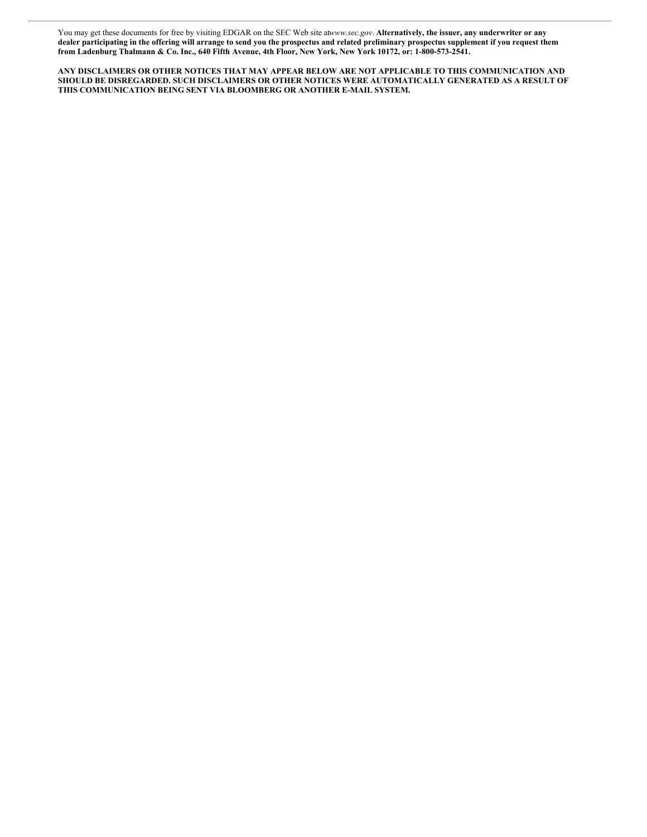You may get these documents for free by visiting EDGAR on the SEC Web site at*www.sec.gov*. **Alternatively, the issuer, any underwriter or any** dealer participating in the offering will arrange to send you the prospectus and related preliminary prospectus supplement if you request them from Ladenburg Thalmann & Co. Inc., 640 Fifth Avenue, 4th Floor, New York, New York 10172, or: 1-800-573-2541.

**ANY DISCLAIMERS OR OTHER NOTICES THAT MAY APPEAR BELOW ARE NOT APPLICABLE TO THIS COMMUNICATION AND SHOULD BE DISREGARDED. SUCH DISCLAIMERS OR OTHER NOTICES WERE AUTOMATICALLY GENERATED AS A RESULT OF THIS COMMUNICATION BEING SENT VIA BLOOMBERG OR ANOTHER E-MAIL SYSTEM.**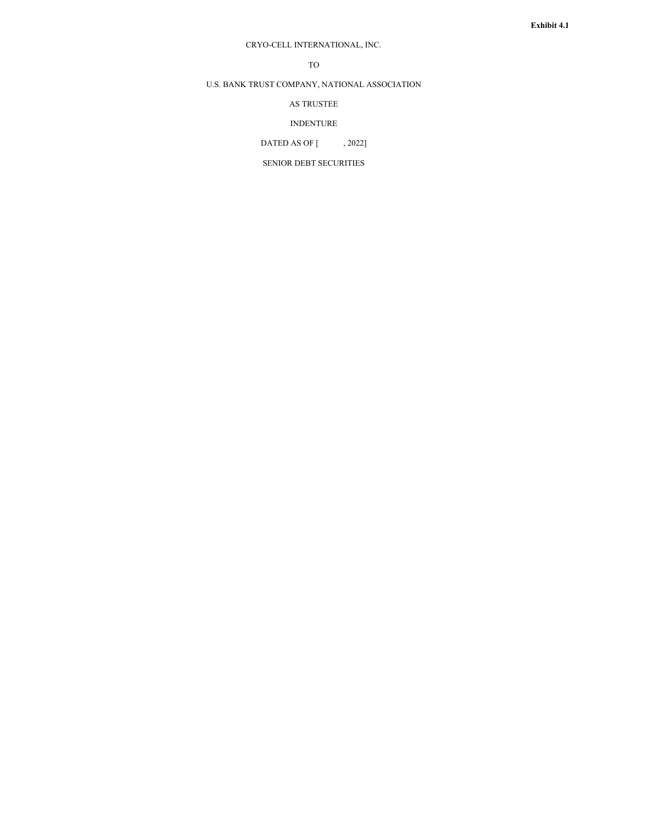## CRYO-CELL INTERNATIONAL, INC.

TO

# U.S. BANK TRUST COMPANY, NATIONAL ASSOCIATION

# AS TRUSTEE

## INDENTURE

DATED AS OF [ , 2022]

SENIOR DEBT SECURITIES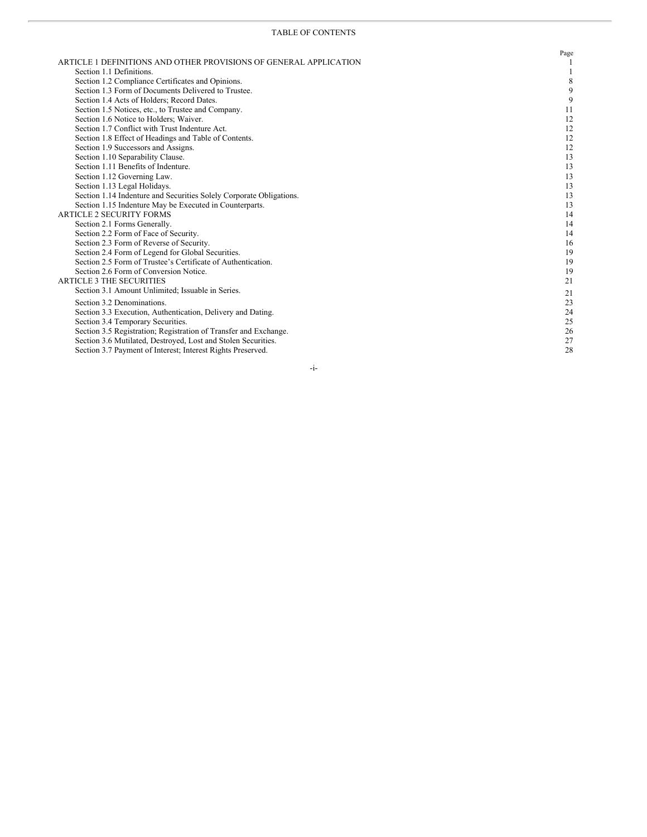#### TABLE OF CONTENTS

|                                                                     | Page |
|---------------------------------------------------------------------|------|
| ARTICLE 1 DEFINITIONS AND OTHER PROVISIONS OF GENERAL APPLICATION   |      |
| Section 1.1 Definitions.                                            |      |
| Section 1.2 Compliance Certificates and Opinions.                   | 8    |
| Section 1.3 Form of Documents Delivered to Trustee.                 | 9    |
| Section 1.4 Acts of Holders; Record Dates.                          | 9    |
| Section 1.5 Notices, etc., to Trustee and Company.                  | 11   |
| Section 1.6 Notice to Holders; Waiver.                              | 12   |
| Section 1.7 Conflict with Trust Indenture Act.                      | 12   |
| Section 1.8 Effect of Headings and Table of Contents.               | 12   |
| Section 1.9 Successors and Assigns.                                 | 12   |
| Section 1.10 Separability Clause.                                   | 13   |
| Section 1.11 Benefits of Indenture.                                 | 13   |
| Section 1.12 Governing Law.                                         | 13   |
| Section 1.13 Legal Holidays.                                        | 13   |
| Section 1.14 Indenture and Securities Solely Corporate Obligations. | 13   |
| Section 1.15 Indenture May be Executed in Counterparts.             | 13   |
| <b>ARTICLE 2 SECURITY FORMS</b>                                     | 14   |
| Section 2.1 Forms Generally.                                        | 14   |
| Section 2.2 Form of Face of Security.                               | 14   |
| Section 2.3 Form of Reverse of Security.                            | 16   |
| Section 2.4 Form of Legend for Global Securities.                   | 19   |
| Section 2.5 Form of Trustee's Certificate of Authentication.        | 19   |
| Section 2.6 Form of Conversion Notice.                              | 19   |
| <b>ARTICLE 3 THE SECURITIES</b>                                     | 21   |
| Section 3.1 Amount Unlimited; Issuable in Series.                   | 21   |
| Section 3.2 Denominations.                                          | 23   |
| Section 3.3 Execution, Authentication, Delivery and Dating.         | 24   |
| Section 3.4 Temporary Securities.                                   | 25   |
| Section 3.5 Registration; Registration of Transfer and Exchange.    | 26   |
| Section 3.6 Mutilated, Destroyed, Lost and Stolen Securities.       | 27   |
| Section 3.7 Payment of Interest; Interest Rights Preserved.         | 28   |

Section 3.7 Payment of Interest; Interest Rights Preserved

- i -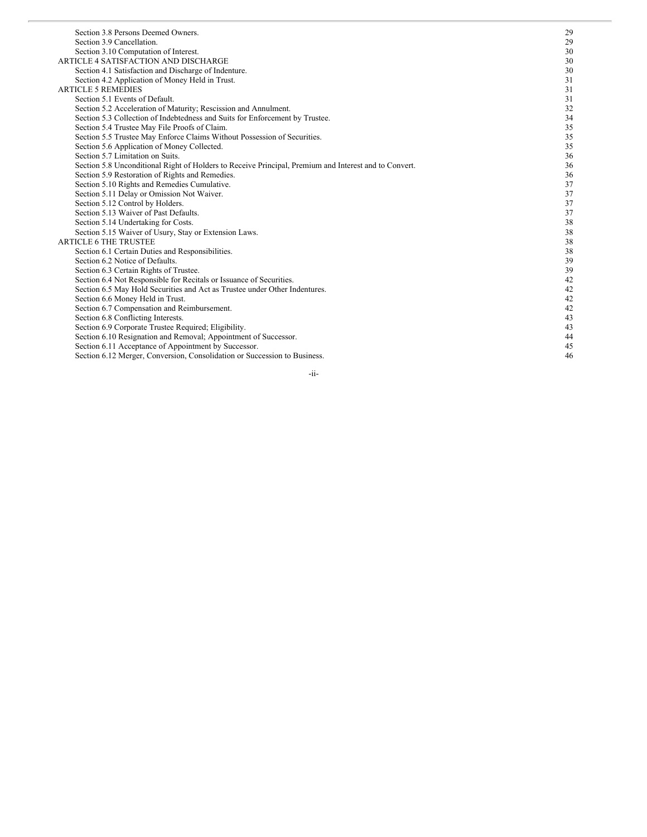| Section 3.8 Persons Deemed Owners.                                                                    | 29 |
|-------------------------------------------------------------------------------------------------------|----|
| Section 3.9 Cancellation.                                                                             | 29 |
| Section 3.10 Computation of Interest.                                                                 | 30 |
| ARTICLE 4 SATISFACTION AND DISCHARGE                                                                  | 30 |
| Section 4.1 Satisfaction and Discharge of Indenture.                                                  | 30 |
| Section 4.2 Application of Money Held in Trust.                                                       | 31 |
| <b>ARTICLE 5 REMEDIES</b>                                                                             | 31 |
| Section 5.1 Events of Default.                                                                        | 31 |
| Section 5.2 Acceleration of Maturity; Rescission and Annulment.                                       | 32 |
| Section 5.3 Collection of Indebtedness and Suits for Enforcement by Trustee.                          | 34 |
| Section 5.4 Trustee May File Proofs of Claim.                                                         | 35 |
| Section 5.5 Trustee May Enforce Claims Without Possession of Securities.                              | 35 |
| Section 5.6 Application of Money Collected.                                                           | 35 |
| Section 5.7 Limitation on Suits.                                                                      | 36 |
| Section 5.8 Unconditional Right of Holders to Receive Principal, Premium and Interest and to Convert. | 36 |
| Section 5.9 Restoration of Rights and Remedies.                                                       | 36 |
| Section 5.10 Rights and Remedies Cumulative.                                                          | 37 |
| Section 5.11 Delay or Omission Not Waiver.                                                            | 37 |
| Section 5.12 Control by Holders.                                                                      | 37 |
| Section 5.13 Waiver of Past Defaults.                                                                 | 37 |
| Section 5.14 Undertaking for Costs.                                                                   | 38 |
| Section 5.15 Waiver of Usury, Stay or Extension Laws.                                                 | 38 |
| <b>ARTICLE 6 THE TRUSTEE</b>                                                                          | 38 |
| Section 6.1 Certain Duties and Responsibilities.                                                      | 38 |
| Section 6.2 Notice of Defaults.                                                                       | 39 |
| Section 6.3 Certain Rights of Trustee.                                                                | 39 |
| Section 6.4 Not Responsible for Recitals or Issuance of Securities.                                   | 42 |
| Section 6.5 May Hold Securities and Act as Trustee under Other Indentures.                            | 42 |
| Section 6.6 Money Held in Trust.                                                                      | 42 |
| Section 6.7 Compensation and Reimbursement.                                                           | 42 |
| Section 6.8 Conflicting Interests.                                                                    | 43 |
| Section 6.9 Corporate Trustee Required; Eligibility.                                                  | 43 |
| Section 6.10 Resignation and Removal; Appointment of Successor.                                       | 44 |
| Section 6.11 Acceptance of Appointment by Successor.                                                  | 45 |
| Section 6.12 Merger, Conversion, Consolidation or Succession to Business.                             | 46 |

- i i -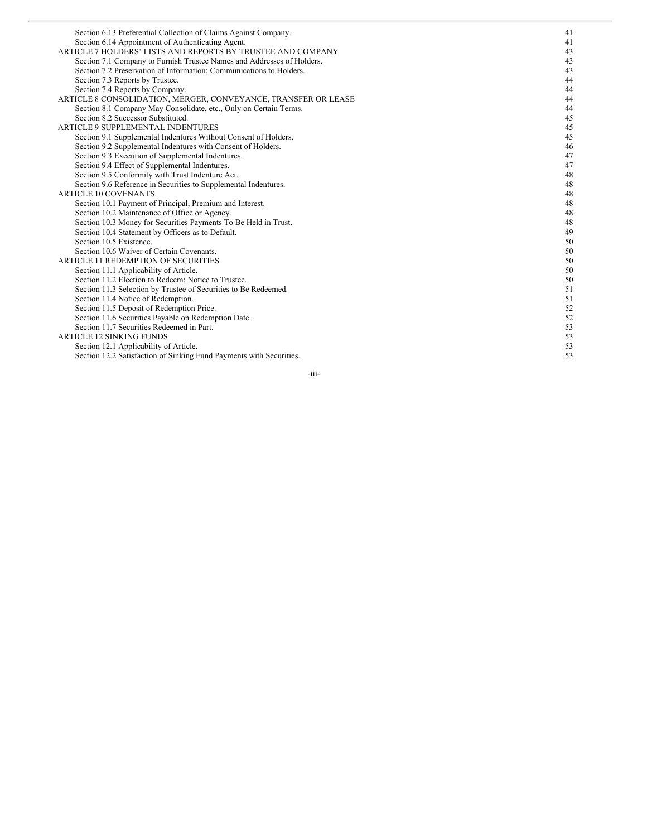| Section 6.13 Preferential Collection of Claims Against Company.        | 41 |
|------------------------------------------------------------------------|----|
| Section 6.14 Appointment of Authenticating Agent.                      | 41 |
| ARTICLE 7 HOLDERS' LISTS AND REPORTS BY TRUSTEE AND COMPANY            | 43 |
| Section 7.1 Company to Furnish Trustee Names and Addresses of Holders. | 43 |
| Section 7.2 Preservation of Information; Communications to Holders.    | 43 |
| Section 7.3 Reports by Trustee.                                        | 44 |
| Section 7.4 Reports by Company.                                        | 44 |
| ARTICLE 8 CONSOLIDATION, MERGER, CONVEYANCE, TRANSFER OR LEASE         | 44 |
| Section 8.1 Company May Consolidate, etc., Only on Certain Terms.      | 44 |
| Section 8.2 Successor Substituted.                                     | 45 |
| ARTICLE 9 SUPPLEMENTAL INDENTURES                                      | 45 |
| Section 9.1 Supplemental Indentures Without Consent of Holders.        | 45 |
| Section 9.2 Supplemental Indentures with Consent of Holders.           | 46 |
| Section 9.3 Execution of Supplemental Indentures.                      | 47 |
| Section 9.4 Effect of Supplemental Indentures.                         | 47 |
| Section 9.5 Conformity with Trust Indenture Act.                       | 48 |
| Section 9.6 Reference in Securities to Supplemental Indentures.        | 48 |
| <b>ARTICLE 10 COVENANTS</b>                                            | 48 |
| Section 10.1 Payment of Principal, Premium and Interest.               | 48 |
| Section 10.2 Maintenance of Office or Agency.                          | 48 |
| Section 10.3 Money for Securities Payments To Be Held in Trust.        | 48 |
| Section 10.4 Statement by Officers as to Default.                      | 49 |
| Section 10.5 Existence.                                                | 50 |
| Section 10.6 Waiver of Certain Covenants.                              | 50 |
| <b>ARTICLE 11 REDEMPTION OF SECURITIES</b>                             | 50 |
| Section 11.1 Applicability of Article.                                 | 50 |
| Section 11.2 Election to Redeem; Notice to Trustee.                    | 50 |
| Section 11.3 Selection by Trustee of Securities to Be Redeemed.        | 51 |
| Section 11.4 Notice of Redemption.                                     | 51 |
| Section 11.5 Deposit of Redemption Price.                              | 52 |
| Section 11.6 Securities Payable on Redemption Date.                    | 52 |
| Section 11.7 Securities Redeemed in Part.                              | 53 |
| <b>ARTICLE 12 SINKING FUNDS</b>                                        | 53 |
| Section 12.1 Applicability of Article.                                 | 53 |
| Section 12.2 Satisfaction of Sinking Fund Payments with Securities.    | 53 |
|                                                                        |    |

- i i i -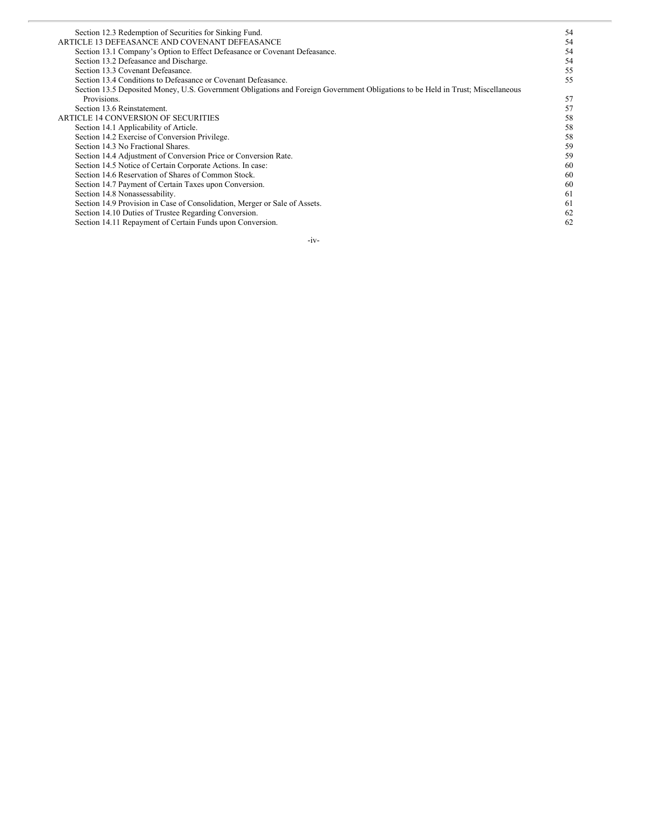| Section 12.3 Redemption of Securities for Sinking Fund.                                                                         | 54 |
|---------------------------------------------------------------------------------------------------------------------------------|----|
| ARTICLE 13 DEFEASANCE AND COVENANT DEFEASANCE                                                                                   | 54 |
| Section 13.1 Company's Option to Effect Defeasance or Covenant Defeasance.                                                      | 54 |
| Section 13.2 Defeasance and Discharge.                                                                                          | 54 |
| Section 13.3 Covenant Defeasance.                                                                                               | 55 |
| Section 13.4 Conditions to Defeasance or Covenant Defeasance.                                                                   | 55 |
| Section 13.5 Deposited Money, U.S. Government Obligations and Foreign Government Obligations to be Held in Trust; Miscellaneous |    |
| Provisions.                                                                                                                     | 57 |
| Section 13.6 Reinstatement.                                                                                                     | 57 |
| ARTICLE 14 CONVERSION OF SECURITIES                                                                                             | 58 |
| Section 14.1 Applicability of Article.                                                                                          | 58 |
| Section 14.2 Exercise of Conversion Privilege.                                                                                  | 58 |
| Section 14.3 No Fractional Shares.                                                                                              | 59 |
| Section 14.4 Adjustment of Conversion Price or Conversion Rate.                                                                 | 59 |
| Section 14.5 Notice of Certain Corporate Actions. In case:                                                                      | 60 |
| Section 14.6 Reservation of Shares of Common Stock.                                                                             | 60 |
| Section 14.7 Payment of Certain Taxes upon Conversion.                                                                          | 60 |
| Section 14.8 Nonassessability.                                                                                                  | 61 |
| Section 14.9 Provision in Case of Consolidation, Merger or Sale of Assets.                                                      | 61 |
| Section 14.10 Duties of Trustee Regarding Conversion.                                                                           | 62 |
| Section 14.11 Repayment of Certain Funds upon Conversion.                                                                       | 62 |

-iv-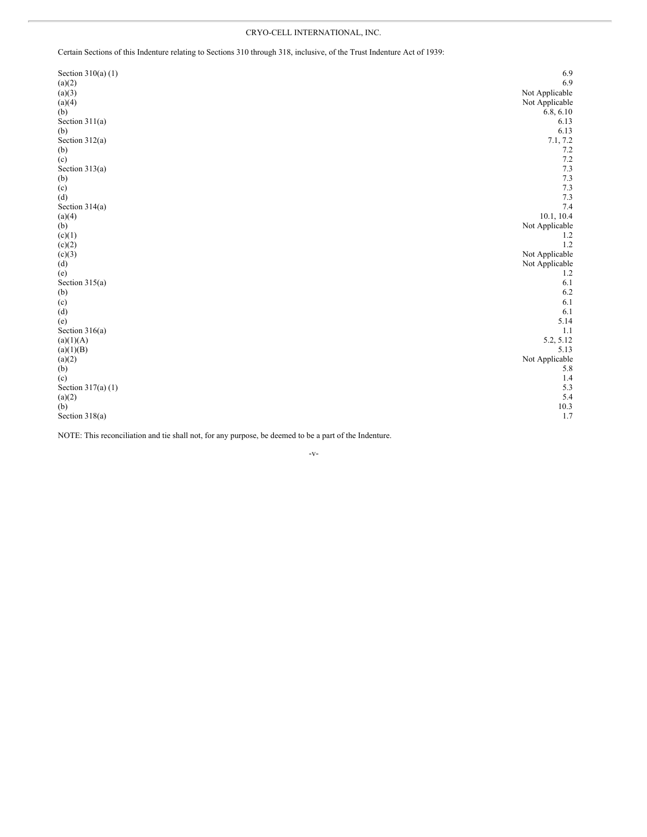# CRYO-CELL INTERNATIONAL, INC.

Certain Sections of this Indenture relating to Sections 310 through 318, inclusive, of the Trust Indenture Act of 1939:

| Section $310(a)$ (1) | 6.9            |
|----------------------|----------------|
| (a)(2)               | 6.9            |
| (a)(3)               | Not Applicable |
| (a)(4)               | Not Applicable |
| (b)                  | 6.8, 6.10      |
| Section $311(a)$     | 6.13           |
| (b)                  | 6.13           |
| Section 312(a)       | 7.1, 7.2       |
| (b)                  | 7.2            |
| (c)                  | 7.2            |
| Section 313(a)       | 7.3            |
| (b)                  | 7.3            |
| (c)                  | $7.3\,$        |
| (d)                  | 7.3            |
| Section 314(a)       | 7.4            |
| (a)(4)               | 10.1, 10.4     |
| (b)                  | Not Applicable |
| (c)(1)               | 1.2            |
| (c)(2)               | 1.2            |
| (c)(3)               | Not Applicable |
| (d)                  | Not Applicable |
| (e)                  | 1.2            |
| Section $315(a)$     | 6.1            |
| (b)                  | 6.2            |
| (c)                  | 6.1            |
| (d)                  | 6.1            |
| (e)                  | 5.14           |
| Section $316(a)$     | 1.1            |
| (a)(1)(A)            | 5.2, 5.12      |
| (a)(1)(B)            | 5.13           |
| (a)(2)               | Not Applicable |
| (b)                  | 5.8            |
| (c)                  | 1.4            |
| Section $317(a)$ (1) | 5.3            |
| (a)(2)               | 5.4            |
| (b)                  | 10.3           |
| Section 318(a)       | 1.7            |
|                      |                |

NOTE: This reconciliation and tie shall not, for any purpose, be deemed to be a part of the Indenture.

-v-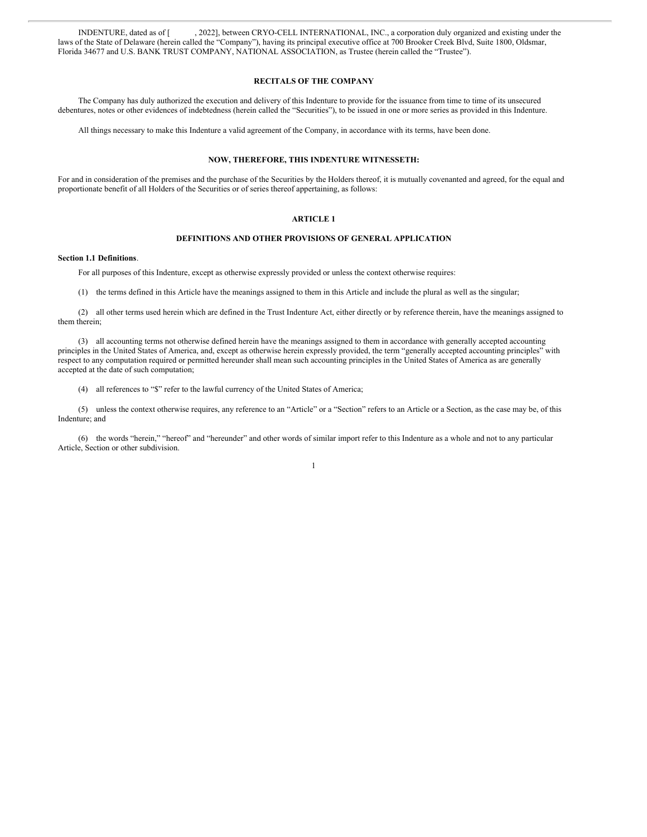INDENTURE, dated as of [ , 2022], between CRYO-CELL INTERNATIONAL, INC., a corporation duly organized and existing under the laws of the State of Delaware (herein called the "Company"), having its principal executive office at 700 Brooker Creek Blvd, Suite 1800, Oldsmar, Florida 34677 and U.S. BANK TRUST COMPANY, NATIONAL ASSOCIATION, as Trustee (herein called the "Trustee").

## **RECITALS OF THE COMPANY**

The Company has duly authorized the execution and delivery of this Indenture to provide for the issuance from time to time of its unsecured debentures, notes or other evidences of indebtedness (herein called the "Securities"), to be issued in one or more series as provided in this Indenture.

All things necessary to make this Indenture a valid agreement of the Company, in accordance with its terms, have been done.

### **NOW, THEREFORE, THIS INDENTURE WITNESSETH:**

For and in consideration of the premises and the purchase of the Securities by the Holders thereof, it is mutually covenanted and agreed, for the equal and proportionate benefit of all Holders of the Securities or of series thereof appertaining, as follows:

## **ARTICLE 1**

## **DEFINITIONS AND OTHER PROVISIONS OF GENERAL APPLICATION**

### **Section 1.1 Definitions**.

For all purposes of this Indenture, except as otherwise expressly provided or unless the context otherwise requires:

(1) the terms defined in this Article have the meanings assigned to them in this Article and include the plural as well as the singular;

(2) all other terms used herein which are defined in the Trust Indenture Act, either directly or by reference therein, have the meanings assigned to them therein;

(3) all accounting terms not otherwise defined herein have the meanings assigned to them in accordance with generally accepted accounting principles in the United States of America, and, except as otherwise herein expressly provided, the term "generally accepted accounting principles" with respect to any computation required or permitted hereunder shall mean such accounting principles in the United States of America as are generally accepted at the date of such computation;

(4) all references to "\$" refer to the lawful currency of the United States of America;

(5) unless the context otherwise requires, any reference to an "Article" or a "Section" refers to an Article or a Section, as the case may be, of this Indenture; and

(6) the words "herein," "hereof" and "hereunder" and other words of similar import refer to this Indenture as a whole and not to any particular Article, Section or other subdivision.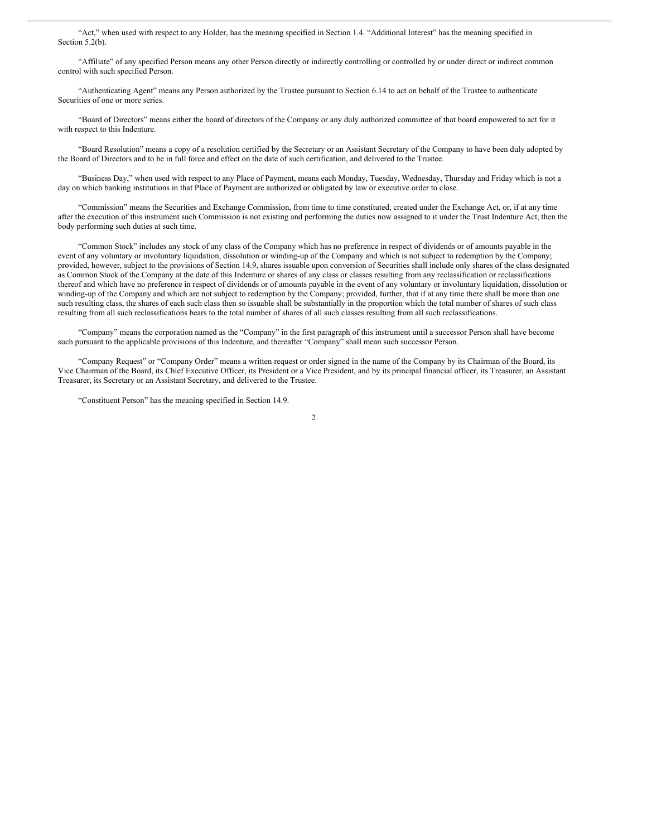"Act," when used with respect to any Holder, has the meaning specified in Section 1.4. "Additional Interest" has the meaning specified in Section 5.2(b).

"Affiliate" of any specified Person means any other Person directly or indirectly controlling or controlled by or under direct or indirect common control with such specified Person.

"Authenticating Agent" means any Person authorized by the Trustee pursuant to Section 6.14 to act on behalf of the Trustee to authenticate Securities of one or more series.

"Board of Directors" means either the board of directors of the Company or any duly authorized committee of that board empowered to act for it with respect to this Indenture.

"Board Resolution" means a copy of a resolution certified by the Secretary or an Assistant Secretary of the Company to have been duly adopted by the Board of Directors and to be in full force and effect on the date of such certification, and delivered to the Trustee.

"Business Day," when used with respect to any Place of Payment, means each Monday, Tuesday, Wednesday, Thursday and Friday which is not a day on which banking institutions in that Place of Payment are authorized or obligated by law or executive order to close.

"Commission" means the Securities and Exchange Commission, from time to time constituted, created under the Exchange Act, or, if at any time after the execution of this instrument such Commission is not existing and performing the duties now assigned to it under the Trust Indenture Act, then the body performing such duties at such time.

"Common Stock" includes any stock of any class of the Company which has no preference in respect of dividends or of amounts payable in the event of any voluntary or involuntary liquidation, dissolution or winding-up of the Company and which is not subject to redemption by the Company; provided, however, subject to the provisions of Section 14.9, shares issuable upon conversion of Securities shall include only shares of the class designated as Common Stock of the Company at the date of this Indenture or shares of any class or classes resulting from any reclassification or reclassifications thereof and which have no preference in respect of dividends or of amounts payable in the event of any voluntary or involuntary liquidation, dissolution or winding-up of the Company and which are not subject to redemption by the Company; provided, further, that if at any time there shall be more than one such resulting class, the shares of each such class then so issuable shall be substantially in the proportion which the total number of shares of such class resulting from all such reclassifications bears to the total number of shares of all such classes resulting from all such reclassifications.

"Company" means the corporation named as the "Company" in the first paragraph of this instrument until a successor Person shall have become such pursuant to the applicable provisions of this Indenture, and thereafter "Company" shall mean such successor Person.

"Company Request" or "Company Order" means a written request or order signed in the name of the Company by its Chairman of the Board, its Vice Chairman of the Board, its Chief Executive Officer, its President or a Vice President, and by its principal financial officer, its Treasurer, an Assistant Treasurer, its Secretary or an Assistant Secretary, and delivered to the Trustee.

"Constituent Person" has the meaning specified in Section 14.9.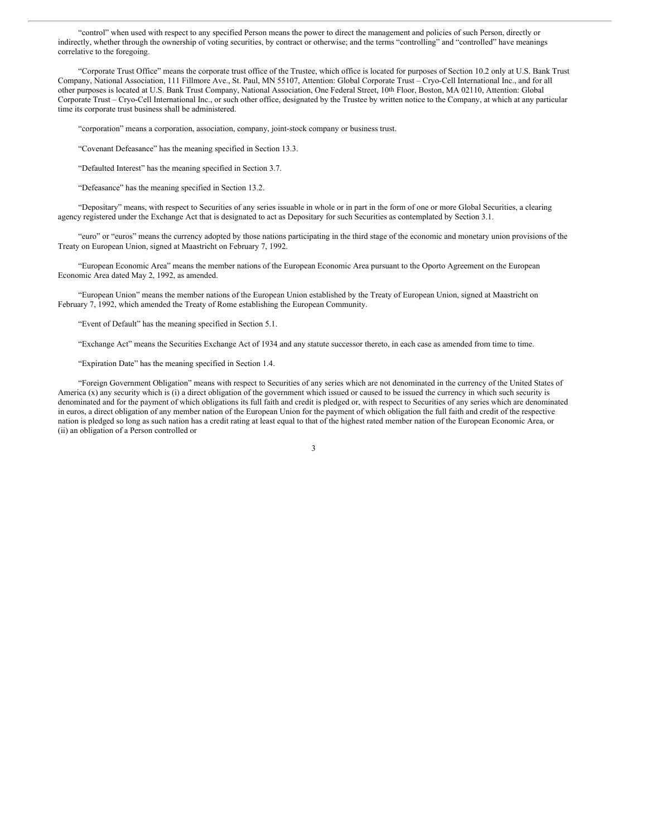"control" when used with respect to any specified Person means the power to direct the management and policies of such Person, directly or indirectly, whether through the ownership of voting securities, by contract or otherwise; and the terms "controlling" and "controlled" have meanings correlative to the foregoing.

"Corporate Trust Office" means the corporate trust office of the Trustee, which office is located for purposes of Section 10.2 only at U.S. Bank Trust Company, National Association, 111 Fillmore Ave., St. Paul, MN 55107, Attention: Global Corporate Trust – Cryo-Cell International Inc., and for all other purposes is located at U.S. Bank Trust Company, National Association, One Federal Street, 10th Floor, Boston, MA 02110, Attention: Global Corporate Trust – Cryo-Cell International Inc., or such other office, designated by the Trustee by written notice to the Company, at which at any particular time its corporate trust business shall be administered.

"corporation" means a corporation, association, company, joint-stock company or business trust.

"Covenant Defeasance" has the meaning specified in Section 13.3.

"Defaulted Interest" has the meaning specified in Section 3.7.

"Defeasance" has the meaning specified in Section 13.2.

"Depositary" means, with respect to Securities of any series issuable in whole or in part in the form of one or more Global Securities, a clearing agency registered under the Exchange Act that is designated to act as Depositary for such Securities as contemplated by Section 3.1.

"euro" or "euros" means the currency adopted by those nations participating in the third stage of the economic and monetary union provisions of the Treaty on European Union, signed at Maastricht on February 7, 1992.

"European Economic Area" means the member nations of the European Economic Area pursuant to the Oporto Agreement on the European Economic Area dated May 2, 1992, as amended.

"European Union" means the member nations of the European Union established by the Treaty of European Union, signed at Maastricht on February 7, 1992, which amended the Treaty of Rome establishing the European Community.

"Event of Default" has the meaning specified in Section 5.1.

"Exchange Act" means the Securities Exchange Act of 1934 and any statute successor thereto, in each case as amended from time to time.

"Expiration Date" has the meaning specified in Section 1.4.

"Foreign Government Obligation" means with respect to Securities of any series which are not denominated in the currency of the United States of America (x) any security which is (i) a direct obligation of the government which issued or caused to be issued the currency in which such security is denominated and for the payment of which obligations its full faith and credit is pledged or, with respect to Securities of any series which are denominated in euros, a direct obligation of any member nation of the European Union for the payment of which obligation the full faith and credit of the respective nation is pledged so long as such nation has a credit rating at least equal to that of the highest rated member nation of the European Economic Area, or (ii) an obligation of a Person controlled or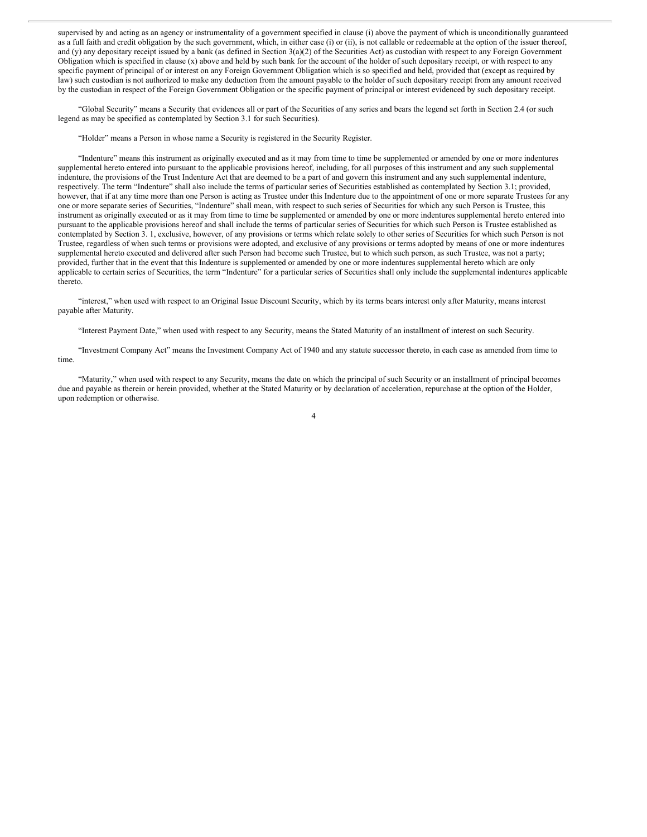supervised by and acting as an agency or instrumentality of a government specified in clause (i) above the payment of which is unconditionally guaranteed as a full faith and credit obligation by the such government, which, in either case (i) or (ii), is not callable or redeemable at the option of the issuer thereof, and (y) any depositary receipt issued by a bank (as defined in Section 3(a)(2) of the Securities Act) as custodian with respect to any Foreign Government Obligation which is specified in clause (x) above and held by such bank for the account of the holder of such depositary receipt, or with respect to any specific payment of principal of or interest on any Foreign Government Obligation which is so specified and held, provided that (except as required by law) such custodian is not authorized to make any deduction from the amount payable to the holder of such depositary receipt from any amount received by the custodian in respect of the Foreign Government Obligation or the specific payment of principal or interest evidenced by such depositary receipt.

"Global Security" means a Security that evidences all or part of the Securities of any series and bears the legend set forth in Section 2.4 (or such legend as may be specified as contemplated by Section 3.1 for such Securities).

"Holder" means a Person in whose name a Security is registered in the Security Register.

"Indenture" means this instrument as originally executed and as it may from time to time be supplemented or amended by one or more indentures supplemental hereto entered into pursuant to the applicable provisions hereof, including, for all purposes of this instrument and any such supplemental indenture, the provisions of the Trust Indenture Act that are deemed to be a part of and govern this instrument and any such supplemental indenture, respectively. The term "Indenture" shall also include the terms of particular series of Securities established as contemplated by Section 3.1; provided, however, that if at any time more than one Person is acting as Trustee under this Indenture due to the appointment of one or more separate Trustees for any one or more separate series of Securities, "Indenture" shall mean, with respect to such series of Securities for which any such Person is Trustee, this instrument as originally executed or as it may from time to time be supplemented or amended by one or more indentures supplemental hereto entered into pursuant to the applicable provisions hereof and shall include the terms of particular series of Securities for which such Person is Trustee established as contemplated by Section 3. 1, exclusive, however, of any provisions or terms which relate solely to other series of Securities for which such Person is not Trustee, regardless of when such terms or provisions were adopted, and exclusive of any provisions or terms adopted by means of one or more indentures supplemental hereto executed and delivered after such Person had become such Trustee, but to which such person, as such Trustee, was not a party; provided, further that in the event that this Indenture is supplemented or amended by one or more indentures supplemental hereto which are only applicable to certain series of Securities, the term "Indenture" for a particular series of Securities shall only include the supplemental indentures applicable thereto.

"interest," when used with respect to an Original Issue Discount Security, which by its terms bears interest only after Maturity, means interest payable after Maturity.

"Interest Payment Date," when used with respect to any Security, means the Stated Maturity of an installment of interest on such Security.

"Investment Company Act" means the Investment Company Act of 1940 and any statute successor thereto, in each case as amended from time to time.

"Maturity," when used with respect to any Security, means the date on which the principal of such Security or an installment of principal becomes due and payable as therein or herein provided, whether at the Stated Maturity or by declaration of acceleration, repurchase at the option of the Holder, upon redemption or otherwise.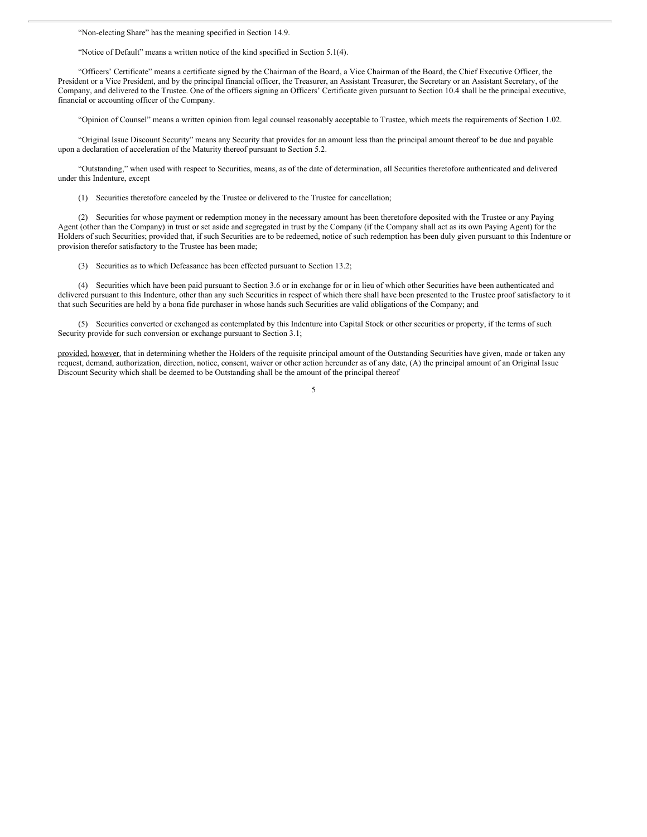"Non-electing Share" has the meaning specified in Section 14.9.

"Notice of Default" means a written notice of the kind specified in Section 5.1(4).

"Officers' Certificate" means a certificate signed by the Chairman of the Board, a Vice Chairman of the Board, the Chief Executive Officer, the President or a Vice President, and by the principal financial officer, the Treasurer, an Assistant Treasurer, the Secretary or an Assistant Secretary, of the Company, and delivered to the Trustee. One of the officers signing an Officers' Certificate given pursuant to Section 10.4 shall be the principal executive, financial or accounting officer of the Company.

"Opinion of Counsel" means a written opinion from legal counsel reasonably acceptable to Trustee, which meets the requirements of Section 1.02.

"Original Issue Discount Security" means any Security that provides for an amount less than the principal amount thereof to be due and payable upon a declaration of acceleration of the Maturity thereof pursuant to Section 5.2.

"Outstanding," when used with respect to Securities, means, as of the date of determination, all Securities theretofore authenticated and delivered under this Indenture, except

(1) Securities theretofore canceled by the Trustee or delivered to the Trustee for cancellation;

(2) Securities for whose payment or redemption money in the necessary amount has been theretofore deposited with the Trustee or any Paying Agent (other than the Company) in trust or set aside and segregated in trust by the Company (if the Company shall act as its own Paying Agent) for the Holders of such Securities; provided that, if such Securities are to be redeemed, notice of such redemption has been duly given pursuant to this Indenture or provision therefor satisfactory to the Trustee has been made;

(3) Securities as to which Defeasance has been effected pursuant to Section 13.2;

(4) Securities which have been paid pursuant to Section 3.6 or in exchange for or in lieu of which other Securities have been authenticated and delivered pursuant to this Indenture, other than any such Securities in respect of which there shall have been presented to the Trustee proof satisfactory to it that such Securities are held by a bona fide purchaser in whose hands such Securities are valid obligations of the Company; and

(5) Securities converted or exchanged as contemplated by this Indenture into Capital Stock or other securities or property, if the terms of such Security provide for such conversion or exchange pursuant to Section 3.1;

provided, however, that in determining whether the Holders of the requisite principal amount of the Outstanding Securities have given, made or taken any request, demand, authorization, direction, notice, consent, waiver or other action hereunder as of any date, (A) the principal amount of an Original Issue Discount Security which shall be deemed to be Outstanding shall be the amount of the principal thereof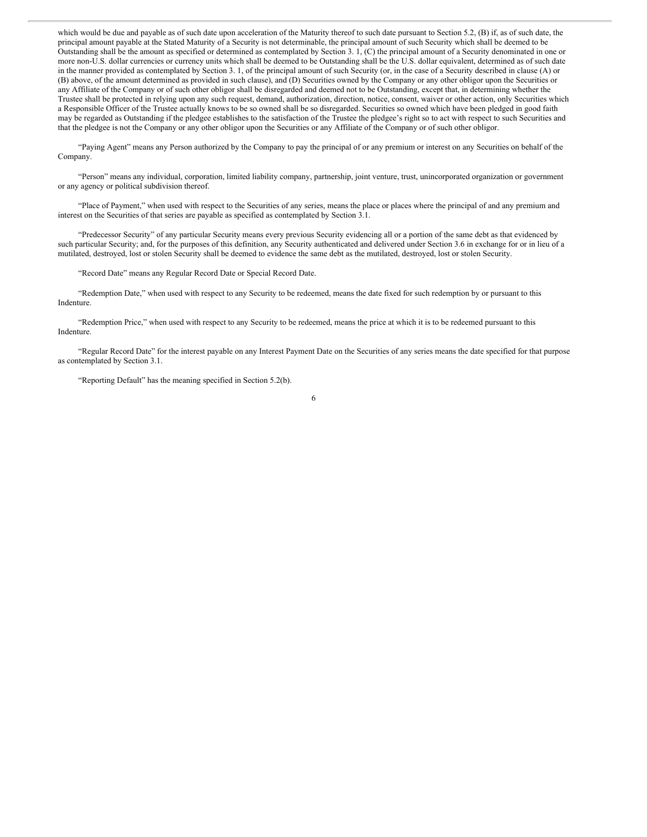which would be due and payable as of such date upon acceleration of the Maturity thereof to such date pursuant to Section 5.2, (B) if, as of such date, the principal amount payable at the Stated Maturity of a Security is not determinable, the principal amount of such Security which shall be deemed to be Outstanding shall be the amount as specified or determined as contemplated by Section 3.  $1$ , (C) the principal amount of a Security denominated in one or more non-U.S. dollar currencies or currency units which shall be deemed to be Outstanding shall be the U.S. dollar equivalent, determined as of such date in the manner provided as contemplated by Section 3. 1, of the principal amount of such Security (or, in the case of a Security described in clause (A) or (B) above, of the amount determined as provided in such clause), and (D) Securities owned by the Company or any other obligor upon the Securities or any Affiliate of the Company or of such other obligor shall be disregarded and deemed not to be Outstanding, except that, in determining whether the Trustee shall be protected in relying upon any such request, demand, authorization, direction, notice, consent, waiver or other action, only Securities which a Responsible Officer of the Trustee actually knows to be so owned shall be so disregarded. Securities so owned which have been pledged in good faith may be regarded as Outstanding if the pledgee establishes to the satisfaction of the Trustee the pledgee's right so to act with respect to such Securities and that the pledgee is not the Company or any other obligor upon the Securities or any Affiliate of the Company or of such other obligor.

"Paying Agent" means any Person authorized by the Company to pay the principal of or any premium or interest on any Securities on behalf of the Company.

"Person" means any individual, corporation, limited liability company, partnership, joint venture, trust, unincorporated organization or government or any agency or political subdivision thereof.

"Place of Payment," when used with respect to the Securities of any series, means the place or places where the principal of and any premium and interest on the Securities of that series are payable as specified as contemplated by Section 3.1.

"Predecessor Security" of any particular Security means every previous Security evidencing all or a portion of the same debt as that evidenced by such particular Security; and, for the purposes of this definition, any Security authenticated and delivered under Section 3.6 in exchange for or in lieu of a mutilated, destroyed, lost or stolen Security shall be deemed to evidence the same debt as the mutilated, destroyed, lost or stolen Security.

"Record Date" means any Regular Record Date or Special Record Date.

"Redemption Date," when used with respect to any Security to be redeemed, means the date fixed for such redemption by or pursuant to this Indenture.

"Redemption Price," when used with respect to any Security to be redeemed, means the price at which it is to be redeemed pursuant to this Indenture.

"Regular Record Date" for the interest payable on any Interest Payment Date on the Securities of any series means the date specified for that purpose as contemplated by Section 3.1.

"Reporting Default" has the meaning specified in Section 5.2(b).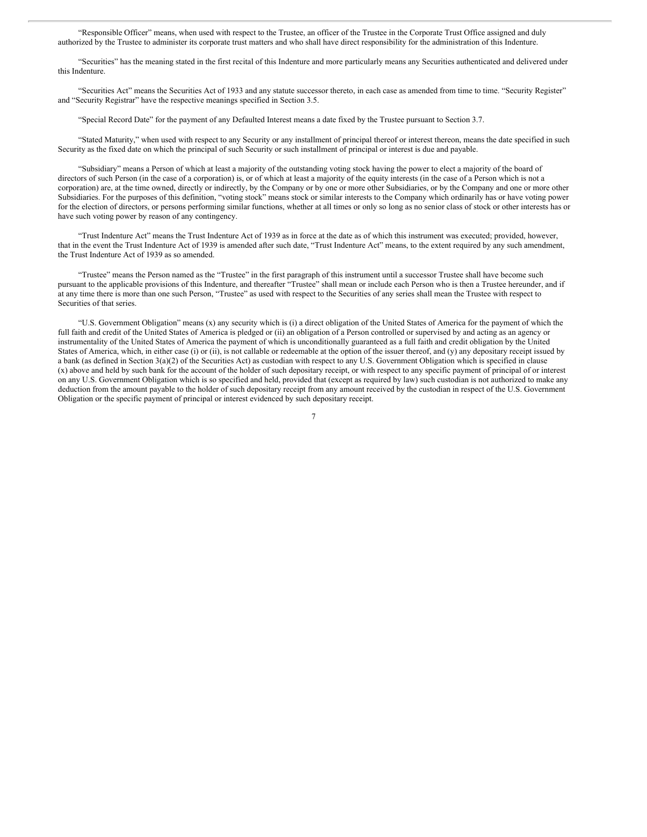"Responsible Officer" means, when used with respect to the Trustee, an officer of the Trustee in the Corporate Trust Office assigned and duly authorized by the Trustee to administer its corporate trust matters and who shall have direct responsibility for the administration of this Indenture.

"Securities" has the meaning stated in the first recital of this Indenture and more particularly means any Securities authenticated and delivered under this Indenture.

"Securities Act" means the Securities Act of 1933 and any statute successor thereto, in each case as amended from time to time. "Security Register" and "Security Registrar" have the respective meanings specified in Section 3.5.

"Special Record Date" for the payment of any Defaulted Interest means a date fixed by the Trustee pursuant to Section 3.7.

"Stated Maturity," when used with respect to any Security or any installment of principal thereof or interest thereon, means the date specified in such Security as the fixed date on which the principal of such Security or such installment of principal or interest is due and payable.

"Subsidiary" means a Person of which at least a majority of the outstanding voting stock having the power to elect a majority of the board of directors of such Person (in the case of a corporation) is, or of which at least a majority of the equity interests (in the case of a Person which is not a corporation) are, at the time owned, directly or indirectly, by the Company or by one or more other Subsidiaries, or by the Company and one or more other Subsidiaries. For the purposes of this definition, "voting stock" means stock or similar interests to the Company which ordinarily has or have voting power for the election of directors, or persons performing similar functions, whether at all times or only so long as no senior class of stock or other interests has or have such voting power by reason of any contingency.

"Trust Indenture Act" means the Trust Indenture Act of 1939 as in force at the date as of which this instrument was executed; provided, however, that in the event the Trust Indenture Act of 1939 is amended after such date, "Trust Indenture Act" means, to the extent required by any such amendment, the Trust Indenture Act of 1939 as so amended.

"Trustee" means the Person named as the "Trustee" in the first paragraph of this instrument until a successor Trustee shall have become such pursuant to the applicable provisions of this Indenture, and thereafter "Trustee" shall mean or include each Person who is then a Trustee hereunder, and if at any time there is more than one such Person, "Trustee" as used with respect to the Securities of any series shall mean the Trustee with respect to Securities of that series.

"U.S. Government Obligation" means (x) any security which is (i) a direct obligation of the United States of America for the payment of which the full faith and credit of the United States of America is pledged or (ii) an obligation of a Person controlled or supervised by and acting as an agency or instrumentality of the United States of America the payment of which is unconditionally guaranteed as a full faith and credit obligation by the United States of America, which, in either case (i) or (ii), is not callable or redeemable at the option of the issuer thereof, and (y) any depositary receipt issued by a bank (as defined in Section 3(a)(2) of the Securities Act) as custodian with respect to any U.S. Government Obligation which is specified in clause (x) above and held by such bank for the account of the holder of such depositary receipt, or with respect to any specific payment of principal of or interest on any U.S. Government Obligation which is so specified and held, provided that (except as required by law) such custodian is not authorized to make any deduction from the amount payable to the holder of such depositary receipt from any amount received by the custodian in respect of the U.S. Government Obligation or the specific payment of principal or interest evidenced by such depositary receipt.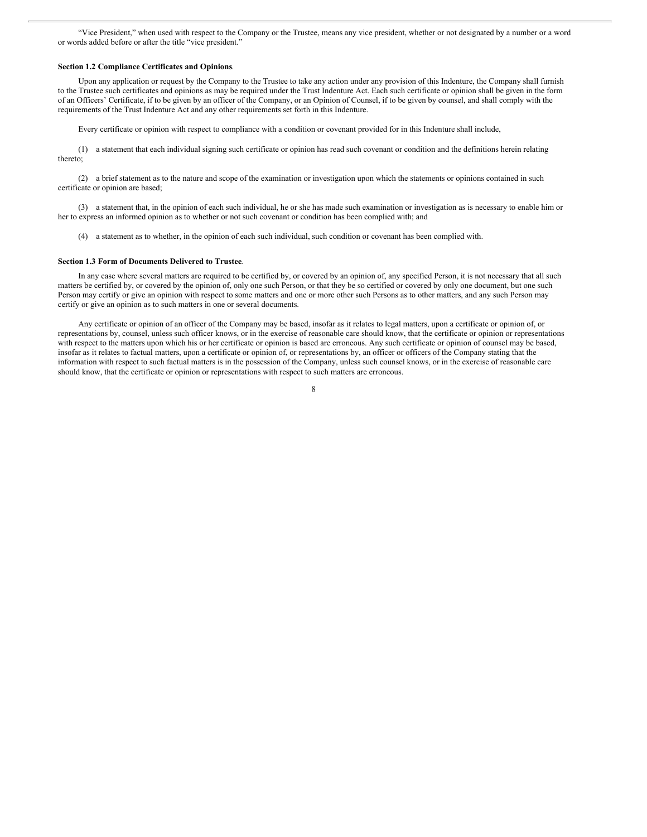"Vice President," when used with respect to the Company or the Trustee, means any vice president, whether or not designated by a number or a word or words added before or after the title "vice president."

#### **Section 1.2 Compliance Certificates and Opinions**.

Upon any application or request by the Company to the Trustee to take any action under any provision of this Indenture, the Company shall furnish to the Trustee such certificates and opinions as may be required under the Trust Indenture Act. Each such certificate or opinion shall be given in the form of an Officers' Certificate, if to be given by an officer of the Company, or an Opinion of Counsel, if to be given by counsel, and shall comply with the requirements of the Trust Indenture Act and any other requirements set forth in this Indenture.

Every certificate or opinion with respect to compliance with a condition or covenant provided for in this Indenture shall include,

(1) a statement that each individual signing such certificate or opinion has read such covenant or condition and the definitions herein relating thereto;

(2) a brief statement as to the nature and scope of the examination or investigation upon which the statements or opinions contained in such certificate or opinion are based;

(3) a statement that, in the opinion of each such individual, he or she has made such examination or investigation as is necessary to enable him or her to express an informed opinion as to whether or not such covenant or condition has been complied with; and

(4) a statement as to whether, in the opinion of each such individual, such condition or covenant has been complied with.

### **Section 1.3 Form of Documents Delivered to Trustee**.

In any case where several matters are required to be certified by, or covered by an opinion of, any specified Person, it is not necessary that all such matters be certified by, or covered by the opinion of, only one such Person, or that they be so certified or covered by only one document, but one such Person may certify or give an opinion with respect to some matters and one or more other such Persons as to other matters, and any such Person may certify or give an opinion as to such matters in one or several documents.

Any certificate or opinion of an officer of the Company may be based, insofar as it relates to legal matters, upon a certificate or opinion of, or representations by, counsel, unless such officer knows, or in the exercise of reasonable care should know, that the certificate or opinion or representations with respect to the matters upon which his or her certificate or opinion is based are erroneous. Any such certificate or opinion of counsel may be based, insofar as it relates to factual matters, upon a certificate or opinion of, or representations by, an officer or officers of the Company stating that the information with respect to such factual matters is in the possession of the Company, unless such counsel knows, or in the exercise of reasonable care should know, that the certificate or opinion or representations with respect to such matters are erroneous.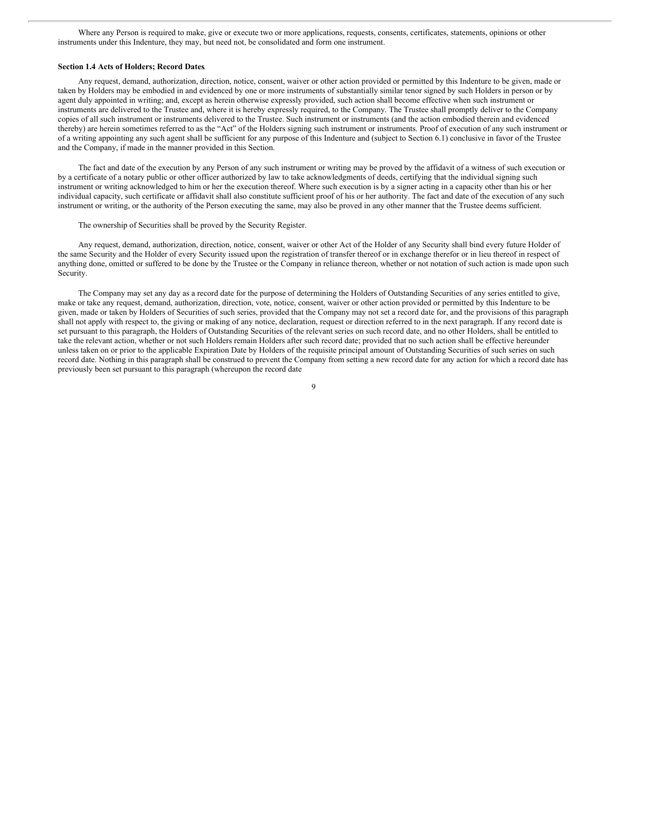Where any Person is required to make, give or execute two or more applications, requests, consents, certificates, statements, opinions or other instruments under this Indenture, they may, but need not, be consolidated and form one instrument.

#### **Section 1.4 Acts of Holders; Record Dates**.

Any request, demand, authorization, direction, notice, consent, waiver or other action provided or permitted by this Indenture to be given, made or taken by Holders may be embodied in and evidenced by one or more instruments of substantially similar tenor signed by such Holders in person or by agent duly appointed in writing; and, except as herein otherwise expressly provided, such action shall become effective when such instrument or instruments are delivered to the Trustee and, where it is hereby expressly required, to the Company. The Trustee shall promptly deliver to the Company copies of all such instrument or instruments delivered to the Trustee. Such instrument or instruments (and the action embodied therein and evidenced thereby) are herein sometimes referred to as the "Act" of the Holders signing such instrument or instruments. Proof of execution of any such instrument or of a writing appointing any such agent shall be sufficient for any purpose of this Indenture and (subject to Section 6.1) conclusive in favor of the Trustee and the Company, if made in the manner provided in this Section.

The fact and date of the execution by any Person of any such instrument or writing may be proved by the affidavit of a witness of such execution or by a certificate of a notary public or other officer authorized by law to take acknowledgments of deeds, certifying that the individual signing such instrument or writing acknowledged to him or her the execution thereof. Where such execution is by a signer acting in a capacity other than his or her individual capacity, such certificate or affidavit shall also constitute sufficient proof of his or her authority. The fact and date of the execution of any such instrument or writing, or the authority of the Person executing the same, may also be proved in any other manner that the Trustee deems sufficient.

The ownership of Securities shall be proved by the Security Register.

Any request, demand, authorization, direction, notice, consent, waiver or other Act of the Holder of any Security shall bind every future Holder of the same Security and the Holder of every Security issued upon the registration of transfer thereof or in exchange therefor or in lieu thereof in respect of anything done, omitted or suffered to be done by the Trustee or the Company in reliance thereon, whether or not notation of such action is made upon such Security.

The Company may set any day as a record date for the purpose of determining the Holders of Outstanding Securities of any series entitled to give, make or take any request, demand, authorization, direction, vote, notice, consent, waiver or other action provided or permitted by this Indenture to be given, made or taken by Holders of Securities of such series, provided that the Company may not set a record date for, and the provisions of this paragraph shall not apply with respect to, the giving or making of any notice, declaration, request or direction referred to in the next paragraph. If any record date is set pursuant to this paragraph, the Holders of Outstanding Securities of the relevant series on such record date, and no other Holders, shall be entitled to take the relevant action, whether or not such Holders remain Holders after such record date; provided that no such action shall be effective hereunder unless taken on or prior to the applicable Expiration Date by Holders of the requisite principal amount of Outstanding Securities of such series on such record date. Nothing in this paragraph shall be construed to prevent the Company from setting a new record date for any action for which a record date has previously been set pursuant to this paragraph (whereupon the record date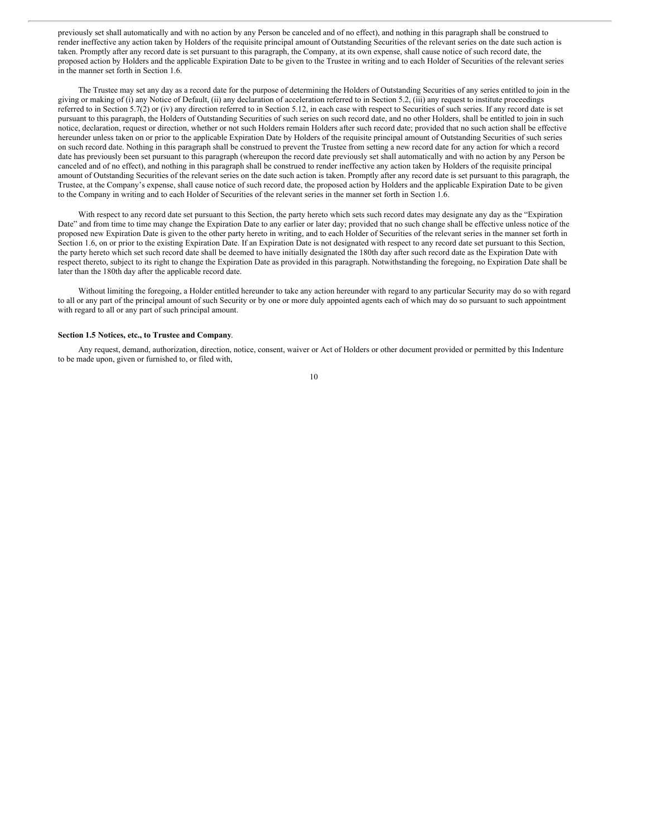previously set shall automatically and with no action by any Person be canceled and of no effect), and nothing in this paragraph shall be construed to render ineffective any action taken by Holders of the requisite principal amount of Outstanding Securities of the relevant series on the date such action is taken. Promptly after any record date is set pursuant to this paragraph, the Company, at its own expense, shall cause notice of such record date, the proposed action by Holders and the applicable Expiration Date to be given to the Trustee in writing and to each Holder of Securities of the relevant series in the manner set forth in Section 1.6.

The Trustee may set any day as a record date for the purpose of determining the Holders of Outstanding Securities of any series entitled to join in the giving or making of (i) any Notice of Default, (ii) any declaration of acceleration referred to in Section 5.2, (iii) any request to institute proceedings referred to in Section 5.7(2) or (iv) any direction referred to in Section 5.12, in each case with respect to Securities of such series. If any record date is set pursuant to this paragraph, the Holders of Outstanding Securities of such series on such record date, and no other Holders, shall be entitled to join in such notice, declaration, request or direction, whether or not such Holders remain Holders after such record date; provided that no such action shall be effective hereunder unless taken on or prior to the applicable Expiration Date by Holders of the requisite principal amount of Outstanding Securities of such series on such record date. Nothing in this paragraph shall be construed to prevent the Trustee from setting a new record date for any action for which a record date has previously been set pursuant to this paragraph (whereupon the record date previously set shall automatically and with no action by any Person be canceled and of no effect), and nothing in this paragraph shall be construed to render ineffective any action taken by Holders of the requisite principal amount of Outstanding Securities of the relevant series on the date such action is taken. Promptly after any record date is set pursuant to this paragraph, the Trustee, at the Company's expense, shall cause notice of such record date, the proposed action by Holders and the applicable Expiration Date to be given to the Company in writing and to each Holder of Securities of the relevant series in the manner set forth in Section 1.6.

With respect to any record date set pursuant to this Section, the party hereto which sets such record dates may designate any day as the "Expiration Date" and from time to time may change the Expiration Date to any earlier or later day; provided that no such change shall be effective unless notice of the proposed new Expiration Date is given to the other party hereto in writing, and to each Holder of Securities of the relevant series in the manner set forth in Section 1.6, on or prior to the existing Expiration Date. If an Expiration Date is not designated with respect to any record date set pursuant to this Section, the party hereto which set such record date shall be deemed to have initially designated the 180th day after such record date as the Expiration Date with respect thereto, subject to its right to change the Expiration Date as provided in this paragraph. Notwithstanding the foregoing, no Expiration Date shall be later than the 180th day after the applicable record date.

Without limiting the foregoing, a Holder entitled hereunder to take any action hereunder with regard to any particular Security may do so with regard to all or any part of the principal amount of such Security or by one or more duly appointed agents each of which may do so pursuant to such appointment with regard to all or any part of such principal amount.

#### **Section 1.5 Notices, etc., to Trustee and Company**.

Any request, demand, authorization, direction, notice, consent, waiver or Act of Holders or other document provided or permitted by this Indenture to be made upon, given or furnished to, or filed with,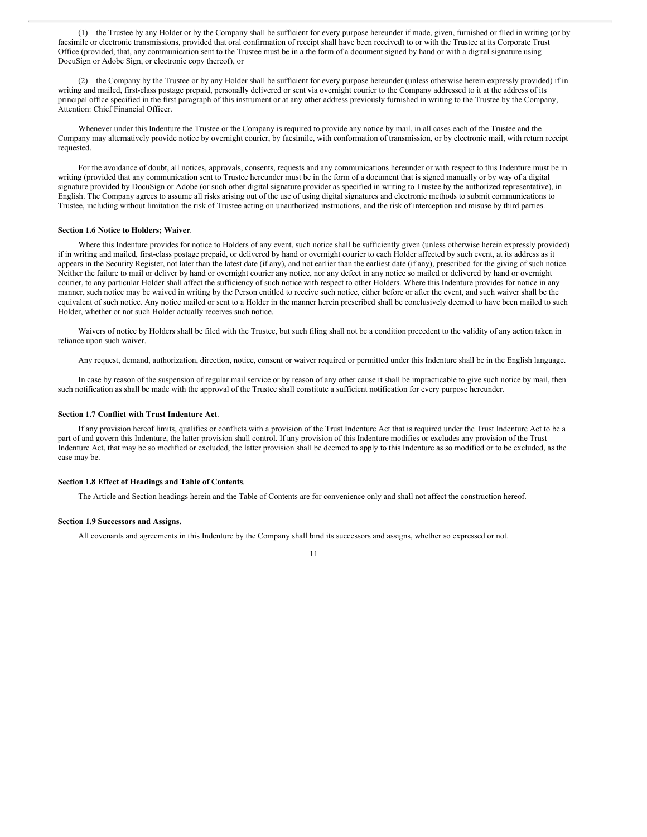(1) the Trustee by any Holder or by the Company shall be sufficient for every purpose hereunder if made, given, furnished or filed in writing (or by facsimile or electronic transmissions, provided that oral confirmation of receipt shall have been received) to or with the Trustee at its Corporate Trust Office (provided, that, any communication sent to the Trustee must be in a the form of a document signed by hand or with a digital signature using DocuSign or Adobe Sign, or electronic copy thereof), or

(2) the Company by the Trustee or by any Holder shall be sufficient for every purpose hereunder (unless otherwise herein expressly provided) if in writing and mailed, first-class postage prepaid, personally delivered or sent via overnight courier to the Company addressed to it at the address of its principal office specified in the first paragraph of this instrument or at any other address previously furnished in writing to the Trustee by the Company, Attention: Chief Financial Officer.

Whenever under this Indenture the Trustee or the Company is required to provide any notice by mail, in all cases each of the Trustee and the Company may alternatively provide notice by overnight courier, by facsimile, with conformation of transmission, or by electronic mail, with return receipt requested.

For the avoidance of doubt, all notices, approvals, consents, requests and any communications hereunder or with respect to this Indenture must be in writing (provided that any communication sent to Trustee hereunder must be in the form of a document that is signed manually or by way of a digital signature provided by DocuSign or Adobe (or such other digital signature provider as specified in writing to Trustee by the authorized representative), in English. The Company agrees to assume all risks arising out of the use of using digital signatures and electronic methods to submit communications to Trustee, including without limitation the risk of Trustee acting on unauthorized instructions, and the risk of interception and misuse by third parties.

#### **Section 1.6 Notice to Holders; Waiver**.

Where this Indenture provides for notice to Holders of any event, such notice shall be sufficiently given (unless otherwise herein expressly provided) if in writing and mailed, first-class postage prepaid, or delivered by hand or overnight courier to each Holder affected by such event, at its address as it appears in the Security Register, not later than the latest date (if any), and not earlier than the earliest date (if any), prescribed for the giving of such notice. Neither the failure to mail or deliver by hand or overnight courier any notice, nor any defect in any notice so mailed or delivered by hand or overnight courier, to any particular Holder shall affect the sufficiency of such notice with respect to other Holders. Where this Indenture provides for notice in any manner, such notice may be waived in writing by the Person entitled to receive such notice, either before or after the event, and such waiver shall be the equivalent of such notice. Any notice mailed or sent to a Holder in the manner herein prescribed shall be conclusively deemed to have been mailed to such Holder, whether or not such Holder actually receives such notice.

Waivers of notice by Holders shall be filed with the Trustee, but such filing shall not be a condition precedent to the validity of any action taken in reliance upon such waiver.

Any request, demand, authorization, direction, notice, consent or waiver required or permitted under this Indenture shall be in the English language.

In case by reason of the suspension of regular mail service or by reason of any other cause it shall be impracticable to give such notice by mail, then such notification as shall be made with the approval of the Trustee shall constitute a sufficient notification for every purpose hereunder.

#### **Section 1.7 Conflict with Trust Indenture Act**.

If any provision hereof limits, qualifies or conflicts with a provision of the Trust Indenture Act that is required under the Trust Indenture Act to be a part of and govern this Indenture, the latter provision shall control. If any provision of this Indenture modifies or excludes any provision of the Trust Indenture Act, that may be so modified or excluded, the latter provision shall be deemed to apply to this Indenture as so modified or to be excluded, as the case may be.

## **Section 1.8 Effect of Headings and Table of Contents**.

The Article and Section headings herein and the Table of Contents are for convenience only and shall not affect the construction hereof.

## **Section 1.9 Successors and Assigns.**

All covenants and agreements in this Indenture by the Company shall bind its successors and assigns, whether so expressed or not.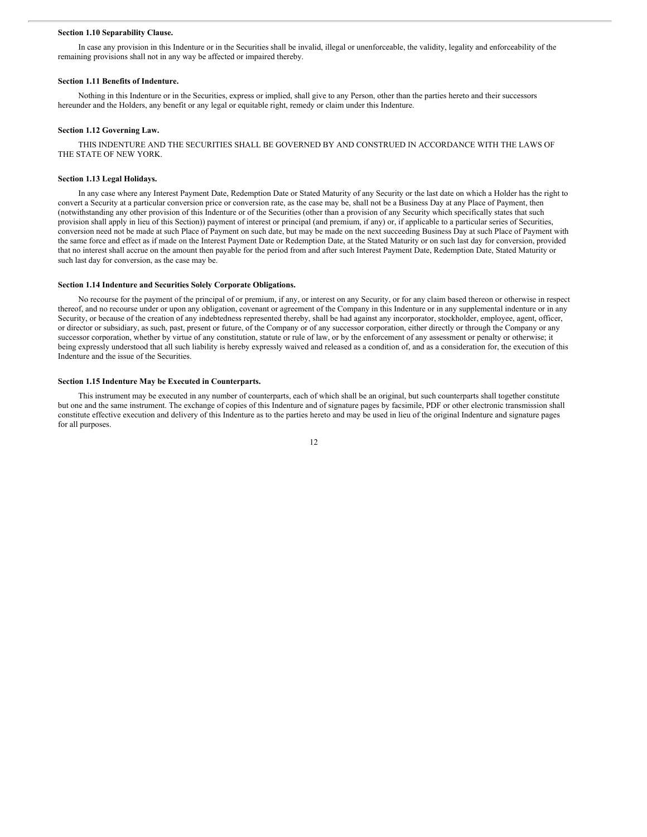## **Section 1.10 Separability Clause.**

In case any provision in this Indenture or in the Securities shall be invalid, illegal or unenforceable, the validity, legality and enforceability of the remaining provisions shall not in any way be affected or impaired thereby.

### **Section 1.11 Benefits of Indenture.**

Nothing in this Indenture or in the Securities, express or implied, shall give to any Person, other than the parties hereto and their successors hereunder and the Holders, any benefit or any legal or equitable right, remedy or claim under this Indenture.

#### **Section 1.12 Governing Law.**

THIS INDENTURE AND THE SECURITIES SHALL BE GOVERNED BY AND CONSTRUED IN ACCORDANCE WITH THE LAWS OF THE STATE OF NEW YORK.

## **Section 1.13 Legal Holidays.**

In any case where any Interest Payment Date, Redemption Date or Stated Maturity of any Security or the last date on which a Holder has the right to convert a Security at a particular conversion price or conversion rate, as the case may be, shall not be a Business Day at any Place of Payment, then (notwithstanding any other provision of this Indenture or of the Securities (other than a provision of any Security which specifically states that such provision shall apply in lieu of this Section)) payment of interest or principal (and premium, if any) or, if applicable to a particular series of Securities, conversion need not be made at such Place of Payment on such date, but may be made on the next succeeding Business Day at such Place of Payment with the same force and effect as if made on the Interest Payment Date or Redemption Date, at the Stated Maturity or on such last day for conversion, provided that no interest shall accrue on the amount then payable for the period from and after such Interest Payment Date, Redemption Date, Stated Maturity or such last day for conversion, as the case may be.

## **Section 1.14 Indenture and Securities Solely Corporate Obligations.**

No recourse for the payment of the principal of or premium, if any, or interest on any Security, or for any claim based thereon or otherwise in respect thereof, and no recourse under or upon any obligation, covenant or agreement of the Company in this Indenture or in any supplemental indenture or in any Security, or because of the creation of any indebtedness represented thereby, shall be had against any incorporator, stockholder, employee, agent, officer, or director or subsidiary, as such, past, present or future, of the Company or of any successor corporation, either directly or through the Company or any successor corporation, whether by virtue of any constitution, statute or rule of law, or by the enforcement of any assessment or penalty or otherwise; it being expressly understood that all such liability is hereby expressly waived and released as a condition of, and as a consideration for, the execution of this Indenture and the issue of the Securities.

#### **Section 1.15 Indenture May be Executed in Counterparts.**

This instrument may be executed in any number of counterparts, each of which shall be an original, but such counterparts shall together constitute but one and the same instrument. The exchange of copies of this Indenture and of signature pages by facsimile, PDF or other electronic transmission shall constitute effective execution and delivery of this Indenture as to the parties hereto and may be used in lieu of the original Indenture and signature pages for all purposes.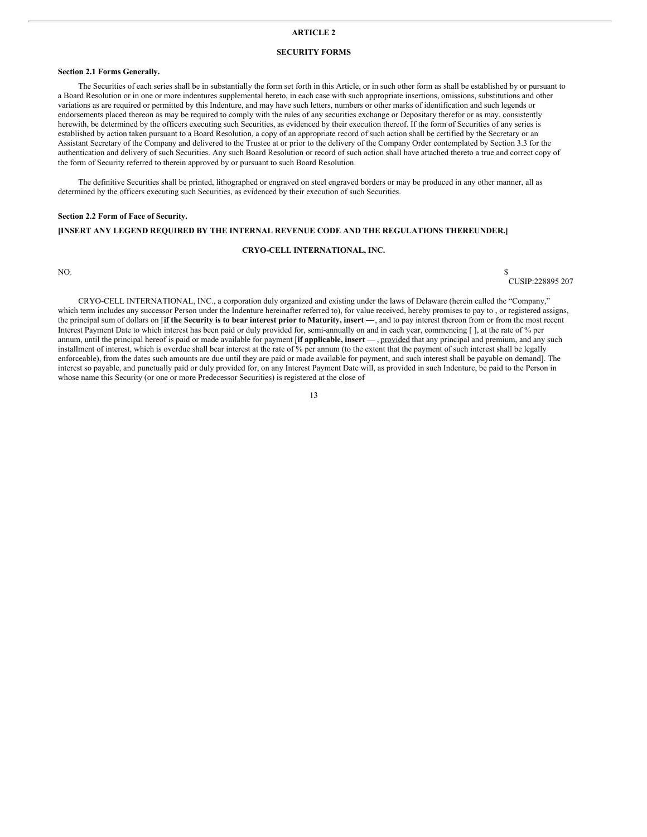## **ARTICLE 2**

### **SECURITY FORMS**

#### **Section 2.1 Forms Generally.**

The Securities of each series shall be in substantially the form set forth in this Article, or in such other form as shall be established by or pursuant to a Board Resolution or in one or more indentures supplemental hereto, in each case with such appropriate insertions, omissions, substitutions and other variations as are required or permitted by this Indenture, and may have such letters, numbers or other marks of identification and such legends or endorsements placed thereon as may be required to comply with the rules of any securities exchange or Depositary therefor or as may, consistently herewith, be determined by the officers executing such Securities, as evidenced by their execution thereof. If the form of Securities of any series is established by action taken pursuant to a Board Resolution, a copy of an appropriate record of such action shall be certified by the Secretary or an Assistant Secretary of the Company and delivered to the Trustee at or prior to the delivery of the Company Order contemplated by Section 3.3 for the authentication and delivery of such Securities. Any such Board Resolution or record of such action shall have attached thereto a true and correct copy of the form of Security referred to therein approved by or pursuant to such Board Resolution.

The definitive Securities shall be printed, lithographed or engraved on steel engraved borders or may be produced in any other manner, all as determined by the officers executing such Securities, as evidenced by their execution of such Securities.

## **Section 2.2 Form of Face of Security.**

## **[INSERT ANY LEGEND REQUIRED BY THE INTERNAL REVENUE CODE AND THE REGULATIONS THEREUNDER.]**

## **CRYO-CELL INTERNATIONAL, INC.**

#### NO.  $\sim$

CUSIP:228895 207

CRYO-CELL INTERNATIONAL, INC., a corporation duly organized and existing under the laws of Delaware (herein called the "Company," which term includes any successor Person under the Indenture hereinafter referred to), for value received, hereby promises to pay to , or registered assigns, the principal sum of dollars on [if the Security is to bear interest prior to Maturity, insert -, and to pay interest thereon from or from the most recent Interest Payment Date to which interest has been paid or duly provided for, semi-annually on and in each year, commencing [ ], at the rate of % per annum, until the principal hereof is paid or made available for payment [if applicable, insert —, provided that any principal and premium, and any such installment of interest, which is overdue shall bear interest at the rate of % per annum (to the extent that the payment of such interest shall be legally enforceable), from the dates such amounts are due until they are paid or made available for payment, and such interest shall be payable on demand]. The interest so payable, and punctually paid or duly provided for, on any Interest Payment Date will, as provided in such Indenture, be paid to the Person in whose name this Security (or one or more Predecessor Securities) is registered at the close of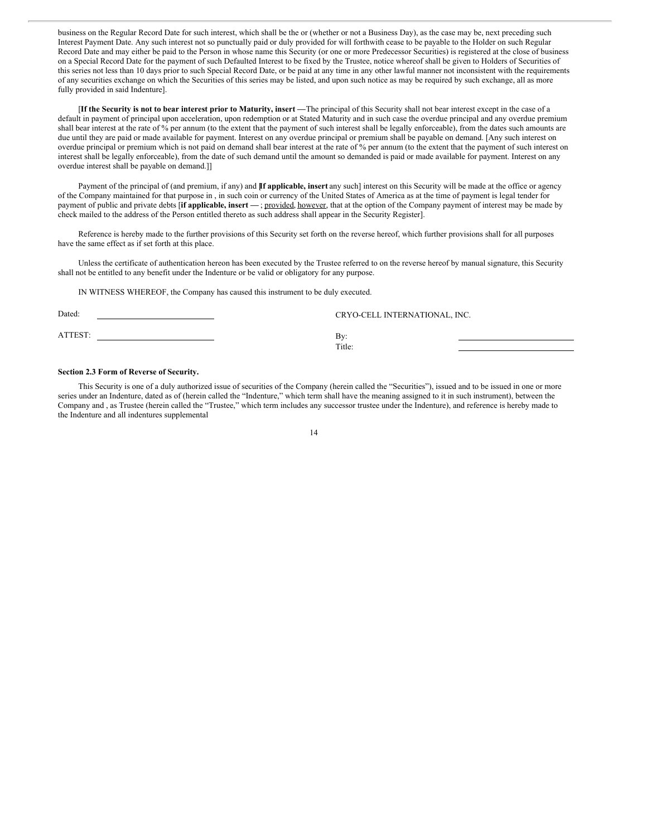business on the Regular Record Date for such interest, which shall be the or (whether or not a Business Day), as the case may be, next preceding such Interest Payment Date. Any such interest not so punctually paid or duly provided for will forthwith cease to be payable to the Holder on such Regular Record Date and may either be paid to the Person in whose name this Security (or one or more Predecessor Securities) is registered at the close of business on a Special Record Date for the payment of such Defaulted Interest to be fixed by the Trustee, notice whereof shall be given to Holders of Securities of this series not less than 10 days prior to such Special Record Date, or be paid at any time in any other lawful manner not inconsistent with the requirements of any securities exchange on which the Securities of this series may be listed, and upon such notice as may be required by such exchange, all as more fully provided in said Indenture].

[If the Security is not to bear interest prior to Maturity, insert — The principal of this Security shall not bear interest except in the case of a default in payment of principal upon acceleration, upon redemption or at Stated Maturity and in such case the overdue principal and any overdue premium shall bear interest at the rate of % per annum (to the extent that the payment of such interest shall be legally enforceable), from the dates such amounts are due until they are paid or made available for payment. Interest on any overdue principal or premium shall be payable on demand. [Any such interest on overdue principal or premium which is not paid on demand shall bear interest at the rate of % per annum (to the extent that the payment of such interest on interest shall be legally enforceable), from the date of such demand until the amount so demanded is paid or made available for payment. Interest on any overdue interest shall be payable on demand.]]

Payment of the principal of (and premium, if any) and [**If applicable, insert** any such] interest on this Security will be made at the office or agency of the Company maintained for that purpose in , in such coin or currency of the United States of America as at the time of payment is legal tender for payment of public and private debts [if applicable, insert — ; provided, however, that at the option of the Company payment of interest may be made by check mailed to the address of the Person entitled thereto as such address shall appear in the Security Register].

Reference is hereby made to the further provisions of this Security set forth on the reverse hereof, which further provisions shall for all purposes have the same effect as if set forth at this place.

Unless the certificate of authentication hereon has been executed by the Trustee referred to on the reverse hereof by manual signature, this Security shall not be entitled to any benefit under the Indenture or be valid or obligatory for any purpose.

IN WITNESS WHEREOF, the Company has caused this instrument to be duly executed.

Dated: CRYO-CELL INTERNATIONAL, INC.

ATTEST: By:

Title:

## **Section 2.3 Form of Reverse of Security.**

This Security is one of a duly authorized issue of securities of the Company (herein called the "Securities"), issued and to be issued in one or more series under an Indenture, dated as of (herein called the "Indenture," which term shall have the meaning assigned to it in such instrument), between the Company and , as Trustee (herein called the "Trustee," which term includes any successor trustee under the Indenture), and reference is hereby made to the Indenture and all indentures supplemental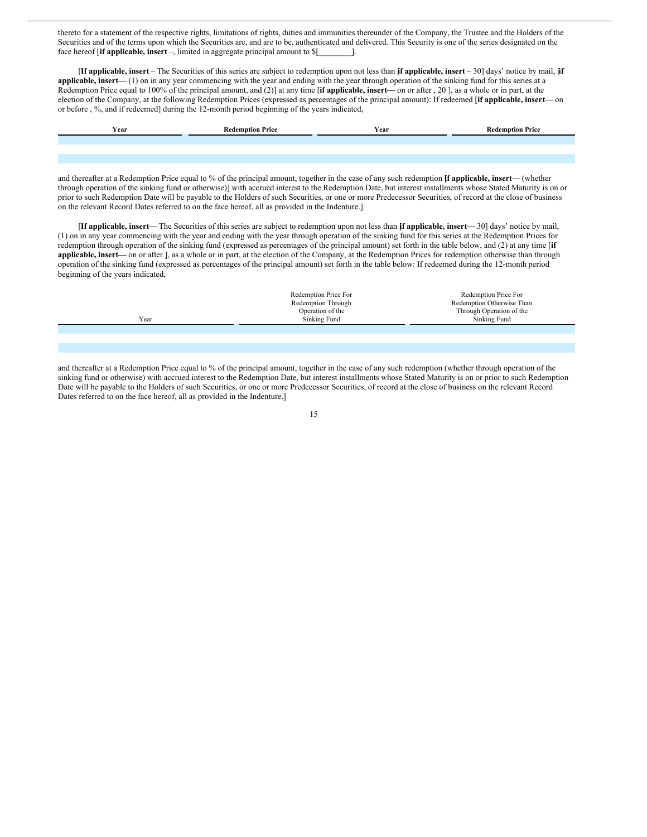thereto for a statement of the respective rights, limitations of rights, duties and immunities thereunder of the Company, the Trustee and the Holders of the Securities and of the terms upon which the Securities are, and are to be, authenticated and delivered. This Security is one of the series designated on the face hereof [**if applicable, insert** –, limited in aggregate principal amount to \$[\_\_\_\_\_\_\_\_].

[**If applicable, insert** – The Securities of this series are subject to redemption upon not less than [**if applicable, insert** – 30] days' notice by mail, [**if applicable, insert—** (1) on in any year commencing with the year and ending with the year through operation of the sinking fund for this series at a Redemption Price equal to 100% of the principal amount, and (2)] at any time [**if applicable, insert—** on or after , 20 ], as a whole or in part, at the election of the Company, at the following Redemption Prices (expressed as percentages of the principal amount): If redeemed [**if applicable, insert—** on or before , %, and if redeemed] during the 12-month period beginning of the years indicated,

| sedemntion :<br>r1C6 | Year | $-100$ |
|----------------------|------|--------|
|                      |      |        |
|                      |      |        |
|                      |      |        |

and thereafter at a Redemption Price equal to % of the principal amount, together in the case of any such redemption [**if applicable, insert—** (whether through operation of the sinking fund or otherwise)] with accrued interest to the Redemption Date, but interest installments whose Stated Maturity is on or prior to such Redemption Date will be payable to the Holders of such Securities, or one or more Predecessor Securities, of record at the close of business on the relevant Record Dates referred to on the face hereof, all as provided in the Indenture.]

[**If applicable, insert—** The Securities of this series are subject to redemption upon not less than [**if applicable, insert—** 30] days' notice by mail, (1) on in any year commencing with the year and ending with the year through operation of the sinking fund for this series at the Redemption Prices for redemption through operation of the sinking fund (expressed as percentages of the principal amount) set forth in the table below, and (2) at any time [**if applicable, insert—** on or after ], as a whole or in part, at the election of the Company, at the Redemption Prices for redemption otherwise than through operation of the sinking fund (expressed as percentages of the principal amount) set forth in the table below: If redeemed during the 12-month period beginning of the years indicated,

|      | Redemption Price For | Redemption Price For      |
|------|----------------------|---------------------------|
|      | Redemption Through   | Redemption Otherwise Than |
|      | Operation of the     | Through Operation of the  |
| Year | Sinking Fund         | Sinking Fund              |
|      |                      |                           |
|      |                      |                           |

and thereafter at a Redemption Price equal to % of the principal amount, together in the case of any such redemption (whether through operation of the sinking fund or otherwise) with accrued interest to the Redemption Date, but interest installments whose Stated Maturity is on or prior to such Redemption Date will be payable to the Holders of such Securities, or one or more Predecessor Securities, of record at the close of business on the relevant Record Dates referred to on the face hereof, all as provided in the Indenture.]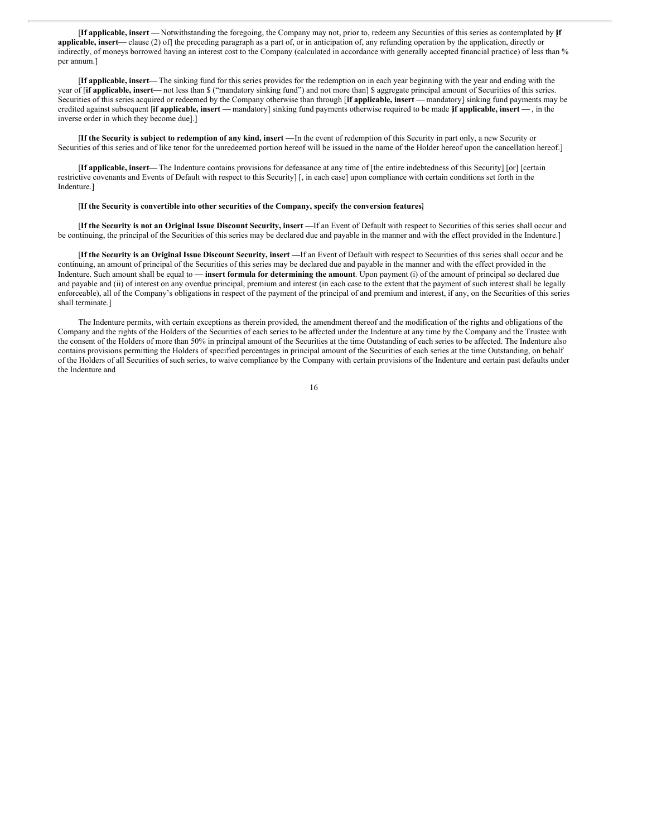[**If applicable, insert —** Notwithstanding the foregoing, the Company may not, prior to, redeem any Securities of this series as contemplated by [**if applicable, insert—** clause (2) of] the preceding paragraph as a part of, or in anticipation of, any refunding operation by the application, directly or indirectly, of moneys borrowed having an interest cost to the Company (calculated in accordance with generally accepted financial practice) of less than % per annum.]

[**If applicable, insert—** The sinking fund for this series provides for the redemption on in each year beginning with the year and ending with the year of [if **applicable, insert**—not less than \$ ("mandatory sinking fund") and not more than] \$ aggregate principal amount of Securities of this series. Securities of this series acquired or redeemed by the Company otherwise than through [**if applicable, insert —** mandatory] sinking fund payments may be credited against subsequent [**if applicable, insert —** mandatory] sinking fund payments otherwise required to be made [**if applicable, insert —** , in the inverse order in which they become due].]

[**If the Security is subject to redemption of any kind, insert —**In the event of redemption of this Security in part only, a new Security or Securities of this series and of like tenor for the unredeemed portion hereof will be issued in the name of the Holder hereof upon the cancellation hereof.]

[**If applicable, insert—** The Indenture contains provisions for defeasance at any time of [the entire indebtedness of this Security] [or] [certain restrictive covenants and Events of Default with respect to this Security] [, in each case] upon compliance with certain conditions set forth in the Indenture.]

#### [**If the Security is convertible into other securities of the Company, specify the conversion features**]**.**

[If the Security is not an Original Issue Discount Security, insert - If an Event of Default with respect to Securities of this series shall occur and be continuing, the principal of the Securities of this series may be declared due and payable in the manner and with the effect provided in the Indenture.]

[If the Security is an Original Issue Discount Security, insert - If an Event of Default with respect to Securities of this series shall occur and be continuing, an amount of principal of the Securities of this series may be declared due and payable in the manner and with the effect provided in the Indenture. Such amount shall be equal to **— insert formula for determining the amount**. Upon payment (i) of the amount of principal so declared due and payable and (ii) of interest on any overdue principal, premium and interest (in each case to the extent that the payment of such interest shall be legally enforceable), all of the Company's obligations in respect of the payment of the principal of and premium and interest, if any, on the Securities of this series shall terminate.]

The Indenture permits, with certain exceptions as therein provided, the amendment thereof and the modification of the rights and obligations of the Company and the rights of the Holders of the Securities of each series to be affected under the Indenture at any time by the Company and the Trustee with the consent of the Holders of more than 50% in principal amount of the Securities at the time Outstanding of each series to be affected. The Indenture also contains provisions permitting the Holders of specified percentages in principal amount of the Securities of each series at the time Outstanding, on behalf of the Holders of all Securities of such series, to waive compliance by the Company with certain provisions of the Indenture and certain past defaults under the Indenture and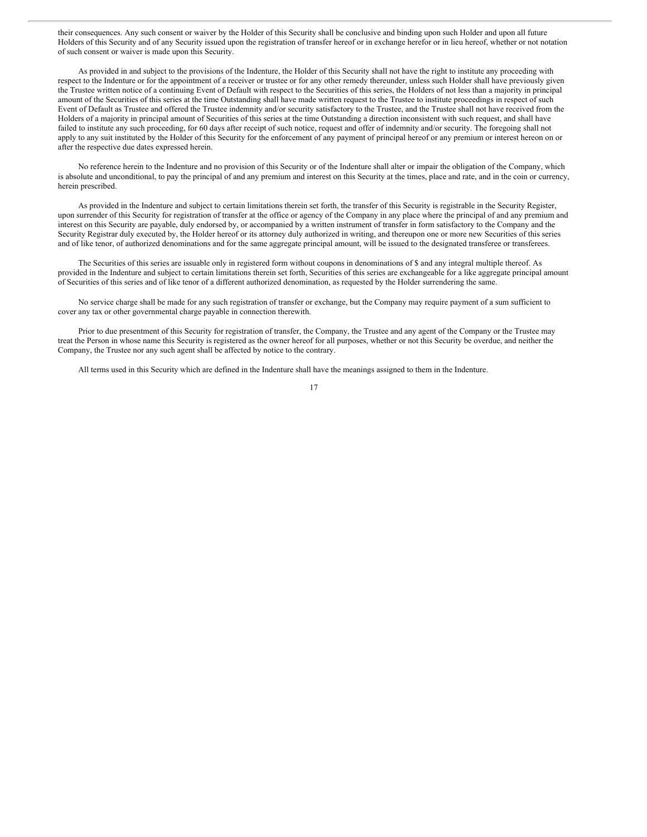their consequences. Any such consent or waiver by the Holder of this Security shall be conclusive and binding upon such Holder and upon all future Holders of this Security and of any Security issued upon the registration of transfer hereof or in exchange herefor or in lieu hereof, whether or not notation of such consent or waiver is made upon this Security.

As provided in and subject to the provisions of the Indenture, the Holder of this Security shall not have the right to institute any proceeding with respect to the Indenture or for the appointment of a receiver or trustee or for any other remedy thereunder, unless such Holder shall have previously given the Trustee written notice of a continuing Event of Default with respect to the Securities of this series, the Holders of not less than a majority in principal amount of the Securities of this series at the time Outstanding shall have made written request to the Trustee to institute proceedings in respect of such Event of Default as Trustee and offered the Trustee indemnity and/or security satisfactory to the Trustee, and the Trustee shall not have received from the Holders of a majority in principal amount of Securities of this series at the time Outstanding a direction inconsistent with such request, and shall have failed to institute any such proceeding, for 60 days after receipt of such notice, request and offer of indemnity and/or security. The foregoing shall not apply to any suit instituted by the Holder of this Security for the enforcement of any payment of principal hereof or any premium or interest hereon on or after the respective due dates expressed herein.

No reference herein to the Indenture and no provision of this Security or of the Indenture shall alter or impair the obligation of the Company, which is absolute and unconditional, to pay the principal of and any premium and interest on this Security at the times, place and rate, and in the coin or currency, herein prescribed.

As provided in the Indenture and subject to certain limitations therein set forth, the transfer of this Security is registrable in the Security Register, upon surrender of this Security for registration of transfer at the office or agency of the Company in any place where the principal of and any premium and interest on this Security are payable, duly endorsed by, or accompanied by a written instrument of transfer in form satisfactory to the Company and the Security Registrar duly executed by, the Holder hereof or its attorney duly authorized in writing, and thereupon one or more new Securities of this series and of like tenor, of authorized denominations and for the same aggregate principal amount, will be issued to the designated transferee or transferees.

The Securities of this series are issuable only in registered form without coupons in denominations of \$ and any integral multiple thereof. As provided in the Indenture and subject to certain limitations therein set forth, Securities of this series are exchangeable for a like aggregate principal amount of Securities of this series and of like tenor of a different authorized denomination, as requested by the Holder surrendering the same.

No service charge shall be made for any such registration of transfer or exchange, but the Company may require payment of a sum sufficient to cover any tax or other governmental charge payable in connection therewith.

Prior to due presentment of this Security for registration of transfer, the Company, the Trustee and any agent of the Company or the Trustee may treat the Person in whose name this Security is registered as the owner hereof for all purposes, whether or not this Security be overdue, and neither the Company, the Trustee nor any such agent shall be affected by notice to the contrary.

All terms used in this Security which are defined in the Indenture shall have the meanings assigned to them in the Indenture.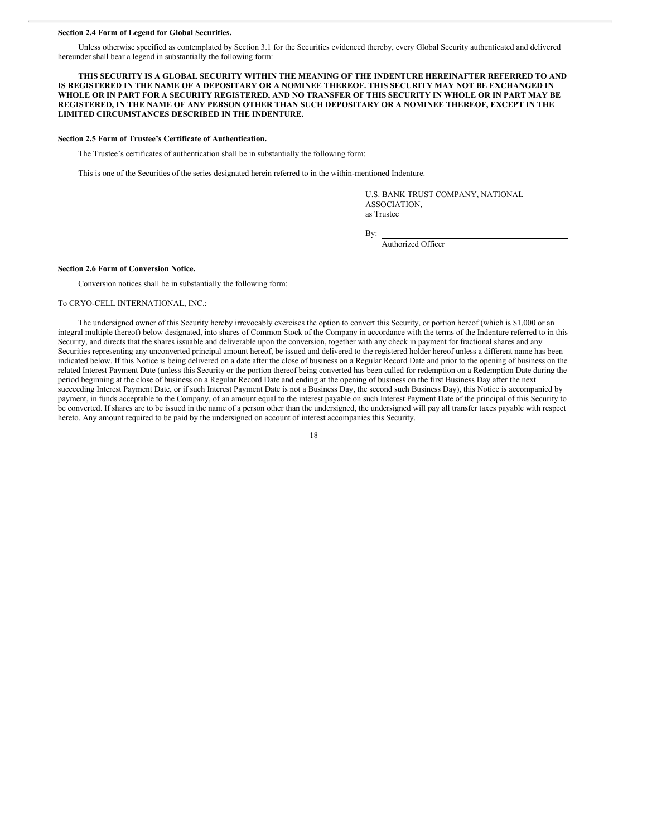#### **Section 2.4 Form of Legend for Global Securities.**

Unless otherwise specified as contemplated by Section 3.1 for the Securities evidenced thereby, every Global Security authenticated and delivered hereunder shall bear a legend in substantially the following form:

**THIS SECURITY IS A GLOBAL SECURITY WITHIN THE MEANING OF THE INDENTURE HEREINAFTER REFERRED TO AND** IS REGISTERED IN THE NAME OF A DEPOSITARY OR A NOMINEE THEREOF. THIS SECURITY MAY NOT BE EXCHANGED IN WHOLE OR IN PART FOR A SECURITY REGISTERED, AND NO TRANSFER OF THIS SECURITY IN WHOLE OR IN PART MAY BE REGISTERED, IN THE NAME OF ANY PERSON OTHER THAN SUCH DEPOSITARY OR A NOMINEE THEREOF, EXCEPT IN THE **LIMITED CIRCUMSTANCES DESCRIBED IN THE INDENTURE.**

## **Section 2.5 Form of Trustee's Certificate of Authentication.**

The Trustee's certificates of authentication shall be in substantially the following form:

This is one of the Securities of the series designated herein referred to in the within-mentioned Indenture.

U.S. BANK TRUST COMPANY, NATIONAL ASSOCIATION, as Trustee

By:

Authorized Officer

#### **Section 2.6 Form of Conversion Notice.**

Conversion notices shall be in substantially the following form:

### To CRYO-CELL INTERNATIONAL, INC.:

The undersigned owner of this Security hereby irrevocably exercises the option to convert this Security, or portion hereof (which is \$1,000 or an integral multiple thereof) below designated, into shares of Common Stock of the Company in accordance with the terms of the Indenture referred to in this Security, and directs that the shares issuable and deliverable upon the conversion, together with any check in payment for fractional shares and any Securities representing any unconverted principal amount hereof, be issued and delivered to the registered holder hereof unless a different name has been indicated below. If this Notice is being delivered on a date after the close of business on a Regular Record Date and prior to the opening of business on the related Interest Payment Date (unless this Security or the portion thereof being converted has been called for redemption on a Redemption Date during the period beginning at the close of business on a Regular Record Date and ending at the opening of business on the first Business Day after the next succeeding Interest Payment Date, or if such Interest Payment Date is not a Business Day, the second such Business Day), this Notice is accompanied by payment, in funds acceptable to the Company, of an amount equal to the interest payable on such Interest Payment Date of the principal of this Security to be converted. If shares are to be issued in the name of a person other than the undersigned, the undersigned will pay all transfer taxes payable with respect hereto. Any amount required to be paid by the undersigned on account of interest accompanies this Security.

| w |
|---|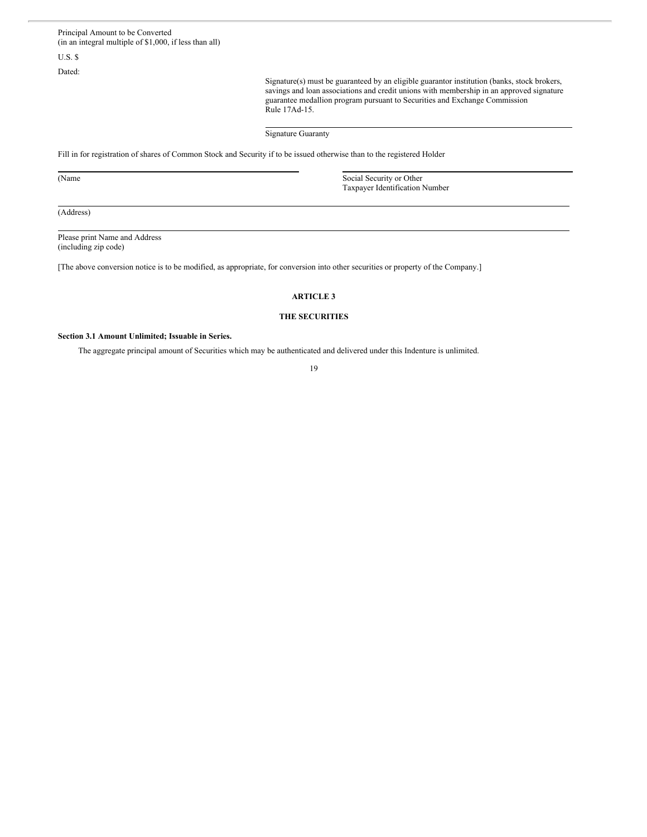Principal Amount to be Converted (in an integral multiple of \$1,000, if less than all)

U.S. \$

Dated:

Signature(s) must be guaranteed by an eligible guarantor institution (banks, stock brokers, savings and loan associations and credit unions with membership in an approved signature guarantee medallion program pursuant to Securities and Exchange Commission Rule 17Ad-15.

Signature Guaranty

Fill in for registration of shares of Common Stock and Security if to be issued otherwise than to the registered Holder

(Name Social Security or Other Taxpayer Identification Number

(Address)

Please print Name and Address (including zip code)

[The above conversion notice is to be modified, as appropriate, for conversion into other securities or property of the Company.]

# **ARTICLE 3**

## **THE SECURITIES**

## **Section 3.1 Amount Unlimited; Issuable in Series.**

The aggregate principal amount of Securities which may be authenticated and delivered under this Indenture is unlimited.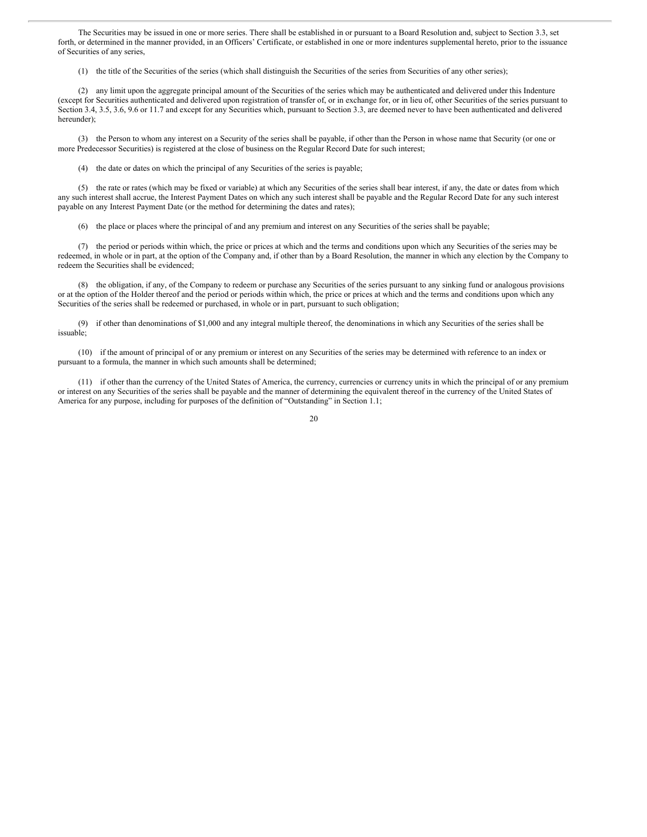The Securities may be issued in one or more series. There shall be established in or pursuant to a Board Resolution and, subject to Section 3.3, set forth, or determined in the manner provided, in an Officers' Certificate, or established in one or more indentures supplemental hereto, prior to the issuance of Securities of any series,

(1) the title of the Securities of the series (which shall distinguish the Securities of the series from Securities of any other series);

(2) any limit upon the aggregate principal amount of the Securities of the series which may be authenticated and delivered under this Indenture (except for Securities authenticated and delivered upon registration of transfer of, or in exchange for, or in lieu of, other Securities of the series pursuant to Section 3.4, 3.5, 3.6, 9.6 or 11.7 and except for any Securities which, pursuant to Section 3.3, are deemed never to have been authenticated and delivered hereunder);

(3) the Person to whom any interest on a Security of the series shall be payable, if other than the Person in whose name that Security (or one or more Predecessor Securities) is registered at the close of business on the Regular Record Date for such interest;

(4) the date or dates on which the principal of any Securities of the series is payable;

(5) the rate or rates (which may be fixed or variable) at which any Securities of the series shall bear interest, if any, the date or dates from which any such interest shall accrue, the Interest Payment Dates on which any such interest shall be payable and the Regular Record Date for any such interest payable on any Interest Payment Date (or the method for determining the dates and rates);

(6) the place or places where the principal of and any premium and interest on any Securities of the series shall be payable;

(7) the period or periods within which, the price or prices at which and the terms and conditions upon which any Securities of the series may be redeemed, in whole or in part, at the option of the Company and, if other than by a Board Resolution, the manner in which any election by the Company to redeem the Securities shall be evidenced;

(8) the obligation, if any, of the Company to redeem or purchase any Securities of the series pursuant to any sinking fund or analogous provisions or at the option of the Holder thereof and the period or periods within which, the price or prices at which and the terms and conditions upon which any Securities of the series shall be redeemed or purchased, in whole or in part, pursuant to such obligation;

(9) if other than denominations of \$1,000 and any integral multiple thereof, the denominations in which any Securities of the series shall be issuable;

(10) if the amount of principal of or any premium or interest on any Securities of the series may be determined with reference to an index or pursuant to a formula, the manner in which such amounts shall be determined;

(11) if other than the currency of the United States of America, the currency, currencies or currency units in which the principal of or any premium or interest on any Securities of the series shall be payable and the manner of determining the equivalent thereof in the currency of the United States of America for any purpose, including for purposes of the definition of "Outstanding" in Section 1.1;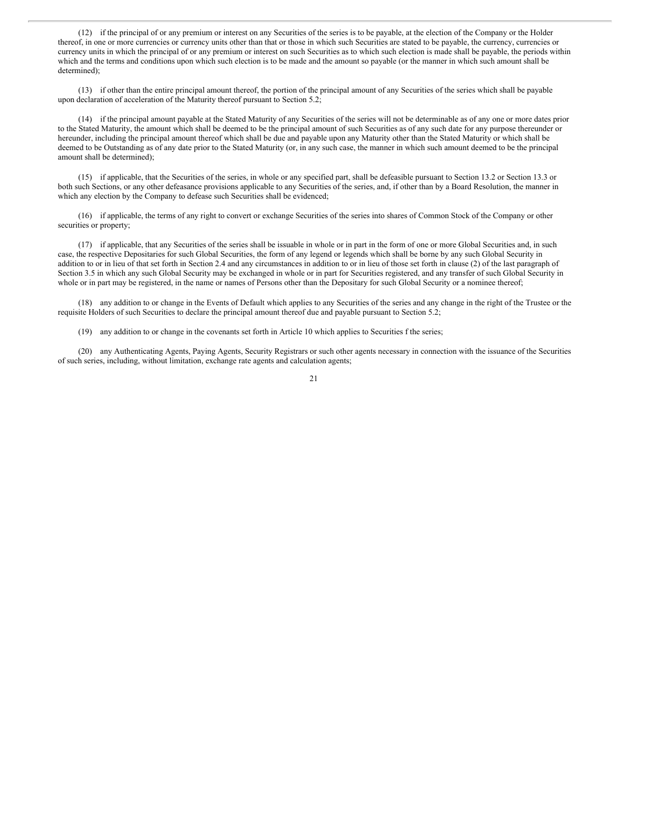(12) if the principal of or any premium or interest on any Securities of the series is to be payable, at the election of the Company or the Holder thereof, in one or more currencies or currency units other than that or those in which such Securities are stated to be payable, the currency, currencies or currency units in which the principal of or any premium or interest on such Securities as to which such election is made shall be payable, the periods within which and the terms and conditions upon which such election is to be made and the amount so payable (or the manner in which such amount shall be determined);

(13) if other than the entire principal amount thereof, the portion of the principal amount of any Securities of the series which shall be payable upon declaration of acceleration of the Maturity thereof pursuant to Section 5.2;

(14) if the principal amount payable at the Stated Maturity of any Securities of the series will not be determinable as of any one or more dates prior to the Stated Maturity, the amount which shall be deemed to be the principal amount of such Securities as of any such date for any purpose thereunder or hereunder, including the principal amount thereof which shall be due and payable upon any Maturity other than the Stated Maturity or which shall be deemed to be Outstanding as of any date prior to the Stated Maturity (or, in any such case, the manner in which such amount deemed to be the principal amount shall be determined);

(15) if applicable, that the Securities of the series, in whole or any specified part, shall be defeasible pursuant to Section 13.2 or Section 13.3 or both such Sections, or any other defeasance provisions applicable to any Securities of the series, and, if other than by a Board Resolution, the manner in which any election by the Company to defease such Securities shall be evidenced;

(16) if applicable, the terms of any right to convert or exchange Securities of the series into shares of Common Stock of the Company or other securities or property;

(17) if applicable, that any Securities of the series shall be issuable in whole or in part in the form of one or more Global Securities and, in such case, the respective Depositaries for such Global Securities, the form of any legend or legends which shall be borne by any such Global Security in addition to or in lieu of that set forth in Section 2.4 and any circumstances in addition to or in lieu of those set forth in clause (2) of the last paragraph of Section 3.5 in which any such Global Security may be exchanged in whole or in part for Securities registered, and any transfer of such Global Security in whole or in part may be registered, in the name or names of Persons other than the Depositary for such Global Security or a nominee thereof;

(18) any addition to or change in the Events of Default which applies to any Securities of the series and any change in the right of the Trustee or the requisite Holders of such Securities to declare the principal amount thereof due and payable pursuant to Section 5.2;

(19) any addition to or change in the covenants set forth in Article 10 which applies to Securities f the series;

(20) any Authenticating Agents, Paying Agents, Security Registrars or such other agents necessary in connection with the issuance of the Securities of such series, including, without limitation, exchange rate agents and calculation agents;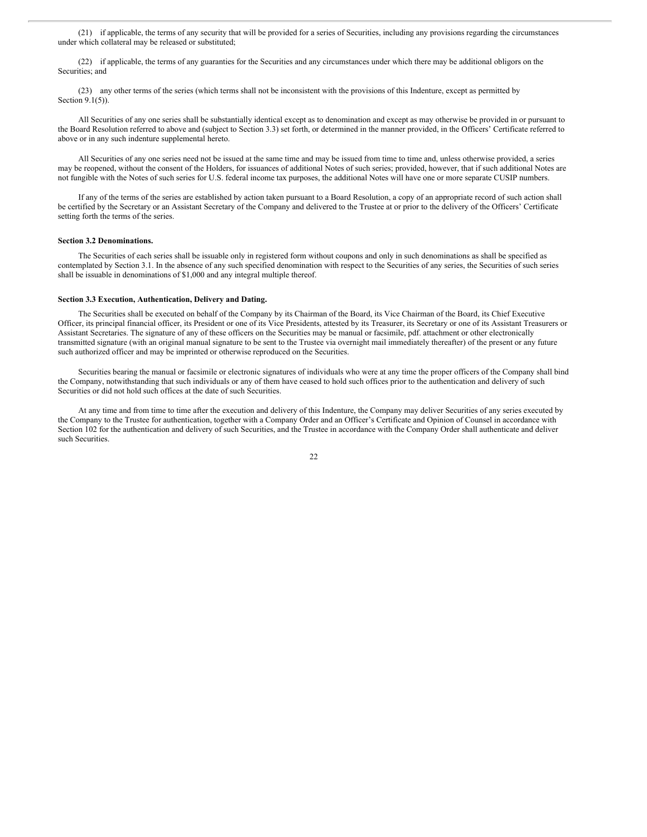(21) if applicable, the terms of any security that will be provided for a series of Securities, including any provisions regarding the circumstances under which collateral may be released or substituted;

(22) if applicable, the terms of any guaranties for the Securities and any circumstances under which there may be additional obligors on the Securities; and

(23) any other terms of the series (which terms shall not be inconsistent with the provisions of this Indenture, except as permitted by Section 9.1(5)).

All Securities of any one series shall be substantially identical except as to denomination and except as may otherwise be provided in or pursuant to the Board Resolution referred to above and (subject to Section 3.3) set forth, or determined in the manner provided, in the Officers' Certificate referred to above or in any such indenture supplemental hereto.

All Securities of any one series need not be issued at the same time and may be issued from time to time and, unless otherwise provided, a series may be reopened, without the consent of the Holders, for issuances of additional Notes of such series; provided, however, that if such additional Notes are not fungible with the Notes of such series for U.S. federal income tax purposes, the additional Notes will have one or more separate CUSIP numbers.

If any of the terms of the series are established by action taken pursuant to a Board Resolution, a copy of an appropriate record of such action shall be certified by the Secretary or an Assistant Secretary of the Company and delivered to the Trustee at or prior to the delivery of the Officers' Certificate setting forth the terms of the series.

#### **Section 3.2 Denominations.**

The Securities of each series shall be issuable only in registered form without coupons and only in such denominations as shall be specified as contemplated by Section 3.1. In the absence of any such specified denomination with respect to the Securities of any series, the Securities of such series shall be issuable in denominations of \$1,000 and any integral multiple thereof.

## **Section 3.3 Execution, Authentication, Delivery and Dating.**

The Securities shall be executed on behalf of the Company by its Chairman of the Board, its Vice Chairman of the Board, its Chief Executive Officer, its principal financial officer, its President or one of its Vice Presidents, attested by its Treasurer, its Secretary or one of its Assistant Treasurers or Assistant Secretaries. The signature of any of these officers on the Securities may be manual or facsimile, pdf. attachment or other electronically transmitted signature (with an original manual signature to be sent to the Trustee via overnight mail immediately thereafter) of the present or any future such authorized officer and may be imprinted or otherwise reproduced on the Securities.

Securities bearing the manual or facsimile or electronic signatures of individuals who were at any time the proper officers of the Company shall bind the Company, notwithstanding that such individuals or any of them have ceased to hold such offices prior to the authentication and delivery of such Securities or did not hold such offices at the date of such Securities.

At any time and from time to time after the execution and delivery of this Indenture, the Company may deliver Securities of any series executed by the Company to the Trustee for authentication, together with a Company Order and an Officer's Certificate and Opinion of Counsel in accordance with Section 102 for the authentication and delivery of such Securities, and the Trustee in accordance with the Company Order shall authenticate and deliver such Securities.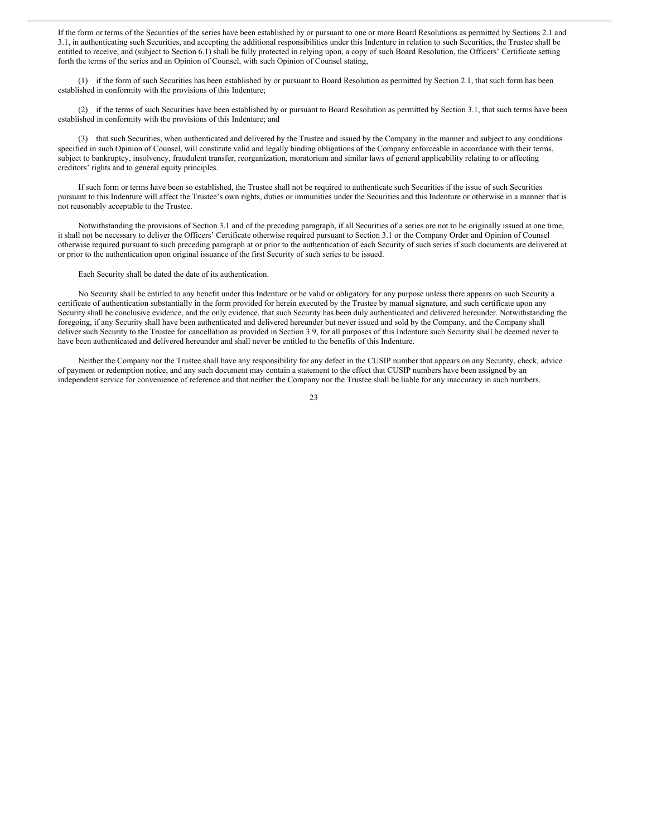If the form or terms of the Securities of the series have been established by or pursuant to one or more Board Resolutions as permitted by Sections 2.1 and 3.1, in authenticating such Securities, and accepting the additional responsibilities under this Indenture in relation to such Securities, the Trustee shall be entitled to receive, and (subject to Section 6.1) shall be fully protected in relying upon, a copy of such Board Resolution, the Officers' Certificate setting forth the terms of the series and an Opinion of Counsel, with such Opinion of Counsel stating,

(1) if the form of such Securities has been established by or pursuant to Board Resolution as permitted by Section 2.1, that such form has been established in conformity with the provisions of this Indenture;

(2) if the terms of such Securities have been established by or pursuant to Board Resolution as permitted by Section 3.1, that such terms have been established in conformity with the provisions of this Indenture; and

(3) that such Securities, when authenticated and delivered by the Trustee and issued by the Company in the manner and subject to any conditions specified in such Opinion of Counsel, will constitute valid and legally binding obligations of the Company enforceable in accordance with their terms, subject to bankruptcy, insolvency, fraudulent transfer, reorganization, moratorium and similar laws of general applicability relating to or affecting creditors' rights and to general equity principles.

If such form or terms have been so established, the Trustee shall not be required to authenticate such Securities if the issue of such Securities pursuant to this Indenture will affect the Trustee's own rights, duties or immunities under the Securities and this Indenture or otherwise in a manner that is not reasonably acceptable to the Trustee.

Notwithstanding the provisions of Section 3.1 and of the preceding paragraph, if all Securities of a series are not to be originally issued at one time, it shall not be necessary to deliver the Officers' Certificate otherwise required pursuant to Section 3.1 or the Company Order and Opinion of Counsel otherwise required pursuant to such preceding paragraph at or prior to the authentication of each Security of such series if such documents are delivered at or prior to the authentication upon original issuance of the first Security of such series to be issued.

Each Security shall be dated the date of its authentication.

No Security shall be entitled to any benefit under this Indenture or be valid or obligatory for any purpose unless there appears on such Security a certificate of authentication substantially in the form provided for herein executed by the Trustee by manual signature, and such certificate upon any Security shall be conclusive evidence, and the only evidence, that such Security has been duly authenticated and delivered hereunder. Notwithstanding the foregoing, if any Security shall have been authenticated and delivered hereunder but never issued and sold by the Company, and the Company shall deliver such Security to the Trustee for cancellation as provided in Section 3.9, for all purposes of this Indenture such Security shall be deemed never to have been authenticated and delivered hereunder and shall never be entitled to the benefits of this Indenture.

Neither the Company nor the Trustee shall have any responsibility for any defect in the CUSIP number that appears on any Security, check, advice of payment or redemption notice, and any such document may contain a statement to the effect that CUSIP numbers have been assigned by an independent service for convenience of reference and that neither the Company nor the Trustee shall be liable for any inaccuracy in such numbers.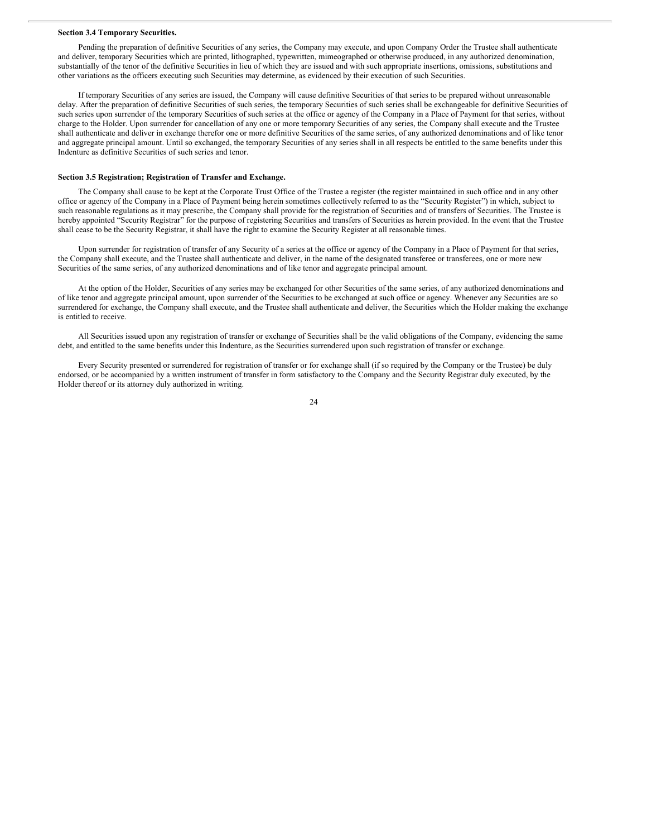#### **Section 3.4 Temporary Securities.**

Pending the preparation of definitive Securities of any series, the Company may execute, and upon Company Order the Trustee shall authenticate and deliver, temporary Securities which are printed, lithographed, typewritten, mimeographed or otherwise produced, in any authorized denomination, substantially of the tenor of the definitive Securities in lieu of which they are issued and with such appropriate insertions, omissions, substitutions and other variations as the officers executing such Securities may determine, as evidenced by their execution of such Securities.

If temporary Securities of any series are issued, the Company will cause definitive Securities of that series to be prepared without unreasonable delay. After the preparation of definitive Securities of such series, the temporary Securities of such series shall be exchangeable for definitive Securities of such series upon surrender of the temporary Securities of such series at the office or agency of the Company in a Place of Payment for that series, without charge to the Holder. Upon surrender for cancellation of any one or more temporary Securities of any series, the Company shall execute and the Trustee shall authenticate and deliver in exchange therefor one or more definitive Securities of the same series, of any authorized denominations and of like tenor and aggregate principal amount. Until so exchanged, the temporary Securities of any series shall in all respects be entitled to the same benefits under this Indenture as definitive Securities of such series and tenor.

#### **Section 3.5 Registration; Registration of Transfer and Exchange.**

The Company shall cause to be kept at the Corporate Trust Office of the Trustee a register (the register maintained in such office and in any other office or agency of the Company in a Place of Payment being herein sometimes collectively referred to as the "Security Register") in which, subject to such reasonable regulations as it may prescribe, the Company shall provide for the registration of Securities and of transfers of Securities. The Trustee is hereby appointed "Security Registrar" for the purpose of registering Securities and transfers of Securities as herein provided. In the event that the Trustee shall cease to be the Security Registrar, it shall have the right to examine the Security Register at all reasonable times.

Upon surrender for registration of transfer of any Security of a series at the office or agency of the Company in a Place of Payment for that series, the Company shall execute, and the Trustee shall authenticate and deliver, in the name of the designated transferee or transferees, one or more new Securities of the same series, of any authorized denominations and of like tenor and aggregate principal amount.

At the option of the Holder, Securities of any series may be exchanged for other Securities of the same series, of any authorized denominations and of like tenor and aggregate principal amount, upon surrender of the Securities to be exchanged at such office or agency. Whenever any Securities are so surrendered for exchange, the Company shall execute, and the Trustee shall authenticate and deliver, the Securities which the Holder making the exchange is entitled to receive.

All Securities issued upon any registration of transfer or exchange of Securities shall be the valid obligations of the Company, evidencing the same debt, and entitled to the same benefits under this Indenture, as the Securities surrendered upon such registration of transfer or exchange.

Every Security presented or surrendered for registration of transfer or for exchange shall (if so required by the Company or the Trustee) be duly endorsed, or be accompanied by a written instrument of transfer in form satisfactory to the Company and the Security Registrar duly executed, by the Holder thereof or its attorney duly authorized in writing.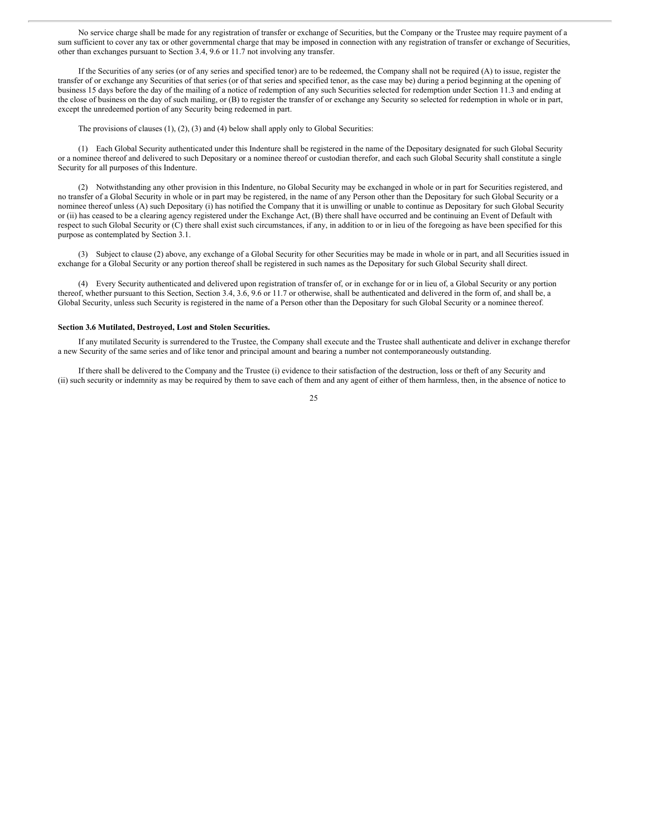No service charge shall be made for any registration of transfer or exchange of Securities, but the Company or the Trustee may require payment of a sum sufficient to cover any tax or other governmental charge that may be imposed in connection with any registration of transfer or exchange of Securities, other than exchanges pursuant to Section 3.4, 9.6 or 11.7 not involving any transfer.

If the Securities of any series (or of any series and specified tenor) are to be redeemed, the Company shall not be required (A) to issue, register the transfer of or exchange any Securities of that series (or of that series and specified tenor, as the case may be) during a period beginning at the opening of business 15 days before the day of the mailing of a notice of redemption of any such Securities selected for redemption under Section 11.3 and ending at the close of business on the day of such mailing, or (B) to register the transfer of or exchange any Security so selected for redemption in whole or in part, except the unredeemed portion of any Security being redeemed in part.

The provisions of clauses (1), (2), (3) and (4) below shall apply only to Global Securities:

(1) Each Global Security authenticated under this Indenture shall be registered in the name of the Depositary designated for such Global Security or a nominee thereof and delivered to such Depositary or a nominee thereof or custodian therefor, and each such Global Security shall constitute a single Security for all purposes of this Indenture.

(2) Notwithstanding any other provision in this Indenture, no Global Security may be exchanged in whole or in part for Securities registered, and no transfer of a Global Security in whole or in part may be registered, in the name of any Person other than the Depositary for such Global Security or a nominee thereof unless (A) such Depositary (i) has notified the Company that it is unwilling or unable to continue as Depositary for such Global Security or (ii) has ceased to be a clearing agency registered under the Exchange Act, (B) there shall have occurred and be continuing an Event of Default with respect to such Global Security or (C) there shall exist such circumstances, if any, in addition to or in lieu of the foregoing as have been specified for this purpose as contemplated by Section 3.1.

(3) Subject to clause (2) above, any exchange of a Global Security for other Securities may be made in whole or in part, and all Securities issued in exchange for a Global Security or any portion thereof shall be registered in such names as the Depositary for such Global Security shall direct.

(4) Every Security authenticated and delivered upon registration of transfer of, or in exchange for or in lieu of, a Global Security or any portion thereof, whether pursuant to this Section, Section 3.4, 3.6, 9.6 or 11.7 or otherwise, shall be authenticated and delivered in the form of, and shall be, a Global Security, unless such Security is registered in the name of a Person other than the Depositary for such Global Security or a nominee thereof.

### **Section 3.6 Mutilated, Destroyed, Lost and Stolen Securities.**

If any mutilated Security is surrendered to the Trustee, the Company shall execute and the Trustee shall authenticate and deliver in exchange therefor a new Security of the same series and of like tenor and principal amount and bearing a number not contemporaneously outstanding.

If there shall be delivered to the Company and the Trustee (i) evidence to their satisfaction of the destruction, loss or theft of any Security and (ii) such security or indemnity as may be required by them to save each of them and any agent of either of them harmless, then, in the absence of notice to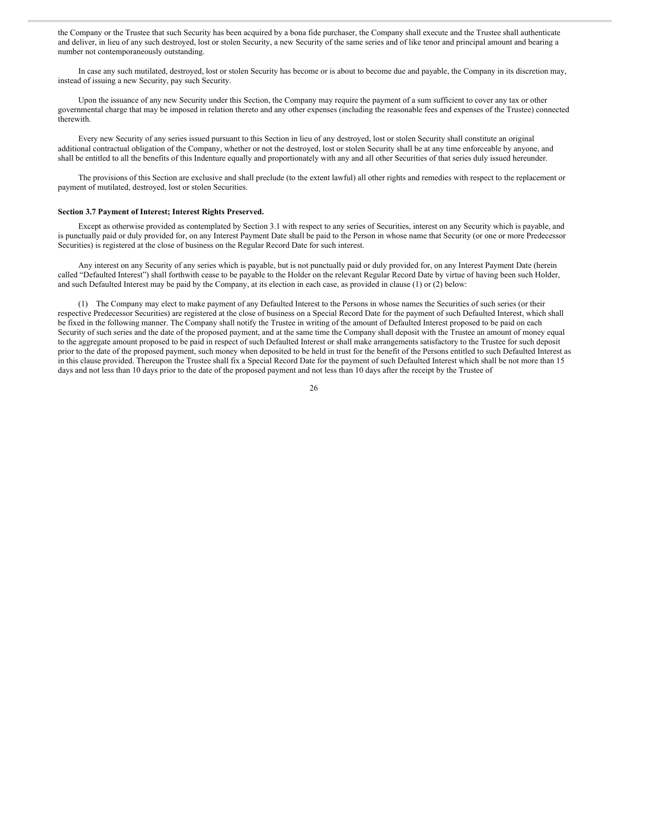the Company or the Trustee that such Security has been acquired by a bona fide purchaser, the Company shall execute and the Trustee shall authenticate and deliver, in lieu of any such destroyed, lost or stolen Security, a new Security of the same series and of like tenor and principal amount and bearing a number not contemporaneously outstanding.

In case any such mutilated, destroyed, lost or stolen Security has become or is about to become due and payable, the Company in its discretion may, instead of issuing a new Security, pay such Security.

Upon the issuance of any new Security under this Section, the Company may require the payment of a sum sufficient to cover any tax or other governmental charge that may be imposed in relation thereto and any other expenses (including the reasonable fees and expenses of the Trustee) connected therewith.

Every new Security of any series issued pursuant to this Section in lieu of any destroyed, lost or stolen Security shall constitute an original additional contractual obligation of the Company, whether or not the destroyed, lost or stolen Security shall be at any time enforceable by anyone, and shall be entitled to all the benefits of this Indenture equally and proportionately with any and all other Securities of that series duly issued hereunder.

The provisions of this Section are exclusive and shall preclude (to the extent lawful) all other rights and remedies with respect to the replacement or payment of mutilated, destroyed, lost or stolen Securities.

#### **Section 3.7 Payment of Interest; Interest Rights Preserved.**

Except as otherwise provided as contemplated by Section 3.1 with respect to any series of Securities, interest on any Security which is payable, and is punctually paid or duly provided for, on any Interest Payment Date shall be paid to the Person in whose name that Security (or one or more Predecessor Securities) is registered at the close of business on the Regular Record Date for such interest.

Any interest on any Security of any series which is payable, but is not punctually paid or duly provided for, on any Interest Payment Date (herein called "Defaulted Interest") shall forthwith cease to be payable to the Holder on the relevant Regular Record Date by virtue of having been such Holder, and such Defaulted Interest may be paid by the Company, at its election in each case, as provided in clause (1) or (2) below:

(1) The Company may elect to make payment of any Defaulted Interest to the Persons in whose names the Securities of such series (or their respective Predecessor Securities) are registered at the close of business on a Special Record Date for the payment of such Defaulted Interest, which shall be fixed in the following manner. The Company shall notify the Trustee in writing of the amount of Defaulted Interest proposed to be paid on each Security of such series and the date of the proposed payment, and at the same time the Company shall deposit with the Trustee an amount of money equal to the aggregate amount proposed to be paid in respect of such Defaulted Interest or shall make arrangements satisfactory to the Trustee for such deposit prior to the date of the proposed payment, such money when deposited to be held in trust for the benefit of the Persons entitled to such Defaulted Interest as in this clause provided. Thereupon the Trustee shall fix a Special Record Date for the payment of such Defaulted Interest which shall be not more than 15 days and not less than 10 days prior to the date of the proposed payment and not less than 10 days after the receipt by the Trustee of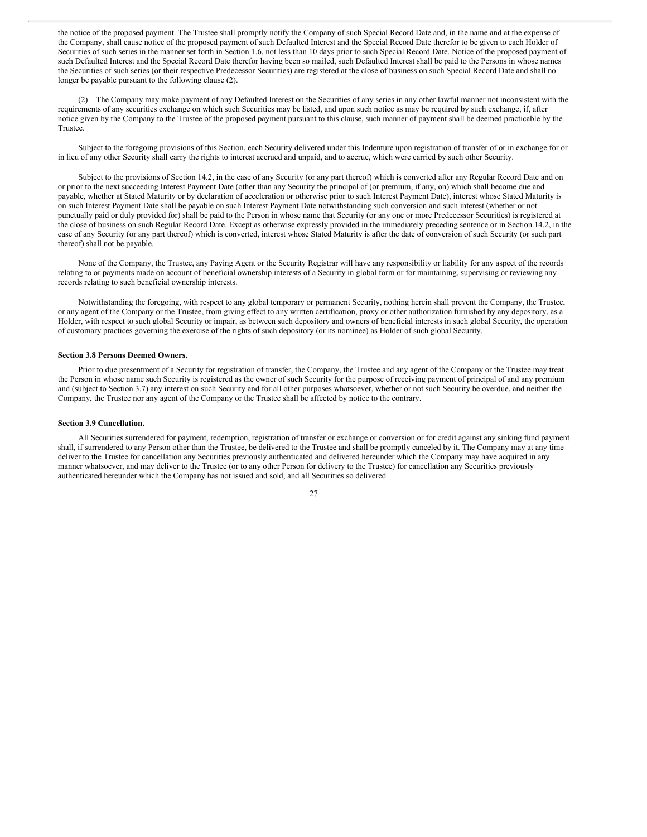the notice of the proposed payment. The Trustee shall promptly notify the Company of such Special Record Date and, in the name and at the expense of the Company, shall cause notice of the proposed payment of such Defaulted Interest and the Special Record Date therefor to be given to each Holder of Securities of such series in the manner set forth in Section 1.6, not less than 10 days prior to such Special Record Date. Notice of the proposed payment of such Defaulted Interest and the Special Record Date therefor having been so mailed, such Defaulted Interest shall be paid to the Persons in whose names the Securities of such series (or their respective Predecessor Securities) are registered at the close of business on such Special Record Date and shall no longer be payable pursuant to the following clause (2).

(2) The Company may make payment of any Defaulted Interest on the Securities of any series in any other lawful manner not inconsistent with the requirements of any securities exchange on which such Securities may be listed, and upon such notice as may be required by such exchange, if, after notice given by the Company to the Trustee of the proposed payment pursuant to this clause, such manner of payment shall be deemed practicable by the Trustee.

Subject to the foregoing provisions of this Section, each Security delivered under this Indenture upon registration of transfer of or in exchange for or in lieu of any other Security shall carry the rights to interest accrued and unpaid, and to accrue, which were carried by such other Security.

Subject to the provisions of Section 14.2, in the case of any Security (or any part thereof) which is converted after any Regular Record Date and on or prior to the next succeeding Interest Payment Date (other than any Security the principal of (or premium, if any, on) which shall become due and payable, whether at Stated Maturity or by declaration of acceleration or otherwise prior to such Interest Payment Date), interest whose Stated Maturity is on such Interest Payment Date shall be payable on such Interest Payment Date notwithstanding such conversion and such interest (whether or not punctually paid or duly provided for) shall be paid to the Person in whose name that Security (or any one or more Predecessor Securities) is registered at the close of business on such Regular Record Date. Except as otherwise expressly provided in the immediately preceding sentence or in Section 14.2, in the case of any Security (or any part thereof) which is converted, interest whose Stated Maturity is after the date of conversion of such Security (or such part thereof) shall not be payable.

None of the Company, the Trustee, any Paying Agent or the Security Registrar will have any responsibility or liability for any aspect of the records relating to or payments made on account of beneficial ownership interests of a Security in global form or for maintaining, supervising or reviewing any records relating to such beneficial ownership interests.

Notwithstanding the foregoing, with respect to any global temporary or permanent Security, nothing herein shall prevent the Company, the Trustee, or any agent of the Company or the Trustee, from giving effect to any written certification, proxy or other authorization furnished by any depository, as a Holder, with respect to such global Security or impair, as between such depository and owners of beneficial interests in such global Security, the operation of customary practices governing the exercise of the rights of such depository (or its nominee) as Holder of such global Security.

#### **Section 3.8 Persons Deemed Owners.**

Prior to due presentment of a Security for registration of transfer, the Company, the Trustee and any agent of the Company or the Trustee may treat the Person in whose name such Security is registered as the owner of such Security for the purpose of receiving payment of principal of and any premium and (subject to Section 3.7) any interest on such Security and for all other purposes whatsoever, whether or not such Security be overdue, and neither the Company, the Trustee nor any agent of the Company or the Trustee shall be affected by notice to the contrary.

### **Section 3.9 Cancellation.**

All Securities surrendered for payment, redemption, registration of transfer or exchange or conversion or for credit against any sinking fund payment shall, if surrendered to any Person other than the Trustee, be delivered to the Trustee and shall be promptly canceled by it. The Company may at any time deliver to the Trustee for cancellation any Securities previously authenticated and delivered hereunder which the Company may have acquired in any manner whatsoever, and may deliver to the Trustee (or to any other Person for delivery to the Trustee) for cancellation any Securities previously authenticated hereunder which the Company has not issued and sold, and all Securities so delivered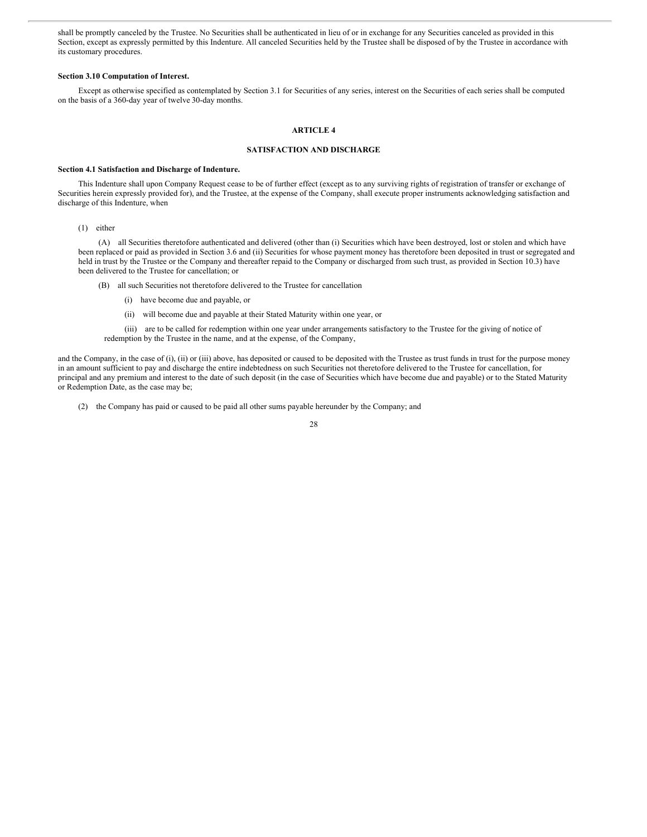shall be promptly canceled by the Trustee. No Securities shall be authenticated in lieu of or in exchange for any Securities canceled as provided in this Section, except as expressly permitted by this Indenture. All canceled Securities held by the Trustee shall be disposed of by the Trustee in accordance with its customary procedures.

### **Section 3.10 Computation of Interest.**

Except as otherwise specified as contemplated by Section 3.1 for Securities of any series, interest on the Securities of each series shall be computed on the basis of a 360-day year of twelve 30-day months.

### **ARTICLE 4**

## **SATISFACTION AND DISCHARGE**

### **Section 4.1 Satisfaction and Discharge of Indenture.**

This Indenture shall upon Company Request cease to be of further effect (except as to any surviving rights of registration of transfer or exchange of Securities herein expressly provided for), and the Trustee, at the expense of the Company, shall execute proper instruments acknowledging satisfaction and discharge of this Indenture, when

(1) either

(A) all Securities theretofore authenticated and delivered (other than (i) Securities which have been destroyed, lost or stolen and which have been replaced or paid as provided in Section 3.6 and (ii) Securities for whose payment money has theretofore been deposited in trust or segregated and held in trust by the Trustee or the Company and thereafter repaid to the Company or discharged from such trust, as provided in Section 10.3) have been delivered to the Trustee for cancellation; or

- (B) all such Securities not theretofore delivered to the Trustee for cancellation
	- (i) have become due and payable, or
	- (ii) will become due and payable at their Stated Maturity within one year, or

(iii) are to be called for redemption within one year under arrangements satisfactory to the Trustee for the giving of notice of redemption by the Trustee in the name, and at the expense, of the Company,

and the Company, in the case of (i), (ii) or (iii) above, has deposited or caused to be deposited with the Trustee as trust funds in trust for the purpose money in an amount sufficient to pay and discharge the entire indebtedness on such Securities not theretofore delivered to the Trustee for cancellation, for principal and any premium and interest to the date of such deposit (in the case of Securities which have become due and payable) or to the Stated Maturity or Redemption Date, as the case may be;

(2) the Company has paid or caused to be paid all other sums payable hereunder by the Company; and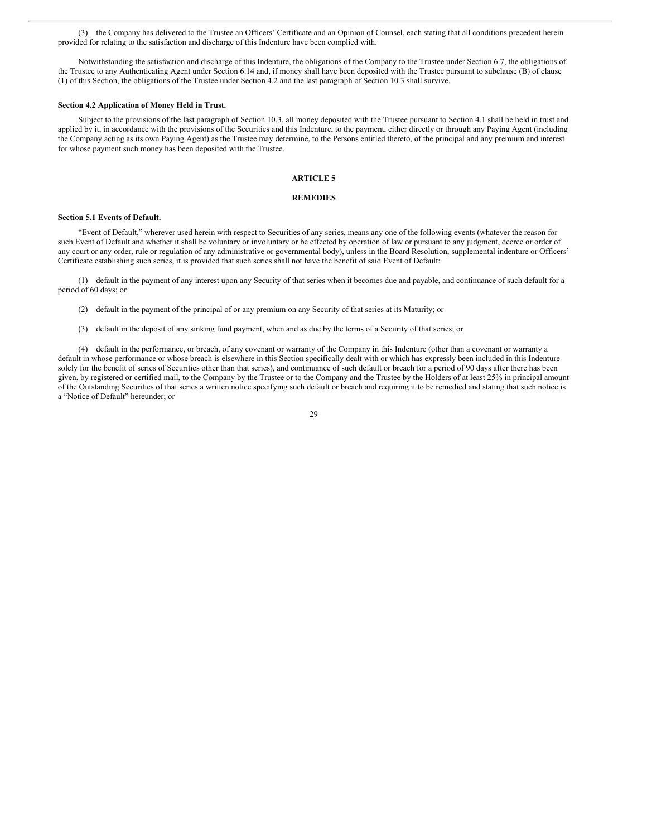(3) the Company has delivered to the Trustee an Officers' Certificate and an Opinion of Counsel, each stating that all conditions precedent herein provided for relating to the satisfaction and discharge of this Indenture have been complied with.

Notwithstanding the satisfaction and discharge of this Indenture, the obligations of the Company to the Trustee under Section 6.7, the obligations of the Trustee to any Authenticating Agent under Section 6.14 and, if money shall have been deposited with the Trustee pursuant to subclause (B) of clause (1) of this Section, the obligations of the Trustee under Section 4.2 and the last paragraph of Section 10.3 shall survive.

### **Section 4.2 Application of Money Held in Trust.**

Subject to the provisions of the last paragraph of Section 10.3, all money deposited with the Trustee pursuant to Section 4.1 shall be held in trust and applied by it, in accordance with the provisions of the Securities and this Indenture, to the payment, either directly or through any Paying Agent (including the Company acting as its own Paying Agent) as the Trustee may determine, to the Persons entitled thereto, of the principal and any premium and interest for whose payment such money has been deposited with the Trustee.

### **ARTICLE 5**

## **REMEDIES**

## **Section 5.1 Events of Default.**

"Event of Default," wherever used herein with respect to Securities of any series, means any one of the following events (whatever the reason for such Event of Default and whether it shall be voluntary or involuntary or be effected by operation of law or pursuant to any judgment, decree or order of any court or any order, rule or regulation of any administrative or governmental body), unless in the Board Resolution, supplemental indenture or Officers' Certificate establishing such series, it is provided that such series shall not have the benefit of said Event of Default:

(1) default in the payment of any interest upon any Security of that series when it becomes due and payable, and continuance of such default for a period of 60 days; or

- (2) default in the payment of the principal of or any premium on any Security of that series at its Maturity; or
- (3) default in the deposit of any sinking fund payment, when and as due by the terms of a Security of that series; or

(4) default in the performance, or breach, of any covenant or warranty of the Company in this Indenture (other than a covenant or warranty a default in whose performance or whose breach is elsewhere in this Section specifically dealt with or which has expressly been included in this Indenture solely for the benefit of series of Securities other than that series), and continuance of such default or breach for a period of 90 days after there has been given, by registered or certified mail, to the Company by the Trustee or to the Company and the Trustee by the Holders of at least 25% in principal amount of the Outstanding Securities of that series a written notice specifying such default or breach and requiring it to be remedied and stating that such notice is a "Notice of Default" hereunder; or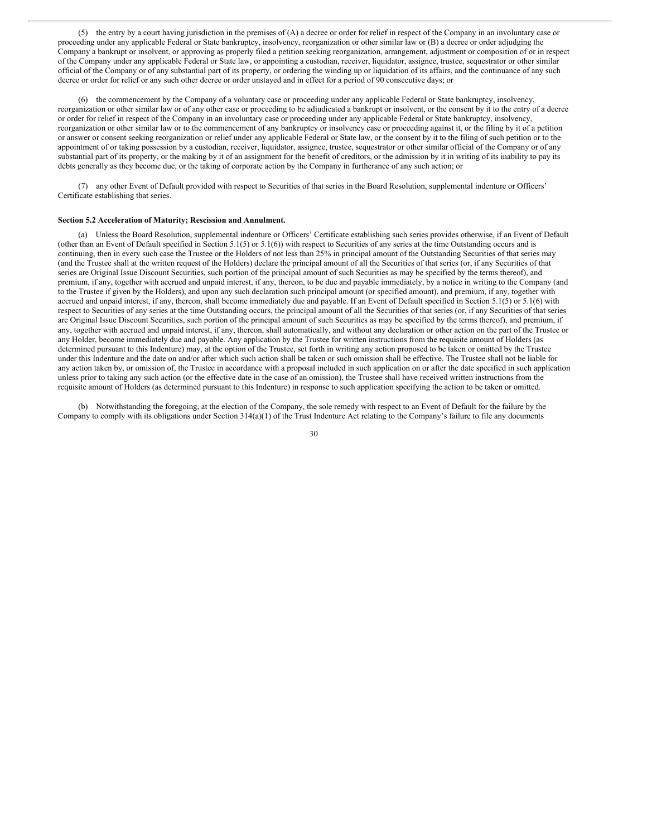(5) the entry by a court having jurisdiction in the premises of (A) a decree or order for relief in respect of the Company in an involuntary case or proceeding under any applicable Federal or State bankruptcy, insolvency, reorganization or other similar law or (B) a decree or order adjudging the Company a bankrupt or insolvent, or approving as properly filed a petition seeking reorganization, arrangement, adjustment or composition of or in respect of the Company under any applicable Federal or State law, or appointing a custodian, receiver, liquidator, assignee, trustee, sequestrator or other similar official of the Company or of any substantial part of its property, or ordering the winding up or liquidation of its affairs, and the continuance of any such decree or order for relief or any such other decree or order unstayed and in effect for a period of 90 consecutive days; or

(6) the commencement by the Company of a voluntary case or proceeding under any applicable Federal or State bankruptcy, insolvency, reorganization or other similar law or of any other case or proceeding to be adjudicated a bankrupt or insolvent, or the consent by it to the entry of a decree or order for relief in respect of the Company in an involuntary case or proceeding under any applicable Federal or State bankruptcy, insolvency, reorganization or other similar law or to the commencement of any bankruptcy or insolvency case or proceeding against it, or the filing by it of a petition or answer or consent seeking reorganization or relief under any applicable Federal or State law, or the consent by it to the filing of such petition or to the appointment of or taking possession by a custodian, receiver, liquidator, assignee, trustee, sequestrator or other similar official of the Company or of any substantial part of its property, or the making by it of an assignment for the benefit of creditors, or the admission by it in writing of its inability to pay its debts generally as they become due, or the taking of corporate action by the Company in furtherance of any such action; or

(7) any other Event of Default provided with respect to Securities of that series in the Board Resolution, supplemental indenture or Officers' Certificate establishing that series.

### **Section 5.2 Acceleration of Maturity; Rescission and Annulment.**

(a) Unless the Board Resolution, supplemental indenture or Officers' Certificate establishing such series provides otherwise, if an Event of Default (other than an Event of Default specified in Section 5.1(5) or 5.1(6)) with respect to Securities of any series at the time Outstanding occurs and is continuing, then in every such case the Trustee or the Holders of not less than 25% in principal amount of the Outstanding Securities of that series may (and the Trustee shall at the written request of the Holders) declare the principal amount of all the Securities of that series (or, if any Securities of that series are Original Issue Discount Securities, such portion of the principal amount of such Securities as may be specified by the terms thereof), and premium, if any, together with accrued and unpaid interest, if any, thereon, to be due and payable immediately, by a notice in writing to the Company (and to the Trustee if given by the Holders), and upon any such declaration such principal amount (or specified amount), and premium, if any, together with accrued and unpaid interest, if any, thereon, shall become immediately due and payable. If an Event of Default specified in Section 5.1(5) or 5.1(6) with respect to Securities of any series at the time Outstanding occurs, the principal amount of all the Securities of that series (or, if any Securities of that series are Original Issue Discount Securities, such portion of the principal amount of such Securities as may be specified by the terms thereof), and premium, if any, together with accrued and unpaid interest, if any, thereon, shall automatically, and without any declaration or other action on the part of the Trustee or any Holder, become immediately due and payable. Any application by the Trustee for written instructions from the requisite amount of Holders (as determined pursuant to this Indenture) may, at the option of the Trustee, set forth in writing any action proposed to be taken or omitted by the Trustee under this Indenture and the date on and/or after which such action shall be taken or such omission shall be effective. The Trustee shall not be liable for any action taken by, or omission of, the Trustee in accordance with a proposal included in such application on or after the date specified in such application unless prior to taking any such action (or the effective date in the case of an omission), the Trustee shall have received written instructions from the requisite amount of Holders (as determined pursuant to this Indenture) in response to such application specifying the action to be taken or omitted.

(b) Notwithstanding the foregoing, at the election of the Company, the sole remedy with respect to an Event of Default for the failure by the Company to comply with its obligations under Section  $314(a)(1)$  of the Trust Indenture Act relating to the Company's failure to file any documents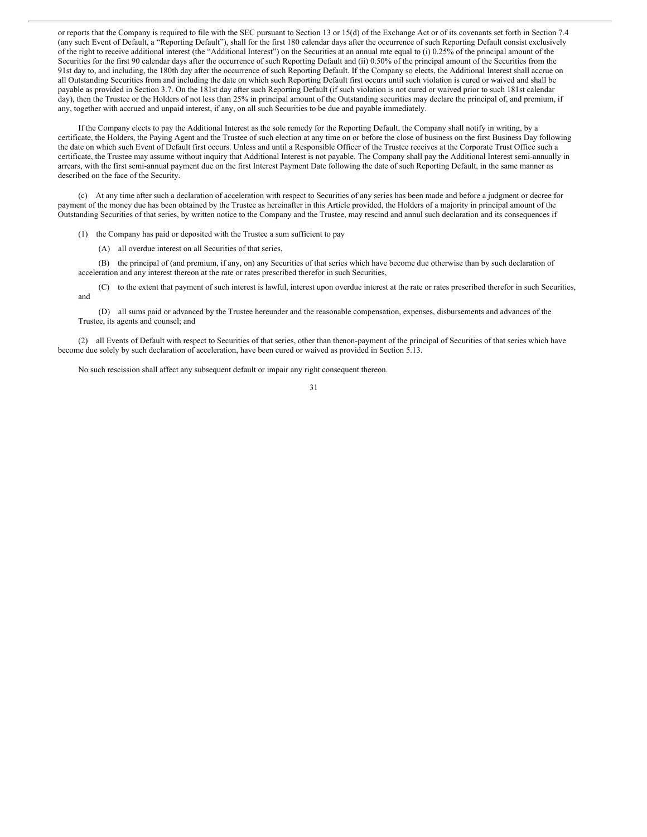or reports that the Company is required to file with the SEC pursuant to Section 13 or 15(d) of the Exchange Act or of its covenants set forth in Section 7.4 (any such Event of Default, a "Reporting Default"), shall for the first 180 calendar days after the occurrence of such Reporting Default consist exclusively of the right to receive additional interest (the "Additional Interest") on the Securities at an annual rate equal to (i) 0.25% of the principal amount of the Securities for the first 90 calendar days after the occurrence of such Reporting Default and (ii) 0.50% of the principal amount of the Securities from the 91st day to, and including, the 180th day after the occurrence of such Reporting Default. If the Company so elects, the Additional Interest shall accrue on all Outstanding Securities from and including the date on which such Reporting Default first occurs until such violation is cured or waived and shall be payable as provided in Section 3.7. On the 181st day after such Reporting Default (if such violation is not cured or waived prior to such 181st calendar day), then the Trustee or the Holders of not less than 25% in principal amount of the Outstanding securities may declare the principal of, and premium, if any, together with accrued and unpaid interest, if any, on all such Securities to be due and payable immediately.

If the Company elects to pay the Additional Interest as the sole remedy for the Reporting Default, the Company shall notify in writing, by a certificate, the Holders, the Paying Agent and the Trustee of such election at any time on or before the close of business on the first Business Day following the date on which such Event of Default first occurs. Unless and until a Responsible Officer of the Trustee receives at the Corporate Trust Office such a certificate, the Trustee may assume without inquiry that Additional Interest is not payable. The Company shall pay the Additional Interest semi-annually in arrears, with the first semi-annual payment due on the first Interest Payment Date following the date of such Reporting Default, in the same manner as described on the face of the Security.

(c) At any time after such a declaration of acceleration with respect to Securities of any series has been made and before a judgment or decree for payment of the money due has been obtained by the Trustee as hereinafter in this Article provided, the Holders of a majority in principal amount of the Outstanding Securities of that series, by written notice to the Company and the Trustee, may rescind and annul such declaration and its consequences if

- (1) the Company has paid or deposited with the Trustee a sum sufficient to pay
	- (A) all overdue interest on all Securities of that series,

(B) the principal of (and premium, if any, on) any Securities of that series which have become due otherwise than by such declaration of acceleration and any interest thereon at the rate or rates prescribed therefor in such Securities,

(C) to the extent that payment of such interest is lawful, interest upon overdue interest at the rate or rates prescribed therefor in such Securities, and

(D) all sums paid or advanced by the Trustee hereunder and the reasonable compensation, expenses, disbursements and advances of the Trustee, its agents and counsel; and

(2) all Events of Default with respect to Securities of that series, other than thenon-payment of the principal of Securities of that series which have become due solely by such declaration of acceleration, have been cured or waived as provided in Section 5.13.

No such rescission shall affect any subsequent default or impair any right consequent thereon.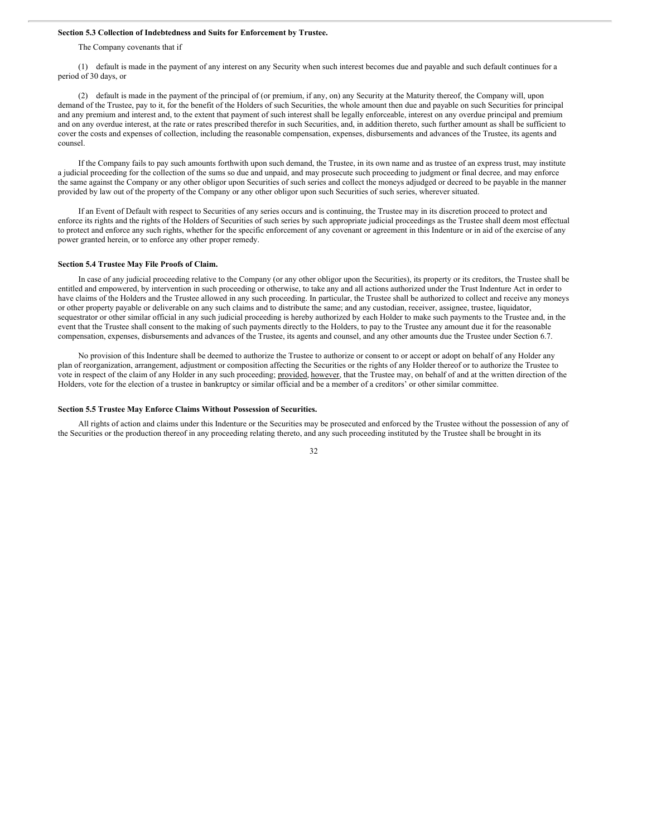## **Section 5.3 Collection of Indebtedness and Suits for Enforcement by Trustee.**

The Company covenants that if

(1) default is made in the payment of any interest on any Security when such interest becomes due and payable and such default continues for a period of 30 days, or

(2) default is made in the payment of the principal of (or premium, if any, on) any Security at the Maturity thereof, the Company will, upon demand of the Trustee, pay to it, for the benefit of the Holders of such Securities, the whole amount then due and payable on such Securities for principal and any premium and interest and, to the extent that payment of such interest shall be legally enforceable, interest on any overdue principal and premium and on any overdue interest, at the rate or rates prescribed therefor in such Securities, and, in addition thereto, such further amount as shall be sufficient to cover the costs and expenses of collection, including the reasonable compensation, expenses, disbursements and advances of the Trustee, its agents and counsel.

If the Company fails to pay such amounts forthwith upon such demand, the Trustee, in its own name and as trustee of an express trust, may institute a judicial proceeding for the collection of the sums so due and unpaid, and may prosecute such proceeding to judgment or final decree, and may enforce the same against the Company or any other obligor upon Securities of such series and collect the moneys adjudged or decreed to be payable in the manner provided by law out of the property of the Company or any other obligor upon such Securities of such series, wherever situated.

If an Event of Default with respect to Securities of any series occurs and is continuing, the Trustee may in its discretion proceed to protect and enforce its rights and the rights of the Holders of Securities of such series by such appropriate judicial proceedings as the Trustee shall deem most effectual to protect and enforce any such rights, whether for the specific enforcement of any covenant or agreement in this Indenture or in aid of the exercise of any power granted herein, or to enforce any other proper remedy.

#### **Section 5.4 Trustee May File Proofs of Claim.**

In case of any judicial proceeding relative to the Company (or any other obligor upon the Securities), its property or its creditors, the Trustee shall be entitled and empowered, by intervention in such proceeding or otherwise, to take any and all actions authorized under the Trust Indenture Act in order to have claims of the Holders and the Trustee allowed in any such proceeding. In particular, the Trustee shall be authorized to collect and receive any moneys or other property payable or deliverable on any such claims and to distribute the same; and any custodian, receiver, assignee, trustee, liquidator, sequestrator or other similar official in any such judicial proceeding is hereby authorized by each Holder to make such payments to the Trustee and, in the event that the Trustee shall consent to the making of such payments directly to the Holders, to pay to the Trustee any amount due it for the reasonable compensation, expenses, disbursements and advances of the Trustee, its agents and counsel, and any other amounts due the Trustee under Section 6.7.

No provision of this Indenture shall be deemed to authorize the Trustee to authorize or consent to or accept or adopt on behalf of any Holder any plan of reorganization, arrangement, adjustment or composition affecting the Securities or the rights of any Holder thereof or to authorize the Trustee to vote in respect of the claim of any Holder in any such proceeding; provided, however, that the Trustee may, on behalf of and at the written direction of the Holders, vote for the election of a trustee in bankruptcy or similar official and be a member of a creditors' or other similar committee.

#### **Section 5.5 Trustee May Enforce Claims Without Possession of Securities.**

All rights of action and claims under this Indenture or the Securities may be prosecuted and enforced by the Trustee without the possession of any of the Securities or the production thereof in any proceeding relating thereto, and any such proceeding instituted by the Trustee shall be brought in its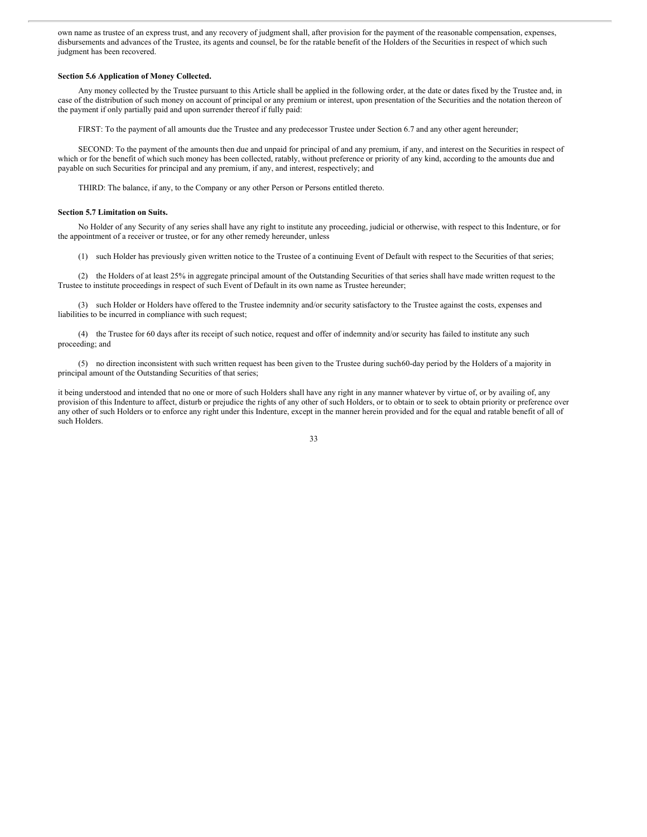own name as trustee of an express trust, and any recovery of judgment shall, after provision for the payment of the reasonable compensation, expenses, disbursements and advances of the Trustee, its agents and counsel, be for the ratable benefit of the Holders of the Securities in respect of which such judgment has been recovered.

### **Section 5.6 Application of Money Collected.**

Any money collected by the Trustee pursuant to this Article shall be applied in the following order, at the date or dates fixed by the Trustee and, in case of the distribution of such money on account of principal or any premium or interest, upon presentation of the Securities and the notation thereon of the payment if only partially paid and upon surrender thereof if fully paid:

FIRST: To the payment of all amounts due the Trustee and any predecessor Trustee under Section 6.7 and any other agent hereunder;

SECOND: To the payment of the amounts then due and unpaid for principal of and any premium, if any, and interest on the Securities in respect of which or for the benefit of which such money has been collected, ratably, without preference or priority of any kind, according to the amounts due and payable on such Securities for principal and any premium, if any, and interest, respectively; and

THIRD: The balance, if any, to the Company or any other Person or Persons entitled thereto.

### **Section 5.7 Limitation on Suits.**

No Holder of any Security of any series shall have any right to institute any proceeding, judicial or otherwise, with respect to this Indenture, or for the appointment of a receiver or trustee, or for any other remedy hereunder, unless

(1) such Holder has previously given written notice to the Trustee of a continuing Event of Default with respect to the Securities of that series;

(2) the Holders of at least 25% in aggregate principal amount of the Outstanding Securities of that series shall have made written request to the Trustee to institute proceedings in respect of such Event of Default in its own name as Trustee hereunder;

(3) such Holder or Holders have offered to the Trustee indemnity and/or security satisfactory to the Trustee against the costs, expenses and liabilities to be incurred in compliance with such request;

(4) the Trustee for 60 days after its receipt of such notice, request and offer of indemnity and/or security has failed to institute any such proceeding; and

(5) no direction inconsistent with such written request has been given to the Trustee during such60-day period by the Holders of a majority in principal amount of the Outstanding Securities of that series;

it being understood and intended that no one or more of such Holders shall have any right in any manner whatever by virtue of, or by availing of, any provision of this Indenture to affect, disturb or prejudice the rights of any other of such Holders, or to obtain or to seek to obtain priority or preference over any other of such Holders or to enforce any right under this Indenture, except in the manner herein provided and for the equal and ratable benefit of all of such Holders.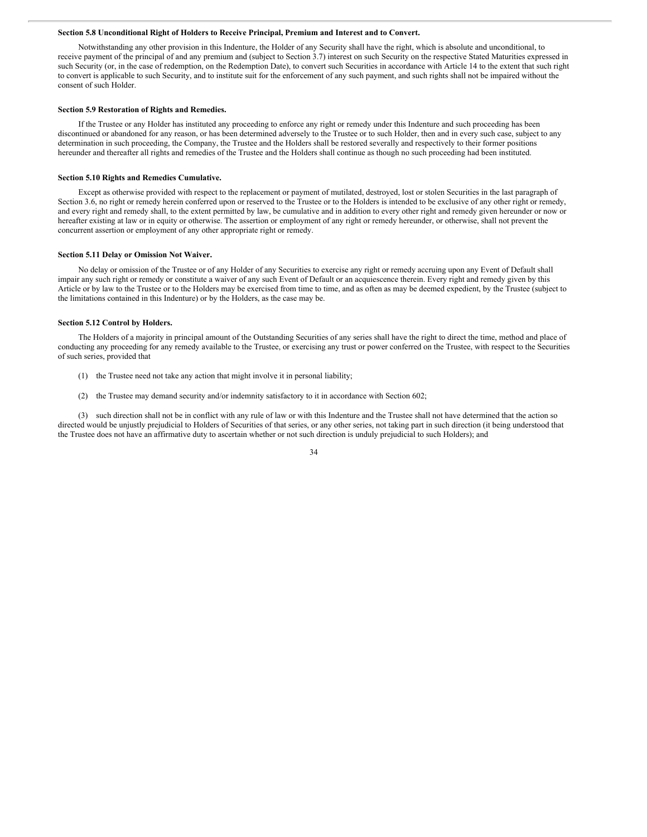### **Section 5.8 Unconditional Right of Holders to Receive Principal, Premium and Interest and to Convert.**

Notwithstanding any other provision in this Indenture, the Holder of any Security shall have the right, which is absolute and unconditional, to receive payment of the principal of and any premium and (subject to Section 3.7) interest on such Security on the respective Stated Maturities expressed in such Security (or, in the case of redemption, on the Redemption Date), to convert such Securities in accordance with Article 14 to the extent that such right to convert is applicable to such Security, and to institute suit for the enforcement of any such payment, and such rights shall not be impaired without the consent of such Holder.

# **Section 5.9 Restoration of Rights and Remedies.**

If the Trustee or any Holder has instituted any proceeding to enforce any right or remedy under this Indenture and such proceeding has been discontinued or abandoned for any reason, or has been determined adversely to the Trustee or to such Holder, then and in every such case, subject to any determination in such proceeding, the Company, the Trustee and the Holders shall be restored severally and respectively to their former positions hereunder and thereafter all rights and remedies of the Trustee and the Holders shall continue as though no such proceeding had been instituted.

### **Section 5.10 Rights and Remedies Cumulative.**

Except as otherwise provided with respect to the replacement or payment of mutilated, destroyed, lost or stolen Securities in the last paragraph of Section 3.6, no right or remedy herein conferred upon or reserved to the Trustee or to the Holders is intended to be exclusive of any other right or remedy, and every right and remedy shall, to the extent permitted by law, be cumulative and in addition to every other right and remedy given hereunder or now or hereafter existing at law or in equity or otherwise. The assertion or employment of any right or remedy hereunder, or otherwise, shall not prevent the concurrent assertion or employment of any other appropriate right or remedy.

### **Section 5.11 Delay or Omission Not Waiver.**

No delay or omission of the Trustee or of any Holder of any Securities to exercise any right or remedy accruing upon any Event of Default shall impair any such right or remedy or constitute a waiver of any such Event of Default or an acquiescence therein. Every right and remedy given by this Article or by law to the Trustee or to the Holders may be exercised from time to time, and as often as may be deemed expedient, by the Trustee (subject to the limitations contained in this Indenture) or by the Holders, as the case may be.

### **Section 5.12 Control by Holders.**

The Holders of a majority in principal amount of the Outstanding Securities of any series shall have the right to direct the time, method and place of conducting any proceeding for any remedy available to the Trustee, or exercising any trust or power conferred on the Trustee, with respect to the Securities of such series, provided that

- (1) the Trustee need not take any action that might involve it in personal liability;
- (2) the Trustee may demand security and/or indemnity satisfactory to it in accordance with Section 602;

(3) such direction shall not be in conflict with any rule of law or with this Indenture and the Trustee shall not have determined that the action so directed would be unjustly prejudicial to Holders of Securities of that series, or any other series, not taking part in such direction (it being understood that the Trustee does not have an affirmative duty to ascertain whether or not such direction is unduly prejudicial to such Holders); and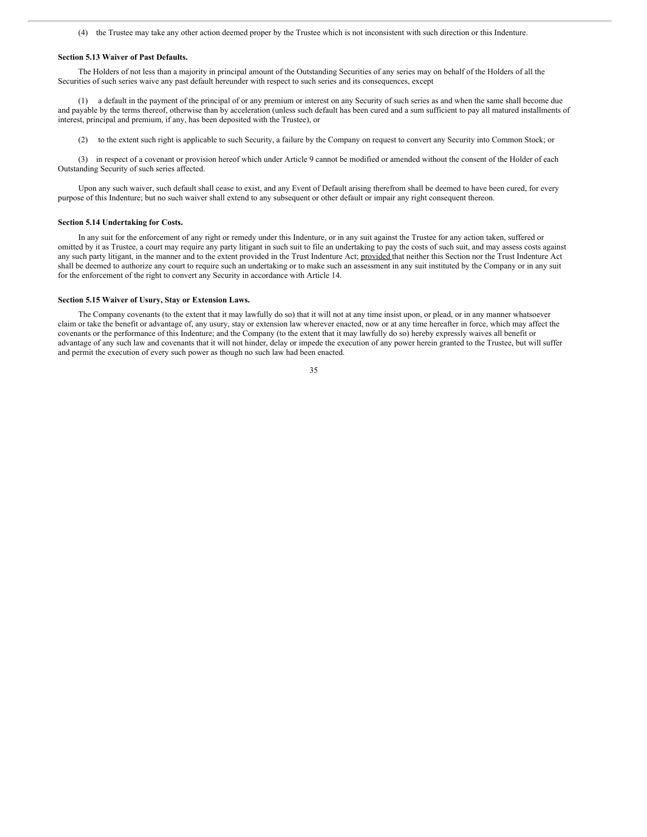(4) the Trustee may take any other action deemed proper by the Trustee which is not inconsistent with such direction or this Indenture.

## **Section 5.13 Waiver of Past Defaults.**

The Holders of not less than a majority in principal amount of the Outstanding Securities of any series may on behalf of the Holders of all the Securities of such series waive any past default hereunder with respect to such series and its consequences, except

(1) a default in the payment of the principal of or any premium or interest on any Security of such series as and when the same shall become due and payable by the terms thereof, otherwise than by acceleration (unless such default has been cured and a sum sufficient to pay all matured installments of interest, principal and premium, if any, has been deposited with the Trustee), or

(2) to the extent such right is applicable to such Security, a failure by the Company on request to convert any Security into Common Stock; or

(3) in respect of a covenant or provision hereof which under Article 9 cannot be modified or amended without the consent of the Holder of each Outstanding Security of such series affected.

Upon any such waiver, such default shall cease to exist, and any Event of Default arising therefrom shall be deemed to have been cured, for every purpose of this Indenture; but no such waiver shall extend to any subsequent or other default or impair any right consequent thereon.

### **Section 5.14 Undertaking for Costs.**

In any suit for the enforcement of any right or remedy under this Indenture, or in any suit against the Trustee for any action taken, suffered or omitted by it as Trustee, a court may require any party litigant in such suit to file an undertaking to pay the costs of such suit, and may assess costs against any such party litigant, in the manner and to the extent provided in the Trust Indenture Act; provided that neither this Section nor the Trust Indenture Act shall be deemed to authorize any court to require such an undertaking or to make such an assessment in any suit instituted by the Company or in any suit for the enforcement of the right to convert any Security in accordance with Article 14.

### **Section 5.15 Waiver of Usury, Stay or Extension Laws.**

The Company covenants (to the extent that it may lawfully do so) that it will not at any time insist upon, or plead, or in any manner whatsoever claim or take the benefit or advantage of, any usury, stay or extension law wherever enacted, now or at any time hereafter in force, which may affect the covenants or the performance of this Indenture; and the Company (to the extent that it may lawfully do so) hereby expressly waives all benefit or advantage of any such law and covenants that it will not hinder, delay or impede the execution of any power herein granted to the Trustee, but will suffer and permit the execution of every such power as though no such law had been enacted.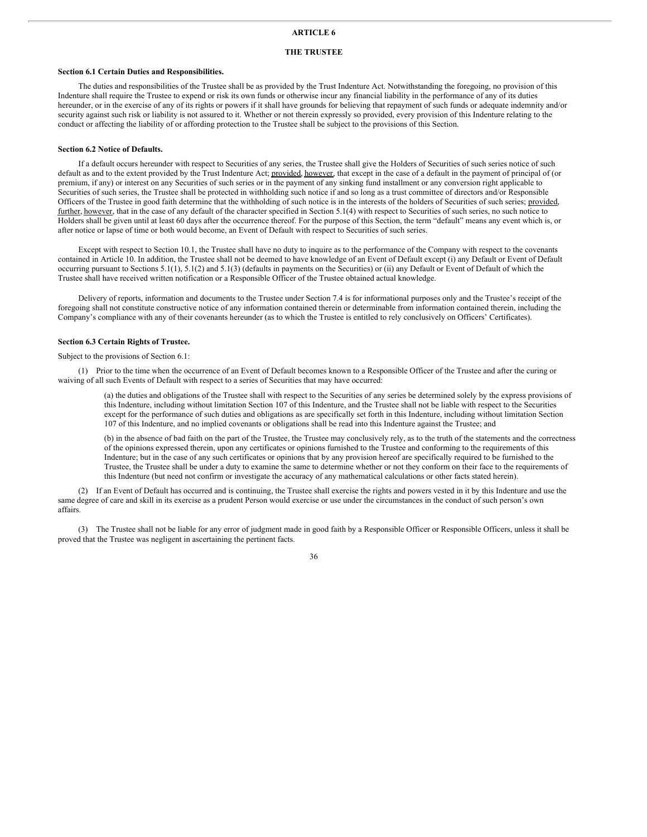# **ARTICLE 6**

## **THE TRUSTEE**

#### **Section 6.1 Certain Duties and Responsibilities.**

The duties and responsibilities of the Trustee shall be as provided by the Trust Indenture Act. Notwithstanding the foregoing, no provision of this Indenture shall require the Trustee to expend or risk its own funds or otherwise incur any financial liability in the performance of any of its duties hereunder, or in the exercise of any of its rights or powers if it shall have grounds for believing that repayment of such funds or adequate indemnity and/or security against such risk or liability is not assured to it. Whether or not therein expressly so provided, every provision of this Indenture relating to the conduct or affecting the liability of or affording protection to the Trustee shall be subject to the provisions of this Section.

### **Section 6.2 Notice of Defaults.**

If a default occurs hereunder with respect to Securities of any series, the Trustee shall give the Holders of Securities of such series notice of such default as and to the extent provided by the Trust Indenture Act; provided, however, that except in the case of a default in the payment of principal of (or premium, if any) or interest on any Securities of such series or in the payment of any sinking fund installment or any conversion right applicable to Securities of such series, the Trustee shall be protected in withholding such notice if and so long as a trust committee of directors and/or Responsible Officers of the Trustee in good faith determine that the withholding of such notice is in the interests of the holders of Securities of such series; provided, further, however, that in the case of any default of the character specified in Section 5.1(4) with respect to Securities of such series, no such notice to Holders shall be given until at least 60 days after the occurrence thereof. For the purpose of this Section, the term "default" means any event which is, or after notice or lapse of time or both would become, an Event of Default with respect to Securities of such series.

Except with respect to Section 10.1, the Trustee shall have no duty to inquire as to the performance of the Company with respect to the covenants contained in Article 10. In addition, the Trustee shall not be deemed to have knowledge of an Event of Default except (i) any Default or Event of Default occurring pursuant to Sections 5.1(1), 5.1(2) and 5.1(3) (defaults in payments on the Securities) or (ii) any Default or Event of Default of which the Trustee shall have received written notification or a Responsible Officer of the Trustee obtained actual knowledge.

Delivery of reports, information and documents to the Trustee under Section 7.4 is for informational purposes only and the Trustee's receipt of the foregoing shall not constitute constructive notice of any information contained therein or determinable from information contained therein, including the Company's compliance with any of their covenants hereunder (as to which the Trustee is entitled to rely conclusively on Officers' Certificates).

### **Section 6.3 Certain Rights of Trustee.**

Subject to the provisions of Section 6.1:

(1) Prior to the time when the occurrence of an Event of Default becomes known to a Responsible Officer of the Trustee and after the curing or waiving of all such Events of Default with respect to a series of Securities that may have occurred:

(a) the duties and obligations of the Trustee shall with respect to the Securities of any series be determined solely by the express provisions of this Indenture, including without limitation Section 107 of this Indenture, and the Trustee shall not be liable with respect to the Securities except for the performance of such duties and obligations as are specifically set forth in this Indenture, including without limitation Section 107 of this Indenture, and no implied covenants or obligations shall be read into this Indenture against the Trustee; and

(b) in the absence of bad faith on the part of the Trustee, the Trustee may conclusively rely, as to the truth of the statements and the correctness of the opinions expressed therein, upon any certificates or opinions furnished to the Trustee and conforming to the requirements of this Indenture; but in the case of any such certificates or opinions that by any provision hereof are specifically required to be furnished to the Trustee, the Trustee shall be under a duty to examine the same to determine whether or not they conform on their face to the requirements of this Indenture (but need not confirm or investigate the accuracy of any mathematical calculations or other facts stated herein).

(2) If an Event of Default has occurred and is continuing, the Trustee shall exercise the rights and powers vested in it by this Indenture and use the same degree of care and skill in its exercise as a prudent Person would exercise or use under the circumstances in the conduct of such person's own affairs.

(3) The Trustee shall not be liable for any error of judgment made in good faith by a Responsible Officer or Responsible Officers, unless it shall be proved that the Trustee was negligent in ascertaining the pertinent facts.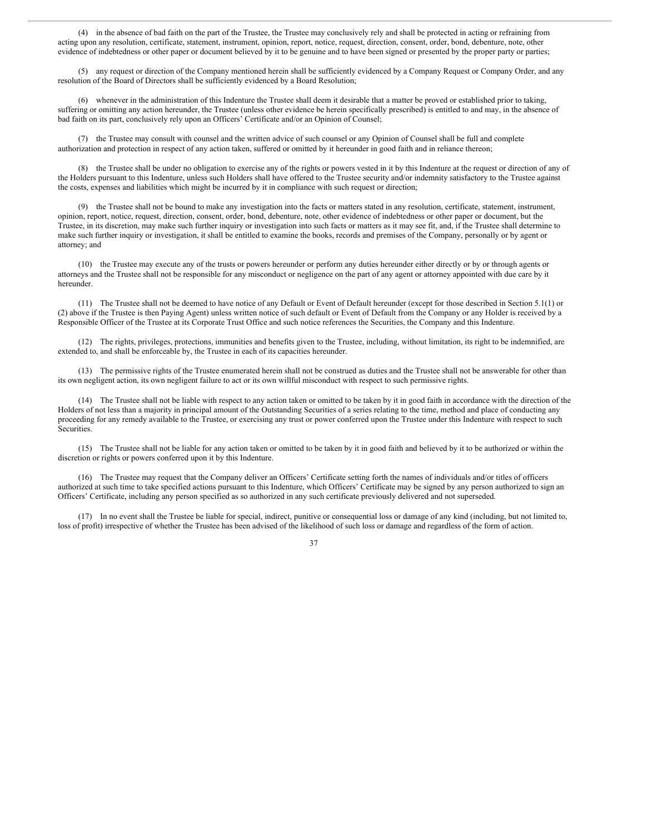(4) in the absence of bad faith on the part of the Trustee, the Trustee may conclusively rely and shall be protected in acting or refraining from acting upon any resolution, certificate, statement, instrument, opinion, report, notice, request, direction, consent, order, bond, debenture, note, other evidence of indebtedness or other paper or document believed by it to be genuine and to have been signed or presented by the proper party or parties;

(5) any request or direction of the Company mentioned herein shall be sufficiently evidenced by a Company Request or Company Order, and any resolution of the Board of Directors shall be sufficiently evidenced by a Board Resolution;

(6) whenever in the administration of this Indenture the Trustee shall deem it desirable that a matter be proved or established prior to taking, suffering or omitting any action hereunder, the Trustee (unless other evidence be herein specifically prescribed) is entitled to and may, in the absence of bad faith on its part, conclusively rely upon an Officers' Certificate and/or an Opinion of Counsel;

(7) the Trustee may consult with counsel and the written advice of such counsel or any Opinion of Counsel shall be full and complete authorization and protection in respect of any action taken, suffered or omitted by it hereunder in good faith and in reliance thereon;

(8) the Trustee shall be under no obligation to exercise any of the rights or powers vested in it by this Indenture at the request or direction of any of the Holders pursuant to this Indenture, unless such Holders shall have offered to the Trustee security and/or indemnity satisfactory to the Trustee against the costs, expenses and liabilities which might be incurred by it in compliance with such request or direction;

(9) the Trustee shall not be bound to make any investigation into the facts or matters stated in any resolution, certificate, statement, instrument, opinion, report, notice, request, direction, consent, order, bond, debenture, note, other evidence of indebtedness or other paper or document, but the Trustee, in its discretion, may make such further inquiry or investigation into such facts or matters as it may see fit, and, if the Trustee shall determine to make such further inquiry or investigation, it shall be entitled to examine the books, records and premises of the Company, personally or by agent or attorney; and

(10) the Trustee may execute any of the trusts or powers hereunder or perform any duties hereunder either directly or by or through agents or attorneys and the Trustee shall not be responsible for any misconduct or negligence on the part of any agent or attorney appointed with due care by it hereunder.

(11) The Trustee shall not be deemed to have notice of any Default or Event of Default hereunder (except for those described in Section 5.1(1) or (2) above if the Trustee is then Paying Agent) unless written notice of such default or Event of Default from the Company or any Holder is received by a Responsible Officer of the Trustee at its Corporate Trust Office and such notice references the Securities, the Company and this Indenture.

(12) The rights, privileges, protections, immunities and benefits given to the Trustee, including, without limitation, its right to be indemnified, are extended to, and shall be enforceable by, the Trustee in each of its capacities hereunder.

(13) The permissive rights of the Trustee enumerated herein shall not be construed as duties and the Trustee shall not be answerable for other than its own negligent action, its own negligent failure to act or its own willful misconduct with respect to such permissive rights.

(14) The Trustee shall not be liable with respect to any action taken or omitted to be taken by it in good faith in accordance with the direction of the Holders of not less than a majority in principal amount of the Outstanding Securities of a series relating to the time, method and place of conducting any proceeding for any remedy available to the Trustee, or exercising any trust or power conferred upon the Trustee under this Indenture with respect to such Securities.

(15) The Trustee shall not be liable for any action taken or omitted to be taken by it in good faith and believed by it to be authorized or within the discretion or rights or powers conferred upon it by this Indenture.

(16) The Trustee may request that the Company deliver an Officers' Certificate setting forth the names of individuals and/or titles of officers authorized at such time to take specified actions pursuant to this Indenture, which Officers' Certificate may be signed by any person authorized to sign an Officers' Certificate, including any person specified as so authorized in any such certificate previously delivered and not superseded.

(17) In no event shall the Trustee be liable for special, indirect, punitive or consequential loss or damage of any kind (including, but not limited to, loss of profit) irrespective of whether the Trustee has been advised of the likelihood of such loss or damage and regardless of the form of action.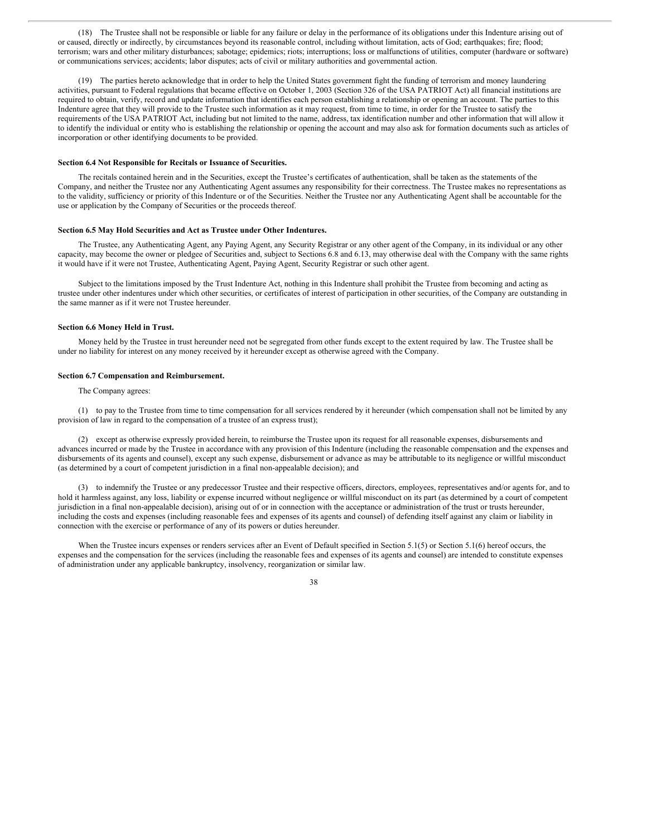(18) The Trustee shall not be responsible or liable for any failure or delay in the performance of its obligations under this Indenture arising out of or caused, directly or indirectly, by circumstances beyond its reasonable control, including without limitation, acts of God; earthquakes; fire; flood; terrorism; wars and other military disturbances; sabotage; epidemics; riots; interruptions; loss or malfunctions of utilities, computer (hardware or software) or communications services; accidents; labor disputes; acts of civil or military authorities and governmental action.

(19) The parties hereto acknowledge that in order to help the United States government fight the funding of terrorism and money laundering activities, pursuant to Federal regulations that became effective on October 1, 2003 (Section 326 of the USA PATRIOT Act) all financial institutions are required to obtain, verify, record and update information that identifies each person establishing a relationship or opening an account. The parties to this Indenture agree that they will provide to the Trustee such information as it may request, from time to time, in order for the Trustee to satisfy the requirements of the USA PATRIOT Act, including but not limited to the name, address, tax identification number and other information that will allow it to identify the individual or entity who is establishing the relationship or opening the account and may also ask for formation documents such as articles of incorporation or other identifying documents to be provided.

### **Section 6.4 Not Responsible for Recitals or Issuance of Securities.**

The recitals contained herein and in the Securities, except the Trustee's certificates of authentication, shall be taken as the statements of the Company, and neither the Trustee nor any Authenticating Agent assumes any responsibility for their correctness. The Trustee makes no representations as to the validity, sufficiency or priority of this Indenture or of the Securities. Neither the Trustee nor any Authenticating Agent shall be accountable for the use or application by the Company of Securities or the proceeds thereof.

### **Section 6.5 May Hold Securities and Act as Trustee under Other Indentures.**

The Trustee, any Authenticating Agent, any Paying Agent, any Security Registrar or any other agent of the Company, in its individual or any other capacity, may become the owner or pledgee of Securities and, subject to Sections 6.8 and 6.13, may otherwise deal with the Company with the same rights it would have if it were not Trustee, Authenticating Agent, Paying Agent, Security Registrar or such other agent.

Subject to the limitations imposed by the Trust Indenture Act, nothing in this Indenture shall prohibit the Trustee from becoming and acting as trustee under other indentures under which other securities, or certificates of interest of participation in other securities, of the Company are outstanding in the same manner as if it were not Trustee hereunder.

# **Section 6.6 Money Held in Trust.**

Money held by the Trustee in trust hereunder need not be segregated from other funds except to the extent required by law. The Trustee shall be under no liability for interest on any money received by it hereunder except as otherwise agreed with the Company.

## **Section 6.7 Compensation and Reimbursement.**

The Company agrees:

(1) to pay to the Trustee from time to time compensation for all services rendered by it hereunder (which compensation shall not be limited by any provision of law in regard to the compensation of a trustee of an express trust);

(2) except as otherwise expressly provided herein, to reimburse the Trustee upon its request for all reasonable expenses, disbursements and advances incurred or made by the Trustee in accordance with any provision of this Indenture (including the reasonable compensation and the expenses and disbursements of its agents and counsel), except any such expense, disbursement or advance as may be attributable to its negligence or willful misconduct (as determined by a court of competent jurisdiction in a final non-appealable decision); and

(3) to indemnify the Trustee or any predecessor Trustee and their respective officers, directors, employees, representatives and/or agents for, and to hold it harmless against, any loss, liability or expense incurred without negligence or willful misconduct on its part (as determined by a court of competent jurisdiction in a final non-appealable decision), arising out of or in connection with the acceptance or administration of the trust or trusts hereunder, including the costs and expenses (including reasonable fees and expenses of its agents and counsel) of defending itself against any claim or liability in connection with the exercise or performance of any of its powers or duties hereunder.

When the Trustee incurs expenses or renders services after an Event of Default specified in Section 5.1(5) or Section 5.1(6) hereof occurs, the expenses and the compensation for the services (including the reasonable fees and expenses of its agents and counsel) are intended to constitute expenses of administration under any applicable bankruptcy, insolvency, reorganization or similar law.

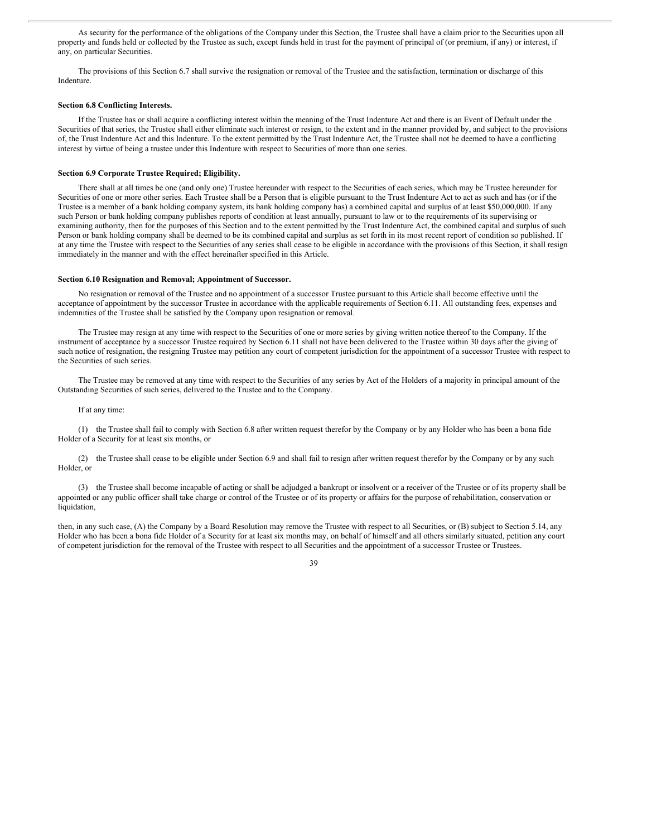As security for the performance of the obligations of the Company under this Section, the Trustee shall have a claim prior to the Securities upon all property and funds held or collected by the Trustee as such, except funds held in trust for the payment of principal of (or premium, if any) or interest, if any, on particular Securities.

The provisions of this Section 6.7 shall survive the resignation or removal of the Trustee and the satisfaction, termination or discharge of this Indenture.

### **Section 6.8 Conflicting Interests.**

If the Trustee has or shall acquire a conflicting interest within the meaning of the Trust Indenture Act and there is an Event of Default under the Securities of that series, the Trustee shall either eliminate such interest or resign, to the extent and in the manner provided by, and subject to the provisions of, the Trust Indenture Act and this Indenture. To the extent permitted by the Trust Indenture Act, the Trustee shall not be deemed to have a conflicting interest by virtue of being a trustee under this Indenture with respect to Securities of more than one series.

## **Section 6.9 Corporate Trustee Required; Eligibility.**

There shall at all times be one (and only one) Trustee hereunder with respect to the Securities of each series, which may be Trustee hereunder for Securities of one or more other series. Each Trustee shall be a Person that is eligible pursuant to the Trust Indenture Act to act as such and has (or if the Trustee is a member of a bank holding company system, its bank holding company has) a combined capital and surplus of at least \$50,000,000. If any such Person or bank holding company publishes reports of condition at least annually, pursuant to law or to the requirements of its supervising or examining authority, then for the purposes of this Section and to the extent permitted by the Trust Indenture Act, the combined capital and surplus of such Person or bank holding company shall be deemed to be its combined capital and surplus as set forth in its most recent report of condition so published. If at any time the Trustee with respect to the Securities of any series shall cease to be eligible in accordance with the provisions of this Section, it shall resign immediately in the manner and with the effect hereinafter specified in this Article.

## **Section 6.10 Resignation and Removal; Appointment of Successor.**

No resignation or removal of the Trustee and no appointment of a successor Trustee pursuant to this Article shall become effective until the acceptance of appointment by the successor Trustee in accordance with the applicable requirements of Section 6.11. All outstanding fees, expenses and indemnities of the Trustee shall be satisfied by the Company upon resignation or removal.

The Trustee may resign at any time with respect to the Securities of one or more series by giving written notice thereof to the Company. If the instrument of acceptance by a successor Trustee required by Section 6.11 shall not have been delivered to the Trustee within 30 days after the giving of such notice of resignation, the resigning Trustee may petition any court of competent jurisdiction for the appointment of a successor Trustee with respect to the Securities of such series.

The Trustee may be removed at any time with respect to the Securities of any series by Act of the Holders of a majority in principal amount of the Outstanding Securities of such series, delivered to the Trustee and to the Company.

### If at any time:

(1) the Trustee shall fail to comply with Section 6.8 after written request therefor by the Company or by any Holder who has been a bona fide Holder of a Security for at least six months, or

(2) the Trustee shall cease to be eligible under Section 6.9 and shall fail to resign after written request therefor by the Company or by any such Holder, or

(3) the Trustee shall become incapable of acting or shall be adjudged a bankrupt or insolvent or a receiver of the Trustee or of its property shall be appointed or any public officer shall take charge or control of the Trustee or of its property or affairs for the purpose of rehabilitation, conservation or liquidation,

then, in any such case, (A) the Company by a Board Resolution may remove the Trustee with respect to all Securities, or (B) subject to Section 5.14, any Holder who has been a bona fide Holder of a Security for at least six months may, on behalf of himself and all others similarly situated, petition any court of competent jurisdiction for the removal of the Trustee with respect to all Securities and the appointment of a successor Trustee or Trustees.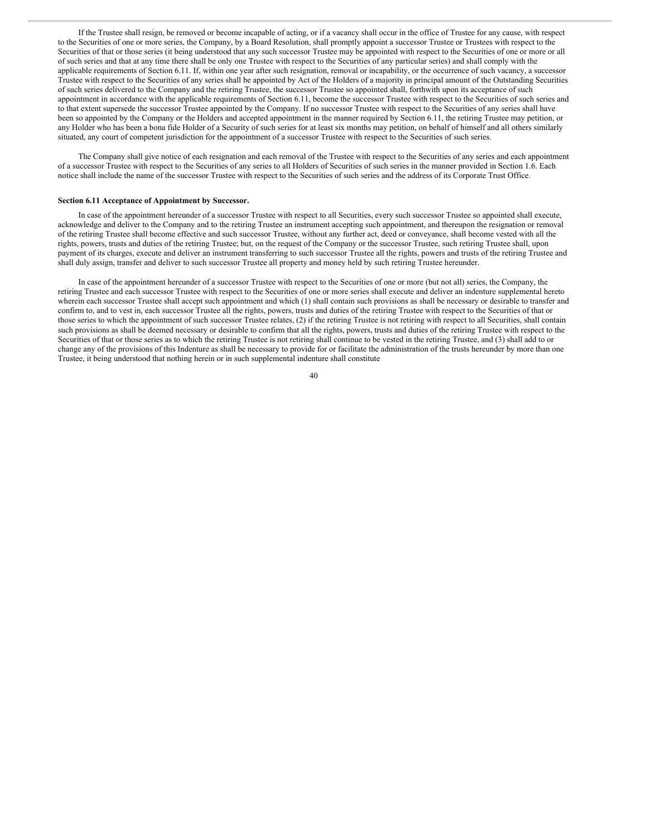If the Trustee shall resign, be removed or become incapable of acting, or if a vacancy shall occur in the office of Trustee for any cause, with respect to the Securities of one or more series, the Company, by a Board Resolution, shall promptly appoint a successor Trustee or Trustees with respect to the Securities of that or those series (it being understood that any such successor Trustee may be appointed with respect to the Securities of one or more or all of such series and that at any time there shall be only one Trustee with respect to the Securities of any particular series) and shall comply with the applicable requirements of Section 6.11. If, within one year after such resignation, removal or incapability, or the occurrence of such vacancy, a successor Trustee with respect to the Securities of any series shall be appointed by Act of the Holders of a majority in principal amount of the Outstanding Securities of such series delivered to the Company and the retiring Trustee, the successor Trustee so appointed shall, forthwith upon its acceptance of such appointment in accordance with the applicable requirements of Section 6.11, become the successor Trustee with respect to the Securities of such series and to that extent supersede the successor Trustee appointed by the Company. If no successor Trustee with respect to the Securities of any series shall have been so appointed by the Company or the Holders and accepted appointment in the manner required by Section 6.11, the retiring Trustee may petition, or any Holder who has been a bona fide Holder of a Security of such series for at least six months may petition, on behalf of himself and all others similarly situated, any court of competent jurisdiction for the appointment of a successor Trustee with respect to the Securities of such series.

The Company shall give notice of each resignation and each removal of the Trustee with respect to the Securities of any series and each appointment of a successor Trustee with respect to the Securities of any series to all Holders of Securities of such series in the manner provided in Section 1.6. Each notice shall include the name of the successor Trustee with respect to the Securities of such series and the address of its Corporate Trust Office.

#### **Section 6.11 Acceptance of Appointment by Successor.**

In case of the appointment hereunder of a successor Trustee with respect to all Securities, every such successor Trustee so appointed shall execute, acknowledge and deliver to the Company and to the retiring Trustee an instrument accepting such appointment, and thereupon the resignation or removal of the retiring Trustee shall become effective and such successor Trustee, without any further act, deed or conveyance, shall become vested with all the rights, powers, trusts and duties of the retiring Trustee; but, on the request of the Company or the successor Trustee, such retiring Trustee shall, upon payment of its charges, execute and deliver an instrument transferring to such successor Trustee all the rights, powers and trusts of the retiring Trustee and shall duly assign, transfer and deliver to such successor Trustee all property and money held by such retiring Trustee hereunder.

In case of the appointment hereunder of a successor Trustee with respect to the Securities of one or more (but not all) series, the Company, the retiring Trustee and each successor Trustee with respect to the Securities of one or more series shall execute and deliver an indenture supplemental hereto wherein each successor Trustee shall accept such appointment and which (1) shall contain such provisions as shall be necessary or desirable to transfer and confirm to, and to vest in, each successor Trustee all the rights, powers, trusts and duties of the retiring Trustee with respect to the Securities of that or those series to which the appointment of such successor Trustee relates, (2) if the retiring Trustee is not retiring with respect to all Securities, shall contain such provisions as shall be deemed necessary or desirable to confirm that all the rights, powers, trusts and duties of the retiring Trustee with respect to the Securities of that or those series as to which the retiring Trustee is not retiring shall continue to be vested in the retiring Trustee, and (3) shall add to or change any of the provisions of this Indenture as shall be necessary to provide for or facilitate the administration of the trusts hereunder by more than one Trustee, it being understood that nothing herein or in such supplemental indenture shall constitute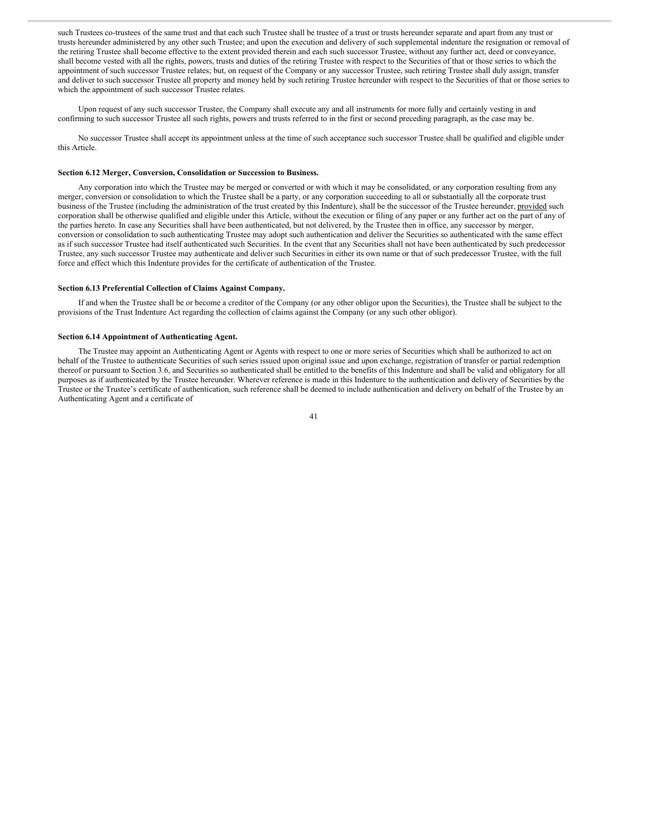such Trustees co-trustees of the same trust and that each such Trustee shall be trustee of a trust or trusts hereunder separate and apart from any trust or trusts hereunder administered by any other such Trustee; and upon the execution and delivery of such supplemental indenture the resignation or removal of the retiring Trustee shall become effective to the extent provided therein and each such successor Trustee, without any further act, deed or conveyance, shall become vested with all the rights, powers, trusts and duties of the retiring Trustee with respect to the Securities of that or those series to which the appointment of such successor Trustee relates; but, on request of the Company or any successor Trustee, such retiring Trustee shall duly assign, transfer and deliver to such successor Trustee all property and money held by such retiring Trustee hereunder with respect to the Securities of that or those series to which the appointment of such successor Trustee relates.

Upon request of any such successor Trustee, the Company shall execute any and all instruments for more fully and certainly vesting in and confirming to such successor Trustee all such rights, powers and trusts referred to in the first or second preceding paragraph, as the case may be.

No successor Trustee shall accept its appointment unless at the time of such acceptance such successor Trustee shall be qualified and eligible under this Article.

## **Section 6.12 Merger, Conversion, Consolidation or Succession to Business.**

Any corporation into which the Trustee may be merged or converted or with which it may be consolidated, or any corporation resulting from any merger, conversion or consolidation to which the Trustee shall be a party, or any corporation succeeding to all or substantially all the corporate trust business of the Trustee (including the administration of the trust created by this Indenture), shall be the successor of the Trustee hereunder, provided such corporation shall be otherwise qualified and eligible under this Article, without the execution or filing of any paper or any further act on the part of any of the parties hereto. In case any Securities shall have been authenticated, but not delivered, by the Trustee then in office, any successor by merger, conversion or consolidation to such authenticating Trustee may adopt such authentication and deliver the Securities so authenticated with the same effect as if such successor Trustee had itself authenticated such Securities. In the event that any Securities shall not have been authenticated by such predecessor Trustee, any such successor Trustee may authenticate and deliver such Securities in either its own name or that of such predecessor Trustee, with the full force and effect which this Indenture provides for the certificate of authentication of the Trustee.

#### **Section 6.13 Preferential Collection of Claims Against Company.**

If and when the Trustee shall be or become a creditor of the Company (or any other obligor upon the Securities), the Trustee shall be subject to the provisions of the Trust Indenture Act regarding the collection of claims against the Company (or any such other obligor).

### **Section 6.14 Appointment of Authenticating Agent.**

The Trustee may appoint an Authenticating Agent or Agents with respect to one or more series of Securities which shall be authorized to act on behalf of the Trustee to authenticate Securities of such series issued upon original issue and upon exchange, registration of transfer or partial redemption thereof or pursuant to Section 3.6, and Securities so authenticated shall be entitled to the benefits of this Indenture and shall be valid and obligatory for all purposes as if authenticated by the Trustee hereunder. Wherever reference is made in this Indenture to the authentication and delivery of Securities by the Trustee or the Trustee's certificate of authentication, such reference shall be deemed to include authentication and delivery on behalf of the Trustee by an Authenticating Agent and a certificate of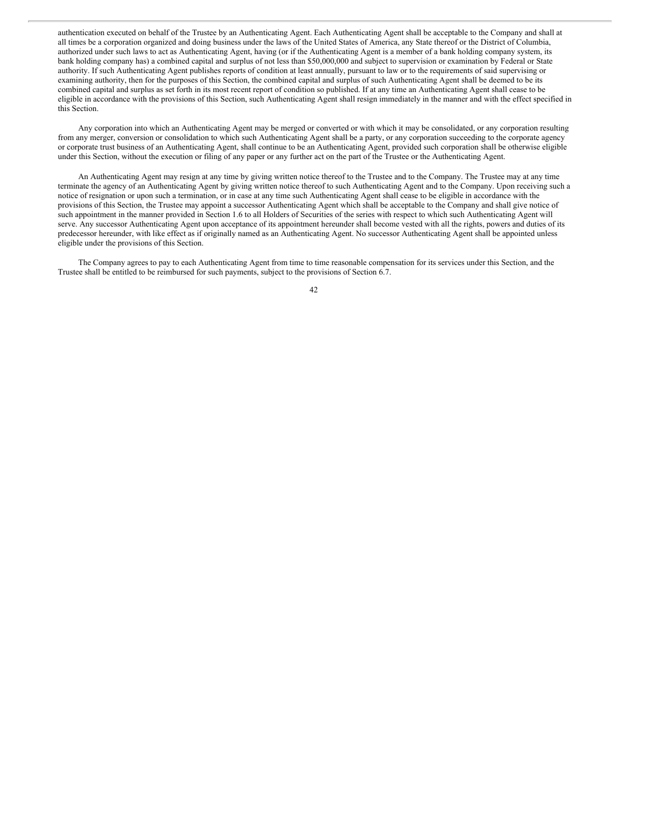authentication executed on behalf of the Trustee by an Authenticating Agent. Each Authenticating Agent shall be acceptable to the Company and shall at all times be a corporation organized and doing business under the laws of the United States of America, any State thereof or the District of Columbia, authorized under such laws to act as Authenticating Agent, having (or if the Authenticating Agent is a member of a bank holding company system, its bank holding company has) a combined capital and surplus of not less than \$50,000,000 and subject to supervision or examination by Federal or State authority. If such Authenticating Agent publishes reports of condition at least annually, pursuant to law or to the requirements of said supervising or examining authority, then for the purposes of this Section, the combined capital and surplus of such Authenticating Agent shall be deemed to be its combined capital and surplus as set forth in its most recent report of condition so published. If at any time an Authenticating Agent shall cease to be eligible in accordance with the provisions of this Section, such Authenticating Agent shall resign immediately in the manner and with the effect specified in this Section.

Any corporation into which an Authenticating Agent may be merged or converted or with which it may be consolidated, or any corporation resulting from any merger, conversion or consolidation to which such Authenticating Agent shall be a party, or any corporation succeeding to the corporate agency or corporate trust business of an Authenticating Agent, shall continue to be an Authenticating Agent, provided such corporation shall be otherwise eligible under this Section, without the execution or filing of any paper or any further act on the part of the Trustee or the Authenticating Agent.

An Authenticating Agent may resign at any time by giving written notice thereof to the Trustee and to the Company. The Trustee may at any time terminate the agency of an Authenticating Agent by giving written notice thereof to such Authenticating Agent and to the Company. Upon receiving such a notice of resignation or upon such a termination, or in case at any time such Authenticating Agent shall cease to be eligible in accordance with the provisions of this Section, the Trustee may appoint a successor Authenticating Agent which shall be acceptable to the Company and shall give notice of such appointment in the manner provided in Section 1.6 to all Holders of Securities of the series with respect to which such Authenticating Agent will serve. Any successor Authenticating Agent upon acceptance of its appointment hereunder shall become vested with all the rights, powers and duties of its predecessor hereunder, with like effect as if originally named as an Authenticating Agent. No successor Authenticating Agent shall be appointed unless eligible under the provisions of this Section.

The Company agrees to pay to each Authenticating Agent from time to time reasonable compensation for its services under this Section, and the Trustee shall be entitled to be reimbursed for such payments, subject to the provisions of Section 6.7.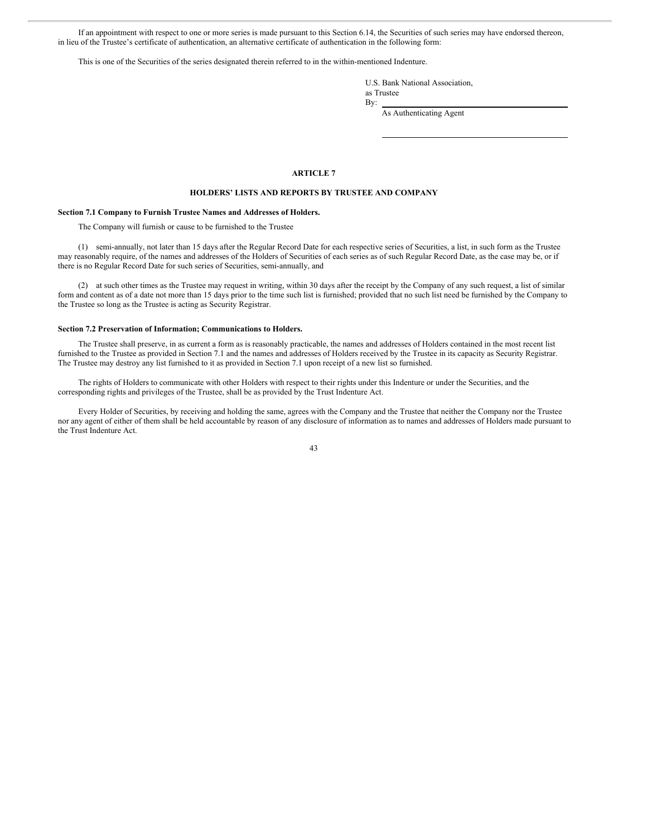If an appointment with respect to one or more series is made pursuant to this Section 6.14, the Securities of such series may have endorsed thereon, in lieu of the Trustee's certificate of authentication, an alternative certificate of authentication in the following form:

This is one of the Securities of the series designated therein referred to in the within-mentioned Indenture.

U.S. Bank National Association, as Trustee By:

As Authenticating Agent

# **ARTICLE 7**

# **HOLDERS' LISTS AND REPORTS BY TRUSTEE AND COMPANY**

## **Section 7.1 Company to Furnish Trustee Names and Addresses of Holders.**

The Company will furnish or cause to be furnished to the Trustee

(1) semi-annually, not later than 15 days after the Regular Record Date for each respective series of Securities, a list, in such form as the Trustee may reasonably require, of the names and addresses of the Holders of Securities of each series as of such Regular Record Date, as the case may be, or if there is no Regular Record Date for such series of Securities, semi-annually, and

(2) at such other times as the Trustee may request in writing, within 30 days after the receipt by the Company of any such request, a list of similar form and content as of a date not more than 15 days prior to the time such list is furnished; provided that no such list need be furnished by the Company to the Trustee so long as the Trustee is acting as Security Registrar.

## **Section 7.2 Preservation of Information; Communications to Holders.**

The Trustee shall preserve, in as current a form as is reasonably practicable, the names and addresses of Holders contained in the most recent list furnished to the Trustee as provided in Section 7.1 and the names and addresses of Holders received by the Trustee in its capacity as Security Registrar. The Trustee may destroy any list furnished to it as provided in Section 7.1 upon receipt of a new list so furnished.

The rights of Holders to communicate with other Holders with respect to their rights under this Indenture or under the Securities, and the corresponding rights and privileges of the Trustee, shall be as provided by the Trust Indenture Act.

Every Holder of Securities, by receiving and holding the same, agrees with the Company and the Trustee that neither the Company nor the Trustee nor any agent of either of them shall be held accountable by reason of any disclosure of information as to names and addresses of Holders made pursuant to the Trust Indenture Act.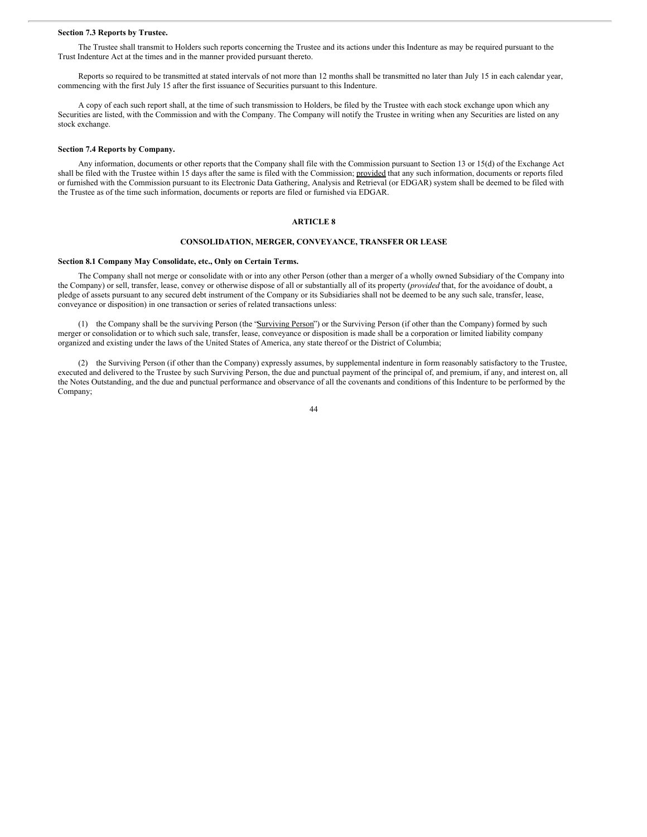### **Section 7.3 Reports by Trustee.**

The Trustee shall transmit to Holders such reports concerning the Trustee and its actions under this Indenture as may be required pursuant to the Trust Indenture Act at the times and in the manner provided pursuant thereto.

Reports so required to be transmitted at stated intervals of not more than 12 months shall be transmitted no later than July 15 in each calendar year, commencing with the first July 15 after the first issuance of Securities pursuant to this Indenture.

A copy of each such report shall, at the time of such transmission to Holders, be filed by the Trustee with each stock exchange upon which any Securities are listed, with the Commission and with the Company. The Company will notify the Trustee in writing when any Securities are listed on any stock exchange.

### **Section 7.4 Reports by Company.**

Any information, documents or other reports that the Company shall file with the Commission pursuant to Section 13 or 15(d) of the Exchange Act shall be filed with the Trustee within 15 days after the same is filed with the Commission; provided that any such information, documents or reports filed or furnished with the Commission pursuant to its Electronic Data Gathering, Analysis and Retrieval (or EDGAR) system shall be deemed to be filed with the Trustee as of the time such information, documents or reports are filed or furnished via EDGAR.

### **ARTICLE 8**

# **CONSOLIDATION, MERGER, CONVEYANCE, TRANSFER OR LEASE**

### **Section 8.1 Company May Consolidate, etc., Only on Certain Terms.**

The Company shall not merge or consolidate with or into any other Person (other than a merger of a wholly owned Subsidiary of the Company into the Company) or sell, transfer, lease, convey or otherwise dispose of all or substantially all of its property (*provided* that, for the avoidance of doubt, a pledge of assets pursuant to any secured debt instrument of the Company or its Subsidiaries shall not be deemed to be any such sale, transfer, lease, conveyance or disposition) in one transaction or series of related transactions unless:

(1) the Company shall be the surviving Person (the "Surviving Person") or the Surviving Person (if other than the Company) formed by such merger or consolidation or to which such sale, transfer, lease, conveyance or disposition is made shall be a corporation or limited liability company organized and existing under the laws of the United States of America, any state thereof or the District of Columbia;

(2) the Surviving Person (if other than the Company) expressly assumes, by supplemental indenture in form reasonably satisfactory to the Trustee, executed and delivered to the Trustee by such Surviving Person, the due and punctual payment of the principal of, and premium, if any, and interest on, all the Notes Outstanding, and the due and punctual performance and observance of all the covenants and conditions of this Indenture to be performed by the Company;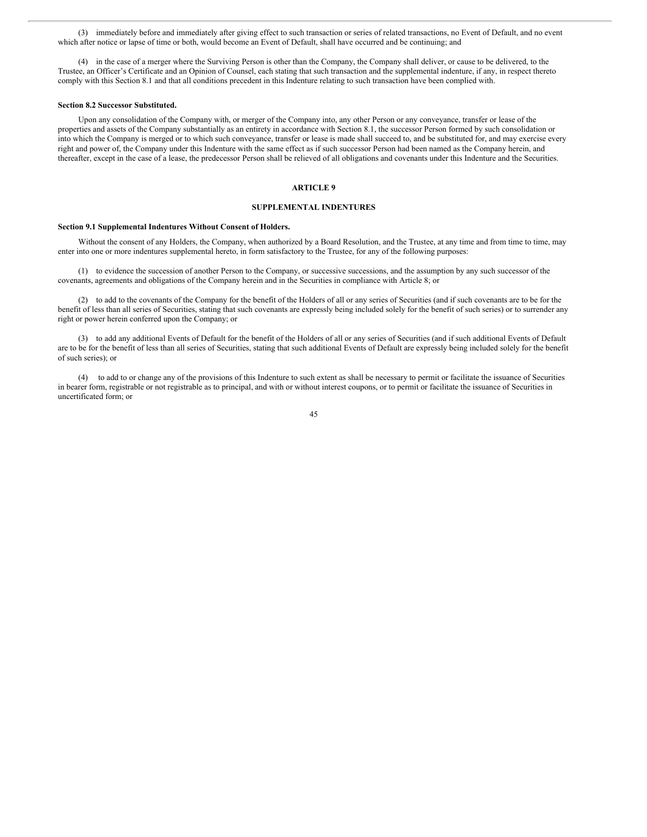(3) immediately before and immediately after giving effect to such transaction or series of related transactions, no Event of Default, and no event which after notice or lapse of time or both, would become an Event of Default, shall have occurred and be continuing; and

(4) in the case of a merger where the Surviving Person is other than the Company, the Company shall deliver, or cause to be delivered, to the Trustee, an Officer's Certificate and an Opinion of Counsel, each stating that such transaction and the supplemental indenture, if any, in respect thereto comply with this Section 8.1 and that all conditions precedent in this Indenture relating to such transaction have been complied with.

### **Section 8.2 Successor Substituted.**

Upon any consolidation of the Company with, or merger of the Company into, any other Person or any conveyance, transfer or lease of the properties and assets of the Company substantially as an entirety in accordance with Section 8.1, the successor Person formed by such consolidation or into which the Company is merged or to which such conveyance, transfer or lease is made shall succeed to, and be substituted for, and may exercise every right and power of, the Company under this Indenture with the same effect as if such successor Person had been named as the Company herein, and thereafter, except in the case of a lease, the predecessor Person shall be relieved of all obligations and covenants under this Indenture and the Securities.

## **ARTICLE 9**

## **SUPPLEMENTAL INDENTURES**

### **Section 9.1 Supplemental Indentures Without Consent of Holders.**

Without the consent of any Holders, the Company, when authorized by a Board Resolution, and the Trustee, at any time and from time to time, may enter into one or more indentures supplemental hereto, in form satisfactory to the Trustee, for any of the following purposes:

(1) to evidence the succession of another Person to the Company, or successive successions, and the assumption by any such successor of the covenants, agreements and obligations of the Company herein and in the Securities in compliance with Article 8; or

(2) to add to the covenants of the Company for the benefit of the Holders of all or any series of Securities (and if such covenants are to be for the benefit of less than all series of Securities, stating that such covenants are expressly being included solely for the benefit of such series) or to surrender any right or power herein conferred upon the Company; or

(3) to add any additional Events of Default for the benefit of the Holders of all or any series of Securities (and if such additional Events of Default are to be for the benefit of less than all series of Securities, stating that such additional Events of Default are expressly being included solely for the benefit of such series); or

(4) to add to or change any of the provisions of this Indenture to such extent as shall be necessary to permit or facilitate the issuance of Securities in bearer form, registrable or not registrable as to principal, and with or without interest coupons, or to permit or facilitate the issuance of Securities in uncertificated form; or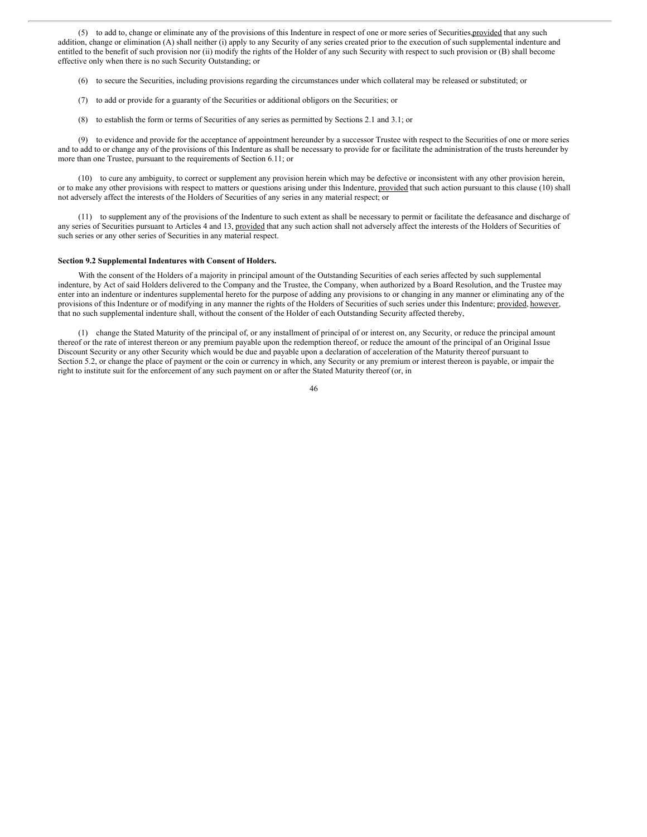(5) to add to, change or eliminate any of the provisions of this Indenture in respect of one or more series of Securities, provided that any such addition, change or elimination (A) shall neither (i) apply to any Security of any series created prior to the execution of such supplemental indenture and entitled to the benefit of such provision nor (ii) modify the rights of the Holder of any such Security with respect to such provision or (B) shall become effective only when there is no such Security Outstanding; or

- (6) to secure the Securities, including provisions regarding the circumstances under which collateral may be released or substituted; or
- (7) to add or provide for a guaranty of the Securities or additional obligors on the Securities; or
- (8) to establish the form or terms of Securities of any series as permitted by Sections 2.1 and 3.1; or

(9) to evidence and provide for the acceptance of appointment hereunder by a successor Trustee with respect to the Securities of one or more series and to add to or change any of the provisions of this Indenture as shall be necessary to provide for or facilitate the administration of the trusts hereunder by more than one Trustee, pursuant to the requirements of Section 6.11; or

(10) to cure any ambiguity, to correct or supplement any provision herein which may be defective or inconsistent with any other provision herein, or to make any other provisions with respect to matters or questions arising under this Indenture, provided that such action pursuant to this clause (10) shall not adversely affect the interests of the Holders of Securities of any series in any material respect; or

(11) to supplement any of the provisions of the Indenture to such extent as shall be necessary to permit or facilitate the defeasance and discharge of any series of Securities pursuant to Articles 4 and 13, provided that any such action shall not adversely affect the interests of the Holders of Securities of such series or any other series of Securities in any material respect.

## **Section 9.2 Supplemental Indentures with Consent of Holders.**

With the consent of the Holders of a majority in principal amount of the Outstanding Securities of each series affected by such supplemental indenture, by Act of said Holders delivered to the Company and the Trustee, the Company, when authorized by a Board Resolution, and the Trustee may enter into an indenture or indentures supplemental hereto for the purpose of adding any provisions to or changing in any manner or eliminating any of the provisions of this Indenture or of modifying in any manner the rights of the Holders of Securities of such series under this Indenture; provided, however, that no such supplemental indenture shall, without the consent of the Holder of each Outstanding Security affected thereby,

(1) change the Stated Maturity of the principal of, or any installment of principal of or interest on, any Security, or reduce the principal amount thereof or the rate of interest thereon or any premium payable upon the redemption thereof, or reduce the amount of the principal of an Original Issue Discount Security or any other Security which would be due and payable upon a declaration of acceleration of the Maturity thereof pursuant to Section 5.2, or change the place of payment or the coin or currency in which, any Security or any premium or interest thereon is payable, or impair the right to institute suit for the enforcement of any such payment on or after the Stated Maturity thereof (or, in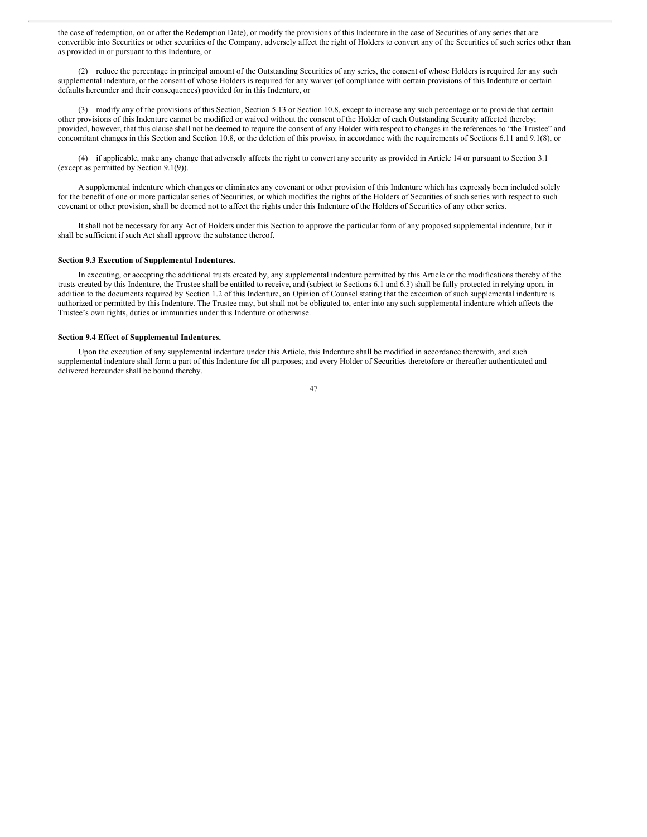the case of redemption, on or after the Redemption Date), or modify the provisions of this Indenture in the case of Securities of any series that are convertible into Securities or other securities of the Company, adversely affect the right of Holders to convert any of the Securities of such series other than as provided in or pursuant to this Indenture, or

(2) reduce the percentage in principal amount of the Outstanding Securities of any series, the consent of whose Holders is required for any such supplemental indenture, or the consent of whose Holders is required for any waiver (of compliance with certain provisions of this Indenture or certain defaults hereunder and their consequences) provided for in this Indenture, or

(3) modify any of the provisions of this Section, Section 5.13 or Section 10.8, except to increase any such percentage or to provide that certain other provisions of this Indenture cannot be modified or waived without the consent of the Holder of each Outstanding Security affected thereby; provided, however, that this clause shall not be deemed to require the consent of any Holder with respect to changes in the references to "the Trustee" and concomitant changes in this Section and Section 10.8, or the deletion of this proviso, in accordance with the requirements of Sections 6.11 and 9.1(8), or

(4) if applicable, make any change that adversely affects the right to convert any security as provided in Article 14 or pursuant to Section 3.1 (except as permitted by Section 9.1(9)).

A supplemental indenture which changes or eliminates any covenant or other provision of this Indenture which has expressly been included solely for the benefit of one or more particular series of Securities, or which modifies the rights of the Holders of Securities of such series with respect to such covenant or other provision, shall be deemed not to affect the rights under this Indenture of the Holders of Securities of any other series.

It shall not be necessary for any Act of Holders under this Section to approve the particular form of any proposed supplemental indenture, but it shall be sufficient if such Act shall approve the substance thereof.

### **Section 9.3 Execution of Supplemental Indentures.**

In executing, or accepting the additional trusts created by, any supplemental indenture permitted by this Article or the modifications thereby of the trusts created by this Indenture, the Trustee shall be entitled to receive, and (subject to Sections 6.1 and 6.3) shall be fully protected in relying upon, in addition to the documents required by Section 1.2 of this Indenture, an Opinion of Counsel stating that the execution of such supplemental indenture is authorized or permitted by this Indenture. The Trustee may, but shall not be obligated to, enter into any such supplemental indenture which affects the Trustee's own rights, duties or immunities under this Indenture or otherwise.

## **Section 9.4 Effect of Supplemental Indentures.**

Upon the execution of any supplemental indenture under this Article, this Indenture shall be modified in accordance therewith, and such supplemental indenture shall form a part of this Indenture for all purposes; and every Holder of Securities theretofore or thereafter authenticated and delivered hereunder shall be bound thereby.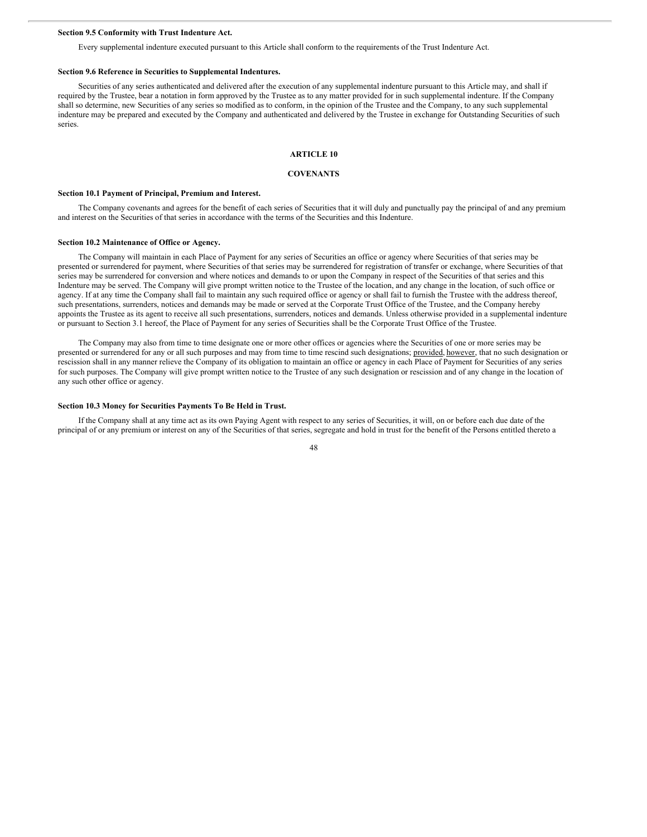### **Section 9.5 Conformity with Trust Indenture Act.**

Every supplemental indenture executed pursuant to this Article shall conform to the requirements of the Trust Indenture Act.

#### **Section 9.6 Reference in Securities to Supplemental Indentures.**

Securities of any series authenticated and delivered after the execution of any supplemental indenture pursuant to this Article may, and shall if required by the Trustee, bear a notation in form approved by the Trustee as to any matter provided for in such supplemental indenture. If the Company shall so determine, new Securities of any series so modified as to conform, in the opinion of the Trustee and the Company, to any such supplemental indenture may be prepared and executed by the Company and authenticated and delivered by the Trustee in exchange for Outstanding Securities of such series.

### **ARTICLE 10**

### **COVENANTS**

# **Section 10.1 Payment of Principal, Premium and Interest.**

The Company covenants and agrees for the benefit of each series of Securities that it will duly and punctually pay the principal of and any premium and interest on the Securities of that series in accordance with the terms of the Securities and this Indenture.

## **Section 10.2 Maintenance of Office or Agency.**

The Company will maintain in each Place of Payment for any series of Securities an office or agency where Securities of that series may be presented or surrendered for payment, where Securities of that series may be surrendered for registration of transfer or exchange, where Securities of that series may be surrendered for conversion and where notices and demands to or upon the Company in respect of the Securities of that series and this Indenture may be served. The Company will give prompt written notice to the Trustee of the location, and any change in the location, of such office or agency. If at any time the Company shall fail to maintain any such required office or agency or shall fail to furnish the Trustee with the address thereof, such presentations, surrenders, notices and demands may be made or served at the Corporate Trust Office of the Trustee, and the Company hereby appoints the Trustee as its agent to receive all such presentations, surrenders, notices and demands. Unless otherwise provided in a supplemental indenture or pursuant to Section 3.1 hereof, the Place of Payment for any series of Securities shall be the Corporate Trust Office of the Trustee.

The Company may also from time to time designate one or more other offices or agencies where the Securities of one or more series may be presented or surrendered for any or all such purposes and may from time to time rescind such designations; provided, however, that no such designation or rescission shall in any manner relieve the Company of its obligation to maintain an office or agency in each Place of Payment for Securities of any series for such purposes. The Company will give prompt written notice to the Trustee of any such designation or rescission and of any change in the location of any such other office or agency.

### **Section 10.3 Money for Securities Payments To Be Held in Trust.**

If the Company shall at any time act as its own Paying Agent with respect to any series of Securities, it will, on or before each due date of the principal of or any premium or interest on any of the Securities of that series, segregate and hold in trust for the benefit of the Persons entitled thereto a

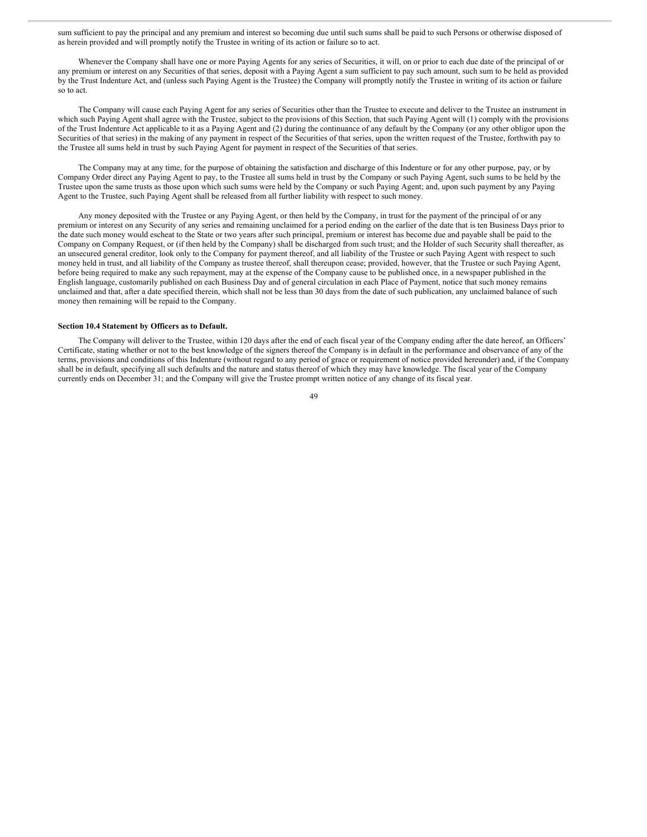sum sufficient to pay the principal and any premium and interest so becoming due until such sums shall be paid to such Persons or otherwise disposed of as herein provided and will promptly notify the Trustee in writing of its action or failure so to act.

Whenever the Company shall have one or more Paying Agents for any series of Securities, it will, on or prior to each due date of the principal of or any premium or interest on any Securities of that series, deposit with a Paying Agent a sum sufficient to pay such amount, such sum to be held as provided by the Trust Indenture Act, and (unless such Paying Agent is the Trustee) the Company will promptly notify the Trustee in writing of its action or failure so to act.

The Company will cause each Paying Agent for any series of Securities other than the Trustee to execute and deliver to the Trustee an instrument in which such Paying Agent shall agree with the Trustee, subject to the provisions of this Section, that such Paying Agent will (1) comply with the provisions of the Trust Indenture Act applicable to it as a Paying Agent and (2) during the continuance of any default by the Company (or any other obligor upon the Securities of that series) in the making of any payment in respect of the Securities of that series, upon the written request of the Trustee, forthwith pay to the Trustee all sums held in trust by such Paying Agent for payment in respect of the Securities of that series.

The Company may at any time, for the purpose of obtaining the satisfaction and discharge of this Indenture or for any other purpose, pay, or by Company Order direct any Paying Agent to pay, to the Trustee all sums held in trust by the Company or such Paying Agent, such sums to be held by the Trustee upon the same trusts as those upon which such sums were held by the Company or such Paying Agent; and, upon such payment by any Paying Agent to the Trustee, such Paying Agent shall be released from all further liability with respect to such money.

Any money deposited with the Trustee or any Paying Agent, or then held by the Company, in trust for the payment of the principal of or any premium or interest on any Security of any series and remaining unclaimed for a period ending on the earlier of the date that is ten Business Days prior to the date such money would escheat to the State or two years after such principal, premium or interest has become due and payable shall be paid to the Company on Company Request, or (if then held by the Company) shall be discharged from such trust; and the Holder of such Security shall thereafter, as an unsecured general creditor, look only to the Company for payment thereof, and all liability of the Trustee or such Paying Agent with respect to such money held in trust, and all liability of the Company as trustee thereof, shall thereupon cease; provided, however, that the Trustee or such Paying Agent, before being required to make any such repayment, may at the expense of the Company cause to be published once, in a newspaper published in the English language, customarily published on each Business Day and of general circulation in each Place of Payment, notice that such money remains unclaimed and that, after a date specified therein, which shall not be less than 30 days from the date of such publication, any unclaimed balance of such money then remaining will be repaid to the Company.

# **Section 10.4 Statement by Officers as to Default.**

The Company will deliver to the Trustee, within 120 days after the end of each fiscal year of the Company ending after the date hereof, an Officers' Certificate, stating whether or not to the best knowledge of the signers thereof the Company is in default in the performance and observance of any of the terms, provisions and conditions of this Indenture (without regard to any period of grace or requirement of notice provided hereunder) and, if the Company shall be in default, specifying all such defaults and the nature and status thereof of which they may have knowledge. The fiscal year of the Company currently ends on December 31; and the Company will give the Trustee prompt written notice of any change of its fiscal year.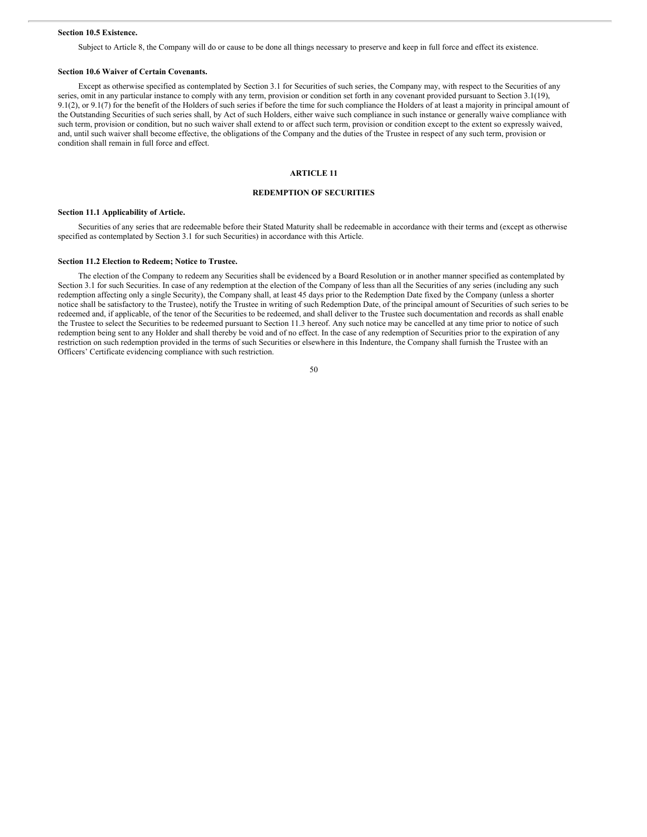### **Section 10.5 Existence.**

Subject to Article 8, the Company will do or cause to be done all things necessary to preserve and keep in full force and effect its existence.

#### **Section 10.6 Waiver of Certain Covenants.**

Except as otherwise specified as contemplated by Section 3.1 for Securities of such series, the Company may, with respect to the Securities of any series, omit in any particular instance to comply with any term, provision or condition set forth in any covenant provided pursuant to Section 3.1(19), 9.1(2), or 9.1(7) for the benefit of the Holders of such series if before the time for such compliance the Holders of at least a majority in principal amount of the Outstanding Securities of such series shall, by Act of such Holders, either waive such compliance in such instance or generally waive compliance with such term, provision or condition, but no such waiver shall extend to or affect such term, provision or condition except to the extent so expressly waived, and, until such waiver shall become effective, the obligations of the Company and the duties of the Trustee in respect of any such term, provision or condition shall remain in full force and effect.

# **ARTICLE 11**

## **REDEMPTION OF SECURITIES**

### **Section 11.1 Applicability of Article.**

Securities of any series that are redeemable before their Stated Maturity shall be redeemable in accordance with their terms and (except as otherwise specified as contemplated by Section 3.1 for such Securities) in accordance with this Article.

### **Section 11.2 Election to Redeem; Notice to Trustee.**

The election of the Company to redeem any Securities shall be evidenced by a Board Resolution or in another manner specified as contemplated by Section 3.1 for such Securities. In case of any redemption at the election of the Company of less than all the Securities of any series (including any such redemption affecting only a single Security), the Company shall, at least 45 days prior to the Redemption Date fixed by the Company (unless a shorter notice shall be satisfactory to the Trustee), notify the Trustee in writing of such Redemption Date, of the principal amount of Securities of such series to be redeemed and, if applicable, of the tenor of the Securities to be redeemed, and shall deliver to the Trustee such documentation and records as shall enable the Trustee to select the Securities to be redeemed pursuant to Section 11.3 hereof. Any such notice may be cancelled at any time prior to notice of such redemption being sent to any Holder and shall thereby be void and of no effect. In the case of any redemption of Securities prior to the expiration of any restriction on such redemption provided in the terms of such Securities or elsewhere in this Indenture, the Company shall furnish the Trustee with an Officers' Certificate evidencing compliance with such restriction.

<sup>50</sup>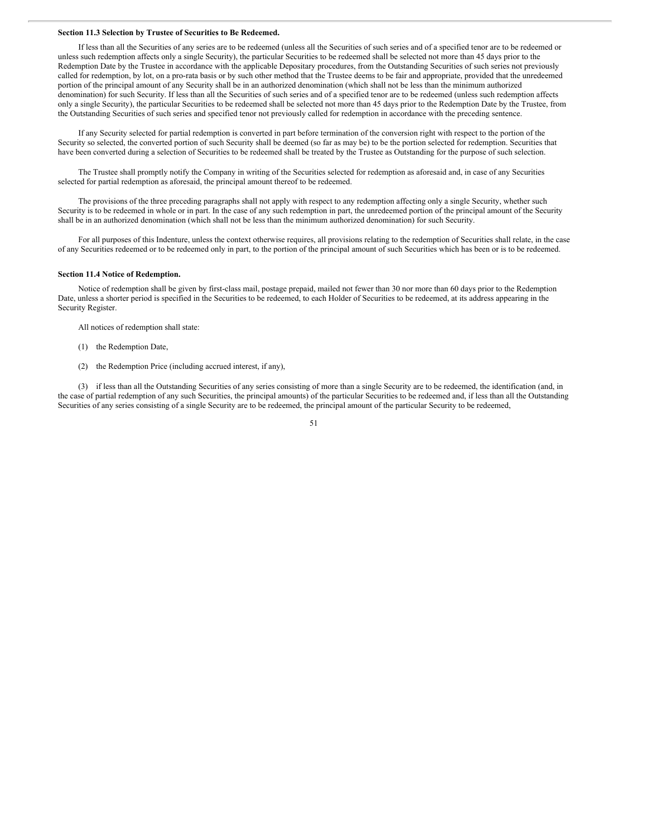### **Section 11.3 Selection by Trustee of Securities to Be Redeemed.**

If less than all the Securities of any series are to be redeemed (unless all the Securities of such series and of a specified tenor are to be redeemed or unless such redemption affects only a single Security), the particular Securities to be redeemed shall be selected not more than 45 days prior to the Redemption Date by the Trustee in accordance with the applicable Depositary procedures, from the Outstanding Securities of such series not previously called for redemption, by lot, on a pro-rata basis or by such other method that the Trustee deems to be fair and appropriate, provided that the unredeemed portion of the principal amount of any Security shall be in an authorized denomination (which shall not be less than the minimum authorized denomination) for such Security. If less than all the Securities of such series and of a specified tenor are to be redeemed (unless such redemption affects only a single Security), the particular Securities to be redeemed shall be selected not more than 45 days prior to the Redemption Date by the Trustee, from the Outstanding Securities of such series and specified tenor not previously called for redemption in accordance with the preceding sentence.

If any Security selected for partial redemption is converted in part before termination of the conversion right with respect to the portion of the Security so selected, the converted portion of such Security shall be deemed (so far as may be) to be the portion selected for redemption. Securities that have been converted during a selection of Securities to be redeemed shall be treated by the Trustee as Outstanding for the purpose of such selection.

The Trustee shall promptly notify the Company in writing of the Securities selected for redemption as aforesaid and, in case of any Securities selected for partial redemption as aforesaid, the principal amount thereof to be redeemed.

The provisions of the three preceding paragraphs shall not apply with respect to any redemption affecting only a single Security, whether such Security is to be redeemed in whole or in part. In the case of any such redemption in part, the unredeemed portion of the principal amount of the Security shall be in an authorized denomination (which shall not be less than the minimum authorized denomination) for such Security.

For all purposes of this Indenture, unless the context otherwise requires, all provisions relating to the redemption of Securities shall relate, in the case of any Securities redeemed or to be redeemed only in part, to the portion of the principal amount of such Securities which has been or is to be redeemed.

#### **Section 11.4 Notice of Redemption.**

Notice of redemption shall be given by first-class mail, postage prepaid, mailed not fewer than 30 nor more than 60 days prior to the Redemption Date, unless a shorter period is specified in the Securities to be redeemed, to each Holder of Securities to be redeemed, at its address appearing in the Security Register.

All notices of redemption shall state:

- (1) the Redemption Date,
- (2) the Redemption Price (including accrued interest, if any),

(3) if less than all the Outstanding Securities of any series consisting of more than a single Security are to be redeemed, the identification (and, in the case of partial redemption of any such Securities, the principal amounts) of the particular Securities to be redeemed and, if less than all the Outstanding Securities of any series consisting of a single Security are to be redeemed, the principal amount of the particular Security to be redeemed,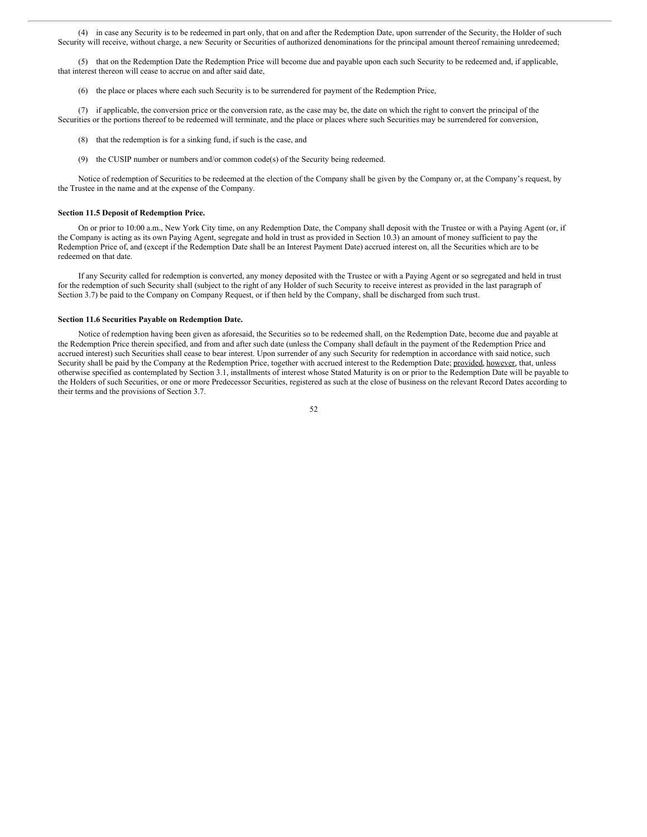(4) in case any Security is to be redeemed in part only, that on and after the Redemption Date, upon surrender of the Security, the Holder of such Security will receive, without charge, a new Security or Securities of authorized denominations for the principal amount thereof remaining unredeemed;

(5) that on the Redemption Date the Redemption Price will become due and payable upon each such Security to be redeemed and, if applicable, that interest thereon will cease to accrue on and after said date,

(6) the place or places where each such Security is to be surrendered for payment of the Redemption Price,

(7) if applicable, the conversion price or the conversion rate, as the case may be, the date on which the right to convert the principal of the Securities or the portions thereof to be redeemed will terminate, and the place or places where such Securities may be surrendered for conversion,

- (8) that the redemption is for a sinking fund, if such is the case, and
- (9) the CUSIP number or numbers and/or common code(s) of the Security being redeemed.

Notice of redemption of Securities to be redeemed at the election of the Company shall be given by the Company or, at the Company's request, by the Trustee in the name and at the expense of the Company.

### **Section 11.5 Deposit of Redemption Price.**

On or prior to 10:00 a.m., New York City time, on any Redemption Date, the Company shall deposit with the Trustee or with a Paying Agent (or, if the Company is acting as its own Paying Agent, segregate and hold in trust as provided in Section 10.3) an amount of money sufficient to pay the Redemption Price of, and (except if the Redemption Date shall be an Interest Payment Date) accrued interest on, all the Securities which are to be redeemed on that date.

If any Security called for redemption is converted, any money deposited with the Trustee or with a Paying Agent or so segregated and held in trust for the redemption of such Security shall (subject to the right of any Holder of such Security to receive interest as provided in the last paragraph of Section 3.7) be paid to the Company on Company Request, or if then held by the Company, shall be discharged from such trust.

### **Section 11.6 Securities Payable on Redemption Date.**

Notice of redemption having been given as aforesaid, the Securities so to be redeemed shall, on the Redemption Date, become due and payable at the Redemption Price therein specified, and from and after such date (unless the Company shall default in the payment of the Redemption Price and accrued interest) such Securities shall cease to bear interest. Upon surrender of any such Security for redemption in accordance with said notice, such Security shall be paid by the Company at the Redemption Price, together with accrued interest to the Redemption Date; provided, however, that, unless otherwise specified as contemplated by Section 3.1, installments of interest whose Stated Maturity is on or prior to the Redemption Date will be payable to the Holders of such Securities, or one or more Predecessor Securities, registered as such at the close of business on the relevant Record Dates according to their terms and the provisions of Section 3.7.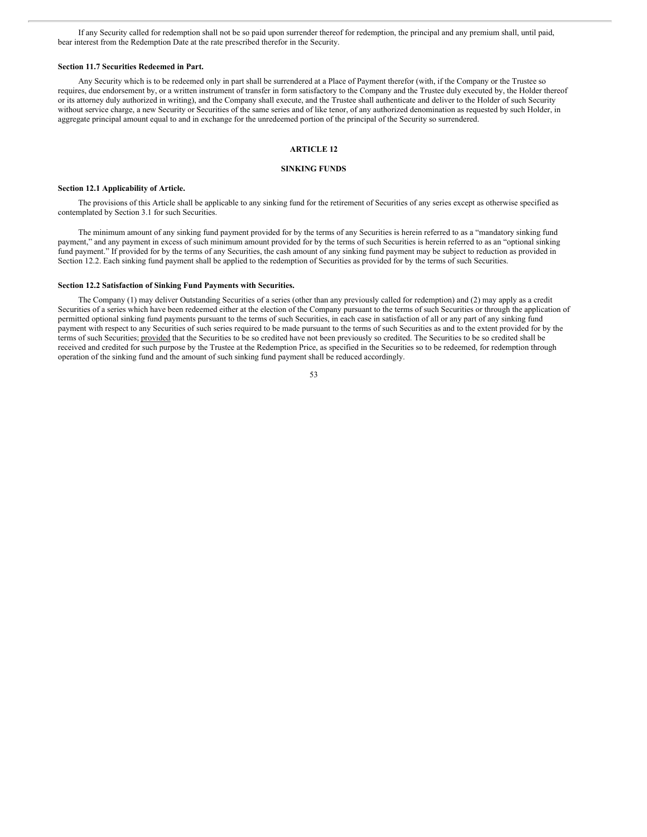If any Security called for redemption shall not be so paid upon surrender thereof for redemption, the principal and any premium shall, until paid, bear interest from the Redemption Date at the rate prescribed therefor in the Security.

#### **Section 11.7 Securities Redeemed in Part.**

Any Security which is to be redeemed only in part shall be surrendered at a Place of Payment therefor (with, if the Company or the Trustee so requires, due endorsement by, or a written instrument of transfer in form satisfactory to the Company and the Trustee duly executed by, the Holder thereof or its attorney duly authorized in writing), and the Company shall execute, and the Trustee shall authenticate and deliver to the Holder of such Security without service charge, a new Security or Securities of the same series and of like tenor, of any authorized denomination as requested by such Holder, in aggregate principal amount equal to and in exchange for the unredeemed portion of the principal of the Security so surrendered.

## **ARTICLE 12**

# **SINKING FUNDS**

### **Section 12.1 Applicability of Article.**

The provisions of this Article shall be applicable to any sinking fund for the retirement of Securities of any series except as otherwise specified as contemplated by Section 3.1 for such Securities.

The minimum amount of any sinking fund payment provided for by the terms of any Securities is herein referred to as a "mandatory sinking fund payment," and any payment in excess of such minimum amount provided for by the terms of such Securities is herein referred to as an "optional sinking fund payment." If provided for by the terms of any Securities, the cash amount of any sinking fund payment may be subject to reduction as provided in Section 12.2. Each sinking fund payment shall be applied to the redemption of Securities as provided for by the terms of such Securities.

### **Section 12.2 Satisfaction of Sinking Fund Payments with Securities.**

The Company (1) may deliver Outstanding Securities of a series (other than any previously called for redemption) and (2) may apply as a credit Securities of a series which have been redeemed either at the election of the Company pursuant to the terms of such Securities or through the application of permitted optional sinking fund payments pursuant to the terms of such Securities, in each case in satisfaction of all or any part of any sinking fund payment with respect to any Securities of such series required to be made pursuant to the terms of such Securities as and to the extent provided for by the terms of such Securities; provided that the Securities to be so credited have not been previously so credited. The Securities to be so credited shall be received and credited for such purpose by the Trustee at the Redemption Price, as specified in the Securities so to be redeemed, for redemption through operation of the sinking fund and the amount of such sinking fund payment shall be reduced accordingly.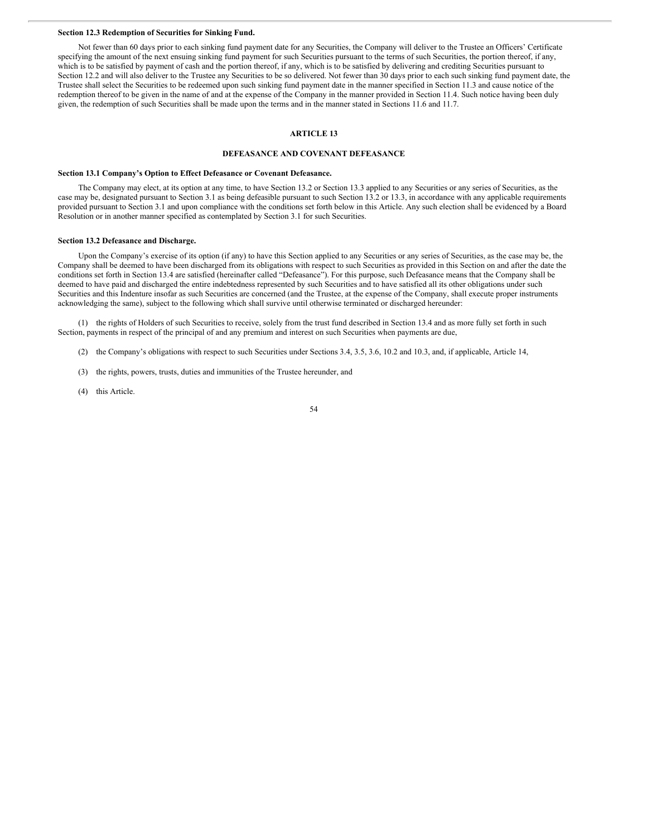### **Section 12.3 Redemption of Securities for Sinking Fund.**

Not fewer than 60 days prior to each sinking fund payment date for any Securities, the Company will deliver to the Trustee an Officers' Certificate specifying the amount of the next ensuing sinking fund payment for such Securities pursuant to the terms of such Securities, the portion thereof, if any, which is to be satisfied by payment of cash and the portion thereof, if any, which is to be satisfied by delivering and crediting Securities pursuant to Section 12.2 and will also deliver to the Trustee any Securities to be so delivered. Not fewer than 30 days prior to each such sinking fund payment date, the Trustee shall select the Securities to be redeemed upon such sinking fund payment date in the manner specified in Section 11.3 and cause notice of the redemption thereof to be given in the name of and at the expense of the Company in the manner provided in Section 11.4. Such notice having been duly given, the redemption of such Securities shall be made upon the terms and in the manner stated in Sections 11.6 and 11.7.

# **ARTICLE 13**

## **DEFEASANCE AND COVENANT DEFEASANCE**

### **Section 13.1 Company's Option to Effect Defeasance or Covenant Defeasance.**

The Company may elect, at its option at any time, to have Section 13.2 or Section 13.3 applied to any Securities or any series of Securities, as the case may be, designated pursuant to Section 3.1 as being defeasible pursuant to such Section 13.2 or 13.3, in accordance with any applicable requirements provided pursuant to Section 3.1 and upon compliance with the conditions set forth below in this Article. Any such election shall be evidenced by a Board Resolution or in another manner specified as contemplated by Section 3.1 for such Securities.

### **Section 13.2 Defeasance and Discharge.**

Upon the Company's exercise of its option (if any) to have this Section applied to any Securities or any series of Securities, as the case may be, the Company shall be deemed to have been discharged from its obligations with respect to such Securities as provided in this Section on and after the date the conditions set forth in Section 13.4 are satisfied (hereinafter called "Defeasance"). For this purpose, such Defeasance means that the Company shall be deemed to have paid and discharged the entire indebtedness represented by such Securities and to have satisfied all its other obligations under such Securities and this Indenture insofar as such Securities are concerned (and the Trustee, at the expense of the Company, shall execute proper instruments acknowledging the same), subject to the following which shall survive until otherwise terminated or discharged hereunder:

(1) the rights of Holders of such Securities to receive, solely from the trust fund described in Section 13.4 and as more fully set forth in such Section, payments in respect of the principal of and any premium and interest on such Securities when payments are due,

- (2) the Company's obligations with respect to such Securities under Sections 3.4, 3.5, 3.6, 10.2 and 10.3, and, if applicable, Article 14,
- (3) the rights, powers, trusts, duties and immunities of the Trustee hereunder, and
- (4) this Article.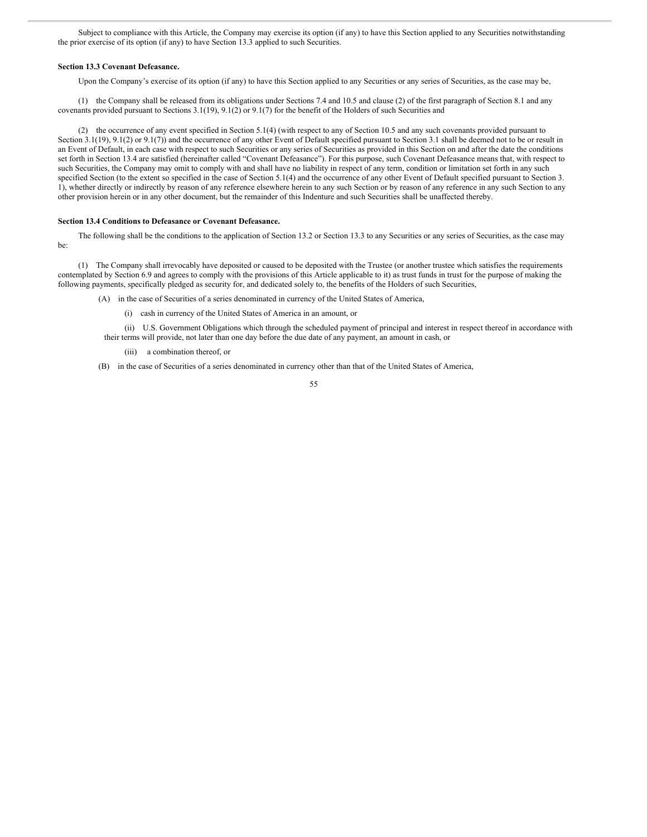Subject to compliance with this Article, the Company may exercise its option (if any) to have this Section applied to any Securities notwithstanding the prior exercise of its option (if any) to have Section 13.3 applied to such Securities.

### **Section 13.3 Covenant Defeasance.**

Upon the Company's exercise of its option (if any) to have this Section applied to any Securities or any series of Securities, as the case may be,

(1) the Company shall be released from its obligations under Sections 7.4 and 10.5 and clause (2) of the first paragraph of Section 8.1 and any covenants provided pursuant to Sections 3.1(19), 9.1(2) or 9.1(7) for the benefit of the Holders of such Securities and

(2) the occurrence of any event specified in Section 5.1(4) (with respect to any of Section 10.5 and any such covenants provided pursuant to Section 3.1(19), 9.1(2) or 9.1(7)) and the occurrence of any other Event of Default specified pursuant to Section 3.1 shall be deemed not to be or result in an Event of Default, in each case with respect to such Securities or any series of Securities as provided in this Section on and after the date the conditions set forth in Section 13.4 are satisfied (hereinafter called "Covenant Defeasance"). For this purpose, such Covenant Defeasance means that, with respect to such Securities, the Company may omit to comply with and shall have no liability in respect of any term, condition or limitation set forth in any such specified Section (to the extent so specified in the case of Section 5.1(4) and the occurrence of any other Event of Default specified pursuant to Section 3. 1), whether directly or indirectly by reason of any reference elsewhere herein to any such Section or by reason of any reference in any such Section to any other provision herein or in any other document, but the remainder of this Indenture and such Securities shall be unaffected thereby.

### **Section 13.4 Conditions to Defeasance or Covenant Defeasance.**

The following shall be the conditions to the application of Section 13.2 or Section 13.3 to any Securities or any series of Securities, as the case may be:

(1) The Company shall irrevocably have deposited or caused to be deposited with the Trustee (or another trustee which satisfies the requirements contemplated by Section 6.9 and agrees to comply with the provisions of this Article applicable to it) as trust funds in trust for the purpose of making the following payments, specifically pledged as security for, and dedicated solely to, the benefits of the Holders of such Securities,

- (A) in the case of Securities of a series denominated in currency of the United States of America,
	- (i) cash in currency of the United States of America in an amount, or

(ii) U.S. Government Obligations which through the scheduled payment of principal and interest in respect thereof in accordance with their terms will provide, not later than one day before the due date of any payment, an amount in cash, or

- (iii) a combination thereof, or
- (B) in the case of Securities of a series denominated in currency other than that of the United States of America,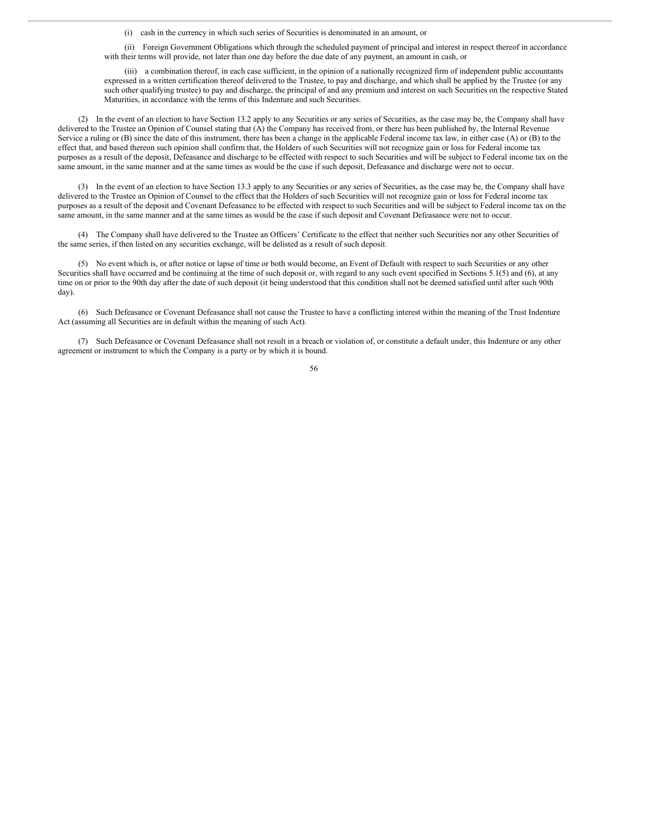(i) cash in the currency in which such series of Securities is denominated in an amount, or

(ii) Foreign Government Obligations which through the scheduled payment of principal and interest in respect thereof in accordance with their terms will provide, not later than one day before the due date of any payment, an amount in cash, or

(iii) a combination thereof, in each case sufficient, in the opinion of a nationally recognized firm of independent public accountants expressed in a written certification thereof delivered to the Trustee, to pay and discharge, and which shall be applied by the Trustee (or any such other qualifying trustee) to pay and discharge, the principal of and any premium and interest on such Securities on the respective Stated Maturities, in accordance with the terms of this Indenture and such Securities.

(2) In the event of an election to have Section 13.2 apply to any Securities or any series of Securities, as the case may be, the Company shall have delivered to the Trustee an Opinion of Counsel stating that (A) the Company has received from, or there has been published by, the Internal Revenue Service a ruling or (B) since the date of this instrument, there has been a change in the applicable Federal income tax law, in either case (A) or (B) to the effect that, and based thereon such opinion shall confirm that, the Holders of such Securities will not recognize gain or loss for Federal income tax purposes as a result of the deposit, Defeasance and discharge to be effected with respect to such Securities and will be subject to Federal income tax on the same amount, in the same manner and at the same times as would be the case if such deposit, Defeasance and discharge were not to occur.

(3) In the event of an election to have Section 13.3 apply to any Securities or any series of Securities, as the case may be, the Company shall have delivered to the Trustee an Opinion of Counsel to the effect that the Holders of such Securities will not recognize gain or loss for Federal income tax purposes as a result of the deposit and Covenant Defeasance to be effected with respect to such Securities and will be subject to Federal income tax on the same amount, in the same manner and at the same times as would be the case if such deposit and Covenant Defeasance were not to occur.

(4) The Company shall have delivered to the Trustee an Officers' Certificate to the effect that neither such Securities nor any other Securities of the same series, if then listed on any securities exchange, will be delisted as a result of such deposit.

(5) No event which is, or after notice or lapse of time or both would become, an Event of Default with respect to such Securities or any other Securities shall have occurred and be continuing at the time of such deposit or, with regard to any such event specified in Sections 5.1(5) and (6), at any time on or prior to the 90th day after the date of such deposit (it being understood that this condition shall not be deemed satisfied until after such 90th day).

(6) Such Defeasance or Covenant Defeasance shall not cause the Trustee to have a conflicting interest within the meaning of the Trust Indenture Act (assuming all Securities are in default within the meaning of such Act).

(7) Such Defeasance or Covenant Defeasance shall not result in a breach or violation of, or constitute a default under, this Indenture or any other agreement or instrument to which the Company is a party or by which it is bound.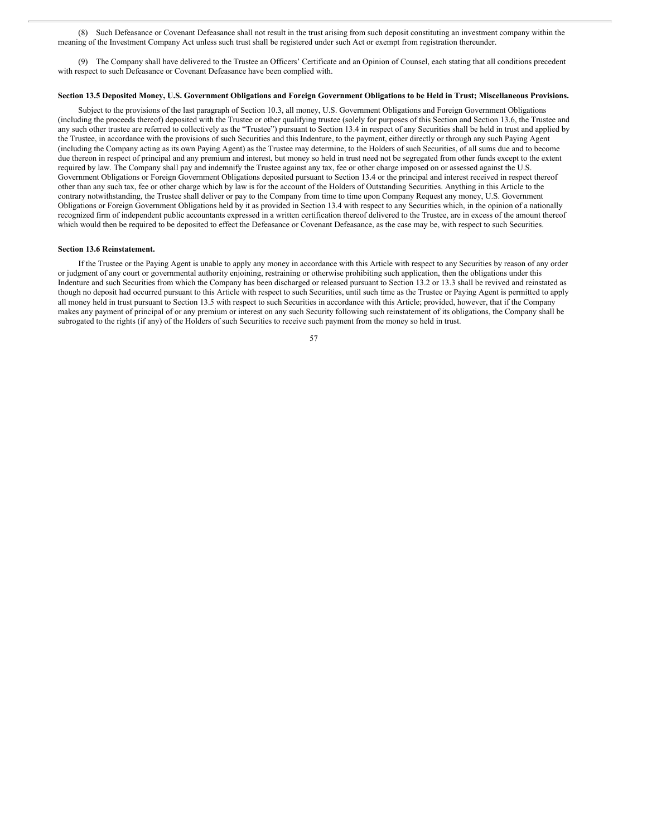(8) Such Defeasance or Covenant Defeasance shall not result in the trust arising from such deposit constituting an investment company within the meaning of the Investment Company Act unless such trust shall be registered under such Act or exempt from registration thereunder.

(9) The Company shall have delivered to the Trustee an Officers' Certificate and an Opinion of Counsel, each stating that all conditions precedent with respect to such Defeasance or Covenant Defeasance have been complied with.

# Section 13.5 Deposited Money, U.S. Government Obligations and Foreign Government Obligations to be Held in Trust; Miscellaneous Provisions.

Subject to the provisions of the last paragraph of Section 10.3, all money, U.S. Government Obligations and Foreign Government Obligations (including the proceeds thereof) deposited with the Trustee or other qualifying trustee (solely for purposes of this Section and Section 13.6, the Trustee and any such other trustee are referred to collectively as the "Trustee") pursuant to Section 13.4 in respect of any Securities shall be held in trust and applied by the Trustee, in accordance with the provisions of such Securities and this Indenture, to the payment, either directly or through any such Paying Agent (including the Company acting as its own Paying Agent) as the Trustee may determine, to the Holders of such Securities, of all sums due and to become due thereon in respect of principal and any premium and interest, but money so held in trust need not be segregated from other funds except to the extent required by law. The Company shall pay and indemnify the Trustee against any tax, fee or other charge imposed on or assessed against the U.S. Government Obligations or Foreign Government Obligations deposited pursuant to Section 13.4 or the principal and interest received in respect thereof other than any such tax, fee or other charge which by law is for the account of the Holders of Outstanding Securities. Anything in this Article to the contrary notwithstanding, the Trustee shall deliver or pay to the Company from time to time upon Company Request any money, U.S. Government Obligations or Foreign Government Obligations held by it as provided in Section 13.4 with respect to any Securities which, in the opinion of a nationally recognized firm of independent public accountants expressed in a written certification thereof delivered to the Trustee, are in excess of the amount thereof which would then be required to be deposited to effect the Defeasance or Covenant Defeasance, as the case may be, with respect to such Securities.

#### **Section 13.6 Reinstatement.**

If the Trustee or the Paying Agent is unable to apply any money in accordance with this Article with respect to any Securities by reason of any order or judgment of any court or governmental authority enjoining, restraining or otherwise prohibiting such application, then the obligations under this Indenture and such Securities from which the Company has been discharged or released pursuant to Section 13.2 or 13.3 shall be revived and reinstated as though no deposit had occurred pursuant to this Article with respect to such Securities, until such time as the Trustee or Paying Agent is permitted to apply all money held in trust pursuant to Section 13.5 with respect to such Securities in accordance with this Article; provided, however, that if the Company makes any payment of principal of or any premium or interest on any such Security following such reinstatement of its obligations, the Company shall be subrogated to the rights (if any) of the Holders of such Securities to receive such payment from the money so held in trust.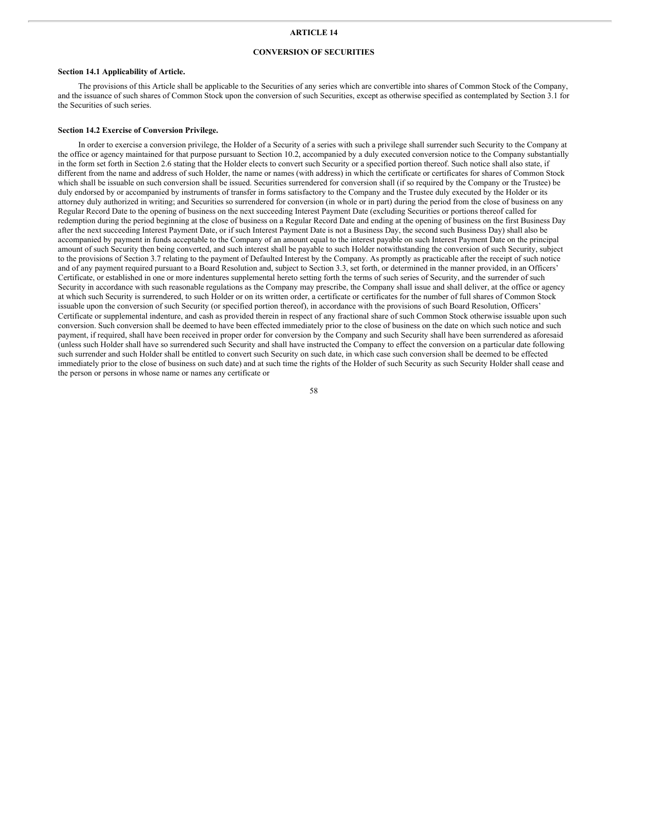# **ARTICLE 14**

## **CONVERSION OF SECURITIES**

### **Section 14.1 Applicability of Article.**

The provisions of this Article shall be applicable to the Securities of any series which are convertible into shares of Common Stock of the Company, and the issuance of such shares of Common Stock upon the conversion of such Securities, except as otherwise specified as contemplated by Section 3.1 for the Securities of such series.

#### **Section 14.2 Exercise of Conversion Privilege.**

In order to exercise a conversion privilege, the Holder of a Security of a series with such a privilege shall surrender such Security to the Company at the office or agency maintained for that purpose pursuant to Section 10.2, accompanied by a duly executed conversion notice to the Company substantially in the form set forth in Section 2.6 stating that the Holder elects to convert such Security or a specified portion thereof. Such notice shall also state, if different from the name and address of such Holder, the name or names (with address) in which the certificate or certificates for shares of Common Stock which shall be issuable on such conversion shall be issued. Securities surrendered for conversion shall (if so required by the Company or the Trustee) be duly endorsed by or accompanied by instruments of transfer in forms satisfactory to the Company and the Trustee duly executed by the Holder or its attorney duly authorized in writing; and Securities so surrendered for conversion (in whole or in part) during the period from the close of business on any Regular Record Date to the opening of business on the next succeeding Interest Payment Date (excluding Securities or portions thereof called for redemption during the period beginning at the close of business on a Regular Record Date and ending at the opening of business on the first Business Day after the next succeeding Interest Payment Date, or if such Interest Payment Date is not a Business Day, the second such Business Day) shall also be accompanied by payment in funds acceptable to the Company of an amount equal to the interest payable on such Interest Payment Date on the principal amount of such Security then being converted, and such interest shall be payable to such Holder notwithstanding the conversion of such Security, subject to the provisions of Section 3.7 relating to the payment of Defaulted Interest by the Company. As promptly as practicable after the receipt of such notice and of any payment required pursuant to a Board Resolution and, subject to Section 3.3, set forth, or determined in the manner provided, in an Officers' Certificate, or established in one or more indentures supplemental hereto setting forth the terms of such series of Security, and the surrender of such Security in accordance with such reasonable regulations as the Company may prescribe, the Company shall issue and shall deliver, at the office or agency at which such Security is surrendered, to such Holder or on its written order, a certificate or certificates for the number of full shares of Common Stock issuable upon the conversion of such Security (or specified portion thereof), in accordance with the provisions of such Board Resolution, Officers' Certificate or supplemental indenture, and cash as provided therein in respect of any fractional share of such Common Stock otherwise issuable upon such conversion. Such conversion shall be deemed to have been effected immediately prior to the close of business on the date on which such notice and such payment, if required, shall have been received in proper order for conversion by the Company and such Security shall have been surrendered as aforesaid (unless such Holder shall have so surrendered such Security and shall have instructed the Company to effect the conversion on a particular date following such surrender and such Holder shall be entitled to convert such Security on such date, in which case such conversion shall be deemed to be effected immediately prior to the close of business on such date) and at such time the rights of the Holder of such Security as such Security Holder shall cease and the person or persons in whose name or names any certificate or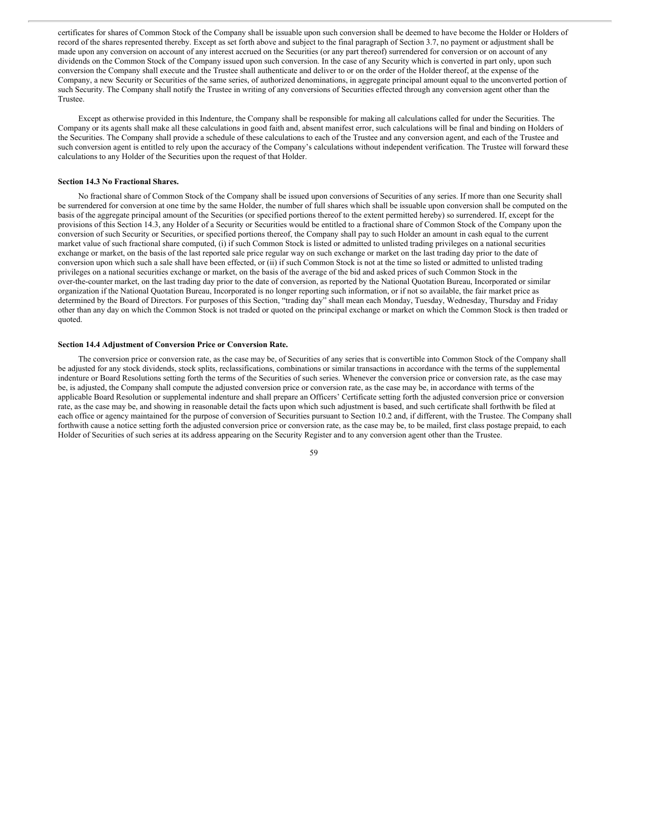certificates for shares of Common Stock of the Company shall be issuable upon such conversion shall be deemed to have become the Holder or Holders of record of the shares represented thereby. Except as set forth above and subject to the final paragraph of Section 3.7, no payment or adjustment shall be made upon any conversion on account of any interest accrued on the Securities (or any part thereof) surrendered for conversion or on account of any dividends on the Common Stock of the Company issued upon such conversion. In the case of any Security which is converted in part only, upon such conversion the Company shall execute and the Trustee shall authenticate and deliver to or on the order of the Holder thereof, at the expense of the Company, a new Security or Securities of the same series, of authorized denominations, in aggregate principal amount equal to the unconverted portion of such Security. The Company shall notify the Trustee in writing of any conversions of Securities effected through any conversion agent other than the Trustee.

Except as otherwise provided in this Indenture, the Company shall be responsible for making all calculations called for under the Securities. The Company or its agents shall make all these calculations in good faith and, absent manifest error, such calculations will be final and binding on Holders of the Securities. The Company shall provide a schedule of these calculations to each of the Trustee and any conversion agent, and each of the Trustee and such conversion agent is entitled to rely upon the accuracy of the Company's calculations without independent verification. The Trustee will forward these calculations to any Holder of the Securities upon the request of that Holder.

### **Section 14.3 No Fractional Shares.**

No fractional share of Common Stock of the Company shall be issued upon conversions of Securities of any series. If more than one Security shall be surrendered for conversion at one time by the same Holder, the number of full shares which shall be issuable upon conversion shall be computed on the basis of the aggregate principal amount of the Securities (or specified portions thereof to the extent permitted hereby) so surrendered. If, except for the provisions of this Section 14.3, any Holder of a Security or Securities would be entitled to a fractional share of Common Stock of the Company upon the conversion of such Security or Securities, or specified portions thereof, the Company shall pay to such Holder an amount in cash equal to the current market value of such fractional share computed, (i) if such Common Stock is listed or admitted to unlisted trading privileges on a national securities exchange or market, on the basis of the last reported sale price regular way on such exchange or market on the last trading day prior to the date of conversion upon which such a sale shall have been effected, or (ii) if such Common Stock is not at the time so listed or admitted to unlisted trading privileges on a national securities exchange or market, on the basis of the average of the bid and asked prices of such Common Stock in the over-the-counter market, on the last trading day prior to the date of conversion, as reported by the National Quotation Bureau, Incorporated or similar organization if the National Quotation Bureau, Incorporated is no longer reporting such information, or if not so available, the fair market price as determined by the Board of Directors. For purposes of this Section, "trading day" shall mean each Monday, Tuesday, Wednesday, Thursday and Friday other than any day on which the Common Stock is not traded or quoted on the principal exchange or market on which the Common Stock is then traded or quoted.

### **Section 14.4 Adjustment of Conversion Price or Conversion Rate.**

The conversion price or conversion rate, as the case may be, of Securities of any series that is convertible into Common Stock of the Company shall be adjusted for any stock dividends, stock splits, reclassifications, combinations or similar transactions in accordance with the terms of the supplemental indenture or Board Resolutions setting forth the terms of the Securities of such series. Whenever the conversion price or conversion rate, as the case may be, is adjusted, the Company shall compute the adjusted conversion price or conversion rate, as the case may be, in accordance with terms of the applicable Board Resolution or supplemental indenture and shall prepare an Officers' Certificate setting forth the adjusted conversion price or conversion rate, as the case may be, and showing in reasonable detail the facts upon which such adjustment is based, and such certificate shall forthwith be filed at each office or agency maintained for the purpose of conversion of Securities pursuant to Section 10.2 and, if different, with the Trustee. The Company shall forthwith cause a notice setting forth the adjusted conversion price or conversion rate, as the case may be, to be mailed, first class postage prepaid, to each Holder of Securities of such series at its address appearing on the Security Register and to any conversion agent other than the Trustee.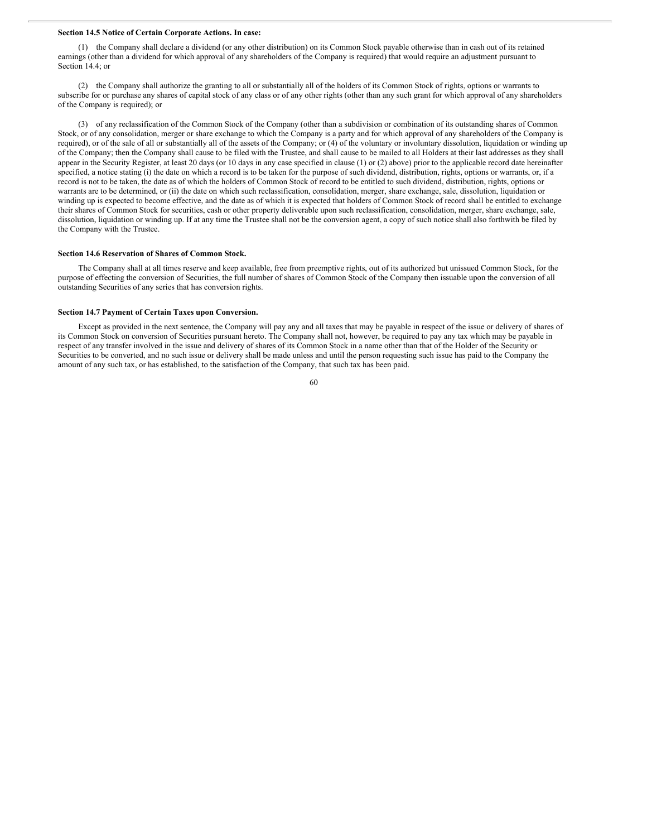### **Section 14.5 Notice of Certain Corporate Actions. In case:**

(1) the Company shall declare a dividend (or any other distribution) on its Common Stock payable otherwise than in cash out of its retained earnings (other than a dividend for which approval of any shareholders of the Company is required) that would require an adjustment pursuant to Section 14.4; or

(2) the Company shall authorize the granting to all or substantially all of the holders of its Common Stock of rights, options or warrants to subscribe for or purchase any shares of capital stock of any class or of any other rights (other than any such grant for which approval of any shareholders of the Company is required); or

(3) of any reclassification of the Common Stock of the Company (other than a subdivision or combination of its outstanding shares of Common Stock, or of any consolidation, merger or share exchange to which the Company is a party and for which approval of any shareholders of the Company is required), or of the sale of all or substantially all of the assets of the Company; or (4) of the voluntary or involuntary dissolution, liquidation or winding up of the Company; then the Company shall cause to be filed with the Trustee, and shall cause to be mailed to all Holders at their last addresses as they shall appear in the Security Register, at least 20 days (or 10 days in any case specified in clause (1) or (2) above) prior to the applicable record date hereinafter specified, a notice stating (i) the date on which a record is to be taken for the purpose of such dividend, distribution, rights, options or warrants, or, if a record is not to be taken, the date as of which the holders of Common Stock of record to be entitled to such dividend, distribution, rights, options or warrants are to be determined, or (ii) the date on which such reclassification, consolidation, merger, share exchange, sale, dissolution, liquidation or winding up is expected to become effective, and the date as of which it is expected that holders of Common Stock of record shall be entitled to exchange their shares of Common Stock for securities, cash or other property deliverable upon such reclassification, consolidation, merger, share exchange, sale, dissolution, liquidation or winding up. If at any time the Trustee shall not be the conversion agent, a copy of such notice shall also forthwith be filed by the Company with the Trustee.

### **Section 14.6 Reservation of Shares of Common Stock.**

The Company shall at all times reserve and keep available, free from preemptive rights, out of its authorized but unissued Common Stock, for the purpose of effecting the conversion of Securities, the full number of shares of Common Stock of the Company then issuable upon the conversion of all outstanding Securities of any series that has conversion rights.

# **Section 14.7 Payment of Certain Taxes upon Conversion.**

Except as provided in the next sentence, the Company will pay any and all taxes that may be payable in respect of the issue or delivery of shares of its Common Stock on conversion of Securities pursuant hereto. The Company shall not, however, be required to pay any tax which may be payable in respect of any transfer involved in the issue and delivery of shares of its Common Stock in a name other than that of the Holder of the Security or Securities to be converted, and no such issue or delivery shall be made unless and until the person requesting such issue has paid to the Company the amount of any such tax, or has established, to the satisfaction of the Company, that such tax has been paid.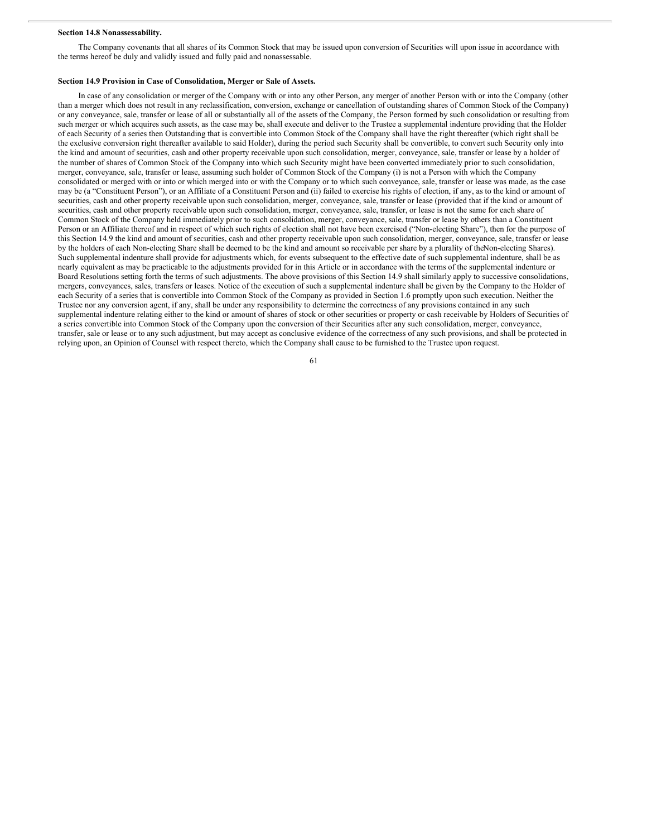#### **Section 14.8 Nonassessability.**

The Company covenants that all shares of its Common Stock that may be issued upon conversion of Securities will upon issue in accordance with the terms hereof be duly and validly issued and fully paid and nonassessable.

### **Section 14.9 Provision in Case of Consolidation, Merger or Sale of Assets.**

In case of any consolidation or merger of the Company with or into any other Person, any merger of another Person with or into the Company (other than a merger which does not result in any reclassification, conversion, exchange or cancellation of outstanding shares of Common Stock of the Company) or any conveyance, sale, transfer or lease of all or substantially all of the assets of the Company, the Person formed by such consolidation or resulting from such merger or which acquires such assets, as the case may be, shall execute and deliver to the Trustee a supplemental indenture providing that the Holder of each Security of a series then Outstanding that is convertible into Common Stock of the Company shall have the right thereafter (which right shall be the exclusive conversion right thereafter available to said Holder), during the period such Security shall be convertible, to convert such Security only into the kind and amount of securities, cash and other property receivable upon such consolidation, merger, conveyance, sale, transfer or lease by a holder of the number of shares of Common Stock of the Company into which such Security might have been converted immediately prior to such consolidation, merger, conveyance, sale, transfer or lease, assuming such holder of Common Stock of the Company (i) is not a Person with which the Company consolidated or merged with or into or which merged into or with the Company or to which such conveyance, sale, transfer or lease was made, as the case may be (a "Constituent Person"), or an Affiliate of a Constituent Person and (ii) failed to exercise his rights of election, if any, as to the kind or amount of securities, cash and other property receivable upon such consolidation, merger, conveyance, sale, transfer or lease (provided that if the kind or amount of securities, cash and other property receivable upon such consolidation, merger, conveyance, sale, transfer, or lease is not the same for each share of Common Stock of the Company held immediately prior to such consolidation, merger, conveyance, sale, transfer or lease by others than a Constituent Person or an Affiliate thereof and in respect of which such rights of election shall not have been exercised ("Non-electing Share"), then for the purpose of this Section 14.9 the kind and amount of securities, cash and other property receivable upon such consolidation, merger, conveyance, sale, transfer or lease by the holders of each Non-electing Share shall be deemed to be the kind and amount so receivable per share by a plurality of theNon-electing Shares). Such supplemental indenture shall provide for adjustments which, for events subsequent to the effective date of such supplemental indenture, shall be as nearly equivalent as may be practicable to the adjustments provided for in this Article or in accordance with the terms of the supplemental indenture or Board Resolutions setting forth the terms of such adjustments. The above provisions of this Section 14.9 shall similarly apply to successive consolidations, mergers, conveyances, sales, transfers or leases. Notice of the execution of such a supplemental indenture shall be given by the Company to the Holder of each Security of a series that is convertible into Common Stock of the Company as provided in Section 1.6 promptly upon such execution. Neither the Trustee nor any conversion agent, if any, shall be under any responsibility to determine the correctness of any provisions contained in any such supplemental indenture relating either to the kind or amount of shares of stock or other securities or property or cash receivable by Holders of Securities of a series convertible into Common Stock of the Company upon the conversion of their Securities after any such consolidation, merger, conveyance, transfer, sale or lease or to any such adjustment, but may accept as conclusive evidence of the correctness of any such provisions, and shall be protected in relying upon, an Opinion of Counsel with respect thereto, which the Company shall cause to be furnished to the Trustee upon request.

61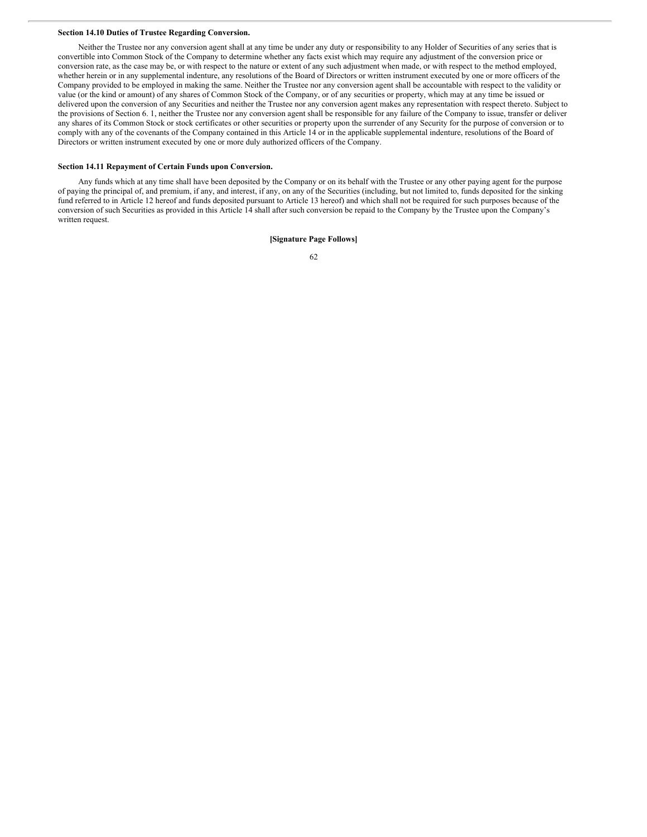#### **Section 14.10 Duties of Trustee Regarding Conversion.**

Neither the Trustee nor any conversion agent shall at any time be under any duty or responsibility to any Holder of Securities of any series that is convertible into Common Stock of the Company to determine whether any facts exist which may require any adjustment of the conversion price or conversion rate, as the case may be, or with respect to the nature or extent of any such adjustment when made, or with respect to the method employed, whether herein or in any supplemental indenture, any resolutions of the Board of Directors or written instrument executed by one or more officers of the Company provided to be employed in making the same. Neither the Trustee nor any conversion agent shall be accountable with respect to the validity or value (or the kind or amount) of any shares of Common Stock of the Company, or of any securities or property, which may at any time be issued or delivered upon the conversion of any Securities and neither the Trustee nor any conversion agent makes any representation with respect thereto. Subject to the provisions of Section 6. 1, neither the Trustee nor any conversion agent shall be responsible for any failure of the Company to issue, transfer or deliver any shares of its Common Stock or stock certificates or other securities or property upon the surrender of any Security for the purpose of conversion or to comply with any of the covenants of the Company contained in this Article 14 or in the applicable supplemental indenture, resolutions of the Board of Directors or written instrument executed by one or more duly authorized officers of the Company.

## **Section 14.11 Repayment of Certain Funds upon Conversion.**

Any funds which at any time shall have been deposited by the Company or on its behalf with the Trustee or any other paying agent for the purpose of paying the principal of, and premium, if any, and interest, if any, on any of the Securities (including, but not limited to, funds deposited for the sinking fund referred to in Article 12 hereof and funds deposited pursuant to Article 13 hereof) and which shall not be required for such purposes because of the conversion of such Securities as provided in this Article 14 shall after such conversion be repaid to the Company by the Trustee upon the Company's written request.

#### **[Signature Page Follows]**

| ٦<br>۰, |  |
|---------|--|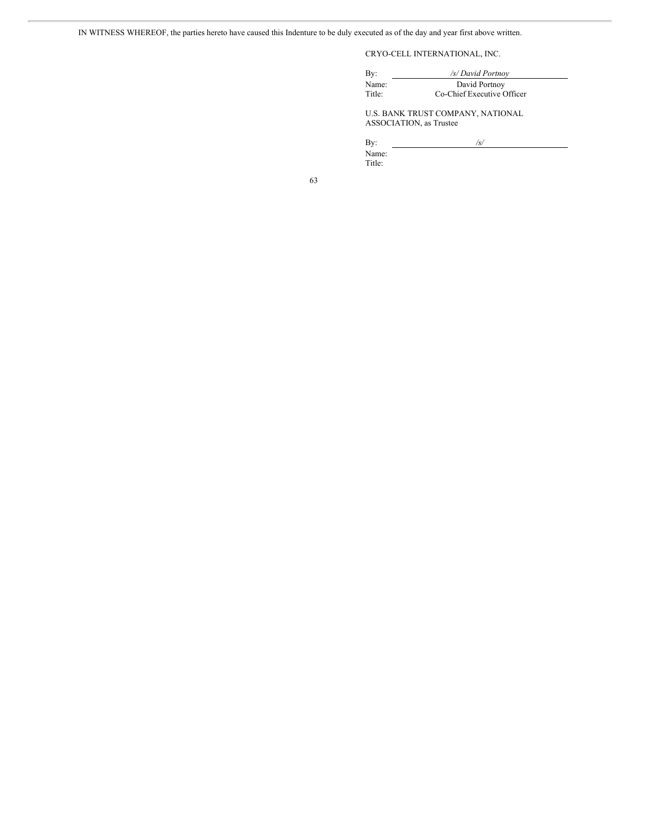IN WITNESS WHEREOF, the parties hereto have caused this Indenture to be duly executed as of the day and year first above written.

# CRYO-CELL INTERNATIONAL, INC.

| By:    | /s/ David Portnov          |  |
|--------|----------------------------|--|
| Name:  | David Portnoy              |  |
| Title: | Co-Chief Executive Officer |  |

U.S. BANK TRUST COMPANY, NATIONAL ASSOCIATION, as Trustee

By: */s/* Name: Title:

63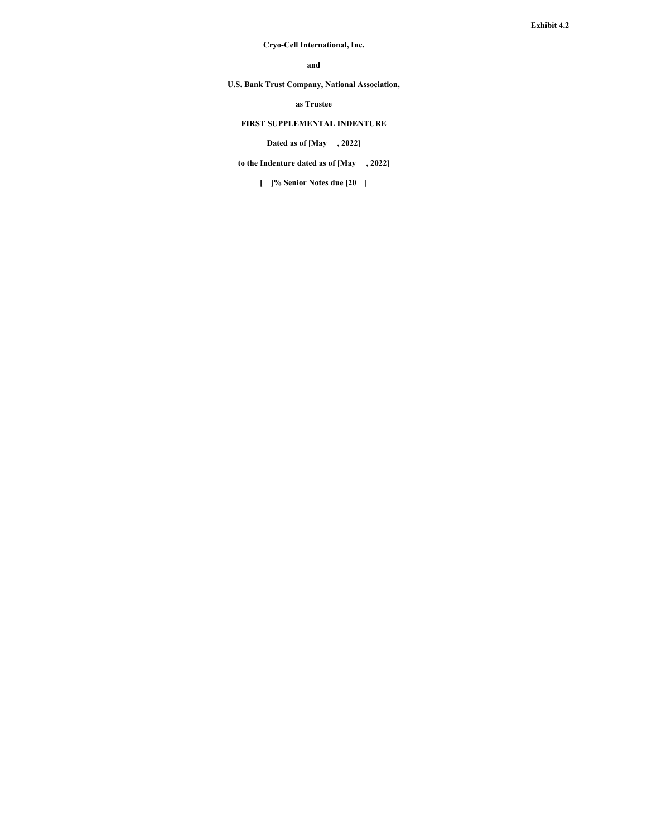## **Cryo-Cell International, Inc.**

**and**

**U.S. Bank Trust Company, National Association,**

**as Trustee**

# **FIRST SUPPLEMENTAL INDENTURE**

**Dated as of [May , 2022]**

**to the Indenture dated as of [May , 2022]**

**[ ]% Senior Notes due [20 ]**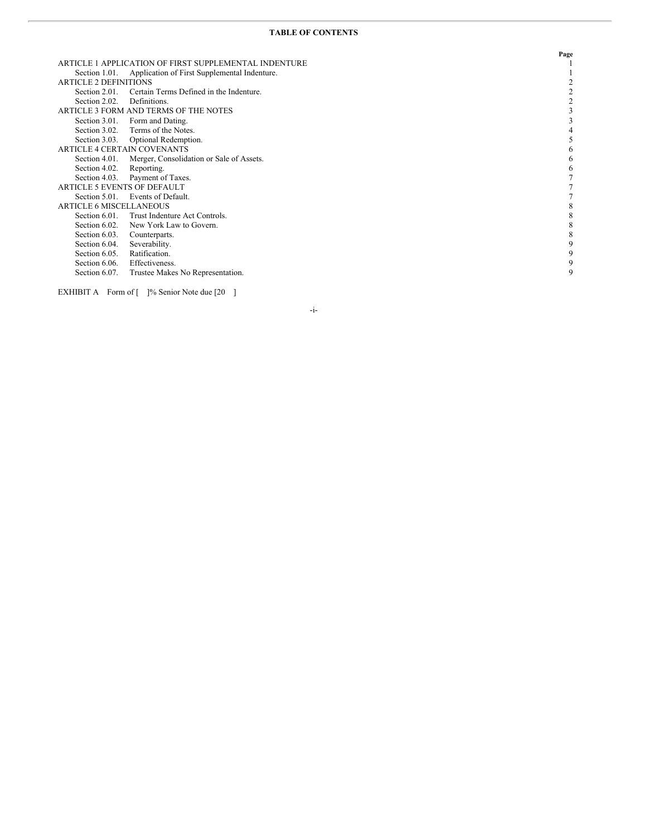# **TABLE OF CONTENTS**

|                                    |                                                       | Page |
|------------------------------------|-------------------------------------------------------|------|
|                                    | ARTICLE 1 APPLICATION OF FIRST SUPPLEMENTAL INDENTURE |      |
| Section 1.01.                      | Application of First Supplemental Indenture.          |      |
| <b>ARTICLE 2 DEFINITIONS</b>       |                                                       |      |
| Section 2.01.                      | Certain Terms Defined in the Indenture.               |      |
| Section 2.02.                      | Definitions.                                          |      |
|                                    | ARTICLE 3 FORM AND TERMS OF THE NOTES                 |      |
| Section 3.01.                      | Form and Dating.                                      |      |
| Section 3.02.                      | Terms of the Notes.                                   |      |
|                                    | Section 3.03. Optional Redemption.                    |      |
| <b>ARTICLE 4 CERTAIN COVENANTS</b> |                                                       |      |
| Section 4.01.                      | Merger, Consolidation or Sale of Assets.              |      |
| Section 4.02.                      | Reporting.                                            |      |
| Section 4.03.                      | Payment of Taxes.                                     |      |
| <b>ARTICLE 5 EVENTS OF DEFAULT</b> |                                                       |      |
| Section 5.01.                      | Events of Default.                                    |      |
| <b>ARTICLE 6 MISCELLANEOUS</b>     |                                                       |      |
| Section 6.01.                      | Trust Indenture Act Controls.                         |      |
| Section 6.02.                      | New York Law to Govern.                               |      |
| Section 6.03.                      | Counterparts.                                         | 8    |
| Section 6.04.                      | Severability.                                         | 9    |
| Section 6.05.                      | Ratification.                                         | 9    |
| Section 6.06.                      | Effectiveness.                                        | 9    |
| Section 6.07.                      | Trustee Makes No Representation.                      | 9    |
|                                    |                                                       |      |

EXHIBIT A Form of [ ]% Senior Note due [20 ]

-i-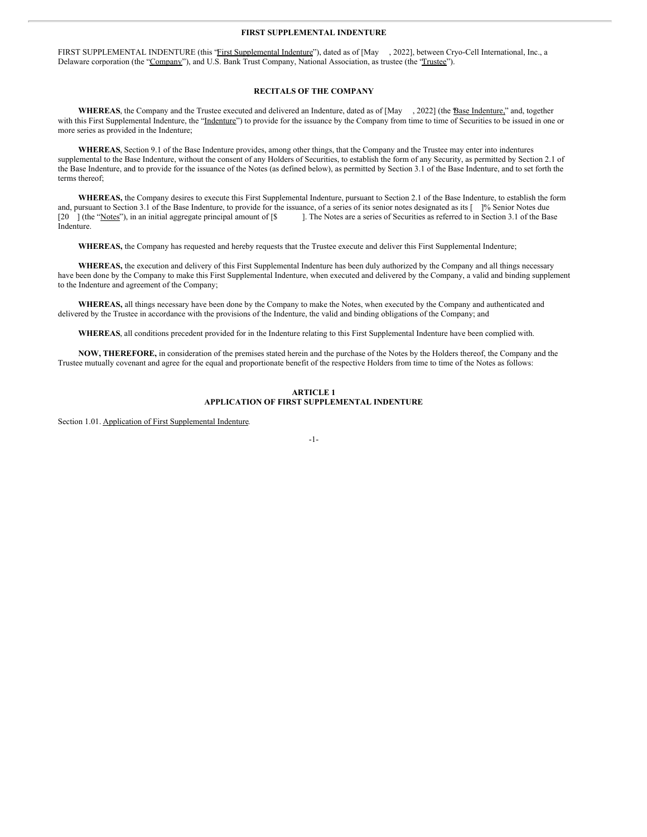## **FIRST SUPPLEMENTAL INDENTURE**

FIRST SUPPLEMENTAL INDENTURE (this "First Supplemental Indenture"), dated as of [May , 2022], between Cryo-Cell International, Inc., a Delaware corporation (the "Company"), and U.S. Bank Trust Company, National Association, as trustee (the "Trustee").

## **RECITALS OF THE COMPANY**

**WHEREAS**, the Company and the Trustee executed and delivered an Indenture, dated as of [May , 2022] (the "Base Indenture," and, together with this First Supplemental Indenture, the "Indenture") to provide for the issuance by the Company from time to time of Securities to be issued in one or more series as provided in the Indenture;

**WHEREAS**, Section 9.1 of the Base Indenture provides, among other things, that the Company and the Trustee may enter into indentures supplemental to the Base Indenture, without the consent of any Holders of Securities, to establish the form of any Security, as permitted by Section 2.1 of the Base Indenture, and to provide for the issuance of the Notes (as defined below), as permitted by Section 3.1 of the Base Indenture, and to set forth the terms thereof;

**WHEREAS,** the Company desires to execute this First Supplemental Indenture, pursuant to Section 2.1 of the Base Indenture, to establish the form and, pursuant to Section 3.1 of the Base Indenture, to provide for the issuance, of a series of its senior notes designated as its [ ]% Senior Notes due [20 ] (the "Notes"), in an initial aggregate principal amount of [\$]. The Notes are a series of Securities as referred to in Section 3.1 of the Base Indenture.

**WHEREAS,** the Company has requested and hereby requests that the Trustee execute and deliver this First Supplemental Indenture;

**WHEREAS,** the execution and delivery of this First Supplemental Indenture has been duly authorized by the Company and all things necessary have been done by the Company to make this First Supplemental Indenture, when executed and delivered by the Company, a valid and binding supplement to the Indenture and agreement of the Company;

**WHEREAS,** all things necessary have been done by the Company to make the Notes, when executed by the Company and authenticated and delivered by the Trustee in accordance with the provisions of the Indenture, the valid and binding obligations of the Company; and

**WHEREAS**, all conditions precedent provided for in the Indenture relating to this First Supplemental Indenture have been complied with.

**NOW, THEREFORE,** in consideration of the premises stated herein and the purchase of the Notes by the Holders thereof, the Company and the Trustee mutually covenant and agree for the equal and proportionate benefit of the respective Holders from time to time of the Notes as follows:

## **ARTICLE 1 APPLICATION OF FIRST SUPPLEMENTAL INDENTURE**

Section 1.01. Application of First Supplemental Indenture.

-1-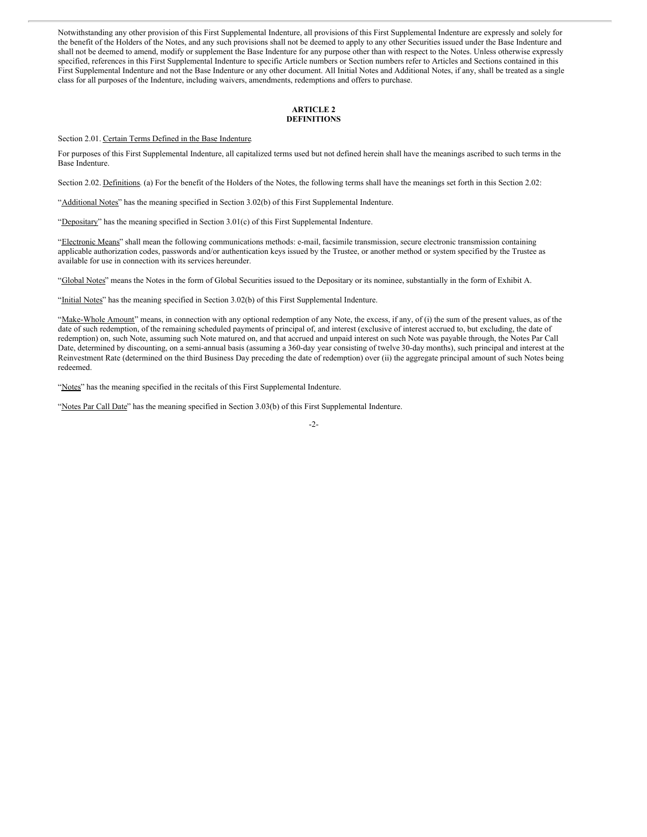Notwithstanding any other provision of this First Supplemental Indenture, all provisions of this First Supplemental Indenture are expressly and solely for the benefit of the Holders of the Notes, and any such provisions shall not be deemed to apply to any other Securities issued under the Base Indenture and shall not be deemed to amend, modify or supplement the Base Indenture for any purpose other than with respect to the Notes. Unless otherwise expressly specified, references in this First Supplemental Indenture to specific Article numbers or Section numbers refer to Articles and Sections contained in this First Supplemental Indenture and not the Base Indenture or any other document. All Initial Notes and Additional Notes, if any, shall be treated as a single class for all purposes of the Indenture, including waivers, amendments, redemptions and offers to purchase.

#### **ARTICLE 2 DEFINITIONS**

Section 2.01. Certain Terms Defined in the Base Indenture.

For purposes of this First Supplemental Indenture, all capitalized terms used but not defined herein shall have the meanings ascribed to such terms in the Base Indenture.

Section 2.02. Definitions. (a) For the benefit of the Holders of the Notes, the following terms shall have the meanings set forth in this Section 2.02:

"Additional Notes" has the meaning specified in Section 3.02(b) of this First Supplemental Indenture.

"Depositary" has the meaning specified in Section 3.01(c) of this First Supplemental Indenture.

"Electronic Means" shall mean the following communications methods: e-mail, facsimile transmission, secure electronic transmission containing applicable authorization codes, passwords and/or authentication keys issued by the Trustee, or another method or system specified by the Trustee as available for use in connection with its services hereunder.

"Global Notes" means the Notes in the form of Global Securities issued to the Depositary or its nominee, substantially in the form of Exhibit A.

"Initial Notes" has the meaning specified in Section 3.02(b) of this First Supplemental Indenture.

"Make-Whole Amount" means, in connection with any optional redemption of any Note, the excess, if any, of (i) the sum of the present values, as of the date of such redemption, of the remaining scheduled payments of principal of, and interest (exclusive of interest accrued to, but excluding, the date of redemption) on, such Note, assuming such Note matured on, and that accrued and unpaid interest on such Note was payable through, the Notes Par Call Date, determined by discounting, on a semi-annual basis (assuming a 360-day year consisting of twelve 30-day months), such principal and interest at the Reinvestment Rate (determined on the third Business Day preceding the date of redemption) over (ii) the aggregate principal amount of such Notes being redeemed.

"Notes" has the meaning specified in the recitals of this First Supplemental Indenture.

"Notes Par Call Date" has the meaning specified in Section 3.03(b) of this First Supplemental Indenture.

-2-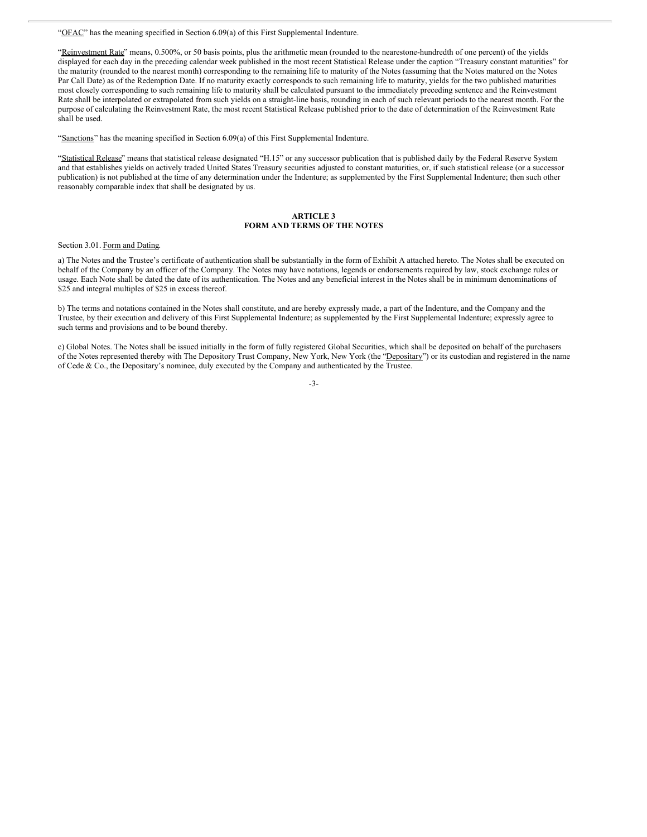"OFAC" has the meaning specified in Section 6.09(a) of this First Supplemental Indenture.

"Reinvestment Rate" means, 0.500%, or 50 basis points, plus the arithmetic mean (rounded to the nearestone-hundredth of one percent) of the yields displayed for each day in the preceding calendar week published in the most recent Statistical Release under the caption "Treasury constant maturities" for the maturity (rounded to the nearest month) corresponding to the remaining life to maturity of the Notes (assuming that the Notes matured on the Notes Par Call Date) as of the Redemption Date. If no maturity exactly corresponds to such remaining life to maturity, yields for the two published maturities most closely corresponding to such remaining life to maturity shall be calculated pursuant to the immediately preceding sentence and the Reinvestment Rate shall be interpolated or extrapolated from such yields on a straight-line basis, rounding in each of such relevant periods to the nearest month. For the purpose of calculating the Reinvestment Rate, the most recent Statistical Release published prior to the date of determination of the Reinvestment Rate shall be used.

"Sanctions" has the meaning specified in Section 6.09(a) of this First Supplemental Indenture.

"Statistical Release" means that statistical release designated "H.15" or any successor publication that is published daily by the Federal Reserve System and that establishes yields on actively traded United States Treasury securities adjusted to constant maturities, or, if such statistical release (or a successor publication) is not published at the time of any determination under the Indenture; as supplemented by the First Supplemental Indenture; then such other reasonably comparable index that shall be designated by us.

### **ARTICLE 3 FORM AND TERMS OF THE NOTES**

#### Section 3.01. Form and Dating.

a) The Notes and the Trustee's certificate of authentication shall be substantially in the form of Exhibit A attached hereto. The Notes shall be executed on behalf of the Company by an officer of the Company. The Notes may have notations, legends or endorsements required by law, stock exchange rules or usage. Each Note shall be dated the date of its authentication. The Notes and any beneficial interest in the Notes shall be in minimum denominations of \$25 and integral multiples of \$25 in excess thereof.

b) The terms and notations contained in the Notes shall constitute, and are hereby expressly made, a part of the Indenture, and the Company and the Trustee, by their execution and delivery of this First Supplemental Indenture; as supplemented by the First Supplemental Indenture; expressly agree to such terms and provisions and to be bound thereby.

c) Global Notes. The Notes shall be issued initially in the form of fully registered Global Securities, which shall be deposited on behalf of the purchasers of the Notes represented thereby with The Depository Trust Company, New York, New York (the "Depositary") or its custodian and registered in the name of Cede & Co., the Depositary's nominee, duly executed by the Company and authenticated by the Trustee.

-3-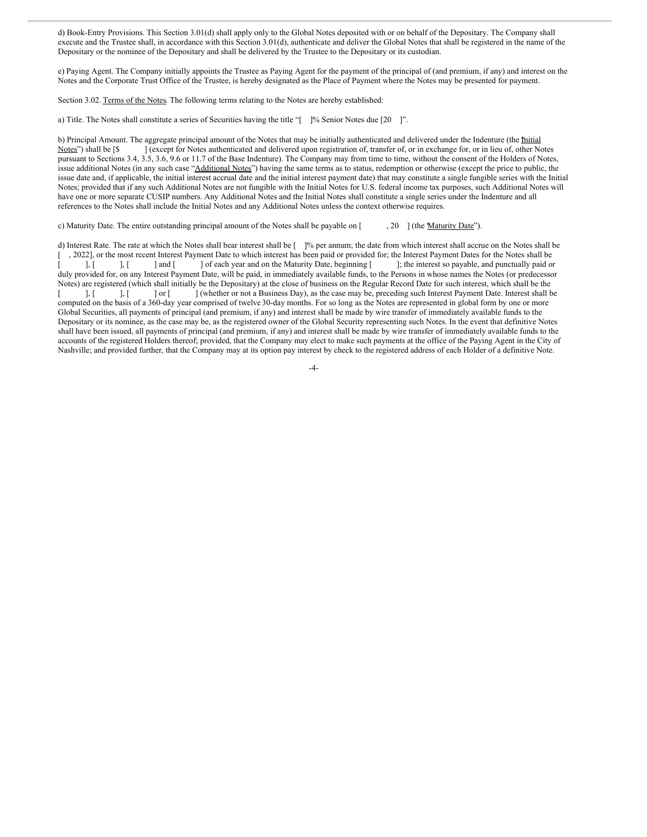d) Book-Entry Provisions. This Section 3.01(d) shall apply only to the Global Notes deposited with or on behalf of the Depositary. The Company shall execute and the Trustee shall, in accordance with this Section 3.01(d), authenticate and deliver the Global Notes that shall be registered in the name of the Depositary or the nominee of the Depositary and shall be delivered by the Trustee to the Depositary or its custodian.

e) Paying Agent. The Company initially appoints the Trustee as Paying Agent for the payment of the principal of (and premium, if any) and interest on the Notes and the Corporate Trust Office of the Trustee, is hereby designated as the Place of Payment where the Notes may be presented for payment.

Section 3.02. Terms of the Notes. The following terms relating to the Notes are hereby established:

a) Title. The Notes shall constitute a series of Securities having the title "[ ]% Senior Notes due [20 ]".

b) Principal Amount. The aggregate principal amount of the Notes that may be initially authenticated and delivered under the Indenture (the Initial Notes") shall be [\$ ] (except for Notes authenticated and delivered upon registration of, transfer of, or in exchange for, or in lieu of, other Notes pursuant to Sections 3.4, 3.5, 3.6, 9.6 or 11.7 of the Base Indenture). The Company may from time to time, without the consent of the Holders of Notes, issue additional Notes (in any such case "Additional Notes") having the same terms as to status, redemption or otherwise (except the price to public, the issue date and, if applicable, the initial interest accrual date and the initial interest payment date) that may constitute a single fungible series with the Initial Notes; provided that if any such Additional Notes are not fungible with the Initial Notes for U.S. federal income tax purposes, such Additional Notes will have one or more separate CUSIP numbers. Any Additional Notes and the Initial Notes shall constitute a single series under the Indenture and all references to the Notes shall include the Initial Notes and any Additional Notes unless the context otherwise requires.

c) Maturity Date. The entire outstanding principal amount of the Notes shall be payable on [ , 20 ] (the Maturity Date").

d) Interest Rate. The rate at which the Notes shall bear interest shall be [ ]% per annum; the date from which interest shall accrue on the Notes shall be 2022], or the most recent Interest Payment Date to which interest has been paid or provided for; the Interest Payment Dates for the Notes shall be<br>
1, [ ] and [ ] of each year and on the Maturity Date, beginning [ ]; the i [ ], [ ] and [ ] of each year and on the Maturity Date, beginning [ duly provided for, on any Interest Payment Date, will be paid, in immediately available funds, to the Persons in whose names the Notes (or predecessor Notes) are registered (which shall initially be the Depositary) at the close of business on the Regular Record Date for such interest, which shall be the [ ], [ ], [ ] or [ ] (whether or not a Business Day), as the case may be, preceding such Interest Payment Date. Interest shall be computed on the basis of a 360-day year comprised of twelve 30-day months. For so long as the Notes are represented in global form by one or more Global Securities, all payments of principal (and premium, if any) and interest shall be made by wire transfer of immediately available funds to the Depositary or its nominee, as the case may be, as the registered owner of the Global Security representing such Notes. In the event that definitive Notes shall have been issued, all payments of principal (and premium, if any) and interest shall be made by wire transfer of immediately available funds to the accounts of the registered Holders thereof; provided, that the Company may elect to make such payments at the office of the Paying Agent in the City of Nashville; and provided further, that the Company may at its option pay interest by check to the registered address of each Holder of a definitive Note.

-4-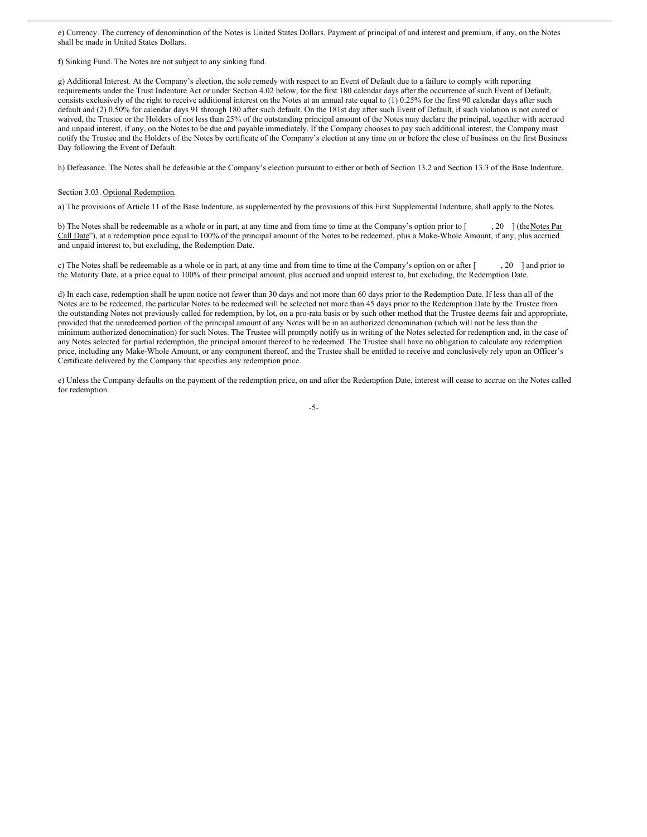e) Currency. The currency of denomination of the Notes is United States Dollars. Payment of principal of and interest and premium, if any, on the Notes shall be made in United States Dollars.

f) Sinking Fund. The Notes are not subject to any sinking fund.

g) Additional Interest. At the Company's election, the sole remedy with respect to an Event of Default due to a failure to comply with reporting requirements under the Trust Indenture Act or under Section 4.02 below, for the first 180 calendar days after the occurrence of such Event of Default, consists exclusively of the right to receive additional interest on the Notes at an annual rate equal to  $(1)$  0.25% for the first 90 calendar days after such default and (2) 0.50% for calendar days 91 through 180 after such default. On the 181st day after such Event of Default, if such violation is not cured or waived, the Trustee or the Holders of not less than 25% of the outstanding principal amount of the Notes may declare the principal, together with accrued and unpaid interest, if any, on the Notes to be due and payable immediately. If the Company chooses to pay such additional interest, the Company must notify the Trustee and the Holders of the Notes by certificate of the Company's election at any time on or before the close of business on the first Business Day following the Event of Default.

h) Defeasance. The Notes shall be defeasible at the Company's election pursuant to either or both of Section 13.2 and Section 13.3 of the Base Indenture.

### Section 3.03. Optional Redemption.

a) The provisions of Article 11 of the Base Indenture, as supplemented by the provisions of this First Supplemental Indenture, shall apply to the Notes.

b) The Notes shall be redeemable as a whole or in part, at any time and from time to time at the Company's option prior to [, 20 ] (the Notes Par Call Date"), at a redemption price equal to 100% of the principal amount of the Notes to be redeemed, plus a Make-Whole Amount, if any, plus accrued and unpaid interest to, but excluding, the Redemption Date.

c) The Notes shall be redeemable as a whole or in part, at any time and from time to time at the Company's option on or after [ , 20 ] and prior to the Maturity Date, at a price equal to 100% of their principal amount, plus accrued and unpaid interest to, but excluding, the Redemption Date.

d) In each case, redemption shall be upon notice not fewer than 30 days and not more than 60 days prior to the Redemption Date. If less than all of the Notes are to be redeemed, the particular Notes to be redeemed will be selected not more than 45 days prior to the Redemption Date by the Trustee from the outstanding Notes not previously called for redemption, by lot, on a pro-rata basis or by such other method that the Trustee deems fair and appropriate, provided that the unredeemed portion of the principal amount of any Notes will be in an authorized denomination (which will not be less than the minimum authorized denomination) for such Notes. The Trustee will promptly notify us in writing of the Notes selected for redemption and, in the case of any Notes selected for partial redemption, the principal amount thereof to be redeemed. The Trustee shall have no obligation to calculate any redemption price, including any Make-Whole Amount, or any component thereof, and the Trustee shall be entitled to receive and conclusively rely upon an Officer's Certificate delivered by the Company that specifies any redemption price.

e) Unless the Company defaults on the payment of the redemption price, on and after the Redemption Date, interest will cease to accrue on the Notes called for redemption.

-5-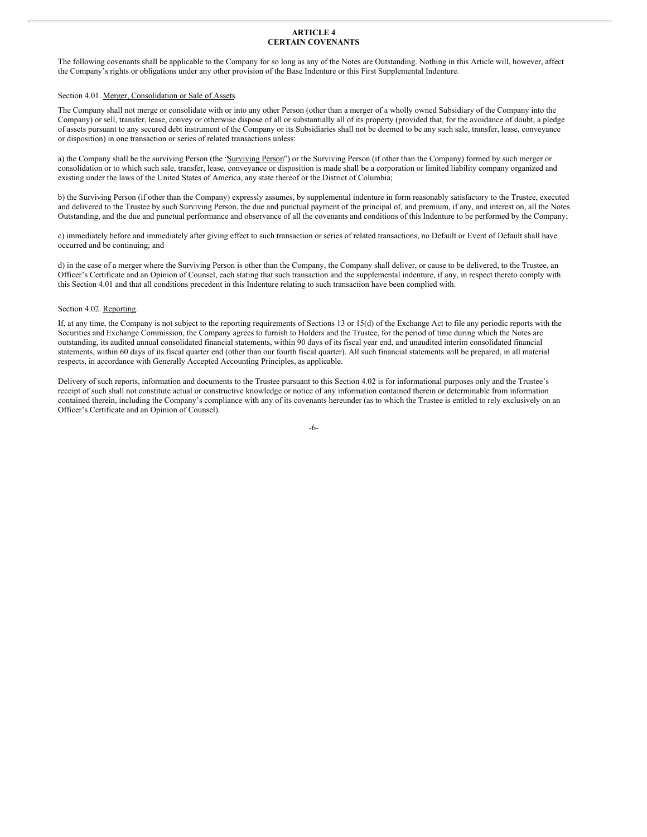## **ARTICLE 4 CERTAIN COVENANTS**

The following covenants shall be applicable to the Company for so long as any of the Notes are Outstanding. Nothing in this Article will, however, affect the Company's rights or obligations under any other provision of the Base Indenture or this First Supplemental Indenture.

### Section 4.01. Merger, Consolidation or Sale of Assets.

The Company shall not merge or consolidate with or into any other Person (other than a merger of a wholly owned Subsidiary of the Company into the Company) or sell, transfer, lease, convey or otherwise dispose of all or substantially all of its property (provided that, for the avoidance of doubt, a pledge of assets pursuant to any secured debt instrument of the Company or its Subsidiaries shall not be deemed to be any such sale, transfer, lease, conveyance or disposition) in one transaction or series of related transactions unless:

a) the Company shall be the surviving Person (the 'Surviving Person'') or the Surviving Person (if other than the Company) formed by such merger or consolidation or to which such sale, transfer, lease, conveyance or disposition is made shall be a corporation or limited liability company organized and existing under the laws of the United States of America, any state thereof or the District of Columbia;

b) the Surviving Person (if other than the Company) expressly assumes, by supplemental indenture in form reasonably satisfactory to the Trustee, executed and delivered to the Trustee by such Surviving Person, the due and punctual payment of the principal of, and premium, if any, and interest on, all the Notes Outstanding, and the due and punctual performance and observance of all the covenants and conditions of this Indenture to be performed by the Company;

c) immediately before and immediately after giving effect to such transaction or series of related transactions, no Default or Event of Default shall have occurred and be continuing; and

d) in the case of a merger where the Surviving Person is other than the Company, the Company shall deliver, or cause to be delivered, to the Trustee, an Officer's Certificate and an Opinion of Counsel, each stating that such transaction and the supplemental indenture, if any, in respect thereto comply with this Section 4.01 and that all conditions precedent in this Indenture relating to such transaction have been complied with.

#### Section 4.02. Reporting.

If, at any time, the Company is not subject to the reporting requirements of Sections 13 or 15(d) of the Exchange Act to file any periodic reports with the Securities and Exchange Commission, the Company agrees to furnish to Holders and the Trustee, for the period of time during which the Notes are outstanding, its audited annual consolidated financial statements, within 90 days of its fiscal year end, and unaudited interim consolidated financial statements, within 60 days of its fiscal quarter end (other than our fourth fiscal quarter). All such financial statements will be prepared, in all material respects, in accordance with Generally Accepted Accounting Principles, as applicable.

Delivery of such reports, information and documents to the Trustee pursuant to this Section 4.02 is for informational purposes only and the Trustee's receipt of such shall not constitute actual or constructive knowledge or notice of any information contained therein or determinable from information contained therein, including the Company's compliance with any of its covenants hereunder (as to which the Trustee is entitled to rely exclusively on an Officer's Certificate and an Opinion of Counsel).

-6-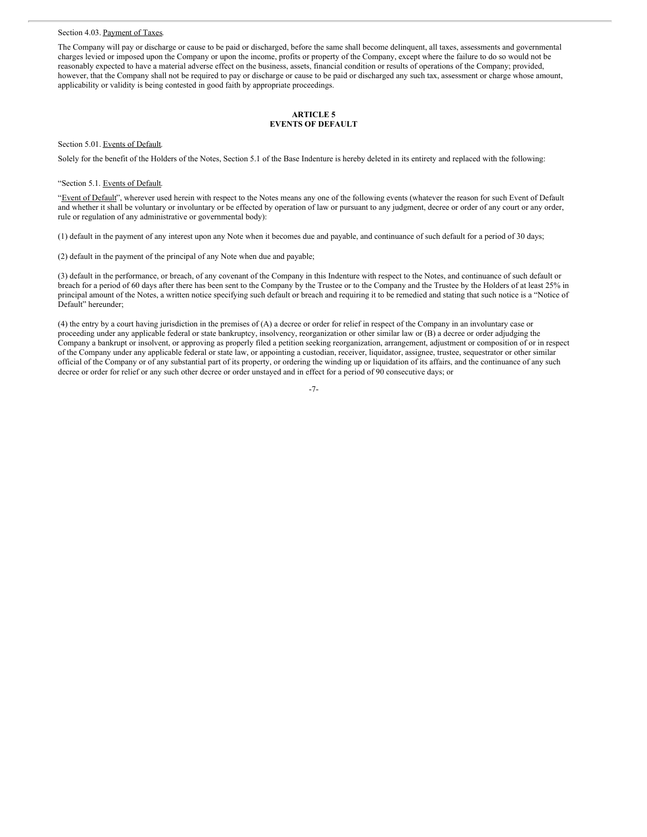#### Section 4.03. Payment of Taxes.

The Company will pay or discharge or cause to be paid or discharged, before the same shall become delinquent, all taxes, assessments and governmental charges levied or imposed upon the Company or upon the income, profits or property of the Company, except where the failure to do so would not be reasonably expected to have a material adverse effect on the business, assets, financial condition or results of operations of the Company; provided, however, that the Company shall not be required to pay or discharge or cause to be paid or discharged any such tax, assessment or charge whose amount, applicability or validity is being contested in good faith by appropriate proceedings.

## **ARTICLE 5 EVENTS OF DEFAULT**

## Section 5.01. Events of Default.

Solely for the benefit of the Holders of the Notes, Section 5.1 of the Base Indenture is hereby deleted in its entirety and replaced with the following:

#### "Section 5.1. Events of Default.

"Event of Default", wherever used herein with respect to the Notes means any one of the following events (whatever the reason for such Event of Default and whether it shall be voluntary or involuntary or be effected by operation of law or pursuant to any judgment, decree or order of any court or any order, rule or regulation of any administrative or governmental body):

(1) default in the payment of any interest upon any Note when it becomes due and payable, and continuance of such default for a period of 30 days;

(2) default in the payment of the principal of any Note when due and payable;

(3) default in the performance, or breach, of any covenant of the Company in this Indenture with respect to the Notes, and continuance of such default or breach for a period of 60 days after there has been sent to the Company by the Trustee or to the Company and the Trustee by the Holders of at least 25% in principal amount of the Notes, a written notice specifying such default or breach and requiring it to be remedied and stating that such notice is a "Notice of Default" hereunder;

(4) the entry by a court having jurisdiction in the premises of (A) a decree or order for relief in respect of the Company in an involuntary case or proceeding under any applicable federal or state bankruptcy, insolvency, reorganization or other similar law or (B) a decree or order adjudging the Company a bankrupt or insolvent, or approving as properly filed a petition seeking reorganization, arrangement, adjustment or composition of or in respect of the Company under any applicable federal or state law, or appointing a custodian, receiver, liquidator, assignee, trustee, sequestrator or other similar official of the Company or of any substantial part of its property, or ordering the winding up or liquidation of its affairs, and the continuance of any such decree or order for relief or any such other decree or order unstayed and in effect for a period of 90 consecutive days; or

-7-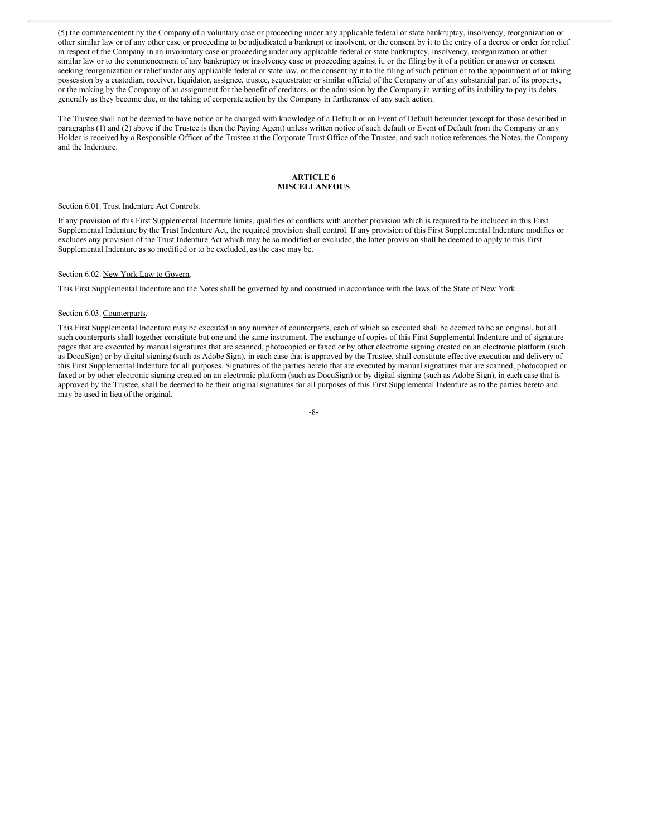(5) the commencement by the Company of a voluntary case or proceeding under any applicable federal or state bankruptcy, insolvency, reorganization or other similar law or of any other case or proceeding to be adjudicated a bankrupt or insolvent, or the consent by it to the entry of a decree or order for relief in respect of the Company in an involuntary case or proceeding under any applicable federal or state bankruptcy, insolvency, reorganization or other similar law or to the commencement of any bankruptcy or insolvency case or proceeding against it, or the filing by it of a petition or answer or consent seeking reorganization or relief under any applicable federal or state law, or the consent by it to the filing of such petition or to the appointment of or taking possession by a custodian, receiver, liquidator, assignee, trustee, sequestrator or similar official of the Company or of any substantial part of its property, or the making by the Company of an assignment for the benefit of creditors, or the admission by the Company in writing of its inability to pay its debts generally as they become due, or the taking of corporate action by the Company in furtherance of any such action.

The Trustee shall not be deemed to have notice or be charged with knowledge of a Default or an Event of Default hereunder (except for those described in paragraphs (1) and (2) above if the Trustee is then the Paying Agent) unless written notice of such default or Event of Default from the Company or any Holder is received by a Responsible Officer of the Trustee at the Corporate Trust Office of the Trustee, and such notice references the Notes, the Company and the Indenture.

## **ARTICLE 6 MISCELLANEOUS**

#### Section 6.01. Trust Indenture Act Controls.

If any provision of this First Supplemental Indenture limits, qualifies or conflicts with another provision which is required to be included in this First Supplemental Indenture by the Trust Indenture Act, the required provision shall control. If any provision of this First Supplemental Indenture modifies or excludes any provision of the Trust Indenture Act which may be so modified or excluded, the latter provision shall be deemed to apply to this First Supplemental Indenture as so modified or to be excluded, as the case may be.

#### Section 6.02. New York Law to Govern.

This First Supplemental Indenture and the Notes shall be governed by and construed in accordance with the laws of the State of New York.

#### Section 6.03. Counterparts.

This First Supplemental Indenture may be executed in any number of counterparts, each of which so executed shall be deemed to be an original, but all such counterparts shall together constitute but one and the same instrument. The exchange of copies of this First Supplemental Indenture and of signature pages that are executed by manual signatures that are scanned, photocopied or faxed or by other electronic signing created on an electronic platform (such as DocuSign) or by digital signing (such as Adobe Sign), in each case that is approved by the Trustee, shall constitute effective execution and delivery of this First Supplemental Indenture for all purposes. Signatures of the parties hereto that are executed by manual signatures that are scanned, photocopied or faxed or by other electronic signing created on an electronic platform (such as DocuSign) or by digital signing (such as Adobe Sign), in each case that is approved by the Trustee, shall be deemed to be their original signatures for all purposes of this First Supplemental Indenture as to the parties hereto and may be used in lieu of the original.

-8-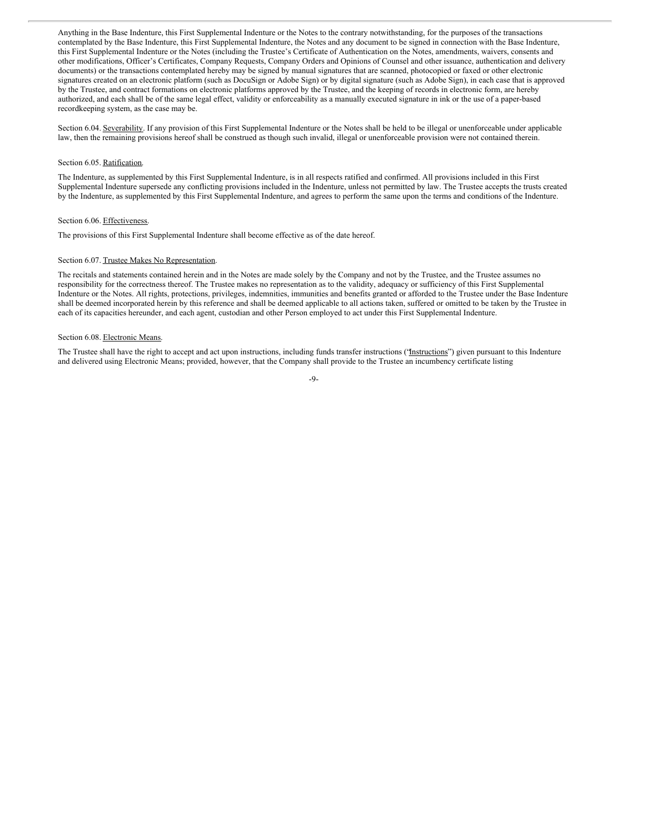Anything in the Base Indenture, this First Supplemental Indenture or the Notes to the contrary notwithstanding, for the purposes of the transactions contemplated by the Base Indenture, this First Supplemental Indenture, the Notes and any document to be signed in connection with the Base Indenture, this First Supplemental Indenture or the Notes (including the Trustee's Certificate of Authentication on the Notes, amendments, waivers, consents and other modifications, Officer's Certificates, Company Requests, Company Orders and Opinions of Counsel and other issuance, authentication and delivery documents) or the transactions contemplated hereby may be signed by manual signatures that are scanned, photocopied or faxed or other electronic signatures created on an electronic platform (such as DocuSign or Adobe Sign) or by digital signature (such as Adobe Sign), in each case that is approved by the Trustee, and contract formations on electronic platforms approved by the Trustee, and the keeping of records in electronic form, are hereby authorized, and each shall be of the same legal effect, validity or enforceability as a manually executed signature in ink or the use of a paper-based recordkeeping system, as the case may be.

Section 6.04. Severability. If any provision of this First Supplemental Indenture or the Notes shall be held to be illegal or unenforceable under applicable law, then the remaining provisions hereof shall be construed as though such invalid, illegal or unenforceable provision were not contained therein.

## Section 6.05. Ratification.

The Indenture, as supplemented by this First Supplemental Indenture, is in all respects ratified and confirmed. All provisions included in this First Supplemental Indenture supersede any conflicting provisions included in the Indenture, unless not permitted by law. The Trustee accepts the trusts created by the Indenture, as supplemented by this First Supplemental Indenture, and agrees to perform the same upon the terms and conditions of the Indenture.

### Section 6.06. Effectiveness.

The provisions of this First Supplemental Indenture shall become effective as of the date hereof.

### Section 6.07. Trustee Makes No Representation.

The recitals and statements contained herein and in the Notes are made solely by the Company and not by the Trustee, and the Trustee assumes no responsibility for the correctness thereof. The Trustee makes no representation as to the validity, adequacy or sufficiency of this First Supplemental Indenture or the Notes. All rights, protections, privileges, indemnities, immunities and benefits granted or afforded to the Trustee under the Base Indenture shall be deemed incorporated herein by this reference and shall be deemed applicable to all actions taken, suffered or omitted to be taken by the Trustee in each of its capacities hereunder, and each agent, custodian and other Person employed to act under this First Supplemental Indenture.

#### Section 6.08. Electronic Means.

The Trustee shall have the right to accept and act upon instructions, including funds transfer instructions ("Instructions") given pursuant to this Indenture and delivered using Electronic Means; provided, however, that the Company shall provide to the Trustee an incumbency certificate listing

-9-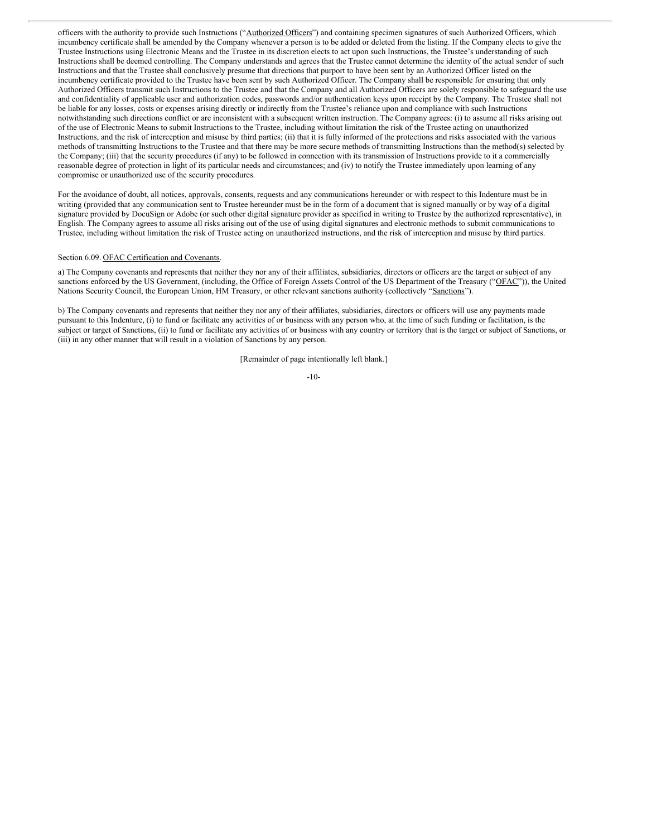officers with the authority to provide such Instructions ("Authorized Officers") and containing specimen signatures of such Authorized Officers, which incumbency certificate shall be amended by the Company whenever a person is to be added or deleted from the listing. If the Company elects to give the Trustee Instructions using Electronic Means and the Trustee in its discretion elects to act upon such Instructions, the Trustee's understanding of such Instructions shall be deemed controlling. The Company understands and agrees that the Trustee cannot determine the identity of the actual sender of such Instructions and that the Trustee shall conclusively presume that directions that purport to have been sent by an Authorized Officer listed on the incumbency certificate provided to the Trustee have been sent by such Authorized Officer. The Company shall be responsible for ensuring that only Authorized Officers transmit such Instructions to the Trustee and that the Company and all Authorized Officers are solely responsible to safeguard the use and confidentiality of applicable user and authorization codes, passwords and/or authentication keys upon receipt by the Company. The Trustee shall not be liable for any losses, costs or expenses arising directly or indirectly from the Trustee's reliance upon and compliance with such Instructions notwithstanding such directions conflict or are inconsistent with a subsequent written instruction. The Company agrees: (i) to assume all risks arising out of the use of Electronic Means to submit Instructions to the Trustee, including without limitation the risk of the Trustee acting on unauthorized Instructions, and the risk of interception and misuse by third parties; (ii) that it is fully informed of the protections and risks associated with the various methods of transmitting Instructions to the Trustee and that there may be more secure methods of transmitting Instructions than the method(s) selected by the Company; (iii) that the security procedures (if any) to be followed in connection with its transmission of Instructions provide to it a commercially reasonable degree of protection in light of its particular needs and circumstances; and (iv) to notify the Trustee immediately upon learning of any compromise or unauthorized use of the security procedures.

For the avoidance of doubt, all notices, approvals, consents, requests and any communications hereunder or with respect to this Indenture must be in writing (provided that any communication sent to Trustee hereunder must be in the form of a document that is signed manually or by way of a digital signature provided by DocuSign or Adobe (or such other digital signature provider as specified in writing to Trustee by the authorized representative), in English. The Company agrees to assume all risks arising out of the use of using digital signatures and electronic methods to submit communications to Trustee, including without limitation the risk of Trustee acting on unauthorized instructions, and the risk of interception and misuse by third parties.

## Section 6.09. OFAC Certification and Covenants.

a) The Company covenants and represents that neither they nor any of their affiliates, subsidiaries, directors or officers are the target or subject of any sanctions enforced by the US Government, (including, the Office of Foreign Assets Control of the US Department of the Treasury ("OFAC")), the United Nations Security Council, the European Union, HM Treasury, or other relevant sanctions authority (collectively "Sanctions").

b) The Company covenants and represents that neither they nor any of their affiliates, subsidiaries, directors or officers will use any payments made pursuant to this Indenture, (i) to fund or facilitate any activities of or business with any person who, at the time of such funding or facilitation, is the subject or target of Sanctions, (ii) to fund or facilitate any activities of or business with any country or territory that is the target or subject of Sanctions, or (iii) in any other manner that will result in a violation of Sanctions by any person.

[Remainder of page intentionally left blank.]

-10-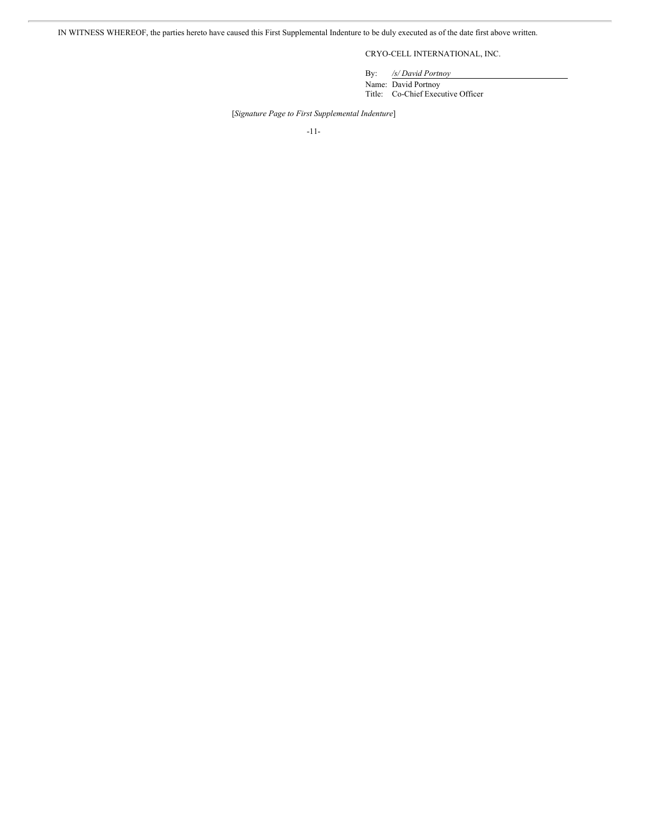IN WITNESS WHEREOF, the parties hereto have caused this First Supplemental Indenture to be duly executed as of the date first above written.

# CRYO-CELL INTERNATIONAL, INC.

By: */s/ David Portnoy*

Name: David Portnoy Title: Co-Chief Executive Officer

[*Signature Page to First Supplemental Indenture*]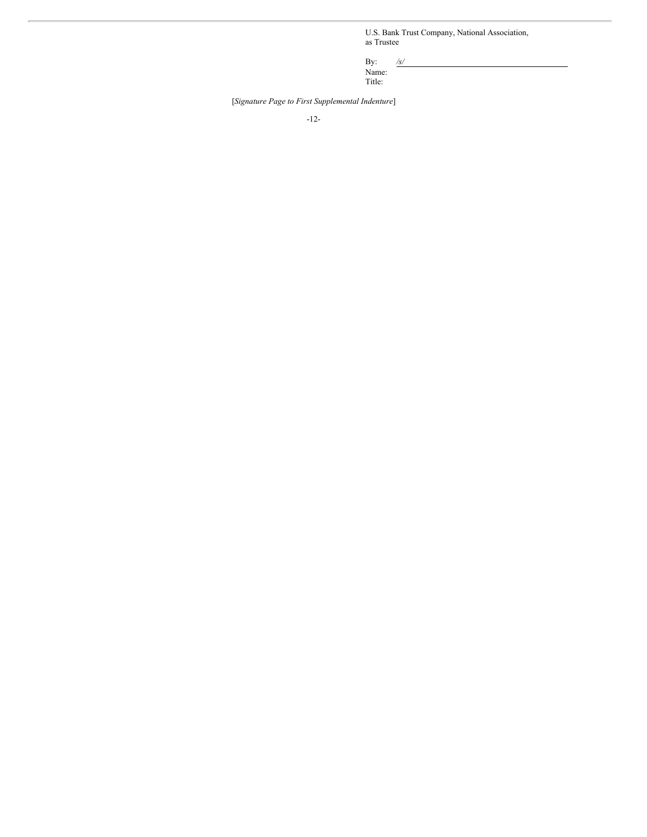U.S. Bank Trust Company, National Association, as Trustee

By: */s/*

Name: Title:

[*Signature Page to First Supplemental Indenture*]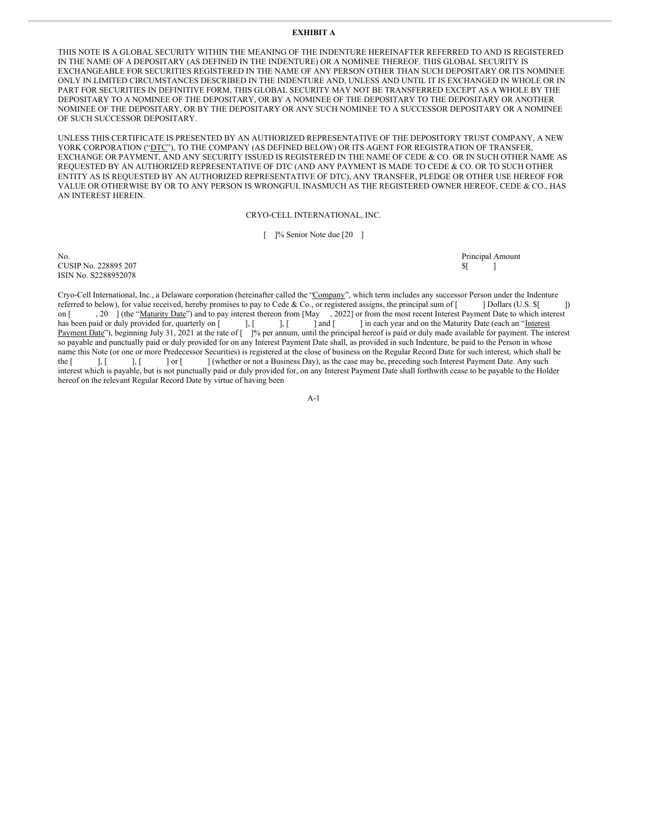## **EXHIBIT A**

THIS NOTE IS A GLOBAL SECURITY WITHIN THE MEANING OF THE INDENTURE HEREINAFTER REFERRED TO AND IS REGISTERED IN THE NAME OF A DEPOSITARY (AS DEFINED IN THE INDENTURE) OR A NOMINEE THEREOF. THIS GLOBAL SECURITY IS EXCHANGEABLE FOR SECURITIES REGISTERED IN THE NAME OF ANY PERSON OTHER THAN SUCH DEPOSITARY OR ITS NOMINEE ONLY IN LIMITED CIRCUMSTANCES DESCRIBED IN THE INDENTURE AND, UNLESS AND UNTIL IT IS EXCHANGED IN WHOLE OR IN PART FOR SECURITIES IN DEFINITIVE FORM, THIS GLOBAL SECURITY MAY NOT BE TRANSFERRED EXCEPT AS A WHOLE BY THE DEPOSITARY TO A NOMINEE OF THE DEPOSITARY, OR BY A NOMINEE OF THE DEPOSITARY TO THE DEPOSITARY OR ANOTHER NOMINEE OF THE DEPOSITARY, OR BY THE DEPOSITARY OR ANY SUCH NOMINEE TO A SUCCESSOR DEPOSITARY OR A NOMINEE OF SUCH SUCCESSOR DEPOSITARY.

UNLESS THIS CERTIFICATE IS PRESENTED BY AN AUTHORIZED REPRESENTATIVE OF THE DEPOSITORY TRUST COMPANY, A NEW YORK CORPORATION ("DTC"), TO THE COMPANY (AS DEFINED BELOW) OR ITS AGENT FOR REGISTRATION OF TRANSFER, EXCHANGE OR PAYMENT, AND ANY SECURITY ISSUED IS REGISTERED IN THE NAME OF CEDE & CO. OR IN SUCH OTHER NAME AS REQUESTED BY AN AUTHORIZED REPRESENTATIVE OF DTC (AND ANY PAYMENT IS MADE TO CEDE & CO. OR TO SUCH OTHER ENTITY AS IS REQUESTED BY AN AUTHORIZED REPRESENTATIVE OF DTC), ANY TRANSFER, PLEDGE OR OTHER USE HEREOF FOR VALUE OR OTHERWISE BY OR TO ANY PERSON IS WRONGFUL INASMUCH AS THE REGISTERED OWNER HEREOF, CEDE & CO., HAS AN INTEREST HEREIN.

## CRYO-CELL INTERNATIONAL, INC.

[ ]% Senior Note due [20 ]

No. Principal Amount **Principal Amount**  $\text{CUSIP No. } 228895 \, 207$   $\text{S}$   $\text{I}$ ISIN No. S2288952078

Cryo-Cell International, Inc., a Delaware corporation (hereinafter called the "Company", which term includes any successor Person under the Indenture referred to below), for value received, hereby promises to pay to Cede & Co., or registered assigns, the principal sum of [ ] Dollars (U.S.  $\mathbb{S}$  [ ]) on [ , 20 ] (the "Maturity Date") and to pay interest thereon from [May , 2022] or from the most recent Interest Payment Date to which interest has been paid or duly provided for, quarterly on [ ], [ ], [ ] and [ ] in each year and on the Maturity Date (each an "Interest Payment Date"), beginning July 31, 2021 at the rate of [ ]% per annum, until the principal hereof is paid or duly made available for payment. The interest so payable and punctually paid or duly provided for on any Interest Payment Date shall, as provided in such Indenture, be paid to the Person in whose name this Note (or one or more Predecessor Securities) is registered at the close of business on the Regular Record Date for such interest, which shall be the [ ], [ ], [ ] or [ ] (whether or not a Business Day), as the case may be, preceding such Interest Payment Date. Any such interest which is payable, but is not punctually paid or duly provided for, on any Interest Payment Date shall forthwith cease to be payable to the Holder hereof on the relevant Regular Record Date by virtue of having been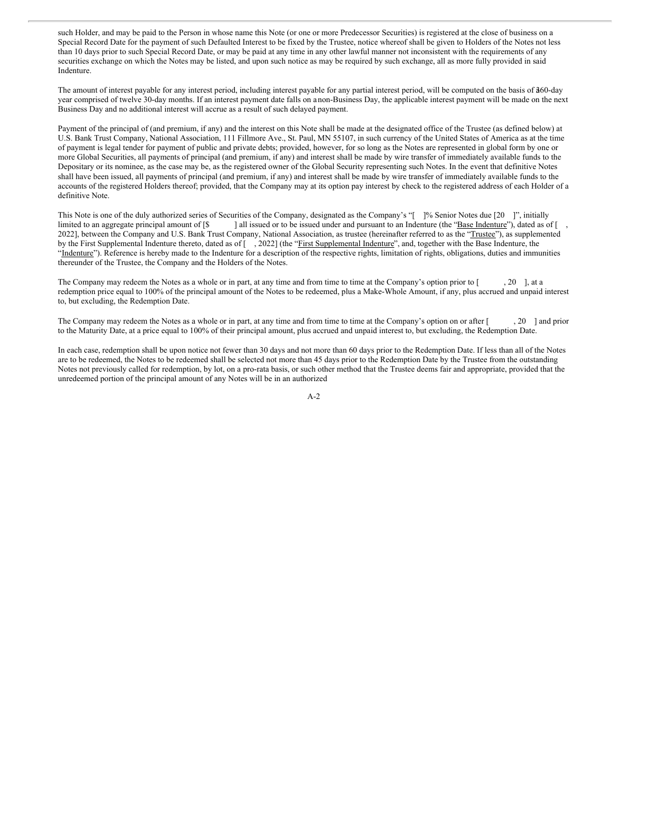such Holder, and may be paid to the Person in whose name this Note (or one or more Predecessor Securities) is registered at the close of business on a Special Record Date for the payment of such Defaulted Interest to be fixed by the Trustee, notice whereof shall be given to Holders of the Notes not less than 10 days prior to such Special Record Date, or may be paid at any time in any other lawful manner not inconsistent with the requirements of any securities exchange on which the Notes may be listed, and upon such notice as may be required by such exchange, all as more fully provided in said Indenture.

The amount of interest payable for any interest period, including interest payable for any partial interest period, will be computed on the basis of 860-day year comprised of twelve 30-day months. If an interest payment date falls on anon-Business Day, the applicable interest payment will be made on the next Business Day and no additional interest will accrue as a result of such delayed payment.

Payment of the principal of (and premium, if any) and the interest on this Note shall be made at the designated office of the Trustee (as defined below) at U.S. Bank Trust Company, National Association, 111 Fillmore Ave., St. Paul, MN 55107, in such currency of the United States of America as at the time of payment is legal tender for payment of public and private debts; provided, however, for so long as the Notes are represented in global form by one or more Global Securities, all payments of principal (and premium, if any) and interest shall be made by wire transfer of immediately available funds to the Depositary or its nominee, as the case may be, as the registered owner of the Global Security representing such Notes. In the event that definitive Notes shall have been issued, all payments of principal (and premium, if any) and interest shall be made by wire transfer of immediately available funds to the accounts of the registered Holders thereof; provided, that the Company may at its option pay interest by check to the registered address of each Holder of a definitive Note.

This Note is one of the duly authorized series of Securities of the Company, designated as the Company's "[  $\frac{1}{2}$  Senior Notes due [20 ]", initially limited to an aggregate principal amount of [\$ ] all issued or to be issued under and pursuant to an Indenture (the "Base Indenture"), dated as of [ 2022], between the Company and U.S. Bank Trust Company, National Association, as trustee (hereinafter referred to as the "Trustee"), as supplemented by the First Supplemental Indenture thereto, dated as of [ , 2022] (the "First Supplemental Indenture", and, together with the Base Indenture, the "Indenture"). Reference is hereby made to the Indenture for a description of the respective rights, limitation of rights, obligations, duties and immunities thereunder of the Trustee, the Company and the Holders of the Notes.

The Company may redeem the Notes as a whole or in part, at any time and from time to time at the Company's option prior to [ , 20 ], at a redemption price equal to 100% of the principal amount of the Notes to be redeemed, plus a Make-Whole Amount, if any, plus accrued and unpaid interest to, but excluding, the Redemption Date.

The Company may redeem the Notes as a whole or in part, at any time and from time to time at the Company's option on or after [ , 20 ] and prior to the Maturity Date, at a price equal to 100% of their principal amount, plus accrued and unpaid interest to, but excluding, the Redemption Date.

In each case, redemption shall be upon notice not fewer than 30 days and not more than 60 days prior to the Redemption Date. If less than all of the Notes are to be redeemed, the Notes to be redeemed shall be selected not more than 45 days prior to the Redemption Date by the Trustee from the outstanding Notes not previously called for redemption, by lot, on a pro-rata basis, or such other method that the Trustee deems fair and appropriate, provided that the unredeemed portion of the principal amount of any Notes will be in an authorized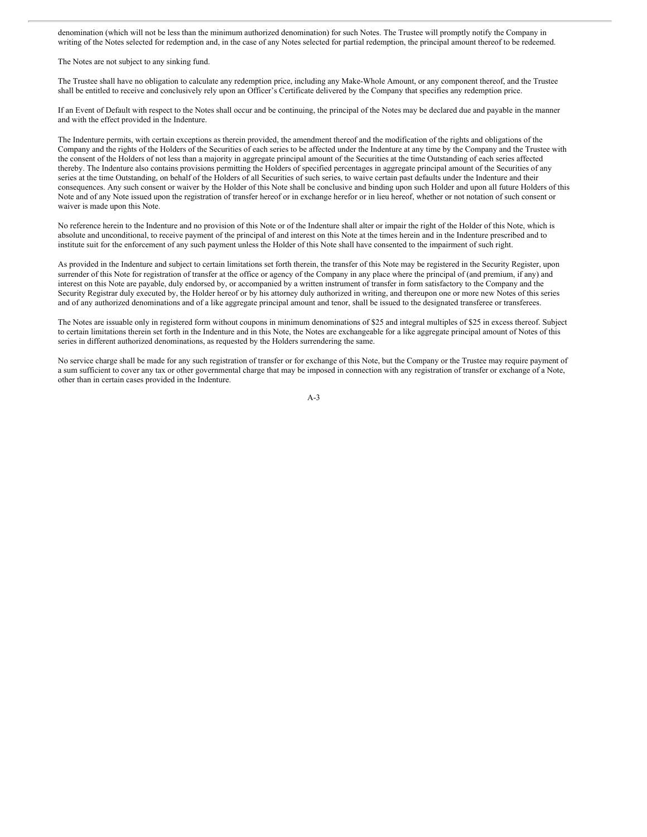denomination (which will not be less than the minimum authorized denomination) for such Notes. The Trustee will promptly notify the Company in writing of the Notes selected for redemption and, in the case of any Notes selected for partial redemption, the principal amount thereof to be redeemed.

#### The Notes are not subject to any sinking fund.

The Trustee shall have no obligation to calculate any redemption price, including any Make-Whole Amount, or any component thereof, and the Trustee shall be entitled to receive and conclusively rely upon an Officer's Certificate delivered by the Company that specifies any redemption price.

If an Event of Default with respect to the Notes shall occur and be continuing, the principal of the Notes may be declared due and payable in the manner and with the effect provided in the Indenture.

The Indenture permits, with certain exceptions as therein provided, the amendment thereof and the modification of the rights and obligations of the Company and the rights of the Holders of the Securities of each series to be affected under the Indenture at any time by the Company and the Trustee with the consent of the Holders of not less than a majority in aggregate principal amount of the Securities at the time Outstanding of each series affected thereby. The Indenture also contains provisions permitting the Holders of specified percentages in aggregate principal amount of the Securities of any series at the time Outstanding, on behalf of the Holders of all Securities of such series, to waive certain past defaults under the Indenture and their consequences. Any such consent or waiver by the Holder of this Note shall be conclusive and binding upon such Holder and upon all future Holders of this Note and of any Note issued upon the registration of transfer hereof or in exchange herefor or in lieu hereof, whether or not notation of such consent or waiver is made upon this Note.

No reference herein to the Indenture and no provision of this Note or of the Indenture shall alter or impair the right of the Holder of this Note, which is absolute and unconditional, to receive payment of the principal of and interest on this Note at the times herein and in the Indenture prescribed and to institute suit for the enforcement of any such payment unless the Holder of this Note shall have consented to the impairment of such right.

As provided in the Indenture and subject to certain limitations set forth therein, the transfer of this Note may be registered in the Security Register, upon surrender of this Note for registration of transfer at the office or agency of the Company in any place where the principal of (and premium, if any) and interest on this Note are payable, duly endorsed by, or accompanied by a written instrument of transfer in form satisfactory to the Company and the Security Registrar duly executed by, the Holder hereof or by his attorney duly authorized in writing, and thereupon one or more new Notes of this series and of any authorized denominations and of a like aggregate principal amount and tenor, shall be issued to the designated transferee or transferees.

The Notes are issuable only in registered form without coupons in minimum denominations of \$25 and integral multiples of \$25 in excess thereof. Subject to certain limitations therein set forth in the Indenture and in this Note, the Notes are exchangeable for a like aggregate principal amount of Notes of this series in different authorized denominations, as requested by the Holders surrendering the same.

No service charge shall be made for any such registration of transfer or for exchange of this Note, but the Company or the Trustee may require payment of a sum sufficient to cover any tax or other governmental charge that may be imposed in connection with any registration of transfer or exchange of a Note, other than in certain cases provided in the Indenture.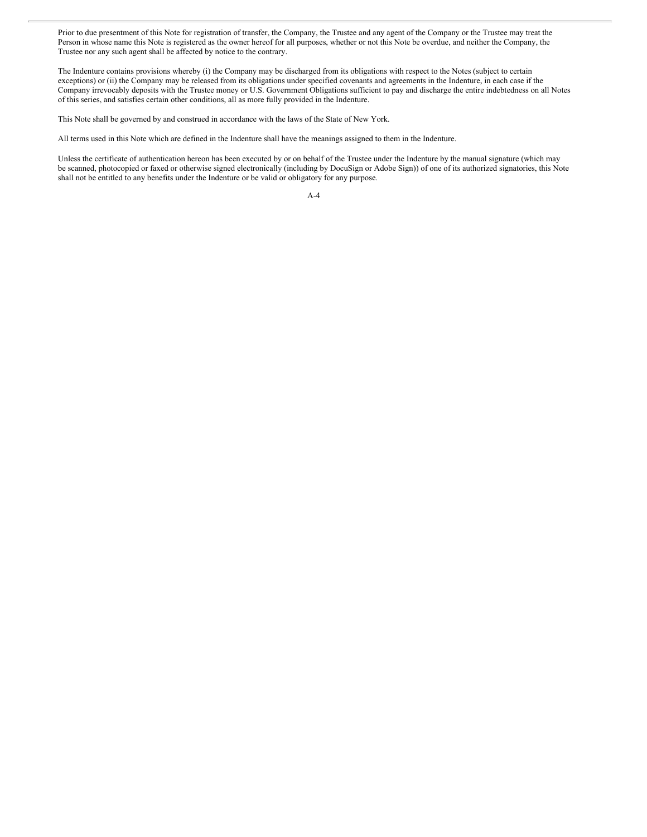Prior to due presentment of this Note for registration of transfer, the Company, the Trustee and any agent of the Company or the Trustee may treat the Person in whose name this Note is registered as the owner hereof for all purposes, whether or not this Note be overdue, and neither the Company, the Trustee nor any such agent shall be affected by notice to the contrary.

The Indenture contains provisions whereby (i) the Company may be discharged from its obligations with respect to the Notes (subject to certain exceptions) or (ii) the Company may be released from its obligations under specified covenants and agreements in the Indenture, in each case if the Company irrevocably deposits with the Trustee money or U.S. Government Obligations sufficient to pay and discharge the entire indebtedness on all Notes of this series, and satisfies certain other conditions, all as more fully provided in the Indenture.

This Note shall be governed by and construed in accordance with the laws of the State of New York.

All terms used in this Note which are defined in the Indenture shall have the meanings assigned to them in the Indenture.

Unless the certificate of authentication hereon has been executed by or on behalf of the Trustee under the Indenture by the manual signature (which may be scanned, photocopied or faxed or otherwise signed electronically (including by DocuSign or Adobe Sign)) of one of its authorized signatories, this Note shall not be entitled to any benefits under the Indenture or be valid or obligatory for any purpose.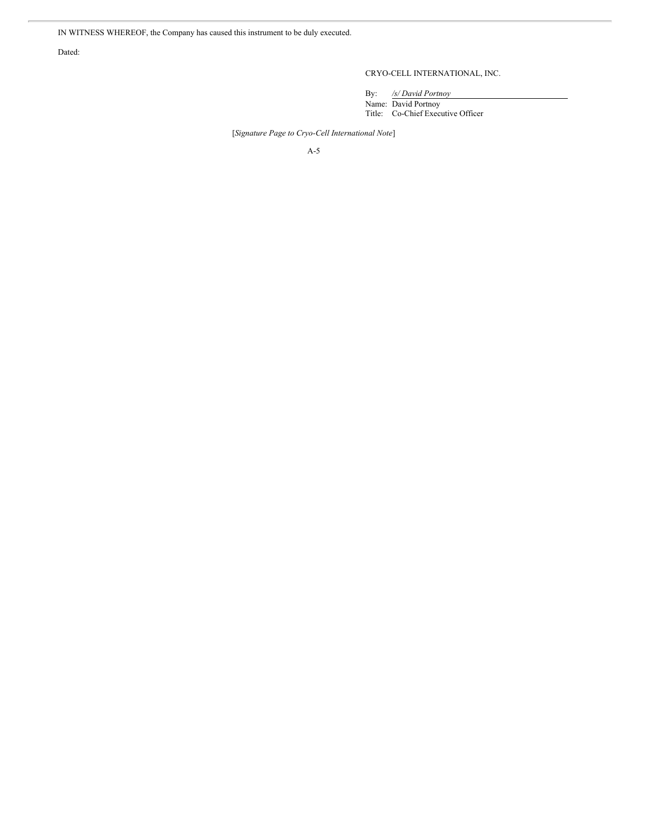Dated:

## CRYO-CELL INTERNATIONAL, INC.

By: */s/ David Portnoy*

Name: David Portnoy Title: Co-Chief Executive Officer

[*Signature Page to Cryo-Cell International Note*]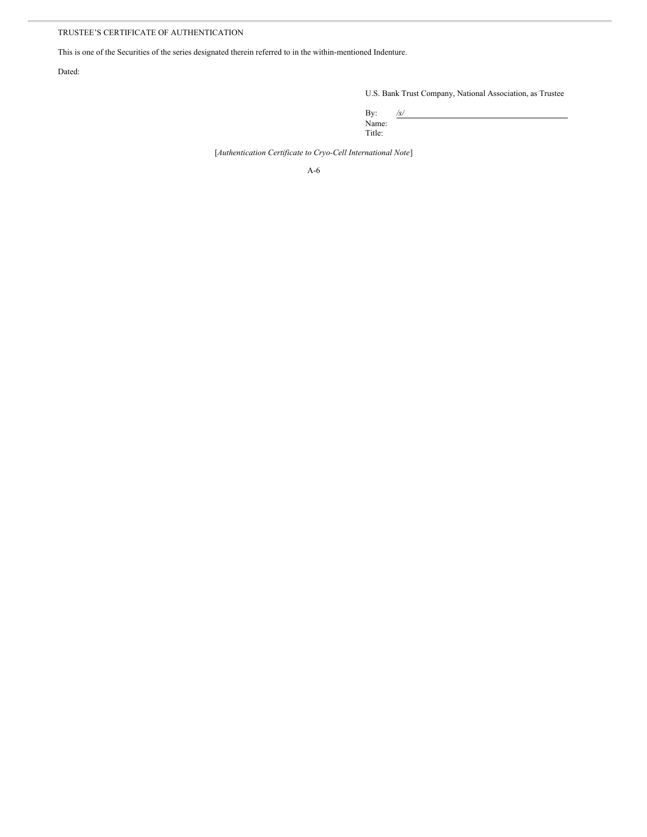# TRUSTEE'S CERTIFICATE OF AUTHENTICATION

This is one of the Securities of the series designated therein referred to in the within-mentioned Indenture.

Dated:

U.S. Bank Trust Company, National Association, as Trustee

By: */s/* Name: Title:

[*Authentication Certificate to Cryo-Cell International Note*]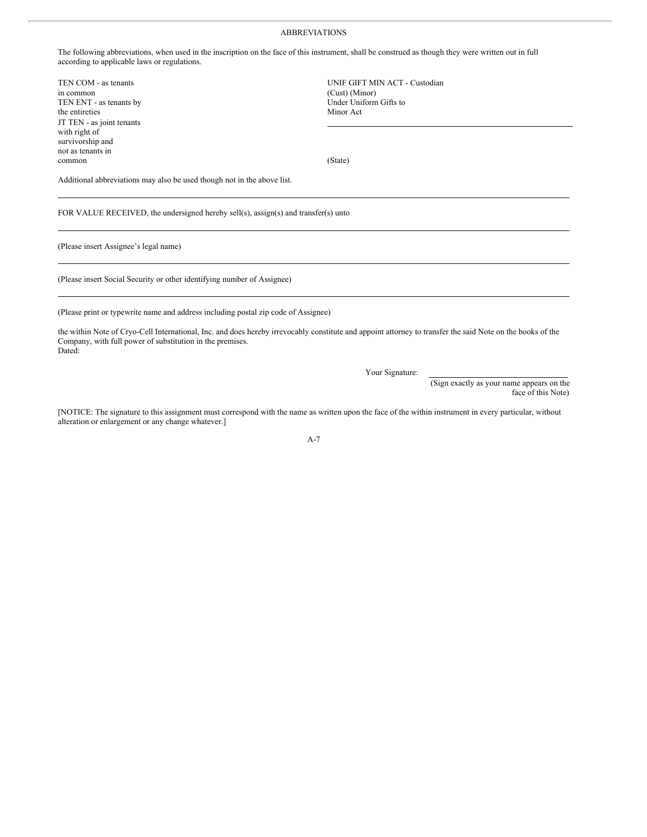## ABBREVIATIONS

The following abbreviations, when used in the inscription on the face of this instrument, shall be construed as though they were written out in full according to applicable laws or regulations.

TEN COM - as tenants UNIF GIFT MIN ACT - Custodian in common (Cust) (Minor) TEN ENT - as tenants by Under Uniform Gifts to the entireties Minor Act the entireties JT TEN - as joint tenants with right of survivorship and not as tenants in common (State)

(Cust) (Minor)<br>Under Uniform Gifts to

Additional abbreviations may also be used though not in the above list.

FOR VALUE RECEIVED, the undersigned hereby sell(s), assign(s) and transfer(s) unto

(Please insert Assignee's legal name)

(Please insert Social Security or other identifying number of Assignee)

(Please print or typewrite name and address including postal zip code of Assignee)

the within Note of Cryo-Cell International, Inc. and does hereby irrevocably constitute and appoint attorney to transfer the said Note on the books of the Company, with full power of substitution in the premises. Dated:

Your Signature:

(Sign exactly as your name appears on the face of this Note)

[NOTICE: The signature to this assignment must correspond with the name as written upon the face of the within instrument in every particular, without alteration or enlargement or any change whatever.]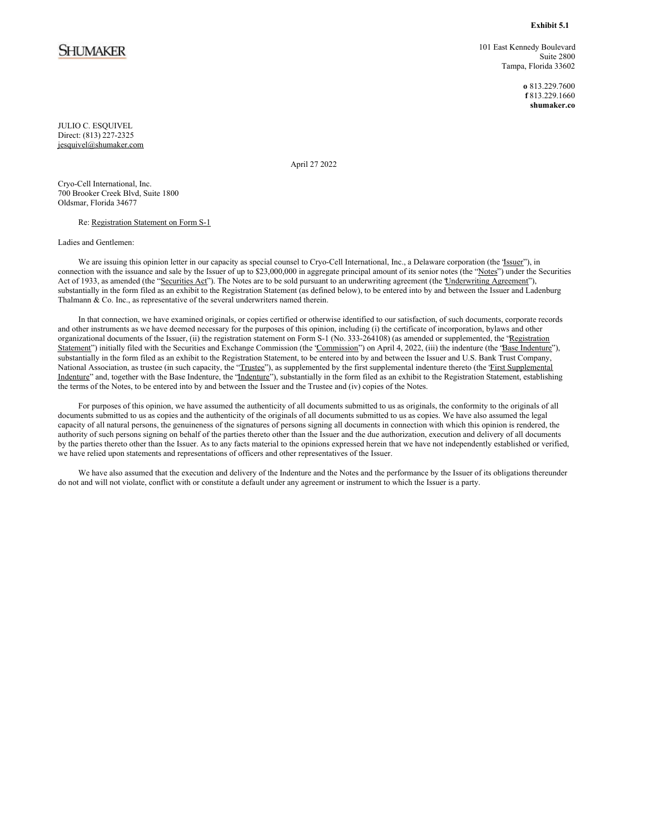## **Exhibit 5.1**

**SHUMAKER** 

101 East Kennedy Boulevard Suite 2800 Tampa, Florida 33602

> **o** 813.229.7600 **f** 813.229.1660 **shumaker.co**

JULIO C. ESQUIVEL Direct: (813) 227-2325 jesquivel@shumaker.com

April 27 2022

Cryo-Cell International, Inc. 700 Brooker Creek Blvd, Suite 1800 Oldsmar, Florida 34677

#### Re: Registration Statement on Form S-1

Ladies and Gentlemen:

We are issuing this opinion letter in our capacity as special counsel to Cryo-Cell International, Inc., a Delaware corporation (the 'Issuer"), in connection with the issuance and sale by the Issuer of up to \$23,000,000 in aggregate principal amount of its senior notes (the "Notes") under the Securities Act of 1933, as amended (the "Securities Act"). The Notes are to be sold pursuant to an underwriting agreement (the Underwriting Agreement"), substantially in the form filed as an exhibit to the Registration Statement (as defined below), to be entered into by and between the Issuer and Ladenburg Thalmann & Co. Inc., as representative of the several underwriters named therein.

In that connection, we have examined originals, or copies certified or otherwise identified to our satisfaction, of such documents, corporate records and other instruments as we have deemed necessary for the purposes of this opinion, including (i) the certificate of incorporation, bylaws and other organizational documents of the Issuer, (ii) the registration statement on Form S-1 (No. 333-264108) (as amended or supplemented, the "Registration Statement") initially filed with the Securities and Exchange Commission (the 'Commission") on April 4, 2022, (iii) the indenture (the 'Base Indenture"), substantially in the form filed as an exhibit to the Registration Statement, to be entered into by and between the Issuer and U.S. Bank Trust Company, National Association, as trustee (in such capacity, the "Trustee"), as supplemented by the first supplemental indenture thereto (the 'First Supplemental Indenture" and, together with the Base Indenture, the "Indenture"), substantially in the form filed as an exhibit to the Registration Statement, establishing the terms of the Notes, to be entered into by and between the Issuer and the Trustee and (iv) copies of the Notes.

For purposes of this opinion, we have assumed the authenticity of all documents submitted to us as originals, the conformity to the originals of all documents submitted to us as copies and the authenticity of the originals of all documents submitted to us as copies. We have also assumed the legal capacity of all natural persons, the genuineness of the signatures of persons signing all documents in connection with which this opinion is rendered, the authority of such persons signing on behalf of the parties thereto other than the Issuer and the due authorization, execution and delivery of all documents by the parties thereto other than the Issuer. As to any facts material to the opinions expressed herein that we have not independently established or verified, we have relied upon statements and representations of officers and other representatives of the Issuer.

We have also assumed that the execution and delivery of the Indenture and the Notes and the performance by the Issuer of its obligations thereunder do not and will not violate, conflict with or constitute a default under any agreement or instrument to which the Issuer is a party.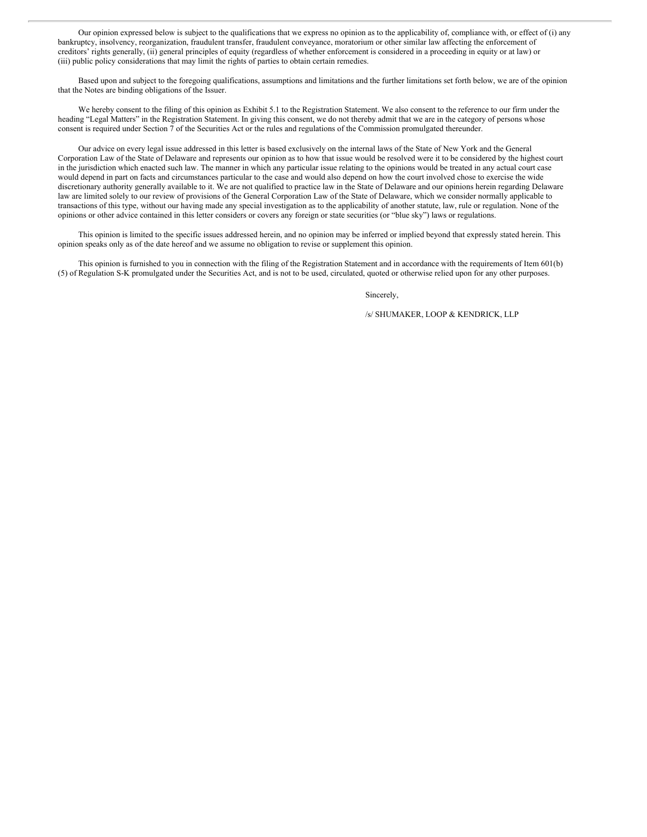Our opinion expressed below is subject to the qualifications that we express no opinion as to the applicability of, compliance with, or effect of (i) any bankruptcy, insolvency, reorganization, fraudulent transfer, fraudulent conveyance, moratorium or other similar law affecting the enforcement of creditors' rights generally, (ii) general principles of equity (regardless of whether enforcement is considered in a proceeding in equity or at law) or (iii) public policy considerations that may limit the rights of parties to obtain certain remedies.

Based upon and subject to the foregoing qualifications, assumptions and limitations and the further limitations set forth below, we are of the opinion that the Notes are binding obligations of the Issuer.

We hereby consent to the filing of this opinion as Exhibit 5.1 to the Registration Statement. We also consent to the reference to our firm under the heading "Legal Matters" in the Registration Statement. In giving this consent, we do not thereby admit that we are in the category of persons whose consent is required under Section 7 of the Securities Act or the rules and regulations of the Commission promulgated thereunder.

Our advice on every legal issue addressed in this letter is based exclusively on the internal laws of the State of New York and the General Corporation Law of the State of Delaware and represents our opinion as to how that issue would be resolved were it to be considered by the highest court in the jurisdiction which enacted such law. The manner in which any particular issue relating to the opinions would be treated in any actual court case would depend in part on facts and circumstances particular to the case and would also depend on how the court involved chose to exercise the wide discretionary authority generally available to it. We are not qualified to practice law in the State of Delaware and our opinions herein regarding Delaware law are limited solely to our review of provisions of the General Corporation Law of the State of Delaware, which we consider normally applicable to transactions of this type, without our having made any special investigation as to the applicability of another statute, law, rule or regulation. None of the opinions or other advice contained in this letter considers or covers any foreign or state securities (or "blue sky") laws or regulations.

This opinion is limited to the specific issues addressed herein, and no opinion may be inferred or implied beyond that expressly stated herein. This opinion speaks only as of the date hereof and we assume no obligation to revise or supplement this opinion.

This opinion is furnished to you in connection with the filing of the Registration Statement and in accordance with the requirements of Item 601(b) (5) of Regulation S-K promulgated under the Securities Act, and is not to be used, circulated, quoted or otherwise relied upon for any other purposes.

Sincerely,

/s/ SHUMAKER, LOOP & KENDRICK, LLP